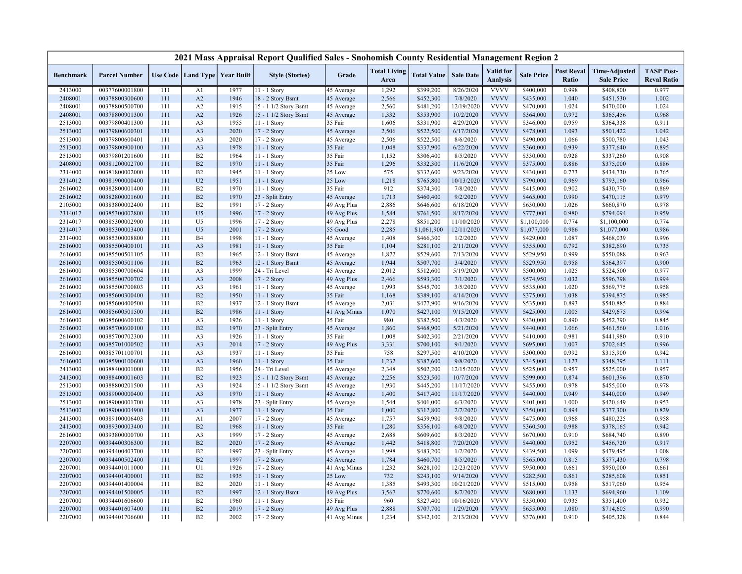|                    |                                  |            |                      |                   | 2021 Mass Appraisal Report Qualified Sales - Snohomish County Residential Management Region 2 |              |                             |                        |                  |                              |                   |                                   |                                           |                                         |
|--------------------|----------------------------------|------------|----------------------|-------------------|-----------------------------------------------------------------------------------------------|--------------|-----------------------------|------------------------|------------------|------------------------------|-------------------|-----------------------------------|-------------------------------------------|-----------------------------------------|
| <b>Benchmark</b>   | <b>Parcel Number</b>             |            | Use Code   Land Type | <b>Year Built</b> | <b>Style (Stories)</b>                                                                        | Grade        | <b>Total Living</b><br>Area | <b>Total Value</b>     | <b>Sale Date</b> | Valid for<br><b>Analysis</b> | <b>Sale Price</b> | <b>Post Reval</b><br><b>Ratio</b> | <b>Time-Adjusted</b><br><b>Sale Price</b> | <b>TASP Post-</b><br><b>Reval Ratio</b> |
| 2413000            | 00377600001800                   | 111        | A1                   | 1977              | $11 - 1$ Story                                                                                | 45 Average   | 1,292                       | \$399,200              | 8/26/2020        | <b>VVVV</b>                  | \$400,000         | 0.998                             | \$408,800                                 | 0.977                                   |
| 2408001            | 00378800300600                   | 111        | A2                   | 1946              | 18 - 2 Story Bsmt                                                                             | 45 Average   | 2,566                       | \$452,300              | 7/8/2020         | <b>VVVV</b>                  | \$435,000         | 1.040                             | \$451,530                                 | 1.002                                   |
| 2408001            | 00378800500700                   | 111        | A2                   | 1915              | 15 - 1 1/2 Story Bsmt                                                                         | 45 Average   | 2,560                       | \$481,200              | 12/19/2020       | <b>VVVV</b>                  | \$470,000         | 1.024                             | \$470,000                                 | 1.024                                   |
| 2408001            | 00378800901300                   | 111        | A2                   | 1926              | 15 - 1 1/2 Story Bsmt                                                                         | 45 Average   | 1,332                       | \$353,900              | 10/2/2020        | <b>VVVV</b>                  | \$364,000         | 0.972                             | \$365,456                                 | 0.968                                   |
| 2513000            | 00379800401300                   | 111        | A <sub>3</sub>       | 1955              | 11 - 1 Story                                                                                  | 35 Fair      | 1,606                       | \$331,900              | 4/29/2020        | <b>VVVV</b>                  | \$346,000         | 0.959                             | \$364,338                                 | 0.911                                   |
| 2513000            | 00379800600301                   | 111        | A <sub>3</sub>       | 2020              | 17 - 2 Story                                                                                  | 45 Average   | 2,506                       | \$522,500              | 6/17/2020        | <b>VVVV</b>                  | \$478,000         | 1.093                             | \$501,422                                 | 1.042                                   |
| 2513000            | 00379800600401                   | 111        | A3                   | 2020              | 17 - 2 Story                                                                                  | 45 Average   | 2,506                       | \$522,500              | 8/6/2020         | <b>VVVV</b>                  | \$490,000         | 1.066                             | \$500,780                                 | 1.043                                   |
| 2513000            | 00379800900100                   | 111        | A <sub>3</sub>       | 1978              | 11 - 1 Story                                                                                  | 35 Fair      | 1,048                       | \$337,900              | 6/22/2020        | <b>VVVV</b>                  | \$360,000         | 0.939                             | \$377,640                                 | 0.895                                   |
| 2513000            | 00379801201600                   | 111        | B2                   | 1964              | 11 - 1 Story                                                                                  | 35 Fair      | 1,152                       | \$306,400              | 8/5/2020         | <b>VVVV</b>                  | \$330,000         | 0.928                             | \$337,260                                 | 0.908                                   |
| 2408000            | 00381200002700                   | 111        | B2                   | 1970              | $11 - 1$ Story                                                                                | 35 Fair      | 1,296                       | \$332,300              | 11/6/2020        | <b>VVVV</b>                  | \$375,000         | 0.886                             | \$375,000                                 | 0.886                                   |
| 2314000            | 00381800002000                   | 111        | B2                   | 1945              | 11 - 1 Story                                                                                  | 25 Low       | 575                         | \$332,600              | 9/23/2020        | <b>VVVV</b>                  | \$430,000         | 0.773                             | \$434,730                                 | 0.765                                   |
| 2314012            | 00381900000400                   | 111        | U <sub>2</sub>       | 1951              | 11 - 1 Story                                                                                  | 25 Low       | 1,218                       | \$765,800              | 10/13/2020       | <b>VVVV</b>                  | \$790,000         | 0.969                             | \$793,160                                 | 0.966                                   |
| 2616002            | 00382800001400                   | 111        | B2                   | 1970              | 11 - 1 Story                                                                                  | 35 Fair      | 912                         | \$374,300              | 7/8/2020         | <b>VVVV</b>                  | \$415,000         | 0.902                             | \$430,770                                 | 0.869                                   |
| 2616002            | 00382800001600                   | 111        | B2                   | 1970              | 23 - Split Entry                                                                              | 45 Average   | 1,713                       | \$460,400              | 9/2/2020         | <b>VVVV</b>                  | \$465,000         | 0.990                             | \$470,115                                 | 0.979                                   |
| 2105000            | 00383800002400                   | 111        | B2                   | 1991              | 17 - 2 Story                                                                                  | 49 Avg Plus  | 2,886                       | \$646,600              | 6/18/2020        | <b>VVVV</b>                  | \$630,000         | 1.026                             | \$660,870                                 | 0.978                                   |
| 2314017            | 00385300002800                   | 111        | U <sub>5</sub>       | 1996              | 17 - 2 Story                                                                                  | 49 Avg Plus  | 1,584                       | \$761,500              | 8/17/2020        | <b>VVVV</b>                  | \$777,000         | 0.980                             | \$794,094                                 | 0.959                                   |
| 2314017            | 00385300002900                   | 111        | U <sub>5</sub>       | 1996              | 17 - 2 Story                                                                                  | 49 Avg Plus  | 2,278                       | \$851,200              | 11/10/2020       | <b>VVVV</b>                  | \$1,100,000       | 0.774                             | \$1,100,000                               | 0.774                                   |
| 2314017            | 00385300003400                   | 111        | U <sub>5</sub>       | 2001              | 17 - 2 Story                                                                                  | 55 Good      | 2,285                       | \$1,061,900            | 12/11/2020       | <b>VVVV</b>                  | \$1,077,000       | 0.986                             | \$1,077,000                               | 0.986                                   |
| 2314000            | 00385300008800                   | 111        | <b>B4</b>            | 1998              | 11 - 1 Story                                                                                  | 45 Average   | 1,408                       | \$466,300              | 1/2/2020         | <b>VVVV</b>                  | \$429,000         | 1.087                             | \$468,039                                 | 0.996                                   |
| 2616000            | 00385500400101                   | 111        | A <sub>3</sub>       | 1981              | 11 - 1 Story                                                                                  | 35 Fair      | 1,104                       | \$281,100              | 2/11/2020        | <b>VVVV</b>                  | \$355,000         | 0.792                             | \$382,690                                 | 0.735                                   |
| 2616000            | 00385500501105                   | 111        | B2                   | 1965              | 12 - 1 Story Bsmt                                                                             | 45 Average   | 1,872                       | \$529,600              | 7/13/2020        | <b>VVVV</b>                  | \$529,950         | 0.999                             | \$550,088                                 | 0.963                                   |
| 2616000            | 00385500501106                   | 111        | B2                   | 1963              | 12 - 1 Story Bsmt                                                                             | 45 Average   | 1,944                       | \$507,700              | 3/4/2020         | <b>VVVV</b>                  | \$529,950         | 0.958                             | \$564,397                                 | 0.900                                   |
| 2616000            | 00385500700604                   | 111        | A <sub>3</sub>       | 1999              | 24 - Tri Level                                                                                | 45 Average   | 2,012                       | \$512,600              | 5/19/2020        | <b>VVVV</b>                  | \$500,000         | 1.025                             | \$524,500                                 | 0.977                                   |
| 2616000            | 00385500700702                   | 111        | A <sub>3</sub>       | 2008              | 17 - 2 Story                                                                                  | 49 Avg Plus  | 2,466                       | \$593,300              | 7/1/2020         | <b>VVVV</b>                  | \$574,950         | 1.032                             | \$596,798                                 | 0.994                                   |
| 2616000            | 00385500700803                   | 111        | A3                   | 1961              | 11 - 1 Story                                                                                  | 45 Average   | 1,993                       | \$545,700              | 3/5/2020         | <b>VVVV</b>                  | \$535,000         | 1.020                             | \$569,775                                 | 0.958                                   |
| 2616000            | 00385600300400                   | 111        | B2                   | 1950              | $11 - 1$ Story                                                                                | 35 Fair      | 1,168                       | \$389,100              | 4/14/2020        | <b>VVVV</b>                  | \$375,000         | 1.038                             | \$394,875                                 | 0.985                                   |
| 2616000            | 00385600400500                   | 111        | B2                   | 1937              | 12 - 1 Story Bsmt                                                                             | 45 Average   | 2,031                       | \$477,900              | 9/16/2020        | <b>VVVV</b>                  | \$535,000         | 0.893                             | \$540,885                                 | 0.884                                   |
| 2616000            | 00385600501500                   | 111        | B2                   | 1986              | $11 - 1$ Story                                                                                | 41 Avg Minus | 1,070                       | \$427,100              | 9/15/2020        | <b>VVVV</b>                  | \$425,000         | 1.005                             | \$429,675                                 | 0.994                                   |
| 2616000            | 00385600600102                   | 111        | A3                   | 1926              | 11 - 1 Story                                                                                  | 35 Fair      | 980                         | \$382,500              | 4/3/2020         | <b>VVVV</b>                  | \$430,000         | 0.890                             | \$452,790                                 | 0.845                                   |
| 2616000            | 00385700600100                   | 111        | B2                   | 1970              | 23 - Split Entry                                                                              | 45 Average   | 1,860                       | \$468,900              | 5/21/2020        | <b>VVVV</b>                  | \$440,000         | 1.066                             | \$461,560                                 | 1.016                                   |
| 2616000            | 00385700702300                   | 111        | A <sub>3</sub>       | 1926              | 11 - 1 Story                                                                                  | 35 Fair      | 1,008                       | \$402,300              | 2/21/2020        | <b>VVVV</b>                  | \$410,000         | 0.981                             | \$441,980                                 | 0.910                                   |
| 2616000            | 00385701000502                   | 111        | A <sub>3</sub>       | 2014              | 17 - 2 Story                                                                                  | 49 Avg Plus  | 3,331                       | \$700,100              | 9/1/2020         | <b>VVVV</b>                  | \$695,000         | 1.007                             | \$702,645                                 | 0.996                                   |
| 2616000            | 00385701100701                   | 111        | A3                   | 1937              | 11 - 1 Story                                                                                  | 35 Fair      | 758                         | \$297,500              | 4/10/2020        | <b>VVVV</b>                  | \$300,000         | 0.992                             | \$315,900                                 | 0.942                                   |
| 2616000            | 00385900100600                   | 111        | A <sub>3</sub>       | 1960              | 11 - 1 Story                                                                                  | 35 Fair      | 1,232                       | \$387,600              | 9/8/2020         | <b>VVVV</b>                  | \$345,000         | 1.123                             | \$348,795                                 | 1.111                                   |
| 2413000            | 00388400001000                   | 111        | B2                   | 1956              | 24 - Tri Level                                                                                | 45 Average   | 2,348                       | \$502,200              | 12/15/2020       | <b>VVVV</b>                  | \$525,000         | 0.957                             | \$525,000                                 | 0.957                                   |
| 2413000            | 00388400001603                   | 111        | B2                   | 1923              | 15 - 1 1/2 Story Bsmt                                                                         | 45 Average   | 2,256                       | \$523,500              | 10/7/2020        | <b>VVVV</b>                  | \$599,000         | 0.874                             | \$601,396                                 | 0.870                                   |
| 2513000            | 00388800201500                   | 111        | A <sub>3</sub>       | 1924              | 15 - 1 1/2 Story Bsmt                                                                         | 45 Average   | 1,930                       | \$445,200              | 11/17/2020       | <b>VVVV</b>                  | \$455,000         | 0.978                             | \$455,000                                 | 0.978                                   |
| 2513000            | 00389000000400                   | 111        | A <sub>3</sub>       | 1970              | 11 - 1 Story                                                                                  | 45 Average   | 1,400                       | \$417,400              | 11/17/2020       | <b>VVVV</b>                  | \$440,000         | 0.949                             | \$440,000                                 | 0.949                                   |
| 2513000            | 00389000001700                   | 111        | A3                   | 1978              | 23 - Split Entry                                                                              | 45 Average   | 1,544                       | \$401,000              | 6/3/2020         | <b>VVVV</b>                  | \$401,000         | 1.000                             | \$420,649                                 | 0.953                                   |
|                    | 00389000004900                   | 111        | A <sub>3</sub>       | 1977              | 11 - 1 Story                                                                                  | 35 Fair      | 1,000                       |                        | 2/7/2020         | <b>VVVV</b>                  | \$350,000         | 0.894                             | \$377,300                                 | 0.829                                   |
| 2513000<br>2413000 | 00389100006403                   | 111        | A <sub>1</sub>       | 2007              | 17 - 2 Story                                                                                  | 45 Average   | 1,757                       | \$312,800<br>\$459,900 | 9/8/2020         | <b>VVVV</b>                  | \$475,000         | 0.968                             | \$480,225                                 | 0.958                                   |
| 2413000            | 00389300003400                   | 111        | B2                   | 1968              | $11 - 1$ Story                                                                                | 35 Fair      | 1,280                       | \$356,100              | 6/8/2020         | <b>VVVV</b>                  | \$360,500         | 0.988                             | \$378,165                                 | 0.942                                   |
| 2616000            | 00393800000700                   | 111        | A3                   | 1999              | 17 - 2 Story                                                                                  | 45 Average   | 2,688                       | \$609,600              | 8/3/2020         | <b>VVVV</b>                  | \$670,000         | 0.910                             | \$684,740                                 | 0.890                                   |
|                    | 00394400306300                   | 111        | B2                   | 2020              | 17 - 2 Story                                                                                  |              |                             |                        |                  | <b>VVVV</b>                  |                   | 0.952                             |                                           | 0.917                                   |
| 2207000            |                                  |            |                      |                   |                                                                                               | 45 Average   | 1,442                       | \$418,800              | 7/20/2020        |                              | \$440,000         |                                   | \$456,720                                 |                                         |
| 2207000            | 00394400403700                   | 111        | B2                   | 1997              | 23 - Split Entry                                                                              | 45 Average   | 1,998                       | \$483,200              | 1/2/2020         | <b>VVVV</b><br><b>VVVV</b>   | \$439,500         | 1.099                             | \$479,495                                 | 1.008                                   |
| 2207000            | 00394400502400<br>00394401011000 | 111<br>111 | B2<br>U1             | 1997<br>1926      | 17 - 2 Story                                                                                  | 45 Average   | 1,784<br>1,232              | \$460,700              | 8/5/2020         | <b>VVVV</b>                  | \$565,000         | 0.815<br>0.661                    | \$577,430                                 | 0.798<br>0.661                          |
| 2207001            |                                  |            |                      |                   | 17 - 2 Story                                                                                  | 41 Avg Minus |                             | \$628,100              | 12/23/2020       | <b>VVVV</b>                  | \$950,000         |                                   | \$950,000                                 |                                         |
| 2207000            | 00394401400001                   | 111        | B2                   | 1935              | 11 - 1 Story                                                                                  | 25 Low       | 732                         | \$243,100              | 9/14/2020        | <b>VVVV</b>                  | \$282,500         | 0.861                             | \$285,608                                 | 0.851                                   |
| 2207000            | 00394401400004                   | 111        | B2                   | 2020              | 11 - 1 Story                                                                                  | 45 Average   | 1,385                       | \$493,300              | 10/21/2020       |                              | \$515,000         | 0.958                             | \$517,060                                 | 0.954                                   |
| 2207000            | 00394401500005                   | 111        | B2                   | 1997              | 12 - 1 Story Bsmt                                                                             | 49 Avg Plus  | 3,567                       | \$770,600              | 8/7/2020         | <b>VVVV</b>                  | \$680,000         | 1.133                             | \$694,960                                 | 1.109                                   |
| 2207000            | 00394401606600                   | 111        | B2                   | 1960              | 11 - 1 Story                                                                                  | 35 Fair      | 960                         | \$327,400              | 10/16/2020       | <b>VVVV</b><br><b>VVVV</b>   | \$350,000         | 0.935                             | \$351,400                                 | 0.932                                   |
| 2207000            | 00394401607400                   | 111        | B2                   | 2019              | $17 - 2$ Story                                                                                | 49 Avg Plus  | 2,888                       | \$707,700              | 1/29/2020        |                              | \$655,000         | 1.080                             | \$714,605                                 | 0.990                                   |
| 2207000            | 00394401706600                   | 111        | B2                   | 2002              | 17 - 2 Story                                                                                  | 41 Avg Minus | 1,234                       | \$342,100              | 2/13/2020        | <b>VVVV</b>                  | \$376,000         | 0.910                             | \$405,328                                 | 0.844                                   |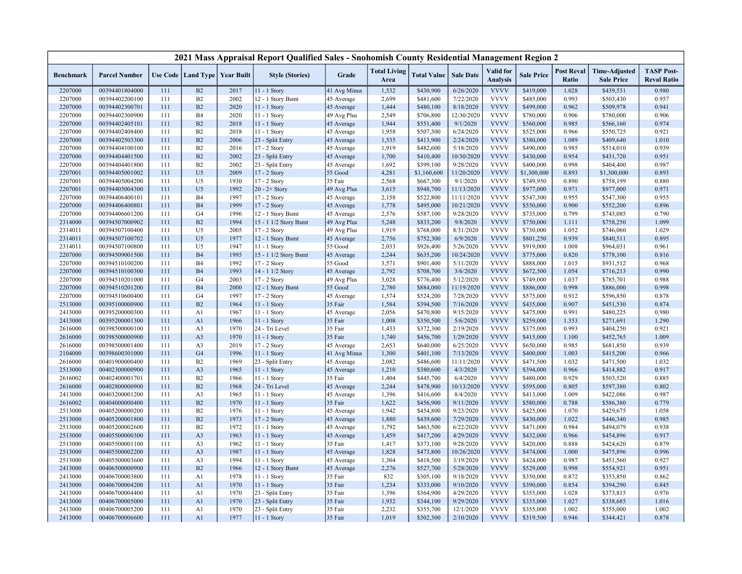|                    |                                  |            |                                   |              | 2021 Mass Appraisal Report Qualified Sales - Snohomish County Residential Management Region 2 |                       |                             |                        |                       |                                     |                        |                            |                                           |                                         |
|--------------------|----------------------------------|------------|-----------------------------------|--------------|-----------------------------------------------------------------------------------------------|-----------------------|-----------------------------|------------------------|-----------------------|-------------------------------------|------------------------|----------------------------|-------------------------------------------|-----------------------------------------|
| <b>Benchmark</b>   | <b>Parcel Number</b>             |            | Use Code   Land Type   Year Built |              | <b>Style (Stories)</b>                                                                        | Grade                 | <b>Total Living</b><br>Area | <b>Total Value</b>     | <b>Sale Date</b>      | <b>Valid</b> for<br><b>Analysis</b> | <b>Sale Price</b>      | <b>Post Reval</b><br>Ratio | <b>Time-Adjusted</b><br><b>Sale Price</b> | <b>TASP Post-</b><br><b>Reval Ratio</b> |
| 2207000            | 00394401804000                   | 111        | B2                                | 2017         | 11 - 1 Story                                                                                  | 41 Avg Minus          | 1,532                       | \$430,900              | 6/26/2020             | <b>VVVV</b>                         | \$419,000              | 1.028                      | \$439,531                                 | 0.980                                   |
| 2207000            | 00394402200100                   | 111        | B2                                | 2002         | 12 - 1 Story Bsmt                                                                             | 45 Average            | 2,699                       | \$481,600              | 7/22/2020             | <b>VVVV</b>                         | \$485,000              | 0.993                      | \$503,430                                 | 0.957                                   |
| 2207000            | 00394402300701                   | 111        | B2                                | 2020         | 11 - 1 Story                                                                                  | 45 Average            | 1,444                       | \$480,100              | 8/18/2020             | <b>VVVV</b>                         | \$499,000              | 0.962                      | \$509,978                                 | 0.941                                   |
| 2207000            | 00394402300900                   | 111        | <b>B4</b>                         | 2020         | 11 - 1 Story                                                                                  | 49 Avg Plus           | 2,549                       | \$706,800              | 12/30/2020            | <b>VVVV</b>                         | \$780,000              | 0.906                      | \$780,000                                 | 0.906                                   |
| 2207000            | 00394402405101                   | 111        | B2                                | 2018         | 11 - 1 Story                                                                                  | 45 Average            | 1,944                       | \$551,400              | 9/1/2020              | <b>VVVV</b>                         | \$560,000              | 0.985                      | \$566,160                                 | 0.974                                   |
| 2207000            | 00394402408400                   | 111        | B2                                | 2018         | 11 - 1 Story                                                                                  | 45 Average            | 1,958                       | \$507,300              | 6/24/2020             | <b>VVVV</b>                         | \$525,000              | 0.966                      | \$550,725                                 | 0.921                                   |
| 2207000            | 00394402503300                   | 111        | B2                                | 2006         | 23 - Split Entry                                                                              | 45 Average            | 1,535                       | \$413,900              | 2/24/2020             | <b>VVVV</b>                         | \$380,000              | 1.089                      | \$409,640                                 | 1.010                                   |
| 2207000            | 00394404100100                   | 111        | B2                                | 2016         | 17 - 2 Story                                                                                  | 45 Average            | 1,919                       | \$482,600              | 5/18/2020             | <b>VVVV</b>                         | \$490,000              | 0.985                      | \$514,010                                 | 0.939                                   |
| 2207000            | 00394404401500                   | 111        | B2                                | 2002         | 23 - Split Entry                                                                              | 45 Average            | 1,700                       | \$410,400              | 10/30/2020            | <b>VVVV</b>                         | \$430,000              | 0.954                      | \$431,720                                 | 0.951                                   |
| 2207000            | 00394404401800                   | 111        | B2                                | 2002         | 23 - Split Entry                                                                              | 45 Average            | 1,692                       | \$399,100              | 9/28/2020             | <b>VVVV</b>                         | \$400,000              | 0.998                      | \$404,400                                 | 0.987                                   |
| 2207001            | 00394405001002                   | 111        | U <sub>5</sub>                    | 2009         | 17 - 2 Story                                                                                  | 55 Good               | 4,281                       | \$1,160,600            | 11/20/2020            | <b>VVVV</b>                         | \$1,300,000            | 0.893                      | \$1,300,000                               | 0.893                                   |
| 2207001            | 00394405004200                   | 111        | U <sub>5</sub>                    | 1930         | 17 - 2 Story                                                                                  | 35 Fair               | 2,568                       | \$667,300              | 9/1/2020              | <b>VVVV</b>                         | \$749,950              | 0.890                      | \$758,199                                 | 0.880                                   |
| 2207001            | 00394405004300                   | 111        | U <sub>5</sub>                    | 1992         | $20 - 2 +$ Story                                                                              | 49 Avg Plus           | 3,615                       | \$948,700              | 11/13/2020            | <b>VVVV</b>                         | \$977,000              | 0.971                      | \$977,000                                 | 0.971                                   |
| 2207000            | 00394406400101                   | 111        | <b>B4</b>                         | 1997         | 17 - 2 Story                                                                                  | 45 Average            | 2,158                       | \$522,800              | 11/11/2020            | <b>VVVV</b>                         | \$547,300              | 0.955                      | \$547,300                                 | 0.955                                   |
| 2207000            | 00394406400801                   | 111        | <b>B4</b>                         | 1999         | 17 - 2 Story                                                                                  | 45 Average            | 1,778                       | \$495,000              | 10/21/2020            | <b>VVVV</b>                         | \$550,000              | 0.900                      | \$552,200                                 | 0.896                                   |
| 2207000            | 00394406601200                   | 111        | G4                                | 1996         | 12 - 1 Story Bsmt                                                                             | 45 Average            | 2,576                       | \$587,100              | 9/28/2020             | <b>VVVV</b>                         | \$735,000              | 0.799                      | \$743,085                                 | 0.790                                   |
| 2314000            | 00394507000902                   | 111        | B2                                | 1994         | 15 - 1 1/2 Story Bsmt                                                                         | 49 Avg Plus           | 5,248                       | \$833,200              | 9/8/2020              | <b>VVVV</b>                         | \$750,000              | 1.111                      | \$758,250                                 | 1.099                                   |
| 2314011            | 00394507100400                   | 111        | U <sub>5</sub>                    | 2005         | 17 - 2 Story                                                                                  | 49 Avg Plus           | 1,919                       | \$768,000              | 8/31/2020             | <b>VVVV</b>                         | \$730,000              | 1.052                      | \$746,060                                 | 1.029                                   |
| 2314011            | 00394507100702                   | 111        | U <sub>5</sub>                    | 1977         | 12 - 1 Story Bsmt                                                                             | 45 Average            | 2,756                       | \$752,300              | 6/9/2020              | <b>VVVV</b>                         | \$801,250              | 0.939                      | \$840,511                                 | 0.895                                   |
| 2314011            | 00394507100800                   | 111        | U <sub>5</sub>                    | 1947         | 11 - 1 Story                                                                                  | 55 Good               | 2,033                       | \$926,400              | 5/26/2020             | <b>VVVV</b>                         | \$919,000              | 1.008                      | \$964,031                                 | 0.961                                   |
| 2207000            | 00394509001500                   | 111        | <b>B4</b>                         | 1995         | 15 - 1 1/2 Story Bsmt                                                                         | 45 Average            | 2,244                       | \$635,200              | 10/24/2020            | <b>VVVV</b>                         | \$775,000              | 0.820                      | \$778,100                                 | 0.816                                   |
| 2207000            | 00394510100200                   | 111        | <b>B4</b>                         | 1992         | 17 - 2 Story                                                                                  | 55 Good               | 3,571                       | \$901,400              | 5/11/2020             | <b>VVVV</b>                         | \$888,000              | 1.015                      | \$931,512                                 | 0.968                                   |
| 2207000            | 00394510100300                   | 111        | <b>B4</b>                         | 1993         | 14 - 1 1/2 Story                                                                              | 45 Average            | 2,792                       | \$708,700              | 3/6/2020              | <b>VVVV</b>                         | \$672,500              | 1.054                      | \$716,213                                 | 0.990                                   |
| 2207000            | 00394510201000                   | 111        | G <sub>4</sub>                    | 2003         | 17 - 2 Story                                                                                  | 49 Avg Plus           | 3,028                       | \$776,400              | 5/12/2020             | <b>VVVV</b>                         | \$749,000              | 1.037                      | \$785,701                                 | 0.988                                   |
| 2207000            | 00394510201200                   | 111        | <b>B4</b>                         | 2000         | 12 - 1 Story Bsmt                                                                             | 55 Good               | 2,780                       | \$884,000              | 11/19/2020            | <b>VVVV</b><br><b>VVVV</b>          | \$886,000              | 0.998                      | \$886,000                                 | 0.998                                   |
| 2207000            | 00394510600400                   | 111        | G <sub>4</sub>                    | 1997         | 17 - 2 Story                                                                                  | 45 Average            | 1,574                       | \$524,200              | 7/28/2020             |                                     | \$575,000              | 0.912                      | \$596,850                                 | 0.878                                   |
| 2513000            | 00395100000900                   | 111        | B2                                | 1964         | 11 - 1 Story                                                                                  | 35 Fair               | 1,584                       | \$394,500              | 7/16/2020             | <b>VVVV</b><br><b>VVVV</b>          | \$435,000              | 0.907<br>0.991             | \$451,530                                 | 0.874                                   |
| 2413000<br>2413000 | 00395200000300<br>00395200001300 | 111<br>111 | A1<br>A1                          | 1967<br>1966 | $11 - 1$ Story                                                                                | 45 Average<br>35 Fair | 2,056<br>1,008              | \$470,800<br>\$350,500 | 9/15/2020<br>5/6/2020 | <b>VVVV</b>                         | \$475,000<br>\$259,000 | 1.353                      | \$480,225<br>\$271,691                    | 0.980<br>1.290                          |
| 2616000            | 00398500000100                   | 111        | A <sub>3</sub>                    | 1970         | 11 - 1 Story<br>24 - Tri Level                                                                | 35 Fair               | 1,433                       |                        | 2/19/2020             | <b>VVVV</b>                         |                        | 0.993                      |                                           |                                         |
| 2616000            | 00398500000900                   | 111        | A <sub>3</sub>                    | 1970         | 11 - 1 Story                                                                                  | 35 Fair               | 1,740                       | \$372,300<br>\$456,700 | 1/29/2020             | <b>VVVV</b>                         | \$375,000<br>\$415,000 | 1.100                      | \$404,250<br>\$452,765                    | 0.921<br>1.009                          |
| 2616000            | 00398500001400                   | 111        | A <sub>3</sub>                    | 2019         | 17 - 2 Story                                                                                  | 45 Average            | 2,653                       | \$640,000              | 6/25/2020             | <b>VVVV</b>                         | \$650,000              | 0.985                      | \$681,850                                 | 0.939                                   |
| 2104000            | 00398600301000                   | 111        | G <sub>4</sub>                    | 1996         | $11 - 1$ Story                                                                                | 41 Avg Minus          | 1,300                       | \$401,100              | 7/13/2020             | <b>VVVV</b>                         | \$400,000              | 1.003                      | \$415,200                                 | 0.966                                   |
| 2616000            | 00401900000400                   | 111        | B2                                | 1969         | 23 - Split Entry                                                                              | 45 Average            | 2,082                       | \$486,600              | 11/11/2020            | <b>VVVV</b>                         | \$471,500              | 1.032                      | \$471,500                                 | 1.032                                   |
| 2513000            | 00402300000900                   | 111        | A <sub>3</sub>                    | 1965         | 11 - 1 Story                                                                                  | 45 Average            | 1,210                       | \$380,600              | 4/3/2020              | <b>VVVV</b>                         | \$394,000              | 0.966                      | \$414,882                                 | 0.917                                   |
| 2616002            | 00402400001701                   | 111        | B2                                | 1966         | 11 - 1 Story                                                                                  | 35 Fair               | 1,404                       | \$445,700              | 6/4/2020              | <b>VVVV</b>                         | \$480,000              | 0.929                      | \$503,520                                 | 0.885                                   |
| 2616000            | 00402800000900                   | 111        | B2                                | 1968         | 24 - Tri Level                                                                                | 45 Average            | 2,244                       | \$478,900              | 10/13/2020            | <b>VVVV</b>                         | \$595,000              | 0.805                      | \$597,380                                 | 0.802                                   |
| 2413000            | 00403200001200                   | 111        | A <sub>3</sub>                    | 1965         | 11 - 1 Story                                                                                  | 45 Average            | 1,396                       | \$416,600              | 8/4/2020              | <b>VVVV</b>                         | \$413,000              | 1.009                      | \$422,086                                 | 0.987                                   |
| 2616002            | 00404000000400                   | 111        | B2                                | 1970         | $11 - 1$ Story                                                                                | 35 Fair               | 1,622                       | \$456,900              | 9/11/2020             | <b>VVVV</b>                         | \$580,000              | 0.788                      | \$586,380                                 | 0.779                                   |
| 2513000            | 00405200000200                   | 111        | B2                                | 1976         | $11 - 1$ Story                                                                                | 45 Average            | 1,942                       | \$454,800              | 9/23/2020             | <b>VVVV</b>                         | \$425,000              | 1.070                      | \$429,675                                 | 1.058                                   |
| 2513000            | 00405200001800                   | 111        | B2                                | 1973         | 17 - 2 Story                                                                                  | 45 Average            | 1,880                       | \$439,600              | 7/29/2020             | <b>VVVV</b>                         | \$430,000              | 1.022                      | \$446,340                                 | 0.985                                   |
| 2513000            | 00405200002600                   | 111        | B2                                | 1972         | 11 - 1 Story                                                                                  | 45 Average            | 1,792                       | \$463,500              | 6/22/2020             | <b>VVVV</b>                         | \$471,000              | 0.984                      | \$494,079                                 | 0.938                                   |
| 2513000            | 00405500000300                   | 111        | A <sub>3</sub>                    | 1963         | $11 - 1$ Story                                                                                | 45 Average            | 1,459                       | \$417,200              | 4/29/2020             | <b>VVVV</b>                         | \$432,000              | 0.966                      | \$454,896                                 | 0.917                                   |
| 2513000            | 00405500001100                   | 111        | A <sub>3</sub>                    | 1962         | 11 - 1 Story                                                                                  | 35 Fair               | 1,417                       | \$373,100              | 9/28/2020             | <b>VVVV</b>                         | \$420,000              | 0.888                      | \$424,620                                 | 0.879                                   |
| 2513000            | 00405500002200                   | 111        | A <sub>3</sub>                    | 1987         | 11 - 1 Story                                                                                  | 45 Average            | 1,828                       | \$473,800              | 10/26/2020            | <b>VVVV</b>                         | \$474,000              | 1.000                      | \$475,896                                 | 0.996                                   |
| 2513000            | 00405500003600                   | 111        | A <sub>3</sub>                    | 1994         | 11 - 1 Story                                                                                  | 45 Average            | 1,304                       | \$418,500              | 3/19/2020             | <b>VVVV</b>                         | \$424,000              | 0.987                      | \$451,560                                 | 0.927                                   |
| 2413000            | 00406500000900                   | 111        | B2                                | 1966         | 12 - 1 Story Bsmt                                                                             | 45 Average            | 2,276                       | \$527,700              | 5/28/2020             | <b>VVVV</b>                         | \$529,000              | 0.998                      | \$554,921                                 | 0.951                                   |
| 2413000            | 00406700003800                   | 111        | A1                                | 1978         | $11$ - $1\,$ Story                                                                            | 35 Fair               | 832                         | \$305,100              | 9/18/2020             | <b>VVVV</b>                         | \$350,000              | 0.872                      | \$353,850                                 | 0.862                                   |
| 2413000            | 00406700004200                   | 111        | A1                                | 1970         | 11 - 1 Story                                                                                  | 35 Fair               | 1,234                       | \$333,000              | 9/10/2020             | <b>VVVV</b>                         | \$390,000              | 0.854                      | \$394,290                                 | 0.845                                   |
| 2413000            | 00406700004400                   | 111        | A1                                | 1970         | 23 - Split Entry                                                                              | 35 Fair               | 1,396                       | \$364,900              | 4/29/2020             | <b>VVVV</b>                         | \$355,000              | 1.028                      | \$373,815                                 | 0.976                                   |
| 2413000            | 00406700005000                   | 111        | A1                                | 1970         | 23 - Split Entry                                                                              | 35 Fair               | 1,932                       | \$344,100              | 9/29/2020             | <b>VVVV</b>                         | \$335,000              | 1.027                      | \$338,685                                 | 1.016                                   |
| 2413000            | 00406700005200                   | 111        | A1                                | 1970         | 23 - Split Entry                                                                              | 35 Fair               | 2,232                       | \$355,700              | 12/1/2020             | <b>VVVV</b>                         | \$355,000              | 1.002                      | \$355,000                                 | 1.002                                   |
| 2413000            | 00406700006600                   | 111        | A1                                | 1977         | 11 - 1 Story                                                                                  | 35 Fair               | 1,019                       | \$302,300              | 2/10/2020             | <b>VVVV</b>                         | \$319,500              | 0.946                      | \$344,421                                 | 0.878                                   |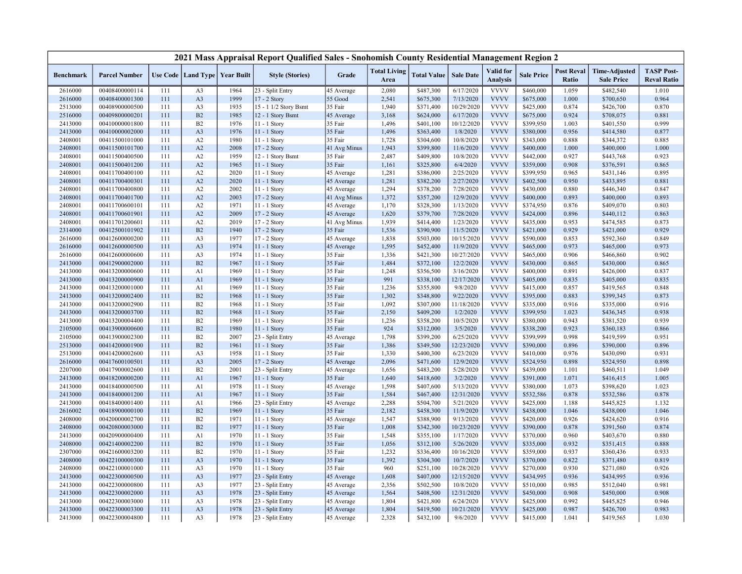|                  |                      |     |                |                                   | 2021 Mass Appraisal Report Qualified Sales - Snohomish County Residential Management Region 2 |                       |                             |                    |                  |                                     |                   |                            |                                           |                                         |
|------------------|----------------------|-----|----------------|-----------------------------------|-----------------------------------------------------------------------------------------------|-----------------------|-----------------------------|--------------------|------------------|-------------------------------------|-------------------|----------------------------|-------------------------------------------|-----------------------------------------|
| <b>Benchmark</b> | <b>Parcel Number</b> |     |                | Use Code   Land Type   Year Built | <b>Style (Stories)</b>                                                                        | Grade                 | <b>Total Living</b><br>Area | <b>Total Value</b> | <b>Sale Date</b> | <b>Valid</b> for<br><b>Analysis</b> | <b>Sale Price</b> | <b>Post Reval</b><br>Ratio | <b>Time-Adjusted</b><br><b>Sale Price</b> | <b>TASP Post-</b><br><b>Reval Ratio</b> |
| 2616000          | 00408400000114       | 111 | A <sub>3</sub> | 1964                              | 23 - Split Entry                                                                              | 45 Average            | 2,080                       | \$487,300          | 6/17/2020        | <b>VVVV</b>                         | \$460,000         | 1.059                      | \$482,540                                 | 1.010                                   |
| 2616000          | 00408400001300       | 111 | A <sub>3</sub> | 1999                              | 17 - 2 Story                                                                                  | 55 Good               | 2,541                       | \$675,300          | 7/13/2020        | <b>VVVV</b>                         | \$675,000         | 1.000                      | \$700,650                                 | 0.964                                   |
| 2513000          | 00408900000500       | 111 | A <sub>3</sub> | 1935                              | 15 - 1 1/2 Story Bsmt                                                                         | 35 Fair               | 1,940                       | \$371,400          | 10/29/2020       | <b>VVVV</b>                         | \$425,000         | 0.874                      | \$426,700                                 | 0.870                                   |
| 2516000          | 00409800000201       | 111 | B2             | 1985                              | 12 - 1 Story Bsmt                                                                             | 45 Average            | 3,168                       | \$624,000          | 6/17/2020        | <b>VVVV</b>                         | \$675,000         | 0.924                      | \$708,075                                 | 0.881                                   |
| 2413000          | 00410000001800       | 111 | B2             | 1976                              | 11 - 1 Story                                                                                  | 35 Fair               | 1,496                       | \$401,100          | 10/12/2020       | <b>VVVV</b>                         | \$399,950         | 1.003                      | \$401,550                                 | 0.999                                   |
| 2413000          | 00410000002000       | 111 | A <sub>3</sub> | 1976                              | 11 - 1 Story                                                                                  | 35 Fair               | 1,496                       | \$363,400          | 1/8/2020         | <b>VVVV</b>                         | \$380,000         | 0.956                      | \$414,580                                 | 0.877                                   |
| 2408001          | 00411500101000       | 111 | A2             | 1980                              | 11 - 1 Story                                                                                  | 35 Fair               | 1,728                       | \$304,600          | 10/8/2020        | <b>VVVV</b>                         | \$343,000         | 0.888                      | \$344,372                                 | 0.885                                   |
| 2408001          | 00411500101700       | 111 | A2             | 2008                              | 17 - 2 Story                                                                                  | 41 Avg Minus          | 1,943                       | \$399,800          | 11/6/2020        | <b>VVVV</b>                         | \$400,000         | 1.000                      | \$400,000                                 | 1.000                                   |
| 2408001          | 00411500400500       | 111 | A2             | 1959                              | 12 - 1 Story Bsmt                                                                             | 35 Fair               | 2,487                       | \$409,800          | 10/8/2020        | <b>VVVV</b>                         | \$442,000         | 0.927                      | \$443,768                                 | 0.923                                   |
| 2408001          | 00411500401200       | 111 | A2             | 1965                              | 11 - 1 Story                                                                                  | 35 Fair               | 1,161                       | \$325,800          | 6/4/2020         | <b>VVVV</b>                         | \$359,000         | 0.908                      | \$376,591                                 | 0.865                                   |
| 2408001          | 00411700400100       | 111 | A2             | 2020                              | 11 - 1 Story                                                                                  | 45 Average            | 1,281                       | \$386,000          | 2/25/2020        | <b>VVVV</b>                         | \$399,950         | 0.965                      | \$431,146                                 | 0.895                                   |
| 2408001          | 00411700400301       | 111 | A2             | 2020                              | $11 - 1$ Story                                                                                | 45 Average            | 1,281                       | \$382,200          | 2/27/2020        | <b>VVVV</b>                         | \$402,500         | 0.950                      | \$433,895                                 | 0.881                                   |
| 2408001          | 00411700400800       | 111 | A2             | 2002                              | 11 - 1 Story                                                                                  | 45 Average            | 1,294                       | \$378,200          | 7/28/2020        | <b>VVVV</b>                         | \$430,000         | 0.880                      | \$446,340                                 | 0.847                                   |
| 2408001          | 00411700401700       | 111 | A2             | 2003                              | $17 - 2$ Story                                                                                | 41 Avg Minus          | 1,372                       | \$357,200          | 12/9/2020        | <b>VVVV</b>                         | \$400,000         | 0.893                      | \$400,000                                 | 0.893                                   |
| 2408001          | 00411700600101       | 111 | A2             | 1971                              | 11 - 1 Story                                                                                  | 45 Average            | 1,170                       | \$328,300          | 1/13/2020        | <b>VVVV</b>                         | \$374,950         | 0.876                      | \$409,070                                 | 0.803                                   |
| 2408001          | 00411700601901       | 111 | A2             | 2009                              | 17 - 2 Story                                                                                  | 45 Average            | 1,620                       | \$379,700          | 7/28/2020        | <b>VVVV</b>                         | \$424,000         | 0.896                      | \$440,112                                 | 0.863                                   |
| 2408001          | 00411701200601       | 111 | A2             | 2019                              | 17 - 2 Story                                                                                  | 41 Avg Minus          | 1,939                       | \$414,400          | 1/23/2020        | <b>VVVV</b>                         | \$435,000         | 0.953                      | \$474,585                                 | 0.873                                   |
| 2314000          | 00412500101902       | 111 | B <sub>2</sub> | 1940                              | 17 - 2 Story                                                                                  | 35 Fair               | 1,536                       | \$390,900          | 11/5/2020        | <b>VVVV</b>                         | \$421,000         | 0.929                      | \$421,000                                 | 0.929                                   |
| 2616000          | 00412600000200       | 111 | A <sub>3</sub> | 1977                              | 17 - 2 Story                                                                                  | 45 Average            | 1,838                       | \$503,000          | 10/15/2020       | <b>VVVV</b>                         | \$590,000         | 0.853                      | \$592,360                                 | 0.849                                   |
| 2616000          | 00412600000500       | 111 | A <sub>3</sub> | 1974                              | 11 - 1 Story                                                                                  | 45 Average            | 1,595                       | \$452,400          | 11/9/2020        | <b>VVVV</b>                         | \$465,000         | 0.973                      | \$465,000                                 | 0.973                                   |
| 2616000          | 00412600000600       | 111 | A <sub>3</sub> | 1974                              | 11 - 1 Story                                                                                  | 35 Fair               | 1,336                       | \$421,300          | 10/27/2020       | <b>VVVV</b>                         | \$465,000         | 0.906                      | \$466,860                                 | 0.902                                   |
| 2413000          | 00412900002000       | 111 | B2             | 1967                              | 11 - 1 Story                                                                                  | 35 Fair               | 1,484                       | \$372,100          | 12/2/2020        | <b>VVVV</b>                         | \$430,000         | 0.865                      | \$430,000                                 | 0.865                                   |
| 2413000          | 00413200000600       | 111 | A1             | 1969                              | 11 - 1 Story                                                                                  | 35 Fair               | 1,248                       | \$356,500          | 3/16/2020        | <b>VVVV</b>                         | \$400,000         | 0.891                      | \$426,000                                 | 0.837                                   |
| 2413000          | 00413200000900       | 111 | A1             | 1969                              | 11 - 1 Story                                                                                  | 35 Fair               | 991                         | \$338,100          | 12/17/2020       | <b>VVVV</b>                         | \$405,000         | 0.835                      | \$405,000                                 | 0.835                                   |
| 2413000          | 00413200001000       | 111 | A1             | 1969                              | 11 - 1 Story                                                                                  | 35 Fair               | 1,236                       | \$355,800          | 9/8/2020         | <b>VVVV</b>                         | \$415,000         | 0.857                      | \$419,565                                 | 0.848                                   |
| 2413000          | 00413200002400       | 111 | B2             | 1968                              | 11 - 1 Story                                                                                  | 35 Fair               | 1,302                       | \$348,800          | 9/22/2020        | <b>VVVV</b>                         | \$395,000         | 0.883                      | \$399,345                                 | 0.873                                   |
| 2413000          | 00413200002900       | 111 | B2             | 1968                              | 11 - 1 Story                                                                                  | 35 Fair               | 1,092                       | \$307,000          | 11/18/2020       | <b>VVVV</b>                         | \$335,000         | 0.916                      | \$335,000                                 | 0.916                                   |
| 2413000          | 00413200003700       | 111 | B2             | 1968                              | 11 - 1 Story                                                                                  | 35 Fair               | 2,150                       | \$409,200          | 1/2/2020         | <b>VVVV</b>                         | \$399,950         | 1.023                      | \$436,345                                 | 0.938                                   |
| 2413000          | 00413200004400       | 111 | B2             | 1969                              | 11 - 1 Story                                                                                  | 35 Fair               | 1,236                       | \$358,200          | 10/5/2020        | <b>VVVV</b>                         | \$380,000         | 0.943                      | \$381,520                                 | 0.939                                   |
| 2105000          | 00413900000600       | 111 | B2             | 1980                              | $11 - 1$ Story                                                                                | 35 Fair               | 924                         | \$312,000          | 3/5/2020         | <b>VVVV</b>                         | \$338,200         | 0.923                      | \$360,183                                 | 0.866                                   |
| 2105000          | 00413900002300       | 111 | B2             | 2007                              | 23 - Split Entry                                                                              | 45 Average            | 1,798                       | \$399,200          | 6/25/2020        | <b>VVVV</b>                         | \$399,999         | 0.998                      | \$419,599                                 | 0.951                                   |
| 2513000          | 00414200001900       | 111 | B2             | 1961                              | $11 - 1$ Story                                                                                | 35 Fair               | 1,386                       | \$349,500          | 12/23/2020       | <b>VVVV</b>                         | \$390,000         | 0.896                      | \$390,000                                 | 0.896                                   |
| 2513000          | 00414200002600       | 111 | A <sub>3</sub> | 1958                              | 11 - 1 Story                                                                                  | 35 Fair               | 1,330                       | \$400,300          | 6/23/2020        | <b>VVVV</b>                         | \$410,000         | 0.976                      | \$430,090                                 | 0.931                                   |
| 2616000          | 00417600100501       | 111 | A3             | 2005                              | 17 - 2 Story                                                                                  | 45 Average            | 2,096                       | \$471,600          | 12/9/2020        | <b>VVVV</b>                         | \$524,950         | 0.898                      | \$524,950                                 | 0.898                                   |
| 2207000          | 00417900002600       | 111 | B2             | 2001                              | 23 - Split Entry                                                                              | 45 Average            | 1,656                       | \$483,200          | 5/28/2020        | <b>VVVV</b>                         | \$439,000         | 1.101                      | \$460,511                                 | 1.049                                   |
| 2413000          | 00418200000200       | 111 | A1             | 1967                              | 11 - 1 Story                                                                                  | 35 Fair               | 1,640                       | \$418,600          | 3/2/2020         | <b>VVVV</b>                         | \$391,000         | 1.071                      | \$416,415                                 | 1.005                                   |
| 2413000          | 00418400000500       | 111 | A1             | 1978                              | 11 - 1 Story                                                                                  | 45 Average            | 1,598                       | \$407,600          | 5/13/2020        | <b>VVVV</b>                         | \$380,000         | 1.073                      | \$398,620                                 | 1.023                                   |
| 2413000          | 00418400001200       | 111 | A1             | 1967                              | 11 - 1 Story                                                                                  | 35 Fair               | 1,584                       | \$467,400          | 12/31/2020       | <b>VVVV</b>                         | \$532,586         | 0.878                      | \$532,586                                 | 0.878                                   |
| 2413000          | 00418400001400       | 111 | A1             | 1966                              | 23 - Split Entry                                                                              | 45 Average            | 2,288                       | \$504,700          | 5/21/2020        | <b>VVVV</b>                         | \$425,000         | 1.188                      | \$445,825                                 | 1.132                                   |
| 2616002          | 00418900000100       | 111 | B2             | 1969                              | 11 - 1 Story                                                                                  | 35 Fair               | 2,182                       | \$458,300          | 11/9/2020        | <b>VVVV</b>                         | \$438,000         | 1.046                      | \$438,000                                 | 1.046                                   |
| 2408000          | 00420000002700       | 111 | B2             | 1971                              | 11 - 1 Story                                                                                  |                       | 1,547                       | \$388,900          | 9/13/2020        | <b>VVVV</b>                         | \$420,000         | 0.926                      | \$424,620                                 | 0.916                                   |
| 2408000          | 00420800003000       | 111 | B2             | 1977                              | 11 - 1 Story                                                                                  | 45 Average<br>35 Fair | 1,008                       | \$342,300          | 10/23/2020       | <b>VVVV</b>                         | \$390,000         | 0.878                      | \$391,560                                 | 0.874                                   |
|                  | 00420900000400       | 111 | A1             | 1970                              |                                                                                               | 35 Fair               | 1,548                       | \$355,100          | 1/17/2020        | <b>VVVV</b>                         | \$370,000         | 0.960                      |                                           | 0.880                                   |
| 2413000          | 00421400002200       | 111 | B2             | 1970                              | 11 - 1 Story                                                                                  | 35 Fair               | 1,056                       |                    | 5/26/2020        | <b>VVVV</b>                         |                   | 0.932                      | \$403,670                                 |                                         |
| 2408000          |                      | 111 | B2             |                                   | 11 - 1 Story                                                                                  |                       |                             | \$312,100          |                  | <b>VVVV</b>                         | \$335,000         | 0.937                      | \$351,415                                 | 0.888                                   |
| 2307000          | 00421600003200       |     |                | 1970                              | 11 - 1 Story                                                                                  | 35 Fair               | 1,232<br>1,392              | \$336,400          | 10/16/2020       | <b>VVVV</b>                         | \$359,000         |                            | \$360,436                                 | 0.933                                   |
| 2408000          | 00422100000300       | 111 | A <sub>3</sub> | 1970                              | 11 - 1 Story                                                                                  | 35 Fair               |                             | \$304,300          | 10/7/2020        |                                     | \$370,000         | 0.822                      | \$371,480                                 | 0.819                                   |
| 2408000          | 00422100001000       | 111 | A <sub>3</sub> | 1970                              | $11 - 1$ Story                                                                                | 35 Fair               | 960                         | \$251,100          | 10/28/2020       | <b>VVVV</b><br><b>VVVV</b>          | \$270,000         | 0.930                      | \$271,080                                 | 0.926                                   |
| 2413000          | 00422300000500       | 111 | A <sub>3</sub> | 1977                              | 23 - Split Entry                                                                              | 45 Average            | 1,608                       | \$407,000          | 12/15/2020       |                                     | \$434,995         | 0.936                      | \$434,995                                 | 0.936                                   |
| 2413000          | 00422300000800       | 111 | A <sub>3</sub> | 1977                              | 23 - Split Entry                                                                              | 45 Average            | 2,356                       | \$502,500          | 10/8/2020        | <b>VVVV</b><br><b>VVVV</b>          | \$510,000         | 0.985                      | \$512,040                                 | 0.981                                   |
| 2413000          | 00422300002000       | 111 | A <sub>3</sub> | 1978                              | 23 - Split Entry                                                                              | 45 Average            | 1,564                       | \$408,500          | 12/31/2020       |                                     | \$450,000         | 0.908                      | \$450,000                                 | 0.908                                   |
| 2413000          | 00422300003000       | 111 | A <sub>3</sub> | 1978                              | 23 - Split Entry                                                                              | 45 Average            | 1,804                       | \$421,800          | 6/24/2020        | <b>VVVV</b>                         | \$425,000         | 0.992                      | \$445,825                                 | 0.946                                   |
| 2413000          | 00422300003300       | 111 | A <sub>3</sub> | 1978                              | 23 - Split Entry                                                                              | 45 Average            | 1,804                       | \$419,500          | 10/21/2020       | <b>VVVV</b>                         | \$425,000         | 0.987                      | \$426,700                                 | 0.983                                   |
| 2413000          | 00422300004800       | 111 | A <sub>3</sub> | 1978                              | 23 - Split Entry                                                                              | 45 Average            | 2,328                       | \$432,100          | 9/6/2020         | <b>VVVV</b>                         | \$415,000         | 1.041                      | \$419,565                                 | 1.030                                   |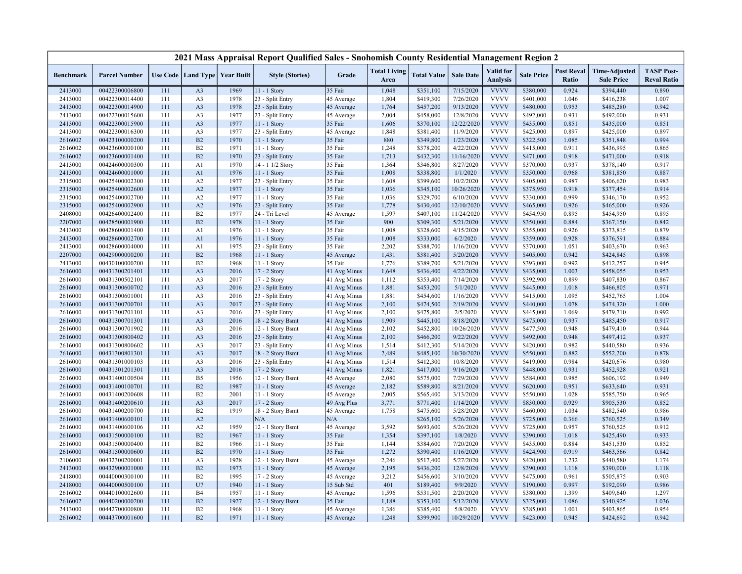|                  |                      |     |                                   |      | 2021 Mass Appraisal Report Qualified Sales - Snohomish County Residential Management Region 2 |              |                             |                    |                  |                                     |                   |                                   |                                           |                                         |
|------------------|----------------------|-----|-----------------------------------|------|-----------------------------------------------------------------------------------------------|--------------|-----------------------------|--------------------|------------------|-------------------------------------|-------------------|-----------------------------------|-------------------------------------------|-----------------------------------------|
| <b>Benchmark</b> | <b>Parcel Number</b> |     | Use Code   Land Type   Year Built |      | <b>Style (Stories)</b>                                                                        | Grade        | <b>Total Living</b><br>Area | <b>Total Value</b> | <b>Sale Date</b> | <b>Valid</b> for<br><b>Analysis</b> | <b>Sale Price</b> | <b>Post Reval</b><br><b>Ratio</b> | <b>Time-Adjusted</b><br><b>Sale Price</b> | <b>TASP Post-</b><br><b>Reval Ratio</b> |
| 2413000          | 00422300006800       | 111 | A <sub>3</sub>                    | 1969 | 11 - 1 Story                                                                                  | 35 Fair      | 1,048                       | \$351,100          | 7/15/2020        | <b>VVVV</b>                         | \$380,000         | 0.924                             | \$394,440                                 | 0.890                                   |
| 2413000          | 00422300014400       | 111 | A <sub>3</sub>                    | 1978 | 23 - Split Entry                                                                              | 45 Average   | 1,804                       | \$419,300          | 7/26/2020        | <b>VVVV</b>                         | \$401,000         | 1.046                             | \$416,238                                 | 1.007                                   |
| 2413000          | 00422300014900       | 111 | A <sub>3</sub>                    | 1978 | 23 - Split Entry                                                                              | 45 Average   | 1,764                       | \$457,200          | 9/13/2020        | <b>VVVV</b>                         | \$480,000         | 0.953                             | \$485,280                                 | 0.942                                   |
| 2413000          | 00422300015600       | 111 | A <sub>3</sub>                    | 1977 | 23 - Split Entry                                                                              | 45 Average   | 2,004                       | \$458,000          | 12/8/2020        | <b>VVVV</b>                         | \$492,000         | 0.931                             | \$492,000                                 | 0.931                                   |
| 2413000          | 00422300015900       | 111 | A <sub>3</sub>                    | 1977 | 11 - 1 Story                                                                                  | 35 Fair      | 1,606                       | \$370,100          | 12/22/2020       | <b>VVVV</b>                         | \$435,000         | 0.851                             | \$435,000                                 | 0.851                                   |
| 2413000          | 00422300016300       | 111 | A <sub>3</sub>                    | 1977 | 23 - Split Entry                                                                              | 45 Average   | 1,848                       | \$381,400          | 11/9/2020        | <b>VVVV</b>                         | \$425,000         | 0.897                             | \$425,000                                 | 0.897                                   |
| 2616002          | 00423100000200       | 111 | B2                                | 1970 | 11 - 1 Story                                                                                  | 35 Fair      | 880                         | \$349,800          | 1/23/2020        | <b>VVVV</b>                         | \$322,500         | 1.085                             | \$351,848                                 | 0.994                                   |
| 2616002          | 00423600000100       | 111 | B2                                | 1971 | $11 - 1$ Story                                                                                | 35 Fair      | 1,248                       | \$378,200          | 4/22/2020        | <b>VVVV</b>                         | \$415,000         | 0.911                             | \$436,995                                 | 0.865                                   |
| 2616002          | 00423600001400       | 111 | B2                                | 1970 | 23 - Split Entry                                                                              | 35 Fair      | 1,713                       | \$432,300          | 11/16/2020       | <b>VVVV</b>                         | \$471,000         | 0.918                             | \$471,000                                 | 0.918                                   |
| 2413000          | 00424600000300       | 111 | A1                                | 1970 | 14 - 1 1/2 Story                                                                              | 35 Fair      | 1,364                       | \$346,800          | 8/27/2020        | <b>VVVV</b>                         | \$370,000         | 0.937                             | \$378,140                                 | 0.917                                   |
| 2413000          | 00424600001000       | 111 | A1                                | 1976 | 11 - 1 Story                                                                                  | 35 Fair      | 1,008                       | \$338,800          | 1/1/2020         | <b>VVVV</b>                         | \$350,000         | 0.968                             | \$381,850                                 | 0.887                                   |
| 2315000          | 00425400002300       | 111 | A2                                | 1977 | 23 - Split Entry                                                                              | 35 Fair      | 1,608                       | \$399,600          | 10/2/2020        | <b>VVVV</b>                         | \$405,000         | 0.987                             | \$406,620                                 | 0.983                                   |
| 2315000          | 00425400002600       | 111 | A2                                | 1977 | 11 - 1 Story                                                                                  | 35 Fair      | 1,036                       | \$345,100          | 10/26/2020       | <b>VVVV</b>                         | \$375,950         | 0.918                             | \$377,454                                 | 0.914                                   |
| 2315000          | 00425400002700       | 111 | A2                                | 1977 | 11 - 1 Story                                                                                  | 35 Fair      | 1,036                       | \$329,700          | 6/10/2020        | <b>VVVV</b>                         | \$330,000         | 0.999                             | \$346,170                                 | 0.952                                   |
| 2315000          | 00425400002900       | 111 | A2                                | 1976 | 23 - Split Entry                                                                              | 35 Fair      | 1,778                       | \$430,400          | 12/10/2020       | <b>VVVV</b>                         | \$465,000         | 0.926                             | \$465,000                                 | 0.926                                   |
| 2408000          | 00426400002400       | 111 | B2                                | 1977 | 24 - Tri Level                                                                                | 45 Average   | 1,597                       | \$407,100          | 11/24/2020       | <b>VVVV</b>                         | \$454,950         | 0.895                             | \$454,950                                 | 0.895                                   |
| 2207000          | 00428500001900       | 111 | B2                                | 1978 | $11 - 1$ Story                                                                                | 35 Fair      | 900                         | \$309,300          | 5/21/2020        | <b>VVVV</b>                         | \$350,000         | 0.884                             | \$367,150                                 | 0.842                                   |
| 2413000          | 00428600001400       | 111 | A1                                | 1976 | 11 - 1 Story                                                                                  | 35 Fair      | 1,008                       | \$328,600          | 4/15/2020        | <b>VVVV</b>                         | \$355,000         | 0.926                             | \$373,815                                 | 0.879                                   |
| 2413000          | 00428600002700       | 111 | A1                                | 1976 | 11 - 1 Story                                                                                  | 35 Fair      | 1,008                       | \$333,000          | 6/2/2020         | <b>VVVV</b>                         | \$359,000         | 0.928                             | \$376,591                                 | 0.884                                   |
| 2413000          | 00428600004000       | 111 | A1                                | 1975 | 23 - Split Entry                                                                              | 35 Fair      | 2,202                       | \$388,700          | 1/16/2020        | <b>VVVV</b>                         | \$370,000         | 1.051                             | \$403,670                                 | 0.963                                   |
| 2207000          | 00429000000200       | 111 | B2                                | 1968 | 11 - 1 Story                                                                                  | 45 Average   | 1,431                       | \$381,400          | 5/20/2020        | <b>VVVV</b>                         | \$405,000         | 0.942                             | \$424,845                                 | 0.898                                   |
| 2413000          | 00430100000200       | 111 | B2                                | 1968 | 11 - 1 Story                                                                                  | 35 Fair      | 1,776                       | \$389,700          | 5/21/2020        | <b>VVVV</b>                         | \$393,000         | 0.992                             | \$412,257                                 | 0.945                                   |
| 2616000          | 00431300201401       | 111 | A <sub>3</sub>                    | 2016 | 17 - 2 Story                                                                                  | 41 Avg Minus | 1,648                       | \$436,400          | 4/22/2020        | <b>VVVV</b>                         | \$435,000         | 1.003                             | \$458,055                                 | 0.953                                   |
| 2616000          | 00431300502101       | 111 | A <sub>3</sub>                    | 2017 | 17 - 2 Story                                                                                  | 41 Avg Minus | 1,112                       | \$353,400          | 7/14/2020        | <b>VVVV</b>                         | \$392,900         | 0.899                             | \$407,830                                 | 0.867                                   |
| 2616000          | 00431300600702       | 111 | A <sub>3</sub>                    | 2016 | 23 - Split Entry                                                                              | 41 Avg Minus | 1,881                       | \$453,200          | 5/1/2020         | <b>VVVV</b>                         | \$445,000         | 1.018                             | \$466,805                                 | 0.971                                   |
| 2616000          | 00431300601001       | 111 | A <sub>3</sub>                    | 2016 | 23 - Split Entry                                                                              | 41 Avg Minus | 1,881                       | \$454,600          | 1/16/2020        | <b>VVVV</b>                         | \$415,000         | 1.095                             | \$452,765                                 | 1.004                                   |
| 2616000          | 00431300700701       | 111 | A <sub>3</sub>                    | 2017 | 23 - Split Entry                                                                              | 41 Avg Minus | 2,100                       | \$474,500          | 2/19/2020        | <b>VVVV</b>                         | \$440,000         | 1.078                             | \$474,320                                 | 1.000                                   |
| 2616000          | 00431300701101       | 111 | A <sub>3</sub>                    | 2016 | 23 - Split Entry                                                                              | 41 Avg Minus | 2,100                       | \$475,800          | 2/5/2020         | <b>VVVV</b>                         | \$445,000         | 1.069                             | \$479,710                                 | 0.992                                   |
| 2616000          | 00431300701301       | 111 | A <sub>3</sub>                    | 2016 | 18 - 2 Story Bsmt                                                                             | 41 Avg Minus | 1,909                       | \$445,100          | 8/18/2020        | <b>VVVV</b>                         | \$475,000         | 0.937                             | \$485,450                                 | 0.917                                   |
| 2616000          | 00431300701902       | 111 | A <sub>3</sub>                    | 2016 | 12 - 1 Story Bsmt                                                                             | 41 Avg Minus | 2,102                       | \$452,800          | 10/26/2020       | <b>VVVV</b>                         | \$477,500         | 0.948                             | \$479,410                                 | 0.944                                   |
| 2616000          | 00431300800402       | 111 | A <sub>3</sub>                    | 2016 | 23 - Split Entry                                                                              | 41 Avg Minus | 2,100                       | \$466,200          | 9/22/2020        | <b>VVVV</b>                         | \$492,000         | 0.948                             | \$497,412                                 | 0.937                                   |
| 2616000          | 00431300800602       | 111 | A <sub>3</sub>                    | 2017 | 23 - Split Entry                                                                              | 41 Avg Minus | 1,514                       | \$412,300          | 5/14/2020        | <b>VVVV</b>                         | \$420,000         | 0.982                             | \$440,580                                 | 0.936                                   |
| 2616000          | 00431300801301       | 111 | A <sub>3</sub>                    | 2017 | 18 - 2 Story Bsmt                                                                             | 41 Avg Minus | 2,489                       | \$485,100          | 10/30/2020       | <b>VVVV</b>                         | \$550,000         | 0.882                             | \$552,200                                 | 0.878                                   |
| 2616000          | 00431301000103       | 111 | A <sub>3</sub>                    | 2016 | 23 - Split Entry                                                                              | 41 Avg Minus | 1,514                       | \$412,300          | 10/8/2020        | <b>VVVV</b>                         | \$419,000         | 0.984                             | \$420,676                                 | 0.980                                   |
| 2616000          | 00431301201301       | 111 | A <sub>3</sub>                    | 2016 | 17 - 2 Story                                                                                  | 41 Avg Minus | 1,821                       | \$417,000          | 9/16/2020        | <b>VVVV</b>                         | \$448,000         | 0.931                             | \$452,928                                 | 0.921                                   |
| 2616000          | 00431400100504       | 111 | B <sub>5</sub>                    | 1956 | 12 - 1 Story Bsmt                                                                             | 45 Average   | 2,080                       | \$575,000          | 7/29/2020        | <b>VVVV</b>                         | \$584,000         | 0.985                             | \$606,192                                 | 0.949                                   |
| 2616000          | 00431400100701       | 111 | B2                                | 1987 | 11 - 1 Story                                                                                  | 45 Average   | 2,182                       | \$589,800          | 8/21/2020        | <b>VVVV</b>                         | \$620,000         | 0.951                             | \$633,640                                 | 0.931                                   |
| 2616000          | 00431400200608       | 111 | B2                                | 2001 | $11 - 1$ Story                                                                                | 45 Average   | 2,005                       | \$565,400          | 3/13/2020        | <b>VVVV</b>                         | \$550,000         | 1.028                             | \$585,750                                 | 0.965                                   |
| 2616000          | 00431400200610       | 111 | A <sub>3</sub>                    | 2017 | 17 - 2 Story                                                                                  | 49 Avg Plus  | 3,771                       | \$771,400          | 1/14/2020        | <b>VVVV</b>                         | \$830,000         | 0.929                             | \$905,530                                 | 0.852                                   |
| 2616000          | 00431400200700       | 111 | B2                                | 1919 | 18 - 2 Story Bsmt                                                                             | 45 Average   | 1,758                       | \$475,600          | 5/28/2020        | <b>VVVV</b>                         | \$460,000         | 1.034                             | \$482,540                                 | 0.986                                   |
| 2616000          | 00431400600101       | 111 | A2                                |      | N/A                                                                                           | N/A          |                             | \$265,100          | 5/26/2020        | <b>VVVV</b>                         | \$725,000         | 0.366                             | \$760,525                                 | 0.349                                   |
| 2616000          | 00431400600106       | 111 | A2                                | 1959 | 12 - 1 Story Bsmt                                                                             | 45 Average   | 3,592                       | \$693,600          | 5/26/2020        | <b>VVVV</b>                         | \$725,000         | 0.957                             | \$760,525                                 | 0.912                                   |
| 2616000          | 00431500000100       | 111 | B2                                | 1967 | 11 - 1 Story                                                                                  | 35 Fair      | 1,354                       | \$397,100          | 1/8/2020         | <b>VVVV</b>                         | \$390,000         | 1.018                             | \$425,490                                 | 0.933                                   |
| 2616000          | 00431500000400       | 111 | B2                                | 1966 | 11 - 1 Story                                                                                  | 35 Fair      | 1,144                       | \$384,600          | 7/20/2020        | <b>VVVV</b>                         | \$435,000         | 0.884                             | \$451,530                                 | 0.852                                   |
| 2616000          | 00431500000600       | 111 | B2                                | 1970 | $11 - 1$ Story                                                                                | 35 Fair      | 1,272                       | \$390,400          | 1/16/2020        | <b>VVVV</b>                         | \$424,900         | 0.919                             | \$463,566                                 | 0.842                                   |
| 2106000          | 00432300200001       | 111 | A <sub>3</sub>                    | 1928 | 12 - 1 Story Bsmt                                                                             | 45 Average   | 2,246                       | \$517,400          | 5/27/2020        | <b>VVVV</b>                         | \$420,000         | 1.232                             | \$440,580                                 | 1.174                                   |
| 2413000          | 00432900001000       | 111 | B2                                | 1973 | 11 - 1 Story                                                                                  | 45 Average   | 2,195                       | \$436,200          | 12/8/2020        | <b>VVVV</b>                         | \$390,000         | 1.118                             | \$390,000                                 | 1.118                                   |
| 2418000          | 00440000300100       | 111 | B2                                | 1995 | 17 - 2 Story                                                                                  | 45 Average   | 3,212                       | \$456,600          | 3/10/2020        | <b>VVVV</b>                         | \$475,000         | 0.961                             | \$505,875                                 | 0.903                                   |
| 2418000          | 00440000500100       | 111 | U7                                | 1940 | 11 - 1 Story                                                                                  | 15 Sub Std   | 401                         | \$189,400          | 9/9/2020         | <b>VVVV</b>                         | \$190,000         | 0.997                             | \$192,090                                 | 0.986                                   |
| 2616002          | 00440100002600       | 111 | <b>B4</b>                         | 1957 | 11 - 1 Story                                                                                  | 45 Average   | 1,596                       | \$531,500          | 2/20/2020        | <b>VVVV</b>                         | \$380,000         | 1.399                             | \$409,640                                 | 1.297                                   |
| 2616002          | 00440200000200       | 111 | B2                                | 1927 | 12 - 1 Story Bsmt                                                                             | 35 Fair      | 1,188                       | \$353,100          | 5/12/2020        | <b>VVVV</b>                         | \$325,000         | 1.086                             | \$340,925                                 | 1.036                                   |
| 2413000          | 00442700000800       | 111 | B2                                | 1968 | $11 - 1$ Story                                                                                | 45 Average   | 1,386                       | \$385,400          | 5/8/2020         | <b>VVVV</b>                         | \$385,000         | 1.001                             | \$403,865                                 | 0.954                                   |
| 2616002          | 00443700001600       | 111 | B2                                | 1971 | 11 - 1 Story                                                                                  | 45 Average   | 1,248                       | \$399,900          | 10/29/2020       | <b>VVVV</b>                         | \$423,000         | 0.945                             | \$424,692                                 | 0.942                                   |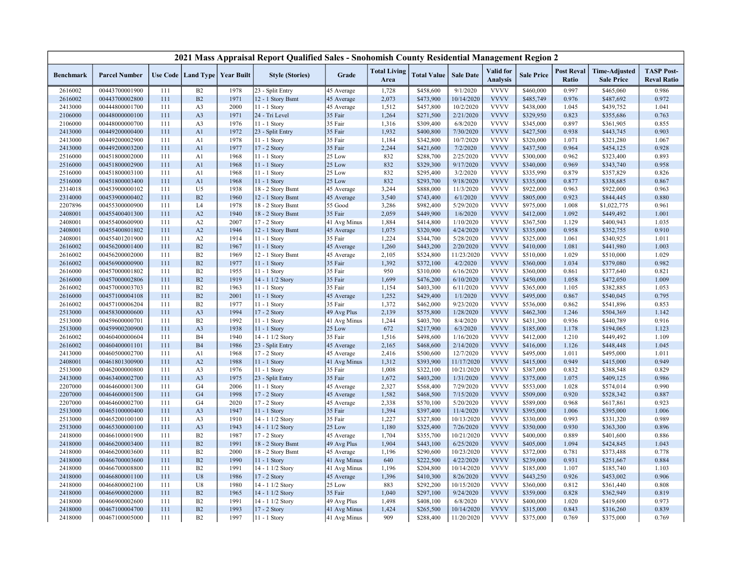|                  |                      |     |                                   |      | 2021 Mass Appraisal Report Qualified Sales - Snohomish County Residential Management Region 2 |              |                             |                    |                  |                                     |                   |                            |                                           |                                         |
|------------------|----------------------|-----|-----------------------------------|------|-----------------------------------------------------------------------------------------------|--------------|-----------------------------|--------------------|------------------|-------------------------------------|-------------------|----------------------------|-------------------------------------------|-----------------------------------------|
| <b>Benchmark</b> | <b>Parcel Number</b> |     | Use Code   Land Type   Year Built |      | <b>Style (Stories)</b>                                                                        | Grade        | <b>Total Living</b><br>Area | <b>Total Value</b> | <b>Sale Date</b> | <b>Valid</b> for<br><b>Analysis</b> | <b>Sale Price</b> | <b>Post Reval</b><br>Ratio | <b>Time-Adjusted</b><br><b>Sale Price</b> | <b>TASP Post-</b><br><b>Reval Ratio</b> |
| 2616002          | 00443700001900       | 111 | B2                                | 1978 | 23 - Split Entry                                                                              | 45 Average   | 1,728                       | \$458,600          | 9/1/2020         | <b>VVVV</b>                         | \$460,000         | 0.997                      | \$465,060                                 | 0.986                                   |
| 2616002          | 00443700002800       | 111 | B2                                | 1971 | 12 - 1 Story Bsmt                                                                             | 45 Average   | 2,073                       | \$473,900          | 10/14/2020       | <b>VVVV</b>                         | \$485,749         | 0.976                      | \$487,692                                 | 0.972                                   |
| 2413000          | 00444800001700       | 111 | A <sub>3</sub>                    | 2000 | $11 - 1$ Story                                                                                | 45 Average   | 1,512                       | \$457,800          | 10/2/2020        | <b>VVVV</b>                         | \$438,000         | 1.045                      | \$439,752                                 | 1.041                                   |
| 2106000          | 00448000000100       | 111 | A <sub>3</sub>                    | 1971 | 24 - Tri Level                                                                                | 35 Fair      | 1,264                       | \$271,500          | 2/21/2020        | <b>VVVV</b>                         | \$329,950         | 0.823                      | \$355,686                                 | 0.763                                   |
| 2106000          | 00448000000700       | 111 | A <sub>3</sub>                    | 1976 | 11 - 1 Story                                                                                  | 35 Fair      | 1,316                       | \$309,400          | 6/8/2020         | <b>VVVV</b>                         | \$345,000         | 0.897                      | \$361,905                                 | 0.855                                   |
| 2413000          | 00449200000400       | 111 | A1                                | 1972 | 23 - Split Entry                                                                              | 35 Fair      | 1,932                       | \$400,800          | 7/30/2020        | <b>VVVV</b>                         | \$427,500         | 0.938                      | \$443,745                                 | 0.903                                   |
| 2413000          | 00449200002900       | 111 | A1                                | 1978 | 11 - 1 Story                                                                                  | 35 Fair      | 1,184                       | \$342,800          | 10/7/2020        | <b>VVVV</b>                         | \$320,000         | 1.071                      | \$321,280                                 | 1.067                                   |
| 2413000          | 00449200003200       | 111 | A1                                | 1977 | 17 - 2 Story                                                                                  | 35 Fair      | 2,244                       | \$421,600          | 7/2/2020         | <b>VVVV</b>                         | \$437,500         | 0.964                      | \$454,125                                 | 0.928                                   |
| 2516000          | 00451800002000       | 111 | A1                                | 1968 | 11 - 1 Story                                                                                  | 25 Low       | 832                         | \$288,700          | 2/25/2020        | <b>VVVV</b>                         | \$300,000         | 0.962                      | \$323,400                                 | 0.893                                   |
| 2516000          | 00451800002900       | 111 | A1                                | 1968 | $11 - 1$ Story                                                                                | 25 Low       | 832                         | \$329,300          | 9/17/2020        | <b>VVVV</b>                         | \$340,000         | 0.969                      | \$343,740                                 | 0.958                                   |
| 2516000          | 00451800003100       | 111 | A1                                | 1968 | 11 - 1 Story                                                                                  | 25 Low       | 832                         | \$295,400          | 3/2/2020         | <b>VVVV</b>                         | \$335,990         | 0.879                      | \$357,829                                 | 0.826                                   |
| 2516000          | 00451800003400       | 111 | A1                                | 1968 | $11 - 1$ Story                                                                                | 25 Low       | 832                         | \$293,700          | 9/18/2020        | <b>VVVV</b>                         | \$335,000         | 0.877                      | \$338,685                                 | 0.867                                   |
| 2314018          | 00453900000102       | 111 | U <sub>5</sub>                    | 1938 | 18 - 2 Story Bsmt                                                                             | 45 Average   | 3,244                       | \$888,000          | 11/3/2020        | <b>VVVV</b>                         | \$922,000         | 0.963                      | \$922,000                                 | 0.963                                   |
| 2314000          | 00453900000402       | 111 | B2                                | 1960 | 12 - 1 Story Bsmt                                                                             | 45 Average   | 3,540                       | \$743,400          | 6/1/2020         | <b>VVVV</b>                         | \$805,000         | 0.923                      | \$844,445                                 | 0.880                                   |
| 2207896          | 00455300000900       | 111 | L <sub>4</sub>                    | 1978 | 18 - 2 Story Bsmt                                                                             | 55 Good      | 3,286                       | \$982,400          | 5/29/2020        | <b>VVVV</b>                         | \$975,000         | 1.008                      | \$1,022,775                               | 0.961                                   |
| 2408001          | 00455400401300       | 111 | A2                                | 1940 | 18 - 2 Story Bsmt                                                                             | 35 Fair      | 2,059                       | \$449,900          | 1/6/2020         | <b>VVVV</b>                         | \$412,000         | 1.092                      | \$449,492                                 | 1.001                                   |
| 2408001          | 00455400600900       | 111 | A2                                | 2007 | 17 - 2 Story                                                                                  | 41 Avg Minus | 1,884                       | \$414,800          | 1/10/2020        | <b>VVVV</b>                         | \$367,500         | 1.129                      | \$400,943                                 | 1.035                                   |
| 2408001          | 00455400801802       | 111 | A2                                | 1946 | 12 - 1 Story Bsmt                                                                             | 45 Average   | 1,075                       | \$320,900          | 4/24/2020        | <b>VVVV</b>                         | \$335,000         | 0.958                      | \$352,755                                 | 0.910                                   |
| 2408001          | 00455401201900       | 111 | A2                                | 1914 | 11 - 1 Story                                                                                  | 35 Fair      | 1,224                       | \$344,700          | 5/28/2020        | <b>VVVV</b>                         | \$325,000         | 1.061                      | \$340,925                                 | 1.011                                   |
| 2616002          | 00456200001400       | 111 | B2                                | 1967 | 11 - 1 Story                                                                                  | 45 Average   | 1,260                       | \$443,200          | 2/20/2020        | <b>VVVV</b>                         | \$410,000         | 1.081                      | \$441,980                                 | 1.003                                   |
| 2616002          | 00456200002000       | 111 | B2                                | 1969 | 12 - 1 Story Bsmt                                                                             | 45 Average   | 2,105                       | \$524,800          | 11/23/2020       | <b>VVVV</b>                         | \$510,000         | 1.029                      | \$510,000                                 | 1.029                                   |
| 2616002          | 00456900000900       | 111 | B2                                | 1977 | 11 - 1 Story                                                                                  | 35 Fair      | 1,392                       | \$372,100          | 4/2/2020         | <b>VVVV</b>                         | \$360,000         | 1.034                      | \$379,080                                 | 0.982                                   |
| 2616000          | 00457000001802       | 111 | B2                                | 1955 | $11 - 1$ Story                                                                                | 35 Fair      | 950                         | \$310,000          | 6/16/2020        | <b>VVVV</b>                         | \$360,000         | 0.861                      | \$377,640                                 | 0.821                                   |
| 2616000          | 00457000002806       | 111 | B2                                | 1919 | 14 - 1 1/2 Story                                                                              | 35 Fair      | 1,699                       | \$476,200          | 6/10/2020        | <b>VVVV</b>                         | \$450,000         | 1.058                      | \$472,050                                 | 1.009                                   |
| 2616002          | 00457000003703       | 111 | B2                                | 1963 | 11 - 1 Story                                                                                  | 35 Fair      | 1,154                       | \$403,300          | 6/11/2020        | <b>VVVV</b>                         | \$365,000         | 1.105                      | \$382,885                                 | 1.053                                   |
| 2616000          | 00457100004108       | 111 | B2                                | 2001 | 11 - 1 Story                                                                                  | 45 Average   | 1,252                       | \$429,400          | 1/1/2020         | <b>VVVV</b>                         | \$495,000         | 0.867                      | \$540,045                                 | 0.795                                   |
| 2616002          | 00457100006204       | 111 | B2                                | 1977 | 11 - 1 Story                                                                                  | 35 Fair      | 1,372                       | \$462,000          | 9/23/2020        | <b>VVVV</b>                         | \$536,000         | 0.862                      | \$541,896                                 | 0.853                                   |
| 2513000          | 00458300000600       | 111 | A <sub>3</sub>                    | 1994 | 17 - 2 Story                                                                                  | 49 Avg Plus  | 2,139                       | \$575,800          | 1/28/2020        | <b>VVVV</b>                         | \$462,300         | 1.246                      | \$504,369                                 | 1.142                                   |
| 2513000          | 00459600000701       | 111 | <b>B2</b>                         | 1992 | 11 - 1 Story                                                                                  | 41 Avg Minus | 1,244                       | \$403,700          | 8/4/2020         | <b>VVVV</b>                         | \$431,300         | 0.936                      | \$440,789                                 | 0.916                                   |
| 2513000          | 00459900200900       | 111 | A <sub>3</sub>                    | 1938 | $11 - 1$ Story                                                                                | 25 Low       | 672                         | \$217,900          | 6/3/2020         | <b>VVVV</b>                         | \$185,000         | 1.178                      | \$194,065                                 | 1.123                                   |
| 2616002          | 00460400000604       | 111 | <b>B4</b>                         | 1940 | 14 - 1 1/2 Story                                                                              | 35 Fair      | 1,516                       | \$498,600          | 1/16/2020        | <b>VVVV</b>                         | \$412,000         | 1.210                      | \$449,492                                 | 1.109                                   |
| 2616002          | 00460400001101       | 111 | <b>B4</b>                         | 1986 | 23 - Split Entry                                                                              | 45 Average   | 2,165                       | \$468,600          | 2/14/2020        | <b>VVVV</b>                         | \$416,000         | 1.126                      | \$448,448                                 | 1.045                                   |
| 2413000          | 00460500002700       | 111 | A1                                | 1968 | 17 - 2 Story                                                                                  | 45 Average   | 2,416                       | \$500,600          | 12/7/2020        | <b>VVVV</b>                         | \$495,000         | 1.011                      | \$495,000                                 | 1.011                                   |
| 2408001          | 00461801300900       | 111 | A2                                | 1988 | 11 - 1 Story                                                                                  | 41 Avg Minus | 1,312                       | \$393,900          | 11/17/2020       | <b>VVVV</b>                         | \$415,000         | 0.949                      | \$415,000                                 | 0.949                                   |
| 2513000          | 00462000000800       | 111 | A <sub>3</sub>                    | 1976 | 11 - 1 Story                                                                                  | 35 Fair      | 1,008                       | \$322,100          | 10/21/2020       | <b>VVVV</b>                         | \$387,000         | 0.832                      | \$388,548                                 | 0.829                                   |
| 2413000          | 00463400002700       | 111 | A <sub>3</sub>                    | 1975 | 23 - Split Entry                                                                              | 35 Fair      | 1,672                       | \$403,200          | 1/31/2020        | <b>VVVV</b>                         | \$375,000         | 1.075                      | \$409,125                                 | 0.986                                   |
| 2207000          | 00464600001300       | 111 | G <sub>4</sub>                    | 2006 | 11 - 1 Story                                                                                  | 45 Average   | 2,327                       | \$568,400          | 7/29/2020        | <b>VVVV</b>                         | \$553,000         | 1.028                      | \$574,014                                 | 0.990                                   |
| 2207000          | 00464600001500       | 111 | G <sub>4</sub>                    | 1998 | 17 - 2 Story                                                                                  | 45 Average   | 1,582                       | \$468,500          | 7/15/2020        | <b>VVVV</b>                         | \$509,000         | 0.920                      | \$528,342                                 | 0.887                                   |
| 2207000          | 00464600002700       | 111 | G4                                | 2020 | $17 - 2$ Story                                                                                | 45 Average   | 2,338                       | \$570,100          | 5/20/2020        | <b>VVVV</b>                         | \$589,000         | 0.968                      | \$617,861                                 | 0.923                                   |
| 2513000          | 00465100000400       | 111 | A <sub>3</sub>                    | 1947 | 11 - 1 Story                                                                                  | 35 Fair      | 1,394                       | \$397,400          | 11/4/2020        | <b>VVVV</b>                         | \$395,000         | 1.006                      | \$395,000                                 | 1.006                                   |
| 2513000          | 00465200100100       | 111 | A <sub>3</sub>                    | 1910 | 14 - 1 1/2 Story                                                                              | 35 Fair      | 1,227                       | \$327,800          | 10/13/2020       | <b>VVVV</b>                         | \$330,000         | 0.993                      | \$331,320                                 | 0.989                                   |
| 2513000          | 00465300000100       | 111 | A <sub>3</sub>                    | 1943 | 14 - 1 1/2 Story                                                                              | 25 Low       | 1,180                       | \$325,400          | 7/26/2020        | <b>VVVV</b>                         | \$350,000         | 0.930                      | \$363,300                                 | 0.896                                   |
| 2418000          | 00466100001900       | 111 | B2                                | 1987 | 17 - 2 Story                                                                                  | 45 Average   | 1,704                       | \$355,700          | 10/21/2020       | <b>VVVV</b>                         | \$400,000         | 0.889                      | \$401,600                                 | 0.886                                   |
| 2418000          | 00466200003400       | 111 | B2                                | 1991 | 18 - 2 Story Bsmt                                                                             | 49 Avg Plus  | 1,904                       | \$443,100          | 6/25/2020        | <b>VVVV</b>                         | \$405,000         | 1.094                      | \$424,845                                 | 1.043                                   |
| 2418000          | 00466200003600       | 111 | B2                                | 2000 | 18 - 2 Story Bsmt                                                                             | 45 Average   | 1,196                       | \$290,600          | 10/23/2020       | <b>VVVV</b>                         | \$372,000         | 0.781                      | \$373,488                                 | 0.778                                   |
| 2418000          | 00466700003600       | 111 | B2                                | 1990 | 11 - 1 Story                                                                                  | 41 Avg Minus | 640                         | \$222,500          | 4/22/2020        | <b>VVVV</b>                         | \$239,000         | 0.931                      | \$251,667                                 | 0.884                                   |
| 2418000          | 00466700008800       | 111 | B2                                | 1991 | 14 - 1 1/2 Story                                                                              | 41 Avg Minus | 1,196                       | \$204,800          | 10/14/2020       | <b>VVVV</b>                         | \$185,000         | 1.107                      | \$185,740                                 | 1.103                                   |
| 2418000          | 00466800001100       | 111 | U8                                | 1986 | 17 - 2 Story                                                                                  | 45 Average   | 1,396                       | \$410,300          | 8/26/2020        | <b>VVVV</b>                         | \$443,250         | 0.926                      | \$453,002                                 | 0.906                                   |
| 2418000          | 00466800002100       | 111 | U8                                | 1980 | 14 - 1 1/2 Story                                                                              | 25 Low       | 883                         | \$292,200          | 10/15/2020       | <b>VVVV</b>                         | \$360,000         | 0.812                      | \$361,440                                 | 0.808                                   |
| 2418000          | 00466900002000       | 111 | B2                                | 1965 | 14 - 1 1/2 Story                                                                              | 35 Fair      | 1,040                       | \$297,100          | 9/24/2020        | <b>VVVV</b>                         | \$359,000         | 0.828                      | \$362,949                                 | 0.819                                   |
| 2418000          | 00466900002600       | 111 | B2                                | 1991 | 14 - 1 1/2 Story                                                                              | 49 Avg Plus  | 1,498                       | \$408,100          | 6/8/2020         | <b>VVVV</b>                         | \$400,000         | 1.020                      | \$419,600                                 | 0.973                                   |
| 2418000          | 00467100004700       | 111 | B2                                | 1993 | 17 - 2 Story                                                                                  | 41 Avg Minus | 1,424                       | \$265,500          | 10/14/2020       | <b>VVVV</b>                         | \$315,000         | 0.843                      | \$316,260                                 | 0.839                                   |
| 2418000          | 00467100005000       | 111 | B <sub>2</sub>                    | 1997 | 11 - 1 Story                                                                                  |              | 909                         | \$288,400          | 11/20/2020       | <b>VVVV</b>                         | \$375,000         | 0.769                      | \$375,000                                 | 0.769                                   |
|                  |                      |     |                                   |      |                                                                                               | 41 Avg Minus |                             |                    |                  |                                     |                   |                            |                                           |                                         |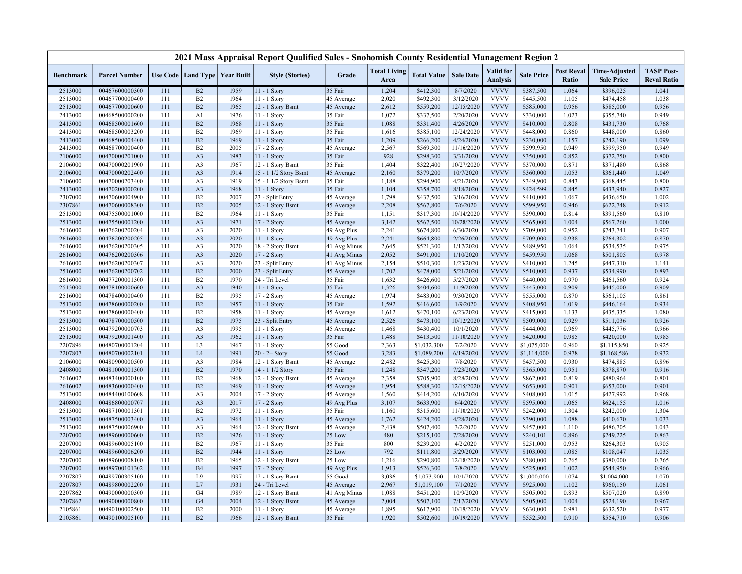|                  |                      |     |                                   |      | 2021 Mass Appraisal Report Qualified Sales - Snohomish County Residential Management Region 2 |              |                             |                    |                  |                              |                   |                            |                                           |                                         |
|------------------|----------------------|-----|-----------------------------------|------|-----------------------------------------------------------------------------------------------|--------------|-----------------------------|--------------------|------------------|------------------------------|-------------------|----------------------------|-------------------------------------------|-----------------------------------------|
| <b>Benchmark</b> | <b>Parcel Number</b> |     | Use Code   Land Type   Year Built |      | <b>Style (Stories)</b>                                                                        | Grade        | <b>Total Living</b><br>Area | <b>Total Value</b> | <b>Sale Date</b> | Valid for<br><b>Analysis</b> | <b>Sale Price</b> | <b>Post Reval</b><br>Ratio | <b>Time-Adjusted</b><br><b>Sale Price</b> | <b>TASP Post-</b><br><b>Reval Ratio</b> |
| 2513000          | 00467600000300       | 111 | B2                                | 1959 | 11 - 1 Story                                                                                  | 35 Fair      | 1,204                       | \$412,300          | 8/7/2020         | <b>VVVV</b>                  | \$387,500         | 1.064                      | \$396,025                                 | 1.041                                   |
| 2513000          | 00467700000400       | 111 | B2                                | 1964 | 11 - 1 Story                                                                                  | 45 Average   | 2,020                       | \$492,300          | 3/12/2020        | <b>VVVV</b>                  | \$445,500         | 1.105                      | \$474,458                                 | 1.038                                   |
| 2513000          | 00467700000600       | 111 | B <sub>2</sub>                    | 1965 | 12 - 1 Story Bsmt                                                                             | 45 Average   | 2,612                       | \$559,200          | 12/15/2020       | <b>VVVV</b>                  | \$585,000         | 0.956                      | \$585,000                                 | 0.956                                   |
| 2413000          | 00468500000200       | 111 | A1                                | 1976 | 11 - 1 Story                                                                                  | 35 Fair      | 1,072                       | \$337,500          | 2/20/2020        | <b>VVVV</b>                  | \$330,000         | 1.023                      | \$355,740                                 | 0.949                                   |
| 2413000          | 00468500001600       | 111 | B2                                | 1968 | 11 - 1 Story                                                                                  | 35 Fair      | 1,088                       | \$331,400          | 4/26/2020        | <b>VVVV</b>                  | \$410,000         | 0.808                      | \$431,730                                 | 0.768                                   |
| 2413000          | 00468500003200       | 111 | B <sub>2</sub>                    | 1969 | $11 - 1$ Story                                                                                | 35 Fair      | 1,616                       | \$385,100          | 12/24/2020       | <b>VVVV</b>                  | \$448,000         | 0.860                      | \$448,000                                 | 0.860                                   |
| 2413000          | 00468500004400       | 111 | B2                                | 1969 | 11 - 1 Story                                                                                  | 35 Fair      | 1,209                       | \$266,200          | 4/24/2020        | <b>VVVV</b>                  | \$230,000         | 1.157                      | \$242,190                                 | 1.099                                   |
| 2413000          | 00468700000400       | 111 | B2                                | 2005 | 17 - 2 Story                                                                                  | 45 Average   | 2,567                       | \$569,300          | 11/16/2020       | <b>VVVV</b>                  | \$599,950         | 0.949                      | \$599,950                                 | 0.949                                   |
| 2106000          | 00470000201000       | 111 | A <sub>3</sub>                    | 1983 | 11 - 1 Story                                                                                  | 35 Fair      | 928                         | \$298,300          | 3/31/2020        | <b>VVVV</b>                  | \$350,000         | 0.852                      | \$372,750                                 | 0.800                                   |
| 2106000          | 00470000201900       | 111 | A <sub>3</sub>                    | 1967 | 12 - 1 Story Bsmt                                                                             | 35 Fair      | 1,404                       | \$322,400          | 10/27/2020       | <b>VVVV</b>                  | \$370,000         | 0.871                      | \$371,480                                 | 0.868                                   |
| 2106000          | 00470000202400       | 111 | A <sub>3</sub>                    | 1914 | 15 - 1 1/2 Story Bsmt                                                                         | 45 Average   | 2,160                       | \$379,200          | 10/7/2020        | <b>VVVV</b>                  | \$360,000         | 1.053                      | \$361,440                                 | 1.049                                   |
| 2106000          | 00470000203400       | 111 | A <sub>3</sub>                    | 1919 | 15 - 1 1/2 Story Bsmt                                                                         | 35 Fair      | 1,188                       | \$294,900          | 4/21/2020        | <b>VVVV</b>                  | \$349,900         | 0.843                      | \$368,445                                 | 0.800                                   |
| 2413000          | 00470200000200       | 111 | A <sub>3</sub>                    | 1968 | $11 - 1$ Story                                                                                | 35 Fair      | 1,104                       | \$358,700          | 8/18/2020        | <b>VVVV</b>                  | \$424,599         | 0.845                      | \$433,940                                 | 0.827                                   |
| 2307000          | 00470600004900       | 111 | B2                                | 2007 | 23 - Split Entry                                                                              | 45 Average   | 1,798                       | \$437,500          | 3/16/2020        | <b>VVVV</b>                  | \$410,000         | 1.067                      | \$436,650                                 | 1.002                                   |
| 2307861          | 00470600008300       | 111 | B2                                | 2005 | 12 - 1 Story Bsmt                                                                             | 45 Average   | 2,208                       | \$567,800          | 7/6/2020         | <b>VVVV</b>                  | \$599,950         | 0.946                      | \$622,748                                 | 0.912                                   |
| 2513000          | 00475500001000       | 111 | B2                                | 1964 | 11 - 1 Story                                                                                  | 35 Fair      | 1,151                       | \$317,300          | 10/14/2020       | <b>VVVV</b>                  | \$390,000         | 0.814                      | \$391,560                                 | 0.810                                   |
| 2513000          | 00475500001200       | 111 | A <sub>3</sub>                    | 1971 | 17 - 2 Story                                                                                  | 45 Average   | 3,142                       | \$567,500          | 10/28/2020       | <b>VVVV</b>                  | \$565,000         | 1.004                      | \$567,260                                 | 1.000                                   |
| 2616000          | 00476200200204       | 111 | A <sub>3</sub>                    | 2020 | 11 - 1 Story                                                                                  | 49 Avg Plus  | 2,241                       | \$674,800          | 6/30/2020        | <b>VVVV</b>                  | \$709,000         | 0.952                      | \$743,741                                 | 0.907                                   |
| 2616000          | 00476200200205       | 111 | A <sub>3</sub>                    | 2020 | 11 - 1 Story                                                                                  | 49 Avg Plus  | 2,241                       | \$664,800          | 2/26/2020        | <b>VVVV</b>                  | \$709,000         | 0.938                      | \$764,302                                 | 0.870                                   |
| 2616000          | 00476200200305       | 111 | A <sub>3</sub>                    | 2020 | 18 - 2 Story Bsmt                                                                             | 41 Avg Minus | 2,645                       | \$521,300          | 1/17/2020        | <b>VVVV</b>                  | \$489,950         | 1.064                      | \$534,535                                 | 0.975                                   |
| 2616000          | 00476200200306       | 111 | A <sub>3</sub>                    | 2020 | 17 - 2 Story                                                                                  | 41 Avg Minus | 2,052                       | \$491,000          | 1/10/2020        | <b>VVVV</b>                  | \$459,950         | 1.068                      | \$501,805                                 | 0.978                                   |
| 2616000          | 00476200200307       | 111 | A <sub>3</sub>                    | 2020 | 23 - Split Entry                                                                              | 41 Avg Minus | 2,154                       | \$510,300          | 1/23/2020        | <b>VVVV</b>                  | \$410,000         | 1.245                      | \$447,310                                 | 1.141                                   |
| 2516000          | 00476200200702       | 111 | B2                                | 2000 | 23 - Split Entry                                                                              | 45 Average   | 1,702                       | \$478,000          | 5/21/2020        | <b>VVVV</b>                  | \$510,000         | 0.937                      | \$534,990                                 | 0.893                                   |
| 2616000          | 00477200001300       | 111 | B2                                | 1970 | 24 - Tri Level                                                                                | 35 Fair      | 1,632                       | \$426,600          | 5/27/2020        | <b>VVVV</b>                  | \$440,000         | 0.970                      | \$461,560                                 | 0.924                                   |
| 2513000          | 00478100000600       | 111 | A <sub>3</sub>                    | 1940 | 11 - 1 Story                                                                                  | 35 Fair      | 1,326                       | \$404,600          | 11/9/2020        | <b>VVVV</b>                  | \$445,000         | 0.909                      | \$445,000                                 | 0.909                                   |
| 2516000          | 00478400000400       | 111 | B2                                | 1995 | 17 - 2 Story                                                                                  | 45 Average   | 1,974                       | \$483,000          | 9/30/2020        | <b>VVVV</b>                  | \$555,000         | 0.870                      | \$561,105                                 | 0.861                                   |
| 2513000          | 00478600000200       | 111 | B2                                | 1957 | 11 - 1 Story                                                                                  | 35 Fair      | 1,592                       | \$416,600          | 1/9/2020         | <b>VVVV</b>                  | \$408,950         | 1.019                      | \$446,164                                 | 0.934                                   |
| 2513000          | 00478600000400       | 111 | B2                                | 1958 | $11 - 1$ Story                                                                                | 45 Average   | 1,612                       | \$470,100          | 6/23/2020        | <b>VVVV</b>                  | \$415,000         | 1.133                      | \$435,335                                 | 1.080                                   |
| 2513000          | 00478700000500       | 111 | B2                                | 1975 | 23 - Split Entry                                                                              | 45 Average   | 2,526                       | \$473,100          | 10/12/2020       | <b>VVVV</b>                  | \$509,000         | 0.929                      | \$511,036                                 | 0.926                                   |
| 2513000          | 00479200000703       | 111 | A <sub>3</sub>                    | 1995 | 11 - 1 Story                                                                                  | 45 Average   | 1,468                       | \$430,400          | 10/1/2020        | <b>VVVV</b>                  | \$444,000         | 0.969                      | \$445,776                                 | 0.966                                   |
| 2513000          | 00479200001400       | 111 | A <sub>3</sub>                    | 1962 | 11 - 1 Story                                                                                  | 35 Fair      | 1,488                       | \$413,500          | 11/10/2020       | <b>VVVV</b>                  | \$420,000         | 0.985                      | \$420,000                                 | 0.985                                   |
| 2207896          | 00480700001204       | 111 | L <sub>3</sub>                    | 1967 | 11 - 1 Story                                                                                  | 55 Good      | 2,363                       | \$1,032,300        | 7/2/2020         | <b>VVVV</b>                  | \$1,075,000       | 0.960                      | \$1,115,850                               | 0.925                                   |
| 2207807          | 00480700002101       | 111 | L4                                | 1991 | $20 - 2 +$ Story                                                                              | 55 Good      | 3,283                       | \$1,089,200        | 6/19/2020        | <b>VVVV</b>                  | \$1,114,000       | 0.978                      | \$1,168,586                               | 0.932                                   |
| 2106000          | 00480900000500       | 111 | A <sub>3</sub>                    | 1984 | 12 - 1 Story Bsmt                                                                             | 45 Average   | 2,482                       | \$425,300          | 7/8/2020         | <b>VVVV</b>                  | \$457,500         | 0.930                      | \$474,885                                 | 0.896                                   |
| 2408000          | 00481000001300       | 111 | B2                                | 1970 | 14 - 1 1/2 Story                                                                              | 35 Fair      | 1,248                       | \$347,200          | 7/23/2020        | <b>VVVV</b>                  | \$365,000         | 0.951                      | \$378,870                                 | 0.916                                   |
| 2616002          | 00483400000100       | 111 | B2                                | 1968 | 12 - 1 Story Bsmt                                                                             | 45 Average   | 2,358                       | \$705,900          | 8/28/2020        | <b>VVVV</b>                  | \$862,000         | 0.819                      | \$880,964                                 | 0.801                                   |
| 2616002          | 00483600000400       | 111 | B2                                | 1969 | 11 - 1 Story                                                                                  | 45 Average   | 1,954                       | \$588,300          | 12/15/2020       | <b>VVVV</b>                  | \$653,000         | 0.901                      | \$653,000                                 | 0.901                                   |
| 2513000          | 00484400100608       | 111 | A <sub>3</sub>                    | 2004 | 17 - 2 Story                                                                                  | 45 Average   | 1,560                       | \$414,200          | 6/10/2020        | <b>VVVV</b>                  | \$408,000         | 1.015                      | \$427,992                                 | 0.968                                   |
| 2408000          | 00486800000707       | 111 | A <sub>3</sub>                    | 2017 | 17 - 2 Story                                                                                  | 49 Avg Plus  | 3,107                       | \$633,900          | 6/4/2020         | <b>VVVV</b>                  | \$595,000         | 1.065                      | \$624,155                                 | 1.016                                   |
| 2513000          | 00487100001301       | 111 | B2                                | 1972 | $11 - 1$ Story                                                                                | 35 Fair      | 1,160                       | \$315,600          | 11/10/2020       | <b>VVVV</b>                  | \$242,000         | 1.304                      | \$242,000                                 | 1.304                                   |
| 2513000          | 00487500003400       | 111 | A <sub>3</sub>                    | 1964 | 11 - 1 Story                                                                                  | 45 Average   | 1,762                       | \$424,200          | 4/28/2020        | <b>VVVV</b>                  | \$390,000         | 1.088                      | \$410,670                                 | 1.033                                   |
| 2513000          | 00487500006900       | 111 | A <sub>3</sub>                    | 1964 | 12 - 1 Story Bsmt                                                                             | 45 Average   | 2,438                       | \$507,400          | 3/2/2020         | <b>VVVV</b>                  | \$457,000         | 1.110                      | \$486,705                                 | 1.043                                   |
| 2207000          | 00489600000600       | 111 | B2                                | 1926 | 11 - 1 Story                                                                                  | 25 Low       | 480                         | \$215,100          | 7/28/2020        | <b>VVVV</b>                  | \$240,101         | 0.896                      | \$249,225                                 | 0.863                                   |
| 2207000          | 00489600005100       | 111 | B2                                | 1967 | 11 - 1 Story                                                                                  | 35 Fair      | 800                         | \$239,200          | 4/2/2020         | <b>VVVV</b>                  | \$251,000         | 0.953                      | \$264,303                                 | 0.905                                   |
| 2207000          | 00489600006200       | 111 | B2                                | 1944 | $11 - 1$ Story                                                                                | 25 Low       | 792                         | \$111,800          | 5/29/2020        | <b>VVVV</b>                  | \$103,000         | 1.085                      | \$108,047                                 | 1.035                                   |
| 2207000          | 00489600008100       | 111 | B2                                | 1965 | 12 - 1 Story Bsmt                                                                             | 25 Low       | 1,216                       | \$290,800          | 12/18/2020       | <b>VVVV</b>                  | \$380,000         | 0.765                      | \$380,000                                 | 0.765                                   |
| 2207000          | 00489700101302       | 111 | <b>B4</b>                         | 1997 | 17 - 2 Story                                                                                  | 49 Avg Plus  | 1,913                       | \$526,300          | 7/8/2020         | <b>VVVV</b>                  | \$525,000         | 1.002                      | \$544,950                                 | 0.966                                   |
| 2207807          | 00489700305100       | 111 | L9                                | 1997 | 12 - 1 Story Bsmt                                                                             | 55 Good      | 3,036                       | \$1,073,900        | 10/1/2020        | <b>VVVV</b>                  | \$1,000,000       | 1.074                      | \$1,004,000                               | 1.070                                   |
| 2207807          | 00489800002200       | 111 | L7                                | 1931 | 24 - Tri Level                                                                                | 45 Average   | 2,967                       | \$1,019,100        | 7/1/2020         | <b>VVVV</b>                  | \$925,000         | 1.102                      | \$960,150                                 | 1.061                                   |
| 2207862          | 00490000000300       | 111 | G <sub>4</sub>                    | 1989 | 12 - 1 Story Bsmt                                                                             | 41 Avg Minus | 1,088                       | \$451,200          | 10/9/2020        | <b>VVVV</b>                  | \$505,000         | 0.893                      | \$507,020                                 | 0.890                                   |
| 2207862          | 00490000000800       | 111 | G <sub>4</sub>                    | 2004 | 12 - 1 Story Bsmt                                                                             | 45 Average   | 2,004                       | \$507,100          | 7/17/2020        | <b>VVVV</b>                  | \$505,000         | 1.004                      | \$524,190                                 | 0.967                                   |
| 2105861          | 00490100002500       | 111 | B2                                | 2000 | $11 - 1$ Story                                                                                | 45 Average   | 1,895                       | \$617,900          | 10/19/2020       | <b>VVVV</b>                  | \$630,000         | 0.981                      | \$632,520                                 | 0.977                                   |
| 2105861          | 00490100005100       | 111 | B2                                | 1966 | 12 - 1 Story Bsmt                                                                             | 35 Fair      | 1,920                       | \$502,600          | 10/19/2020       | <b>VVVV</b>                  | \$552,500         | 0.910                      | \$554,710                                 | 0.906                                   |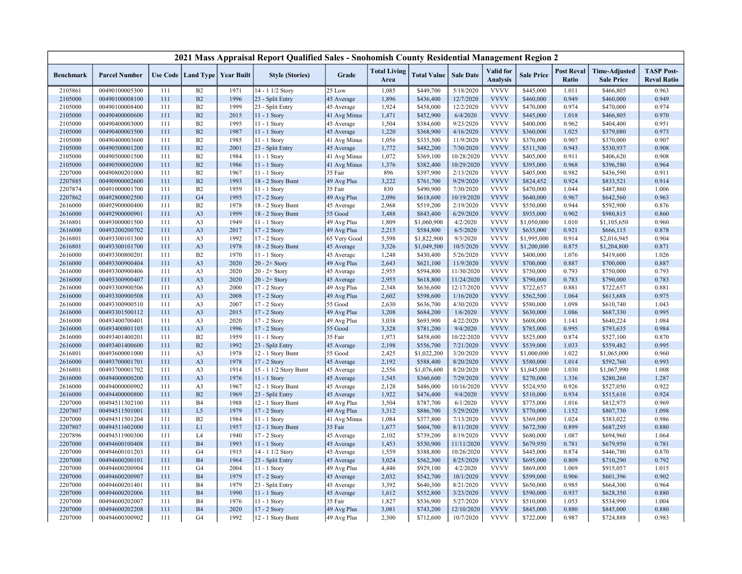|                    |                                  |            |                                   |              | 2021 Mass Appraisal Report Qualified Sales - Snohomish County Residential Management Region 2 |                            |                             |                        |                         |                              |                        |                            |                                           |                                         |
|--------------------|----------------------------------|------------|-----------------------------------|--------------|-----------------------------------------------------------------------------------------------|----------------------------|-----------------------------|------------------------|-------------------------|------------------------------|------------------------|----------------------------|-------------------------------------------|-----------------------------------------|
| <b>Benchmark</b>   | <b>Parcel Number</b>             |            | Use Code   Land Type   Year Built |              | <b>Style (Stories)</b>                                                                        | Grade                      | <b>Total Living</b><br>Area | <b>Total Value</b>     | <b>Sale Date</b>        | Valid for<br><b>Analysis</b> | <b>Sale Price</b>      | <b>Post Reval</b><br>Ratio | <b>Time-Adjusted</b><br><b>Sale Price</b> | <b>TASP Post-</b><br><b>Reval Ratio</b> |
| 2105861            | 00490100005300                   | 111        | B2                                | 1971         | 14 - 1 1/2 Story                                                                              | 25 Low                     | 1,085                       | \$449,700              | 5/18/2020               | <b>VVVV</b>                  | \$445,000              | 1.011                      | \$466,805                                 | 0.963                                   |
| 2105000            | 00490100008100                   | 111        | B2                                | 1996         | 23 - Split Entry                                                                              | 45 Average                 | 1,896                       | \$436,400              | 12/7/2020               | <b>VVVV</b>                  | \$460,000              | 0.949                      | \$460,000                                 | 0.949                                   |
| 2105000            | 00490100008400                   | 111        | B2                                | 1999         | 23 - Split Entry                                                                              | 45 Average                 | 1,924                       | \$458,000              | 12/2/2020               | <b>VVVV</b>                  | \$470,000              | 0.974                      | \$470,000                                 | 0.974                                   |
| 2105000            | 00490400000600                   | 111        | B2                                | 2015         | 11 - 1 Story                                                                                  | 41 Avg Minus               | 1,471                       | \$452,900              | 6/4/2020                | <b>VVVV</b>                  | \$445,000              | 1.018                      | \$466,805                                 | 0.970                                   |
| 2105000            | 00490400003000                   | 111        | B2                                | 1995         | 11 - 1 Story                                                                                  | 45 Average                 | 1,504                       | \$384,600              | 9/23/2020               | <b>VVVV</b>                  | \$400,000              | 0.962                      | \$404,400                                 | 0.951                                   |
| 2105000            | 00490400003500                   | 111        | B2                                | 1987         | 11 - 1 Story                                                                                  | 45 Average                 | 1,220                       | \$368,900              | 4/16/2020               | <b>VVVV</b>                  | \$360,000              | 1.025                      | \$379,080                                 | 0.973                                   |
| 2105000            | 00490400003600                   | 111        | B2                                | 1985         | 11 - 1 Story                                                                                  | 41 Avg Minus               | 1,056                       | \$335,500              | 11/9/2020               | <b>VVVV</b>                  | \$370,000              | 0.907                      | \$370,000                                 | 0.907                                   |
| 2105000            | 00490500001200                   | 111        | B2                                | 2001         | 23 - Split Entry                                                                              | 45 Average                 | 1,772                       | \$482,200              | 7/30/2020               | <b>VVVV</b>                  | \$511,500              | 0.943                      | \$530,937                                 | 0.908                                   |
| 2105000            | 00490500001500                   | 111        | <b>B2</b>                         | 1984         | 11 - 1 Story                                                                                  | 41 Avg Minus               | 1,072                       | \$369,100              | 10/28/2020              | <b>VVVV</b>                  | \$405,000              | 0.911                      | \$406,620                                 | 0.908                                   |
| 2105000            | 00490500002000                   | 111        | B2                                | 1986         | $11 - 1$ Story                                                                                | 41 Avg Minus               | 1,376                       | \$382,400              | 10/29/2020              | <b>VVVV</b>                  | \$395,000              | 0.968                      | \$396,580                                 | 0.964                                   |
| 2207000            | 00490800201000                   | 111        | B2                                | 1967         | 11 - 1 Story                                                                                  | 35 Fair                    | 896                         | \$397,900              | 2/13/2020               | <b>VVVV</b>                  | \$405,000              | 0.982                      | \$436,590                                 | 0.911                                   |
| 2207885            | 00490900002600                   | 111        | B2                                | 1993         | 18 - 2 Story Bsmt                                                                             | 49 Avg Plus                | 3,222                       | \$761,700              | 9/29/2020               | <b>VVVV</b>                  | \$824,452              | 0.924                      | \$833,521                                 | 0.914                                   |
| 2207874            | 00491000001700                   | 111        | B2                                | 1959         | 11 - 1 Story                                                                                  | 35 Fair                    | 830                         | \$490,900              | 7/30/2020               | <b>VVVV</b>                  | \$470,000              | 1.044                      | \$487,860                                 | 1.006                                   |
| 2207862            | 00492800002500                   | 111        | G <sub>4</sub>                    | 1995         | 17 - 2 Story                                                                                  | 49 Avg Plus                | 2,096                       | \$618,600              | 10/19/2020              | <b>VVVV</b>                  | \$640,000              | 0.967                      | \$642,560                                 | 0.963                                   |
| 2616000            | 00492900000400                   | 111        | B2                                | 1978         | 18 - 2 Story Bsmt                                                                             | 45 Average                 | 2,968                       | \$519,200              | 2/19/2020               | <b>VVVV</b>                  | \$550,000              | 0.944                      | \$592,900                                 | 0.876                                   |
| 2616000            | 00492900000901                   | 111        | A <sub>3</sub>                    | 1999         | 18 - 2 Story Bsmt                                                                             | 55 Good                    | 3,488                       | \$843,400              | 6/29/2020               | <b>VVVV</b>                  | \$935,000              | 0.902                      | \$980,815                                 | 0.860                                   |
| 2616801            | 00493000001500                   | 111        | A <sub>3</sub>                    | 1949         | 11 - 1 Story                                                                                  | 49 Avg Plus                | 1,809                       | \$1,060,900            | 4/2/2020                | <b>VVVV</b>                  | \$1,050,000            | 1.010                      | \$1,105,650                               | 0.960                                   |
| 2616000            | 00493200200702                   | 111        | A <sub>3</sub>                    | 2017         | 17 - 2 Story                                                                                  | 49 Avg Plus                | 2,215                       | \$584,800              | 6/5/2020                | <b>VVVV</b>                  | \$635,000              | 0.921                      | \$666,115                                 | 0.878                                   |
| 2616801            | 00493300101300                   | 111        | A <sub>3</sub>                    | 1992         | 17 - 2 Story                                                                                  | 65 Very Good               | 5,598                       | \$1,822,900            | 9/3/2020                | <b>VVVV</b>                  | \$1,995,000            | 0.914                      | \$2,016,945                               | 0.904                                   |
| 2616801            | 00493300101700                   | 111        | A <sub>3</sub>                    | 1978         | 18 - 2 Story Bsmt                                                                             | 45 Average                 | 3,326                       | \$1,049,500            | 10/5/2020               | <b>VVVV</b>                  | \$1,200,000            | 0.875                      | \$1,204,800                               | 0.871                                   |
| 2616000            | 00493300800201                   | 111        | B2                                | 1970         | 11 - 1 Story                                                                                  | 45 Average                 | 1,248                       | \$430,400              | 5/26/2020               | <b>VVVV</b>                  | \$400,000              | 1.076                      | \$419,600                                 | 1.026                                   |
| 2616000            | 00493300900404                   | 111        | A <sub>3</sub>                    | 2020         | $20 - 2 +$ Story                                                                              | 49 Avg Plus                | 2,643                       | \$621,100              | 11/9/2020               | <b>VVVV</b>                  | \$700,000              | 0.887                      | \$700,000                                 | 0.887                                   |
| 2616000            | 00493300900406                   | 111        | A <sub>3</sub>                    | 2020         | $20 - 2 +$ Story                                                                              | 45 Average                 | 2,955                       | \$594,800              | 11/30/2020              | <b>VVVV</b>                  | \$750,000              | 0.793                      | \$750,000                                 | 0.793                                   |
| 2616000            | 00493300900407                   | 111        | A <sub>3</sub>                    | 2020         | $20 - 2 +$ Story                                                                              | 45 Average                 | 2,955                       | \$618,800              | 11/24/2020              | <b>VVVV</b>                  | \$790,000              | 0.783                      | \$790,000                                 | 0.783                                   |
| 2616000            | 00493300900506                   | 111        | A <sub>3</sub>                    | 2000         | 17 - 2 Story                                                                                  | 49 Avg Plus                | 2,348                       | \$636,600              | 12/17/2020              | <b>VVVV</b>                  | \$722,657              | 0.881                      | \$722,657                                 | 0.881                                   |
| 2616000            | 00493300900508                   | 111        | A <sub>3</sub>                    | 2008         | 17 - 2 Story                                                                                  | 49 Avg Plus                | 2,602                       | \$598,600              | 1/16/2020               | <b>VVVV</b>                  | \$562,500              | 1.064                      | \$613,688                                 | 0.975                                   |
| 2616000            | 00493300900510                   | 111        | A <sub>3</sub>                    | 2007         | 17 - 2 Story                                                                                  | 55 Good                    | 2,630                       | \$636,700              | 4/30/2020               | <b>VVVV</b>                  | \$580,000              | 1.098                      | \$610,740                                 | 1.043                                   |
| 2616000            | 00493301500112                   | 111        | A <sub>3</sub>                    | 2015         | 17 - 2 Story                                                                                  | 49 Avg Plus                | 3,208                       | \$684,200              | 1/6/2020                | <b>VVVV</b>                  | \$630,000              | 1.086                      | \$687,330                                 | 0.995                                   |
| 2616000            | 00493400700401                   | 111        | A <sub>3</sub>                    | 2020         | 17 - 2 Story                                                                                  | 49 Avg Plus                | 3,038                       | \$693,900              | 4/22/2020               | <b>VVVV</b>                  | \$608,000              | 1.141                      | \$640,224                                 | 1.084                                   |
| 2616000            | 00493400801105                   | 111        | A <sub>3</sub>                    | 1996         | 17 - 2 Story                                                                                  | 55 Good                    | 3,328                       | \$781,200              | 9/4/2020                | <b>VVVV</b>                  | \$785,000              | 0.995                      | \$793,635                                 | 0.984                                   |
| 2616000            | 00493401400201                   | 111        | B2                                | 1959         | 11 - 1 Story                                                                                  | 35 Fair                    | 1,973                       | \$458,600              | 10/22/2020              | <b>VVVV</b>                  | \$525,000              | 0.874                      | \$527,100                                 | 0.870                                   |
| 2616000            | 00493401400600                   | 111        | B2                                | 1992         | 23 - Split Entry                                                                              | 45 Average                 | 2,198                       | \$556,700              | 7/21/2020               | <b>VVVV</b>                  | \$539,000              | 1.033                      | \$559,482                                 | 0.995                                   |
| 2616801            | 00493600001000                   | 111        | A <sub>3</sub>                    | 1978         | 12 - 1 Story Bsmt                                                                             | 55 Good                    | 2,425                       | \$1,022,200            | 3/20/2020               | <b>VVVV</b>                  | \$1,000,000            | 1.022                      | \$1,065,000                               | 0.960                                   |
| 2616000            | 00493700001701                   | 111        | A <sub>3</sub>                    | 1978         | 17 - 2 Story                                                                                  | 45 Average                 | 2,192                       | \$588,400              | 8/20/2020               | <b>VVVV</b>                  | \$580,000              | 1.014                      | \$592,760                                 | 0.993                                   |
| 2616801            | 00493700001702                   | 111        | A <sub>3</sub>                    | 1914         | 15 - 1 1/2 Story Bsmt                                                                         | 45 Average                 | 2,556                       | \$1,076,600            | 8/20/2020               | <b>VVVV</b>                  | \$1,045,000            | 1.030                      | \$1,067,990                               | 1.008                                   |
| 2616000            | 00494000000200                   | 111<br>111 | A <sub>3</sub>                    | 1976         | 11 - 1 Story<br>12 - 1 Story Bsmt                                                             | 45 Average                 | 1,545                       | \$360,600              | 7/29/2020<br>10/16/2020 | <b>VVVV</b><br><b>VVVV</b>   | \$270,000              | 1.336<br>0.926             | \$280,260                                 | 1.287<br>0.922                          |
| 2616000            | 00494000000902                   |            | A <sub>3</sub><br>B2              | 1967         |                                                                                               | 45 Average                 | 2,128                       | \$486,000              |                         | <b>VVVV</b>                  | \$524,950              |                            | \$527,050                                 |                                         |
| 2616000<br>2207000 | 00494400000800<br>00494511302100 | 111<br>111 | B <sub>4</sub>                    | 1969<br>1988 | 23 - Split Entry                                                                              | 45 Average                 | 1,922<br>3,504              | \$476,400<br>\$787,700 | 9/4/2020<br>6/1/2020    | <b>VVVV</b>                  | \$510,000<br>\$775,000 | 0.934<br>1.016             | \$515,610                                 | 0.924<br>0.969                          |
| 2207807            | 00494511501001                   | 111        | L <sub>5</sub>                    | 1979         | 12 - 1 Story Bsmt<br>17 - 2 Story                                                             | 49 Avg Plus<br>49 Avg Plus | 3,312                       | \$886,700              | 5/29/2020               | <b>VVVV</b>                  | \$770,000              | 1.152                      | \$812,975<br>\$807,730                    | 1.098                                   |
| 2207000            | 00494511501204                   | 111        | B2                                | 1984         | 11 - 1 Story                                                                                  | 41 Avg Minus               | 1,084                       | \$377,800              | 7/13/2020               | <b>VVVV</b>                  | \$369,000              | 1.024                      | \$383,022                                 | 0.986                                   |
| 2207807            | 00494511602000                   | 111        | L1                                | 1957         | 12 - 1 Story Bsmt                                                                             | 35 Fair                    | 1,677                       | \$604,700              | 8/11/2020               | <b>VVVV</b>                  | \$672,500              | 0.899                      | \$687,295                                 | 0.880                                   |
| 2207896            | 00494511900300                   | 111        | L <sub>4</sub>                    | 1940         | 17 - 2 Story                                                                                  | 45 Average                 | 2,102                       | \$739,200              | 8/19/2020               | <b>VVVV</b>                  | \$680,000              | 1.087                      | \$694,960                                 | 1.064                                   |
| 2207000            | 00494600100408                   | 111        | <b>B4</b>                         | 1993         | 11 - 1 Story                                                                                  | 45 Average                 | 1,453                       | \$530,900              | 11/11/2020              | <b>VVVV</b>                  | \$679,950              | 0.781                      | \$679,950                                 | 0.781                                   |
| 2207000            | 00494600101203                   | 111        | G <sub>4</sub>                    | 1915         | 14 - 1 1/2 Story                                                                              | 45 Average                 | 1,559                       | \$388,800              | 10/26/2020              | <b>VVVV</b>                  | \$445,000              | 0.874                      | \$446,780                                 | 0.870                                   |
| 2207000            | 00494600200101                   | 111        | <b>B4</b>                         | 1964         | 23 - Split Entry                                                                              | 45 Average                 | 3,024                       | \$562,300              | 8/25/2020               | <b>VVVV</b>                  | \$695,000              | 0.809                      | \$710,290                                 | 0.792                                   |
| 2207000            | 00494600200904                   | 111        | G <sub>4</sub>                    | 2004         | 11 - 1 Story                                                                                  | 49 Avg Plus                | 4,446                       | \$929,100              | 4/2/2020                | <b>VVVV</b>                  | \$869,000              | 1.069                      | \$915,057                                 | 1.015                                   |
| 2207000            | 00494600200907                   | 111        | <b>B4</b>                         | 1979         | 17 - 2 Story                                                                                  | 45 Average                 | 2,032                       | \$542,700              | 10/1/2020               | <b>VVVV</b>                  | \$599,000              | 0.906                      | \$601,396                                 | 0.902                                   |
| 2207000            | 00494600201401                   | 111        | <b>B4</b>                         | 1979         | 23 - Split Entry                                                                              | 45 Average                 | 3,392                       | \$640,300              | 8/21/2020               | <b>VVVV</b>                  | \$650,000              | 0.985                      | \$664,300                                 | 0.964                                   |
| 2207000            | 00494600202006                   | 111        | B4                                | 1990         | 11 - 1 Story                                                                                  | 45 Average                 | 1,612                       | \$552,800              | 3/23/2020               | <b>VVVV</b>                  | \$590,000              | 0.937                      | \$628,350                                 | 0.880                                   |
| 2207000            | 00494600202007                   | 111        | B <sub>4</sub>                    | 1976         | 11 - 1 Story                                                                                  | 35 Fair                    | 1,827                       | \$536,900              | 5/27/2020               | <b>VVVV</b>                  | \$510,000              | 1.053                      | \$534,990                                 | 1.004                                   |
| 2207000            | 00494600202208                   | 111        | <b>B4</b>                         | 2020         | 17 - 2 Story                                                                                  | 49 Avg Plus                | 3,081                       | \$743,200              | 12/10/2020              | <b>VVVV</b>                  | \$845,000              | 0.880                      | \$845,000                                 | 0.880                                   |
| 2207000            | 00494600300902                   | 111        | G <sub>4</sub>                    | 1992         | 12 - 1 Story Bsmt                                                                             | 49 Avg Plus                | 2,300                       | \$712,600              | 10/7/2020               | <b>VVVV</b>                  | \$722,000              | 0.987                      | \$724,888                                 | 0.983                                   |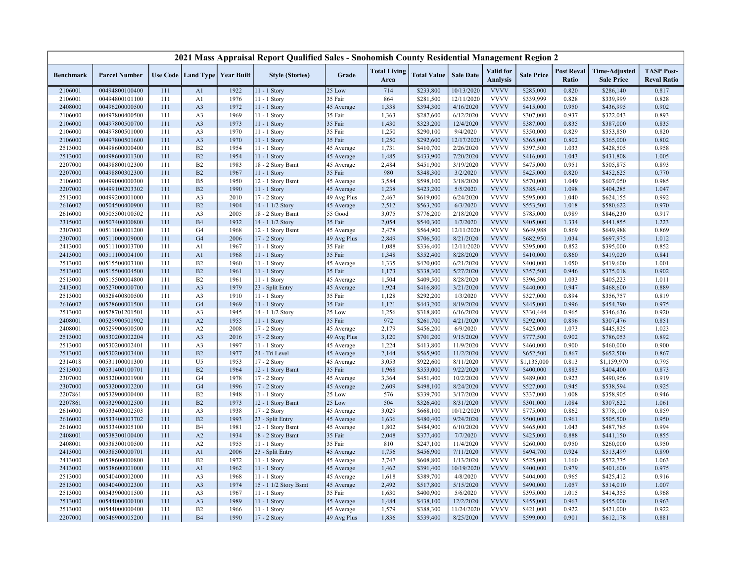|                  |                      |     |                                   |      | 2021 Mass Appraisal Report Qualified Sales - Snohomish County Residential Management Region 2 |             |                             |                    |                  |                              |                   |                            |                                           |                                         |
|------------------|----------------------|-----|-----------------------------------|------|-----------------------------------------------------------------------------------------------|-------------|-----------------------------|--------------------|------------------|------------------------------|-------------------|----------------------------|-------------------------------------------|-----------------------------------------|
| <b>Benchmark</b> | <b>Parcel Number</b> |     | Use Code   Land Type   Year Built |      | <b>Style (Stories)</b>                                                                        | Grade       | <b>Total Living</b><br>Area | <b>Total Value</b> | <b>Sale Date</b> | Valid for<br><b>Analysis</b> | <b>Sale Price</b> | <b>Post Reval</b><br>Ratio | <b>Time-Adjusted</b><br><b>Sale Price</b> | <b>TASP Post-</b><br><b>Reval Ratio</b> |
| 2106001          | 00494800100400       | 111 | A <sub>1</sub>                    | 1922 | 11 - 1 Story                                                                                  | 25 Low      | 714                         | \$233,800          | 10/13/2020       | <b>VVVV</b>                  | \$285,000         | 0.820                      | \$286,140                                 | 0.817                                   |
| 2106001          | 00494800101100       | 111 | A1                                | 1976 | 11 - 1 Story                                                                                  | 35 Fair     | 864                         | \$281,500          | 12/11/2020       | <b>VVVV</b>                  | \$339,999         | 0.828                      | \$339,999                                 | 0.828                                   |
| 2408000          | 00496200000500       | 111 | A <sub>3</sub>                    | 1972 | $11 - 1$ Story                                                                                | 45 Average  | 1,338                       | \$394,300          | 4/16/2020        | <b>VVVV</b>                  | \$415,000         | 0.950                      | \$436,995                                 | 0.902                                   |
| 2106000          | 00497800400500       | 111 | A <sub>3</sub>                    | 1969 | 11 - 1 Story                                                                                  | 35 Fair     | 1,363                       | \$287,600          | 6/12/2020        | <b>VVVV</b>                  | \$307,000         | 0.937                      | \$322,043                                 | 0.893                                   |
| 2106000          | 00497800500700       | 111 | A <sub>3</sub>                    | 1973 | 11 - 1 Story                                                                                  | 35 Fair     | 1,430                       | \$323,200          | 12/4/2020        | <b>VVVV</b>                  | \$387,000         | 0.835                      | \$387,000                                 | 0.835                                   |
| 2106000          | 00497800501000       | 111 | A <sub>3</sub>                    | 1970 | $11 - 1$ Story                                                                                | 35 Fair     | 1,250                       | \$290,100          | 9/4/2020         | <b>VVVV</b>                  | \$350,000         | 0.829                      | \$353,850                                 | 0.820                                   |
| 2106000          | 00497800501600       | 111 | A <sub>3</sub>                    | 1970 | 11 - 1 Story                                                                                  | 35 Fair     | 1,250                       | \$292,600          | 12/17/2020       | <b>VVVV</b>                  | \$365,000         | 0.802                      | \$365,000                                 | 0.802                                   |
| 2513000          | 00498600000400       | 111 | B2                                | 1954 | $11 - 1$ Story                                                                                | 45 Average  | 1,731                       | \$410,700          | 2/26/2020        | <b>VVVV</b>                  | \$397,500         | 1.033                      | \$428,505                                 | 0.958                                   |
| 2513000          | 00498600001300       | 111 | B2                                | 1954 | 11 - 1 Story                                                                                  | 45 Average  | 1,485                       | \$433,900          | 7/20/2020        | <b>VVVV</b>                  | \$416,000         | 1.043                      | \$431,808                                 | 1.005                                   |
| 2207000          | 00498800102300       | 111 | B2                                | 1983 | 18 - 2 Story Bsmt                                                                             | 45 Average  | 2,484                       | \$451,900          | 3/19/2020        | <b>VVVV</b>                  | \$475,000         | 0.951                      | \$505,875                                 | 0.893                                   |
| 2207000          | 00498800302300       | 111 | B2                                | 1967 | 11 - 1 Story                                                                                  | 35 Fair     | 980                         | \$348,300          | 3/2/2020         | <b>VVVV</b>                  | \$425,000         | 0.820                      | \$452,625                                 | 0.770                                   |
| 2106000          | 00499000000300       | 111 | B <sub>5</sub>                    | 1950 | 12 - 1 Story Bsmt                                                                             | 45 Average  | 3,584                       | \$598,100          | 3/18/2020        | <b>VVVV</b>                  | \$570,000         | 1.049                      | \$607,050                                 | 0.985                                   |
| 2207000          | 00499100203302       | 111 | B2                                | 1990 | $11 - 1$ Story                                                                                | 45 Average  | 1,238                       | \$423,200          | 5/5/2020         | <b>VVVV</b>                  | \$385,400         | 1.098                      | \$404,285                                 | 1.047                                   |
| 2513000          | 00499200001000       | 111 | A <sub>3</sub>                    | 2010 | 17 - 2 Story                                                                                  | 49 Avg Plus | 2,467                       | \$619,000          | 6/24/2020        | <b>VVVV</b>                  | \$595,000         | 1.040                      | \$624,155                                 | 0.992                                   |
| 2616002          | 00504500400900       | 111 | B2                                | 1904 | 14 - 1 1/2 Story                                                                              | 45 Average  | 2,512                       | \$563,200          | 6/3/2020         | <b>VVVV</b>                  | \$553,500         | 1.018                      | \$580,622                                 | 0.970                                   |
| 2616000          | 00505500100502       | 111 | A <sub>3</sub>                    | 2005 | 18 - 2 Story Bsmt                                                                             | 55 Good     | 3,075                       | \$776,200          | 2/18/2020        | <b>VVVV</b>                  | \$785,000         | 0.989                      | \$846,230                                 | 0.917                                   |
| 2315000          | 00507400000800       | 111 | <b>B4</b>                         | 1932 | 14 - 1 1/2 Story                                                                              | 35 Fair     | 2,054                       | \$540,300          | 1/7/2020         | <b>VVVV</b>                  | \$405,000         | 1.334                      | \$441,855                                 | 1.223                                   |
| 2307000          | 00511000001200       | 111 | G <sub>4</sub>                    | 1968 | 12 - 1 Story Bsmt                                                                             | 45 Average  | 2,478                       | \$564,900          | 12/11/2020       | <b>VVVV</b>                  | \$649,988         | 0.869                      | \$649,988                                 | 0.869                                   |
| 2307000          | 00511000009000       | 111 | G <sub>4</sub>                    | 2006 | 17 - 2 Story                                                                                  | 49 Avg Plus | 2,849                       | \$706,500          | 8/21/2020        | <b>VVVV</b>                  | \$682,950         | 1.034                      | \$697,975                                 | 1.012                                   |
| 2413000          | 00511100003700       | 111 | A1                                | 1967 | 11 - 1 Story                                                                                  | 35 Fair     | 1,088                       | \$336,400          | 12/11/2020       | <b>VVVV</b>                  | \$395,000         | 0.852                      | \$395,000                                 | 0.852                                   |
| 2413000          | 00511100004100       | 111 | A1                                | 1968 | 11 - 1 Story                                                                                  | 35 Fair     | 1,348                       | \$352,400          | 8/28/2020        | <b>VVVV</b>                  | \$410,000         | 0.860                      | \$419,020                                 | 0.841                                   |
| 2513000          | 00515500003100       | 111 | B2                                | 1960 | $11 - 1$ Story                                                                                | 45 Average  | 1,335                       | \$420,000          | 6/21/2020        | <b>VVVV</b>                  | \$400,000         | 1.050                      | \$419,600                                 | 1.001                                   |
| 2513000          | 00515500004500       | 111 | B2                                | 1961 | $11 - 1$ Story                                                                                | 35 Fair     | 1,173                       | \$338,300          | 5/27/2020        | <b>VVVV</b>                  | \$357,500         | 0.946                      | \$375,018                                 | 0.902                                   |
| 2513000          | 00515500004800       | 111 | B2                                | 1961 | $11 - 1$ Story                                                                                | 45 Average  | 1,504                       | \$409,500          | 8/28/2020        | <b>VVVV</b>                  | \$396,500         | 1.033                      | \$405,223                                 | 1.011                                   |
| 2413000          | 00527000000700       | 111 | A <sub>3</sub>                    | 1979 | 23 - Split Entry                                                                              | 45 Average  | 1,924                       | \$416,800          | 3/21/2020        | <b>VVVV</b>                  | \$440,000         | 0.947                      | \$468,600                                 | 0.889                                   |
| 2513000          | 00528400800500       | 111 | A <sub>3</sub>                    | 1910 | 11 - 1 Story                                                                                  | 35 Fair     | 1,128                       | \$292,200          | 1/3/2020         | <b>VVVV</b>                  | \$327,000         | 0.894                      | \$356,757                                 | 0.819                                   |
| 2616002          | 00528600001500       | 111 | G <sub>4</sub>                    | 1969 | 11 - 1 Story                                                                                  | 35 Fair     | 1,121                       | \$443,200          | 8/19/2020        | <b>VVVV</b>                  | \$445,000         | 0.996                      | \$454,790                                 | 0.975                                   |
| 2513000          | 00528701201501       | 111 | A <sub>3</sub>                    | 1945 | 14 - 1 1/2 Story                                                                              | 25 Low      | 1,256                       | \$318,800          | 6/16/2020        | <b>VVVV</b>                  | \$330,444         | 0.965                      | \$346,636                                 | 0.920                                   |
| 2408001          | 00529900501902       | 111 | A2                                | 1955 | 11 - 1 Story                                                                                  | 35 Fair     | 972                         | \$261,700          | 4/21/2020        | <b>VVVV</b>                  | \$292,000         | 0.896                      | \$307,476                                 | 0.851                                   |
| 2408001          | 00529900600500       | 111 | A2                                | 2008 | 17 - 2 Story                                                                                  | 45 Average  | 2,179                       | \$456,200          | 6/9/2020         | <b>VVVV</b>                  | \$425,000         | 1.073                      | \$445,825                                 | 1.023                                   |
| 2513000          | 00530200002204       | 111 | A <sub>3</sub>                    | 2016 | 17 - 2 Story                                                                                  | 49 Avg Plus | 3,120                       | \$701,200          | 9/15/2020        | <b>VVVV</b>                  | \$777,500         | 0.902                      | \$786,053                                 | 0.892                                   |
| 2513000          | 00530200002401       | 111 | A <sub>3</sub>                    | 1997 | 11 - 1 Story                                                                                  | 45 Average  | 1,224                       | \$413,800          | 11/9/2020        | <b>VVVV</b>                  | \$460,000         | 0.900                      | \$460,000                                 | 0.900                                   |
| 2513000          | 00530200003400       | 111 | B2                                | 1977 | 24 - Tri Level                                                                                | 45 Average  | 2,144                       | \$565,900          | 11/2/2020        | <b>VVVV</b>                  | \$652,500         | 0.867                      | \$652,500                                 | 0.867                                   |
| 2314018          | 00531100001300       | 111 | U <sub>5</sub>                    | 1953 | 17 - 2 Story                                                                                  | 45 Average  | 3,053                       | \$922,600          | 8/11/2020        | <b>VVVV</b>                  | \$1,135,000       | 0.813                      | \$1,159,970                               | 0.795                                   |
| 2513000          | 00531400100701       | 111 | B2                                | 1964 | 12 - 1 Story Bsmt                                                                             | 35 Fair     | 1,968                       | \$353,000          | 9/22/2020        | <b>VVVV</b>                  | \$400,000         | 0.883                      | \$404,400                                 | 0.873                                   |
| 2307000          | 00532000001900       | 111 | G <sub>4</sub>                    | 1978 | 17 - 2 Story                                                                                  | 45 Average  | 3,364                       | \$451,400          | 10/2/2020        | <b>VVVV</b>                  | \$489,000         | 0.923                      | \$490,956                                 | 0.919                                   |
| 2307000          | 00532000002200       | 111 | G <sub>4</sub>                    | 1996 | 17 - 2 Story                                                                                  | 45 Average  | 2,609                       | \$498,100          | 8/24/2020        | <b>VVVV</b>                  | \$527,000         | 0.945                      | \$538,594                                 | 0.925                                   |
| 2207861          | 00532900000400       | 111 | B2                                | 1948 | $11 - 1$ Story                                                                                | 25 Low      | 576                         | \$339,700          | 3/17/2020        | <b>VVVV</b>                  | \$337,000         | 1.008                      | \$358,905                                 | 0.946                                   |
| 2207861          | 00532900002500       | 111 | B2                                | 1973 | 12 - 1 Story Bsmt                                                                             | 25 Low      | 504                         | \$326,400          | 8/31/2020        | <b>VVVV</b>                  | \$301,000         | 1.084                      | \$307,622                                 | 1.061                                   |
| 2616000          | 00533400002503       | 111 | A <sub>3</sub>                    | 1938 | $17 - 2$ Story                                                                                | 45 Average  | 3,029                       | \$668,100          | 10/12/2020       | <b>VVVV</b>                  | \$775,000         | 0.862                      | \$778,100                                 | 0.859                                   |
| 2616000          | 00533400003702       | 111 | B2                                | 1993 | 23 - Split Entry                                                                              | 45 Average  | 1,636                       | \$480,400          | 9/24/2020        | <b>VVVV</b>                  | \$500,000         | 0.961                      | \$505,500                                 | 0.950                                   |
| 2616000          | 00533400005100       | 111 | <b>B4</b>                         | 1981 | 12 - 1 Story Bsmt                                                                             | 45 Average  | 1,802                       | \$484,900          | 6/10/2020        | <b>VVVV</b>                  | \$465,000         | 1.043                      | \$487,785                                 | 0.994                                   |
| 2408001          | 00538300100400       | 111 | A2                                | 1934 | 18 - 2 Story Bsmt                                                                             | 35 Fair     | 2,048                       | \$377,400          | 7/7/2020         | <b>VVVV</b>                  | \$425,000         | 0.888                      | \$441,150                                 | 0.855                                   |
| 2408001          | 00538300100500       | 111 | A2                                | 1955 | 11 - 1 Story                                                                                  | 35 Fair     | 810                         | \$247,100          | 11/4/2020        | <b>VVVV</b>                  | \$260,000         | 0.950                      | \$260,000                                 | 0.950                                   |
| 2413000          | 00538500000701       | 111 | A <sub>1</sub>                    | 2006 | 23 - Split Entry                                                                              | 45 Average  | 1,756                       | \$456,900          | 7/11/2020        | <b>VVVV</b>                  | \$494,700         | 0.924                      | \$513,499                                 | 0.890                                   |
| 2413000          | 00538600000800       | 111 | B2                                | 1972 | 11 - 1 Story                                                                                  | 45 Average  | 2,747                       | \$608,800          | 1/13/2020        | <b>VVVV</b>                  | \$525,000         | 1.160                      | \$572,775                                 | 1.063                                   |
| 2413000          | 00538600001000       | 111 | A <sub>1</sub>                    | 1962 | 11 - 1 Story                                                                                  | 45 Average  | 1,462                       | \$391,400          | 10/19/2020       | <b>VVVV</b>                  | \$400,000         | 0.979                      | \$401,600                                 | 0.975                                   |
| 2513000          | 00540400002000       | 111 | A <sub>3</sub>                    | 1968 | 11 - 1 Story                                                                                  | 45 Average  | 1,618                       | \$389,700          | 4/8/2020         | <b>VVVV</b>                  | \$404,000         | 0.965                      | \$425,412                                 | 0.916                                   |
| 2513000          | 00540400002300       | 111 | A <sub>3</sub>                    | 1974 | 15 - 1 1/2 Story Bsmt                                                                         | 45 Average  | 2,492                       | \$517,800          | 5/15/2020        | <b>VVVV</b>                  | \$490,000         | 1.057                      | \$514,010                                 | 1.007                                   |
| 2513000          | 00543900001500       | 111 | A <sub>3</sub>                    | 1967 | 11 - 1 Story                                                                                  | 35 Fair     | 1,630                       | \$400,900          | 5/6/2020         | <b>VVVV</b>                  | \$395,000         | 1.015                      | \$414,355                                 | 0.968                                   |
| 2513000          | 00544000000100       | 111 | A <sub>3</sub>                    | 1989 | 11 - 1 Story                                                                                  | 45 Average  | 1,484                       | \$438,100          | 12/2/2020        | <b>VVVV</b>                  | \$455,000         | 0.963                      | \$455,000                                 | 0.963                                   |
| 2513000          | 00544000000400       | 111 | B2                                | 1966 | 11 - 1 Story                                                                                  | 45 Average  | 1,579                       | \$388,300          | 11/24/2020       | <b>VVVV</b>                  | \$421,000         | 0.922                      | \$421,000                                 | 0.922                                   |
| 2207000          | 00546900005200       | 111 | <b>B4</b>                         | 1990 | 17 - 2 Story                                                                                  | 49 Avg Plus | 1,836                       | \$539,400          | 8/25/2020        | <b>VVVV</b>                  | \$599,000         | 0.901                      | \$612,178                                 | 0.881                                   |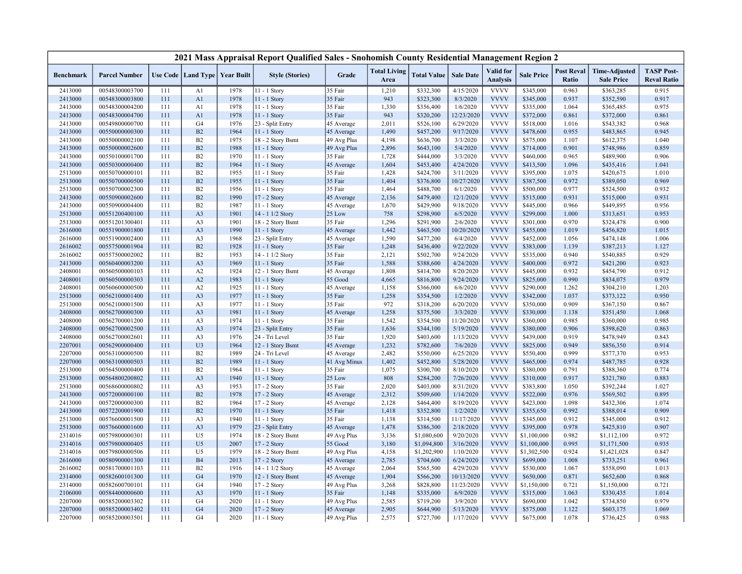|                  |                      |            |                      |                   | 2021 Mass Appraisal Report Qualified Sales - Snohomish County Residential Management Region 2 |                   |                             |                        |                        |                                     |                        |                            |                                           |                                         |
|------------------|----------------------|------------|----------------------|-------------------|-----------------------------------------------------------------------------------------------|-------------------|-----------------------------|------------------------|------------------------|-------------------------------------|------------------------|----------------------------|-------------------------------------------|-----------------------------------------|
| <b>Benchmark</b> | <b>Parcel Number</b> |            | Use Code   Land Type | <b>Year Built</b> | <b>Style (Stories)</b>                                                                        | Grade             | <b>Total Living</b><br>Area | <b>Total Value</b>     | <b>Sale Date</b>       | <b>Valid</b> for<br><b>Analysis</b> | <b>Sale Price</b>      | <b>Post Reval</b><br>Ratio | <b>Time-Adjusted</b><br><b>Sale Price</b> | <b>TASP Post-</b><br><b>Reval Ratio</b> |
| 2413000          | 00548300003700       | 111        | A1                   | 1978              | 11 - 1 Story                                                                                  | 35 Fair           | 1,210                       | \$332,300              | 4/15/2020              | <b>VVVV</b>                         | \$345,000              | 0.963                      | \$363,285                                 | 0.915                                   |
| 2413000          | 00548300003800       | 111        | A1                   | 1978              | 11 - 1 Story                                                                                  | 35 Fair           | 943                         | \$323,300              | 8/3/2020               | <b>VVVV</b>                         | \$345,000              | 0.937                      | \$352,590                                 | 0.917                                   |
| 2413000          | 00548300004200       | 111        | A <sub>1</sub>       | 1978              | $11 - 1$ Story                                                                                | 35 Fair           | 1,330                       | \$356,400              | 1/6/2020               | <b>VVVV</b>                         | \$335,000              | 1.064                      | \$365,485                                 | 0.975                                   |
| 2413000          | 00548300004700       | 111        | A <sub>1</sub>       | 1978              | 11 - 1 Story                                                                                  | 35 Fair           | 943                         | \$320,200              | 12/23/2020             | <b>VVVV</b>                         | \$372,000              | 0.861                      | \$372,000                                 | 0.861                                   |
| 2413000          | 00549800000700       | 111        | G4                   | 1976              | 23 - Split Entry                                                                              | 45 Average        | 2,011                       | \$526,100              | 6/29/2020              | <b>VVVV</b>                         | \$518,000              | 1.016                      | \$543,382                                 | 0.968                                   |
| 2413000          | 00550000000300       | 111        | B2                   | 1964              | 11 - 1 Story                                                                                  | 45 Average        | 1,490                       | \$457,200              | 9/17/2020              | <b>VVVV</b>                         | \$478,600              | 0.955                      | \$483,865                                 | 0.945                                   |
| 2413000          | 00550000002100       | 111        | B <sub>2</sub>       | 1975              | 18 - 2 Story Bsmt                                                                             | 49 Avg Plus       | 4,198                       | \$636,700              | 3/3/2020               | <b>VVVV</b>                         | \$575,000              | 1.107                      | \$612,375                                 | 1.040                                   |
| 2413000          | 00550000002600       | 111        | B2                   | 1988              | $11 - 1$ Story                                                                                | 49 Avg Plus       | 2,896                       | \$643,100              | 5/4/2020               | <b>VVVV</b>                         | \$714,000              | 0.901                      | \$748,986                                 | 0.859                                   |
| 2413000          | 00550100001700       | 111        | B <sub>2</sub>       | 1970              | 11 - 1 Story                                                                                  | 35 Fair           | 1,728                       | \$444,000              | 3/3/2020               | <b>VVVV</b>                         | \$460,000              | 0.965                      | \$489,900                                 | 0.906                                   |
| 2413000          | 00550300000400       | 111        | B2                   | 1964              | $11 - 1$ Story                                                                                | 45 Average        | 1,604                       | \$453,400              | 4/24/2020              | <b>VVVV</b>                         | \$413,500              | 1.096                      | \$435,416                                 | 1.041                                   |
| 2513000          | 00550700000101       | 111        | B2                   | 1955              | 11 - 1 Story                                                                                  | 35 Fair           | 1,428                       | \$424,700              | 3/11/2020              | <b>VVVV</b>                         | \$395,000              | 1.075                      | \$420,675                                 | 1.010                                   |
| 2513000          | 00550700000500       | 111        | B2                   | 1955              | $11 - 1$ Story                                                                                | 35 Fair           | 1,404                       | \$376,800              | 10/27/2020             | <b>VVVV</b>                         | \$387,500              | 0.972                      | \$389,050                                 | 0.969                                   |
| 2513000          | 00550700002300       | 111        | B2                   | 1956              | 11 - 1 Story                                                                                  | 35 Fair           | 1,464                       | \$488,700              | 6/1/2020               | <b>VVVV</b>                         | \$500,000              | 0.977                      | \$524,500                                 | 0.932                                   |
| 2413000          | 00550900002600       | 111        | B2                   | 1990              | 17 - 2 Story                                                                                  | 45 Average        | 2,136                       | \$479,400              | 12/1/2020              | <b>VVVV</b>                         | \$515,000              | 0.931                      | \$515,000                                 | 0.931                                   |
| 2413000          | 00550900004400       | 111        | B2                   | 1987              | 11 - 1 Story                                                                                  | 45 Average        | 1,670                       | \$429,900              | 9/18/2020              | <b>VVVV</b>                         | \$445,000              | 0.966                      | \$449,895                                 | 0.956                                   |
| 2513000          | 00551200400100       | 111        | A <sub>3</sub>       | 1901              | 14 - 1 1/2 Story                                                                              | 25 Low            | 758                         | \$298,900              | 6/5/2020               | <b>VVVV</b>                         | \$299,000              | 1.000                      | \$313,651                                 | 0.953                                   |
| 2513000          | 00551201300401       | 111        | A3                   | 1901              | 18 - 2 Story Bsmt                                                                             | 35 Fair           | 1,296                       | \$291,900              | 2/6/2020               | <b>VVVV</b>                         | \$301,000              | 0.970                      | \$324,478                                 | 0.900                                   |
| 2616000          | 00551900001800       | 111        | A <sub>3</sub>       | 1990              | 11 - 1 Story                                                                                  | 45 Average        | 1,442                       | \$463,500              | 10/20/2020             | <b>VVVV</b>                         | \$455,000              | 1.019                      | \$456,820                                 | 1.015                                   |
| 2616000          | 00551900002400       | 111        | A3                   | 1968              | 23 - Split Entry                                                                              | 45 Average        | 1,590                       | \$477,200              | 6/4/2020               | <b>VVVV</b>                         | \$452,000              | 1.056                      | \$474,148                                 | 1.006                                   |
| 2616002          | 00557500001904       | 111        | B2                   | 1928              | 11 - 1 Story                                                                                  | 35 Fair           | 1,248                       | \$436,400              | 9/22/2020              | <b>VVVV</b>                         | \$383,000              | 1.139                      | \$387,213                                 | 1.127                                   |
| 2616002          | 00557500002002       | 111        | B2                   | 1953              | 14 - 1 1/2 Story                                                                              | 35 Fair           | 2,121                       | \$502,700              | 9/24/2020              | <b>VVVV</b>                         | \$535,000              | 0.940                      | \$540,885                                 | 0.929                                   |
| 2413000          | 00560400003200       | 111        | A3                   | 1969              | 11 - 1 Story                                                                                  | 35 Fair           | 1,588                       | \$388,600              | 4/24/2020              | <b>VVVV</b>                         | \$400,000              | 0.972                      | \$421,200                                 | 0.923                                   |
| 2408001          | 00560500000103       | 111        | A2                   | 1924              | 12 - 1 Story Bsmt                                                                             | 45 Average        | 1,808                       | \$414,700              | 8/20/2020              | <b>VVVV</b>                         | \$445,000              | 0.932                      | \$454,790                                 | 0.912                                   |
| 2408001          | 00560500000303       | 111        | A2                   | 1983              | 11 - 1 Story                                                                                  | 55 Good           | 4,665                       | \$816,800              | 9/24/2020              | <b>VVVV</b>                         | \$825,000              | 0.990                      | \$834,075                                 | 0.979                                   |
| 2408001          | 00560600000500       | 111        | A2                   | 1925              | 11 - 1 Story                                                                                  | 45 Average        | 1,158                       | \$366,000              | 6/6/2020               | <b>VVVV</b>                         | \$290,000              | 1.262                      | \$304,210                                 | 1.203                                   |
| 2513000          | 00562100001400       | 111        | A <sub>3</sub>       | 1977              | 11 - 1 Story                                                                                  | 35 Fair           | 1,258                       | \$354,500              | 1/2/2020               | <b>VVVV</b>                         | \$342,000              | 1.037                      | \$373,122                                 | 0.950                                   |
| 2513000          | 00562100001500       | 111        | A3                   | 1977              | 11 - 1 Story                                                                                  | 35 Fair           | 972                         | \$318,200              | 6/20/2020              | <b>VVVV</b>                         | \$350,000              | 0.909                      | \$367,150                                 | 0.867                                   |
| 2408000          | 00562700000300       | 111        | A <sub>3</sub>       | 1981              | 11 - 1 Story                                                                                  | 45 Average        | 1,258                       | \$375,500              | 3/3/2020               | <b>VVVV</b>                         | \$330,000              | 1.138                      | \$351,450                                 | 1.068                                   |
| 2408000          | 00562700001200       | 111        | A3                   | 1974              | 11 - 1 Story                                                                                  | 35 Fair           | 1,542                       | \$354,500              | 11/20/2020             | <b>VVVV</b>                         | \$360,000              | 0.985                      | \$360,000                                 | 0.985                                   |
| 2408000          | 00562700002500       | 111        | A3                   | 1974              | 23 - Split Entry                                                                              | 35 Fair           | 1,636                       | \$344,100              | 5/19/2020              | <b>VVVV</b>                         | \$380,000              | 0.906                      | \$398,620                                 | 0.863                                   |
| 2408000          | 00562700002601       | 111        | A3                   | 1976              | 24 - Tri Level                                                                                | 35 Fair           | 1,920                       | \$403,600              | 1/13/2020              | <b>VVVV</b>                         | \$439,000              | 0.919                      | \$478,949                                 | 0.843                                   |
| 2207001          | 00562900000400       | 111        | U <sub>3</sub>       | 1964              | 12 - 1 Story Bsmt                                                                             | 45 Average        | 1,232                       | \$782,600              | 7/6/2020               | <b>VVVV</b>                         | \$825,000              | 0.949                      | \$856,350                                 | 0.914                                   |
| 2207000          | 00563100000500       | 111        | B2                   | 1989              | 24 - Tri Level                                                                                | 45 Average        | 2,482                       | \$550,000              | 6/25/2020              | <b>VVVV</b>                         | \$550,400              | 0.999                      | \$577,370                                 | 0.953                                   |
|                  | 00563100000503       | 111        | B2                   | 1989              | 11 - 1 Story                                                                                  |                   |                             |                        |                        | <b>VVVV</b>                         |                        | 0.974                      |                                           | 0.928                                   |
| 2207000          | 00564500000400       |            | B2                   | 1964              |                                                                                               | 41 Avg Minus      | 1,402                       | \$452,800              | 5/28/2020              | <b>VVVV</b>                         | \$465,000              | 0.791                      | \$487,785                                 |                                         |
| 2513000          |                      | 111        |                      | 1940              | 11 - 1 Story                                                                                  | 35 Fair           | 1,075                       | \$300,700              | 8/10/2020              |                                     | \$380,000              |                            | \$388,360                                 | 0.774                                   |
| 2513000          | 00564800200802       | 111<br>111 | A <sub>3</sub>       | 1953              | $11 - 1$ Story                                                                                | 25 Low<br>35 Fair | 808<br>2,020                | \$284,200<br>\$403,000 | 7/26/2020<br>8/31/2020 | <b>VVVV</b><br><b>VVVV</b>          | \$310,000              | 0.917<br>1.050             | \$321,780<br>\$392,244                    | 0.883<br>1.027                          |
| 2513000          | 00568600000802       |            | A3                   |                   | 17 - 2 Story                                                                                  |                   |                             |                        |                        | <b>VVVV</b>                         | \$383,800              |                            |                                           |                                         |
| 2413000          | 00572000000100       | 111        | B2<br>B2             | 1978              | 17 - 2 Story                                                                                  | 45 Average        | 2,312                       | \$509,600              | 1/14/2020              | <b>VVVV</b>                         | \$522,000<br>\$423,000 | 0.976<br>1.098             | \$569,502                                 | 0.895<br>1.074                          |
| 2413000          | 00572000000300       | 111        |                      | 1964              | 17 - 2 Story                                                                                  | 45 Average        | 2,128                       | \$464,400              | 8/19/2020              | <b>VVVV</b>                         |                        |                            | \$432,306                                 |                                         |
| 2413000          | 00572200001900       | 111        | B2                   | 1970              | 11 - 1 Story                                                                                  | 35 Fair           | 1,418                       | \$352,800              | 1/2/2020               |                                     | \$355,650              | 0.992                      | \$388,014                                 | 0.909                                   |
| 2513000          | 00576600001500       | 111        | A <sub>3</sub>       | 1940              | 11 - 1 Story                                                                                  | 35 Fair           | 1,138                       | \$314,500              | 11/17/2020             | <b>VVVV</b>                         | \$345,000              | 0.912                      | \$345,000                                 | 0.912                                   |
| 2513000          | 00576600001600       | 111        | A <sub>3</sub>       | 1979              | 23 - Split Entry                                                                              | 45 Average        | 1,478                       | \$386,300              | 2/18/2020              | <b>VVVV</b>                         | \$395,000              | 0.978                      | \$425,810                                 | 0.907                                   |
| 2314016          | 00579800000301       | 111        | U <sub>5</sub>       | 1974              | 18 - 2 Story Bsmt                                                                             | 49 Avg Plus       | 3,136                       | \$1,080,600            | 9/20/2020              | <b>VVVV</b>                         | \$1,100,000            | 0.982                      | \$1,112,100                               | 0.972                                   |
| 2314016          | 00579800000405       | 111        | U <sub>5</sub>       | 2007              | 17 - 2 Story                                                                                  | 55 Good           | 3,180                       | \$1,094,800            | 3/16/2020              | <b>VVVV</b>                         | \$1,100,000            | 0.995                      | \$1,171,500                               | 0.935                                   |
| 2314016          | 00579800000506       | 111        | U <sub>5</sub>       | 1979              | 18 - 2 Story Bsmt                                                                             | 49 Avg Plus       | 4,158                       | \$1,202,900            | 1/10/2020              | <b>VVVV</b>                         | \$1,302,500            | 0.924                      | \$1,421,028                               | 0.847                                   |
| 2616000          | 00580900001300       | 111        | <b>B4</b>            | 2013              | 17 - 2 Story                                                                                  | 45 Average        | 2,785                       | \$704,600              | 6/24/2020              | <b>VVVV</b>                         | \$699,000              | 1.008                      | \$733,251                                 | 0.961                                   |
| 2616002          | 00581700001103       | 111        | B2                   | 1916              | 14 - 1 1/2 Story                                                                              | 45 Average        | 2,064                       | \$565,500              | 4/29/2020              | <b>VVVV</b>                         | \$530,000              | 1.067                      | \$558,090                                 | 1.013                                   |
| 2314000          | 00582600101300       | 111        | G <sub>4</sub>       | 1970              | 12 - 1 Story Bsmt                                                                             | 45 Average        | 1,904                       | \$566,200              | 10/13/2020             | <b>VVVV</b>                         | \$650,000              | 0.871                      | \$652,600                                 | 0.868                                   |
| 2314000          | 00582600700101       | 111        | G4                   | 1940              | 17 - 2 Story                                                                                  | 49 Avg Plus       | 3,268                       | \$828,800              | 11/23/2020             | <b>VVVV</b>                         | \$1,150,000            | 0.721                      | \$1,150,000                               | 0.721                                   |
| 2106000          | 00584400000600       | 111        | A <sub>3</sub>       | 1970              | $11 - 1$ Story                                                                                | 35 Fair           | 1,148                       | \$335,000              | 6/9/2020               | <b>VVVV</b>                         | \$315,000              | 1.063                      | \$330,435                                 | 1.014                                   |
| 2207000          | 00585200003302       | 111        | G <sub>4</sub>       | 2020              | 11 - 1 Story                                                                                  | 49 Avg Plus       | 2,585                       | \$719,200              | 3/9/2020               | <b>VVVV</b>                         | \$690,000              | 1.042                      | \$734,850                                 | 0.979                                   |
| 2207000          | 00585200003402       | 111        | G <sub>4</sub>       | 2020              | $17 - 2$ Story                                                                                | 45 Average        | 2,905                       | \$644,900              | 5/13/2020              | <b>VVVV</b>                         | \$575,000              | 1.122                      | \$603,175                                 | 1.069                                   |
| 2207000          | 00585200003501       | 111        | G4                   | 2020              | 11 - 1 Story                                                                                  | 49 Avg Plus       | 2,575                       | \$727,700              | 1/17/2020              | <b>VVVV</b>                         | \$675,000              | 1.078                      | \$736,425                                 | 0.988                                   |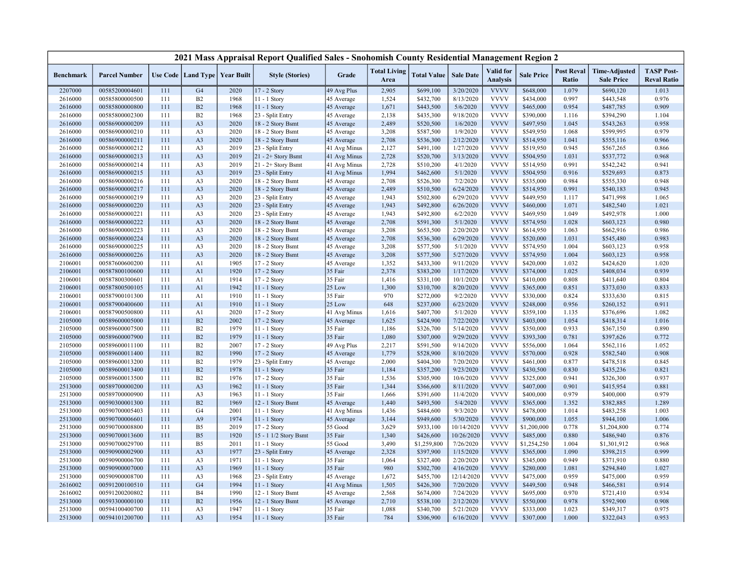|                    |                                  |            |                                   |              | 2021 Mass Appraisal Report Qualified Sales - Snohomish County Residential Management Region 2 |                            |                             |                        |                       |                                     |                        |                            |                                           |                                         |
|--------------------|----------------------------------|------------|-----------------------------------|--------------|-----------------------------------------------------------------------------------------------|----------------------------|-----------------------------|------------------------|-----------------------|-------------------------------------|------------------------|----------------------------|-------------------------------------------|-----------------------------------------|
| <b>Benchmark</b>   | <b>Parcel Number</b>             |            | Use Code   Land Type   Year Built |              | <b>Style (Stories)</b>                                                                        | Grade                      | <b>Total Living</b><br>Area | <b>Total Value</b>     | <b>Sale Date</b>      | <b>Valid</b> for<br><b>Analysis</b> | <b>Sale Price</b>      | <b>Post Reval</b><br>Ratio | <b>Time-Adjusted</b><br><b>Sale Price</b> | <b>TASP Post-</b><br><b>Reval Ratio</b> |
| 2207000            | 00585200004601                   | 111        | G <sub>4</sub>                    | 2020         | 17 - 2 Story                                                                                  | 49 Avg Plus                | 2,905                       | \$699,100              | 3/20/2020             | <b>VVVV</b>                         | \$648,000              | 1.079                      | \$690,120                                 | 1.013                                   |
| 2616000            | 00585800000500                   | 111        | B2                                | 1968         | 11 - 1 Story                                                                                  | 45 Average                 | 1,524                       | \$432,700              | 8/13/2020             | <b>VVVV</b>                         | \$434,000              | 0.997                      | \$443,548                                 | 0.976                                   |
| 2616000            | 00585800000800                   | 111        | B <sub>2</sub>                    | 1968         | $11 - 1$ Story                                                                                | 45 Average                 | 1,671                       | \$443,500              | 5/6/2020              | <b>VVVV</b>                         | \$465,000              | 0.954                      | \$487,785                                 | 0.909                                   |
| 2616000            | 00585800002300                   | 111        | B <sub>2</sub>                    | 1968         | 23 - Split Entry                                                                              | 45 Average                 | 2,138                       | \$435,300              | 9/18/2020             | <b>VVVV</b>                         | \$390,000              | 1.116                      | \$394,290                                 | 1.104                                   |
| 2616000            | 00586900000209                   | 111        | A <sub>3</sub>                    | 2020         | 18 - 2 Story Bsmt                                                                             | 45 Average                 | 2,489                       | \$520,500              | 1/6/2020              | <b>VVVV</b>                         | \$497,950              | 1.045                      | \$543,263                                 | 0.958                                   |
| 2616000            | 00586900000210                   | 111        | A <sub>3</sub>                    | 2020         | 18 - 2 Story Bsmt                                                                             | 45 Average                 | 3,208                       | \$587,500              | 1/9/2020              | <b>VVVV</b>                         | \$549,950              | 1.068                      | \$599,995                                 | 0.979                                   |
| 2616000            | 00586900000211                   | 111        | A <sub>3</sub>                    | 2020         | 18 - 2 Story Bsmt                                                                             | 45 Average                 | 2,708                       | \$536,300              | 2/12/2020             | <b>VVVV</b>                         | \$514,950              | 1.041                      | \$555,116                                 | 0.966                                   |
| 2616000            | 00586900000212                   | 111        | A <sub>3</sub>                    | 2019         | 23 - Split Entry                                                                              | 41 Avg Minus               | 2,127                       | \$491,100              | 1/27/2020             | <b>VVVV</b>                         | \$519,950              | 0.945                      | \$567,265                                 | 0.866                                   |
| 2616000            | 00586900000213                   | 111        | A <sub>3</sub>                    | 2019         | $21 - 2 +$ Story Bsmt                                                                         | 41 Avg Minus               | 2,728                       | \$520,700              | 3/13/2020             | <b>VVVV</b>                         | \$504,950              | 1.031                      | \$537,772                                 | 0.968                                   |
| 2616000            | 00586900000214                   | 111        | A <sub>3</sub>                    | 2019         | 21 - 2+ Story Bsmt                                                                            | 41 Avg Minus               | 2,728                       | \$510,200              | 4/1/2020              | <b>VVVV</b>                         | \$514,950              | 0.991                      | \$542,242                                 | 0.941                                   |
| 2616000            | 00586900000215                   | 111        | A <sub>3</sub>                    | 2019         | 23 - Split Entry                                                                              | 41 Avg Minus               | 1,994                       | \$462,600              | 5/1/2020              | <b>VVVV</b>                         | \$504,950              | 0.916                      | \$529,693                                 | 0.873                                   |
| 2616000            | 00586900000216                   | 111        | A <sub>3</sub>                    | 2020         | 18 - 2 Story Bsmt                                                                             | 45 Average                 | 2,708                       | \$526,300              | 7/2/2020              | <b>VVVV</b>                         | \$535,000              | 0.984                      | \$555,330                                 | 0.948                                   |
| 2616000            | 00586900000217                   | 111        | A <sub>3</sub>                    | 2020         | 18 - 2 Story Bsmt                                                                             | 45 Average                 | 2,489                       | \$510,500              | 6/24/2020             | <b>VVVV</b>                         | \$514,950              | 0.991                      | \$540,183                                 | 0.945                                   |
| 2616000            | 00586900000219                   | 111        | A <sub>3</sub>                    | 2020         | 23 - Split Entry                                                                              | 45 Average                 | 1,943                       | \$502,800              | 6/29/2020             | <b>VVVV</b>                         | \$449,950              | 1.117                      | \$471,998                                 | 1.065                                   |
| 2616000            | 00586900000220                   | 111        | A <sub>3</sub>                    | 2020         | 23 - Split Entry                                                                              | 45 Average                 | 1,943                       | \$492,800              | 6/26/2020             | <b>VVVV</b>                         | \$460,000              | 1.071                      | \$482,540                                 | 1.021                                   |
| 2616000            | 00586900000221                   | 111        | A <sub>3</sub>                    | 2020         | 23 - Split Entry                                                                              | 45 Average                 | 1,943                       | \$492,800              | 6/2/2020              | <b>VVVV</b>                         | \$469,950              | 1.049                      | \$492,978                                 | 1.000                                   |
| 2616000            | 00586900000222                   | 111        | A <sub>3</sub>                    | 2020         | 18 - 2 Story Bsmt                                                                             | 45 Average                 | 2,708                       | \$591,300              | 5/1/2020              | <b>VVVV</b>                         | \$574,950              | 1.028                      | \$603,123                                 | 0.980                                   |
| 2616000            | 00586900000223                   | 111        | A <sub>3</sub>                    | 2020         | 18 - 2 Story Bsmt                                                                             | 45 Average                 | 3,208                       | \$653,500              | 2/20/2020             | <b>VVVV</b>                         | \$614,950              | 1.063                      | \$662,916                                 | 0.986                                   |
| 2616000            | 00586900000224                   | 111        | A <sub>3</sub>                    | 2020         | 18 - 2 Story Bsmt                                                                             | 45 Average                 | 2,708                       | \$536,300              | 6/29/2020             | <b>VVVV</b>                         | \$520,000              | 1.031                      | \$545,480                                 | 0.983                                   |
| 2616000            | 00586900000225                   | 111        | A <sub>3</sub>                    | 2020         | 18 - 2 Story Bsmt                                                                             | 45 Average                 | 3,208                       | \$577,500              | 5/1/2020              | <b>VVVV</b>                         | \$574,950              | 1.004                      | \$603,123                                 | 0.958                                   |
| 2616000            | 00586900000226                   | 111        | A <sub>3</sub>                    | 2020         | 18 - 2 Story Bsmt                                                                             | 45 Average                 | 3,208                       | \$577,500              | 5/27/2020             | <b>VVVV</b>                         | \$574,950              | 1.004                      | \$603,123                                 | 0.958                                   |
| 2106001            | 00587600600200                   | 111        | A1                                | 1905         | 17 - 2 Story                                                                                  | 45 Average                 | 1,352                       | \$433,300              | 9/11/2020             | <b>VVVV</b>                         | \$420,000              | 1.032                      | \$424,620                                 | 1.020                                   |
| 2106001            | 00587800100600                   | 111        | A1                                | 1920         | 17 - 2 Story                                                                                  | 35 Fair                    | 2,378                       | \$383,200              | 1/17/2020             | <b>VVVV</b>                         | \$374,000              | 1.025                      | \$408,034                                 | 0.939                                   |
| 2106001            | 00587800300601                   | 111        | A1                                | 1914         | 17 - 2 Story                                                                                  | 35 Fair                    | 1,416                       | \$331,100              | 10/1/2020             | <b>VVVV</b>                         | \$410,000              | 0.808                      | \$411,640                                 | 0.804                                   |
| 2106001            | 00587800500105                   | 111        | A1                                | 1942         | 11 - 1 Story                                                                                  | 25 Low                     | 1,300                       | \$310,700              | 8/20/2020             | <b>VVVV</b><br><b>VVVV</b>          | \$365,000              | 0.851                      | \$373,030                                 | 0.833                                   |
| 2106001            | 00587900101300                   | 111        | A1                                | 1910         | 11 - 1 Story                                                                                  | 35 Fair                    | 970                         | \$272,000              | 9/2/2020              |                                     | \$330,000              | 0.824                      | \$333,630                                 | 0.815                                   |
| 2106001            | 00587900400600                   | 111        | A1                                | 1910         | 11 - 1 Story                                                                                  | 25 Low                     | 648                         | \$237,000              | 6/23/2020             | <b>VVVV</b><br><b>VVVV</b>          | \$248,000              | 0.956                      | \$260,152                                 | 0.911                                   |
| 2106001<br>2105000 | 00587900500800<br>00589600005000 | 111<br>111 | A1<br>B2                          | 2020<br>2002 | $17 - 2$ Story<br>17 - 2 Story                                                                | 41 Avg Minus<br>45 Average | 1,616<br>1,625              | \$407,700<br>\$424,900 | 5/1/2020<br>7/22/2020 | <b>VVVV</b>                         | \$359,100<br>\$403,000 | 1.135<br>1.054             | \$376,696<br>\$418,314                    | 1.082<br>1.016                          |
| 2105000            | 00589600007500                   | 111        | B2                                | 1979         | 11 - 1 Story                                                                                  | 35 Fair                    | 1,186                       | \$326,700              | 5/14/2020             | <b>VVVV</b>                         | \$350,000              | 0.933                      | \$367,150                                 | 0.890                                   |
| 2105000            | 00589600007900                   | 111        | B2                                | 1979         | $11 - 1$ Story                                                                                | 35 Fair                    | 1,080                       | \$307,000              | 9/29/2020             | <b>VVVV</b>                         | \$393,300              | 0.781                      | \$397,626                                 | 0.772                                   |
| 2105000            | 00589600011100                   | 111        | B2                                | 2007         | 17 - 2 Story                                                                                  | 49 Avg Plus                | 2,217                       | \$591,500              | 9/14/2020             | <b>VVVV</b>                         | \$556,000              | 1.064                      | \$562,116                                 | 1.052                                   |
| 2105000            | 00589600011400                   | 111        | B2                                | 1990         | 17 - 2 Story                                                                                  | 45 Average                 | 1,779                       | \$528,900              | 8/10/2020             | <b>VVVV</b>                         | \$570,000              | 0.928                      | \$582,540                                 | 0.908                                   |
| 2105000            | 00589600013200                   | 111        | B2                                | 1979         | 23 - Split Entry                                                                              | 45 Average                 | 2,000                       | \$404,300              | 7/20/2020             | <b>VVVV</b>                         | \$461,000              | 0.877                      | \$478,518                                 | 0.845                                   |
| 2105000            | 00589600013400                   | 111        | B2                                | 1978         | 11 - 1 Story                                                                                  | 35 Fair                    | 1,184                       | \$357,200              | 9/23/2020             | <b>VVVV</b>                         | \$430,500              | 0.830                      | \$435,236                                 | 0.821                                   |
| 2105000            | 00589600013500                   | 111        | B2                                | 1976         | 17 - 2 Story                                                                                  | 35 Fair                    | 1,536                       | \$305,900              | 10/6/2020             | <b>VVVV</b>                         | \$325,000              | 0.941                      | \$326,300                                 | 0.937                                   |
| 2513000            | 00589700000200                   | 111        | A <sub>3</sub>                    | 1962         | 11 - 1 Story                                                                                  | 35 Fair                    | 1,344                       | \$366,600              | 8/11/2020             | <b>VVVV</b>                         | \$407,000              | 0.901                      | \$415,954                                 | 0.881                                   |
| 2513000            | 00589700000900                   | 111        | A <sub>3</sub>                    | 1963         | $11 - 1$ Story                                                                                | 35 Fair                    | 1,666                       | \$391,600              | 11/4/2020             | <b>VVVV</b>                         | \$400,000              | 0.979                      | \$400,000                                 | 0.979                                   |
| 2513000            | 00590300001300                   | 111        | B2                                | 1969         | 12 - 1 Story Bsmt                                                                             | 45 Average                 | 1,440                       | \$493,500              | 5/4/2020              | <b>VVVV</b>                         | \$365,000              | 1.352                      | \$382,885                                 | 1.289                                   |
| 2513000            | 00590700005403                   | 111        | G <sub>4</sub>                    | 2001         | $11 - 1$ Story                                                                                | 41 Avg Minus               | 1,436                       | \$484,600              | 9/3/2020              | <b>VVVV</b>                         | \$478,000              | 1.014                      | \$483,258                                 | 1.003                                   |
| 2513000            | 00590700006601                   | 111        | A <sub>9</sub>                    | 1974         | 11 - 1 Story                                                                                  | 45 Average                 | 3,144                       | \$949,600              | 5/30/2020             | <b>VVVV</b>                         | \$900,000              | 1.055                      | \$944,100                                 | 1.006                                   |
| 2513000            | 00590700008800                   | 111        | B <sub>5</sub>                    | 2019         | 17 - 2 Story                                                                                  | 55 Good                    | 3,629                       | \$933,100              | 10/14/2020            | <b>VVVV</b>                         | \$1,200,000            | 0.778                      | \$1,204,800                               | 0.774                                   |
| 2513000            | 00590700013600                   | 111        | B <sub>5</sub>                    | 1920         | 15 - 1 1/2 Story Bsmt                                                                         | 35 Fair                    | 1,340                       | \$426,600              | 10/26/2020            | <b>VVVV</b>                         | \$485,000              | 0.880                      | \$486,940                                 | 0.876                                   |
| 2513000            | 00590700029700                   | 111        | B <sub>5</sub>                    | 2011         | 11 - 1 Story                                                                                  | 55 Good                    | 3,490                       | \$1,259,800            | 7/26/2020             | <b>VVVV</b>                         | \$1,254,250            | 1.004                      | \$1,301,912                               | 0.968                                   |
| 2513000            | 00590900002900                   | 111        | A <sub>3</sub>                    | 1977         | 23 - Split Entry                                                                              | 45 Average                 | 2,328                       | \$397,900              | 1/15/2020             | <b>VVVV</b>                         | \$365,000              | 1.090                      | \$398,215                                 | 0.999                                   |
| 2513000            | 00590900006700                   | 111        | A <sub>3</sub>                    | 1971         | 11 - 1 Story                                                                                  | 35 Fair                    | 1,064                       | \$327,400              | 2/20/2020             | <b>VVVV</b>                         | \$345,000              | 0.949                      | \$371,910                                 | 0.880                                   |
| 2513000            | 00590900007000                   | 111        | A <sub>3</sub>                    | 1969         | 11 - 1 Story                                                                                  | 35 Fair                    | 980                         | \$302,700              | 4/16/2020             | <b>VVVV</b>                         | \$280,000              | 1.081                      | \$294,840                                 | 1.027                                   |
| 2513000            | 00590900008700                   | 111        | A <sub>3</sub>                    | 1968         | 23 - Split Entry                                                                              | 45 Average                 | 1,672                       | \$455,700              | 12/14/2020            | <b>VVVV</b>                         | \$475,000              | 0.959                      | \$475,000                                 | 0.959                                   |
| 2616002            | 00591200100510                   | 111        | G <sub>4</sub>                    | 1994         | 11 - 1 Story                                                                                  | 41 Avg Minus               | 1,505                       | \$426,300              | 7/20/2020             | <b>VVVV</b>                         | \$449,500              | 0.948                      | \$466,581                                 | 0.914                                   |
| 2616002            | 00591200200802                   | 111        | <b>B4</b>                         | 1990         | 12 - 1 Story Bsmt                                                                             | 45 Average                 | 2,568                       | \$674,000              | 7/24/2020             | <b>VVVV</b>                         | \$695,000              | 0.970                      | \$721,410                                 | 0.934                                   |
| 2513000            | 00593300000100                   | 111        | B2                                | 1956         | 12 - 1 Story Bsmt                                                                             | 45 Average                 | 2,710                       | \$538,100              | 2/12/2020             | <b>VVVV</b>                         | \$550,000              | 0.978                      | \$592,900                                 | 0.908                                   |
| 2513000            | 00594100400700                   | 111        | A <sub>3</sub>                    | 1947         | 11 - 1 Story                                                                                  | 35 Fair                    | 1,088                       | \$340,700              | 5/21/2020             | <b>VVVV</b>                         | \$333,000              | 1.023                      | \$349,317                                 | 0.975                                   |
| 2513000            | 00594101200700                   | 111        | A <sub>3</sub>                    | 1954         | 11 - 1 Story                                                                                  | 35 Fair                    | 784                         | \$306,900              | 6/16/2020             | <b>VVVV</b>                         | \$307,000              | 1.000                      | \$322,043                                 | 0.953                                   |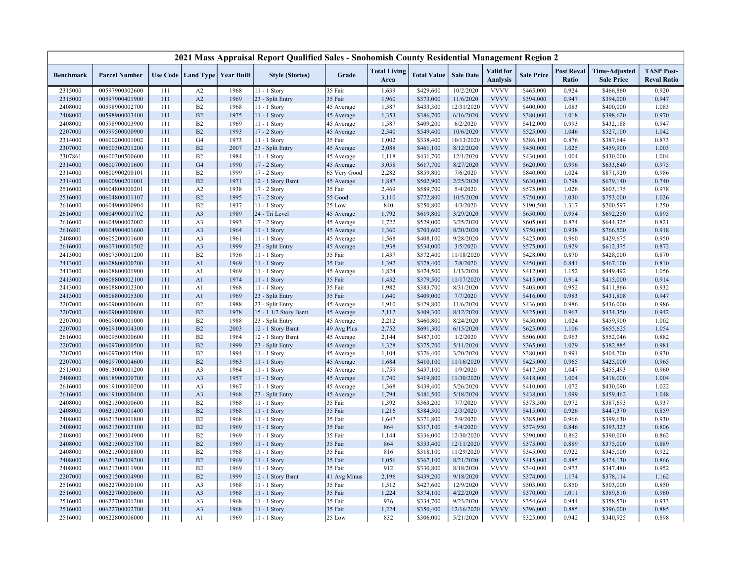|                  |                      |     |                                   |      | 2021 Mass Appraisal Report Qualified Sales - Snohomish County Residential Management Region 2 |              |                             |                    |                  |                              |                   |                            |                                           |                                         |
|------------------|----------------------|-----|-----------------------------------|------|-----------------------------------------------------------------------------------------------|--------------|-----------------------------|--------------------|------------------|------------------------------|-------------------|----------------------------|-------------------------------------------|-----------------------------------------|
| <b>Benchmark</b> | <b>Parcel Number</b> |     | Use Code   Land Type   Year Built |      | <b>Style (Stories)</b>                                                                        | Grade        | <b>Total Living</b><br>Area | <b>Total Value</b> | <b>Sale Date</b> | Valid for<br><b>Analysis</b> | <b>Sale Price</b> | <b>Post Reval</b><br>Ratio | <b>Time-Adjusted</b><br><b>Sale Price</b> | <b>TASP Post-</b><br><b>Reval Ratio</b> |
| 2315000          | 00597900302600       | 111 | A2                                | 1968 | 11 - 1 Story                                                                                  | 35 Fair      | 1,639                       | \$429,600          | 10/2/2020        | <b>VVVV</b>                  | \$465,000         | 0.924                      | \$466,860                                 | 0.920                                   |
| 2315000          | 00597900401900       | 111 | A2                                | 1969 | 23 - Split Entry                                                                              | 35 Fair      | 1,960                       | \$373,000          | 11/6/2020        | <b>VVVV</b>                  | \$394,000         | 0.947                      | \$394,000                                 | 0.947                                   |
| 2408000          | 00598900002700       | 111 | B2                                | 1968 | $11 - 1$ Story                                                                                | 45 Average   | 1,587                       | \$433,300          | 12/31/2020       | <b>VVVV</b>                  | \$400,000         | 1.083                      | \$400,000                                 | 1.083                                   |
| 2408000          | 00598900003400       | 111 | B2                                | 1975 | 11 - 1 Story                                                                                  | 45 Average   | 1,353                       | \$386,700          | 6/16/2020        | <b>VVVV</b>                  | \$380,000         | 1.018                      | \$398,620                                 | 0.970                                   |
| 2408000          | 00598900003900       | 111 | B2                                | 1969 | 11 - 1 Story                                                                                  | 45 Average   | 1,587                       | \$409,200          | 6/2/2020         | <b>VVVV</b>                  | \$412,000         | 0.993                      | \$432,188                                 | 0.947                                   |
| 2207000          | 00599500000900       | 111 | B2                                | 1993 | $17 - 2$ Story                                                                                | 45 Average   | 2,340                       | \$549,400          | 10/6/2020        | <b>VVVV</b>                  | \$525,000         | 1.046                      | \$527,100                                 | 1.042                                   |
| 2314000          | 00600200001002       | 111 | G <sub>4</sub>                    | 1973 | 11 - 1 Story                                                                                  | 35 Fair      | 1,002                       | \$338,400          | 10/13/2020       | <b>VVVV</b>                  | \$386,100         | 0.876                      | \$387,644                                 | 0.873                                   |
| 2307000          | 00600300201200       | 111 | B2                                | 2007 | 23 - Split Entry                                                                              | 45 Average   | 2,088                       | \$461,100          | 8/12/2020        | <b>VVVV</b>                  | \$450,000         | 1.025                      | \$459,900                                 | 1.003                                   |
| 2307861          | 00600300500600       | 111 | B2                                | 1984 | 11 - 1 Story                                                                                  | 45 Average   | 1,118                       | \$431,700          | 12/1/2020        | <b>VVVV</b>                  | \$430,000         | 1.004                      | \$430,000                                 | 1.004                                   |
| 2314000          | 00600700001600       | 111 | G <sub>4</sub>                    | 1990 | 17 - 2 Story                                                                                  | 45 Average   | 3,058                       | \$617,700          | 8/27/2020        | <b>VVVV</b>                  | \$620,000         | 0.996                      | \$633,640                                 | 0.975                                   |
| 2314000          | 00600900200101       | 111 | B2                                | 1999 | 17 - 2 Story                                                                                  | 65 Very Good | 2,282                       | \$859,800          | 7/6/2020         | <b>VVVV</b>                  | \$840,000         | 1.024                      | \$871,920                                 | 0.986                                   |
| 2314000          | 00600900201001       | 111 | B2                                | 1971 | 12 - 1 Story Bsmt                                                                             | 45 Average   | 1,887                       | \$502,900          | 2/25/2020        | <b>VVVV</b>                  | \$630,000         | 0.798                      | \$679,140                                 | 0.740                                   |
| 2516000          | 00604800000201       | 111 | A2                                | 1938 | 17 - 2 Story                                                                                  | 35 Fair      | 2,469                       | \$589,700          | 5/4/2020         | <b>VVVV</b>                  | \$575,000         | 1.026                      | \$603,175                                 | 0.978                                   |
| 2516000          | 00604800001107       | 111 | B2                                | 1995 | 17 - 2 Story                                                                                  | 55 Good      | 3,110                       | \$772,800          | 10/5/2020        | <b>VVVV</b>                  | \$750,000         | 1.030                      | \$753,000                                 | 1.026                                   |
| 2616000          | 00604900000904       | 111 | B2                                | 1937 | $11 - 1$ Story                                                                                | 25 Low       | 840                         | \$250,800          | 4/3/2020         | <b>VVVV</b>                  | \$190,500         | 1.317                      | \$200,597                                 | 1.250                                   |
| 2616000          | 00604900001702       | 111 | A <sub>3</sub>                    | 1989 | 24 - Tri Level                                                                                | 45 Average   | 1,792                       | \$619,800          | 3/29/2020        | <b>VVVV</b>                  | \$650,000         | 0.954                      | \$692,250                                 | 0.895                                   |
| 2616000          | 00604900002002       | 111 | A <sub>3</sub>                    | 1993 | 17 - 2 Story                                                                                  | 45 Average   | 1,722                       | \$529,000          | 3/25/2020        | <b>VVVV</b>                  | \$605,000         | 0.874                      | \$644,325                                 | 0.821                                   |
| 2616801          | 00604900401600       | 111 | A <sub>3</sub>                    | 1964 | 11 - 1 Story                                                                                  | 45 Average   | 1,360                       | \$703,600          | 8/20/2020        | <b>VVVV</b>                  | \$750,000         | 0.938                      | \$766,500                                 | 0.918                                   |
| 2408000          | 00605200001600       | 111 | A <sub>3</sub>                    | 1961 | 11 - 1 Story                                                                                  | 45 Average   | 1,568                       | \$408,100          | 9/28/2020        | <b>VVVV</b>                  | \$425,000         | 0.960                      | \$429,675                                 | 0.950                                   |
| 2616000          | 00607100001502       | 111 | A <sub>3</sub>                    | 1999 | 23 - Split Entry                                                                              | 45 Average   | 1,938                       | \$534,000          | 3/5/2020         | <b>VVVV</b>                  | \$575,000         | 0.929                      | \$612,375                                 | 0.872                                   |
| 2413000          | 00607500001200       | 111 | B2                                | 1956 | 11 - 1 Story                                                                                  | 35 Fair      | 1,437                       | \$372,400          | 11/18/2020       | <b>VVVV</b>                  | \$428,000         | 0.870                      | \$428,000                                 | 0.870                                   |
| 2413000          | 00608800000200       | 111 | A1                                | 1969 | $11 - 1$ Story                                                                                | 35 Fair      | 1,392                       | \$378,400          | 7/8/2020         | <b>VVVV</b>                  | \$450,000         | 0.841                      | \$467,100                                 | 0.810                                   |
| 2413000          | 00608800001900       | 111 | A <sub>1</sub>                    | 1969 | 11 - 1 Story                                                                                  | 45 Average   | 1,824                       | \$474,500          | 1/13/2020        | <b>VVVV</b>                  | \$412,000         | 1.152                      | \$449,492                                 | 1.056                                   |
| 2413000          | 00608800002100       | 111 | A1                                | 1974 | $11 - 1$ Story                                                                                | 35 Fair      | 1,432                       | \$379,500          | 11/17/2020       | <b>VVVV</b>                  | \$415,000         | 0.914                      | \$415,000                                 | 0.914                                   |
| 2413000          | 00608800002300       | 111 | A1                                | 1968 | 11 - 1 Story                                                                                  | 35 Fair      | 1,982                       | \$383,700          | 8/31/2020        | <b>VVVV</b>                  | \$403,000         | 0.952                      | \$411,866                                 | 0.932                                   |
| 2413000          | 00608800005300       | 111 | A <sub>1</sub>                    | 1969 | 23 - Split Entry                                                                              | 35 Fair      | 1,640                       | \$409,000          | 7/7/2020         | <b>VVVV</b>                  | \$416,000         | 0.983                      | \$431,808                                 | 0.947                                   |
| 2207000          | 00609000000600       | 111 | B2                                | 1988 | 23 - Split Entry                                                                              | 45 Average   | 1,910                       | \$429,800          | 11/6/2020        | <b>VVVV</b>                  | \$436,000         | 0.986                      | \$436,000                                 | 0.986                                   |
| 2207000          | 00609000000800       | 111 | B2                                | 1978 | 15 - 1 1/2 Story Bsmt                                                                         | 45 Average   | 2,112                       | \$409,300          | 8/12/2020        | <b>VVVV</b>                  | \$425,000         | 0.963                      | \$434,350                                 | 0.942                                   |
| 2207000          | 00609000001000       | 111 | B <sub>2</sub>                    | 1988 | 23 - Split Entry                                                                              | 45 Average   | 2,212                       | \$460,800          | 8/24/2020        | <b>VVVV</b>                  | \$450,000         | 1.024                      | \$459,900                                 | 1.002                                   |
| 2207000          | 00609100004300       | 111 | B2                                | 2003 | 12 - 1 Story Bsmt                                                                             | 49 Avg Plus  | 2,752                       | \$691,300          | 6/15/2020        | <b>VVVV</b>                  | \$625,000         | 1.106                      | \$655,625                                 | 1.054                                   |
| 2616000          | 00609500000600       | 111 | B2                                | 1964 | 12 - 1 Story Bsmt                                                                             | 45 Average   | 2,144                       | \$487,100          | 1/2/2020         | <b>VVVV</b>                  | \$506,000         | 0.963                      | \$552,046                                 | 0.882                                   |
| 2207000          | 00609700000500       | 111 | B2                                | 1999 | 23 - Split Entry                                                                              | 45 Average   | 1,328                       | \$375,700          | 5/11/2020        | <b>VVVV</b>                  | \$365,000         | 1.029                      | \$382,885                                 | 0.981                                   |
| 2207000          | 00609700004500       | 111 | B2                                | 1994 | $11 - 1$ Story                                                                                | 45 Average   | 1,104                       | \$376,400          | 3/20/2020        | <b>VVVV</b>                  | \$380,000         | 0.991                      | \$404,700                                 | 0.930                                   |
| 2207000          | 00609700004600       | 111 | B2                                | 1963 | 11 - 1 Story                                                                                  | 45 Average   | 1,684                       | \$410,100          | 11/16/2020       | <b>VVVV</b>                  | \$425,000         | 0.965                      | \$425,000                                 | 0.965                                   |
| 2513000          | 00613000001200       | 111 | A <sub>3</sub>                    | 1964 | 11 - 1 Story                                                                                  | 45 Average   | 1,759                       | \$437,100          | 1/9/2020         | <b>VVVV</b>                  | \$417,500         | 1.047                      | \$455,493                                 | 0.960                                   |
| 2408000          | 00618900000700       | 111 | A <sub>3</sub>                    | 1957 | 11 - 1 Story                                                                                  | 45 Average   | 1,740                       | \$419,800          | 11/30/2020       | <b>VVVV</b>                  | \$418,000         | 1.004                      | \$418,000                                 | 1.004                                   |
| 2616000          | 00619100000200       | 111 | A <sub>3</sub>                    | 1967 | $11 - 1$ Story                                                                                | 45 Average   | 1,368                       | \$439,400          | 5/26/2020        | <b>VVVV</b>                  | \$410,000         | 1.072                      | \$430,090                                 | 1.022                                   |
| 2616000          | 00619100000400       | 111 | A <sub>3</sub>                    | 1968 | 23 - Split Entry                                                                              | 45 Average   | 1,794                       | \$481,500          | 5/18/2020        | <b>VVVV</b>                  | \$438,000         | 1.099                      | \$459,462                                 | 1.048                                   |
| 2408000          | 00621300000600       | 111 | B2                                | 1968 | 11 - 1 Story                                                                                  | 35 Fair      | 1,392                       | \$363,200          | 7/7/2020         | <b>VVVV</b>                  | \$373,500         | 0.972                      | \$387,693                                 | 0.937                                   |
| 2408000          | 00621300001400       | 111 | B2                                | 1968 | $11 - 1$ Story                                                                                | 35 Fair      | 1,216                       | \$384,300          | 2/3/2020         | <b>VVVV</b>                  | \$415,000         | 0.926                      | \$447,370                                 | 0.859                                   |
| 2408000          | 00621300001800       | 111 | B2                                | 1968 | 11 - 1 Story                                                                                  | 35 Fair      | 1,647                       | \$371,800          | 7/9/2020         | <b>VVVV</b>                  | \$385,000         | 0.966                      | \$399,630                                 | 0.930                                   |
| 2408000          | 00621300003100       | 111 | B2                                | 1969 | 11 - 1 Story                                                                                  | 35 Fair      | 864                         | \$317,100          | 5/4/2020         | <b>VVVV</b>                  | \$374,950         | 0.846                      | \$393,323                                 | 0.806                                   |
| 2408000          | 00621300004900       | 111 | B2                                | 1969 | $11 - 1$ Story                                                                                | 35 Fair      | 1,144                       | \$336,000          | 12/30/2020       | <b>VVVV</b>                  | \$390,000         | 0.862                      | \$390,000                                 | 0.862                                   |
| 2408000          | 00621300005700       | 111 | B2                                | 1969 | 11 - 1 Story                                                                                  | 35 Fair      | 864                         | \$333,400          | 12/11/2020       | <b>VVVV</b>                  | \$375,000         | 0.889                      | \$375,000                                 | 0.889                                   |
| 2408000          | 00621300008800       | 111 | B <sub>2</sub>                    | 1968 | $11 - 1$ Story                                                                                | 35 Fair      | 816                         | \$318,100          | 11/29/2020       | <b>VVVV</b>                  | \$345,000         | 0.922                      | \$345,000                                 | 0.922                                   |
| 2408000          | 00621300009200       | 111 | B2                                | 1969 | 11 - 1 Story                                                                                  | 35 Fair      | 1,056                       | \$367,100          | 8/21/2020        | <b>VVVV</b>                  | \$415,000         | 0.885                      | \$424,130                                 | 0.866                                   |
| 2408000          | 00621300011900       | 111 | B2                                | 1969 | $11 - 1$ Story                                                                                | 35 Fair      | 912                         | \$330,800          | 8/18/2020        | <b>VVVV</b>                  | \$340,000         | 0.973                      | \$347,480                                 | 0.952                                   |
| 2207000          | 00621500004900       | 111 | B2                                | 1999 | 12 - 1 Story Bsmt                                                                             | 41 Avg Minus | 2,196                       | \$439,200          | 9/18/2020        | <b>VVVV</b>                  | \$374,000         | 1.174                      | \$378,114                                 | 1.162                                   |
| 2516000          | 00622700000100       | 111 | A <sub>3</sub>                    | 1968 | 11 - 1 Story                                                                                  | 35 Fair      | 1,512                       | \$427,600          | 12/9/2020        | <b>VVVV</b>                  | \$503,000         | 0.850                      | \$503,000                                 | 0.850                                   |
| 2516000          | 00622700000600       | 111 | A <sub>3</sub>                    | 1968 | 11 - 1 Story                                                                                  | 35 Fair      | 1,224                       | \$374,100          | 4/22/2020        | <b>VVVV</b>                  | \$370,000         | 1.011                      | \$389,610                                 | 0.960                                   |
| 2516000          | 00622700001200       | 111 | A <sub>3</sub>                    | 1968 | 11 - 1 Story                                                                                  | 35 Fair      | 936                         | \$334,700          | 9/23/2020        | <b>VVVV</b>                  | \$354,669         | 0.944                      | \$358,570                                 | 0.933                                   |
| 2516000          | 00622700002700       | 111 | A <sub>3</sub>                    | 1968 | $11 - 1$ Story                                                                                | 35 Fair      | 1,224                       | \$350,400          | 12/16/2020       | <b>VVVV</b>                  | \$396,000         | 0.885                      | \$396,000                                 | 0.885                                   |
| 2516000          | 00622800006000       | 111 | A1                                | 1969 | 11 - 1 Story                                                                                  | 25 Low       | 832                         | \$306,000          | 5/21/2020        | <b>VVVV</b>                  | \$325,000         | 0.942                      | \$340,925                                 | 0.898                                   |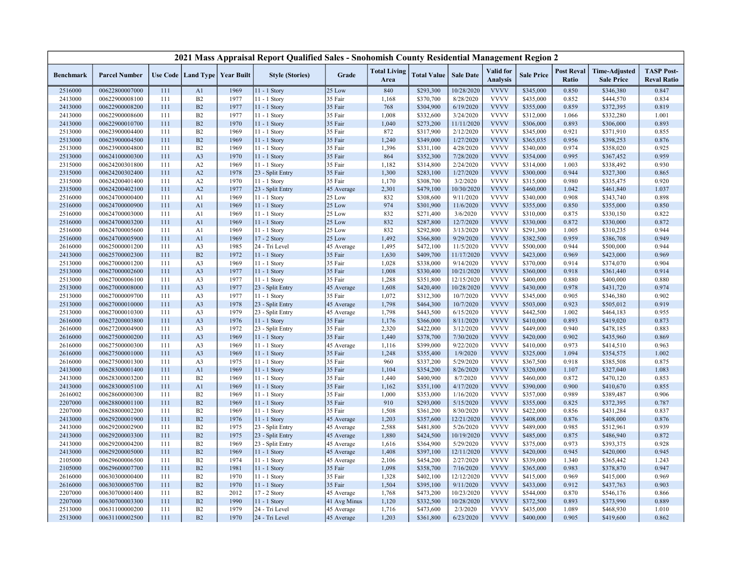|                  |                      |     |                                   |      | 2021 Mass Appraisal Report Qualified Sales - Snohomish County Residential Management Region 2 |              |                             |                    |                  |                                     |                   |                            |                                           |                                         |
|------------------|----------------------|-----|-----------------------------------|------|-----------------------------------------------------------------------------------------------|--------------|-----------------------------|--------------------|------------------|-------------------------------------|-------------------|----------------------------|-------------------------------------------|-----------------------------------------|
| <b>Benchmark</b> | <b>Parcel Number</b> |     | Use Code   Land Type   Year Built |      | <b>Style (Stories)</b>                                                                        | Grade        | <b>Total Living</b><br>Area | <b>Total Value</b> | <b>Sale Date</b> | <b>Valid</b> for<br><b>Analysis</b> | <b>Sale Price</b> | <b>Post Reval</b><br>Ratio | <b>Time-Adjusted</b><br><b>Sale Price</b> | <b>TASP Post-</b><br><b>Reval Ratio</b> |
| 2516000          | 00622800007000       | 111 | A <sub>1</sub>                    | 1969 | 11 - 1 Story                                                                                  | 25 Low       | 840                         | \$293,300          | 10/28/2020       | <b>VVVV</b>                         | \$345,000         | 0.850                      | \$346,380                                 | 0.847                                   |
| 2413000          | 00622900008100       | 111 | B2                                | 1977 | 11 - 1 Story                                                                                  | 35 Fair      | 1,168                       | \$370,700          | 8/28/2020        | <b>VVVV</b>                         | \$435,000         | 0.852                      | \$444,570                                 | 0.834                                   |
| 2413000          | 00622900008200       | 111 | B <sub>2</sub>                    | 1977 | $11 - 1$ Story                                                                                | 35 Fair      | 768                         | \$304,900          | 6/19/2020        | <b>VVVV</b>                         | \$355,000         | 0.859                      | \$372,395                                 | 0.819                                   |
| 2413000          | 00622900008600       | 111 | B <sub>2</sub>                    | 1977 | 11 - 1 Story                                                                                  | 35 Fair      | 1,008                       | \$332,600          | 3/24/2020        | <b>VVVV</b>                         | \$312,000         | 1.066                      | \$332,280                                 | 1.001                                   |
| 2413000          | 00622900010700       | 111 | B2                                | 1970 | 11 - 1 Story                                                                                  | 35 Fair      | 1,040                       | \$273,200          | 11/11/2020       | <b>VVVV</b>                         | \$306,000         | 0.893                      | \$306,000                                 | 0.893                                   |
| 2513000          | 00623900004400       | 111 | B <sub>2</sub>                    | 1969 | $11 - 1$ Story                                                                                | 35 Fair      | 872                         | \$317,900          | 2/12/2020        | <b>VVVV</b>                         | \$345,000         | 0.921                      | \$371,910                                 | 0.855                                   |
| 2513000          | 00623900004500       | 111 | B2                                | 1969 | 11 - 1 Story                                                                                  | 35 Fair      | 1,240                       | \$349,000          | 1/27/2020        | <b>VVVV</b>                         | \$365,035         | 0.956                      | \$398,253                                 | 0.876                                   |
| 2513000          | 00623900004800       | 111 | B2                                | 1969 | 11 - 1 Story                                                                                  | 35 Fair      | 1,396                       | \$331,100          | 4/28/2020        | <b>VVVV</b>                         | \$340,000         | 0.974                      | \$358,020                                 | 0.925                                   |
| 2513000          | 00624100000300       | 111 | A <sub>3</sub>                    | 1970 | 11 - 1 Story                                                                                  | 35 Fair      | 864                         | \$352,300          | 7/28/2020        | <b>VVVV</b>                         | \$354,000         | 0.995                      | \$367,452                                 | 0.959                                   |
| 2315000          | 00624200301800       | 111 | A2                                | 1969 | 11 - 1 Story                                                                                  | 35 Fair      | 1,182                       | \$314,800          | 2/24/2020        | <b>VVVV</b>                         | \$314,000         | 1.003                      | \$338,492                                 | 0.930                                   |
| 2315000          | 00624200302400       | 111 | A2                                | 1978 | 23 - Split Entry                                                                              | 35 Fair      | 1,300                       | \$283,100          | 1/27/2020        | <b>VVVV</b>                         | \$300,000         | 0.944                      | \$327,300                                 | 0.865                                   |
| 2315000          | 00624200401400       | 111 | A2                                | 1970 | 11 - 1 Story                                                                                  | 35 Fair      | 1,170                       | \$308,700          | 3/2/2020         | <b>VVVV</b>                         | \$315,000         | 0.980                      | \$335,475                                 | 0.920                                   |
| 2315000          | 00624200402100       | 111 | A2                                | 1977 | 23 - Split Entry                                                                              | 45 Average   | 2,301                       | \$479,100          | 10/30/2020       | <b>VVVV</b>                         | \$460,000         | 1.042                      | \$461,840                                 | 1.037                                   |
| 2516000          | 00624700000400       | 111 | A1                                | 1969 | 11 - 1 Story                                                                                  | 25 Low       | 832                         | \$308,600          | 9/11/2020        | <b>VVVV</b>                         | \$340,000         | 0.908                      | \$343,740                                 | 0.898                                   |
| 2516000          | 00624700000900       | 111 | A1                                | 1969 | $11 - 1$ Story                                                                                | 25 Low       | 974                         | \$301,900          | 11/6/2020        | <b>VVVV</b>                         | \$355,000         | 0.850                      | \$355,000                                 | 0.850                                   |
| 2516000          | 00624700003000       | 111 | A1                                | 1969 | 11 - 1 Story                                                                                  | 25 Low       | 832                         | \$271,400          | 3/6/2020         | <b>VVVV</b>                         | \$310,000         | 0.875                      | \$330,150                                 | 0.822                                   |
| 2516000          | 00624700003200       | 111 | A1                                | 1969 | 11 - 1 Story                                                                                  | 25 Low       | 832                         | \$287,800          | 12/7/2020        | <b>VVVV</b>                         | \$330,000         | 0.872                      | \$330,000                                 | 0.872                                   |
| 2516000          | 00624700005600       | 111 | A1                                | 1969 | 11 - 1 Story                                                                                  | 25 Low       | 832                         | \$292,800          | 3/13/2020        | <b>VVVV</b>                         | \$291,300         | 1.005                      | \$310,235                                 | 0.944                                   |
| 2516000          | 00624700005900       | 111 | A1                                | 1969 | 17 - 2 Story                                                                                  | 25 Low       | 1,492                       | \$366,800          | 9/29/2020        | <b>VVVV</b>                         | \$382,500         | 0.959                      | \$386,708                                 | 0.949                                   |
| 2616000          | 00625000001200       | 111 | A <sub>3</sub>                    | 1985 | 24 - Tri Level                                                                                | 45 Average   | 1,495                       | \$472,100          | 11/5/2020        | <b>VVVV</b>                         | \$500,000         | 0.944                      | \$500,000                                 | 0.944                                   |
| 2413000          | 00625700002300       | 111 | B2                                | 1972 | 11 - 1 Story                                                                                  | 35 Fair      | 1,630                       | \$409,700          | 11/17/2020       | <b>VVVV</b>                         | \$423,000         | 0.969                      | \$423,000                                 | 0.969                                   |
| 2513000          | 00627000001200       | 111 | A <sub>3</sub>                    | 1969 | $11 - 1$ Story                                                                                | 35 Fair      | 1,028                       | \$338,000          | 9/14/2020        | <b>VVVV</b>                         | \$370,000         | 0.914                      | \$374,070                                 | 0.904                                   |
| 2513000          | 00627000002600       | 111 | A <sub>3</sub>                    | 1977 | $11 - 1$ Story                                                                                | 35 Fair      | 1,008                       | \$330,400          | 10/21/2020       | <b>VVVV</b>                         | \$360,000         | 0.918                      | \$361,440                                 | 0.914                                   |
| 2513000          | 00627000006100       | 111 | A <sub>3</sub>                    | 1977 | 11 - 1 Story                                                                                  | 35 Fair      | 1,288                       | \$351,800          | 12/15/2020       | <b>VVVV</b>                         | \$400,000         | 0.880                      | \$400,000                                 | 0.880                                   |
| 2513000          | 00627000008000       | 111 | A <sub>3</sub>                    | 1977 | 23 - Split Entry                                                                              | 45 Average   | 1,608                       | \$420,400          | 10/28/2020       | <b>VVVV</b>                         | \$430,000         | 0.978                      | \$431,720                                 | 0.974                                   |
| 2513000          | 00627000009700       | 111 | A <sub>3</sub>                    | 1977 | 11 - 1 Story                                                                                  | 35 Fair      | 1,072                       | \$312,300          | 10/7/2020        | <b>VVVV</b>                         | \$345,000         | 0.905                      | \$346,380                                 | 0.902                                   |
| 2513000          | 00627000010000       | 111 | A <sub>3</sub>                    | 1978 | 23 - Split Entry                                                                              | 45 Average   | 1,798                       | \$464,300          | 10/7/2020        | <b>VVVV</b>                         | \$503,000         | 0.923                      | \$505,012                                 | 0.919                                   |
| 2513000          | 00627000010300       | 111 | A <sub>3</sub>                    | 1979 | 23 - Split Entry                                                                              | 45 Average   | 1,798                       | \$443,500          | 6/15/2020        | <b>VVVV</b>                         | \$442,500         | 1.002                      | \$464,183                                 | 0.955                                   |
| 2616000          | 00627200003800       | 111 | A <sub>3</sub>                    | 1976 | 11 - 1 Story                                                                                  | 35 Fair      | 1,176                       | \$366,000          | 8/11/2020        | <b>VVVV</b>                         | \$410,000         | 0.893                      | \$419,020                                 | 0.873                                   |
| 2616000          | 00627200004900       | 111 | A <sub>3</sub>                    | 1972 | 23 - Split Entry                                                                              | 35 Fair      | 2,320                       | \$422,000          | 3/12/2020        | <b>VVVV</b>                         | \$449,000         | 0.940                      | \$478,185                                 | 0.883                                   |
| 2616000          | 00627500000200       | 111 | A <sub>3</sub>                    | 1969 | 11 - 1 Story                                                                                  | 35 Fair      | 1,440                       | \$378,700          | 7/30/2020        | <b>VVVV</b>                         | \$420,000         | 0.902                      | \$435,960                                 | 0.869                                   |
| 2616000          | 00627500000300       | 111 | A <sub>3</sub>                    | 1969 | 11 - 1 Story                                                                                  | 45 Average   | 1,116                       | \$399,000          | 9/22/2020        | <b>VVVV</b>                         | \$410,000         | 0.973                      | \$414,510                                 | 0.963                                   |
| 2616000          | 00627500001000       | 111 | A <sub>3</sub>                    | 1969 | $11 - 1$ Story                                                                                | 35 Fair      | 1,248                       | \$355,400          | 1/9/2020         | <b>VVVV</b>                         | \$325,000         | 1.094                      | \$354,575                                 | 1.002                                   |
| 2616000          | 00627500001300       | 111 | A <sub>3</sub>                    | 1975 | 11 - 1 Story                                                                                  | 35 Fair      | 960                         | \$337,200          | 5/29/2020        | <b>VVVV</b>                         | \$367,500         | 0.918                      | \$385,508                                 | 0.875                                   |
| 2413000          | 00628300001400       | 111 | A1                                | 1969 | 11 - 1 Story                                                                                  | 35 Fair      | 1,104                       | \$354,200          | 8/26/2020        | <b>VVVV</b>                         | \$320,000         | 1.107                      | \$327,040                                 | 1.083                                   |
| 2413000          | 00628300003200       | 111 | B2                                | 1969 | 11 - 1 Story                                                                                  | 35 Fair      | 1,440                       | \$400,900          | 8/7/2020         | <b>VVVV</b>                         | \$460,000         | 0.872                      | \$470,120                                 | 0.853                                   |
| 2413000          | 00628300005100       | 111 | A1                                | 1969 | 11 - 1 Story                                                                                  | 35 Fair      | 1,162                       | \$351,100          | 4/17/2020        | <b>VVVV</b>                         | \$390,000         | 0.900                      | \$410,670                                 | 0.855                                   |
| 2616002          | 00628600000300       | 111 | B2                                | 1969 | $11 - 1$ Story                                                                                | 35 Fair      | 1,000                       | \$353,000          | 1/16/2020        | <b>VVVV</b>                         | \$357,000         | 0.989                      | \$389,487                                 | 0.906                                   |
| 2207000          | 00628800001100       | 111 | B2                                | 1969 | 11 - 1 Story                                                                                  | 35 Fair      | 910                         | \$293,000          | 5/15/2020        | <b>VVVV</b>                         | \$355,000         | 0.825                      | \$372,395                                 | 0.787                                   |
| 2207000          | 00628800002200       | 111 | B2                                | 1969 | $11 - 1$ Story                                                                                | 35 Fair      | 1,508                       | \$361,200          | 8/30/2020        | <b>VVVV</b>                         | \$422,000         | 0.856                      | \$431,284                                 | 0.837                                   |
| 2413000          | 00629200001900       | 111 | B2                                | 1976 | 11 - 1 Story                                                                                  | 45 Average   | 1,203                       | \$357,600          | 12/21/2020       | <b>VVVV</b>                         | \$408,000         | 0.876                      | \$408,000                                 | 0.876                                   |
| 2413000          | 00629200002900       | 111 | B2                                | 1975 | 23 - Split Entry                                                                              | 45 Average   | 2,588                       | \$481,800          | 5/26/2020        | <b>VVVV</b>                         | \$489,000         | 0.985                      | \$512,961                                 | 0.939                                   |
| 2413000          | 00629200003300       | 111 | B2                                | 1975 | 23 - Split Entry                                                                              | 45 Average   | 1,880                       | \$424,500          | 10/19/2020       | <b>VVVV</b>                         | \$485,000         | 0.875                      | \$486,940                                 | 0.872                                   |
| 2413000          | 00629200004200       | 111 | B2                                | 1969 | 23 - Split Entry                                                                              | 45 Average   | 1,616                       | \$364,900          | 5/29/2020        | <b>VVVV</b>                         | \$375,000         | 0.973                      | \$393,375                                 | 0.928                                   |
| 2413000          | 00629200005000       | 111 | B2                                | 1969 | $11 - 1$ Story                                                                                | 45 Average   | 1,408                       | \$397,100          | 12/11/2020       | <b>VVVV</b>                         | \$420,000         | 0.945                      | \$420,000                                 | 0.945                                   |
| 2105000          | 00629600006500       | 111 | B2                                | 1974 | 11 - 1 Story                                                                                  | 45 Average   | 2,106                       | \$454,200          | 2/27/2020        | <b>VVVV</b>                         | \$339,000         | 1.340                      | \$365,442                                 | 1.243                                   |
| 2105000          | 00629600007700       | 111 | B2                                | 1981 | $11 - 1$ Story                                                                                | 35 Fair      | 1,098                       | \$358,700          | 7/16/2020        | <b>VVVV</b>                         | \$365,000         | 0.983                      | \$378,870                                 | 0.947                                   |
| 2616000          | 00630300000400       | 111 | B2                                | 1970 | 11 - 1 Story                                                                                  | 35 Fair      | 1,328                       | \$402,100          | 12/12/2020       | <b>VVVV</b>                         | \$415,000         | 0.969                      | \$415,000                                 | 0.969                                   |
| 2616000          | 00630300005700       | 111 | B2                                | 1970 | 11 - 1 Story                                                                                  | 35 Fair      | 1,504                       | \$395,100          | 9/11/2020        | <b>VVVV</b>                         | \$433,000         | 0.912                      | \$437,763                                 | 0.903                                   |
| 2207000          | 00630700001400       | 111 | B2                                | 2012 | 17 - 2 Story                                                                                  | 45 Average   | 1,768                       | \$473,200          | 10/23/2020       | <b>VVVV</b>                         | \$544,000         | 0.870                      | \$546,176                                 | 0.866                                   |
| 2207000          | 00630700003300       | 111 | B2                                | 1990 | 11 - 1 Story                                                                                  | 41 Avg Minus | 1,120                       | \$332,500          | 10/28/2020       | <b>VVVV</b>                         | \$372,500         | 0.893                      | \$373,990                                 | 0.889                                   |
| 2513000          | 00631100000200       | 111 | B2                                | 1979 | 24 - Tri Level                                                                                | 45 Average   | 1,716                       | \$473,600          | 2/3/2020         | <b>VVVV</b>                         | \$435,000         | 1.089                      | \$468,930                                 | 1.010                                   |
| 2513000          | 00631100002500       | 111 | B2                                | 1970 | 24 - Tri Level                                                                                | 45 Average   | 1,203                       | \$361,800          | 6/23/2020        | <b>VVVV</b>                         | \$400,000         | 0.905                      | \$419,600                                 | 0.862                                   |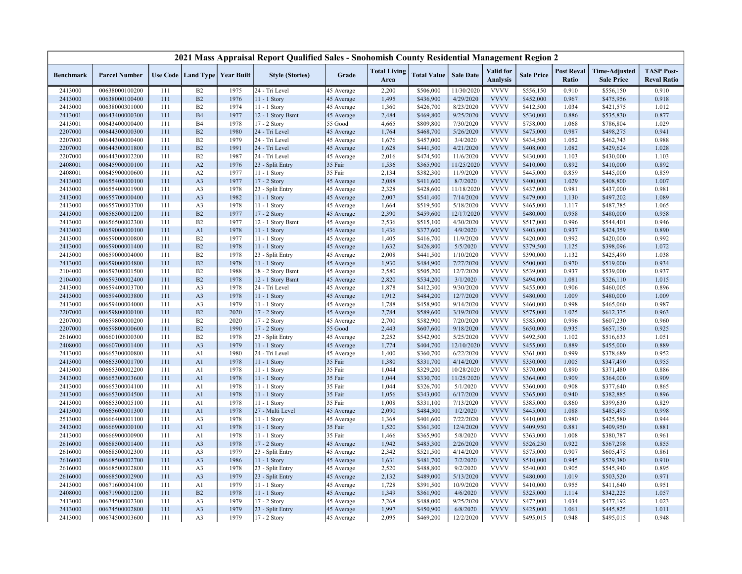|                  |                      |     |                                   |      | 2021 Mass Appraisal Report Qualified Sales - Snohomish County Residential Management Region 2 |            |                             |                    |                  |                              |                   |                            |                                           |                                         |
|------------------|----------------------|-----|-----------------------------------|------|-----------------------------------------------------------------------------------------------|------------|-----------------------------|--------------------|------------------|------------------------------|-------------------|----------------------------|-------------------------------------------|-----------------------------------------|
| <b>Benchmark</b> | <b>Parcel Number</b> |     | Use Code   Land Type   Year Built |      | <b>Style (Stories)</b>                                                                        | Grade      | <b>Total Living</b><br>Area | <b>Total Value</b> | <b>Sale Date</b> | Valid for<br><b>Analysis</b> | <b>Sale Price</b> | <b>Post Reval</b><br>Ratio | <b>Time-Adjusted</b><br><b>Sale Price</b> | <b>TASP Post-</b><br><b>Reval Ratio</b> |
| 2413000          | 00638000100200       | 111 | B2                                | 1975 | 24 - Tri Level                                                                                | 45 Average | 2,200                       | \$506,000          | 11/30/2020       | <b>VVVV</b>                  | \$556,150         | 0.910                      | \$556,150                                 | 0.910                                   |
| 2413000          | 00638000100400       | 111 | B2                                | 1976 | 11 - 1 Story                                                                                  | 45 Average | 1,495                       | \$436,900          | 4/29/2020        | <b>VVVV</b>                  | \$452,000         | 0.967                      | \$475,956                                 | 0.918                                   |
| 2413000          | 00638000301000       | 111 | B2                                | 1974 | $11 - 1$ Story                                                                                | 45 Average | 1,360                       | \$426,700          | 8/23/2020        | <b>VVVV</b>                  | \$412,500         | 1.034                      | \$421,575                                 | 1.012                                   |
| 2413001          | 00643400000300       | 111 | <b>B4</b>                         | 1977 | 12 - 1 Story Bsmt                                                                             | 45 Average | 2,484                       | \$469,800          | 9/25/2020        | <b>VVVV</b>                  | \$530,000         | 0.886                      | \$535,830                                 | 0.877                                   |
| 2413001          | 00643400000400       | 111 | <b>B4</b>                         | 1978 | 17 - 2 Story                                                                                  | 55 Good    | 4,665                       | \$809,800          | 7/30/2020        | <b>VVVV</b>                  | \$758,000         | 1.068                      | \$786,804                                 | 1.029                                   |
| 2207000          | 00644300000300       | 111 | B2                                | 1980 | 24 - Tri Level                                                                                | 45 Average | 1,764                       | \$468,700          | 5/26/2020        | <b>VVVV</b>                  | \$475,000         | 0.987                      | \$498,275                                 | 0.941                                   |
| 2207000          | 00644300000400       | 111 | B2                                | 1979 | 24 - Tri Level                                                                                | 45 Average | 1,676                       | \$457,000          | 3/4/2020         | <b>VVVV</b>                  | \$434,500         | 1.052                      | \$462,743                                 | 0.988                                   |
| 2207000          | 00644300001800       | 111 | B2                                | 1991 | 24 - Tri Level                                                                                | 45 Average | 1,628                       | \$441,500          | 4/21/2020        | <b>VVVV</b>                  | \$408,000         | 1.082                      | \$429,624                                 | 1.028                                   |
| 2207000          | 00644300002200       | 111 | B2                                | 1987 | 24 - Tri Level                                                                                | 45 Average | 2,016                       | \$474,500          | 11/6/2020        | <b>VVVV</b>                  | \$430,000         | 1.103                      | \$430,000                                 | 1.103                                   |
| 2408001          | 00645900000100       | 111 | A2                                | 1976 | 23 - Split Entry                                                                              | 35 Fair    | 1,536                       | \$365,900          | 11/25/2020       | <b>VVVV</b>                  | \$410,000         | 0.892                      | \$410,000                                 | 0.892                                   |
| 2408001          | 00645900000600       | 111 | A2                                | 1977 | 11 - 1 Story                                                                                  | 35 Fair    | 2,134                       | \$382,300          | 11/9/2020        | <b>VVVV</b>                  | \$445,000         | 0.859                      | \$445,000                                 | 0.859                                   |
| 2413000          | 00655400000100       | 111 | A <sub>3</sub>                    | 1977 | 17 - 2 Story                                                                                  | 45 Average | 2,088                       | \$411,600          | 8/7/2020         | <b>VVVV</b>                  | \$400,000         | 1.029                      | \$408,800                                 | 1.007                                   |
| 2413000          | 00655400001900       | 111 | A <sub>3</sub>                    | 1978 | 23 - Split Entry                                                                              | 45 Average | 2,328                       | \$428,600          | 11/18/2020       | <b>VVVV</b>                  | \$437,000         | 0.981                      | \$437,000                                 | 0.981                                   |
| 2413000          | 00655700000400       | 111 | A <sub>3</sub>                    | 1982 | 11 - 1 Story                                                                                  | 45 Average | 2,007                       | \$541,400          | 7/14/2020        | <b>VVVV</b>                  | \$479,000         | 1.130                      | \$497,202                                 | 1.089                                   |
| 2413000          | 00655700003700       | 111 | A <sub>3</sub>                    | 1978 | 11 - 1 Story                                                                                  | 45 Average | 1,664                       | \$519,500          | 5/18/2020        | <b>VVVV</b>                  | \$465,000         | 1.117                      | \$487,785                                 | 1.065                                   |
| 2413000          | 00656500001200       | 111 | B2                                | 1977 | 17 - 2 Story                                                                                  | 45 Average | 2,390                       | \$459,600          | 12/17/2020       | <b>VVVV</b>                  | \$480,000         | 0.958                      | \$480,000                                 | 0.958                                   |
| 2413000          | 00656500002300       | 111 | B2                                | 1977 | 12 - 1 Story Bsmt                                                                             | 45 Average | 2,536                       | \$515,100          | 4/30/2020        | <b>VVVV</b>                  | \$517,000         | 0.996                      | \$544,401                                 | 0.946                                   |
| 2413000          | 00659000000100       | 111 | A1                                | 1978 | 11 - 1 Story                                                                                  | 45 Average | 1,436                       | \$377,600          | 4/9/2020         | <b>VVVV</b>                  | \$403,000         | 0.937                      | \$424,359                                 | 0.890                                   |
| 2413000          | 00659000000800       | 111 | B2                                | 1977 | 11 - 1 Story                                                                                  | 45 Average | 1,405                       | \$416,700          | 11/9/2020        | <b>VVVV</b>                  | \$420,000         | 0.992                      | \$420,000                                 | 0.992                                   |
| 2413000          | 00659000001400       | 111 | B2                                | 1978 | 11 - 1 Story                                                                                  | 45 Average | 1,632                       | \$426,800          | 5/5/2020         | <b>VVVV</b>                  | \$379,500         | 1.125                      | \$398,096                                 | 1.072                                   |
| 2413000          | 00659000004000       | 111 | B2                                | 1978 | 23 - Split Entry                                                                              | 45 Average | 2,008                       | \$441,500          | 1/10/2020        | <b>VVVV</b>                  | \$390,000         | 1.132                      | \$425,490                                 | 1.038                                   |
| 2413000          | 00659000004800       | 111 | B2                                | 1978 | $11 - 1$ Story                                                                                | 45 Average | 1,930                       | \$484,900          | 7/27/2020        | <b>VVVV</b>                  | \$500,000         | 0.970                      | \$519,000                                 | 0.934                                   |
| 2104000          | 00659300001500       | 111 | B2                                | 1988 | 18 - 2 Story Bsmt                                                                             | 45 Average | 2,580                       | \$505,200          | 12/7/2020        | <b>VVVV</b>                  | \$539,000         | 0.937                      | \$539,000                                 | 0.937                                   |
| 2104000          | 00659300002400       | 111 | B2                                | 1978 | 12 - 1 Story Bsmt                                                                             | 45 Average | 2,820                       | \$534,200          | 3/1/2020         | <b>VVVV</b>                  | \$494,000         | 1.081                      | \$526,110                                 | 1.015                                   |
| 2413000          | 00659400003700       | 111 | A <sub>3</sub>                    | 1978 | 24 - Tri Level                                                                                | 45 Average | 1,878                       | \$412,300          | 9/30/2020        | <b>VVVV</b>                  | \$455,000         | 0.906                      | \$460,005                                 | 0.896                                   |
| 2413000          | 00659400003800       | 111 | A <sub>3</sub>                    | 1978 | $11 - 1$ Story                                                                                | 45 Average | 1,912                       | \$484,200          | 12/7/2020        | <b>VVVV</b>                  | \$480,000         | 1.009                      | \$480,000                                 | 1.009                                   |
| 2413000          | 00659400004000       | 111 | A <sub>3</sub>                    | 1979 | 11 - 1 Story                                                                                  | 45 Average | 1,788                       | \$458,900          | 9/14/2020        | <b>VVVV</b>                  | \$460,000         | 0.998                      | \$465,060                                 | 0.987                                   |
| 2207000          | 00659800000100       | 111 | B2                                | 2020 | 17 - 2 Story                                                                                  | 45 Average | 2,784                       | \$589,600          | 3/19/2020        | <b>VVVV</b>                  | \$575,000         | 1.025                      | \$612,375                                 | 0.963                                   |
| 2207000          | 00659800000200       | 111 | B2                                | 2020 | 17 - 2 Story                                                                                  | 45 Average | 2,700                       | \$582,900          | 7/20/2020        | <b>VVVV</b>                  | \$585,000         | 0.996                      | \$607,230                                 | 0.960                                   |
| 2207000          | 00659800000600       | 111 | B2                                | 1990 | 17 - 2 Story                                                                                  | 55 Good    | 2,443                       | \$607,600          | 9/18/2020        | <b>VVVV</b>                  | \$650,000         | 0.935                      | \$657,150                                 | 0.925                                   |
| 2616000          | 00660100000300       | 111 | B2                                | 1978 | 23 - Split Entry                                                                              | 45 Average | 2,252                       | \$542,900          | 5/25/2020        | <b>VVVV</b>                  | \$492,500         | 1.102                      | \$516,633                                 | 1.051                                   |
| 2408000          | 00660700001400       | 111 | A <sub>3</sub>                    | 1979 | 11 - 1 Story                                                                                  | 45 Average | 1,774                       | \$404,700          | 12/10/2020       | <b>VVVV</b>                  | \$455,000         | 0.889                      | \$455,000                                 | 0.889                                   |
| 2413000          | 00665300000800       | 111 | A <sub>1</sub>                    | 1980 | 24 - Tri Level                                                                                | 45 Average | 1,400                       | \$360,700          | 6/22/2020        | <b>VVVV</b>                  | \$361,000         | 0.999                      | \$378,689                                 | 0.952                                   |
| 2413000          | 00665300001700       | 111 | A1                                | 1978 | 11 - 1 Story                                                                                  | 35 Fair    | 1,380                       | \$331,700          | 4/14/2020        | <b>VVVV</b>                  | \$330,000         | 1.005                      | \$347,490                                 | 0.955                                   |
| 2413000          | 00665300002200       | 111 | A1                                | 1978 | 11 - 1 Story                                                                                  | 35 Fair    | 1,044                       | \$329,200          | 10/28/2020       | <b>VVVV</b>                  | \$370,000         | 0.890                      | \$371,480                                 | 0.886                                   |
| 2413000          | 00665300003600       | 111 | A1                                | 1978 | 11 - 1 Story                                                                                  | 35 Fair    | 1,044                       | \$330,700          | 11/25/2020       | <b>VVVV</b>                  | \$364,000         | 0.909                      | \$364,000                                 | 0.909                                   |
| 2413000          | 00665300004100       | 111 | A1                                | 1978 | $11 - 1$ Story                                                                                | 35 Fair    | 1,044                       | \$326,700          | 5/1/2020         | <b>VVVV</b>                  | \$360,000         | 0.908                      | \$377,640                                 | 0.865                                   |
| 2413000          | 00665300004500       | 111 | A <sub>1</sub>                    | 1978 | 11 - 1 Story                                                                                  | 35 Fair    | 1,056                       | \$343,000          | 6/17/2020        | <b>VVVV</b>                  | \$365,000         | 0.940                      | \$382,885                                 | 0.896                                   |
| 2413000          | 00665300005100       | 111 | A1                                | 1978 | 11 - 1 Story                                                                                  | 35 Fair    | 1,008                       | \$331,100          | 7/13/2020        | <b>VVVV</b>                  | \$385,000         | 0.860                      | \$399,630                                 | 0.829                                   |
| 2413000          | 00665600001300       | 111 | A <sub>1</sub>                    | 1978 | 27 - Multi Level                                                                              | 45 Average | 2,090                       | \$484,300          | 1/2/2020         | <b>VVVV</b>                  | \$445,000         | 1.088                      | \$485,495                                 | 0.998                                   |
| 2513000          | 00666400001100       | 111 | A <sub>3</sub>                    | 1978 | 11 - 1 Story                                                                                  | 45 Average | 1,368                       | \$401,600          | 7/22/2020        | <b>VVVV</b>                  | \$410,000         | 0.980                      | \$425,580                                 | 0.944                                   |
| 2413000          | 00666900000100       | 111 | A1                                | 1978 | 11 - 1 Story                                                                                  | 35 Fair    | 1,520                       | \$361,300          | 12/4/2020        | <b>VVVV</b>                  | \$409,950         | 0.881                      | \$409,950                                 | 0.881                                   |
| 2413000          | 00666900000900       | 111 | A1                                | 1978 | 11 - 1 Story                                                                                  | 35 Fair    | 1,466                       | \$365,900          | 5/8/2020         | <b>VVVV</b>                  | \$363,000         | 1.008                      | \$380,787                                 | 0.961                                   |
| 2616000          | 00668500001400       | 111 | A <sub>3</sub>                    | 1978 | 17 - 2 Story                                                                                  | 45 Average | 1,942                       | \$485,300          | 2/26/2020        | <b>VVVV</b>                  | \$526,250         | 0.922                      | \$567,298                                 | 0.855                                   |
| 2616000          | 00668500002300       | 111 | A <sub>3</sub>                    | 1979 | 23 - Split Entry                                                                              | 45 Average | 2,342                       | \$521,500          | 4/14/2020        | <b>VVVV</b>                  | \$575,000         | 0.907                      | \$605,475                                 | 0.861                                   |
| 2616000          | 00668500002700       | 111 | A <sub>3</sub>                    | 1986 | 11 - 1 Story                                                                                  | 45 Average | 1,631                       | \$481,700          | 7/2/2020         | <b>VVVV</b>                  | \$510,000         | 0.945                      | \$529,380                                 | 0.910                                   |
| 2616000          | 00668500002800       | 111 | A <sub>3</sub>                    | 1978 | 23 - Split Entry                                                                              | 45 Average | 2,520                       | \$488,800          | 9/2/2020         | <b>VVVV</b>                  | \$540,000         | 0.905                      | \$545,940                                 | 0.895                                   |
| 2616000          | 00668500002900       | 111 | A <sub>3</sub>                    | 1979 | 23 - Split Entry                                                                              | 45 Average | 2,132                       | \$489,000          | 5/13/2020        | <b>VVVV</b>                  | \$480,000         | 1.019                      | \$503,520                                 | 0.971                                   |
| 2413000          | 00671600004100       | 111 | A1                                | 1979 | 11 - 1 Story                                                                                  | 45 Average | 1,728                       | \$391,500          | 10/9/2020        | <b>VVVV</b>                  | \$410,000         | 0.955                      | \$411,640                                 | 0.951                                   |
| 2408000          | 00671900001200       | 111 | B2                                | 1978 | 11 - 1 Story                                                                                  | 45 Average | 1,349                       | \$361,900          | 4/6/2020         | <b>VVVV</b>                  | \$325,000         | 1.114                      | \$342,225                                 | 1.057                                   |
| 2413000          | 00674500002300       | 111 | A <sub>3</sub>                    | 1979 | 17 - 2 Story                                                                                  | 45 Average | 2,268                       | \$488,000          | 9/25/2020        | <b>VVVV</b>                  | \$472,000         | 1.034                      | \$477,192                                 | 1.023                                   |
| 2413000          | 00674500002800       | 111 | A <sub>3</sub>                    | 1979 | 23 - Split Entry                                                                              | 45 Average | 1,997                       | \$450,900          | 6/8/2020         | <b>VVVV</b>                  | \$425,000         | 1.061                      | \$445,825                                 | 1.011                                   |
| 2413000          | 00674500003600       | 111 | A <sub>3</sub>                    | 1979 | 17 - 2 Story                                                                                  | 45 Average | 2,095                       | \$469,200          | 12/2/2020        | <b>VVVV</b>                  | \$495,015         | 0.948                      | \$495,015                                 | 0.948                                   |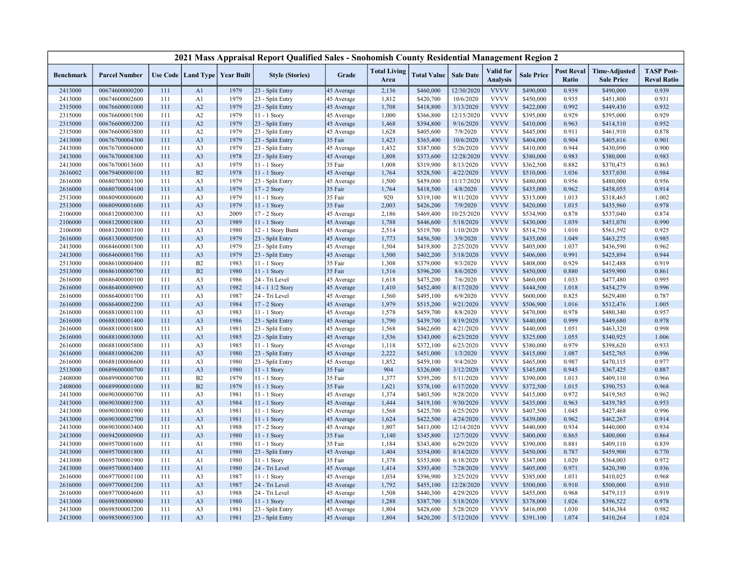|                    |                                  |            |                                   |              | 2021 Mass Appraisal Report Qualified Sales - Snohomish County Residential Management Region 2 |                          |                             |                        |                        |                                     |                        |                            |                                           |                                         |
|--------------------|----------------------------------|------------|-----------------------------------|--------------|-----------------------------------------------------------------------------------------------|--------------------------|-----------------------------|------------------------|------------------------|-------------------------------------|------------------------|----------------------------|-------------------------------------------|-----------------------------------------|
| <b>Benchmark</b>   | <b>Parcel Number</b>             |            | Use Code   Land Type   Year Built |              | <b>Style (Stories)</b>                                                                        | Grade                    | <b>Total Living</b><br>Area | <b>Total Value</b>     | <b>Sale Date</b>       | <b>Valid</b> for<br><b>Analysis</b> | <b>Sale Price</b>      | <b>Post Reval</b><br>Ratio | <b>Time-Adjusted</b><br><b>Sale Price</b> | <b>TASP Post-</b><br><b>Reval Ratio</b> |
| 2413000            | 00674600000200                   | 111        | A <sub>1</sub>                    | 1979         | 23 - Split Entry                                                                              | 45 Average               | 2,136                       | \$460,000              | 12/30/2020             | <b>VVVV</b>                         | \$490,000              | 0.939                      | \$490,000                                 | 0.939                                   |
| 2413000            | 00674600002600                   | 111        | A1                                | 1979         | 23 - Split Entry                                                                              | 45 Average               | 1,812                       | \$420,700              | 10/6/2020              | <b>VVVV</b>                         | \$450,000              | 0.935                      | \$451,800                                 | 0.931                                   |
| 2315000            | 00676600001000                   | 111        | A2                                | 1979         | 23 - Split Entry                                                                              | 45 Average               | 1,708                       | \$418,800              | 3/13/2020              | <b>VVVV</b>                         | \$422,000              | 0.992                      | \$449,430                                 | 0.932                                   |
| 2315000            | 00676600001500                   | 111        | A2                                | 1979         | 11 - 1 Story                                                                                  | 45 Average               | 1,000                       | \$366,800              | 12/15/2020             | <b>VVVV</b>                         | \$395,000              | 0.929                      | \$395,000                                 | 0.929                                   |
| 2315000            | 00676600003200                   | 111        | A2                                | 1979         | 23 - Split Entry                                                                              | 45 Average               | 1,468                       | \$394,800              | 9/16/2020              | <b>VVVV</b>                         | \$410,000              | 0.963                      | \$414,510                                 | 0.952                                   |
| 2315000            | 00676600003800                   | 111        | A2                                | 1979         | 23 - Split Entry                                                                              | 45 Average               | 1,628                       | \$405,600              | 7/9/2020               | <b>VVVV</b>                         | \$445,000              | 0.911                      | \$461,910                                 | 0.878                                   |
| 2413000            | 00676700004300                   | 111        | A <sub>3</sub>                    | 1979         | 23 - Split Entry                                                                              | 35 Fair                  | 1,423                       | \$365,400              | 10/6/2020              | <b>VVVV</b>                         | \$404,000              | 0.904                      | \$405,616                                 | 0.901                                   |
| 2413000            | 00676700006000                   | 111        | A <sub>3</sub>                    | 1979         | 23 - Split Entry                                                                              | 45 Average               | 1,432                       | \$387,000              | 5/26/2020              | <b>VVVV</b>                         | \$410,000              | 0.944                      | \$430,090                                 | 0.900                                   |
| 2413000            | 00676700008300                   | 111        | A <sub>3</sub>                    | 1978         | 23 - Split Entry                                                                              | 45 Average               | 1,808                       | \$373,600              | 12/28/2020             | <b>VVVV</b>                         | \$380,000              | 0.983                      | \$380,000                                 | 0.983                                   |
| 2413000            | 00676700013600                   | 111        | A <sub>3</sub>                    | 1979         | 11 - 1 Story                                                                                  | 35 Fair                  | 1,008                       | \$319,900              | 8/13/2020              | <b>VVVV</b>                         | \$362,500              | 0.882                      | \$370,475                                 | 0.863                                   |
| 2616002            | 00679400000100                   | 111        | B2                                | 1978         | 11 - 1 Story                                                                                  | 45 Average               | 1,764                       | \$528,500              | 4/22/2020              | <b>VVVV</b>                         | \$510,000              | 1.036                      | \$537,030                                 | 0.984                                   |
| 2616000            | 00680700001300                   | 111        | A <sub>3</sub>                    | 1979         | 23 - Split Entry                                                                              | 45 Average               | 1,500                       | \$459,000              | 11/17/2020             | <b>VVVV</b>                         | \$480,000              | 0.956                      | \$480,000                                 | 0.956                                   |
| 2616000            | 00680700004100                   | 111        | A <sub>3</sub>                    | 1979         | 17 - 2 Story                                                                                  | 35 Fair                  | 1,764                       | \$418,500              | 4/8/2020               | <b>VVVV</b>                         | \$435,000              | 0.962                      | \$458,055                                 | 0.914                                   |
| 2513000            | 00680900000600                   | 111        | A <sub>3</sub>                    | 1979         | 11 - 1 Story                                                                                  | 35 Fair                  | 920                         | \$319,100              | 9/11/2020              | <b>VVVV</b>                         | \$315,000              | 1.013                      | \$318,465                                 | 1.002                                   |
| 2513000            | 00680900001600                   | 111        | A <sub>3</sub>                    | 1979         | 11 - 1 Story                                                                                  | 35 Fair                  | 2,003                       | \$426,200              | 7/9/2020               | <b>VVVV</b>                         | \$420,000              | 1.015                      | \$435,960                                 | 0.978                                   |
| 2106000            | 00681200000300                   | 111        | A <sub>3</sub>                    | 2009         | 17 - 2 Story                                                                                  | 45 Average               | 2,186                       | \$469,400              | 10/25/2020             | <b>VVVV</b>                         | \$534,900              | 0.878                      | \$537,040                                 | 0.874                                   |
| 2106000            | 00681200001800                   | 111        | A <sub>3</sub>                    | 1989         | 11 - 1 Story                                                                                  | 45 Average               | 1,788                       | \$446,600              | 5/18/2020              | <b>VVVV</b>                         | \$430,000              | 1.039                      | \$451,070                                 | 0.990                                   |
| 2106000            | 00681200003100                   | 111        | A <sub>3</sub>                    | 1980         | 12 - 1 Story Bsmt                                                                             | 45 Average               | 2,514                       | \$519,700              | 1/10/2020              | <b>VVVV</b>                         | \$514,750              | 1.010                      | \$561,592                                 | 0.925                                   |
| 2616000            | 00681300000500                   | 111        | A <sub>3</sub>                    | 1979         | 23 - Split Entry                                                                              | 45 Average               | 1,773                       | \$456,500              | 3/9/2020               | <b>VVVV</b>                         | \$435,000              | 1.049                      | \$463,275                                 | 0.985                                   |
| 2413000            | 00684600001300                   | 111        | A <sub>3</sub>                    | 1979         | 23 - Split Entry                                                                              | 45 Average               | 1,504                       | \$419,800              | 2/25/2020              | <b>VVVV</b>                         | \$405,000              | 1.037                      | \$436,590                                 | 0.962                                   |
| 2413000            | 00684600001700                   | 111        | A <sub>3</sub>                    | 1979         | 23 - Split Entry                                                                              | 45 Average               | 1,500                       | \$402,200              | 5/18/2020              | <b>VVVV</b>                         | \$406,000              | 0.991                      | \$425,894                                 | 0.944                                   |
| 2513000            | 00686100000400                   | 111        | B2                                | 1983         | 11 - 1 Story                                                                                  | 35 Fair                  | 1,308                       | \$379,000              | 9/3/2020               | <b>VVVV</b>                         | \$408,000              | 0.929                      | \$412,488                                 | 0.919                                   |
| 2513000            | 00686100000700                   | 111        | B2                                | 1980         | $11 - 1$ Story                                                                                | 35 Fair                  | 1,516                       | \$396,200              | 8/6/2020               | <b>VVVV</b>                         | \$450,000              | 0.880                      | \$459,900                                 | 0.861                                   |
| 2616000            | 00686400000100                   | 111        | A <sub>3</sub>                    | 1986         | 24 - Tri Level                                                                                | 45 Average               | 1,618                       | \$475,200              | 7/6/2020               | <b>VVVV</b>                         | \$460,000              | 1.033                      | \$477,480                                 | 0.995                                   |
| 2616000            | 00686400000900                   | 111        | A <sub>3</sub>                    | 1982         | 14 - 1 1/2 Story                                                                              | 45 Average               | 1,410                       | \$452,400              | 8/17/2020              | <b>VVVV</b>                         | \$444,500              | 1.018                      | \$454,279                                 | 0.996                                   |
| 2616000            | 00686400001700                   | 111        | A <sub>3</sub>                    | 1987         | 24 - Tri Level                                                                                | 45 Average               | 1,560                       | \$495,100              | 6/9/2020               | <b>VVVV</b>                         | \$600,000              | 0.825                      | \$629,400                                 | 0.787                                   |
| 2616000            | 00686400002200                   | 111        | A <sub>3</sub>                    | 1984         | 17 - 2 Story                                                                                  | 45 Average               | 1,979                       | \$515,200              | 9/21/2020              | <b>VVVV</b>                         | \$506,900              | 1.016                      | \$512,476                                 | 1.005                                   |
| 2616000            | 00688100001100                   | 111        | A <sub>3</sub>                    | 1983         | 11 - 1 Story                                                                                  | 45 Average               | 1,578                       | \$459,700              | 8/8/2020               | <b>VVVV</b><br><b>VVVV</b>          | \$470,000              | 0.978<br>0.999             | \$480,340                                 | 0.957                                   |
| 2616000            | 00688100001400                   | 111        | A <sub>3</sub>                    | 1986         | 23 - Split Entry                                                                              | 45 Average               | 1,790                       | \$439,700              | 8/19/2020              | <b>VVVV</b>                         | \$440,000              |                            | \$449,680                                 | 0.978                                   |
| 2616000<br>2616000 | 00688100001800<br>00688100003000 | 111<br>111 | A <sub>3</sub><br>A <sub>3</sub>  | 1981<br>1985 | 23 - Split Entry<br>23 - Split Entry                                                          | 45 Average               | 1,568<br>1,536              | \$462,600<br>\$343,000 | 4/21/2020<br>6/23/2020 | <b>VVVV</b>                         | \$440,000<br>\$325,000 | 1.051<br>1.055             | \$463,320<br>\$340,925                    | 0.998<br>1.006                          |
| 2616000            | 00688100005800                   | 111        | A <sub>3</sub>                    | 1985         | 11 - 1 Story                                                                                  | 45 Average<br>45 Average | 1,118                       | \$372,100              | 6/23/2020              | <b>VVVV</b>                         | \$380,000              | 0.979                      | \$398,620                                 | 0.933                                   |
| 2616000            | 00688100006200                   | 111        | A <sub>3</sub>                    | 1980         | 23 - Split Entry                                                                              | 45 Average               | 2,222                       | \$451,000              | 1/3/2020               | <b>VVVV</b>                         | \$415,000              | 1.087                      | \$452,765                                 | 0.996                                   |
| 2616000            | 00688100006600                   | 111        | A <sub>3</sub>                    | 1980         | 23 - Split Entry                                                                              | 45 Average               | 1,852                       | \$459,100              | 9/4/2020               | <b>VVVV</b>                         | \$465,000              | 0.987                      | \$470,115                                 | 0.977                                   |
| 2513000            | 00689600000700                   | 111        | A <sub>3</sub>                    | 1980         | 11 - 1 Story                                                                                  | 35 Fair                  | 904                         | \$326,000              | 3/12/2020              | <b>VVVV</b>                         | \$345,000              | 0.945                      | \$367,425                                 | 0.887                                   |
| 2408000            | 00689900000700                   | 111        | B2                                | 1979         | $11 - 1$ Story                                                                                | 35 Fair                  | 1,377                       | \$395,200              | 5/11/2020              | <b>VVVV</b>                         | \$390,000              | 1.013                      | \$409,110                                 | 0.966                                   |
| 2408000            | 00689900001000                   | 111        | B2                                | 1979         | 11 - 1 Story                                                                                  | 35 Fair                  | 1,621                       | \$378,100              | 6/17/2020              | <b>VVVV</b>                         | \$372,500              | 1.015                      | \$390,753                                 | 0.968                                   |
| 2413000            | 00690300000700                   | 111        | A3                                | 1981         | 11 - 1 Story                                                                                  | 45 Average               | 1,374                       | \$403,500              | 9/28/2020              | <b>VVVV</b>                         | \$415,000              | 0.972                      | \$419,565                                 | 0.962                                   |
| 2413000            | 00690300001500                   | 111        | A <sub>3</sub>                    | 1984         | $11 - 1$ Story                                                                                | 45 Average               | 1,444                       | \$419,100              | 9/30/2020              | <b>VVVV</b>                         | \$435,000              | 0.963                      | \$439,785                                 | 0.953                                   |
| 2413000            | 00690300001900                   | 111        | A <sub>3</sub>                    | 1981         | 11 - 1 Story                                                                                  | 45 Average               | 1,568                       | \$425,700              | 6/25/2020              | <b>VVVV</b>                         | \$407,500              | 1.045                      | \$427,468                                 | 0.996                                   |
| 2413000            | 00690300002700                   | 111        | A <sub>3</sub>                    | 1981         | 11 - 1 Story                                                                                  | 45 Average               | 1,624                       | \$422,500              | 4/24/2020              | <b>VVVV</b>                         | \$439,000              | 0.962                      | \$462,267                                 | 0.914                                   |
| 2413000            | 00690300003400                   | 111        | A <sub>3</sub>                    | 1988         | 17 - 2 Story                                                                                  | 45 Average               | 1,807                       | \$411,000              | 12/14/2020             | <b>VVVV</b>                         | \$440,000              | 0.934                      | \$440,000                                 | 0.934                                   |
| 2413000            | 00694200000900                   | 111        | A <sub>3</sub>                    | 1980         | $11 - 1$ Story                                                                                | 35 Fair                  | 1,140                       | \$345,800              | 12/7/2020              | <b>VVVV</b>                         | \$400,000              | 0.865                      | \$400,000                                 | 0.864                                   |
| 2413000            | 00695700001600                   | 111        | A1                                | 1980         | 11 - 1 Story                                                                                  | 35 Fair                  | 1,184                       | \$343,400              | 6/29/2020              | <b>VVVV</b>                         | \$390,000              | 0.881                      | \$409,110                                 | 0.839                                   |
| 2413000            | 00695700001800                   | 111        | A <sub>1</sub>                    | 1980         | 23 - Split Entry                                                                              | 45 Average               | 1,404                       | \$354,000              | 8/14/2020              | <b>VVVV</b>                         | \$450,000              | 0.787                      | \$459,900                                 | 0.770                                   |
| 2413000            | 00695700001900                   | 111        | A1                                | 1980         | 11 - 1 Story                                                                                  | 35 Fair                  | 1,378                       | \$353,800              | 6/18/2020              | <b>VVVV</b>                         | \$347,000              | 1.020                      | \$364,003                                 | 0.972                                   |
| 2413000            | 00695700003400                   | 111        | A1                                | 1980         | 24 - Tri Level                                                                                | 45 Average               | 1,414                       | \$393,400              | 7/28/2020              | <b>VVVV</b>                         | \$405,000              | 0.971                      | \$420,390                                 | 0.936                                   |
| 2616000            | 00697700001100                   | 111        | A <sub>3</sub>                    | 1987         | 11 - 1 Story                                                                                  | 45 Average               | 1,034                       | \$396,900              | 3/25/2020              | <b>VVVV</b>                         | \$385,000              | 1.031                      | \$410,025                                 | 0.968                                   |
| 2616000            | 00697700001200                   | 111        | A <sub>3</sub>                    | 1987         | 24 - Tri Level                                                                                | 45 Average               | 1,792                       | \$455,100              | 12/28/2020             | <b>VVVV</b>                         | \$500,000              | 0.910                      | \$500,000                                 | 0.910                                   |
| 2616000            | 00697700004600                   | 111        | A <sub>3</sub>                    | 1988         | 24 - Tri Level                                                                                | 45 Average               | 1,508                       | \$440,300              | 4/29/2020              | <b>VVVV</b>                         | \$455,000              | 0.968                      | \$479,115                                 | 0.919                                   |
| 2413000            | 00698500000900                   | 111        | A <sub>3</sub>                    | 1980         | 11 - 1 Story                                                                                  | 45 Average               | 1,288                       | \$387,700              | 5/18/2020              | <b>VVVV</b>                         | \$378,000              | 1.026                      | \$396,522                                 | 0.978                                   |
| 2413000            | 00698500003200                   | 111        | A <sub>3</sub>                    | 1981         | 23 - Split Entry                                                                              | 45 Average               | 1,804                       | \$428,600              | 5/28/2020              | <b>VVVV</b>                         | \$416,000              | 1.030                      | \$436,384                                 | 0.982                                   |
| 2413000            | 00698500003300                   | 111        | A <sub>3</sub>                    | 1981         | 23 - Split Entry                                                                              | 45 Average               | 1,804                       | \$420,200              | 5/12/2020              | <b>VVVV</b>                         | \$391,100              | 1.074                      | \$410,264                                 | 1.024                                   |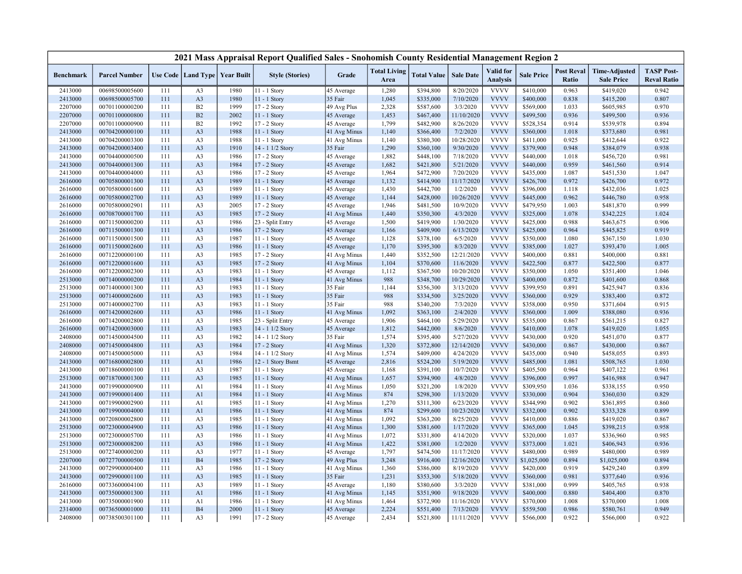| <b>Post Reval</b><br><b>Total Living</b><br>Valid for<br><b>TASP Post-</b><br><b>Time-Adjusted</b><br>Use Code   Land Type  <br><b>Year Built</b><br><b>Style (Stories)</b><br>Grade<br><b>Total Value</b><br><b>Sale Date</b><br><b>Sale Price</b><br>Benchmark<br><b>Parcel Number</b><br><b>Analysis</b><br>Ratio<br><b>Reval Ratio</b><br>Area<br><b>Sale Price</b><br>8/20/2020<br><b>VVVV</b><br>2413000<br>00698500005600<br>111<br>1980<br>11 - 1 Story<br>45 Average<br>1,280<br>\$394,800<br>\$410,000<br>0.963<br>\$419,020<br>0.942<br>A <sub>3</sub><br><b>VVVV</b><br>2413000<br>00698500005700<br>111<br>A3<br>1980<br>11 - 1 Story<br>35 Fair<br>1,045<br>\$335,000<br>7/10/2020<br>\$400,000<br>0.838<br>\$415,200<br>0.807<br><b>VVVV</b><br>0.970<br>2207000<br>00701100000200<br>111<br>B2<br>1999<br>49 Avg Plus<br>2,328<br>\$587,600<br>3/3/2020<br>\$569,000<br>1.033<br>\$605,985<br>17 - 2 Story<br><b>VVVV</b><br>B2<br>2002<br>1,453<br>11/10/2020<br>0.936<br>0.936<br>2207000<br>00701100000800<br>111<br>11 - 1 Story<br>45 Average<br>\$467,400<br>\$499,500<br>\$499,500<br><b>VVVV</b><br>2207000<br>00701100000900<br>111<br>B2<br>1992<br>17 - 2 Story<br>45 Average<br>1,799<br>\$482,900<br>8/26/2020<br>\$528,354<br>0.914<br>\$539,978<br>0.894<br><b>VVVV</b><br>A <sub>3</sub><br>1988<br>1,140<br>\$366,400<br>7/2/2020<br>\$360,000<br>1.018<br>0.981<br>2413000<br>00704200000100<br>111<br>$11 - 1$ Story<br>41 Avg Minus<br>\$373,680<br>1988<br><b>VVVV</b><br>0.925<br>0.922<br>2413000<br>00704200003300<br>111<br>A3<br>41 Avg Minus<br>1,140<br>\$380,300<br>10/28/2020<br>\$411,000<br>\$412,644<br>11 - 1 Story<br><b>VVVV</b><br>111<br>A <sub>3</sub><br>1910<br>14 - 1 1/2 Story<br>35 Fair<br>1,290<br>9/30/2020<br>\$379,900<br>0.948<br>\$384,079<br>0.938<br>2413000<br>00704200003400<br>\$360,100<br><b>VVVV</b><br>1986<br>1,882<br>7/18/2020<br>\$440,000<br>0.981<br>2413000<br>00704400000500<br>111<br>A3<br>17 - 2 Story<br>\$448,100<br>1.018<br>\$456,720<br>45 Average<br><b>VVVV</b><br>0.914<br>2413000<br>00704400001300<br>111<br>A <sub>3</sub><br>1984<br>17 - 2 Story<br>45 Average<br>1,682<br>\$421,800<br>5/21/2020<br>\$440,000<br>0.959<br>\$461,560<br><b>VVVV</b><br>1986<br>17 - 2 Story<br>1,964<br>\$472,900<br>7/20/2020<br>1.087<br>1.047<br>2413000<br>00704400004000<br>111<br>A3<br>45 Average<br>\$435,000<br>\$451,530<br>\$414,900<br>11/17/2020<br><b>VVVV</b><br>0.972<br>2616000<br>00705800001300<br>111<br>A <sub>3</sub><br>1989<br>45 Average<br>1,132<br>\$426,700<br>0.972<br>\$426,700<br>11 - 1 Story<br><b>VVVV</b><br>A <sub>3</sub><br>1989<br>1,430<br>\$442,700<br>\$396,000<br>1.025<br>2616000<br>00705800001600<br>111<br>11 - 1 Story<br>45 Average<br>1/2/2020<br>1.118<br>\$432,036<br><b>VVVV</b><br>0.958<br>00705800002700<br>111<br>A <sub>3</sub><br>1989<br>11 - 1 Story<br>1,144<br>\$428,000<br>10/26/2020<br>\$445,000<br>0.962<br>\$446,780<br>2616000<br>45 Average<br><b>VVVV</b><br>2005<br>1,946<br>\$481,500<br>10/9/2020<br>\$479,950<br>1.003<br>0.999<br>2616000<br>00705800002901<br>111<br>A <sub>3</sub><br>$17 - 2$ Story<br>45 Average<br>\$481,870<br>A3<br>1985<br>1,440<br>\$350,300<br>4/3/2020<br><b>VVVV</b><br>\$325,000<br>1.078<br>\$342,225<br>1.024<br>2616000<br>00708700001700<br>111<br>17 - 2 Story<br>41 Avg Minus<br><b>VVVV</b><br>00711500000200<br>111<br>A <sub>3</sub><br>1986<br>23 - Split Entry<br>1,500<br>\$419,900<br>1/30/2020<br>\$425,000<br>0.988<br>0.906<br>2616000<br>45 Average<br>\$463,675<br><b>VVVV</b><br>111<br>1986<br>17 - 2 Story<br>\$409,900<br>6/13/2020<br>\$425,000<br>0.919<br>2616000<br>00711500001300<br>A <sub>3</sub><br>45 Average<br>1,166<br>0.964<br>\$445,825<br><b>VVVV</b><br>00711500001500<br>111<br>A3<br>1987<br>1,128<br>\$378,100<br>6/5/2020<br>\$350,000<br>1.080<br>\$367,150<br>1.030<br>2616000<br>11 - 1 Story<br>45 Average<br><b>VVVV</b><br>1986<br>1,170<br>\$395,300<br>8/3/2020<br>\$385,000<br>\$393,470<br>1.005<br>2616000<br>00711500002600<br>111<br>A <sub>3</sub><br>11 - 1 Story<br>45 Average<br>1.027<br>1985<br>1,440<br>\$352,500<br>12/21/2020<br><b>VVVV</b><br>0.881<br>\$400,000<br>0.881<br>2616000<br>00712200000100<br>111<br>A3<br>17 - 2 Story<br>41 Avg Minus<br>\$400,000<br><b>VVVV</b><br>2616000<br>00712200001600<br>111<br>A3<br>1985<br>17 - 2 Story<br>41 Avg Minus<br>1,104<br>\$370,600<br>11/6/2020<br>\$422,500<br>0.877<br>\$422,500<br>0.877<br><b>VVVV</b><br>00712200002300<br>111<br>A3<br>1983<br>45 Average<br>1,112<br>\$367,500<br>10/20/2020<br>\$350,000<br>1.050<br>\$351,400<br>1.046<br>2616000<br>11 - 1 Story<br><b>VVVV</b><br>2513000<br>00714000000200<br>111<br>A <sub>3</sub><br>1984<br>988<br>\$348,700<br>10/29/2020<br>\$400,000<br>0.872<br>0.868<br>$11 - 1$ Story<br>41 Avg Minus<br>\$401,600<br><b>VVVV</b><br>0.836<br>2513000<br>00714000001300<br>111<br>A3<br>1983<br>11 - 1 Story<br>35 Fair<br>1,144<br>\$356,300<br>3/13/2020<br>\$399,950<br>0.891<br>\$425,947<br><b>VVVV</b><br>2513000<br>00714000002600<br>111<br>A <sub>3</sub><br>1983<br>35 Fair<br>988<br>\$334,500<br>3/25/2020<br>\$360,000<br>0.929<br>\$383,400<br>0.872<br>11 - 1 Story<br><b>VVVV</b><br>A <sub>3</sub><br>1983<br>35 Fair<br>988<br>\$340,200<br>7/3/2020<br>0.950<br>0.915<br>2513000<br>00714000002700<br>111<br>11 - 1 Story<br>\$358,000<br>\$371,604<br><b>VVVV</b><br>1986<br>1,092<br>2/4/2020<br>0.936<br>00714200002600<br>111<br>A <sub>3</sub><br>41 Avg Minus<br>\$363,100<br>\$360,000<br>1.009<br>\$388,080<br>2616000<br>11 - 1 Story<br><b>VVVV</b><br>1985<br>1,906<br>\$464,100<br>5/29/2020<br>\$535,000<br>0.867<br>0.827<br>2616000<br>00714200002800<br>111<br>A <sub>3</sub><br>23 - Split Entry<br>45 Average<br>\$561,215<br><b>VVVV</b><br>1983<br>1,812<br>8/6/2020<br>1.055<br>2616000<br>00714200003000<br>111<br>A <sub>3</sub><br>14 - 1 1/2 Story<br>45 Average<br>\$442,000<br>\$410,000<br>1.078<br>\$419,020<br><b>VVVV</b><br>111<br>1982<br>14 - 1 1/2 Story<br>35 Fair<br>1,574<br>\$395,400<br>5/27/2020<br>\$430,000<br>0.920<br>\$451,070<br>0.877<br>2408000<br>00714500004500<br>A3<br>1984<br>1,320<br>\$372,800<br>12/14/2020<br><b>VVVV</b><br>0.867<br>2408000<br>00714500004800<br>111<br>A <sub>3</sub><br>17 - 2 Story<br>41 Avg Minus<br>\$430,000<br>0.867<br>\$430,000<br><b>VVVV</b><br>1,574<br>00714500005000<br>111<br>A <sub>3</sub><br>1984<br>14 - 1 1/2 Story<br>41 Avg Minus<br>\$409,000<br>4/24/2020<br>\$435,000<br>0.940<br>\$458,055<br>0.893<br>2408000<br><b>VVVV</b><br>1986<br>2,816<br>5/19/2020<br>1.030<br>2413000<br>00716800002800<br>111<br>A <sub>1</sub><br>12 - 1 Story Bsmt<br>45 Average<br>\$524,200<br>\$485,000<br>1.081<br>\$508,765<br><b>VVVV</b><br>2413000<br>00718600000100<br>111<br>A3<br>1987<br>11 - 1 Story<br>45 Average<br>1,168<br>\$391,100<br>10/7/2020<br>\$405,500<br>0.964<br>\$407,122<br>0.961<br><b>VVVV</b><br>2513000<br>A <sub>3</sub><br>1985<br>1,657<br>\$394,900<br>4/8/2020<br>\$396,000<br>0.997<br>\$416,988<br>0.947<br>00718700001300<br>111<br>11 - 1 Story<br>41 Avg Minus<br><b>VVVV</b><br>0.950<br>2413000<br>00719900000900<br>111<br>A <sub>1</sub><br>1984<br>41 Avg Minus<br>1,050<br>\$321,200<br>1/8/2020<br>\$309,950<br>1.036<br>\$338,155<br>11 - 1 Story<br><b>VVVV</b><br>111<br>A <sub>1</sub><br>1984<br>41 Avg Minus<br>874<br>\$298,300<br>1/13/2020<br>\$330,000<br>0.904<br>\$360,030<br>0.829<br>2413000<br>00719900001400<br>$11 - 1$ Story<br><b>VVVV</b><br>\$344,990<br>0.860<br>2413000<br>00719900002900<br>111<br>A <sub>1</sub><br>1985<br>41 Avg Minus<br>1,270<br>\$311,300<br>6/23/2020<br>0.902<br>\$361,895<br>11 - 1 Story<br><b>VVVV</b><br>2413000<br>111<br>1986<br>874<br>\$299,600<br>10/23/2020<br>\$332,000<br>0.902<br>\$333,328<br>0.899<br>00719900004000<br>A <sub>1</sub><br>$11 - 1$ Story<br>41 Avg Minus<br><b>VVVV</b><br>1985<br>41 Avg Minus<br>1,092<br>\$363,200<br>8/25/2020<br>\$410,000<br>0.886<br>\$419,020<br>0.867<br>2413000<br>00720800002800<br>111<br>A3<br>11 - 1 Story<br>1,300<br>\$381,600<br>1/17/2020<br><b>VVVV</b><br>0.958<br>2513000<br>00723000004900<br>111<br>A <sub>3</sub><br>1986<br>41 Avg Minus<br>\$365,000<br>1.045<br>\$398,215<br>11 - 1 Story<br><b>VVVV</b><br>111<br>1986<br>41 Avg Minus<br>1,072<br>\$331,800<br>4/14/2020<br>1.037<br>0.985<br>2513000<br>00723000005700<br>A3<br>\$320,000<br>\$336,960<br>$11 - 1$ Story<br><b>VVVV</b><br>1,422<br>1/2/2020<br>2513000<br>00723000008200<br>111<br>A <sub>3</sub><br>1986<br>41 Avg Minus<br>\$381,000<br>\$373,000<br>1.021<br>\$406,943<br>0.936<br>$11 - 1$ Story<br><b>VVVV</b><br>1977<br>1,797<br>\$474,500<br>\$480,000<br>0.989<br>\$480,000<br>0.989<br>2513000<br>00727400000200<br>111<br>A <sub>3</sub><br>11 - 1 Story<br>45 Average<br>11/17/2020<br><b>VVVV</b><br>2207000<br><b>B4</b><br>1985<br>3,248<br>12/16/2020<br>\$1,025,000<br>0.894<br>0.894<br>00727700000500<br>111<br>17 - 2 Story<br>49 Avg Plus<br>\$916,400<br>\$1,025,000<br><b>VVVV</b><br>2413000<br>111<br>A <sub>3</sub><br>1986<br>1,360<br>\$386,000<br>8/19/2020<br>\$420,000<br>0.919<br>\$429,240<br>0.899<br>00729900000400<br>11 - 1 Story<br>41 Avg Minus<br><b>VVVV</b><br>A3<br>1985<br>35 Fair<br>5/18/2020<br>0.936<br>2413000<br>00729900001100<br>111<br>1,231<br>\$353,300<br>\$360,000<br>0.981<br>\$377,640<br>11 - 1 Story<br><b>VVVV</b><br>2616000<br>00733600004100<br>A3<br>1989<br>1,180<br>\$380,600<br>3/3/2020<br>\$381,000<br>0.999<br>\$405,765<br>0.938<br>111<br>11 - 1 Story<br>45 Average<br><b>VVVV</b><br>1986<br>1,145<br>\$351,900<br>0.870<br>2413000<br>00735000001300<br>111<br>A <sub>1</sub><br>11 - 1 Story<br>41 Avg Minus<br>9/18/2020<br>\$400,000<br>0.880<br>\$404,400 |         |                |     |                |      | 2021 Mass Appraisal Report Qualified Sales - Snohomish County Residential Management Region 2 |              |       |           |            |             |           |       |           |       |
|----------------------------------------------------------------------------------------------------------------------------------------------------------------------------------------------------------------------------------------------------------------------------------------------------------------------------------------------------------------------------------------------------------------------------------------------------------------------------------------------------------------------------------------------------------------------------------------------------------------------------------------------------------------------------------------------------------------------------------------------------------------------------------------------------------------------------------------------------------------------------------------------------------------------------------------------------------------------------------------------------------------------------------------------------------------------------------------------------------------------------------------------------------------------------------------------------------------------------------------------------------------------------------------------------------------------------------------------------------------------------------------------------------------------------------------------------------------------------------------------------------------------------------------------------------------------------------------------------------------------------------------------------------------------------------------------------------------------------------------------------------------------------------------------------------------------------------------------------------------------------------------------------------------------------------------------------------------------------------------------------------------------------------------------------------------------------------------------------------------------------------------------------------------------------------------------------------------------------------------------------------------------------------------------------------------------------------------------------------------------------------------------------------------------------------------------------------------------------------------------------------------------------------------------------------------------------------------------------------------------------------------------------------------------------------------------------------------------------------------------------------------------------------------------------------------------------------------------------------------------------------------------------------------------------------------------------------------------------------------------------------------------------------------------------------------------------------------------------------------------------------------------------------------------------------------------------------------------------------------------------------------------------------------------------------------------------------------------------------------------------------------------------------------------------------------------------------------------------------------------------------------------------------------------------------------------------------------------------------------------------------------------------------------------------------------------------------------------------------------------------------------------------------------------------------------------------------------------------------------------------------------------------------------------------------------------------------------------------------------------------------------------------------------------------------------------------------------------------------------------------------------------------------------------------------------------------------------------------------------------------------------------------------------------------------------------------------------------------------------------------------------------------------------------------------------------------------------------------------------------------------------------------------------------------------------------------------------------------------------------------------------------------------------------------------------------------------------------------------------------------------------------------------------------------------------------------------------------------------------------------------------------------------------------------------------------------------------------------------------------------------------------------------------------------------------------------------------------------------------------------------------------------------------------------------------------------------------------------------------------------------------------------------------------------------------------------------------------------------------------------------------------------------------------------------------------------------------------------------------------------------------------------------------------------------------------------------------------------------------------------------------------------------------------------------------------------------------------------------------------------------------------------------------------------------------------------------------------------------------------------------------------------------------------------------------------------------------------------------------------------------------------------------------------------------------------------------------------------------------------------------------------------------------------------------------------------------------------------------------------------------------------------------------------------------------------------------------------------------------------------------------------------------------------------------------------------------------------------------------------------------------------------------------------------------------------------------------------------------------------------------------------------------------------------------------------------------------------------------------------------------------------------------------------------------------------------------------------------------------------------------------------------------------------------------------------------------------------------------------------------------------------------------------------------------------------------------------------------------------------------------------------------------------------------------------------------------------------------------------------------------------------------------------------------------------------------------------------------------------------------------------------------------------------------------------------------------------------------------------------------------------------------------------------------------------------------------------------------------------------------------------------------------------------------------------------------------------------------------------------------------------------------------------------------------------------------------------------------------------------------------------------------------------------------------------------------------------------------------------------------------------------------------------------------------------------------------------------------------------------------------------------------------------------------------------------------------------------------------------------------------------------------------------------------------------------------------------------------------------------------------------------------------------------------------------------------------------------------------------------------------------------------------------------------------------------------------------------------------------------------------------------------------------------------------------------------------------------------------------------------------------------------------------------------------------------------------------------------------------------------------------------------------------------------------------------------------------------------------------------------------------------------------------------------------------------------------------------------------------------------------------------------------------------------------------------------------------------------------------------------------------------------------------------------------------------------------------------------------------------------------------------------------------------------------------------------------------------------------------------------------------------------------------------------------------------------------------------------------------------------------------------------------------------------------------------------------------------------------------------------------------------------------------------------------------------------------------------------------------------------|---------|----------------|-----|----------------|------|-----------------------------------------------------------------------------------------------|--------------|-------|-----------|------------|-------------|-----------|-------|-----------|-------|
|                                                                                                                                                                                                                                                                                                                                                                                                                                                                                                                                                                                                                                                                                                                                                                                                                                                                                                                                                                                                                                                                                                                                                                                                                                                                                                                                                                                                                                                                                                                                                                                                                                                                                                                                                                                                                                                                                                                                                                                                                                                                                                                                                                                                                                                                                                                                                                                                                                                                                                                                                                                                                                                                                                                                                                                                                                                                                                                                                                                                                                                                                                                                                                                                                                                                                                                                                                                                                                                                                                                                                                                                                                                                                                                                                                                                                                                                                                                                                                                                                                                                                                                                                                                                                                                                                                                                                                                                                                                                                                                                                                                                                                                                                                                                                                                                                                                                                                                                                                                                                                                                                                                                                                                                                                                                                                                                                                                                                                                                                                                                                                                                                                                                                                                                                                                                                                                                                                                                                                                                                                                                                                                                                                                                                                                                                                                                                                                                                                                                                                                                                                                                                                                                                                                                                                                                                                                                                                                                                                                                                                                                                                                                                                                                                                                                                                                                                                                                                                                                                                                                                                                                                                                                                                                                                                                                                                                                                                                                                                                                                                                                                                                                                                                                                                                                                                                                                                                                                                                                                                                                                                                                                                                                                                                                                                                                                                                                                                                                                                                                                                                                                                                                                                                                                                                                                                                                                                                                                                                                                                                                                                                                                                                                                                                                                                                                                                                                            |         |                |     |                |      |                                                                                               |              |       |           |            |             |           |       |           |       |
|                                                                                                                                                                                                                                                                                                                                                                                                                                                                                                                                                                                                                                                                                                                                                                                                                                                                                                                                                                                                                                                                                                                                                                                                                                                                                                                                                                                                                                                                                                                                                                                                                                                                                                                                                                                                                                                                                                                                                                                                                                                                                                                                                                                                                                                                                                                                                                                                                                                                                                                                                                                                                                                                                                                                                                                                                                                                                                                                                                                                                                                                                                                                                                                                                                                                                                                                                                                                                                                                                                                                                                                                                                                                                                                                                                                                                                                                                                                                                                                                                                                                                                                                                                                                                                                                                                                                                                                                                                                                                                                                                                                                                                                                                                                                                                                                                                                                                                                                                                                                                                                                                                                                                                                                                                                                                                                                                                                                                                                                                                                                                                                                                                                                                                                                                                                                                                                                                                                                                                                                                                                                                                                                                                                                                                                                                                                                                                                                                                                                                                                                                                                                                                                                                                                                                                                                                                                                                                                                                                                                                                                                                                                                                                                                                                                                                                                                                                                                                                                                                                                                                                                                                                                                                                                                                                                                                                                                                                                                                                                                                                                                                                                                                                                                                                                                                                                                                                                                                                                                                                                                                                                                                                                                                                                                                                                                                                                                                                                                                                                                                                                                                                                                                                                                                                                                                                                                                                                                                                                                                                                                                                                                                                                                                                                                                                                                                                                                            |         |                |     |                |      |                                                                                               |              |       |           |            |             |           |       |           |       |
|                                                                                                                                                                                                                                                                                                                                                                                                                                                                                                                                                                                                                                                                                                                                                                                                                                                                                                                                                                                                                                                                                                                                                                                                                                                                                                                                                                                                                                                                                                                                                                                                                                                                                                                                                                                                                                                                                                                                                                                                                                                                                                                                                                                                                                                                                                                                                                                                                                                                                                                                                                                                                                                                                                                                                                                                                                                                                                                                                                                                                                                                                                                                                                                                                                                                                                                                                                                                                                                                                                                                                                                                                                                                                                                                                                                                                                                                                                                                                                                                                                                                                                                                                                                                                                                                                                                                                                                                                                                                                                                                                                                                                                                                                                                                                                                                                                                                                                                                                                                                                                                                                                                                                                                                                                                                                                                                                                                                                                                                                                                                                                                                                                                                                                                                                                                                                                                                                                                                                                                                                                                                                                                                                                                                                                                                                                                                                                                                                                                                                                                                                                                                                                                                                                                                                                                                                                                                                                                                                                                                                                                                                                                                                                                                                                                                                                                                                                                                                                                                                                                                                                                                                                                                                                                                                                                                                                                                                                                                                                                                                                                                                                                                                                                                                                                                                                                                                                                                                                                                                                                                                                                                                                                                                                                                                                                                                                                                                                                                                                                                                                                                                                                                                                                                                                                                                                                                                                                                                                                                                                                                                                                                                                                                                                                                                                                                                                                                            |         |                |     |                |      |                                                                                               |              |       |           |            |             |           |       |           |       |
|                                                                                                                                                                                                                                                                                                                                                                                                                                                                                                                                                                                                                                                                                                                                                                                                                                                                                                                                                                                                                                                                                                                                                                                                                                                                                                                                                                                                                                                                                                                                                                                                                                                                                                                                                                                                                                                                                                                                                                                                                                                                                                                                                                                                                                                                                                                                                                                                                                                                                                                                                                                                                                                                                                                                                                                                                                                                                                                                                                                                                                                                                                                                                                                                                                                                                                                                                                                                                                                                                                                                                                                                                                                                                                                                                                                                                                                                                                                                                                                                                                                                                                                                                                                                                                                                                                                                                                                                                                                                                                                                                                                                                                                                                                                                                                                                                                                                                                                                                                                                                                                                                                                                                                                                                                                                                                                                                                                                                                                                                                                                                                                                                                                                                                                                                                                                                                                                                                                                                                                                                                                                                                                                                                                                                                                                                                                                                                                                                                                                                                                                                                                                                                                                                                                                                                                                                                                                                                                                                                                                                                                                                                                                                                                                                                                                                                                                                                                                                                                                                                                                                                                                                                                                                                                                                                                                                                                                                                                                                                                                                                                                                                                                                                                                                                                                                                                                                                                                                                                                                                                                                                                                                                                                                                                                                                                                                                                                                                                                                                                                                                                                                                                                                                                                                                                                                                                                                                                                                                                                                                                                                                                                                                                                                                                                                                                                                                                                            |         |                |     |                |      |                                                                                               |              |       |           |            |             |           |       |           |       |
|                                                                                                                                                                                                                                                                                                                                                                                                                                                                                                                                                                                                                                                                                                                                                                                                                                                                                                                                                                                                                                                                                                                                                                                                                                                                                                                                                                                                                                                                                                                                                                                                                                                                                                                                                                                                                                                                                                                                                                                                                                                                                                                                                                                                                                                                                                                                                                                                                                                                                                                                                                                                                                                                                                                                                                                                                                                                                                                                                                                                                                                                                                                                                                                                                                                                                                                                                                                                                                                                                                                                                                                                                                                                                                                                                                                                                                                                                                                                                                                                                                                                                                                                                                                                                                                                                                                                                                                                                                                                                                                                                                                                                                                                                                                                                                                                                                                                                                                                                                                                                                                                                                                                                                                                                                                                                                                                                                                                                                                                                                                                                                                                                                                                                                                                                                                                                                                                                                                                                                                                                                                                                                                                                                                                                                                                                                                                                                                                                                                                                                                                                                                                                                                                                                                                                                                                                                                                                                                                                                                                                                                                                                                                                                                                                                                                                                                                                                                                                                                                                                                                                                                                                                                                                                                                                                                                                                                                                                                                                                                                                                                                                                                                                                                                                                                                                                                                                                                                                                                                                                                                                                                                                                                                                                                                                                                                                                                                                                                                                                                                                                                                                                                                                                                                                                                                                                                                                                                                                                                                                                                                                                                                                                                                                                                                                                                                                                                                            |         |                |     |                |      |                                                                                               |              |       |           |            |             |           |       |           |       |
|                                                                                                                                                                                                                                                                                                                                                                                                                                                                                                                                                                                                                                                                                                                                                                                                                                                                                                                                                                                                                                                                                                                                                                                                                                                                                                                                                                                                                                                                                                                                                                                                                                                                                                                                                                                                                                                                                                                                                                                                                                                                                                                                                                                                                                                                                                                                                                                                                                                                                                                                                                                                                                                                                                                                                                                                                                                                                                                                                                                                                                                                                                                                                                                                                                                                                                                                                                                                                                                                                                                                                                                                                                                                                                                                                                                                                                                                                                                                                                                                                                                                                                                                                                                                                                                                                                                                                                                                                                                                                                                                                                                                                                                                                                                                                                                                                                                                                                                                                                                                                                                                                                                                                                                                                                                                                                                                                                                                                                                                                                                                                                                                                                                                                                                                                                                                                                                                                                                                                                                                                                                                                                                                                                                                                                                                                                                                                                                                                                                                                                                                                                                                                                                                                                                                                                                                                                                                                                                                                                                                                                                                                                                                                                                                                                                                                                                                                                                                                                                                                                                                                                                                                                                                                                                                                                                                                                                                                                                                                                                                                                                                                                                                                                                                                                                                                                                                                                                                                                                                                                                                                                                                                                                                                                                                                                                                                                                                                                                                                                                                                                                                                                                                                                                                                                                                                                                                                                                                                                                                                                                                                                                                                                                                                                                                                                                                                                                                            |         |                |     |                |      |                                                                                               |              |       |           |            |             |           |       |           |       |
|                                                                                                                                                                                                                                                                                                                                                                                                                                                                                                                                                                                                                                                                                                                                                                                                                                                                                                                                                                                                                                                                                                                                                                                                                                                                                                                                                                                                                                                                                                                                                                                                                                                                                                                                                                                                                                                                                                                                                                                                                                                                                                                                                                                                                                                                                                                                                                                                                                                                                                                                                                                                                                                                                                                                                                                                                                                                                                                                                                                                                                                                                                                                                                                                                                                                                                                                                                                                                                                                                                                                                                                                                                                                                                                                                                                                                                                                                                                                                                                                                                                                                                                                                                                                                                                                                                                                                                                                                                                                                                                                                                                                                                                                                                                                                                                                                                                                                                                                                                                                                                                                                                                                                                                                                                                                                                                                                                                                                                                                                                                                                                                                                                                                                                                                                                                                                                                                                                                                                                                                                                                                                                                                                                                                                                                                                                                                                                                                                                                                                                                                                                                                                                                                                                                                                                                                                                                                                                                                                                                                                                                                                                                                                                                                                                                                                                                                                                                                                                                                                                                                                                                                                                                                                                                                                                                                                                                                                                                                                                                                                                                                                                                                                                                                                                                                                                                                                                                                                                                                                                                                                                                                                                                                                                                                                                                                                                                                                                                                                                                                                                                                                                                                                                                                                                                                                                                                                                                                                                                                                                                                                                                                                                                                                                                                                                                                                                                                            |         |                |     |                |      |                                                                                               |              |       |           |            |             |           |       |           |       |
|                                                                                                                                                                                                                                                                                                                                                                                                                                                                                                                                                                                                                                                                                                                                                                                                                                                                                                                                                                                                                                                                                                                                                                                                                                                                                                                                                                                                                                                                                                                                                                                                                                                                                                                                                                                                                                                                                                                                                                                                                                                                                                                                                                                                                                                                                                                                                                                                                                                                                                                                                                                                                                                                                                                                                                                                                                                                                                                                                                                                                                                                                                                                                                                                                                                                                                                                                                                                                                                                                                                                                                                                                                                                                                                                                                                                                                                                                                                                                                                                                                                                                                                                                                                                                                                                                                                                                                                                                                                                                                                                                                                                                                                                                                                                                                                                                                                                                                                                                                                                                                                                                                                                                                                                                                                                                                                                                                                                                                                                                                                                                                                                                                                                                                                                                                                                                                                                                                                                                                                                                                                                                                                                                                                                                                                                                                                                                                                                                                                                                                                                                                                                                                                                                                                                                                                                                                                                                                                                                                                                                                                                                                                                                                                                                                                                                                                                                                                                                                                                                                                                                                                                                                                                                                                                                                                                                                                                                                                                                                                                                                                                                                                                                                                                                                                                                                                                                                                                                                                                                                                                                                                                                                                                                                                                                                                                                                                                                                                                                                                                                                                                                                                                                                                                                                                                                                                                                                                                                                                                                                                                                                                                                                                                                                                                                                                                                                                                            |         |                |     |                |      |                                                                                               |              |       |           |            |             |           |       |           |       |
|                                                                                                                                                                                                                                                                                                                                                                                                                                                                                                                                                                                                                                                                                                                                                                                                                                                                                                                                                                                                                                                                                                                                                                                                                                                                                                                                                                                                                                                                                                                                                                                                                                                                                                                                                                                                                                                                                                                                                                                                                                                                                                                                                                                                                                                                                                                                                                                                                                                                                                                                                                                                                                                                                                                                                                                                                                                                                                                                                                                                                                                                                                                                                                                                                                                                                                                                                                                                                                                                                                                                                                                                                                                                                                                                                                                                                                                                                                                                                                                                                                                                                                                                                                                                                                                                                                                                                                                                                                                                                                                                                                                                                                                                                                                                                                                                                                                                                                                                                                                                                                                                                                                                                                                                                                                                                                                                                                                                                                                                                                                                                                                                                                                                                                                                                                                                                                                                                                                                                                                                                                                                                                                                                                                                                                                                                                                                                                                                                                                                                                                                                                                                                                                                                                                                                                                                                                                                                                                                                                                                                                                                                                                                                                                                                                                                                                                                                                                                                                                                                                                                                                                                                                                                                                                                                                                                                                                                                                                                                                                                                                                                                                                                                                                                                                                                                                                                                                                                                                                                                                                                                                                                                                                                                                                                                                                                                                                                                                                                                                                                                                                                                                                                                                                                                                                                                                                                                                                                                                                                                                                                                                                                                                                                                                                                                                                                                                                                            |         |                |     |                |      |                                                                                               |              |       |           |            |             |           |       |           |       |
|                                                                                                                                                                                                                                                                                                                                                                                                                                                                                                                                                                                                                                                                                                                                                                                                                                                                                                                                                                                                                                                                                                                                                                                                                                                                                                                                                                                                                                                                                                                                                                                                                                                                                                                                                                                                                                                                                                                                                                                                                                                                                                                                                                                                                                                                                                                                                                                                                                                                                                                                                                                                                                                                                                                                                                                                                                                                                                                                                                                                                                                                                                                                                                                                                                                                                                                                                                                                                                                                                                                                                                                                                                                                                                                                                                                                                                                                                                                                                                                                                                                                                                                                                                                                                                                                                                                                                                                                                                                                                                                                                                                                                                                                                                                                                                                                                                                                                                                                                                                                                                                                                                                                                                                                                                                                                                                                                                                                                                                                                                                                                                                                                                                                                                                                                                                                                                                                                                                                                                                                                                                                                                                                                                                                                                                                                                                                                                                                                                                                                                                                                                                                                                                                                                                                                                                                                                                                                                                                                                                                                                                                                                                                                                                                                                                                                                                                                                                                                                                                                                                                                                                                                                                                                                                                                                                                                                                                                                                                                                                                                                                                                                                                                                                                                                                                                                                                                                                                                                                                                                                                                                                                                                                                                                                                                                                                                                                                                                                                                                                                                                                                                                                                                                                                                                                                                                                                                                                                                                                                                                                                                                                                                                                                                                                                                                                                                                                                            |         |                |     |                |      |                                                                                               |              |       |           |            |             |           |       |           |       |
|                                                                                                                                                                                                                                                                                                                                                                                                                                                                                                                                                                                                                                                                                                                                                                                                                                                                                                                                                                                                                                                                                                                                                                                                                                                                                                                                                                                                                                                                                                                                                                                                                                                                                                                                                                                                                                                                                                                                                                                                                                                                                                                                                                                                                                                                                                                                                                                                                                                                                                                                                                                                                                                                                                                                                                                                                                                                                                                                                                                                                                                                                                                                                                                                                                                                                                                                                                                                                                                                                                                                                                                                                                                                                                                                                                                                                                                                                                                                                                                                                                                                                                                                                                                                                                                                                                                                                                                                                                                                                                                                                                                                                                                                                                                                                                                                                                                                                                                                                                                                                                                                                                                                                                                                                                                                                                                                                                                                                                                                                                                                                                                                                                                                                                                                                                                                                                                                                                                                                                                                                                                                                                                                                                                                                                                                                                                                                                                                                                                                                                                                                                                                                                                                                                                                                                                                                                                                                                                                                                                                                                                                                                                                                                                                                                                                                                                                                                                                                                                                                                                                                                                                                                                                                                                                                                                                                                                                                                                                                                                                                                                                                                                                                                                                                                                                                                                                                                                                                                                                                                                                                                                                                                                                                                                                                                                                                                                                                                                                                                                                                                                                                                                                                                                                                                                                                                                                                                                                                                                                                                                                                                                                                                                                                                                                                                                                                                                                            |         |                |     |                |      |                                                                                               |              |       |           |            |             |           |       |           |       |
|                                                                                                                                                                                                                                                                                                                                                                                                                                                                                                                                                                                                                                                                                                                                                                                                                                                                                                                                                                                                                                                                                                                                                                                                                                                                                                                                                                                                                                                                                                                                                                                                                                                                                                                                                                                                                                                                                                                                                                                                                                                                                                                                                                                                                                                                                                                                                                                                                                                                                                                                                                                                                                                                                                                                                                                                                                                                                                                                                                                                                                                                                                                                                                                                                                                                                                                                                                                                                                                                                                                                                                                                                                                                                                                                                                                                                                                                                                                                                                                                                                                                                                                                                                                                                                                                                                                                                                                                                                                                                                                                                                                                                                                                                                                                                                                                                                                                                                                                                                                                                                                                                                                                                                                                                                                                                                                                                                                                                                                                                                                                                                                                                                                                                                                                                                                                                                                                                                                                                                                                                                                                                                                                                                                                                                                                                                                                                                                                                                                                                                                                                                                                                                                                                                                                                                                                                                                                                                                                                                                                                                                                                                                                                                                                                                                                                                                                                                                                                                                                                                                                                                                                                                                                                                                                                                                                                                                                                                                                                                                                                                                                                                                                                                                                                                                                                                                                                                                                                                                                                                                                                                                                                                                                                                                                                                                                                                                                                                                                                                                                                                                                                                                                                                                                                                                                                                                                                                                                                                                                                                                                                                                                                                                                                                                                                                                                                                                                            |         |                |     |                |      |                                                                                               |              |       |           |            |             |           |       |           |       |
|                                                                                                                                                                                                                                                                                                                                                                                                                                                                                                                                                                                                                                                                                                                                                                                                                                                                                                                                                                                                                                                                                                                                                                                                                                                                                                                                                                                                                                                                                                                                                                                                                                                                                                                                                                                                                                                                                                                                                                                                                                                                                                                                                                                                                                                                                                                                                                                                                                                                                                                                                                                                                                                                                                                                                                                                                                                                                                                                                                                                                                                                                                                                                                                                                                                                                                                                                                                                                                                                                                                                                                                                                                                                                                                                                                                                                                                                                                                                                                                                                                                                                                                                                                                                                                                                                                                                                                                                                                                                                                                                                                                                                                                                                                                                                                                                                                                                                                                                                                                                                                                                                                                                                                                                                                                                                                                                                                                                                                                                                                                                                                                                                                                                                                                                                                                                                                                                                                                                                                                                                                                                                                                                                                                                                                                                                                                                                                                                                                                                                                                                                                                                                                                                                                                                                                                                                                                                                                                                                                                                                                                                                                                                                                                                                                                                                                                                                                                                                                                                                                                                                                                                                                                                                                                                                                                                                                                                                                                                                                                                                                                                                                                                                                                                                                                                                                                                                                                                                                                                                                                                                                                                                                                                                                                                                                                                                                                                                                                                                                                                                                                                                                                                                                                                                                                                                                                                                                                                                                                                                                                                                                                                                                                                                                                                                                                                                                                                            |         |                |     |                |      |                                                                                               |              |       |           |            |             |           |       |           |       |
|                                                                                                                                                                                                                                                                                                                                                                                                                                                                                                                                                                                                                                                                                                                                                                                                                                                                                                                                                                                                                                                                                                                                                                                                                                                                                                                                                                                                                                                                                                                                                                                                                                                                                                                                                                                                                                                                                                                                                                                                                                                                                                                                                                                                                                                                                                                                                                                                                                                                                                                                                                                                                                                                                                                                                                                                                                                                                                                                                                                                                                                                                                                                                                                                                                                                                                                                                                                                                                                                                                                                                                                                                                                                                                                                                                                                                                                                                                                                                                                                                                                                                                                                                                                                                                                                                                                                                                                                                                                                                                                                                                                                                                                                                                                                                                                                                                                                                                                                                                                                                                                                                                                                                                                                                                                                                                                                                                                                                                                                                                                                                                                                                                                                                                                                                                                                                                                                                                                                                                                                                                                                                                                                                                                                                                                                                                                                                                                                                                                                                                                                                                                                                                                                                                                                                                                                                                                                                                                                                                                                                                                                                                                                                                                                                                                                                                                                                                                                                                                                                                                                                                                                                                                                                                                                                                                                                                                                                                                                                                                                                                                                                                                                                                                                                                                                                                                                                                                                                                                                                                                                                                                                                                                                                                                                                                                                                                                                                                                                                                                                                                                                                                                                                                                                                                                                                                                                                                                                                                                                                                                                                                                                                                                                                                                                                                                                                                                                            |         |                |     |                |      |                                                                                               |              |       |           |            |             |           |       |           |       |
|                                                                                                                                                                                                                                                                                                                                                                                                                                                                                                                                                                                                                                                                                                                                                                                                                                                                                                                                                                                                                                                                                                                                                                                                                                                                                                                                                                                                                                                                                                                                                                                                                                                                                                                                                                                                                                                                                                                                                                                                                                                                                                                                                                                                                                                                                                                                                                                                                                                                                                                                                                                                                                                                                                                                                                                                                                                                                                                                                                                                                                                                                                                                                                                                                                                                                                                                                                                                                                                                                                                                                                                                                                                                                                                                                                                                                                                                                                                                                                                                                                                                                                                                                                                                                                                                                                                                                                                                                                                                                                                                                                                                                                                                                                                                                                                                                                                                                                                                                                                                                                                                                                                                                                                                                                                                                                                                                                                                                                                                                                                                                                                                                                                                                                                                                                                                                                                                                                                                                                                                                                                                                                                                                                                                                                                                                                                                                                                                                                                                                                                                                                                                                                                                                                                                                                                                                                                                                                                                                                                                                                                                                                                                                                                                                                                                                                                                                                                                                                                                                                                                                                                                                                                                                                                                                                                                                                                                                                                                                                                                                                                                                                                                                                                                                                                                                                                                                                                                                                                                                                                                                                                                                                                                                                                                                                                                                                                                                                                                                                                                                                                                                                                                                                                                                                                                                                                                                                                                                                                                                                                                                                                                                                                                                                                                                                                                                                                                            |         |                |     |                |      |                                                                                               |              |       |           |            |             |           |       |           |       |
|                                                                                                                                                                                                                                                                                                                                                                                                                                                                                                                                                                                                                                                                                                                                                                                                                                                                                                                                                                                                                                                                                                                                                                                                                                                                                                                                                                                                                                                                                                                                                                                                                                                                                                                                                                                                                                                                                                                                                                                                                                                                                                                                                                                                                                                                                                                                                                                                                                                                                                                                                                                                                                                                                                                                                                                                                                                                                                                                                                                                                                                                                                                                                                                                                                                                                                                                                                                                                                                                                                                                                                                                                                                                                                                                                                                                                                                                                                                                                                                                                                                                                                                                                                                                                                                                                                                                                                                                                                                                                                                                                                                                                                                                                                                                                                                                                                                                                                                                                                                                                                                                                                                                                                                                                                                                                                                                                                                                                                                                                                                                                                                                                                                                                                                                                                                                                                                                                                                                                                                                                                                                                                                                                                                                                                                                                                                                                                                                                                                                                                                                                                                                                                                                                                                                                                                                                                                                                                                                                                                                                                                                                                                                                                                                                                                                                                                                                                                                                                                                                                                                                                                                                                                                                                                                                                                                                                                                                                                                                                                                                                                                                                                                                                                                                                                                                                                                                                                                                                                                                                                                                                                                                                                                                                                                                                                                                                                                                                                                                                                                                                                                                                                                                                                                                                                                                                                                                                                                                                                                                                                                                                                                                                                                                                                                                                                                                                                                            |         |                |     |                |      |                                                                                               |              |       |           |            |             |           |       |           |       |
|                                                                                                                                                                                                                                                                                                                                                                                                                                                                                                                                                                                                                                                                                                                                                                                                                                                                                                                                                                                                                                                                                                                                                                                                                                                                                                                                                                                                                                                                                                                                                                                                                                                                                                                                                                                                                                                                                                                                                                                                                                                                                                                                                                                                                                                                                                                                                                                                                                                                                                                                                                                                                                                                                                                                                                                                                                                                                                                                                                                                                                                                                                                                                                                                                                                                                                                                                                                                                                                                                                                                                                                                                                                                                                                                                                                                                                                                                                                                                                                                                                                                                                                                                                                                                                                                                                                                                                                                                                                                                                                                                                                                                                                                                                                                                                                                                                                                                                                                                                                                                                                                                                                                                                                                                                                                                                                                                                                                                                                                                                                                                                                                                                                                                                                                                                                                                                                                                                                                                                                                                                                                                                                                                                                                                                                                                                                                                                                                                                                                                                                                                                                                                                                                                                                                                                                                                                                                                                                                                                                                                                                                                                                                                                                                                                                                                                                                                                                                                                                                                                                                                                                                                                                                                                                                                                                                                                                                                                                                                                                                                                                                                                                                                                                                                                                                                                                                                                                                                                                                                                                                                                                                                                                                                                                                                                                                                                                                                                                                                                                                                                                                                                                                                                                                                                                                                                                                                                                                                                                                                                                                                                                                                                                                                                                                                                                                                                                                            |         |                |     |                |      |                                                                                               |              |       |           |            |             |           |       |           |       |
|                                                                                                                                                                                                                                                                                                                                                                                                                                                                                                                                                                                                                                                                                                                                                                                                                                                                                                                                                                                                                                                                                                                                                                                                                                                                                                                                                                                                                                                                                                                                                                                                                                                                                                                                                                                                                                                                                                                                                                                                                                                                                                                                                                                                                                                                                                                                                                                                                                                                                                                                                                                                                                                                                                                                                                                                                                                                                                                                                                                                                                                                                                                                                                                                                                                                                                                                                                                                                                                                                                                                                                                                                                                                                                                                                                                                                                                                                                                                                                                                                                                                                                                                                                                                                                                                                                                                                                                                                                                                                                                                                                                                                                                                                                                                                                                                                                                                                                                                                                                                                                                                                                                                                                                                                                                                                                                                                                                                                                                                                                                                                                                                                                                                                                                                                                                                                                                                                                                                                                                                                                                                                                                                                                                                                                                                                                                                                                                                                                                                                                                                                                                                                                                                                                                                                                                                                                                                                                                                                                                                                                                                                                                                                                                                                                                                                                                                                                                                                                                                                                                                                                                                                                                                                                                                                                                                                                                                                                                                                                                                                                                                                                                                                                                                                                                                                                                                                                                                                                                                                                                                                                                                                                                                                                                                                                                                                                                                                                                                                                                                                                                                                                                                                                                                                                                                                                                                                                                                                                                                                                                                                                                                                                                                                                                                                                                                                                                                            |         |                |     |                |      |                                                                                               |              |       |           |            |             |           |       |           |       |
|                                                                                                                                                                                                                                                                                                                                                                                                                                                                                                                                                                                                                                                                                                                                                                                                                                                                                                                                                                                                                                                                                                                                                                                                                                                                                                                                                                                                                                                                                                                                                                                                                                                                                                                                                                                                                                                                                                                                                                                                                                                                                                                                                                                                                                                                                                                                                                                                                                                                                                                                                                                                                                                                                                                                                                                                                                                                                                                                                                                                                                                                                                                                                                                                                                                                                                                                                                                                                                                                                                                                                                                                                                                                                                                                                                                                                                                                                                                                                                                                                                                                                                                                                                                                                                                                                                                                                                                                                                                                                                                                                                                                                                                                                                                                                                                                                                                                                                                                                                                                                                                                                                                                                                                                                                                                                                                                                                                                                                                                                                                                                                                                                                                                                                                                                                                                                                                                                                                                                                                                                                                                                                                                                                                                                                                                                                                                                                                                                                                                                                                                                                                                                                                                                                                                                                                                                                                                                                                                                                                                                                                                                                                                                                                                                                                                                                                                                                                                                                                                                                                                                                                                                                                                                                                                                                                                                                                                                                                                                                                                                                                                                                                                                                                                                                                                                                                                                                                                                                                                                                                                                                                                                                                                                                                                                                                                                                                                                                                                                                                                                                                                                                                                                                                                                                                                                                                                                                                                                                                                                                                                                                                                                                                                                                                                                                                                                                                                            |         |                |     |                |      |                                                                                               |              |       |           |            |             |           |       |           |       |
|                                                                                                                                                                                                                                                                                                                                                                                                                                                                                                                                                                                                                                                                                                                                                                                                                                                                                                                                                                                                                                                                                                                                                                                                                                                                                                                                                                                                                                                                                                                                                                                                                                                                                                                                                                                                                                                                                                                                                                                                                                                                                                                                                                                                                                                                                                                                                                                                                                                                                                                                                                                                                                                                                                                                                                                                                                                                                                                                                                                                                                                                                                                                                                                                                                                                                                                                                                                                                                                                                                                                                                                                                                                                                                                                                                                                                                                                                                                                                                                                                                                                                                                                                                                                                                                                                                                                                                                                                                                                                                                                                                                                                                                                                                                                                                                                                                                                                                                                                                                                                                                                                                                                                                                                                                                                                                                                                                                                                                                                                                                                                                                                                                                                                                                                                                                                                                                                                                                                                                                                                                                                                                                                                                                                                                                                                                                                                                                                                                                                                                                                                                                                                                                                                                                                                                                                                                                                                                                                                                                                                                                                                                                                                                                                                                                                                                                                                                                                                                                                                                                                                                                                                                                                                                                                                                                                                                                                                                                                                                                                                                                                                                                                                                                                                                                                                                                                                                                                                                                                                                                                                                                                                                                                                                                                                                                                                                                                                                                                                                                                                                                                                                                                                                                                                                                                                                                                                                                                                                                                                                                                                                                                                                                                                                                                                                                                                                                                            |         |                |     |                |      |                                                                                               |              |       |           |            |             |           |       |           |       |
|                                                                                                                                                                                                                                                                                                                                                                                                                                                                                                                                                                                                                                                                                                                                                                                                                                                                                                                                                                                                                                                                                                                                                                                                                                                                                                                                                                                                                                                                                                                                                                                                                                                                                                                                                                                                                                                                                                                                                                                                                                                                                                                                                                                                                                                                                                                                                                                                                                                                                                                                                                                                                                                                                                                                                                                                                                                                                                                                                                                                                                                                                                                                                                                                                                                                                                                                                                                                                                                                                                                                                                                                                                                                                                                                                                                                                                                                                                                                                                                                                                                                                                                                                                                                                                                                                                                                                                                                                                                                                                                                                                                                                                                                                                                                                                                                                                                                                                                                                                                                                                                                                                                                                                                                                                                                                                                                                                                                                                                                                                                                                                                                                                                                                                                                                                                                                                                                                                                                                                                                                                                                                                                                                                                                                                                                                                                                                                                                                                                                                                                                                                                                                                                                                                                                                                                                                                                                                                                                                                                                                                                                                                                                                                                                                                                                                                                                                                                                                                                                                                                                                                                                                                                                                                                                                                                                                                                                                                                                                                                                                                                                                                                                                                                                                                                                                                                                                                                                                                                                                                                                                                                                                                                                                                                                                                                                                                                                                                                                                                                                                                                                                                                                                                                                                                                                                                                                                                                                                                                                                                                                                                                                                                                                                                                                                                                                                                                                            |         |                |     |                |      |                                                                                               |              |       |           |            |             |           |       |           |       |
|                                                                                                                                                                                                                                                                                                                                                                                                                                                                                                                                                                                                                                                                                                                                                                                                                                                                                                                                                                                                                                                                                                                                                                                                                                                                                                                                                                                                                                                                                                                                                                                                                                                                                                                                                                                                                                                                                                                                                                                                                                                                                                                                                                                                                                                                                                                                                                                                                                                                                                                                                                                                                                                                                                                                                                                                                                                                                                                                                                                                                                                                                                                                                                                                                                                                                                                                                                                                                                                                                                                                                                                                                                                                                                                                                                                                                                                                                                                                                                                                                                                                                                                                                                                                                                                                                                                                                                                                                                                                                                                                                                                                                                                                                                                                                                                                                                                                                                                                                                                                                                                                                                                                                                                                                                                                                                                                                                                                                                                                                                                                                                                                                                                                                                                                                                                                                                                                                                                                                                                                                                                                                                                                                                                                                                                                                                                                                                                                                                                                                                                                                                                                                                                                                                                                                                                                                                                                                                                                                                                                                                                                                                                                                                                                                                                                                                                                                                                                                                                                                                                                                                                                                                                                                                                                                                                                                                                                                                                                                                                                                                                                                                                                                                                                                                                                                                                                                                                                                                                                                                                                                                                                                                                                                                                                                                                                                                                                                                                                                                                                                                                                                                                                                                                                                                                                                                                                                                                                                                                                                                                                                                                                                                                                                                                                                                                                                                                                            |         |                |     |                |      |                                                                                               |              |       |           |            |             |           |       |           |       |
|                                                                                                                                                                                                                                                                                                                                                                                                                                                                                                                                                                                                                                                                                                                                                                                                                                                                                                                                                                                                                                                                                                                                                                                                                                                                                                                                                                                                                                                                                                                                                                                                                                                                                                                                                                                                                                                                                                                                                                                                                                                                                                                                                                                                                                                                                                                                                                                                                                                                                                                                                                                                                                                                                                                                                                                                                                                                                                                                                                                                                                                                                                                                                                                                                                                                                                                                                                                                                                                                                                                                                                                                                                                                                                                                                                                                                                                                                                                                                                                                                                                                                                                                                                                                                                                                                                                                                                                                                                                                                                                                                                                                                                                                                                                                                                                                                                                                                                                                                                                                                                                                                                                                                                                                                                                                                                                                                                                                                                                                                                                                                                                                                                                                                                                                                                                                                                                                                                                                                                                                                                                                                                                                                                                                                                                                                                                                                                                                                                                                                                                                                                                                                                                                                                                                                                                                                                                                                                                                                                                                                                                                                                                                                                                                                                                                                                                                                                                                                                                                                                                                                                                                                                                                                                                                                                                                                                                                                                                                                                                                                                                                                                                                                                                                                                                                                                                                                                                                                                                                                                                                                                                                                                                                                                                                                                                                                                                                                                                                                                                                                                                                                                                                                                                                                                                                                                                                                                                                                                                                                                                                                                                                                                                                                                                                                                                                                                                                            |         |                |     |                |      |                                                                                               |              |       |           |            |             |           |       |           |       |
|                                                                                                                                                                                                                                                                                                                                                                                                                                                                                                                                                                                                                                                                                                                                                                                                                                                                                                                                                                                                                                                                                                                                                                                                                                                                                                                                                                                                                                                                                                                                                                                                                                                                                                                                                                                                                                                                                                                                                                                                                                                                                                                                                                                                                                                                                                                                                                                                                                                                                                                                                                                                                                                                                                                                                                                                                                                                                                                                                                                                                                                                                                                                                                                                                                                                                                                                                                                                                                                                                                                                                                                                                                                                                                                                                                                                                                                                                                                                                                                                                                                                                                                                                                                                                                                                                                                                                                                                                                                                                                                                                                                                                                                                                                                                                                                                                                                                                                                                                                                                                                                                                                                                                                                                                                                                                                                                                                                                                                                                                                                                                                                                                                                                                                                                                                                                                                                                                                                                                                                                                                                                                                                                                                                                                                                                                                                                                                                                                                                                                                                                                                                                                                                                                                                                                                                                                                                                                                                                                                                                                                                                                                                                                                                                                                                                                                                                                                                                                                                                                                                                                                                                                                                                                                                                                                                                                                                                                                                                                                                                                                                                                                                                                                                                                                                                                                                                                                                                                                                                                                                                                                                                                                                                                                                                                                                                                                                                                                                                                                                                                                                                                                                                                                                                                                                                                                                                                                                                                                                                                                                                                                                                                                                                                                                                                                                                                                                                            |         |                |     |                |      |                                                                                               |              |       |           |            |             |           |       |           |       |
|                                                                                                                                                                                                                                                                                                                                                                                                                                                                                                                                                                                                                                                                                                                                                                                                                                                                                                                                                                                                                                                                                                                                                                                                                                                                                                                                                                                                                                                                                                                                                                                                                                                                                                                                                                                                                                                                                                                                                                                                                                                                                                                                                                                                                                                                                                                                                                                                                                                                                                                                                                                                                                                                                                                                                                                                                                                                                                                                                                                                                                                                                                                                                                                                                                                                                                                                                                                                                                                                                                                                                                                                                                                                                                                                                                                                                                                                                                                                                                                                                                                                                                                                                                                                                                                                                                                                                                                                                                                                                                                                                                                                                                                                                                                                                                                                                                                                                                                                                                                                                                                                                                                                                                                                                                                                                                                                                                                                                                                                                                                                                                                                                                                                                                                                                                                                                                                                                                                                                                                                                                                                                                                                                                                                                                                                                                                                                                                                                                                                                                                                                                                                                                                                                                                                                                                                                                                                                                                                                                                                                                                                                                                                                                                                                                                                                                                                                                                                                                                                                                                                                                                                                                                                                                                                                                                                                                                                                                                                                                                                                                                                                                                                                                                                                                                                                                                                                                                                                                                                                                                                                                                                                                                                                                                                                                                                                                                                                                                                                                                                                                                                                                                                                                                                                                                                                                                                                                                                                                                                                                                                                                                                                                                                                                                                                                                                                                                                            |         |                |     |                |      |                                                                                               |              |       |           |            |             |           |       |           |       |
|                                                                                                                                                                                                                                                                                                                                                                                                                                                                                                                                                                                                                                                                                                                                                                                                                                                                                                                                                                                                                                                                                                                                                                                                                                                                                                                                                                                                                                                                                                                                                                                                                                                                                                                                                                                                                                                                                                                                                                                                                                                                                                                                                                                                                                                                                                                                                                                                                                                                                                                                                                                                                                                                                                                                                                                                                                                                                                                                                                                                                                                                                                                                                                                                                                                                                                                                                                                                                                                                                                                                                                                                                                                                                                                                                                                                                                                                                                                                                                                                                                                                                                                                                                                                                                                                                                                                                                                                                                                                                                                                                                                                                                                                                                                                                                                                                                                                                                                                                                                                                                                                                                                                                                                                                                                                                                                                                                                                                                                                                                                                                                                                                                                                                                                                                                                                                                                                                                                                                                                                                                                                                                                                                                                                                                                                                                                                                                                                                                                                                                                                                                                                                                                                                                                                                                                                                                                                                                                                                                                                                                                                                                                                                                                                                                                                                                                                                                                                                                                                                                                                                                                                                                                                                                                                                                                                                                                                                                                                                                                                                                                                                                                                                                                                                                                                                                                                                                                                                                                                                                                                                                                                                                                                                                                                                                                                                                                                                                                                                                                                                                                                                                                                                                                                                                                                                                                                                                                                                                                                                                                                                                                                                                                                                                                                                                                                                                                                            |         |                |     |                |      |                                                                                               |              |       |           |            |             |           |       |           |       |
|                                                                                                                                                                                                                                                                                                                                                                                                                                                                                                                                                                                                                                                                                                                                                                                                                                                                                                                                                                                                                                                                                                                                                                                                                                                                                                                                                                                                                                                                                                                                                                                                                                                                                                                                                                                                                                                                                                                                                                                                                                                                                                                                                                                                                                                                                                                                                                                                                                                                                                                                                                                                                                                                                                                                                                                                                                                                                                                                                                                                                                                                                                                                                                                                                                                                                                                                                                                                                                                                                                                                                                                                                                                                                                                                                                                                                                                                                                                                                                                                                                                                                                                                                                                                                                                                                                                                                                                                                                                                                                                                                                                                                                                                                                                                                                                                                                                                                                                                                                                                                                                                                                                                                                                                                                                                                                                                                                                                                                                                                                                                                                                                                                                                                                                                                                                                                                                                                                                                                                                                                                                                                                                                                                                                                                                                                                                                                                                                                                                                                                                                                                                                                                                                                                                                                                                                                                                                                                                                                                                                                                                                                                                                                                                                                                                                                                                                                                                                                                                                                                                                                                                                                                                                                                                                                                                                                                                                                                                                                                                                                                                                                                                                                                                                                                                                                                                                                                                                                                                                                                                                                                                                                                                                                                                                                                                                                                                                                                                                                                                                                                                                                                                                                                                                                                                                                                                                                                                                                                                                                                                                                                                                                                                                                                                                                                                                                                                                            |         |                |     |                |      |                                                                                               |              |       |           |            |             |           |       |           |       |
|                                                                                                                                                                                                                                                                                                                                                                                                                                                                                                                                                                                                                                                                                                                                                                                                                                                                                                                                                                                                                                                                                                                                                                                                                                                                                                                                                                                                                                                                                                                                                                                                                                                                                                                                                                                                                                                                                                                                                                                                                                                                                                                                                                                                                                                                                                                                                                                                                                                                                                                                                                                                                                                                                                                                                                                                                                                                                                                                                                                                                                                                                                                                                                                                                                                                                                                                                                                                                                                                                                                                                                                                                                                                                                                                                                                                                                                                                                                                                                                                                                                                                                                                                                                                                                                                                                                                                                                                                                                                                                                                                                                                                                                                                                                                                                                                                                                                                                                                                                                                                                                                                                                                                                                                                                                                                                                                                                                                                                                                                                                                                                                                                                                                                                                                                                                                                                                                                                                                                                                                                                                                                                                                                                                                                                                                                                                                                                                                                                                                                                                                                                                                                                                                                                                                                                                                                                                                                                                                                                                                                                                                                                                                                                                                                                                                                                                                                                                                                                                                                                                                                                                                                                                                                                                                                                                                                                                                                                                                                                                                                                                                                                                                                                                                                                                                                                                                                                                                                                                                                                                                                                                                                                                                                                                                                                                                                                                                                                                                                                                                                                                                                                                                                                                                                                                                                                                                                                                                                                                                                                                                                                                                                                                                                                                                                                                                                                                                            |         |                |     |                |      |                                                                                               |              |       |           |            |             |           |       |           |       |
|                                                                                                                                                                                                                                                                                                                                                                                                                                                                                                                                                                                                                                                                                                                                                                                                                                                                                                                                                                                                                                                                                                                                                                                                                                                                                                                                                                                                                                                                                                                                                                                                                                                                                                                                                                                                                                                                                                                                                                                                                                                                                                                                                                                                                                                                                                                                                                                                                                                                                                                                                                                                                                                                                                                                                                                                                                                                                                                                                                                                                                                                                                                                                                                                                                                                                                                                                                                                                                                                                                                                                                                                                                                                                                                                                                                                                                                                                                                                                                                                                                                                                                                                                                                                                                                                                                                                                                                                                                                                                                                                                                                                                                                                                                                                                                                                                                                                                                                                                                                                                                                                                                                                                                                                                                                                                                                                                                                                                                                                                                                                                                                                                                                                                                                                                                                                                                                                                                                                                                                                                                                                                                                                                                                                                                                                                                                                                                                                                                                                                                                                                                                                                                                                                                                                                                                                                                                                                                                                                                                                                                                                                                                                                                                                                                                                                                                                                                                                                                                                                                                                                                                                                                                                                                                                                                                                                                                                                                                                                                                                                                                                                                                                                                                                                                                                                                                                                                                                                                                                                                                                                                                                                                                                                                                                                                                                                                                                                                                                                                                                                                                                                                                                                                                                                                                                                                                                                                                                                                                                                                                                                                                                                                                                                                                                                                                                                                                                            |         |                |     |                |      |                                                                                               |              |       |           |            |             |           |       |           |       |
|                                                                                                                                                                                                                                                                                                                                                                                                                                                                                                                                                                                                                                                                                                                                                                                                                                                                                                                                                                                                                                                                                                                                                                                                                                                                                                                                                                                                                                                                                                                                                                                                                                                                                                                                                                                                                                                                                                                                                                                                                                                                                                                                                                                                                                                                                                                                                                                                                                                                                                                                                                                                                                                                                                                                                                                                                                                                                                                                                                                                                                                                                                                                                                                                                                                                                                                                                                                                                                                                                                                                                                                                                                                                                                                                                                                                                                                                                                                                                                                                                                                                                                                                                                                                                                                                                                                                                                                                                                                                                                                                                                                                                                                                                                                                                                                                                                                                                                                                                                                                                                                                                                                                                                                                                                                                                                                                                                                                                                                                                                                                                                                                                                                                                                                                                                                                                                                                                                                                                                                                                                                                                                                                                                                                                                                                                                                                                                                                                                                                                                                                                                                                                                                                                                                                                                                                                                                                                                                                                                                                                                                                                                                                                                                                                                                                                                                                                                                                                                                                                                                                                                                                                                                                                                                                                                                                                                                                                                                                                                                                                                                                                                                                                                                                                                                                                                                                                                                                                                                                                                                                                                                                                                                                                                                                                                                                                                                                                                                                                                                                                                                                                                                                                                                                                                                                                                                                                                                                                                                                                                                                                                                                                                                                                                                                                                                                                                                                            |         |                |     |                |      |                                                                                               |              |       |           |            |             |           |       |           |       |
|                                                                                                                                                                                                                                                                                                                                                                                                                                                                                                                                                                                                                                                                                                                                                                                                                                                                                                                                                                                                                                                                                                                                                                                                                                                                                                                                                                                                                                                                                                                                                                                                                                                                                                                                                                                                                                                                                                                                                                                                                                                                                                                                                                                                                                                                                                                                                                                                                                                                                                                                                                                                                                                                                                                                                                                                                                                                                                                                                                                                                                                                                                                                                                                                                                                                                                                                                                                                                                                                                                                                                                                                                                                                                                                                                                                                                                                                                                                                                                                                                                                                                                                                                                                                                                                                                                                                                                                                                                                                                                                                                                                                                                                                                                                                                                                                                                                                                                                                                                                                                                                                                                                                                                                                                                                                                                                                                                                                                                                                                                                                                                                                                                                                                                                                                                                                                                                                                                                                                                                                                                                                                                                                                                                                                                                                                                                                                                                                                                                                                                                                                                                                                                                                                                                                                                                                                                                                                                                                                                                                                                                                                                                                                                                                                                                                                                                                                                                                                                                                                                                                                                                                                                                                                                                                                                                                                                                                                                                                                                                                                                                                                                                                                                                                                                                                                                                                                                                                                                                                                                                                                                                                                                                                                                                                                                                                                                                                                                                                                                                                                                                                                                                                                                                                                                                                                                                                                                                                                                                                                                                                                                                                                                                                                                                                                                                                                                                                            |         |                |     |                |      |                                                                                               |              |       |           |            |             |           |       |           |       |
|                                                                                                                                                                                                                                                                                                                                                                                                                                                                                                                                                                                                                                                                                                                                                                                                                                                                                                                                                                                                                                                                                                                                                                                                                                                                                                                                                                                                                                                                                                                                                                                                                                                                                                                                                                                                                                                                                                                                                                                                                                                                                                                                                                                                                                                                                                                                                                                                                                                                                                                                                                                                                                                                                                                                                                                                                                                                                                                                                                                                                                                                                                                                                                                                                                                                                                                                                                                                                                                                                                                                                                                                                                                                                                                                                                                                                                                                                                                                                                                                                                                                                                                                                                                                                                                                                                                                                                                                                                                                                                                                                                                                                                                                                                                                                                                                                                                                                                                                                                                                                                                                                                                                                                                                                                                                                                                                                                                                                                                                                                                                                                                                                                                                                                                                                                                                                                                                                                                                                                                                                                                                                                                                                                                                                                                                                                                                                                                                                                                                                                                                                                                                                                                                                                                                                                                                                                                                                                                                                                                                                                                                                                                                                                                                                                                                                                                                                                                                                                                                                                                                                                                                                                                                                                                                                                                                                                                                                                                                                                                                                                                                                                                                                                                                                                                                                                                                                                                                                                                                                                                                                                                                                                                                                                                                                                                                                                                                                                                                                                                                                                                                                                                                                                                                                                                                                                                                                                                                                                                                                                                                                                                                                                                                                                                                                                                                                                                                            |         |                |     |                |      |                                                                                               |              |       |           |            |             |           |       |           |       |
|                                                                                                                                                                                                                                                                                                                                                                                                                                                                                                                                                                                                                                                                                                                                                                                                                                                                                                                                                                                                                                                                                                                                                                                                                                                                                                                                                                                                                                                                                                                                                                                                                                                                                                                                                                                                                                                                                                                                                                                                                                                                                                                                                                                                                                                                                                                                                                                                                                                                                                                                                                                                                                                                                                                                                                                                                                                                                                                                                                                                                                                                                                                                                                                                                                                                                                                                                                                                                                                                                                                                                                                                                                                                                                                                                                                                                                                                                                                                                                                                                                                                                                                                                                                                                                                                                                                                                                                                                                                                                                                                                                                                                                                                                                                                                                                                                                                                                                                                                                                                                                                                                                                                                                                                                                                                                                                                                                                                                                                                                                                                                                                                                                                                                                                                                                                                                                                                                                                                                                                                                                                                                                                                                                                                                                                                                                                                                                                                                                                                                                                                                                                                                                                                                                                                                                                                                                                                                                                                                                                                                                                                                                                                                                                                                                                                                                                                                                                                                                                                                                                                                                                                                                                                                                                                                                                                                                                                                                                                                                                                                                                                                                                                                                                                                                                                                                                                                                                                                                                                                                                                                                                                                                                                                                                                                                                                                                                                                                                                                                                                                                                                                                                                                                                                                                                                                                                                                                                                                                                                                                                                                                                                                                                                                                                                                                                                                                                                            |         |                |     |                |      |                                                                                               |              |       |           |            |             |           |       |           |       |
|                                                                                                                                                                                                                                                                                                                                                                                                                                                                                                                                                                                                                                                                                                                                                                                                                                                                                                                                                                                                                                                                                                                                                                                                                                                                                                                                                                                                                                                                                                                                                                                                                                                                                                                                                                                                                                                                                                                                                                                                                                                                                                                                                                                                                                                                                                                                                                                                                                                                                                                                                                                                                                                                                                                                                                                                                                                                                                                                                                                                                                                                                                                                                                                                                                                                                                                                                                                                                                                                                                                                                                                                                                                                                                                                                                                                                                                                                                                                                                                                                                                                                                                                                                                                                                                                                                                                                                                                                                                                                                                                                                                                                                                                                                                                                                                                                                                                                                                                                                                                                                                                                                                                                                                                                                                                                                                                                                                                                                                                                                                                                                                                                                                                                                                                                                                                                                                                                                                                                                                                                                                                                                                                                                                                                                                                                                                                                                                                                                                                                                                                                                                                                                                                                                                                                                                                                                                                                                                                                                                                                                                                                                                                                                                                                                                                                                                                                                                                                                                                                                                                                                                                                                                                                                                                                                                                                                                                                                                                                                                                                                                                                                                                                                                                                                                                                                                                                                                                                                                                                                                                                                                                                                                                                                                                                                                                                                                                                                                                                                                                                                                                                                                                                                                                                                                                                                                                                                                                                                                                                                                                                                                                                                                                                                                                                                                                                                                                            |         |                |     |                |      |                                                                                               |              |       |           |            |             |           |       |           |       |
|                                                                                                                                                                                                                                                                                                                                                                                                                                                                                                                                                                                                                                                                                                                                                                                                                                                                                                                                                                                                                                                                                                                                                                                                                                                                                                                                                                                                                                                                                                                                                                                                                                                                                                                                                                                                                                                                                                                                                                                                                                                                                                                                                                                                                                                                                                                                                                                                                                                                                                                                                                                                                                                                                                                                                                                                                                                                                                                                                                                                                                                                                                                                                                                                                                                                                                                                                                                                                                                                                                                                                                                                                                                                                                                                                                                                                                                                                                                                                                                                                                                                                                                                                                                                                                                                                                                                                                                                                                                                                                                                                                                                                                                                                                                                                                                                                                                                                                                                                                                                                                                                                                                                                                                                                                                                                                                                                                                                                                                                                                                                                                                                                                                                                                                                                                                                                                                                                                                                                                                                                                                                                                                                                                                                                                                                                                                                                                                                                                                                                                                                                                                                                                                                                                                                                                                                                                                                                                                                                                                                                                                                                                                                                                                                                                                                                                                                                                                                                                                                                                                                                                                                                                                                                                                                                                                                                                                                                                                                                                                                                                                                                                                                                                                                                                                                                                                                                                                                                                                                                                                                                                                                                                                                                                                                                                                                                                                                                                                                                                                                                                                                                                                                                                                                                                                                                                                                                                                                                                                                                                                                                                                                                                                                                                                                                                                                                                                                            |         |                |     |                |      |                                                                                               |              |       |           |            |             |           |       |           |       |
|                                                                                                                                                                                                                                                                                                                                                                                                                                                                                                                                                                                                                                                                                                                                                                                                                                                                                                                                                                                                                                                                                                                                                                                                                                                                                                                                                                                                                                                                                                                                                                                                                                                                                                                                                                                                                                                                                                                                                                                                                                                                                                                                                                                                                                                                                                                                                                                                                                                                                                                                                                                                                                                                                                                                                                                                                                                                                                                                                                                                                                                                                                                                                                                                                                                                                                                                                                                                                                                                                                                                                                                                                                                                                                                                                                                                                                                                                                                                                                                                                                                                                                                                                                                                                                                                                                                                                                                                                                                                                                                                                                                                                                                                                                                                                                                                                                                                                                                                                                                                                                                                                                                                                                                                                                                                                                                                                                                                                                                                                                                                                                                                                                                                                                                                                                                                                                                                                                                                                                                                                                                                                                                                                                                                                                                                                                                                                                                                                                                                                                                                                                                                                                                                                                                                                                                                                                                                                                                                                                                                                                                                                                                                                                                                                                                                                                                                                                                                                                                                                                                                                                                                                                                                                                                                                                                                                                                                                                                                                                                                                                                                                                                                                                                                                                                                                                                                                                                                                                                                                                                                                                                                                                                                                                                                                                                                                                                                                                                                                                                                                                                                                                                                                                                                                                                                                                                                                                                                                                                                                                                                                                                                                                                                                                                                                                                                                                                                            |         |                |     |                |      |                                                                                               |              |       |           |            |             |           |       |           |       |
|                                                                                                                                                                                                                                                                                                                                                                                                                                                                                                                                                                                                                                                                                                                                                                                                                                                                                                                                                                                                                                                                                                                                                                                                                                                                                                                                                                                                                                                                                                                                                                                                                                                                                                                                                                                                                                                                                                                                                                                                                                                                                                                                                                                                                                                                                                                                                                                                                                                                                                                                                                                                                                                                                                                                                                                                                                                                                                                                                                                                                                                                                                                                                                                                                                                                                                                                                                                                                                                                                                                                                                                                                                                                                                                                                                                                                                                                                                                                                                                                                                                                                                                                                                                                                                                                                                                                                                                                                                                                                                                                                                                                                                                                                                                                                                                                                                                                                                                                                                                                                                                                                                                                                                                                                                                                                                                                                                                                                                                                                                                                                                                                                                                                                                                                                                                                                                                                                                                                                                                                                                                                                                                                                                                                                                                                                                                                                                                                                                                                                                                                                                                                                                                                                                                                                                                                                                                                                                                                                                                                                                                                                                                                                                                                                                                                                                                                                                                                                                                                                                                                                                                                                                                                                                                                                                                                                                                                                                                                                                                                                                                                                                                                                                                                                                                                                                                                                                                                                                                                                                                                                                                                                                                                                                                                                                                                                                                                                                                                                                                                                                                                                                                                                                                                                                                                                                                                                                                                                                                                                                                                                                                                                                                                                                                                                                                                                                                                            |         |                |     |                |      |                                                                                               |              |       |           |            |             |           |       |           |       |
|                                                                                                                                                                                                                                                                                                                                                                                                                                                                                                                                                                                                                                                                                                                                                                                                                                                                                                                                                                                                                                                                                                                                                                                                                                                                                                                                                                                                                                                                                                                                                                                                                                                                                                                                                                                                                                                                                                                                                                                                                                                                                                                                                                                                                                                                                                                                                                                                                                                                                                                                                                                                                                                                                                                                                                                                                                                                                                                                                                                                                                                                                                                                                                                                                                                                                                                                                                                                                                                                                                                                                                                                                                                                                                                                                                                                                                                                                                                                                                                                                                                                                                                                                                                                                                                                                                                                                                                                                                                                                                                                                                                                                                                                                                                                                                                                                                                                                                                                                                                                                                                                                                                                                                                                                                                                                                                                                                                                                                                                                                                                                                                                                                                                                                                                                                                                                                                                                                                                                                                                                                                                                                                                                                                                                                                                                                                                                                                                                                                                                                                                                                                                                                                                                                                                                                                                                                                                                                                                                                                                                                                                                                                                                                                                                                                                                                                                                                                                                                                                                                                                                                                                                                                                                                                                                                                                                                                                                                                                                                                                                                                                                                                                                                                                                                                                                                                                                                                                                                                                                                                                                                                                                                                                                                                                                                                                                                                                                                                                                                                                                                                                                                                                                                                                                                                                                                                                                                                                                                                                                                                                                                                                                                                                                                                                                                                                                                                                            |         |                |     |                |      |                                                                                               |              |       |           |            |             |           |       |           |       |
|                                                                                                                                                                                                                                                                                                                                                                                                                                                                                                                                                                                                                                                                                                                                                                                                                                                                                                                                                                                                                                                                                                                                                                                                                                                                                                                                                                                                                                                                                                                                                                                                                                                                                                                                                                                                                                                                                                                                                                                                                                                                                                                                                                                                                                                                                                                                                                                                                                                                                                                                                                                                                                                                                                                                                                                                                                                                                                                                                                                                                                                                                                                                                                                                                                                                                                                                                                                                                                                                                                                                                                                                                                                                                                                                                                                                                                                                                                                                                                                                                                                                                                                                                                                                                                                                                                                                                                                                                                                                                                                                                                                                                                                                                                                                                                                                                                                                                                                                                                                                                                                                                                                                                                                                                                                                                                                                                                                                                                                                                                                                                                                                                                                                                                                                                                                                                                                                                                                                                                                                                                                                                                                                                                                                                                                                                                                                                                                                                                                                                                                                                                                                                                                                                                                                                                                                                                                                                                                                                                                                                                                                                                                                                                                                                                                                                                                                                                                                                                                                                                                                                                                                                                                                                                                                                                                                                                                                                                                                                                                                                                                                                                                                                                                                                                                                                                                                                                                                                                                                                                                                                                                                                                                                                                                                                                                                                                                                                                                                                                                                                                                                                                                                                                                                                                                                                                                                                                                                                                                                                                                                                                                                                                                                                                                                                                                                                                                                            |         |                |     |                |      |                                                                                               |              |       |           |            |             |           |       |           |       |
|                                                                                                                                                                                                                                                                                                                                                                                                                                                                                                                                                                                                                                                                                                                                                                                                                                                                                                                                                                                                                                                                                                                                                                                                                                                                                                                                                                                                                                                                                                                                                                                                                                                                                                                                                                                                                                                                                                                                                                                                                                                                                                                                                                                                                                                                                                                                                                                                                                                                                                                                                                                                                                                                                                                                                                                                                                                                                                                                                                                                                                                                                                                                                                                                                                                                                                                                                                                                                                                                                                                                                                                                                                                                                                                                                                                                                                                                                                                                                                                                                                                                                                                                                                                                                                                                                                                                                                                                                                                                                                                                                                                                                                                                                                                                                                                                                                                                                                                                                                                                                                                                                                                                                                                                                                                                                                                                                                                                                                                                                                                                                                                                                                                                                                                                                                                                                                                                                                                                                                                                                                                                                                                                                                                                                                                                                                                                                                                                                                                                                                                                                                                                                                                                                                                                                                                                                                                                                                                                                                                                                                                                                                                                                                                                                                                                                                                                                                                                                                                                                                                                                                                                                                                                                                                                                                                                                                                                                                                                                                                                                                                                                                                                                                                                                                                                                                                                                                                                                                                                                                                                                                                                                                                                                                                                                                                                                                                                                                                                                                                                                                                                                                                                                                                                                                                                                                                                                                                                                                                                                                                                                                                                                                                                                                                                                                                                                                                                            |         |                |     |                |      |                                                                                               |              |       |           |            |             |           |       |           |       |
|                                                                                                                                                                                                                                                                                                                                                                                                                                                                                                                                                                                                                                                                                                                                                                                                                                                                                                                                                                                                                                                                                                                                                                                                                                                                                                                                                                                                                                                                                                                                                                                                                                                                                                                                                                                                                                                                                                                                                                                                                                                                                                                                                                                                                                                                                                                                                                                                                                                                                                                                                                                                                                                                                                                                                                                                                                                                                                                                                                                                                                                                                                                                                                                                                                                                                                                                                                                                                                                                                                                                                                                                                                                                                                                                                                                                                                                                                                                                                                                                                                                                                                                                                                                                                                                                                                                                                                                                                                                                                                                                                                                                                                                                                                                                                                                                                                                                                                                                                                                                                                                                                                                                                                                                                                                                                                                                                                                                                                                                                                                                                                                                                                                                                                                                                                                                                                                                                                                                                                                                                                                                                                                                                                                                                                                                                                                                                                                                                                                                                                                                                                                                                                                                                                                                                                                                                                                                                                                                                                                                                                                                                                                                                                                                                                                                                                                                                                                                                                                                                                                                                                                                                                                                                                                                                                                                                                                                                                                                                                                                                                                                                                                                                                                                                                                                                                                                                                                                                                                                                                                                                                                                                                                                                                                                                                                                                                                                                                                                                                                                                                                                                                                                                                                                                                                                                                                                                                                                                                                                                                                                                                                                                                                                                                                                                                                                                                                                            |         |                |     |                |      |                                                                                               |              |       |           |            |             |           |       |           |       |
|                                                                                                                                                                                                                                                                                                                                                                                                                                                                                                                                                                                                                                                                                                                                                                                                                                                                                                                                                                                                                                                                                                                                                                                                                                                                                                                                                                                                                                                                                                                                                                                                                                                                                                                                                                                                                                                                                                                                                                                                                                                                                                                                                                                                                                                                                                                                                                                                                                                                                                                                                                                                                                                                                                                                                                                                                                                                                                                                                                                                                                                                                                                                                                                                                                                                                                                                                                                                                                                                                                                                                                                                                                                                                                                                                                                                                                                                                                                                                                                                                                                                                                                                                                                                                                                                                                                                                                                                                                                                                                                                                                                                                                                                                                                                                                                                                                                                                                                                                                                                                                                                                                                                                                                                                                                                                                                                                                                                                                                                                                                                                                                                                                                                                                                                                                                                                                                                                                                                                                                                                                                                                                                                                                                                                                                                                                                                                                                                                                                                                                                                                                                                                                                                                                                                                                                                                                                                                                                                                                                                                                                                                                                                                                                                                                                                                                                                                                                                                                                                                                                                                                                                                                                                                                                                                                                                                                                                                                                                                                                                                                                                                                                                                                                                                                                                                                                                                                                                                                                                                                                                                                                                                                                                                                                                                                                                                                                                                                                                                                                                                                                                                                                                                                                                                                                                                                                                                                                                                                                                                                                                                                                                                                                                                                                                                                                                                                                                            |         |                |     |                |      |                                                                                               |              |       |           |            |             |           |       |           |       |
|                                                                                                                                                                                                                                                                                                                                                                                                                                                                                                                                                                                                                                                                                                                                                                                                                                                                                                                                                                                                                                                                                                                                                                                                                                                                                                                                                                                                                                                                                                                                                                                                                                                                                                                                                                                                                                                                                                                                                                                                                                                                                                                                                                                                                                                                                                                                                                                                                                                                                                                                                                                                                                                                                                                                                                                                                                                                                                                                                                                                                                                                                                                                                                                                                                                                                                                                                                                                                                                                                                                                                                                                                                                                                                                                                                                                                                                                                                                                                                                                                                                                                                                                                                                                                                                                                                                                                                                                                                                                                                                                                                                                                                                                                                                                                                                                                                                                                                                                                                                                                                                                                                                                                                                                                                                                                                                                                                                                                                                                                                                                                                                                                                                                                                                                                                                                                                                                                                                                                                                                                                                                                                                                                                                                                                                                                                                                                                                                                                                                                                                                                                                                                                                                                                                                                                                                                                                                                                                                                                                                                                                                                                                                                                                                                                                                                                                                                                                                                                                                                                                                                                                                                                                                                                                                                                                                                                                                                                                                                                                                                                                                                                                                                                                                                                                                                                                                                                                                                                                                                                                                                                                                                                                                                                                                                                                                                                                                                                                                                                                                                                                                                                                                                                                                                                                                                                                                                                                                                                                                                                                                                                                                                                                                                                                                                                                                                                                                            |         |                |     |                |      |                                                                                               |              |       |           |            |             |           |       |           |       |
|                                                                                                                                                                                                                                                                                                                                                                                                                                                                                                                                                                                                                                                                                                                                                                                                                                                                                                                                                                                                                                                                                                                                                                                                                                                                                                                                                                                                                                                                                                                                                                                                                                                                                                                                                                                                                                                                                                                                                                                                                                                                                                                                                                                                                                                                                                                                                                                                                                                                                                                                                                                                                                                                                                                                                                                                                                                                                                                                                                                                                                                                                                                                                                                                                                                                                                                                                                                                                                                                                                                                                                                                                                                                                                                                                                                                                                                                                                                                                                                                                                                                                                                                                                                                                                                                                                                                                                                                                                                                                                                                                                                                                                                                                                                                                                                                                                                                                                                                                                                                                                                                                                                                                                                                                                                                                                                                                                                                                                                                                                                                                                                                                                                                                                                                                                                                                                                                                                                                                                                                                                                                                                                                                                                                                                                                                                                                                                                                                                                                                                                                                                                                                                                                                                                                                                                                                                                                                                                                                                                                                                                                                                                                                                                                                                                                                                                                                                                                                                                                                                                                                                                                                                                                                                                                                                                                                                                                                                                                                                                                                                                                                                                                                                                                                                                                                                                                                                                                                                                                                                                                                                                                                                                                                                                                                                                                                                                                                                                                                                                                                                                                                                                                                                                                                                                                                                                                                                                                                                                                                                                                                                                                                                                                                                                                                                                                                                                                            |         |                |     |                |      |                                                                                               |              |       |           |            |             |           |       |           |       |
|                                                                                                                                                                                                                                                                                                                                                                                                                                                                                                                                                                                                                                                                                                                                                                                                                                                                                                                                                                                                                                                                                                                                                                                                                                                                                                                                                                                                                                                                                                                                                                                                                                                                                                                                                                                                                                                                                                                                                                                                                                                                                                                                                                                                                                                                                                                                                                                                                                                                                                                                                                                                                                                                                                                                                                                                                                                                                                                                                                                                                                                                                                                                                                                                                                                                                                                                                                                                                                                                                                                                                                                                                                                                                                                                                                                                                                                                                                                                                                                                                                                                                                                                                                                                                                                                                                                                                                                                                                                                                                                                                                                                                                                                                                                                                                                                                                                                                                                                                                                                                                                                                                                                                                                                                                                                                                                                                                                                                                                                                                                                                                                                                                                                                                                                                                                                                                                                                                                                                                                                                                                                                                                                                                                                                                                                                                                                                                                                                                                                                                                                                                                                                                                                                                                                                                                                                                                                                                                                                                                                                                                                                                                                                                                                                                                                                                                                                                                                                                                                                                                                                                                                                                                                                                                                                                                                                                                                                                                                                                                                                                                                                                                                                                                                                                                                                                                                                                                                                                                                                                                                                                                                                                                                                                                                                                                                                                                                                                                                                                                                                                                                                                                                                                                                                                                                                                                                                                                                                                                                                                                                                                                                                                                                                                                                                                                                                                                                            |         |                |     |                |      |                                                                                               |              |       |           |            |             |           |       |           |       |
|                                                                                                                                                                                                                                                                                                                                                                                                                                                                                                                                                                                                                                                                                                                                                                                                                                                                                                                                                                                                                                                                                                                                                                                                                                                                                                                                                                                                                                                                                                                                                                                                                                                                                                                                                                                                                                                                                                                                                                                                                                                                                                                                                                                                                                                                                                                                                                                                                                                                                                                                                                                                                                                                                                                                                                                                                                                                                                                                                                                                                                                                                                                                                                                                                                                                                                                                                                                                                                                                                                                                                                                                                                                                                                                                                                                                                                                                                                                                                                                                                                                                                                                                                                                                                                                                                                                                                                                                                                                                                                                                                                                                                                                                                                                                                                                                                                                                                                                                                                                                                                                                                                                                                                                                                                                                                                                                                                                                                                                                                                                                                                                                                                                                                                                                                                                                                                                                                                                                                                                                                                                                                                                                                                                                                                                                                                                                                                                                                                                                                                                                                                                                                                                                                                                                                                                                                                                                                                                                                                                                                                                                                                                                                                                                                                                                                                                                                                                                                                                                                                                                                                                                                                                                                                                                                                                                                                                                                                                                                                                                                                                                                                                                                                                                                                                                                                                                                                                                                                                                                                                                                                                                                                                                                                                                                                                                                                                                                                                                                                                                                                                                                                                                                                                                                                                                                                                                                                                                                                                                                                                                                                                                                                                                                                                                                                                                                                                                            |         |                |     |                |      |                                                                                               |              |       |           |            |             |           |       |           |       |
|                                                                                                                                                                                                                                                                                                                                                                                                                                                                                                                                                                                                                                                                                                                                                                                                                                                                                                                                                                                                                                                                                                                                                                                                                                                                                                                                                                                                                                                                                                                                                                                                                                                                                                                                                                                                                                                                                                                                                                                                                                                                                                                                                                                                                                                                                                                                                                                                                                                                                                                                                                                                                                                                                                                                                                                                                                                                                                                                                                                                                                                                                                                                                                                                                                                                                                                                                                                                                                                                                                                                                                                                                                                                                                                                                                                                                                                                                                                                                                                                                                                                                                                                                                                                                                                                                                                                                                                                                                                                                                                                                                                                                                                                                                                                                                                                                                                                                                                                                                                                                                                                                                                                                                                                                                                                                                                                                                                                                                                                                                                                                                                                                                                                                                                                                                                                                                                                                                                                                                                                                                                                                                                                                                                                                                                                                                                                                                                                                                                                                                                                                                                                                                                                                                                                                                                                                                                                                                                                                                                                                                                                                                                                                                                                                                                                                                                                                                                                                                                                                                                                                                                                                                                                                                                                                                                                                                                                                                                                                                                                                                                                                                                                                                                                                                                                                                                                                                                                                                                                                                                                                                                                                                                                                                                                                                                                                                                                                                                                                                                                                                                                                                                                                                                                                                                                                                                                                                                                                                                                                                                                                                                                                                                                                                                                                                                                                                                                            |         |                |     |                |      |                                                                                               |              |       |           |            |             |           |       |           |       |
|                                                                                                                                                                                                                                                                                                                                                                                                                                                                                                                                                                                                                                                                                                                                                                                                                                                                                                                                                                                                                                                                                                                                                                                                                                                                                                                                                                                                                                                                                                                                                                                                                                                                                                                                                                                                                                                                                                                                                                                                                                                                                                                                                                                                                                                                                                                                                                                                                                                                                                                                                                                                                                                                                                                                                                                                                                                                                                                                                                                                                                                                                                                                                                                                                                                                                                                                                                                                                                                                                                                                                                                                                                                                                                                                                                                                                                                                                                                                                                                                                                                                                                                                                                                                                                                                                                                                                                                                                                                                                                                                                                                                                                                                                                                                                                                                                                                                                                                                                                                                                                                                                                                                                                                                                                                                                                                                                                                                                                                                                                                                                                                                                                                                                                                                                                                                                                                                                                                                                                                                                                                                                                                                                                                                                                                                                                                                                                                                                                                                                                                                                                                                                                                                                                                                                                                                                                                                                                                                                                                                                                                                                                                                                                                                                                                                                                                                                                                                                                                                                                                                                                                                                                                                                                                                                                                                                                                                                                                                                                                                                                                                                                                                                                                                                                                                                                                                                                                                                                                                                                                                                                                                                                                                                                                                                                                                                                                                                                                                                                                                                                                                                                                                                                                                                                                                                                                                                                                                                                                                                                                                                                                                                                                                                                                                                                                                                                                                            |         |                |     |                |      |                                                                                               |              |       |           |            |             |           |       |           |       |
|                                                                                                                                                                                                                                                                                                                                                                                                                                                                                                                                                                                                                                                                                                                                                                                                                                                                                                                                                                                                                                                                                                                                                                                                                                                                                                                                                                                                                                                                                                                                                                                                                                                                                                                                                                                                                                                                                                                                                                                                                                                                                                                                                                                                                                                                                                                                                                                                                                                                                                                                                                                                                                                                                                                                                                                                                                                                                                                                                                                                                                                                                                                                                                                                                                                                                                                                                                                                                                                                                                                                                                                                                                                                                                                                                                                                                                                                                                                                                                                                                                                                                                                                                                                                                                                                                                                                                                                                                                                                                                                                                                                                                                                                                                                                                                                                                                                                                                                                                                                                                                                                                                                                                                                                                                                                                                                                                                                                                                                                                                                                                                                                                                                                                                                                                                                                                                                                                                                                                                                                                                                                                                                                                                                                                                                                                                                                                                                                                                                                                                                                                                                                                                                                                                                                                                                                                                                                                                                                                                                                                                                                                                                                                                                                                                                                                                                                                                                                                                                                                                                                                                                                                                                                                                                                                                                                                                                                                                                                                                                                                                                                                                                                                                                                                                                                                                                                                                                                                                                                                                                                                                                                                                                                                                                                                                                                                                                                                                                                                                                                                                                                                                                                                                                                                                                                                                                                                                                                                                                                                                                                                                                                                                                                                                                                                                                                                                                                            |         |                |     |                |      |                                                                                               |              |       |           |            |             |           |       |           |       |
|                                                                                                                                                                                                                                                                                                                                                                                                                                                                                                                                                                                                                                                                                                                                                                                                                                                                                                                                                                                                                                                                                                                                                                                                                                                                                                                                                                                                                                                                                                                                                                                                                                                                                                                                                                                                                                                                                                                                                                                                                                                                                                                                                                                                                                                                                                                                                                                                                                                                                                                                                                                                                                                                                                                                                                                                                                                                                                                                                                                                                                                                                                                                                                                                                                                                                                                                                                                                                                                                                                                                                                                                                                                                                                                                                                                                                                                                                                                                                                                                                                                                                                                                                                                                                                                                                                                                                                                                                                                                                                                                                                                                                                                                                                                                                                                                                                                                                                                                                                                                                                                                                                                                                                                                                                                                                                                                                                                                                                                                                                                                                                                                                                                                                                                                                                                                                                                                                                                                                                                                                                                                                                                                                                                                                                                                                                                                                                                                                                                                                                                                                                                                                                                                                                                                                                                                                                                                                                                                                                                                                                                                                                                                                                                                                                                                                                                                                                                                                                                                                                                                                                                                                                                                                                                                                                                                                                                                                                                                                                                                                                                                                                                                                                                                                                                                                                                                                                                                                                                                                                                                                                                                                                                                                                                                                                                                                                                                                                                                                                                                                                                                                                                                                                                                                                                                                                                                                                                                                                                                                                                                                                                                                                                                                                                                                                                                                                                                            |         |                |     |                |      |                                                                                               |              |       |           |            |             |           |       |           |       |
|                                                                                                                                                                                                                                                                                                                                                                                                                                                                                                                                                                                                                                                                                                                                                                                                                                                                                                                                                                                                                                                                                                                                                                                                                                                                                                                                                                                                                                                                                                                                                                                                                                                                                                                                                                                                                                                                                                                                                                                                                                                                                                                                                                                                                                                                                                                                                                                                                                                                                                                                                                                                                                                                                                                                                                                                                                                                                                                                                                                                                                                                                                                                                                                                                                                                                                                                                                                                                                                                                                                                                                                                                                                                                                                                                                                                                                                                                                                                                                                                                                                                                                                                                                                                                                                                                                                                                                                                                                                                                                                                                                                                                                                                                                                                                                                                                                                                                                                                                                                                                                                                                                                                                                                                                                                                                                                                                                                                                                                                                                                                                                                                                                                                                                                                                                                                                                                                                                                                                                                                                                                                                                                                                                                                                                                                                                                                                                                                                                                                                                                                                                                                                                                                                                                                                                                                                                                                                                                                                                                                                                                                                                                                                                                                                                                                                                                                                                                                                                                                                                                                                                                                                                                                                                                                                                                                                                                                                                                                                                                                                                                                                                                                                                                                                                                                                                                                                                                                                                                                                                                                                                                                                                                                                                                                                                                                                                                                                                                                                                                                                                                                                                                                                                                                                                                                                                                                                                                                                                                                                                                                                                                                                                                                                                                                                                                                                                                                            | 2413000 | 00735000001900 | 111 | A <sub>1</sub> | 1986 | 11 - 1 Story                                                                                  | 41 Avg Minus | 1,464 | \$372,900 | 11/16/2020 | <b>VVVV</b> | \$370,000 | 1.008 | \$370,000 | 1.008 |
| <b>VVVV</b><br>2314000<br>00736500001000<br>111<br><b>B4</b><br>2000<br>2,224<br>\$551,400<br>7/13/2020<br>\$559,500<br>0.986<br>\$580,761<br>0.949<br>$11 - 1$ Story<br>45 Average                                                                                                                                                                                                                                                                                                                                                                                                                                                                                                                                                                                                                                                                                                                                                                                                                                                                                                                                                                                                                                                                                                                                                                                                                                                                                                                                                                                                                                                                                                                                                                                                                                                                                                                                                                                                                                                                                                                                                                                                                                                                                                                                                                                                                                                                                                                                                                                                                                                                                                                                                                                                                                                                                                                                                                                                                                                                                                                                                                                                                                                                                                                                                                                                                                                                                                                                                                                                                                                                                                                                                                                                                                                                                                                                                                                                                                                                                                                                                                                                                                                                                                                                                                                                                                                                                                                                                                                                                                                                                                                                                                                                                                                                                                                                                                                                                                                                                                                                                                                                                                                                                                                                                                                                                                                                                                                                                                                                                                                                                                                                                                                                                                                                                                                                                                                                                                                                                                                                                                                                                                                                                                                                                                                                                                                                                                                                                                                                                                                                                                                                                                                                                                                                                                                                                                                                                                                                                                                                                                                                                                                                                                                                                                                                                                                                                                                                                                                                                                                                                                                                                                                                                                                                                                                                                                                                                                                                                                                                                                                                                                                                                                                                                                                                                                                                                                                                                                                                                                                                                                                                                                                                                                                                                                                                                                                                                                                                                                                                                                                                                                                                                                                                                                                                                                                                                                                                                                                                                                                                                                                                                                                                                                                                                        |         |                |     |                |      |                                                                                               |              |       |           |            |             |           |       |           |       |
| 111<br>2,434<br><b>VVVV</b><br>0.922<br>0.922<br>2408000<br>00738500301100<br>A3<br>1991<br>17 - 2 Story<br>45 Average<br>\$521,800<br>11/11/2020<br>\$566,000<br>\$566,000                                                                                                                                                                                                                                                                                                                                                                                                                                                                                                                                                                                                                                                                                                                                                                                                                                                                                                                                                                                                                                                                                                                                                                                                                                                                                                                                                                                                                                                                                                                                                                                                                                                                                                                                                                                                                                                                                                                                                                                                                                                                                                                                                                                                                                                                                                                                                                                                                                                                                                                                                                                                                                                                                                                                                                                                                                                                                                                                                                                                                                                                                                                                                                                                                                                                                                                                                                                                                                                                                                                                                                                                                                                                                                                                                                                                                                                                                                                                                                                                                                                                                                                                                                                                                                                                                                                                                                                                                                                                                                                                                                                                                                                                                                                                                                                                                                                                                                                                                                                                                                                                                                                                                                                                                                                                                                                                                                                                                                                                                                                                                                                                                                                                                                                                                                                                                                                                                                                                                                                                                                                                                                                                                                                                                                                                                                                                                                                                                                                                                                                                                                                                                                                                                                                                                                                                                                                                                                                                                                                                                                                                                                                                                                                                                                                                                                                                                                                                                                                                                                                                                                                                                                                                                                                                                                                                                                                                                                                                                                                                                                                                                                                                                                                                                                                                                                                                                                                                                                                                                                                                                                                                                                                                                                                                                                                                                                                                                                                                                                                                                                                                                                                                                                                                                                                                                                                                                                                                                                                                                                                                                                                                                                                                                                |         |                |     |                |      |                                                                                               |              |       |           |            |             |           |       |           |       |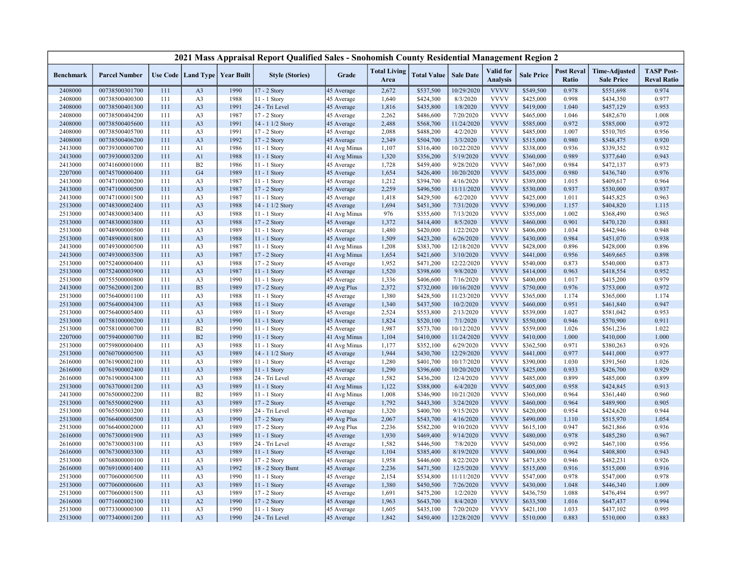|                  |                      |     |                                   |      | 2021 Mass Appraisal Report Qualified Sales - Snohomish County Residential Management Region 2 |              |                             |                    |                  |                                     |                   |                            |                                           |                                         |
|------------------|----------------------|-----|-----------------------------------|------|-----------------------------------------------------------------------------------------------|--------------|-----------------------------|--------------------|------------------|-------------------------------------|-------------------|----------------------------|-------------------------------------------|-----------------------------------------|
| <b>Benchmark</b> | <b>Parcel Number</b> |     | Use Code   Land Type   Year Built |      | <b>Style (Stories)</b>                                                                        | Grade        | <b>Total Living</b><br>Area | <b>Total Value</b> | <b>Sale Date</b> | <b>Valid</b> for<br><b>Analysis</b> | <b>Sale Price</b> | <b>Post Reval</b><br>Ratio | <b>Time-Adjusted</b><br><b>Sale Price</b> | <b>TASP Post-</b><br><b>Reval Ratio</b> |
| 2408000          | 00738500301700       | 111 | A <sub>3</sub>                    | 1990 | 17 - 2 Story                                                                                  | 45 Average   | 2,672                       | \$537,500          | 10/29/2020       | <b>VVVV</b>                         | \$549,500         | 0.978                      | \$551,698                                 | 0.974                                   |
| 2408000          | 00738500400300       | 111 | A <sub>3</sub>                    | 1988 | 11 - 1 Story                                                                                  | 45 Average   | 1,640                       | \$424,300          | 8/3/2020         | <b>VVVV</b>                         | \$425,000         | 0.998                      | \$434,350                                 | 0.977                                   |
| 2408000          | 00738500401300       | 111 | A <sub>3</sub>                    | 1991 | 24 - Tri Level                                                                                | 45 Average   | 1,816                       | \$435,800          | 1/8/2020         | <b>VVVV</b>                         | \$419,000         | 1.040                      | \$457,129                                 | 0.953                                   |
| 2408000          | 00738500404200       | 111 | A <sub>3</sub>                    | 1987 | 17 - 2 Story                                                                                  | 45 Average   | 2,262                       | \$486,600          | 7/20/2020        | <b>VVVV</b>                         | \$465,000         | 1.046                      | \$482,670                                 | 1.008                                   |
| 2408000          | 00738500405600       | 111 | A <sub>3</sub>                    | 1991 | 14 - 1 1/2 Story                                                                              | 45 Average   | 2,488                       | \$568,700          | 11/24/2020       | <b>VVVV</b>                         | \$585,000         | 0.972                      | \$585,000                                 | 0.972                                   |
| 2408000          | 00738500405700       | 111 | A <sub>3</sub>                    | 1991 | 17 - 2 Story                                                                                  | 45 Average   | 2,088                       | \$488,200          | 4/2/2020         | <b>VVVV</b>                         | \$485,000         | 1.007                      | \$510,705                                 | 0.956                                   |
| 2408000          | 00738500406200       | 111 | A <sub>3</sub>                    | 1992 | 17 - 2 Story                                                                                  | 45 Average   | 2,349                       | \$504,700          | 3/3/2020         | <b>VVVV</b>                         | \$515,000         | 0.980                      | \$548,475                                 | 0.920                                   |
| 2413000          | 00739300000700       | 111 | A <sub>1</sub>                    | 1986 | $11 - 1$ Story                                                                                | 41 Avg Minus | 1,107                       | \$316,400          | 10/22/2020       | <b>VVVV</b>                         | \$338,000         | 0.936                      | \$339,352                                 | 0.932                                   |
| 2413000          | 00739300003200       | 111 | A1                                | 1988 | 11 - 1 Story                                                                                  | 41 Avg Minus | 1,320                       | \$356,200          | 5/19/2020        | <b>VVVV</b>                         | \$360,000         | 0.989                      | \$377,640                                 | 0.943                                   |
| 2413000          | 00741600001000       | 111 | B2                                | 1986 | 11 - 1 Story                                                                                  | 45 Average   | 1,728                       | \$459,400          | 9/28/2020        | <b>VVVV</b>                         | \$467,000         | 0.984                      | \$472,137                                 | 0.973                                   |
| 2207000          | 00745700000400       | 111 | G <sub>4</sub>                    | 1989 | 11 - 1 Story                                                                                  | 45 Average   | 1,654                       | \$426,400          | 10/20/2020       | <b>VVVV</b>                         | \$435,000         | 0.980                      | \$436,740                                 | 0.976                                   |
| 2413000          | 00747100000200       | 111 | A <sub>3</sub>                    | 1987 | 11 - 1 Story                                                                                  | 45 Average   | 1,212                       | \$394,700          | 4/16/2020        | <b>VVVV</b>                         | \$389,000         | 1.015                      | \$409,617                                 | 0.964                                   |
| 2413000          | 00747100000500       | 111 | A <sub>3</sub>                    | 1987 | 17 - 2 Story                                                                                  | 45 Average   | 2,259                       | \$496,500          | 11/11/2020       | <b>VVVV</b>                         | \$530,000         | 0.937                      | \$530,000                                 | 0.937                                   |
| 2413000          | 00747100001500       | 111 | A <sub>3</sub>                    | 1987 | 11 - 1 Story                                                                                  | 45 Average   | 1,418                       | \$429,500          | 6/2/2020         | <b>VVVV</b>                         | \$425,000         | 1.011                      | \$445,825                                 | 0.963                                   |
| 2513000          | 00748300002400       | 111 | A <sub>3</sub>                    | 1988 | 14 - 1 1/2 Story                                                                              | 45 Average   | 1,694                       | \$451,300          | 7/31/2020        | <b>VVVV</b>                         | \$390,000         | 1.157                      | \$404,820                                 | 1.115                                   |
| 2513000          | 00748300003400       | 111 | A <sub>3</sub>                    | 1988 | 11 - 1 Story                                                                                  | 41 Avg Minus | 976                         | \$355,600          | 7/13/2020        | <b>VVVV</b>                         | \$355,000         | 1.002                      | \$368,490                                 | 0.965                                   |
| 2513000          | 00748300003800       | 111 | A <sub>3</sub>                    | 1988 | 17 - 2 Story                                                                                  | 45 Average   | 1,372                       | \$414,400          | 8/5/2020         | <b>VVVV</b>                         | \$460,000         | 0.901                      | \$470,120                                 | 0.881                                   |
| 2513000          | 00748900000500       | 111 | A <sub>3</sub>                    | 1989 | 11 - 1 Story                                                                                  | 45 Average   | 1,480                       | \$420,000          | 1/22/2020        | <b>VVVV</b>                         | \$406,000         | 1.034                      | \$442,946                                 | 0.948                                   |
| 2513000          | 00748900001800       | 111 | A <sub>3</sub>                    | 1988 | 11 - 1 Story                                                                                  | 45 Average   | 1,509                       | \$423,200          | 6/26/2020        | <b>VVVV</b>                         | \$430,000         | 0.984                      | \$451,070                                 | 0.938                                   |
| 2413000          | 00749300000500       | 111 | A <sub>3</sub>                    | 1987 | 11 - 1 Story                                                                                  | 41 Avg Minus | 1,208                       | \$383,700          | 12/18/2020       | <b>VVVV</b>                         | \$428,000         | 0.896                      | \$428,000                                 | 0.896                                   |
| 2413000          | 00749300003500       | 111 | A <sub>3</sub>                    | 1987 | 17 - 2 Story                                                                                  | 41 Avg Minus | 1,654                       | \$421,600          | 3/10/2020        | <b>VVVV</b>                         | \$441,000         | 0.956                      | \$469,665                                 | 0.898                                   |
| 2513000          | 00752400000400       | 111 | A <sub>3</sub>                    | 1988 | 17 - 2 Story                                                                                  | 45 Average   | 1,952                       | \$471,200          | 12/22/2020       | <b>VVVV</b>                         | \$540,000         | 0.873                      | \$540,000                                 | 0.873                                   |
| 2513000          | 00752400003900       | 111 | A <sub>3</sub>                    | 1987 | 11 - 1 Story                                                                                  | 45 Average   | 1,520                       | \$398,600          | 9/8/2020         | <b>VVVV</b>                         | \$414,000         | 0.963                      | \$418,554                                 | 0.952                                   |
| 2513000          | 00755500000800       | 111 | A <sub>3</sub>                    | 1990 | $11 - 1$ Story                                                                                | 45 Average   | 1,336                       | \$406,600          | 7/16/2020        | <b>VVVV</b>                         | \$400,000         | 1.017                      | \$415,200                                 | 0.979                                   |
| 2413000          | 00756200001200       | 111 | B <sub>5</sub>                    | 1989 | 17 - 2 Story                                                                                  | 49 Avg Plus  | 2,372                       | \$732,000          | 10/16/2020       | <b>VVVV</b>                         | \$750,000         | 0.976                      | \$753,000                                 | 0.972                                   |
| 2513000          | 00756400001100       | 111 | A <sub>3</sub>                    | 1988 | 11 - 1 Story                                                                                  | 45 Average   | 1,380                       | \$428,500          | 11/23/2020       | <b>VVVV</b>                         | \$365,000         | 1.174                      | \$365,000                                 | 1.174                                   |
| 2513000          | 00756400004300       | 111 | A <sub>3</sub>                    | 1988 | 11 - 1 Story                                                                                  | 45 Average   | 1,340                       | \$437,500          | 10/2/2020        | <b>VVVV</b>                         | \$460,000         | 0.951                      | \$461,840                                 | 0.947                                   |
| 2513000          | 00756400005400       | 111 | A <sub>3</sub>                    | 1989 | $11 - 1$ Story                                                                                | 45 Average   | 2,524                       | \$553,800          | 2/13/2020        | <b>VVVV</b>                         | \$539,000         | 1.027                      | \$581,042                                 | 0.953                                   |
| 2513000          | 00758100000200       | 111 | A <sub>3</sub>                    | 1990 | 11 - 1 Story                                                                                  | 45 Average   | 1,824                       | \$520,100          | 7/1/2020         | <b>VVVV</b>                         | \$550,000         | 0.946                      | \$570,900                                 | 0.911                                   |
| 2513000          | 00758100000700       | 111 | B2                                | 1990 | 11 - 1 Story                                                                                  | 45 Average   | 1,987                       | \$573,700          | 10/12/2020       | <b>VVVV</b>                         | \$559,000         | 1.026                      | \$561,236                                 | 1.022                                   |
| 2207000          | 00759400000700       | 111 | B2                                | 1990 | $11 - 1$ Story                                                                                | 41 Avg Minus | 1,104                       | \$410,000          | 11/24/2020       | <b>VVVV</b>                         | \$410,000         | 1.000                      | \$410,000                                 | 1.000                                   |
| 2513000          | 00759800000400       | 111 | A <sub>3</sub>                    | 1988 | 11 - 1 Story                                                                                  | 41 Avg Minus | 1,177                       | \$352,100          | 6/29/2020        | <b>VVVV</b>                         | \$362,500         | 0.971                      | \$380,263                                 | 0.926                                   |
| 2513000          | 00760700000500       | 111 | A <sub>3</sub>                    | 1989 | 14 - 1 1/2 Story                                                                              | 45 Average   | 1,944                       | \$430,700          | 12/29/2020       | <b>VVVV</b>                         | \$441,000         | 0.977                      | \$441,000                                 | 0.977                                   |
| 2616000          | 00761900002100       | 111 | A <sub>3</sub>                    | 1989 | 11 - 1 Story                                                                                  | 45 Average   | 1,280                       | \$401,700          | 10/17/2020       | <b>VVVV</b>                         | \$390,000         | 1.030                      | \$391,560                                 | 1.026                                   |
| 2616000          | 00761900002400       | 111 | A <sub>3</sub>                    | 1989 | 11 - 1 Story                                                                                  | 45 Average   | 1,290                       | \$396,600          | 10/20/2020       | <b>VVVV</b>                         | \$425,000         | 0.933                      | \$426,700                                 | 0.929                                   |
| 2616000          | 00761900004300       | 111 | A <sub>3</sub>                    | 1988 | 24 - Tri Level                                                                                | 45 Average   | 1,582                       | \$436,200          | 12/4/2020        | <b>VVVV</b>                         | \$485,000         | 0.899                      | \$485,000                                 | 0.899                                   |
| 2513000          | 00763700001200       | 111 | A <sub>3</sub>                    | 1989 | 11 - 1 Story                                                                                  | 41 Avg Minus | 1,122                       | \$388,000          | 6/4/2020         | <b>VVVV</b>                         | \$405,000         | 0.958                      | \$424,845                                 | 0.913                                   |
| 2413000          | 00765000002200       | 111 | B2                                | 1989 | $11 - 1$ Story                                                                                | 41 Avg Minus | 1,008                       | \$346,900          | 10/21/2020       | <b>VVVV</b>                         | \$360,000         | 0.964                      | \$361,440                                 | 0.960                                   |
| 2513000          | 00765500002900       | 111 | A <sub>3</sub>                    | 1989 | 17 - 2 Story                                                                                  | 45 Average   | 1,792                       | \$443,300          | 3/24/2020        | <b>VVVV</b>                         | \$460,000         | 0.964                      | \$489,900                                 | 0.905                                   |
| 2513000          | 00765500003200       | 111 | A <sub>3</sub>                    | 1989 | 24 - Tri Level                                                                                | 45 Average   | 1,320                       | \$400,700          | 9/15/2020        | <b>VVVV</b>                         | \$420,000         | 0.954                      | \$424,620                                 | 0.944                                   |
| 2513000          | 00766400000500       | 111 | A <sub>3</sub>                    | 1990 | 17 - 2 Story                                                                                  | 49 Avg Plus  | 2,067                       | \$543,700          | 4/16/2020        | <b>VVVV</b>                         | \$490,000         | 1.110                      | \$515,970                                 | 1.054                                   |
| 2513000          | 00766400002000       | 111 | A <sub>3</sub>                    | 1989 | 17 - 2 Story                                                                                  | 49 Avg Plus  | 2,236                       | \$582,200          | 9/10/2020        | <b>VVVV</b>                         | \$615,100         | 0.947                      | \$621,866                                 | 0.936                                   |
| 2616000          | 00767300001900       | 111 | A <sub>3</sub>                    | 1989 | 11 - 1 Story                                                                                  | 45 Average   | 1,930                       | \$469,400          | 9/14/2020        | <b>VVVV</b>                         | \$480,000         | 0.978                      | \$485,280                                 | 0.967                                   |
| 2616000          | 00767300003100       | 111 | A <sub>3</sub>                    | 1989 | 24 - Tri Level                                                                                | 45 Average   | 1,582                       | \$446,500          | 7/8/2020         | <b>VVVV</b>                         | \$450,000         | 0.992                      | \$467,100                                 | 0.956                                   |
| 2616000          | 00767300003300       | 111 | A <sub>3</sub>                    | 1989 | $11 - 1$ Story                                                                                | 45 Average   | 1,104                       | \$385,400          | 8/19/2020        | <b>VVVV</b>                         | \$400,000         | 0.964                      | \$408,800                                 | 0.943                                   |
| 2513000          | 00768800000100       | 111 | A <sub>3</sub>                    | 1989 | 17 - 2 Story                                                                                  | 45 Average   | 1,958                       | \$446,600          | 8/22/2020        | <b>VVVV</b>                         | \$471,850         | 0.946                      | \$482,231                                 | 0.926                                   |
| 2616000          | 00769100001400       | 111 | A <sub>3</sub>                    | 1992 | 18 - 2 Story Bsmt                                                                             | 45 Average   | 2,236                       | \$471,500          | 12/5/2020        | <b>VVVV</b>                         | \$515,000         | 0.916                      | \$515,000                                 | 0.916                                   |
| 2513000          | 00770600000500       | 111 | A <sub>3</sub>                    | 1990 | 11 - 1 Story                                                                                  | 45 Average   | 2,154                       | \$534,800          | 11/11/2020       | <b>VVVV</b>                         | \$547,000         | 0.978                      | \$547,000                                 | 0.978                                   |
| 2513000          | 00770600000600       | 111 | A <sub>3</sub>                    | 1989 | 11 - 1 Story                                                                                  | 45 Average   | 1,380                       | \$450,500          | 7/26/2020        | <b>VVVV</b>                         | \$430,000         | 1.048                      | \$446,340                                 | 1.009                                   |
| 2513000          | 00770600001500       | 111 | A <sub>3</sub>                    | 1989 | 17 - 2 Story                                                                                  | 45 Average   | 1,691                       | \$475,200          | 1/2/2020         | <b>VVVV</b>                         | \$436,750         | 1.088                      | \$476,494                                 | 0.997                                   |
| 2616000          | 00771600002100       | 111 | A2                                | 1990 | 17 - 2 Story                                                                                  | 45 Average   | 1,963                       | \$643,700          | 8/4/2020         | <b>VVVV</b>                         | \$633,500         | 1.016                      | \$647,437                                 | 0.994                                   |
| 2513000          | 00773300000300       | 111 | A <sub>3</sub>                    | 1990 | $11 - 1$ Story                                                                                | 45 Average   | 1,605                       | \$435,100          | 7/20/2020        | <b>VVVV</b>                         | \$421,100         | 1.033                      | \$437,102                                 | 0.995                                   |
| 2513000          | 00773400001200       | 111 | A <sub>3</sub>                    | 1990 | 24 - Tri Level                                                                                | 45 Average   | 1,842                       | \$450,400          | 12/28/2020       | <b>VVVV</b>                         | \$510,000         | 0.883                      | \$510,000                                 | 0.883                                   |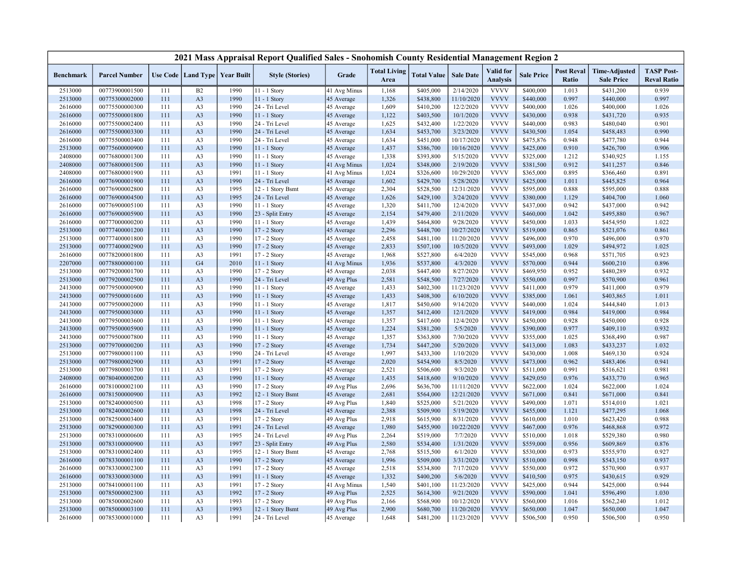|                  |                      |     |                      |                   | 2021 Mass Appraisal Report Qualified Sales - Snohomish County Residential Management Region 2 |              |                             |                    |                  |                                     |                   |                            |                                           |                                         |
|------------------|----------------------|-----|----------------------|-------------------|-----------------------------------------------------------------------------------------------|--------------|-----------------------------|--------------------|------------------|-------------------------------------|-------------------|----------------------------|-------------------------------------------|-----------------------------------------|
| <b>Benchmark</b> | <b>Parcel Number</b> |     | Use Code   Land Type | <b>Year Built</b> | <b>Style (Stories)</b>                                                                        | Grade        | <b>Total Living</b><br>Area | <b>Total Value</b> | <b>Sale Date</b> | <b>Valid</b> for<br><b>Analysis</b> | <b>Sale Price</b> | <b>Post Reval</b><br>Ratio | <b>Time-Adjusted</b><br><b>Sale Price</b> | <b>TASP Post-</b><br><b>Reval Ratio</b> |
| 2513000          | 00773900001500       | 111 | B2                   | 1990              | 11 - 1 Story                                                                                  | 41 Avg Minus | 1,168                       | \$405,000          | 2/14/2020        | <b>VVVV</b>                         | \$400,000         | 1.013                      | \$431,200                                 | 0.939                                   |
| 2513000          | 00775300002000       | 111 | A3                   | 1990              | 11 - 1 Story                                                                                  | 45 Average   | 1,326                       | \$438,800          | 11/10/2020       | <b>VVVV</b>                         | \$440,000         | 0.997                      | \$440,000                                 | 0.997                                   |
| 2616000          | 00775500000300       | 111 | A <sub>3</sub>       | 1990              | 24 - Tri Level                                                                                | 45 Average   | 1,609                       | \$410,200          | 12/2/2020        | <b>VVVV</b>                         | \$400,000         | 1.026                      | \$400,000                                 | 1.026                                   |
| 2616000          | 00775500001800       | 111 | A <sub>3</sub>       | 1990              | 11 - 1 Story                                                                                  | 45 Average   | 1,122                       | \$403,500          | 10/1/2020        | <b>VVVV</b>                         | \$430,000         | 0.938                      | \$431,720                                 | 0.935                                   |
| 2616000          | 00775500002400       | 111 | A3                   | 1990              | 24 - Tri Level                                                                                | 45 Average   | 1,625                       | \$432,400          | 1/22/2020        | <b>VVVV</b>                         | \$440,000         | 0.983                      | \$480,040                                 | 0.901                                   |
| 2616000          | 00775500003300       | 111 | A <sub>3</sub>       | 1990              | 24 - Tri Level                                                                                | 45 Average   | 1,634                       | \$453,700          | 3/23/2020        | <b>VVVV</b>                         | \$430,500         | 1.054                      | \$458,483                                 | 0.990                                   |
| 2616000          | 00775500003400       | 111 | A3                   | 1990              | 24 - Tri Level                                                                                | 45 Average   | 1,634                       | \$451,000          | 10/17/2020       | <b>VVVV</b>                         | \$475,876         | 0.948                      | \$477,780                                 | 0.944                                   |
| 2513000          | 00775600000900       | 111 | A <sub>3</sub>       | 1990              | $11 - 1$ Story                                                                                | 45 Average   | 1,437                       | \$386,700          | 10/16/2020       | <b>VVVV</b>                         | \$425,000         | 0.910                      | \$426,700                                 | 0.906                                   |
| 2408000          | 00776800001300       | 111 | A3                   | 1990              | 11 - 1 Story                                                                                  | 45 Average   | 1,338                       | \$393,800          | 5/15/2020        | <b>VVVV</b>                         | \$325,000         | 1.212                      | \$340,925                                 | 1.155                                   |
| 2408000          | 00776800001500       | 111 | A <sub>3</sub>       | 1990              | $11 - 1$ Story                                                                                | 41 Avg Minus | 1,024                       | \$348,000          | 2/19/2020        | <b>VVVV</b>                         | \$381,500         | 0.912                      | \$411,257                                 | 0.846                                   |
| 2408000          | 00776800001900       | 111 | A3                   | 1991              | 11 - 1 Story                                                                                  | 41 Avg Minus | 1,024                       | \$326,600          | 10/29/2020       | <b>VVVV</b>                         | \$365,000         | 0.895                      | \$366,460                                 | 0.891                                   |
| 2616000          | 00776900001900       | 111 | A <sub>3</sub>       | 1990              | 24 - Tri Level                                                                                | 45 Average   | 1,602                       | \$429,700          | 5/28/2020        | <b>VVVV</b>                         | \$425,000         | 1.011                      | \$445,825                                 | 0.964                                   |
| 2616000          | 00776900002800       | 111 | A <sub>3</sub>       | 1995              | 12 - 1 Story Bsmt                                                                             | 45 Average   | 2,304                       | \$528,500          | 12/31/2020       | <b>VVVV</b>                         | \$595,000         | 0.888                      | \$595,000                                 | 0.888                                   |
| 2616000          | 00776900004500       | 111 | A <sub>3</sub>       | 1995              | 24 - Tri Level                                                                                | 45 Average   | 1,626                       | \$429,100          | 3/24/2020        | <b>VVVV</b>                         | \$380,000         | 1.129                      | \$404,700                                 | 1.060                                   |
| 2616000          | 00776900005100       | 111 | A3                   | 1990              | 11 - 1 Story                                                                                  | 45 Average   | 1,320                       | \$411,700          | 12/4/2020        | <b>VVVV</b>                         | \$437,000         | 0.942                      | \$437,000                                 | 0.942                                   |
| 2616000          | 00776900005900       | 111 | A <sub>3</sub>       | 1990              | 23 - Split Entry                                                                              | 45 Average   | 2,154                       | \$479,400          | 2/11/2020        | <b>VVVV</b>                         | \$460,000         | 1.042                      | \$495,880                                 | 0.967                                   |
| 2616000          | 00777000000200       | 111 | A3                   | 1990              | 11 - 1 Story                                                                                  | 45 Average   | 1,439                       | \$464,800          | 9/28/2020        | <b>VVVV</b>                         | \$450,000         | 1.033                      | \$454,950                                 | 1.022                                   |
| 2513000          | 00777400001200       | 111 | A <sub>3</sub>       | 1990              | 17 - 2 Story                                                                                  | 45 Average   | 2,296                       | \$448,700          | 10/27/2020       | <b>VVVV</b>                         | \$519,000         | 0.865                      | \$521,076                                 | 0.861                                   |
| 2513000          | 00777400001800       | 111 | A3                   | 1990              | 17 - 2 Story                                                                                  | 45 Average   | 2,458                       | \$481,100          | 11/20/2020       | <b>VVVV</b>                         | \$496,000         | 0.970                      | \$496,000                                 | 0.970                                   |
| 2513000          | 00777400002900       | 111 | A <sub>3</sub>       | 1990              | 17 - 2 Story                                                                                  | 45 Average   | 2,833                       | \$507,100          | 10/5/2020        | <b>VVVV</b>                         | \$493,000         | 1.029                      | \$494,972                                 | 1.025                                   |
| 2616000          | 00778200001800       | 111 | A <sub>3</sub>       | 1991              | 17 - 2 Story                                                                                  | 45 Average   | 1,968                       | \$527,800          | 6/4/2020         | <b>VVVV</b>                         | \$545,000         | 0.968                      | \$571,705                                 | 0.923                                   |
| 2207000          | 00778800000100       | 111 | G4                   | 2010              | $11 - 1$ Story                                                                                | 41 Avg Minus | 1,936                       | \$537,800          | 4/3/2020         | <b>VVVV</b>                         | \$570,000         | 0.944                      | \$600,210                                 | 0.896                                   |
| 2513000          | 00779200001700       | 111 | A <sub>3</sub>       | 1990              | 17 - 2 Story                                                                                  | 45 Average   | 2,038                       | \$447,400          | 8/27/2020        | <b>VVVV</b>                         | \$469,950         | 0.952                      | \$480,289                                 | 0.932                                   |
| 2513000          | 00779200002500       | 111 | A <sub>3</sub>       | 1990              | 24 - Tri Level                                                                                | 49 Avg Plus  | 2,581                       | \$548,500          | 7/27/2020        | <b>VVVV</b>                         | \$550,000         | 0.997                      | \$570,900                                 | 0.961                                   |
| 2413000          | 00779500000900       | 111 | A <sub>3</sub>       | 1990              | 11 - 1 Story                                                                                  | 45 Average   | 1,433                       | \$402,300          | 11/23/2020       | <b>VVVV</b>                         | \$411,000         | 0.979                      | \$411,000                                 | 0.979                                   |
| 2413000          | 00779500001600       | 111 | A <sub>3</sub>       | 1990              | 11 - 1 Story                                                                                  | 45 Average   | 1,433                       | \$408,300          | 6/10/2020        | <b>VVVV</b>                         | \$385,000         | 1.061                      | \$403,865                                 | 1.011                                   |
| 2413000          | 00779500002000       | 111 | A3                   | 1990              | 11 - 1 Story                                                                                  | 45 Average   | 1,817                       | \$450,600          | 9/14/2020        | <b>VVVV</b>                         | \$440,000         | 1.024                      | \$444,840                                 | 1.013                                   |
| 2413000          | 00779500003000       | 111 | A3                   | 1990              | 11 - 1 Story                                                                                  | 45 Average   | 1,357                       | \$412,400          | 12/1/2020        | <b>VVVV</b>                         | \$419,000         | 0.984                      | \$419,000                                 | 0.984                                   |
| 2413000          | 00779500003600       | 111 | A3                   | 1990              | 11 - 1 Story                                                                                  | 45 Average   | 1,357                       | \$417,600          | 12/4/2020        | <b>VVVV</b>                         | \$450,000         | 0.928                      | \$450,000                                 | 0.928                                   |
| 2413000          | 00779500005900       | 111 | A3                   | 1990              | $11 - 1$ Story                                                                                | 45 Average   | 1,224                       | \$381,200          | 5/5/2020         | <b>VVVV</b>                         | \$390,000         | 0.977                      | \$409,110                                 | 0.932                                   |
| 2413000          | 00779500007800       | 111 | A3                   | 1990              | 11 - 1 Story                                                                                  | 45 Average   | 1,357                       | \$363,800          | 7/30/2020        | <b>VVVV</b>                         | \$355,000         | 1.025                      | \$368,490                                 | 0.987                                   |
| 2513000          | 00779700000200       | 111 | A <sub>3</sub>       | 1990              | 17 - 2 Story                                                                                  | 45 Average   | 1,734                       | \$447,200          | 5/20/2020        | <b>VVVV</b>                         | \$413,000         | 1.083                      | \$433,237                                 | 1.032                                   |
| 2513000          | 00779800001100       | 111 | A <sub>3</sub>       | 1990              | 24 - Tri Level                                                                                | 45 Average   | 1,997                       | \$433,300          | 1/10/2020        | <b>VVVV</b>                         | \$430,000         | 1.008                      | \$469,130                                 | 0.924                                   |
| 2513000          | 00779800002900       | 111 | A <sub>3</sub>       | 1991              | 17 - 2 Story                                                                                  | 45 Average   | 2,020                       | \$454,900          | 8/5/2020         | <b>VVVV</b>                         | \$473,000         | 0.962                      | \$483,406                                 | 0.941                                   |
| 2513000          | 00779800003700       | 111 | A3                   | 1991              | 17 - 2 Story                                                                                  | 45 Average   | 2,521                       | \$506,600          | 9/3/2020         | <b>VVVV</b>                         | \$511,000         | 0.991                      | \$516,621                                 | 0.981                                   |
| 2408000          | 00780400000200       | 111 | A <sub>3</sub>       | 1990              | 11 - 1 Story                                                                                  | 45 Average   | 1,435                       | \$418,600          | 9/10/2020        | <b>VVVV</b>                         | \$429,050         | 0.976                      | \$433,770                                 | 0.965                                   |
| 2616000          | 00781000002100       | 111 | A3                   | 1990              | 17 - 2 Story                                                                                  | 49 Avg Plus  | 2,696                       | \$636,700          | 11/11/2020       | <b>VVVV</b>                         | \$622,000         | 1.024                      | \$622,000                                 | 1.024                                   |
| 2616000          | 00781500000900       | 111 | A <sub>3</sub>       | 1992              | 12 - 1 Story Bsmt                                                                             | 45 Average   | 2,681                       | \$564,000          | 12/21/2020       | <b>VVVV</b>                         | \$671,000         | 0.841                      | \$671,000                                 | 0.841                                   |
| 2513000          | 00782400000500       | 111 | A3                   | 1998              | 17 - 2 Story                                                                                  | 49 Avg Plus  | 1,840                       | \$525,000          | 5/21/2020        | <b>VVVV</b>                         | \$490,000         | 1.071                      | \$514,010                                 | 1.021                                   |
| 2513000          | 00782400002600       | 111 | A <sub>3</sub>       | 1998              | 24 - Tri Level                                                                                | 45 Average   | 2,388                       | \$509,900          | 5/19/2020        | <b>VVVV</b>                         | \$455,000         | 1.121                      | \$477,295                                 | 1.068                                   |
| 2513000          | 00782500003400       | 111 | A <sub>3</sub>       | 1991              | 17 - 2 Story                                                                                  | 49 Avg Plus  | 2,918                       | \$615,900          | 8/31/2020        | <b>VVVV</b>                         | \$610,000         | 1.010                      | \$623,420                                 | 0.988                                   |
| 2513000          | 00782900000300       | 111 | A <sub>3</sub>       | 1991              | 24 - Tri Level                                                                                | 45 Average   | 1,980                       | \$455,900          | 10/22/2020       | <b>VVVV</b>                         | \$467,000         | 0.976                      | \$468,868                                 | 0.972                                   |
| 2513000          | 00783100000600       | 111 | A <sub>3</sub>       | 1995              | 24 - Tri Level                                                                                | 49 Avg Plus  | 2,264                       | \$519,000          | 7/7/2020         | <b>VVVV</b>                         | \$510,000         | 1.018                      | \$529,380                                 | 0.980                                   |
| 2513000          | 00783100000900       | 111 | A <sub>3</sub>       | 1997              | 23 - Split Entry                                                                              | 49 Avg Plus  | 2,580                       | \$534,400          | 1/31/2020        | <b>VVVV</b>                         | \$559,000         | 0.956                      | \$609,869                                 | 0.876                                   |
| 2513000          | 00783100002400       | 111 | A <sub>3</sub>       | 1995              | 12 - 1 Story Bsmt                                                                             | 45 Average   | 2,768                       | \$515,500          | 6/1/2020         | <b>VVVV</b>                         | \$530,000         | 0.973                      | \$555,970                                 | 0.927                                   |
| 2616000          | 00783300001100       | 111 | A <sub>3</sub>       | 1990              | 17 - 2 Story                                                                                  | 45 Average   | 1,996                       | \$509,000          | 3/31/2020        | <b>VVVV</b>                         | \$510,000         | 0.998                      | \$543,150                                 | 0.937                                   |
| 2616000          | 00783300002300       | 111 | A3                   | 1991              | 17 - 2 Story                                                                                  | 45 Average   | 2,518                       | \$534,800          | 7/17/2020        | <b>VVVV</b>                         | \$550,000         | 0.972                      | \$570,900                                 | 0.937                                   |
| 2616000          | 00783300003000       | 111 | A3                   | 1991              | 11 - 1 Story                                                                                  | 45 Average   | 1,332                       | \$400,200          | 5/6/2020         | <b>VVVV</b>                         | \$410,500         | 0.975                      | \$430,615                                 | 0.929                                   |
| 2513000          | 00784100001100       | 111 | A3                   | 1991              | 17 - 2 Story                                                                                  | 41 Avg Minus | 1,540                       | \$401,100          | 11/23/2020       | <b>VVVV</b>                         | \$425,000         | 0.944                      | \$425,000                                 | 0.944                                   |
| 2513000          | 00785000002300       | 111 | A <sub>3</sub>       | 1992              | 17 - 2 Story                                                                                  | 49 Avg Plus  | 2,525                       | \$614,300          | 9/21/2020        | <b>VVVV</b>                         | \$590,000         | 1.041                      | \$596,490                                 | 1.030                                   |
| 2513000          | 00785000002600       | 111 | A3                   | 1993              | 17 - 2 Story                                                                                  | 49 Avg Plus  | 2,166                       | \$568,900          | 10/12/2020       | <b>VVVV</b>                         | \$560,000         | 1.016                      | \$562,240                                 | 1.012                                   |
| 2513000          | 00785000003100       | 111 | A <sub>3</sub>       | 1993              | 12 - 1 Story Bsmt                                                                             | 49 Avg Plus  | 2,900                       | \$680,700          | 11/20/2020       | <b>VVVV</b>                         | \$650,000         | 1.047                      | \$650,000                                 | 1.047                                   |
| 2616000          | 00785300001000       | 111 | A <sub>3</sub>       | 1991              | 24 - Tri Level                                                                                | 45 Average   | 1,648                       | \$481,200          | 11/23/2020       | <b>VVVV</b>                         | \$506,500         | 0.950                      | \$506,500                                 | 0.950                                   |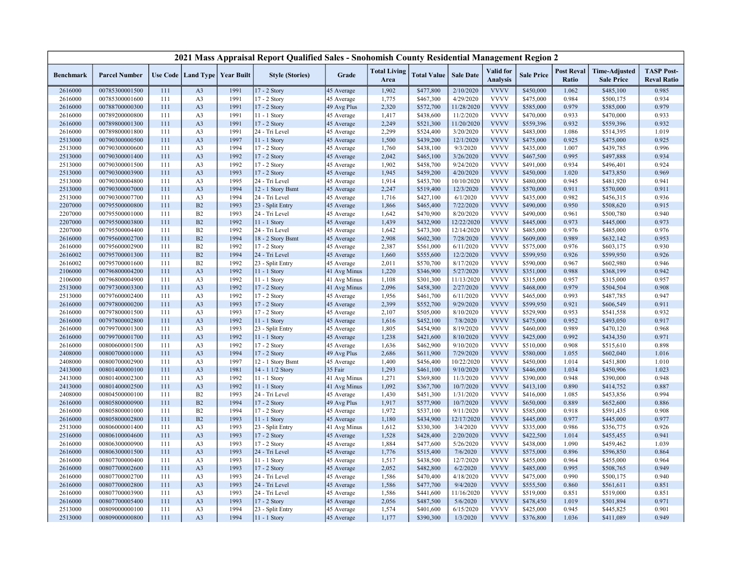|                    |                                  |            |                                   |              | 2021 Mass Appraisal Report Qualified Sales - Snohomish County Residential Management Region 2 |                          |                             |                        |                       |                              |                        |                            |                                           |                                         |
|--------------------|----------------------------------|------------|-----------------------------------|--------------|-----------------------------------------------------------------------------------------------|--------------------------|-----------------------------|------------------------|-----------------------|------------------------------|------------------------|----------------------------|-------------------------------------------|-----------------------------------------|
| <b>Benchmark</b>   | <b>Parcel Number</b>             |            | Use Code   Land Type   Year Built |              | <b>Style (Stories)</b>                                                                        | Grade                    | <b>Total Living</b><br>Area | <b>Total Value</b>     | <b>Sale Date</b>      | Valid for<br><b>Analysis</b> | <b>Sale Price</b>      | <b>Post Reval</b><br>Ratio | <b>Time-Adjusted</b><br><b>Sale Price</b> | <b>TASP Post-</b><br><b>Reval Ratio</b> |
| 2616000            | 00785300001500                   | 111        | A <sub>3</sub>                    | 1991         | 17 - 2 Story                                                                                  | 45 Average               | 1,902                       | \$477,800              | 2/10/2020             | <b>VVVV</b>                  | \$450,000              | 1.062                      | \$485,100                                 | 0.985                                   |
| 2616000            | 00785300001600                   | 111        | A <sub>3</sub>                    | 1991         | 17 - 2 Story                                                                                  | 45 Average               | 1,775                       | \$467,300              | 4/29/2020             | <b>VVVV</b>                  | \$475,000              | 0.984                      | \$500,175                                 | 0.934                                   |
| 2616000            | 00788700000300                   | 111        | A <sub>3</sub>                    | 1991         | 17 - 2 Story                                                                                  | 49 Avg Plus              | 2,320                       | \$572,700              | 11/28/2020            | <b>VVVV</b>                  | \$585,000              | 0.979                      | \$585,000                                 | 0.979                                   |
| 2616000            | 00789200000800                   | 111        | A <sub>3</sub>                    | 1991         | 11 - 1 Story                                                                                  | 45 Average               | 1,417                       | \$438,600              | 11/2/2020             | <b>VVVV</b>                  | \$470,000              | 0.933                      | \$470,000                                 | 0.933                                   |
| 2616000            | 00789800001300                   | 111        | A <sub>3</sub>                    | 1991         | 17 - 2 Story                                                                                  | 45 Average               | 2,249                       | \$521,300              | 11/20/2020            | <b>VVVV</b>                  | \$559,396              | 0.932                      | \$559,396                                 | 0.932                                   |
| 2616000            | 00789800001800                   | 111        | A <sub>3</sub>                    | 1991         | 24 - Tri Level                                                                                | 45 Average               | 2,299                       | \$524,400              | 3/20/2020             | <b>VVVV</b>                  | \$483,000              | 1.086                      | \$514,395                                 | 1.019                                   |
| 2513000            | 00790300000500                   | 111        | A <sub>3</sub>                    | 1997         | $11 - 1$ Story                                                                                | 45 Average               | 1,500                       | \$439,200              | 12/1/2020             | <b>VVVV</b>                  | \$475,000              | 0.925                      | \$475,000                                 | 0.925                                   |
| 2513000            | 00790300000600                   | 111        | A <sub>3</sub>                    | 1994         | 17 - 2 Story                                                                                  | 45 Average               | 1,760                       | \$438,100              | 9/3/2020              | <b>VVVV</b>                  | \$435,000              | 1.007                      | \$439,785                                 | 0.996                                   |
| 2513000            | 00790300001400                   | 111        | A <sub>3</sub>                    | 1992         | $17 - 2$ Story                                                                                | 45 Average               | 2,042                       | \$465,100              | 3/26/2020             | <b>VVVV</b>                  | \$467,500              | 0.995                      | \$497,888                                 | 0.934                                   |
| 2513000            | 00790300001500                   | 111        | A <sub>3</sub>                    | 1992         | 17 - 2 Story                                                                                  | 45 Average               | 1,902                       | \$458,700              | 9/24/2020             | <b>VVVV</b>                  | \$491,000              | 0.934                      | \$496,401                                 | 0.924                                   |
| 2513000            | 00790300003900                   | 111        | A <sub>3</sub>                    | 1993         | 17 - 2 Story                                                                                  | 45 Average               | 1,945                       | \$459,200              | 4/20/2020             | <b>VVVV</b>                  | \$450,000              | 1.020                      | \$473,850                                 | 0.969                                   |
| 2513000            | 00790300004800                   | 111        | A <sub>3</sub>                    | 1995         | 24 - Tri Level                                                                                | 45 Average               | 1,914                       | \$453,700              | 10/10/2020            | <b>VVVV</b>                  | \$480,000              | 0.945                      | \$481,920                                 | 0.941                                   |
| 2513000            | 00790300007000                   | 111        | A <sub>3</sub>                    | 1994         | 12 - 1 Story Bsmt                                                                             | 45 Average               | 2,247                       | \$519,400              | 12/3/2020             | <b>VVVV</b>                  | \$570,000              | 0.911                      | \$570,000                                 | 0.911                                   |
| 2513000            | 00790300007700                   | 111        | A <sub>3</sub>                    | 1994         | 24 - Tri Level                                                                                | 45 Average               | 1,716                       | \$427,100              | 6/1/2020              | <b>VVVV</b>                  | \$435,000              | 0.982                      | \$456,315                                 | 0.936                                   |
| 2207000            | 00795500000800                   | 111        | B2                                | 1993         | 23 - Split Entry                                                                              | 45 Average               | 1,866                       | \$465,400              | 7/22/2020             | <b>VVVV</b>                  | \$490,000              | 0.950                      | \$508,620                                 | 0.915                                   |
| 2207000            | 00795500001000                   | 111        | B2                                | 1993         | 24 - Tri Level                                                                                | 45 Average               | 1,642                       | \$470,900              | 8/20/2020             | <b>VVVV</b>                  | \$490,000              | 0.961                      | \$500,780                                 | 0.940                                   |
| 2207000            | 00795500003800                   | 111        | B2                                | 1992         | 11 - 1 Story                                                                                  | 45 Average               | 1,439                       | \$432,900              | 12/22/2020            | <b>VVVV</b>                  | \$445,000              | 0.973                      | \$445,000                                 | 0.973                                   |
| 2207000            | 00795500004400                   | 111        | B2                                | 1992         | 24 - Tri Level                                                                                | 45 Average               | 1,642                       | \$473,300              | 12/14/2020            | <b>VVVV</b>                  | \$485,000              | 0.976                      | \$485,000                                 | 0.976                                   |
| 2616000            | 00795600002700                   | 111        | B2                                | 1994         | 18 - 2 Story Bsmt                                                                             | 45 Average               | 2,908                       | \$602,300              | 7/28/2020             | <b>VVVV</b>                  | \$609,000              | 0.989                      | \$632,142                                 | 0.953                                   |
| 2616000            | 00795600002900                   | 111        | B2                                | 1992         | $17 - 2$ Story                                                                                | 45 Average               | 2,387                       | \$561,000              | 6/11/2020             | <b>VVVV</b>                  | \$575,000              | 0.976                      | \$603,175                                 | 0.930                                   |
| 2616002            | 00795700001300                   | 111        | B2                                | 1994         | 24 - Tri Level                                                                                | 45 Average               | 1,660                       | \$555,600              | 12/2/2020             | <b>VVVV</b>                  | \$599,950              | 0.926                      | \$599,950                                 | 0.926                                   |
| 2616002            | 00795700001600                   | 111        | B2                                | 1992         | 23 - Split Entry                                                                              | 45 Average               | 2,011                       | \$570,700              | 8/17/2020             | <b>VVVV</b>                  | \$590,000              | 0.967                      | \$602,980                                 | 0.946                                   |
| 2106000            | 00796800004200                   | 111        | A <sub>3</sub>                    | 1992         | 11 - 1 Story                                                                                  | 41 Avg Minus             | 1,220                       | \$346,900              | 5/27/2020             | <b>VVVV</b>                  | \$351,000              | 0.988                      | \$368,199                                 | 0.942                                   |
| 2106000            | 00796800004900                   | 111        | A <sub>3</sub>                    | 1992         | 11 - 1 Story                                                                                  | 41 Avg Minus             | 1,108                       | \$301,300              | 11/13/2020            | <b>VVVV</b>                  | \$315,000              | 0.957                      | \$315,000                                 | 0.957                                   |
| 2513000            | 00797300003300                   | 111        | A <sub>3</sub>                    | 1992         | 17 - 2 Story                                                                                  | 41 Avg Minus             | 2,096                       | \$458,300              | 2/27/2020             | <b>VVVV</b><br><b>VVVV</b>   | \$468,000              | 0.979                      | \$504,504                                 | 0.908                                   |
| 2513000            | 00797600002400                   | 111        | A <sub>3</sub>                    | 1992         | 17 - 2 Story                                                                                  | 45 Average               | 1,956                       | \$461,700              | 6/11/2020             |                              | \$465,000              | 0.993                      | \$487,785                                 | 0.947                                   |
| 2616000            | 00797800000200                   | 111        | A <sub>3</sub>                    | 1993         | 17 - 2 Story                                                                                  | 45 Average               | 2,399                       | \$552,700              | 9/29/2020             | <b>VVVV</b><br><b>VVVV</b>   | \$599,950              | 0.921<br>0.953             | \$606,549                                 | 0.911                                   |
| 2616000<br>2616000 | 00797800001500<br>00797800002800 | 111<br>111 | A <sub>3</sub><br>A <sub>3</sub>  | 1993<br>1992 | $17 - 2$ Story<br>11 - 1 Story                                                                | 45 Average               | 2,107<br>1,616              | \$505,000<br>\$452,100 | 8/10/2020<br>7/8/2020 | <b>VVVV</b>                  | \$529,900<br>\$475,000 | 0.952                      | \$541,558<br>\$493,050                    | 0.932<br>0.917                          |
| 2616000            | 00799700001300                   | 111        | A <sub>3</sub>                    | 1993         |                                                                                               | 45 Average<br>45 Average | 1,805                       |                        | 8/19/2020             | <b>VVVV</b>                  | \$460,000              | 0.989                      | \$470,120                                 | 0.968                                   |
| 2616000            | 00799700001700                   | 111        | A <sub>3</sub>                    | 1992         | 23 - Split Entry<br>11 - 1 Story                                                              | 45 Average               | 1,238                       | \$454,900<br>\$421,600 | 8/10/2020             | <b>VVVV</b>                  | \$425,000              | 0.992                      | \$434,350                                 | 0.971                                   |
| 2616000            | 00800600001500                   | 111        | A <sub>3</sub>                    | 1992         | 17 - 2 Story                                                                                  | 45 Average               | 1,636                       | \$462,900              | 9/10/2020             | <b>VVVV</b>                  | \$510,000              | 0.908                      | \$515,610                                 | 0.898                                   |
| 2408000            | 00800700001000                   | 111        | A <sub>3</sub>                    | 1994         | 17 - 2 Story                                                                                  | 49 Avg Plus              | 2,686                       | \$611,900              | 7/29/2020             | <b>VVVV</b>                  | \$580,000              | 1.055                      | \$602,040                                 | 1.016                                   |
| 2408000            | 00800700002900                   | 111        | A <sub>3</sub>                    | 1997         | 12 - 1 Story Bsmt                                                                             | 45 Average               | 1,400                       | \$456,400              | 10/22/2020            | <b>VVVV</b>                  | \$450,000              | 1.014                      | \$451,800                                 | 1.010                                   |
| 2413000            | 00801400000100                   | 111        | A <sub>3</sub>                    | 1981         | 14 - 1 1/2 Story                                                                              | 35 Fair                  | 1,293                       | \$461,100              | 9/10/2020             | <b>VVVV</b>                  | \$446,000              | 1.034                      | \$450,906                                 | 1.023                                   |
| 2413000            | 00801400002300                   | 111        | A <sub>3</sub>                    | 1992         | $11 - 1$ Story                                                                                | 41 Avg Minus             | 1,271                       | \$369,800              | 11/3/2020             | <b>VVVV</b>                  | \$390,000              | 0.948                      | \$390,000                                 | 0.948                                   |
| 2413000            | 00801400002500                   | 111        | A <sub>3</sub>                    | 1992         | 11 - 1 Story                                                                                  | 41 Avg Minus             | 1,092                       | \$367,700              | 10/7/2020             | <b>VVVV</b>                  | \$413,100              | 0.890                      | \$414,752                                 | 0.887                                   |
| 2408000            | 00804500000100                   | 111        | B2                                | 1993         | 24 - Tri Level                                                                                | 45 Average               | 1,430                       | \$451,300              | 1/31/2020             | <b>VVVV</b>                  | \$416,000              | 1.085                      | \$453,856                                 | 0.994                                   |
| 2616000            | 00805800000900                   | 111        | B2                                | 1994         | $17 - 2$ Story                                                                                | 49 Avg Plus              | 1,917                       | \$577,900              | 10/7/2020             | <b>VVVV</b>                  | \$650,000              | 0.889                      | \$652,600                                 | 0.886                                   |
| 2616000            | 00805800001000                   | 111        | B2                                | 1994         | 17 - 2 Story                                                                                  | 45 Average               | 1,972                       | \$537,100              | 9/11/2020             | <b>VVVV</b>                  | \$585,000              | 0.918                      | \$591,435                                 | 0.908                                   |
| 2616000            | 00805800002800                   | 111        | B <sub>2</sub>                    | 1993         | $11 - 1$ Story                                                                                | 45 Average               | 1,180                       | \$434,900              | 12/17/2020            | <b>VVVV</b>                  | \$445,000              | 0.977                      | \$445,000                                 | 0.977                                   |
| 2513000            | 00806000001400                   | 111        | A <sub>3</sub>                    | 1993         | 23 - Split Entry                                                                              | 41 Avg Minus             | 1,612                       | \$330,300              | 3/4/2020              | <b>VVVV</b>                  | \$335,000              | 0.986                      | \$356,775                                 | 0.926                                   |
| 2516000            | 00806100004600                   | 111        | A <sub>3</sub>                    | 1993         | 17 - 2 Story                                                                                  | 45 Average               | 1,528                       | \$428,400              | 2/20/2020             | <b>VVVV</b>                  | \$422,500              | 1.014                      | \$455,455                                 | 0.941                                   |
| 2616000            | 00806300000900                   | 111        | A <sub>3</sub>                    | 1993         | 17 - 2 Story                                                                                  | 45 Average               | 1,884                       | \$477,600              | 5/26/2020             | <b>VVVV</b>                  | \$438,000              | 1.090                      | \$459,462                                 | 1.039                                   |
| 2616000            | 00806300001500                   | 111        | A <sub>3</sub>                    | 1993         | 24 - Tri Level                                                                                | 45 Average               | 1,776                       | \$515,400              | 7/6/2020              | <b>VVVV</b>                  | \$575,000              | 0.896                      | \$596,850                                 | 0.864                                   |
| 2616000            | 00807700000400                   | 111        | A <sub>3</sub>                    | 1993         | $11 - 1$ Story                                                                                | 45 Average               | 1,517                       | \$438,500              | 12/7/2020             | <b>VVVV</b>                  | \$455,000              | 0.964                      | \$455,000                                 | 0.964                                   |
| 2616000            | 00807700002600                   | 111        | A <sub>3</sub>                    | 1993         | 17 - 2 Story                                                                                  | 45 Average               | 2,052                       | \$482,800              | 6/2/2020              | <b>VVVV</b>                  | \$485,000              | 0.995                      | \$508,765                                 | 0.949                                   |
| 2616000            | 00807700002700                   | 111        | A <sub>3</sub>                    | 1993         | 24 - Tri Level                                                                                | 45 Average               | 1,586                       | \$470,400              | 4/18/2020             | <b>VVVV</b>                  | \$475,000              | 0.990                      | \$500,175                                 | 0.940                                   |
| 2616000            | 00807700002800                   | 111        | A <sub>3</sub>                    | 1993         | 24 - Tri Level                                                                                | 45 Average               | 1,586                       | \$477,700              | 9/4/2020              | <b>VVVV</b>                  | \$555,500              | 0.860                      | \$561,611                                 | 0.851                                   |
| 2616000            | 00807700003900                   | 111        | A <sub>3</sub>                    | 1993         | 24 - Tri Level                                                                                | 45 Average               | 1,586                       | \$441,600              | 11/16/2020            | <b>VVVV</b>                  | \$519,000              | 0.851                      | \$519,000                                 | 0.851                                   |
| 2616000            | 00807700005400                   | 111        | A <sub>3</sub>                    | 1993         | 17 - 2 Story                                                                                  | 45 Average               | 2,056                       | \$487,500              | 5/6/2020              | <b>VVVV</b>                  | \$478,450              | 1.019                      | \$501,894                                 | 0.971                                   |
| 2513000            | 00809000000100                   | 111        | A <sub>3</sub>                    | 1994         | 23 - Split Entry                                                                              | 45 Average               | 1,574                       | \$401,600              | 6/15/2020             | <b>VVVV</b>                  | \$425,000              | 0.945                      | \$445,825                                 | 0.901                                   |
| 2513000            | 00809000000800                   | 111        | A <sub>3</sub>                    | 1994         | 11 - 1 Story                                                                                  | 45 Average               | 1,177                       | \$390,300              | 1/3/2020              | <b>VVVV</b>                  | \$376,800              | 1.036                      | \$411,089                                 | 0.949                                   |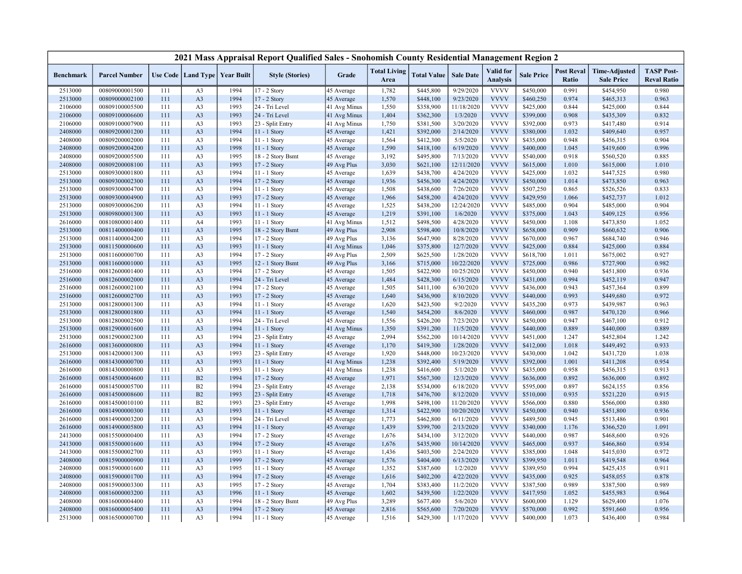|                    |                      |     |                                   |      | 2021 Mass Appraisal Report Qualified Sales - Snohomish County Residential Management Region 2 |                          |                             |                    |                  |                                     |                   |                            |                                           |                                         |
|--------------------|----------------------|-----|-----------------------------------|------|-----------------------------------------------------------------------------------------------|--------------------------|-----------------------------|--------------------|------------------|-------------------------------------|-------------------|----------------------------|-------------------------------------------|-----------------------------------------|
| <b>Benchmark</b>   | <b>Parcel Number</b> |     | Use Code   Land Type   Year Built |      | <b>Style (Stories)</b>                                                                        | Grade                    | <b>Total Living</b><br>Area | <b>Total Value</b> | <b>Sale Date</b> | <b>Valid</b> for<br><b>Analysis</b> | <b>Sale Price</b> | <b>Post Reval</b><br>Ratio | <b>Time-Adjusted</b><br><b>Sale Price</b> | <b>TASP Post-</b><br><b>Reval Ratio</b> |
| 2513000            | 00809000001500       | 111 | A <sub>3</sub>                    | 1994 | 17 - 2 Story                                                                                  | 45 Average               | 1,782                       | \$445,800          | 9/29/2020        | <b>VVVV</b>                         | \$450,000         | 0.991                      | \$454,950                                 | 0.980                                   |
| 2513000            | 00809000002100       | 111 | A <sub>3</sub>                    | 1994 | 17 - 2 Story                                                                                  | 45 Average               | 1,570                       | \$448,100          | 9/23/2020        | <b>VVVV</b>                         | \$460,250         | 0.974                      | \$465,313                                 | 0.963                                   |
| 2106000            | 00809100005500       | 111 | A <sub>3</sub>                    | 1993 | 24 - Tri Level                                                                                | 41 Avg Minus             | 1,550                       | \$358,900          | 11/18/2020       | <b>VVVV</b>                         | \$425,000         | 0.844                      | \$425,000                                 | 0.844                                   |
| 2106000            | 00809100006600       | 111 | A <sub>3</sub>                    | 1993 | 24 - Tri Level                                                                                | 41 Avg Minus             | 1,404                       | \$362,300          | 1/3/2020         | <b>VVVV</b>                         | \$399,000         | 0.908                      | \$435,309                                 | 0.832                                   |
| 2106000            | 00809100007900       | 111 | A <sub>3</sub>                    | 1993 | 23 - Split Entry                                                                              | 41 Avg Minus             | 1,750                       | \$381,500          | 3/20/2020        | <b>VVVV</b>                         | \$392,000         | 0.973                      | \$417,480                                 | 0.914                                   |
| 2408000            | 00809200001200       | 111 | A <sub>3</sub>                    | 1994 | $11 - 1$ Story                                                                                | 45 Average               | 1,421                       | \$392,000          | 2/14/2020        | <b>VVVV</b>                         | \$380,000         | 1.032                      | \$409,640                                 | 0.957                                   |
| 2408000            | 00809200002000       | 111 | A <sub>3</sub>                    | 1994 | 11 - 1 Story                                                                                  | 45 Average               | 1,564                       | \$412,300          | 5/5/2020         | <b>VVVV</b>                         | \$435,000         | 0.948                      | \$456,315                                 | 0.904                                   |
| 2408000            | 00809200004200       | 111 | A <sub>3</sub>                    | 1998 | 11 - 1 Story                                                                                  | 45 Average               | 1,590                       | \$418,100          | 6/19/2020        | <b>VVVV</b>                         | \$400,000         | 1.045                      | \$419,600                                 | 0.996                                   |
| 2408000            | 00809200005500       | 111 | A <sub>3</sub>                    | 1995 | 18 - 2 Story Bsmt                                                                             | 45 Average               | 3,192                       | \$495,800          | 7/13/2020        | <b>VVVV</b>                         | \$540,000         | 0.918                      | \$560,520                                 | 0.885                                   |
| 2408000            | 00809200008100       | 111 | A <sub>3</sub>                    | 1993 | 17 - 2 Story                                                                                  | 49 Avg Plus              | 3,030                       | \$621,100          | 12/11/2020       | <b>VVVV</b>                         | \$615,000         | 1.010                      | \$615,000                                 | 1.010                                   |
| 2513000            | 00809300001800       | 111 | A <sub>3</sub>                    | 1994 | 11 - 1 Story                                                                                  | 45 Average               | 1,639                       | \$438,700          | 4/24/2020        | <b>VVVV</b>                         | \$425,000         | 1.032                      | \$447,525                                 | 0.980                                   |
| 2513000            | 00809300002300       | 111 | A <sub>3</sub>                    | 1994 | 17 - 2 Story                                                                                  | 45 Average               | 1,936                       | \$456,300          | 4/24/2020        | <b>VVVV</b>                         | \$450,000         | 1.014                      | \$473,850                                 | 0.963                                   |
| 2513000            | 00809300004700       | 111 | A <sub>3</sub>                    | 1994 | 11 - 1 Story                                                                                  | 45 Average               | 1,508                       | \$438,600          | 7/26/2020        | <b>VVVV</b>                         | \$507,250         | 0.865                      | \$526,526                                 | 0.833                                   |
| 2513000            | 00809300004900       | 111 | A <sub>3</sub>                    | 1993 | 17 - 2 Story                                                                                  | 45 Average               | 1,966                       | \$458,200          | 4/24/2020        | <b>VVVV</b>                         | \$429,950         | 1.066                      | \$452,737                                 | 1.012                                   |
| 2513000            | 00809300006200       | 111 | A <sub>3</sub>                    | 1994 | $11 - 1$ Story                                                                                | 45 Average               | 1,525                       | \$438,200          | 12/24/2020       | <b>VVVV</b>                         | \$485,000         | 0.904                      | \$485,000                                 | 0.904                                   |
| 2513000            | 00809800001300       | 111 | A <sub>3</sub>                    | 1993 | 11 - 1 Story                                                                                  | 45 Average               | 1,219                       | \$391,100          | 1/6/2020         | <b>VVVV</b>                         | \$375,000         | 1.043                      | \$409,125                                 | 0.956                                   |
| 2616000            | 00810800001400       | 111 | A4                                | 1993 | $11 - 1$ Story                                                                                | 41 Avg Minus             | 1,512                       | \$498,500          | 4/28/2020        | <b>VVVV</b>                         | \$450,000         | 1.108                      | \$473,850                                 | 1.052                                   |
| 2513000            | 00811400000400       | 111 | A <sub>3</sub>                    | 1995 | 18 - 2 Story Bsmt                                                                             | 49 Avg Plus              | 2,908                       | \$598,400          | 10/8/2020        | <b>VVVV</b>                         | \$658,000         | 0.909                      | \$660,632                                 | 0.906                                   |
| 2513000            | 00811400004200       | 111 | A <sub>3</sub>                    | 1994 | 17 - 2 Story                                                                                  | 49 Avg Plus              | 3,136                       | \$647,900          | 8/28/2020        | <b>VVVV</b>                         | \$670,000         | 0.967                      | \$684,740                                 | 0.946                                   |
| 2513000            | 00811500000600       | 111 | A <sub>3</sub>                    | 1993 | 11 - 1 Story                                                                                  | 41 Avg Minus             | 1,046                       | \$375,800          | 12/7/2020        | <b>VVVV</b>                         | \$425,000         | 0.884                      | \$425,000                                 | 0.884                                   |
| 2513000            | 00811600000700       | 111 | A <sub>3</sub>                    | 1994 | 17 - 2 Story                                                                                  | 49 Avg Plus              | 2,509                       | \$625,500          | 1/28/2020        | <b>VVVV</b>                         | \$618,700         | 1.011                      | \$675,002                                 | 0.927                                   |
| 2513000            | 00811600001000       | 111 | A <sub>3</sub>                    | 1995 | 12 - 1 Story Bsmt                                                                             | 49 Avg Plus              | 3,166                       | \$715,000          | 10/22/2020       | <b>VVVV</b>                         | \$725,000         | 0.986                      | \$727,900                                 | 0.982                                   |
| 2516000            | 00812600001400       | 111 | A <sub>3</sub>                    | 1994 | 17 - 2 Story                                                                                  | 45 Average               | 1,505                       | \$422,900          | 10/25/2020       | <b>VVVV</b>                         | \$450,000         | 0.940                      | \$451,800                                 | 0.936                                   |
| 2516000            | 00812600002000       | 111 | A <sub>3</sub>                    | 1994 | 24 - Tri Level                                                                                | 45 Average               | 1,484                       | \$428,300          | 6/15/2020        | <b>VVVV</b>                         | \$431,000         | 0.994                      | \$452,119                                 | 0.947                                   |
| 2516000            | 00812600002100       | 111 | A <sub>3</sub>                    | 1994 | 17 - 2 Story                                                                                  | 45 Average               | 1,505                       | \$411,100          | 6/30/2020        | <b>VVVV</b>                         | \$436,000         | 0.943                      | \$457,364                                 | 0.899                                   |
| 2516000            | 00812600002700       | 111 | A <sub>3</sub>                    | 1993 | 17 - 2 Story                                                                                  | 45 Average               | 1,640                       | \$436,900          | 8/10/2020        | <b>VVVV</b>                         | \$440,000         | 0.993                      | \$449,680                                 | 0.972                                   |
| 2513000            | 00812800001300       | 111 | A <sub>3</sub>                    | 1994 | 11 - 1 Story                                                                                  | 45 Average               | 1,620                       | \$423,500          | 9/2/2020         | <b>VVVV</b>                         | \$435,200         | 0.973                      | \$439,987                                 | 0.963                                   |
| 2513000            | 00812800001800       | 111 | A <sub>3</sub>                    | 1994 | 11 - 1 Story                                                                                  | 45 Average               | 1,540                       | \$454,200          | 8/6/2020         | <b>VVVV</b>                         | \$460,000         | 0.987                      | \$470,120                                 | 0.966                                   |
| 2513000            | 00812800002500       | 111 | A <sub>3</sub>                    | 1994 | 24 - Tri Level                                                                                | 45 Average               | 1,556                       | \$426,200          | 7/23/2020        | <b>VVVV</b>                         | \$450,000         | 0.947                      | \$467,100                                 | 0.912                                   |
| 2513000            | 00812900001600       | 111 | A <sub>3</sub>                    | 1994 | 11 - 1 Story                                                                                  | 41 Avg Minus             | 1,350                       | \$391,200          | 11/5/2020        | <b>VVVV</b>                         | \$440,000         | 0.889                      | \$440,000                                 | 0.889                                   |
| 2513000            | 00812900002300       | 111 | A <sub>3</sub>                    | 1994 | 23 - Split Entry                                                                              | 45 Average               | 2,994                       | \$562,200          | 10/14/2020       | <b>VVVV</b>                         | \$451,000         | 1.247                      | \$452,804                                 | 1.242                                   |
| 2616000            | 00813600000800       | 111 | A <sub>3</sub>                    | 1994 | 11 - 1 Story                                                                                  | 45 Average               | 1,170                       | \$419,300          | 1/28/2020        | <b>VVVV</b>                         | \$412,000         | 1.018                      | \$449,492                                 | 0.933                                   |
| 2513000            | 00814200001300       | 111 | A <sub>3</sub>                    | 1993 | 23 - Split Entry                                                                              | 45 Average               | 1,920                       | \$448,000          | 10/23/2020       | <b>VVVV</b>                         | \$430,000         | 1.042                      | \$431,720                                 | 1.038                                   |
| 2616000            | 00814300000700       | 111 | A <sub>3</sub>                    | 1993 | 11 - 1 Story                                                                                  | 41 Avg Minus             | 1,238                       | \$392,400          | 5/19/2020        | <b>VVVV</b>                         | \$392,000         | 1.001                      | \$411,208                                 | 0.954                                   |
| 2616000            | 00814300000800       | 111 | A <sub>3</sub>                    | 1993 | 11 - 1 Story                                                                                  | 41 Avg Minus             | 1,238                       | \$416,600          | 5/1/2020         | <b>VVVV</b>                         | \$435,000         | 0.958                      | \$456,315                                 | 0.913                                   |
| 2616000            | 00814500004600       | 111 | B2                                | 1994 | 17 - 2 Story                                                                                  | 45 Average               | 1,971                       | \$567,300          | 12/3/2020        | <b>VVVV</b>                         | \$636,000         | 0.892                      | \$636,000                                 | 0.892                                   |
| 2616000            | 00814500005700       | 111 | B2                                | 1994 | 23 - Split Entry                                                                              | 45 Average               | 2,138                       | \$534,000          | 6/18/2020        | <b>VVVV</b>                         | \$595,000         | 0.897                      | \$624,155                                 | 0.856                                   |
| 2616000            | 00814500008600       | 111 | B2                                | 1993 | 23 - Split Entry                                                                              | 45 Average               | 1,718                       | \$476,700          | 8/12/2020        | <b>VVVV</b>                         | \$510,000         | 0.935                      | \$521,220                                 | 0.915                                   |
| 2616000            | 00814500010100       | 111 | B2                                | 1993 | 23 - Split Entry                                                                              | 45 Average               | 1,998                       | \$498,100          | 11/20/2020       | <b>VVVV</b>                         | \$566,000         | 0.880                      | \$566,000                                 | 0.880                                   |
| 2616000            | 00814900000300       | 111 | A <sub>3</sub>                    | 1993 | $11 - 1$ Story                                                                                | 45 Average               | 1,314                       | \$422,900          | 10/20/2020       | <b>VVVV</b>                         | \$450,000         | 0.940                      | \$451,800                                 | 0.936                                   |
| 2616000            | 00814900003200       | 111 | A <sub>3</sub>                    | 1994 | 24 - Tri Level                                                                                | 45 Average               | 1,773                       | \$462,800          | 6/11/2020        | <b>VVVV</b>                         | \$489,500         | 0.945                      | \$513,486                                 | 0.901                                   |
| 2616000            | 00814900005800       | 111 | A <sub>3</sub>                    | 1994 | 11 - 1 Story                                                                                  | 45 Average               | 1,439                       | \$399,700          | 2/13/2020        | <b>VVVV</b>                         | \$340,000         | 1.176                      | \$366,520                                 | 1.091                                   |
| 2413000            | 00815500000400       | 111 | A <sub>3</sub>                    | 1994 | 17 - 2 Story                                                                                  | 45 Average               | 1,676                       | \$434,100          | 3/12/2020        | <b>VVVV</b>                         | \$440,000         | 0.987                      | \$468,600                                 | 0.926                                   |
| 2413000            | 00815500001600       | 111 | A <sub>3</sub>                    | 1994 | 17 - 2 Story                                                                                  | 45 Average               | 1,676                       | \$435,900          | 10/14/2020       | <b>VVVV</b>                         | \$465,000         | 0.937                      | \$466,860                                 | 0.934                                   |
| 2413000            | 00815500002700       | 111 | A <sub>3</sub>                    | 1993 | $11 - 1$ Story                                                                                | 45 Average               | 1,436                       | \$403,500          | 2/24/2020        | <b>VVVV</b>                         | \$385,000         | 1.048                      | \$415,030                                 | 0.972                                   |
| 2408000            | 00815900000900       | 111 | A <sub>3</sub>                    | 1999 | 17 - 2 Story                                                                                  | 45 Average               | 1,576                       | \$404,400          | 6/13/2020        | <b>VVVV</b>                         | \$399,950         | 1.011                      | \$419,548                                 | 0.964                                   |
| 2408000            | 00815900001600       | 111 | A <sub>3</sub>                    | 1995 | $11 - 1$ Story                                                                                | 45 Average               | 1,352                       | \$387,600          | 1/2/2020         | <b>VVVV</b>                         | \$389,950         | 0.994                      | \$425,435                                 | 0.911                                   |
| 2408000            | 00815900001700       | 111 | A <sub>3</sub>                    | 1994 | 17 - 2 Story                                                                                  | 45 Average               | 1,616                       | \$402,200          | 4/22/2020        | <b>VVVV</b>                         | \$435,000         | 0.925                      | \$458,055                                 | 0.878                                   |
|                    | 00815900003300       | 111 | A <sub>3</sub>                    | 1995 | 17 - 2 Story                                                                                  |                          | 1,704                       | \$383,400          | 11/2/2020        | <b>VVVV</b>                         | \$387,500         | 0.989                      | \$387,500                                 | 0.989                                   |
| 2408000<br>2408000 | 00816000003200       | 111 | A <sub>3</sub>                    | 1996 | 11 - 1 Story                                                                                  | 45 Average<br>45 Average | 1,602                       | \$439,500          | 1/22/2020        | <b>VVVV</b>                         | \$417,950         | 1.052                      | \$455,983                                 | 0.964                                   |
| 2408000            | 00816000004400       | 111 | A <sub>3</sub>                    | 1994 | 18 - 2 Story Bsmt                                                                             | 49 Avg Plus              | 3,289                       | \$677,400          | 5/6/2020         | <b>VVVV</b>                         | \$600,000         | 1.129                      | \$629,400                                 | 1.076                                   |
| 2408000            | 00816000005400       | 111 | A <sub>3</sub>                    | 1994 | 17 - 2 Story                                                                                  |                          | 2,816                       | \$565,600          | 7/20/2020        | <b>VVVV</b>                         | \$570,000         | 0.992                      | \$591,660                                 | 0.956                                   |
|                    |                      | 111 |                                   | 1994 |                                                                                               | 45 Average               |                             |                    |                  | <b>VVVV</b>                         | \$400,000         | 1.073                      |                                           |                                         |
| 2513000            | 00816500000700       |     | A <sub>3</sub>                    |      | 11 - 1 Story                                                                                  | 45 Average               | 1,516                       | \$429,300          | 1/17/2020        |                                     |                   |                            | \$436,400                                 | 0.984                                   |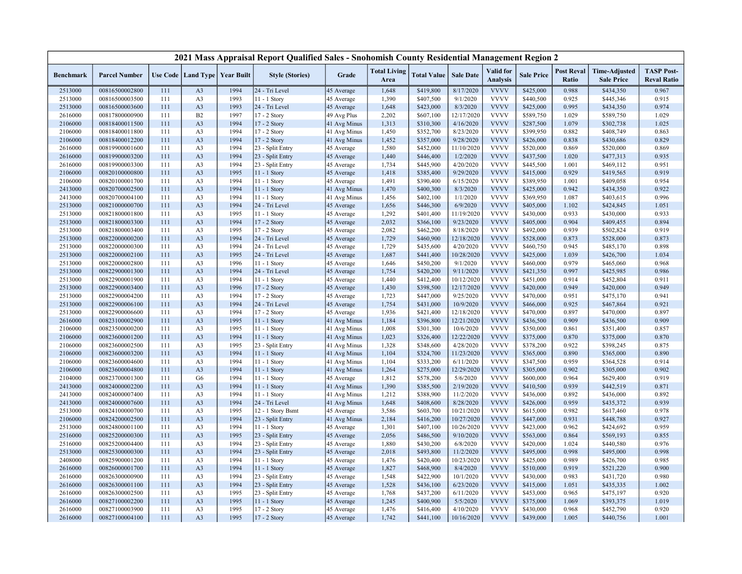|                  |                      |     |                                   |      | 2021 Mass Appraisal Report Qualified Sales - Snohomish County Residential Management Region 2 |              |                             |                    |                  |                                     |                   |                            |                                           |                                         |
|------------------|----------------------|-----|-----------------------------------|------|-----------------------------------------------------------------------------------------------|--------------|-----------------------------|--------------------|------------------|-------------------------------------|-------------------|----------------------------|-------------------------------------------|-----------------------------------------|
| <b>Benchmark</b> | <b>Parcel Number</b> |     | Use Code   Land Type   Year Built |      | <b>Style (Stories)</b>                                                                        | Grade        | <b>Total Living</b><br>Area | <b>Total Value</b> | <b>Sale Date</b> | <b>Valid</b> for<br><b>Analysis</b> | <b>Sale Price</b> | <b>Post Reval</b><br>Ratio | <b>Time-Adjusted</b><br><b>Sale Price</b> | <b>TASP Post-</b><br><b>Reval Ratio</b> |
| 2513000          | 00816500002800       | 111 | A <sub>3</sub>                    | 1994 | 24 - Tri Level                                                                                | 45 Average   | 1,648                       | \$419,800          | 8/17/2020        | <b>VVVV</b>                         | \$425,000         | 0.988                      | \$434,350                                 | 0.967                                   |
| 2513000          | 00816500003500       | 111 | A <sub>3</sub>                    | 1993 | 11 - 1 Story                                                                                  | 45 Average   | 1,390                       | \$407,500          | 9/1/2020         | <b>VVVV</b>                         | \$440,500         | 0.925                      | \$445,346                                 | 0.915                                   |
| 2513000          | 00816500003600       | 111 | A <sub>3</sub>                    | 1993 | 24 - Tri Level                                                                                | 45 Average   | 1,648                       | \$423,000          | 8/3/2020         | <b>VVVV</b>                         | \$425,000         | 0.995                      | \$434,350                                 | 0.974                                   |
| 2616000          | 00817800000900       | 111 | B2                                | 1997 | 17 - 2 Story                                                                                  | 49 Avg Plus  | 2,202                       | \$607,100          | 12/17/2020       | <b>VVVV</b>                         | \$589,750         | 1.029                      | \$589,750                                 | 1.029                                   |
| 2106000          | 00818400011500       | 111 | A <sub>3</sub>                    | 1994 | 17 - 2 Story                                                                                  | 41 Avg Minus | 1,313                       | \$310,300          | 4/16/2020        | <b>VVVV</b>                         | \$287,500         | 1.079                      | \$302,738                                 | 1.025                                   |
| 2106000          | 00818400011800       | 111 | A <sub>3</sub>                    | 1994 | 17 - 2 Story                                                                                  | 41 Avg Minus | 1,450                       | \$352,700          | 8/23/2020        | <b>VVVV</b>                         | \$399,950         | 0.882                      | \$408,749                                 | 0.863                                   |
| 2106000          | 00818400012200       | 111 | A <sub>3</sub>                    | 1994 | 17 - 2 Story                                                                                  | 41 Avg Minus | 1,452                       | \$357,000          | 9/28/2020        | <b>VVVV</b>                         | \$426,000         | 0.838                      | \$430,686                                 | 0.829                                   |
| 2616000          | 00819900001600       | 111 | A <sub>3</sub>                    | 1994 | 23 - Split Entry                                                                              | 45 Average   | 1,580                       | \$452,000          | 11/10/2020       | <b>VVVV</b>                         | \$520,000         | 0.869                      | \$520,000                                 | 0.869                                   |
| 2616000          | 00819900003200       | 111 | A <sub>3</sub>                    | 1994 | 23 - Split Entry                                                                              | 45 Average   | 1,440                       | \$446,400          | 1/2/2020         | <b>VVVV</b>                         | \$437,500         | 1.020                      | \$477,313                                 | 0.935                                   |
| 2616000          | 00819900003300       | 111 | A <sub>3</sub>                    | 1994 | 23 - Split Entry                                                                              | 45 Average   | 1,734                       | \$445,900          | 4/20/2020        | <b>VVVV</b>                         | \$445,500         | 1.001                      | \$469,112                                 | 0.951                                   |
| 2106000          | 00820100000800       | 111 | A <sub>3</sub>                    | 1995 | 11 - 1 Story                                                                                  | 45 Average   | 1,418                       | \$385,400          | 9/29/2020        | <b>VVVV</b>                         | \$415,000         | 0.929                      | \$419,565                                 | 0.919                                   |
| 2106000          | 00820100001700       | 111 | A <sub>3</sub>                    | 1994 | $11 - 1$ Story                                                                                | 45 Average   | 1,491                       | \$390,400          | 6/15/2020        | <b>VVVV</b>                         | \$389,950         | 1.001                      | \$409,058                                 | 0.954                                   |
| 2413000          | 00820700002500       | 111 | A <sub>3</sub>                    | 1994 | 11 - 1 Story                                                                                  | 41 Avg Minus | 1,470                       | \$400,300          | 8/3/2020         | <b>VVVV</b>                         | \$425,000         | 0.942                      | \$434,350                                 | 0.922                                   |
| 2413000          | 00820700004100       | 111 | A <sub>3</sub>                    | 1994 | $11 - 1$ Story                                                                                | 41 Avg Minus | 1,456                       | \$402,100          | 1/1/2020         | <b>VVVV</b>                         | \$369,950         | 1.087                      | \$403,615                                 | 0.996                                   |
| 2513000          | 00821000000700       | 111 | A <sub>3</sub>                    | 1994 | 24 - Tri Level                                                                                | 45 Average   | 1,656                       | \$446,300          | 6/9/2020         | <b>VVVV</b>                         | \$405,000         | 1.102                      | \$424,845                                 | 1.051                                   |
| 2513000          | 00821800001800       | 111 | A <sub>3</sub>                    | 1995 | 11 - 1 Story                                                                                  | 45 Average   | 1,292                       | \$401,400          | 11/19/2020       | <b>VVVV</b>                         | \$430,000         | 0.933                      | \$430,000                                 | 0.933                                   |
| 2513000          | 00821800003300       | 111 | A <sub>3</sub>                    | 1994 | 17 - 2 Story                                                                                  | 45 Average   | 2,032                       | \$366,100          | 9/23/2020        | <b>VVVV</b>                         | \$405,000         | 0.904                      | \$409,455                                 | 0.894                                   |
| 2513000          | 00821800003400       | 111 | A <sub>3</sub>                    | 1995 | 17 - 2 Story                                                                                  | 45 Average   | 2,082                       | \$462,200          | 8/18/2020        | <b>VVVV</b>                         | \$492,000         | 0.939                      | \$502,824                                 | 0.919                                   |
| 2513000          | 00822000000200       | 111 | A <sub>3</sub>                    | 1994 | 24 - Tri Level                                                                                | 45 Average   | 1,729                       | \$460,900          | 12/18/2020       | <b>VVVV</b>                         | \$528,000         | 0.873                      | \$528,000                                 | 0.873                                   |
| 2513000          | 00822000000300       | 111 | A <sub>3</sub>                    | 1994 | 24 - Tri Level                                                                                | 45 Average   | 1,729                       | \$435,600          | 4/20/2020        | <b>VVVV</b>                         | \$460,750         | 0.945                      | \$485,170                                 | 0.898                                   |
| 2513000          | 00822000002100       | 111 | A <sub>3</sub>                    | 1995 | 24 - Tri Level                                                                                | 45 Average   | 1,687                       | \$441,400          | 10/28/2020       | <b>VVVV</b>                         | \$425,000         | 1.039                      | \$426,700                                 | 1.034                                   |
| 2513000          | 00822000002800       | 111 | A <sub>3</sub>                    | 1996 | 11 - 1 Story                                                                                  | 45 Average   | 1,646                       | \$450,200          | 9/1/2020         | <b>VVVV</b>                         | \$460,000         | 0.979                      | \$465,060                                 | 0.968                                   |
| 2513000          | 00822900001300       | 111 | A <sub>3</sub>                    | 1994 | 24 - Tri Level                                                                                | 45 Average   | 1,754                       | \$420,200          | 9/11/2020        | <b>VVVV</b>                         | \$421,350         | 0.997                      | \$425,985                                 | 0.986                                   |
| 2513000          | 00822900001900       | 111 | A <sub>3</sub>                    | 1994 | 11 - 1 Story                                                                                  | 45 Average   | 1,440                       | \$412,400          | 10/12/2020       | <b>VVVV</b>                         | \$451,000         | 0.914                      | \$452,804                                 | 0.911                                   |
| 2513000          | 00822900003400       | 111 | A <sub>3</sub>                    | 1996 | 17 - 2 Story                                                                                  | 45 Average   | 1,430                       | \$398,500          | 12/17/2020       | <b>VVVV</b>                         | \$420,000         | 0.949                      | \$420,000                                 | 0.949                                   |
| 2513000          | 00822900004200       | 111 | A <sub>3</sub>                    | 1994 | 17 - 2 Story                                                                                  | 45 Average   | 1,723                       | \$447,000          | 9/25/2020        | <b>VVVV</b>                         | \$470,000         | 0.951                      | \$475,170                                 | 0.941                                   |
| 2513000          | 00822900006100       | 111 | A <sub>3</sub>                    | 1994 | 24 - Tri Level                                                                                | 45 Average   | 1,754                       | \$431,000          | 10/9/2020        | <b>VVVV</b>                         | \$466,000         | 0.925                      | \$467,864                                 | 0.921                                   |
| 2513000          | 00822900006600       | 111 | A <sub>3</sub>                    | 1994 | 17 - 2 Story                                                                                  | 45 Average   | 1,936                       | \$421,400          | 12/18/2020       | <b>VVVV</b>                         | \$470,000         | 0.897                      | \$470,000                                 | 0.897                                   |
| 2616000          | 00823100002900       | 111 | A <sub>3</sub>                    | 1995 | 11 - 1 Story                                                                                  | 41 Avg Minus | 1,184                       | \$396,800          | 12/21/2020       | <b>VVVV</b>                         | \$436,500         | 0.909                      | \$436,500                                 | 0.909                                   |
| 2106000          | 00823500000200       | 111 | A <sub>3</sub>                    | 1995 | $11 - 1$ Story                                                                                | 41 Avg Minus | 1,008                       | \$301,300          | 10/6/2020        | <b>VVVV</b>                         | \$350,000         | 0.861                      | \$351,400                                 | 0.857                                   |
| 2106000          | 00823600001200       | 111 | A <sub>3</sub>                    | 1994 | 11 - 1 Story                                                                                  | 41 Avg Minus | 1,023                       | \$326,400          | 12/22/2020       | <b>VVVV</b>                         | \$375,000         | 0.870                      | \$375,000                                 | 0.870                                   |
| 2106000          | 00823600002500       | 111 | A <sub>3</sub>                    | 1995 | 23 - Split Entry                                                                              | 41 Avg Minus | 1,328                       | \$348,600          | 4/28/2020        | <b>VVVV</b>                         | \$378,200         | 0.922                      | \$398,245                                 | 0.875                                   |
| 2106000          | 00823600003200       | 111 | A <sub>3</sub>                    | 1994 | 11 - 1 Story                                                                                  | 41 Avg Minus | 1,104                       | \$324,700          | 11/23/2020       | <b>VVVV</b>                         | \$365,000         | 0.890                      | \$365,000                                 | 0.890                                   |
| 2106000          | 00823600004600       | 111 | A <sub>3</sub>                    | 1994 | 11 - 1 Story                                                                                  | 41 Avg Minus | 1,104                       | \$333,200          | 6/11/2020        | <b>VVVV</b>                         | \$347,500         | 0.959                      | \$364,528                                 | 0.914                                   |
| 2106000          | 00823600004800       | 111 | A <sub>3</sub>                    | 1994 | 11 - 1 Story                                                                                  | 41 Avg Minus | 1,264                       | \$275,000          | 12/29/2020       | <b>VVVV</b>                         | \$305,000         | 0.902                      | \$305,000                                 | 0.902                                   |
| 2104000          | 00823700001300       | 111 | G <sub>6</sub>                    | 1994 | $11 - 1$ Story                                                                                | 45 Average   | 1,812                       | \$578,200          | 5/6/2020         | <b>VVVV</b>                         | \$600,000         | 0.964                      | \$629,400                                 | 0.919                                   |
| 2413000          | 00824000002200       | 111 | A <sub>3</sub>                    | 1994 | 11 - 1 Story                                                                                  | 41 Avg Minus | 1,390                       | \$385,500          | 2/19/2020        | <b>VVVV</b>                         | \$410,500         | 0.939                      | \$442,519                                 | 0.871                                   |
| 2413000          | 00824000007400       | 111 | A <sub>3</sub>                    | 1994 | 11 - 1 Story                                                                                  | 41 Avg Minus | 1,212                       | \$388,900          | 11/2/2020        | <b>VVVV</b>                         | \$436,000         | 0.892                      | \$436,000                                 | 0.892                                   |
| 2413000          | 00824000007600       | 111 | A <sub>3</sub>                    | 1994 | 24 - Tri Level                                                                                | 41 Avg Minus | 1,648                       | \$408,600          | 8/28/2020        | <b>VVVV</b>                         | \$426,000         | 0.959                      | \$435,372                                 | 0.939                                   |
| 2513000          | 00824100000700       | 111 | A <sub>3</sub>                    | 1995 | 12 - 1 Story Bsmt                                                                             | 45 Average   | 3,586                       | \$603,700          | 10/21/2020       | <b>VVVV</b>                         | \$615,000         | 0.982                      | \$617,460                                 | 0.978                                   |
| 2106000          | 00824200002500       | 111 | A <sub>3</sub>                    | 1994 | 23 - Split Entry                                                                              | 41 Avg Minus | 2,184                       | \$416,200          | 10/27/2020       | <b>VVVV</b>                         | \$447,000         | 0.931                      | \$448,788                                 | 0.927                                   |
| 2513000          | 00824800001100       | 111 | A <sub>3</sub>                    | 1994 | 11 - 1 Story                                                                                  | 45 Average   | 1,301                       | \$407,100          | 10/26/2020       | <b>VVVV</b>                         | \$423,000         | 0.962                      | \$424,692                                 | 0.959                                   |
| 2516000          | 00825200000300       | 111 | A <sub>3</sub>                    | 1995 | 23 - Split Entry                                                                              | 45 Average   | 2,056                       | \$486,500          | 9/10/2020        | <b>VVVV</b>                         | \$563,000         | 0.864                      | \$569,193                                 | 0.855                                   |
| 2516000          | 00825200004400       | 111 | A <sub>3</sub>                    | 1994 | 23 - Split Entry                                                                              | 45 Average   | 1,880                       | \$430,200          | 6/8/2020         | <b>VVVV</b>                         | \$420,000         | 1.024                      | \$440,580                                 | 0.976                                   |
| 2513000          | 00825300000300       | 111 | A3                                | 1994 | 23 - Split Entry                                                                              | 45 Average   | 2,018                       | \$493,800          | 11/2/2020        | <b>VVVV</b>                         | \$495,000         | 0.998                      | \$495,000                                 | 0.998                                   |
| 2408000          | 00825900001200       | 111 | A <sub>3</sub>                    | 1994 | 11 - 1 Story                                                                                  | 45 Average   | 1,476                       | \$420,400          | 10/23/2020       | <b>VVVV</b>                         | \$425,000         | 0.989                      | \$426,700                                 | 0.985                                   |
| 2616000          | 00826000001700       | 111 | A <sub>3</sub>                    | 1994 | 11 - 1 Story                                                                                  | 45 Average   | 1,827                       | \$468,900          | 8/4/2020         | <b>VVVV</b>                         | \$510,000         | 0.919                      | \$521,220                                 | 0.900                                   |
| 2616000          | 00826300000900       | 111 | A <sub>3</sub>                    | 1994 | 23 - Split Entry                                                                              | 45 Average   | 1,548                       | \$422,900          | 10/1/2020        | <b>VVVV</b>                         | \$430,000         | 0.983                      | \$431,720                                 | 0.980                                   |
| 2616000          | 00826300001100       | 111 | A <sub>3</sub>                    | 1994 | 23 - Split Entry                                                                              | 45 Average   | 1,528                       | \$436,100          | 6/23/2020        | <b>VVVV</b>                         | \$415,000         | 1.051                      | \$435,335                                 | 1.002                                   |
| 2616000          | 00826300002500       | 111 | A <sub>3</sub>                    | 1995 | 23 - Split Entry                                                                              | 45 Average   | 1,768                       | \$437,200          | 6/11/2020        | <b>VVVV</b>                         | \$453,000         | 0.965                      | \$475,197                                 | 0.920                                   |
| 2616000          | 00827100002200       | 111 | A <sub>3</sub>                    | 1995 | 11 - 1 Story                                                                                  | 45 Average   | 1,245                       | \$400,900          | 5/5/2020         | <b>VVVV</b>                         | \$375,000         | 1.069                      | \$393,375                                 | 1.019                                   |
| 2616000          | 00827100003900       | 111 | A <sub>3</sub>                    | 1995 | 17 - 2 Story                                                                                  | 45 Average   | 1,476                       | \$416,400          | 4/10/2020        | <b>VVVV</b>                         | \$430,000         | 0.968                      | \$452,790                                 | 0.920                                   |
| 2616000          | 00827100004100       | 111 | A <sub>3</sub>                    | 1995 | 17 - 2 Story                                                                                  | 45 Average   | 1,742                       | \$441,100          | 10/16/2020       | <b>VVVV</b>                         | \$439,000         | 1.005                      | \$440,756                                 | 1.001                                   |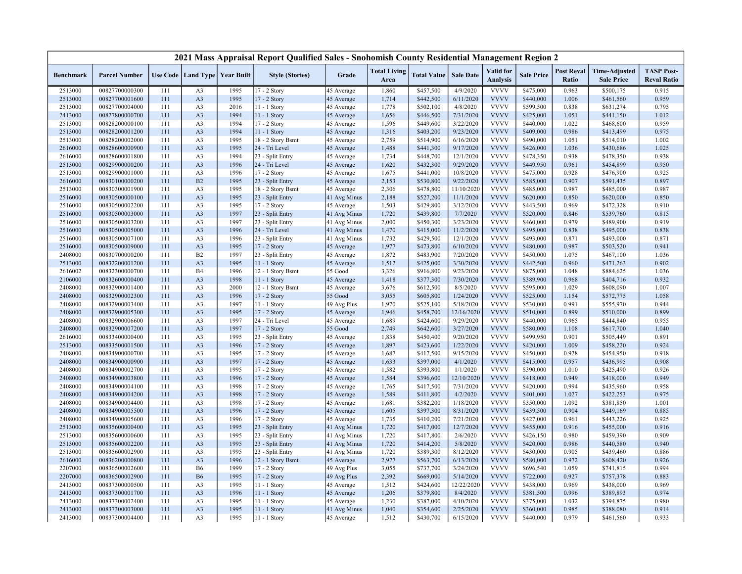|                  |                      |     |                                   |      | 2021 Mass Appraisal Report Qualified Sales - Snohomish County Residential Management Region 2 |              |                             |                    |                  |                                     |                   |                            |                                           |                                         |
|------------------|----------------------|-----|-----------------------------------|------|-----------------------------------------------------------------------------------------------|--------------|-----------------------------|--------------------|------------------|-------------------------------------|-------------------|----------------------------|-------------------------------------------|-----------------------------------------|
| <b>Benchmark</b> | <b>Parcel Number</b> |     | Use Code   Land Type   Year Built |      | <b>Style (Stories)</b>                                                                        | Grade        | <b>Total Living</b><br>Area | <b>Total Value</b> | <b>Sale Date</b> | <b>Valid</b> for<br><b>Analysis</b> | <b>Sale Price</b> | <b>Post Reval</b><br>Ratio | <b>Time-Adjusted</b><br><b>Sale Price</b> | <b>TASP Post-</b><br><b>Reval Ratio</b> |
| 2513000          | 00827700000300       | 111 | A <sub>3</sub>                    | 1995 | 17 - 2 Story                                                                                  | 45 Average   | 1,860                       | \$457,500          | 4/9/2020         | <b>VVVV</b>                         | \$475,000         | 0.963                      | \$500,175                                 | 0.915                                   |
| 2513000          | 00827700001600       | 111 | A <sub>3</sub>                    | 1995 | 17 - 2 Story                                                                                  | 45 Average   | 1,714                       | \$442,500          | 6/11/2020        | <b>VVVV</b>                         | \$440,000         | 1.006                      | \$461,560                                 | 0.959                                   |
| 2513000          | 00827700004000       | 111 | A <sub>3</sub>                    | 2016 | $11 - 1$ Story                                                                                | 45 Average   | 1,778                       | \$502,100          | 4/8/2020         | <b>VVVV</b>                         | \$599,500         | 0.838                      | \$631,274                                 | 0.795                                   |
| 2413000          | 00827800000700       | 111 | A <sub>3</sub>                    | 1994 | 11 - 1 Story                                                                                  | 45 Average   | 1,656                       | \$446,500          | 7/31/2020        | <b>VVVV</b>                         | \$425,000         | 1.051                      | \$441,150                                 | 1.012                                   |
| 2513000          | 00828200000100       | 111 | A <sub>3</sub>                    | 1994 | 17 - 2 Story                                                                                  | 45 Average   | 1,596                       | \$449,600          | 3/22/2020        | <b>VVVV</b>                         | \$440,000         | 1.022                      | \$468,600                                 | 0.959                                   |
| 2513000          | 00828200001200       | 111 | A <sub>3</sub>                    | 1994 | 11 - 1 Story                                                                                  | 45 Average   | 1,316                       | \$403,200          | 9/23/2020        | <b>VVVV</b>                         | \$409,000         | 0.986                      | \$413,499                                 | 0.975                                   |
| 2513000          | 00828200002000       | 111 | A <sub>3</sub>                    | 1995 | 18 - 2 Story Bsmt                                                                             | 45 Average   | 2,759                       | \$514,900          | 6/16/2020        | <b>VVVV</b>                         | \$490,000         | 1.051                      | \$514,010                                 | 1.002                                   |
| 2616000          | 00828600000900       | 111 | A <sub>3</sub>                    | 1995 | 24 - Tri Level                                                                                | 45 Average   | 1,488                       | \$441,300          | 9/17/2020        | <b>VVVV</b>                         | \$426,000         | 1.036                      | \$430,686                                 | 1.025                                   |
| 2616000          | 00828600001800       | 111 | A <sub>3</sub>                    | 1994 | 23 - Split Entry                                                                              | 45 Average   | 1,734                       | \$448,700          | 12/1/2020        | <b>VVVV</b>                         | \$478,350         | 0.938                      | \$478,350                                 | 0.938                                   |
| 2513000          | 00829900000200       | 111 | A <sub>3</sub>                    | 1996 | 24 - Tri Level                                                                                | 45 Average   | 1,620                       | \$432,300          | 9/29/2020        | <b>VVVV</b>                         | \$449,950         | 0.961                      | \$454,899                                 | 0.950                                   |
| 2513000          | 00829900001000       | 111 | A <sub>3</sub>                    | 1996 | 17 - 2 Story                                                                                  | 45 Average   | 1,675                       | \$441,000          | 10/8/2020        | <b>VVVV</b>                         | \$475,000         | 0.928                      | \$476,900                                 | 0.925                                   |
| 2616000          | 00830100000200       | 111 | B2                                | 1995 | 23 - Split Entry                                                                              | 45 Average   | 2,153                       | \$530,800          | 9/22/2020        | <b>VVVV</b>                         | \$585,000         | 0.907                      | \$591,435                                 | 0.897                                   |
| 2513000          | 00830300001900       | 111 | A <sub>3</sub>                    | 1995 | 18 - 2 Story Bsmt                                                                             | 45 Average   | 2,306                       | \$478,800          | 11/10/2020       | <b>VVVV</b>                         | \$485,000         | 0.987                      | \$485,000                                 | 0.987                                   |
| 2516000          | 00830500000100       | 111 | A <sub>3</sub>                    | 1995 | 23 - Split Entry                                                                              | 41 Avg Minus | 2,188                       | \$527,200          | 11/1/2020        | <b>VVVV</b>                         | \$620,000         | 0.850                      | \$620,000                                 | 0.850                                   |
| 2516000          | 00830500002200       | 111 | A <sub>3</sub>                    | 1995 | 17 - 2 Story                                                                                  | 45 Average   | 1,503                       | \$429,800          | 3/12/2020        | <b>VVVV</b>                         | \$443,500         | 0.969                      | \$472,328                                 | 0.910                                   |
| 2516000          | 00830500003000       | 111 | A <sub>3</sub>                    | 1997 | 23 - Split Entry                                                                              | 41 Avg Minus | 1,720                       | \$439,800          | 7/7/2020         | <b>VVVV</b>                         | \$520,000         | 0.846                      | \$539,760                                 | 0.815                                   |
| 2516000          | 00830500003200       | 111 | A <sub>3</sub>                    | 1997 | 23 - Split Entry                                                                              | 41 Avg Minus | 2,000                       | \$450,300          | 3/23/2020        | <b>VVVV</b>                         | \$460,000         | 0.979                      | \$489,900                                 | 0.919                                   |
| 2516000          | 00830500005000       | 111 | A <sub>3</sub>                    | 1996 | 24 - Tri Level                                                                                | 41 Avg Minus | 1,470                       | \$415,000          | 11/2/2020        | <b>VVVV</b>                         | \$495,000         | 0.838                      | \$495,000                                 | 0.838                                   |
| 2516000          | 00830500007100       | 111 | A <sub>3</sub>                    | 1996 | 23 - Split Entry                                                                              | 41 Avg Minus | 1,732                       | \$429,500          | 12/1/2020        | <b>VVVV</b>                         | \$493,000         | 0.871                      | \$493,000                                 | 0.871                                   |
| 2516000          | 00830500009000       | 111 | A <sub>3</sub>                    | 1995 | 17 - 2 Story                                                                                  | 45 Average   | 1,977                       | \$473,800          | 6/10/2020        | <b>VVVV</b>                         | \$480,000         | 0.987                      | \$503,520                                 | 0.941                                   |
| 2408000          | 00830700000200       | 111 | B2                                | 1997 | 23 - Split Entry                                                                              | 45 Average   | 1,872                       | \$483,900          | 7/20/2020        | <b>VVVV</b>                         | \$450,000         | 1.075                      | \$467,100                                 | 1.036                                   |
| 2513000          | 00832200001200       | 111 | A3                                | 1995 | 11 - 1 Story                                                                                  | 45 Average   | 1,512                       | \$425,000          | 3/30/2020        | <b>VVVV</b>                         | \$442,500         | 0.960                      | \$471,263                                 | 0.902                                   |
| 2616002          | 00832300000700       | 111 | <b>B4</b>                         | 1996 | 12 - 1 Story Bsmt                                                                             | 55 Good      | 3,326                       | \$916,800          | 9/23/2020        | <b>VVVV</b>                         | \$875,000         | 1.048                      | \$884,625                                 | 1.036                                   |
| 2106000          | 00832600000400       | 111 | A <sub>3</sub>                    | 1998 | 11 - 1 Story                                                                                  | 45 Average   | 1,418                       | \$377,300          | 7/30/2020        | <b>VVVV</b>                         | \$389,900         | 0.968                      | \$404,716                                 | 0.932                                   |
| 2408000          | 00832900001400       | 111 | A <sub>3</sub>                    | 2000 | 12 - 1 Story Bsmt                                                                             | 45 Average   | 3,676                       | \$612,500          | 8/5/2020         | <b>VVVV</b>                         | \$595,000         | 1.029                      | \$608,090                                 | 1.007                                   |
| 2408000          | 00832900002300       | 111 | A <sub>3</sub>                    | 1996 | 17 - 2 Story                                                                                  | 55 Good      | 3,055                       | \$605,800          | 1/24/2020        | <b>VVVV</b>                         | \$525,000         | 1.154                      | \$572,775                                 | 1.058                                   |
| 2408000          | 00832900003400       | 111 | A <sub>3</sub>                    | 1997 | 11 - 1 Story                                                                                  | 49 Avg Plus  | 1,970                       | \$525,100          | 5/18/2020        | <b>VVVV</b>                         | \$530,000         | 0.991                      | \$555,970                                 | 0.944                                   |
| 2408000          | 00832900005300       | 111 | A <sub>3</sub>                    | 1995 | 17 - 2 Story                                                                                  | 45 Average   | 1,946                       | \$458,700          | 12/16/2020       | <b>VVVV</b>                         | \$510,000         | 0.899                      | \$510,000                                 | 0.899                                   |
| 2408000          | 00832900006600       | 111 | A <sub>3</sub>                    | 1997 | 24 - Tri Level                                                                                | 45 Average   | 1,689                       | \$424,600          | 9/29/2020        | <b>VVVV</b>                         | \$440,000         | 0.965                      | \$444,840                                 | 0.955                                   |
| 2408000          | 00832900007200       | 111 | A <sub>3</sub>                    | 1997 | 17 - 2 Story                                                                                  | 55 Good      | 2,749                       | \$642,600          | 3/27/2020        | <b>VVVV</b>                         | \$580,000         | 1.108                      | \$617,700                                 | 1.040                                   |
| 2616000          | 00833400000400       | 111 | A <sub>3</sub>                    | 1995 | 23 - Split Entry                                                                              | 45 Average   | 1,838                       | \$450,400          | 9/20/2020        | <b>VVVV</b>                         | \$499,950         | 0.901                      | \$505,449                                 | 0.891                                   |
| 2513000          | 00833500001500       | 111 | A <sub>3</sub>                    | 1996 | $17 - 2$ Story                                                                                | 45 Average   | 1,897                       | \$423,600          | 1/22/2020        | <b>VVVV</b>                         | \$420,000         | 1.009                      | \$458,220                                 | 0.924                                   |
| 2408000          | 00834900000700       | 111 | A <sub>3</sub>                    | 1995 | 17 - 2 Story                                                                                  | 45 Average   | 1,687                       | \$417,500          | 9/15/2020        | <b>VVVV</b>                         | \$450,000         | 0.928                      | \$454,950                                 | 0.918                                   |
| 2408000          | 00834900000900       | 111 | A <sub>3</sub>                    | 1997 | 17 - 2 Story                                                                                  | 45 Average   | 1,633                       | \$397,000          | 4/1/2020         | <b>VVVV</b>                         | \$415,000         | 0.957                      | \$436,995                                 | 0.908                                   |
| 2408000          | 00834900002700       | 111 | A <sub>3</sub>                    | 1995 | 17 - 2 Story                                                                                  | 45 Average   | 1,582                       | \$393,800          | 1/1/2020         | <b>VVVV</b>                         | \$390,000         | 1.010                      | \$425,490                                 | 0.926                                   |
| 2408000          | 00834900003800       | 111 | A <sub>3</sub>                    | 1996 | 17 - 2 Story                                                                                  | 45 Average   | 1,584                       | \$396,600          | 12/10/2020       | <b>VVVV</b>                         | \$418,000         | 0.949                      | \$418,000                                 | 0.949                                   |
| 2408000          | 00834900004100       | 111 | A <sub>3</sub>                    | 1998 | 17 - 2 Story                                                                                  | 45 Average   | 1,765                       | \$417,500          | 7/31/2020        | <b>VVVV</b>                         | \$420,000         | 0.994                      | \$435,960                                 | 0.958                                   |
| 2408000          | 00834900004200       | 111 | A <sub>3</sub>                    | 1998 | 17 - 2 Story                                                                                  | 45 Average   | 1,589                       | \$411,800          | 4/2/2020         | <b>VVVV</b>                         | \$401,000         | 1.027                      | \$422,253                                 | 0.975                                   |
| 2408000          | 00834900004400       | 111 | A <sub>3</sub>                    | 1998 | 17 - 2 Story                                                                                  | 45 Average   | 1,681                       | \$382,200          | 1/18/2020        | <b>VVVV</b>                         | \$350,000         | 1.092                      | \$381,850                                 | 1.001                                   |
| 2408000          | 00834900005500       | 111 | A <sub>3</sub>                    | 1996 | 17 - 2 Story                                                                                  | 45 Average   | 1,605                       | \$397,300          | 8/31/2020        | <b>VVVV</b>                         | \$439,500         | 0.904                      | \$449,169                                 | 0.885                                   |
| 2408000          | 00834900005600       | 111 | A <sub>3</sub>                    | 1996 | 17 - 2 Story                                                                                  | 45 Average   | 1,735                       | \$410,200          | 7/21/2020        | <b>VVVV</b>                         | \$427,000         | 0.961                      | \$443,226                                 | 0.925                                   |
| 2513000          | 00835600000400       | 111 | A <sub>3</sub>                    | 1995 | 23 - Split Entry                                                                              | 41 Avg Minus | 1,720                       | \$417,000          | 12/7/2020        | <b>VVVV</b>                         | \$455,000         | 0.916                      | \$455,000                                 | 0.916                                   |
| 2513000          | 00835600000600       | 111 | A <sub>3</sub>                    | 1995 | 23 - Split Entry                                                                              | 41 Avg Minus | 1,720                       | \$417,800          | 2/6/2020         | <b>VVVV</b>                         | \$426,150         | 0.980                      | \$459,390                                 | 0.909                                   |
| 2513000          | 00835600002200       | 111 | A <sub>3</sub>                    | 1995 | 23 - Split Entry                                                                              | 41 Avg Minus | 1,720                       | \$414,200          | 5/8/2020         | <b>VVVV</b>                         | \$420,000         | 0.986                      | \$440,580                                 | 0.940                                   |
| 2513000          | 00835600002900       | 111 | A <sub>3</sub>                    | 1995 | 23 - Split Entry                                                                              | 41 Avg Minus | 1,720                       | \$389,300          | 8/12/2020        | <b>VVVV</b>                         | \$430,000         | 0.905                      | \$439,460                                 | 0.886                                   |
| 2616000          | 00836200000800       | 111 | A <sub>3</sub>                    | 1996 | 12 - 1 Story Bsmt                                                                             | 45 Average   | 2,977                       | \$563,700          | 6/13/2020        | <b>VVVV</b>                         | \$580,000         | 0.972                      | \$608,420                                 | 0.926                                   |
| 2207000          | 00836500002600       | 111 | <b>B6</b>                         | 1999 | 17 - 2 Story                                                                                  | 49 Avg Plus  | 3,055                       | \$737,700          | 3/24/2020        | <b>VVVV</b>                         | \$696,540         | 1.059                      | \$741,815                                 | 0.994                                   |
| 2207000          | 00836500002900       | 111 | <b>B6</b>                         | 1995 | 17 - 2 Story                                                                                  | 49 Avg Plus  | 2,392                       | \$669,000          | 5/14/2020        | <b>VVVV</b>                         | \$722,000         | 0.927                      | \$757,378                                 | 0.883                                   |
| 2413000          | 00837300000500       | 111 | A <sub>3</sub>                    | 1995 | 11 - 1 Story                                                                                  | 45 Average   | 1,512                       | \$424,600          | 12/22/2020       | <b>VVVV</b>                         | \$438,000         | 0.969                      | \$438,000                                 | 0.969                                   |
| 2413000          | 00837300001700       | 111 | A <sub>3</sub>                    | 1996 | $11 - 1$ Story                                                                                | 45 Average   | 1,206                       | \$379,800          | 8/4/2020         | <b>VVVV</b>                         | \$381,500         | 0.996                      | \$389,893                                 | 0.974                                   |
| 2413000          | 00837300002400       | 111 | A <sub>3</sub>                    | 1995 | 11 - 1 Story                                                                                  | 45 Average   | 1,230                       | \$387,000          | 4/10/2020        | <b>VVVV</b>                         | \$375,000         | 1.032                      | \$394,875                                 | 0.980                                   |
| 2413000          | 00837300003000       | 111 | A <sub>3</sub>                    | 1995 | $11 - 1$ Story                                                                                | 41 Avg Minus | 1,040                       | \$354,600          | 2/25/2020        | <b>VVVV</b>                         | \$360,000         | 0.985                      | \$388,080                                 | 0.914                                   |
| 2413000          | 00837300004400       | 111 | A <sub>3</sub>                    | 1995 | 11 - 1 Story                                                                                  | 45 Average   | 1,512                       | \$430,700          | 6/15/2020        | <b>VVVV</b>                         | \$440,000         | 0.979                      | \$461,560                                 | 0.933                                   |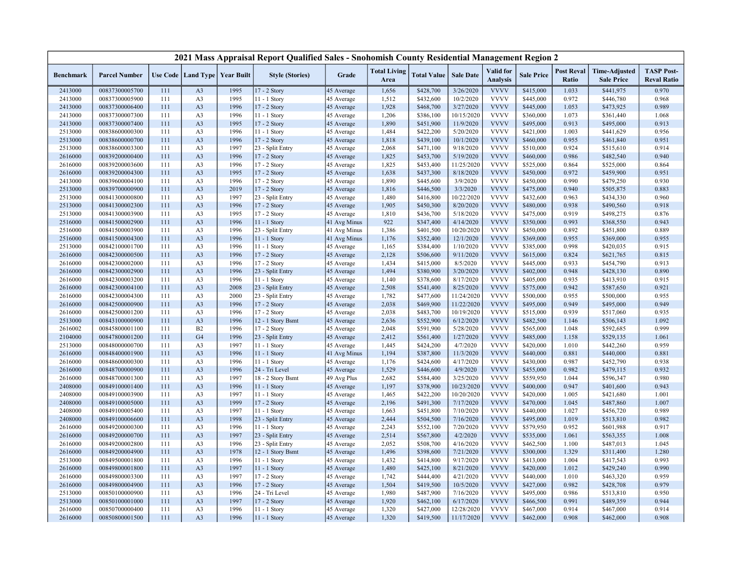|                    |                                  |            |                                   |              | 2021 Mass Appraisal Report Qualified Sales - Snohomish County Residential Management Region 2 |                            |                             |                        |                         |                                     |                        |                            |                                           |                                         |
|--------------------|----------------------------------|------------|-----------------------------------|--------------|-----------------------------------------------------------------------------------------------|----------------------------|-----------------------------|------------------------|-------------------------|-------------------------------------|------------------------|----------------------------|-------------------------------------------|-----------------------------------------|
| <b>Benchmark</b>   | <b>Parcel Number</b>             |            | Use Code   Land Type   Year Built |              | <b>Style (Stories)</b>                                                                        | Grade                      | <b>Total Living</b><br>Area | <b>Total Value</b>     | <b>Sale Date</b>        | <b>Valid</b> for<br><b>Analysis</b> | <b>Sale Price</b>      | <b>Post Reval</b><br>Ratio | <b>Time-Adjusted</b><br><b>Sale Price</b> | <b>TASP Post-</b><br><b>Reval Ratio</b> |
| 2413000            | 00837300005700                   | 111        | A <sub>3</sub>                    | 1995         | 17 - 2 Story                                                                                  | 45 Average                 | 1,656                       | \$428,700              | 3/26/2020               | <b>VVVV</b>                         | \$415,000              | 1.033                      | \$441,975                                 | 0.970                                   |
| 2413000            | 00837300005900                   | 111        | A <sub>3</sub>                    | 1995         | 11 - 1 Story                                                                                  | 45 Average                 | 1,512                       | \$432,600              | 10/2/2020               | <b>VVVV</b>                         | \$445,000              | 0.972                      | \$446,780                                 | 0.968                                   |
| 2413000            | 00837300006400                   | 111        | A <sub>3</sub>                    | 1996         | 17 - 2 Story                                                                                  | 45 Average                 | 1,928                       | \$468,700              | 3/27/2020               | <b>VVVV</b>                         | \$445,000              | 1.053                      | \$473,925                                 | 0.989                                   |
| 2413000            | 00837300007300                   | 111        | A <sub>3</sub>                    | 1996         | 11 - 1 Story                                                                                  | 45 Average                 | 1,206                       | \$386,100              | 10/15/2020              | <b>VVVV</b>                         | \$360,000              | 1.073                      | \$361,440                                 | 1.068                                   |
| 2413000            | 00837300007400                   | 111        | A <sub>3</sub>                    | 1995         | 17 - 2 Story                                                                                  | 45 Average                 | 1,890                       | \$451,900              | 11/9/2020               | <b>VVVV</b>                         | \$495,000              | 0.913                      | \$495,000                                 | 0.913                                   |
| 2513000            | 00838600000300                   | 111        | A <sub>3</sub>                    | 1996         | 11 - 1 Story                                                                                  | 45 Average                 | 1,484                       | \$422,200              | 5/20/2020               | <b>VVVV</b>                         | \$421,000              | 1.003                      | \$441,629                                 | 0.956                                   |
| 2513000            | 00838600000700                   | 111        | A <sub>3</sub>                    | 1996         | 17 - 2 Story                                                                                  | 45 Average                 | 1,818                       | \$439,100              | 10/1/2020               | <b>VVVV</b>                         | \$460,000              | 0.955                      | \$461,840                                 | 0.951                                   |
| 2513000            | 00838600003300                   | 111        | A <sub>3</sub>                    | 1997         | 23 - Split Entry                                                                              | 45 Average                 | 2,068                       | \$471,100              | 9/18/2020               | <b>VVVV</b>                         | \$510,000              | 0.924                      | \$515,610                                 | 0.914                                   |
| 2616000            | 00839200000400                   | 111        | A <sub>3</sub>                    | 1996         | 17 - 2 Story                                                                                  | 45 Average                 | 1,825                       | \$453,700              | 5/19/2020               | <b>VVVV</b>                         | \$460,000              | 0.986                      | \$482,540                                 | 0.940                                   |
| 2616000            | 00839200003600                   | 111        | A <sub>3</sub>                    | 1996         | 17 - 2 Story                                                                                  | 45 Average                 | 1,825                       | \$453,400              | 11/25/2020              | <b>VVVV</b>                         | \$525,000              | 0.864                      | \$525,000                                 | 0.864                                   |
| 2616000            | 00839200004300                   | 111        | A <sub>3</sub>                    | 1995         | 17 - 2 Story                                                                                  | 45 Average                 | 1,638                       | \$437,300              | 8/18/2020               | <b>VVVV</b>                         | \$450,000              | 0.972                      | \$459,900                                 | 0.951                                   |
| 2413000            | 00839600004100                   | 111        | A <sub>3</sub>                    | 1996         | 17 - 2 Story                                                                                  | 45 Average                 | 1,890                       | \$445,600              | 3/9/2020                | <b>VVVV</b>                         | \$450,000              | 0.990                      | \$479,250                                 | 0.930                                   |
| 2513000            | 00839700000900                   | 111        | A <sub>3</sub>                    | 2019         | 17 - 2 Story                                                                                  | 45 Average                 | 1,816                       | \$446,500              | 3/3/2020                | <b>VVVV</b>                         | \$475,000              | 0.940                      | \$505,875                                 | 0.883                                   |
| 2513000            | 00841300000800                   | 111        | A <sub>3</sub>                    | 1997         | 23 - Split Entry                                                                              | 45 Average                 | 1,480                       | \$416,800              | 10/22/2020              | <b>VVVV</b>                         | \$432,600              | 0.963                      | \$434,330                                 | 0.960                                   |
| 2513000            | 00841300002300                   | 111        | A <sub>3</sub>                    | 1996         | $17 - 2$ Story                                                                                | 45 Average                 | 1,905                       | \$450,300              | 8/20/2020               | <b>VVVV</b>                         | \$480,000              | 0.938                      | \$490,560                                 | 0.918                                   |
| 2513000            | 00841300003900                   | 111        | A <sub>3</sub>                    | 1995         | 17 - 2 Story                                                                                  | 45 Average                 | 1,810                       | \$436,700              | 5/18/2020               | <b>VVVV</b>                         | \$475,000              | 0.919                      | \$498,275                                 | 0.876                                   |
| 2516000            | 00841500002900                   | 111        | A <sub>3</sub>                    | 1996         | $11 - 1$ Story                                                                                | 41 Avg Minus               | 922                         | \$347,400              | 4/14/2020               | <b>VVVV</b>                         | \$350,000              | 0.993                      | \$368,550                                 | 0.943                                   |
| 2516000            | 00841500003900                   | 111        | A <sub>3</sub>                    | 1996         | 23 - Split Entry                                                                              | 41 Avg Minus               | 1,386                       | \$401,500              | 10/20/2020              | <b>VVVV</b>                         | \$450,000              | 0.892                      | \$451,800                                 | 0.889                                   |
| 2516000            | 00841500004300                   | 111        | A <sub>3</sub>                    | 1996         | 11 - 1 Story                                                                                  | 41 Avg Minus               | 1,176                       | \$352,400              | 12/1/2020               | <b>VVVV</b>                         | \$369,000              | 0.955                      | \$369,000                                 | 0.955                                   |
| 2513000            | 00842100001700                   | 111        | A <sub>3</sub>                    | 1996         | 11 - 1 Story                                                                                  | 45 Average                 | 1,165                       | \$384,400              | 1/10/2020               | <b>VVVV</b>                         | \$385,000              | 0.998                      | \$420,035                                 | 0.915                                   |
| 2616000            | 00842300000500                   | 111        | A <sub>3</sub>                    | 1996         | 17 - 2 Story                                                                                  | 45 Average                 | 2,128                       | \$506,600              | 9/11/2020               | <b>VVVV</b>                         | \$615,000              | 0.824                      | \$621,765                                 | 0.815                                   |
| 2616000            | 00842300002000                   | 111        | A <sub>3</sub>                    | 1996         | 17 - 2 Story                                                                                  | 45 Average                 | 1,434                       | \$415,000              | 8/5/2020                | <b>VVVV</b>                         | \$445,000              | 0.933                      | \$454,790                                 | 0.913                                   |
| 2616000            | 00842300002900                   | 111        | A <sub>3</sub>                    | 1996         | 23 - Split Entry                                                                              | 45 Average                 | 1,494                       | \$380,900              | 3/20/2020               | <b>VVVV</b>                         | \$402,000              | 0.948                      | \$428,130                                 | 0.890                                   |
| 2616000            | 00842300003200                   | 111        | A <sub>3</sub>                    | 1996         | 11 - 1 Story                                                                                  | 45 Average                 | 1,140                       | \$378,600              | 8/17/2020               | <b>VVVV</b>                         | \$405,000              | 0.935                      | \$413,910                                 | 0.915                                   |
| 2616000            | 00842300004100                   | 111        | A <sub>3</sub>                    | 2008         | 23 - Split Entry                                                                              | 45 Average                 | 2,508                       | \$541,400              | 8/25/2020               | <b>VVVV</b>                         | \$575,000              | 0.942                      | \$587,650                                 | 0.921                                   |
| 2616000            | 00842300004300                   | 111        | A <sub>3</sub>                    | 2000         | 23 - Split Entry                                                                              | 45 Average                 | 1,782                       | \$477,600              | 11/24/2020              | <b>VVVV</b>                         | \$500,000              | 0.955                      | \$500,000                                 | 0.955                                   |
| 2616000            | 00842500000900                   | 111        | A <sub>3</sub>                    | 1996         | 17 - 2 Story                                                                                  | 45 Average                 | 2,038                       | \$469,900              | 11/22/2020              | <b>VVVV</b>                         | \$495,000              | 0.949                      | \$495,000                                 | 0.949                                   |
| 2616000            | 00842500001200                   | 111        | A <sub>3</sub><br>A <sub>3</sub>  | 1996<br>1996 | 17 - 2 Story                                                                                  | 45 Average                 | 2,038                       | \$483,700              | 10/19/2020<br>6/12/2020 | <b>VVVV</b><br><b>VVVV</b>          | \$515,000              | 0.939                      | \$517,060                                 | 0.935<br>1.092                          |
| 2513000            | 00843100000900                   | 111        |                                   |              | 12 - 1 Story Bsmt                                                                             | 45 Average                 | 2,636                       | \$552,900              |                         | <b>VVVV</b>                         | \$482,500              | 1.146                      | \$506,143                                 |                                         |
| 2616002            | 00845800001100<br>00847800001200 | 111        | B2<br>G <sub>4</sub>              | 1996<br>1996 | 17 - 2 Story                                                                                  | 45 Average                 | 2,048<br>2,412              | \$591,900              | 5/28/2020               | <b>VVVV</b>                         | \$565,000              | 1.048<br>1.158             | \$592,685                                 | 0.999<br>1.061                          |
| 2104000<br>2513000 | 00848000000700                   | 111<br>111 | A <sub>3</sub>                    | 1997         | 23 - Split Entry<br>11 - 1 Story                                                              | 45 Average                 | 1,445                       | \$561,400<br>\$424,200 | 1/27/2020<br>4/7/2020   | <b>VVVV</b>                         | \$485,000<br>\$420,000 | 1.010                      | \$529,135<br>\$442,260                    | 0.959                                   |
| 2616000            | 00848400001900                   | 111        | A <sub>3</sub>                    | 1996         | $11 - 1$ Story                                                                                | 45 Average                 | 1,194                       | \$387,800              | 11/3/2020               | <b>VVVV</b>                         | \$440,000              | 0.881                      | \$440,000                                 | 0.881                                   |
| 2616000            | 00848600000300                   | 111        | A <sub>3</sub>                    | 1996         | 11 - 1 Story                                                                                  | 41 Avg Minus<br>45 Average | 1,176                       | \$424,600              | 4/17/2020               | <b>VVVV</b>                         | \$430,000              | 0.987                      | \$452,790                                 | 0.938                                   |
| 2616000            | 00848700000900                   | 111        | A <sub>3</sub>                    | 1996         | 24 - Tri Level                                                                                |                            | 1,529                       | \$446,600              | 4/9/2020                | <b>VVVV</b>                         | \$455,000              | 0.982                      | \$479,115                                 | 0.932                                   |
| 2616000            | 00848700001300                   | 111        | A <sub>3</sub>                    | 1997         | 18 - 2 Story Bsmt                                                                             | 45 Average<br>49 Avg Plus  | 2,682                       | \$584,400              | 3/25/2020               | <b>VVVV</b>                         | \$559,950              | 1.044                      | \$596,347                                 | 0.980                                   |
| 2408000            | 00849100001400                   | 111        | A <sub>3</sub>                    | 1996         | 11 - 1 Story                                                                                  | 45 Average                 | 1,197                       | \$378,900              | 10/23/2020              | <b>VVVV</b>                         | \$400,000              | 0.947                      | \$401,600                                 | 0.943                                   |
| 2408000            | 00849100003900                   | 111        | A <sub>3</sub>                    | 1997         | $11 - 1$ Story                                                                                | 45 Average                 | 1,465                       | \$422,200              | 10/20/2020              | <b>VVVV</b>                         | \$420,000              | 1.005                      | \$421,680                                 | 1.001                                   |
| 2408000            | 00849100005000                   | 111        | A <sub>3</sub>                    | 1999         | 17 - 2 Story                                                                                  | 45 Average                 | 2,196                       | \$491,300              | 7/17/2020               | <b>VVVV</b>                         | \$470,000              | 1.045                      | \$487,860                                 | 1.007                                   |
| 2408000            | 00849100005400                   | 111        | A <sub>3</sub>                    | 1997         | 11 - 1 Story                                                                                  | 45 Average                 | 1,663                       | \$451,800              | 7/10/2020               | <b>VVVV</b>                         | \$440,000              | 1.027                      | \$456,720                                 | 0.989                                   |
| 2408000            | 00849100006600                   | 111        | A <sub>3</sub>                    | 1998         | 23 - Split Entry                                                                              | 45 Average                 | 2,444                       | \$504,500              | 7/16/2020               | <b>VVVV</b>                         | \$495,000              | 1.019                      | \$513,810                                 | 0.982                                   |
| 2616000            | 00849200000300                   | 111        | A <sub>3</sub>                    | 1996         | 11 - 1 Story                                                                                  | 45 Average                 | 2,243                       | \$552,100              | 7/20/2020               | <b>VVVV</b>                         | \$579,950              | 0.952                      | \$601,988                                 | 0.917                                   |
| 2616000            | 00849200000700                   | 111        | A <sub>3</sub>                    | 1997         | 23 - Split Entry                                                                              | 45 Average                 | 2,514                       | \$567,800              | 4/2/2020                | <b>VVVV</b>                         | \$535,000              | 1.061                      | \$563,355                                 | 1.008                                   |
| 2616000            | 00849200002800                   | 111        | A <sub>3</sub>                    | 1996         | 23 - Split Entry                                                                              | 45 Average                 | 2,052                       | \$508,700              | 4/16/2020               | <b>VVVV</b>                         | \$462,500              | 1.100                      | \$487,013                                 | 1.045                                   |
| 2616000            | 00849200004900                   | 111        | A <sub>3</sub>                    | 1978         | 12 - 1 Story Bsmt                                                                             | 45 Average                 | 1,496                       | \$398,600              | 7/21/2020               | <b>VVVV</b>                         | \$300,000              | 1.329                      | \$311,400                                 | 1.280                                   |
| 2513000            | 00849500001800                   | 111        | A <sub>3</sub>                    | 1996         | 11 - 1 Story                                                                                  | 45 Average                 | 1,432                       | \$414,800              | 9/17/2020               | <b>VVVV</b>                         | \$413,000              | 1.004                      | \$417,543                                 | 0.993                                   |
| 2616000            | 00849800001800                   | 111        | A <sub>3</sub>                    | 1997         | 11 - 1 Story                                                                                  | 45 Average                 | 1,480                       | \$425,100              | 8/21/2020               | <b>VVVV</b>                         | \$420,000              | 1.012                      | \$429,240                                 | 0.990                                   |
| 2616000            | 00849800003300                   | 111        | A <sub>3</sub>                    | 1997         | 17 - 2 Story                                                                                  | 45 Average                 | 1,742                       | \$444,400              | 4/21/2020               | <b>VVVV</b>                         | \$440,000              | 1.010                      | \$463,320                                 | 0.959                                   |
| 2616000            | 00849800004900                   | 111        | A <sub>3</sub>                    | 1996         | 17 - 2 Story                                                                                  | 45 Average                 | 1,504                       | \$419,500              | 10/5/2020               | <b>VVVV</b>                         | \$427,000              | 0.982                      | \$428,708                                 | 0.979                                   |
| 2513000            | 00850100000900                   | 111        | A <sub>3</sub>                    | 1996         | 24 - Tri Level                                                                                | 45 Average                 | 1,980                       | \$487,900              | 7/16/2020               | <b>VVVV</b>                         | \$495,000              | 0.986                      | \$513,810                                 | 0.950                                   |
| 2513000            | 00850100001000                   | 111        | A <sub>3</sub>                    | 1997         | 17 - 2 Story                                                                                  | 45 Average                 | 1,920                       | \$462,100              | 6/17/2020               | <b>VVVV</b>                         | \$466,500              | 0.991                      | \$489,359                                 | 0.944                                   |
| 2616000            | 00850700000400                   | 111        | A <sub>3</sub>                    | 1996         | $11 - 1$ Story                                                                                | 45 Average                 | 1,320                       | \$427,000              | 12/28/2020              | <b>VVVV</b>                         | \$467,000              | 0.914                      | \$467,000                                 | 0.914                                   |
| 2616000            | 00850800001500                   | 111        | A <sub>3</sub>                    | 1996         | 11 - 1 Story                                                                                  | 45 Average                 | 1,320                       | \$419,500              | 11/17/2020              | <b>VVVV</b>                         | \$462,000              | 0.908                      | \$462,000                                 | 0.908                                   |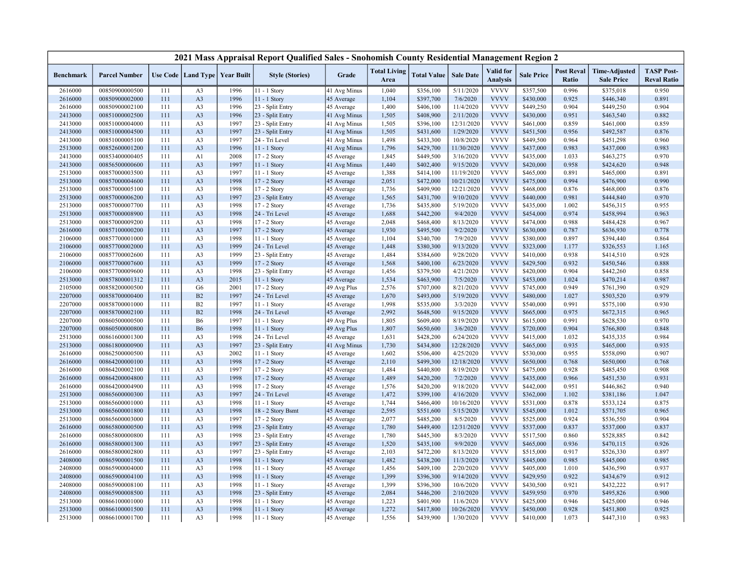|                    |                                  |            |                                  |                                   | 2021 Mass Appraisal Report Qualified Sales - Snohomish County Residential Management Region 2 |                          |                             |                        |                  |                                     |                   |                            |                                           |                                         |
|--------------------|----------------------------------|------------|----------------------------------|-----------------------------------|-----------------------------------------------------------------------------------------------|--------------------------|-----------------------------|------------------------|------------------|-------------------------------------|-------------------|----------------------------|-------------------------------------------|-----------------------------------------|
| <b>Benchmark</b>   | <b>Parcel Number</b>             |            |                                  | Use Code   Land Type   Year Built | <b>Style (Stories)</b>                                                                        | Grade                    | <b>Total Living</b><br>Area | <b>Total Value</b>     | <b>Sale Date</b> | <b>Valid</b> for<br><b>Analysis</b> | <b>Sale Price</b> | <b>Post Reval</b><br>Ratio | <b>Time-Adjusted</b><br><b>Sale Price</b> | <b>TASP Post-</b><br><b>Reval Ratio</b> |
| 2616000            | 00850900000500                   | 111        | A <sub>3</sub>                   | 1996                              | 11 - 1 Story                                                                                  | 41 Avg Minus             | 1,040                       | \$356,100              | 5/11/2020        | <b>VVVV</b>                         | \$357,500         | 0.996                      | \$375,018                                 | 0.950                                   |
| 2616000            | 00850900002000                   | 111        | A <sub>3</sub>                   | 1996                              | 11 - 1 Story                                                                                  | 45 Average               | 1,104                       | \$397,700              | 7/6/2020         | <b>VVVV</b>                         | \$430,000         | 0.925                      | \$446,340                                 | 0.891                                   |
| 2616000            | 00850900002100                   | 111        | A <sub>3</sub>                   | 1996                              | 23 - Split Entry                                                                              | 45 Average               | 1,400                       | \$406,100              | 11/4/2020        | <b>VVVV</b>                         | \$449,250         | 0.904                      | \$449,250                                 | 0.904                                   |
| 2413000            | 00851000002500                   | 111        | A <sub>3</sub>                   | 1996                              | 23 - Split Entry                                                                              | 41 Avg Minus             | 1,505                       | \$408,900              | 2/11/2020        | <b>VVVV</b>                         | \$430,000         | 0.951                      | \$463,540                                 | 0.882                                   |
| 2413000            | 00851000004000                   | 111        | A <sub>3</sub>                   | 1997                              | 23 - Split Entry                                                                              | 41 Avg Minus             | 1,505                       | \$396,100              | 12/31/2020       | <b>VVVV</b>                         | \$461,000         | 0.859                      | \$461,000                                 | 0.859                                   |
| 2413000            | 00851000004500                   | 111        | A <sub>3</sub>                   | 1997                              | 23 - Split Entry                                                                              | 41 Avg Minus             | 1,505                       | \$431,600              | 1/29/2020        | <b>VVVV</b>                         | \$451,500         | 0.956                      | \$492,587                                 | 0.876                                   |
| 2413000            | 00851000005100                   | 111        | A <sub>3</sub>                   | 1997                              | 24 - Tri Level                                                                                | 41 Avg Minus             | 1,498                       | \$433,300              | 10/8/2020        | <b>VVVV</b>                         | \$449,500         | 0.964                      | \$451,298                                 | 0.960                                   |
| 2513000            | 00852600001200                   | 111        | A <sub>3</sub>                   | 1996                              | 11 - 1 Story                                                                                  | 41 Avg Minus             | 1,796                       | \$429,700              | 11/30/2020       | <b>VVVV</b>                         | \$437,000         | 0.983                      | \$437,000                                 | 0.983                                   |
| 2413000            | 00853400000405                   | 111        | A1                               | 2008                              | 17 - 2 Story                                                                                  | 45 Average               | 1,845                       | \$449,500              | 3/16/2020        | <b>VVVV</b>                         | \$435,000         | 1.033                      | \$463,275                                 | 0.970                                   |
| 2413000            | 00856500000600                   | 111        | A <sub>3</sub>                   | 1997                              | $11 - 1$ Story                                                                                | 41 Avg Minus             | 1,440                       | \$402,400              | 9/15/2020        | <b>VVVV</b>                         | \$420,000         | 0.958                      | \$424,620                                 | 0.948                                   |
| 2513000            | 00857000003500                   | 111        | A <sub>3</sub>                   | 1997                              | 11 - 1 Story                                                                                  | 45 Average               | 1,388                       | \$414,100              | 11/19/2020       | <b>VVVV</b>                         | \$465,000         | 0.891                      | \$465,000                                 | 0.891                                   |
| 2513000            | 00857000004600                   | 111        | A <sub>3</sub>                   | 1998                              | 17 - 2 Story                                                                                  | 45 Average               | 2,051                       | \$472,000              | 10/21/2020       | <b>VVVV</b>                         | \$475,000         | 0.994                      | \$476,900                                 | 0.990                                   |
| 2513000            | 00857000005100                   | 111        | A <sub>3</sub>                   | 1998                              | 17 - 2 Story                                                                                  | 45 Average               | 1,736                       | \$409,900              | 12/21/2020       | <b>VVVV</b>                         | \$468,000         | 0.876                      | \$468,000                                 | 0.876                                   |
| 2513000            | 00857000006200                   | 111        | A <sub>3</sub>                   | 1997                              | 23 - Split Entry                                                                              | 45 Average               | 1,565                       | \$431,700              | 9/10/2020        | <b>VVVV</b>                         | \$440,000         | 0.981                      | \$444,840                                 | 0.970                                   |
| 2513000            | 00857000007700                   | 111        | A <sub>3</sub>                   | 1998                              | 17 - 2 Story                                                                                  | 45 Average               | 1,736                       | \$435,800              | 5/19/2020        | <b>VVVV</b>                         | \$435,000         | 1.002                      | \$456,315                                 | 0.955                                   |
| 2513000            | 00857000008900                   | 111        | A <sub>3</sub>                   | 1998                              | 24 - Tri Level                                                                                | 45 Average               | 1,688                       | \$442,200              | 9/4/2020         | <b>VVVV</b>                         | \$454,000         | 0.974                      | \$458,994                                 | 0.963                                   |
| 2513000            | 00857000009200                   | 111        | A <sub>3</sub>                   | 1998                              | 17 - 2 Story                                                                                  | 45 Average               | 2,048                       | \$468,400              | 8/13/2020        | <b>VVVV</b>                         | \$474,000         | 0.988                      | \$484,428                                 | 0.967                                   |
| 2616000            | 00857100000200                   | 111        | A <sub>3</sub>                   | 1997                              | 17 - 2 Story                                                                                  | 45 Average               | 1,930                       | \$495,500              | 9/2/2020         | <b>VVVV</b>                         | \$630,000         | 0.787                      | \$636,930                                 | 0.778                                   |
| 2106000            | 00857700001000                   | 111        | A <sub>3</sub>                   | 1998                              | 11 - 1 Story                                                                                  | 45 Average               | 1,104                       | \$340,700              | 7/9/2020         | <b>VVVV</b>                         | \$380,000         | 0.897                      | \$394,440                                 | 0.864                                   |
| 2106000            | 00857700002000                   | 111        | A <sub>3</sub>                   | 1999                              | 24 - Tri Level                                                                                | 45 Average               | 1,448                       | \$380,300              | 9/13/2020        | <b>VVVV</b>                         | \$323,000         | 1.177                      | \$326,553                                 | 1.165                                   |
| 2106000            | 00857700002600                   | 111        | A <sub>3</sub>                   | 1999                              | 23 - Split Entry                                                                              | 45 Average               | 1,484                       | \$384,600              | 9/28/2020        | <b>VVVV</b>                         | \$410,000         | 0.938                      | \$414,510                                 | 0.928                                   |
| 2106000            | 00857700007600                   | 111        | A <sub>3</sub>                   | 1999                              | 17 - 2 Story                                                                                  | 45 Average               | 1,568                       | \$400,100              | 6/23/2020        | <b>VVVV</b>                         | \$429,500         | 0.932                      | \$450,546                                 | 0.888                                   |
| 2106000            | 00857700009600                   | 111        | A <sub>3</sub>                   | 1998                              | 23 - Split Entry                                                                              | 45 Average               | 1,456                       | \$379,500              | 4/21/2020        | <b>VVVV</b>                         | \$420,000         | 0.904                      | \$442,260                                 | 0.858                                   |
| 2513000            | 00857800001312                   | 111        | A <sub>3</sub>                   | 2015                              | 11 - 1 Story                                                                                  | 45 Average               | 1,534                       | \$463,900              | 7/5/2020         | <b>VVVV</b>                         | \$453,000         | 1.024                      | \$470,214                                 | 0.987                                   |
| 2105000            | 00858200000500                   | 111        | G <sub>6</sub>                   | 2001                              | 17 - 2 Story                                                                                  | 49 Avg Plus              | 2,576                       | \$707,000              | 8/21/2020        | <b>VVVV</b>                         | \$745,000         | 0.949                      | \$761,390                                 | 0.929                                   |
| 2207000            | 00858700000400                   | 111        | B2                               | 1997                              | 24 - Tri Level                                                                                | 45 Average               | 1,670                       | \$493,000              | 5/19/2020        | <b>VVVV</b>                         | \$480,000         | 1.027                      | \$503,520                                 | 0.979                                   |
| 2207000            | 00858700001000                   | 111        | B2                               | 1997                              | 11 - 1 Story                                                                                  | 45 Average               | 1,998                       | \$535,000              | 3/3/2020         | <b>VVVV</b>                         | \$540,000         | 0.991                      | \$575,100                                 | 0.930                                   |
| 2207000            | 00858700002100                   | 111        | B2                               | 1998                              | 24 - Tri Level                                                                                | 45 Average               | 2,992                       | \$648,500              | 9/15/2020        | <b>VVVV</b>                         | \$665,000         | 0.975                      | \$672,315                                 | 0.965                                   |
| 2207000            | 00860500000500                   | 111        | <b>B6</b>                        | 1997                              | 11 - 1 Story                                                                                  | 49 Avg Plus              | 1,805                       | \$609,400              | 8/19/2020        | <b>VVVV</b>                         | \$615,000         | 0.991                      | \$628,530                                 | 0.970                                   |
| 2207000            | 00860500000800                   | 111        | <b>B6</b>                        | 1998                              | $11 - 1$ Story                                                                                | 49 Avg Plus              | 1,807                       | \$650,600              | 3/6/2020         | <b>VVVV</b>                         | \$720,000         | 0.904                      | \$766,800                                 | 0.848                                   |
| 2513000            | 00861600001300                   | 111        | A <sub>3</sub>                   | 1998                              | 24 - Tri Level                                                                                | 45 Average               | 1,631                       | \$428,200              | 6/24/2020        | <b>VVVV</b>                         | \$415,000         | 1.032                      | \$435,335                                 | 0.984                                   |
| 2513000            | 00861800000900                   | 111        | A <sub>3</sub>                   | 1997                              | 23 - Split Entry                                                                              | 41 Avg Minus             | 1,730                       | \$434,800              | 12/28/2020       | <b>VVVV</b>                         | \$465,000         | 0.935                      | \$465,000                                 | 0.935                                   |
| 2616000            | 00862500000500                   | 111        | A <sub>3</sub>                   | 2002                              | 11 - 1 Story                                                                                  | 45 Average               | 1,602                       | \$506,400              | 4/25/2020        | <b>VVVV</b>                         | \$530,000         | 0.955                      | \$558,090                                 | 0.907                                   |
| 2616000            | 00864200000100                   | 111        | A <sub>3</sub>                   | 1998                              | 17 - 2 Story                                                                                  | 45 Average               | 2,110                       | \$499,300              | 12/18/2020       | <b>VVVV</b>                         | \$650,000         | 0.768                      | \$650,000                                 | 0.768                                   |
| 2616000            | 00864200002100                   | 111        | A <sub>3</sub>                   | 1997                              | 17 - 2 Story                                                                                  | 45 Average               | 1,484                       | \$440,800              | 8/19/2020        | <b>VVVV</b>                         | \$475,000         | 0.928                      | \$485,450                                 | 0.908                                   |
| 2616000            | 00864200004800                   | 111        | A <sub>3</sub>                   | 1998                              | 17 - 2 Story                                                                                  |                          | 1,489                       | \$420,200              | 7/2/2020         | <b>VVVV</b>                         | \$435,000         | 0.966                      | \$451,530                                 | 0.931                                   |
| 2616000            | 00864200004900                   | 111        | A <sub>3</sub>                   | 1998                              | 17 - 2 Story                                                                                  | 45 Average<br>45 Average | 1,576                       | \$420,200              | 9/18/2020        | <b>VVVV</b>                         | \$442,000         | 0.951                      | \$446,862                                 | 0.940                                   |
|                    | 00865600000300                   | 111        | A <sub>3</sub>                   | 1997                              | 24 - Tri Level                                                                                |                          | 1,472                       | \$399,100              | 4/16/2020        | <b>VVVV</b>                         | \$362,000         | 1.102                      | \$381,186                                 | 1.047                                   |
| 2513000            |                                  | 111        |                                  | 1998                              |                                                                                               | 45 Average               | 1,744                       | \$466,400              | 10/16/2020       | <b>VVVV</b>                         | \$531,000         | 0.878                      |                                           | 0.875                                   |
| 2513000<br>2513000 | 00865600001000<br>00865600001800 | 111        | A <sub>3</sub><br>A <sub>3</sub> | 1998                              | 11 - 1 Story<br>18 - 2 Story Bsmt                                                             | 45 Average<br>45 Average | 2,595                       | \$551,600              | 5/15/2020        | <b>VVVV</b>                         | \$545,000         | 1.012                      | \$533,124<br>\$571,705                    | 0.965                                   |
| 2513000            |                                  |            | A <sub>3</sub>                   | 1997                              | 17 - 2 Story                                                                                  |                          | 2,077                       |                        | 8/5/2020         | <b>VVVV</b>                         | \$525,000         | 0.924                      | \$536,550                                 | 0.904                                   |
| 2616000            | 00865600003000<br>00865800000500 | 111<br>111 | A <sub>3</sub>                   | 1998                              | 23 - Split Entry                                                                              | 45 Average               | 1,780                       | \$485,200<br>\$449,400 | 12/31/2020       | <b>VVVV</b>                         | \$537,000         | 0.837                      | \$537,000                                 | 0.837                                   |
| 2616000            | 00865800000800                   | 111        | A <sub>3</sub>                   | 1998                              | 23 - Split Entry                                                                              | 45 Average               | 1,780                       | \$445,300              | 8/3/2020         | <b>VVVV</b>                         | \$517,500         | 0.860                      | \$528,885                                 | 0.842                                   |
|                    | 00865800001300                   | 111        | A <sub>3</sub>                   | 1997                              |                                                                                               | 45 Average               |                             |                        | 9/9/2020         | <b>VVVV</b>                         |                   | 0.936                      |                                           |                                         |
| 2616000            |                                  | 111        |                                  |                                   | 23 - Split Entry                                                                              | 45 Average               | 1,520                       | \$435,100              |                  | <b>VVVV</b>                         | \$465,000         | 0.917                      | \$470,115                                 | 0.926                                   |
| 2616000            | 00865800002800                   |            | A <sub>3</sub>                   | 1997                              | 23 - Split Entry                                                                              | 45 Average               | 2,103                       | \$472,200              | 8/13/2020        | <b>VVVV</b>                         | \$515,000         |                            | \$526,330                                 | 0.897                                   |
| 2408000            | 00865900001500                   | 111        | A <sub>3</sub>                   | 1998                              | 11 - 1 Story                                                                                  | 45 Average               | 1,482                       | \$438,200              | 11/3/2020        |                                     | \$445,000         | 0.985                      | \$445,000                                 | 0.985                                   |
| 2408000            | 00865900004000                   | 111        | A <sub>3</sub>                   | 1998                              | 11 - 1 Story                                                                                  | 45 Average               | 1,456                       | \$409,100              | 2/20/2020        | <b>VVVV</b><br><b>VVVV</b>          | \$405,000         | 1.010                      | \$436,590                                 | 0.937                                   |
| 2408000            | 00865900004100                   | 111        | A <sub>3</sub>                   | 1998                              | 11 - 1 Story                                                                                  | 45 Average               | 1,399                       | \$396,300              | 9/14/2020        |                                     | \$429,950         | 0.922                      | \$434,679                                 | 0.912                                   |
| 2408000            | 00865900008100                   | 111        | A <sub>3</sub>                   | 1998                              | 11 - 1 Story                                                                                  | 45 Average               | 1,399                       | \$396,300              | 10/6/2020        | <b>VVVV</b>                         | \$430,500         | 0.921                      | \$432,222                                 | 0.917                                   |
| 2408000            | 00865900008500                   | 111        | A <sub>3</sub>                   | 1998                              | 23 - Split Entry                                                                              | 45 Average               | 2,084                       | \$446,200              | 2/10/2020        | <b>VVVV</b>                         | \$459,950         | 0.970                      | \$495,826                                 | 0.900                                   |
| 2513000            | 00866100001000                   | 111        | A <sub>3</sub>                   | 1998                              | 11 - 1 Story                                                                                  | 45 Average               | 1,223                       | \$401,900              | 11/6/2020        | <b>VVVV</b>                         | \$425,000         | 0.946                      | \$425,000                                 | 0.946                                   |
| 2513000            | 00866100001500                   | 111        | A <sub>3</sub>                   | 1998                              | $11 - 1$ Story                                                                                | 45 Average               | 1,272                       | \$417,800              | 10/26/2020       | <b>VVVV</b>                         | \$450,000         | 0.928                      | \$451,800                                 | 0.925                                   |
| 2513000            | 00866100001700                   | 111        | A <sub>3</sub>                   | 1998                              | 11 - 1 Story                                                                                  | 45 Average               | 1,556                       | \$439,900              | 1/30/2020        | <b>VVVV</b>                         | \$410,000         | 1.073                      | \$447,310                                 | 0.983                                   |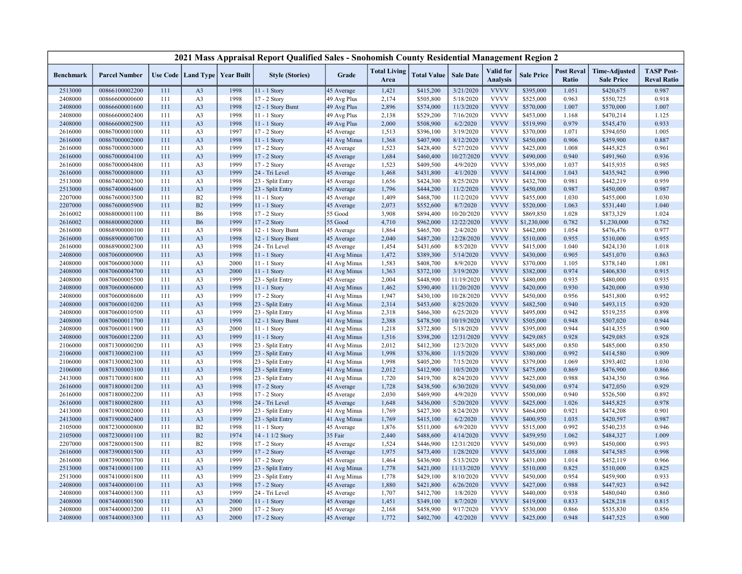|                    |                                  |            |                                   |              | 2021 Mass Appraisal Report Qualified Sales - Snohomish County Residential Management Region 2 |                              |                             |                        |                        |                                     |                        |                            |                                           |                                         |
|--------------------|----------------------------------|------------|-----------------------------------|--------------|-----------------------------------------------------------------------------------------------|------------------------------|-----------------------------|------------------------|------------------------|-------------------------------------|------------------------|----------------------------|-------------------------------------------|-----------------------------------------|
| <b>Benchmark</b>   | <b>Parcel Number</b>             |            | Use Code   Land Type   Year Built |              | <b>Style (Stories)</b>                                                                        | Grade                        | <b>Total Living</b><br>Area | <b>Total Value</b>     | <b>Sale Date</b>       | <b>Valid</b> for<br><b>Analysis</b> | <b>Sale Price</b>      | <b>Post Reval</b><br>Ratio | <b>Time-Adjusted</b><br><b>Sale Price</b> | <b>TASP Post-</b><br><b>Reval Ratio</b> |
| 2513000            | 00866100002200                   | 111        | A <sub>3</sub>                    | 1998         | 11 - 1 Story                                                                                  | 45 Average                   | 1,421                       | \$415,200              | 3/21/2020              | <b>VVVV</b>                         | \$395,000              | 1.051                      | \$420,675                                 | 0.987                                   |
| 2408000            | 00866600000600                   | 111        | A <sub>3</sub>                    | 1998         | 17 - 2 Story                                                                                  | 49 Avg Plus                  | 2,174                       | \$505,800              | 5/18/2020              | <b>VVVV</b>                         | \$525,000              | 0.963                      | \$550,725                                 | 0.918                                   |
| 2408000            | 00866600001600                   | 111        | A <sub>3</sub>                    | 1998         | 12 - 1 Story Bsmt                                                                             | 49 Avg Plus                  | 2,896                       | \$574,000              | 11/3/2020              | <b>VVVV</b>                         | \$570,000              | 1.007                      | \$570,000                                 | 1.007                                   |
| 2408000            | 00866600002400                   | 111        | A <sub>3</sub>                    | 1998         | 11 - 1 Story                                                                                  | 49 Avg Plus                  | 2,138                       | \$529,200              | 7/16/2020              | <b>VVVV</b>                         | \$453,000              | 1.168                      | \$470,214                                 | 1.125                                   |
| 2408000            | 00866600002500                   | 111        | A <sub>3</sub>                    | 1998         | 11 - 1 Story                                                                                  | 49 Avg Plus                  | 2,000                       | \$508,900              | 6/2/2020               | <b>VVVV</b>                         | \$519,990              | 0.979                      | \$545,470                                 | 0.933                                   |
| 2616000            | 00867000001000                   | 111        | A <sub>3</sub>                    | 1997         | 17 - 2 Story                                                                                  | 45 Average                   | 1,513                       | \$396,100              | 3/19/2020              | <b>VVVV</b>                         | \$370,000              | 1.071                      | \$394,050                                 | 1.005                                   |
| 2616000            | 00867000002000                   | 111        | A <sub>3</sub>                    | 1998         | 11 - 1 Story                                                                                  | 41 Avg Minus                 | 1,368                       | \$407,900              | 8/12/2020              | <b>VVVV</b>                         | \$450,000              | 0.906                      | \$459,900                                 | 0.887                                   |
| 2616000            | 00867000003000                   | 111        | A <sub>3</sub>                    | 1999         | 17 - 2 Story                                                                                  | 45 Average                   | 1,523                       | \$428,400              | 5/27/2020              | <b>VVVV</b>                         | \$425,000              | 1.008                      | \$445,825                                 | 0.961                                   |
| 2616000            | 00867000004100                   | 111        | A <sub>3</sub>                    | 1999         | 17 - 2 Story                                                                                  | 45 Average                   | 1,684                       | \$460,400              | 10/27/2020             | <b>VVVV</b>                         | \$490,000              | 0.940                      | \$491,960                                 | 0.936                                   |
| 2616000            | 00867000004800                   | 111        | A <sub>3</sub>                    | 1999         | 17 - 2 Story                                                                                  | 45 Average                   | 1,523                       | \$409,500              | 4/9/2020               | <b>VVVV</b>                         | \$395,000              | 1.037                      | \$415,935                                 | 0.985                                   |
| 2616000            | 00867000008000                   | 111        | A <sub>3</sub>                    | 1999         | 24 - Tri Level                                                                                | 45 Average                   | 1,468                       | \$431,800              | 4/1/2020               | <b>VVVV</b>                         | \$414,000              | 1.043                      | \$435,942                                 | 0.990                                   |
| 2513000            | 00867400002300                   | 111        | A <sub>3</sub>                    | 1998         | 23 - Split Entry                                                                              | 45 Average                   | 1,656                       | \$424,300              | 8/25/2020              | <b>VVVV</b>                         | \$432,700              | 0.981                      | \$442,219                                 | 0.959                                   |
| 2513000            | 00867400004600                   | 111        | A <sub>3</sub>                    | 1999         | 23 - Split Entry                                                                              | 45 Average                   | 1,796                       | \$444,200              | 11/2/2020              | <b>VVVV</b>                         | \$450,000              | 0.987                      | \$450,000                                 | 0.987                                   |
| 2207000            | 00867600003500                   | 111        | B2                                | 1998         | 11 - 1 Story                                                                                  | 45 Average                   | 1,409                       | \$468,700              | 11/2/2020              | <b>VVVV</b>                         | \$455,000              | 1.030                      | \$455,000                                 | 1.030                                   |
| 2207000            | 00867600005900                   | 111        | B2                                | 1999         | 11 - 1 Story                                                                                  | 45 Average                   | 2,073                       | \$552,600              | 8/7/2020               | <b>VVVV</b>                         | \$520,000              | 1.063                      | \$531,440                                 | 1.040                                   |
| 2616002            | 00868000001100                   | 111        | <b>B6</b>                         | 1998         | 17 - 2 Story                                                                                  | 55 Good                      | 3,908                       | \$894,400              | 10/20/2020             | <b>VVVV</b>                         | \$869,850              | 1.028                      | \$873,329                                 | 1.024                                   |
| 2616002            | 00868000002000                   | 111        | <b>B6</b>                         | 1999         | 17 - 2 Story                                                                                  | 55 Good                      | 4,710                       | \$962,000              | 12/22/2020             | <b>VVVV</b>                         | \$1,230,000            | 0.782                      | \$1,230,000                               | 0.782                                   |
| 2616000            | 00868900000100                   | 111        | A3                                | 1998         | 12 - 1 Story Bsmt                                                                             | 45 Average                   | 1,864                       | \$465,700              | 2/4/2020               | <b>VVVV</b>                         | \$442,000              | 1.054                      | \$476,476                                 | 0.977                                   |
| 2616000            | 00868900000700                   | 111        | A <sub>3</sub>                    | 1998         | 12 - 1 Story Bsmt                                                                             | 45 Average                   | 2,040                       | \$487,200              | 12/28/2020             | <b>VVVV</b>                         | \$510,000              | 0.955                      | \$510,000                                 | 0.955                                   |
| 2616000            | 00868900002300                   | 111        | A <sub>3</sub>                    | 1998         | 24 - Tri Level                                                                                | 45 Average                   | 1,454                       | \$431,600              | 8/5/2020               | <b>VVVV</b>                         | \$415,000              | 1.040                      | \$424,130                                 | 1.018                                   |
| 2408000            | 00870600000900                   | 111        | A <sub>3</sub>                    | 1998         | 11 - 1 Story                                                                                  | 41 Avg Minus                 | 1,472                       | \$389,300              | 5/14/2020              | <b>VVVV</b>                         | \$430,000              | 0.905                      | \$451,070                                 | 0.863                                   |
| 2408000            | 00870600003000                   | 111        | A <sub>3</sub>                    | 2000         | 11 - 1 Story                                                                                  | 41 Avg Minus                 | 1,583                       | \$408,700              | 8/9/2020               | <b>VVVV</b>                         | \$370,000              | 1.105                      | \$378,140                                 | 1.081                                   |
| 2408000            | 00870600004700                   | 111        | A <sub>3</sub>                    | 2000         | $11 - 1$ Story                                                                                | 41 Avg Minus                 | 1,363                       | \$372,100              | 3/19/2020              | <b>VVVV</b>                         | \$382,000              | 0.974                      | \$406,830                                 | 0.915                                   |
| 2408000            | 00870600005500                   | 111        | A <sub>3</sub>                    | 1999         | 23 - Split Entry                                                                              | 45 Average                   | 2,004                       | \$448,900              | 11/19/2020             | <b>VVVV</b>                         | \$480,000              | 0.935                      | \$480,000                                 | 0.935                                   |
| 2408000            | 00870600006000                   | 111        | A <sub>3</sub>                    | 1998         | 11 - 1 Story                                                                                  | 41 Avg Minus                 | 1,462                       | \$390,400              | 11/20/2020             | <b>VVVV</b>                         | \$420,000              | 0.930                      | \$420,000                                 | 0.930                                   |
| 2408000            | 00870600008600                   | 111        | A <sub>3</sub>                    | 1999         | 17 - 2 Story                                                                                  | 41 Avg Minus                 | 1,947                       | \$430,100              | 10/28/2020             | <b>VVVV</b>                         | \$450,000              | 0.956                      | \$451,800                                 | 0.952                                   |
| 2408000            | 00870600010200                   | 111        | A <sub>3</sub>                    | 1998         | 23 - Split Entry                                                                              | 41 Avg Minus                 | 2,314                       | \$453,600              | 8/25/2020              | <b>VVVV</b>                         | \$482,500              | 0.940                      | \$493,115                                 | 0.920                                   |
| 2408000            | 00870600010500                   | 111        | A <sub>3</sub>                    | 1999         | 23 - Split Entry                                                                              | 41 Avg Minus                 | 2,318                       | \$466,300              | 6/25/2020              | <b>VVVV</b><br><b>VVVV</b>          | \$495,000              | 0.942                      | \$519,255                                 | 0.898                                   |
| 2408000            | 00870600011700                   | 111        | A <sub>3</sub>                    | 1998         | 12 - 1 Story Bsmt                                                                             | 41 Avg Minus                 | 2,388                       | \$478,500              | 10/19/2020             |                                     | \$505,000              | 0.948                      | \$507,020                                 | 0.944                                   |
| 2408000            | 00870600011900                   | 111        | A <sub>3</sub>                    | 2000         | 11 - 1 Story                                                                                  | 41 Avg Minus                 | 1,218                       | \$372,800              | 5/18/2020              | <b>VVVV</b>                         | \$395,000              | 0.944                      | \$414,355                                 | 0.900                                   |
| 2408000            | 00870600012200                   | 111<br>111 | A <sub>3</sub><br>A <sub>3</sub>  | 1999<br>1998 | 11 - 1 Story                                                                                  | 41 Avg Minus                 | 1,516                       | \$398,200              | 12/31/2020             | <b>VVVV</b><br><b>VVVV</b>          | \$429,085              | 0.928<br>0.850             | \$429,085                                 | 0.928                                   |
| 2106000            | 00871300000200                   |            |                                   | 1999         | 23 - Split Entry<br>23 - Split Entry                                                          | 41 Avg Minus                 | 2,012<br>1,998              | \$412,300              | 12/3/2020              | <b>VVVV</b>                         | \$485,000<br>\$380,000 | 0.992                      | \$485,000                                 | 0.850<br>0.909                          |
| 2106000            | 00871300002100<br>00871300002300 | 111<br>111 | A <sub>3</sub><br>A <sub>3</sub>  | 1998         | 23 - Split Entry                                                                              | 41 Avg Minus<br>41 Avg Minus | 1,998                       | \$376,800<br>\$405,200 | 1/15/2020<br>7/15/2020 | <b>VVVV</b>                         | \$379,000              | 1.069                      | \$414,580<br>\$393,402                    | 1.030                                   |
| 2106000<br>2106000 | 00871300003100                   | 111        | A <sub>3</sub>                    | 1998         | 23 - Split Entry                                                                              | 41 Avg Minus                 | 2,012                       | \$412,900              | 10/5/2020              | <b>VVVV</b>                         | \$475,000              | 0.869                      | \$476,900                                 | 0.866                                   |
| 2413000            | 00871700001800                   | 111        | A <sub>3</sub>                    | 1998         | 23 - Split Entry                                                                              | 41 Avg Minus                 | 1,720                       | \$419,700              | 8/24/2020              | <b>VVVV</b>                         | \$425,000              | 0.988                      | \$434,350                                 | 0.966                                   |
| 2616000            | 00871800001200                   | 111        | A <sub>3</sub>                    | 1998         | 17 - 2 Story                                                                                  | 45 Average                   | 1,728                       | \$438,500              | 6/30/2020              | <b>VVVV</b>                         | \$450,000              | 0.974                      | \$472,050                                 | 0.929                                   |
| 2616000            | 00871800002200                   | 111        | A3                                | 1998         | 17 - 2 Story                                                                                  | 45 Average                   | 2,030                       | \$469,900              | 4/9/2020               | <b>VVVV</b>                         | \$500,000              | 0.940                      | \$526,500                                 | 0.892                                   |
| 2616000            | 00871800002800                   | 111        | A <sub>3</sub>                    | 1998         | 24 - Tri Level                                                                                | 45 Average                   | 1,648                       | \$436,000              | 5/20/2020              | <b>VVVV</b>                         | \$425,000              | 1.026                      | \$445,825                                 | 0.978                                   |
| 2413000            | 00871900002000                   | 111        | A <sub>3</sub>                    | 1999         | 23 - Split Entry                                                                              | 41 Avg Minus                 | 1,769                       | \$427,300              | 8/24/2020              | <b>VVVV</b>                         | \$464,000              | 0.921                      | \$474,208                                 | 0.901                                   |
| 2413000            | 00871900002400                   | 111        | A <sub>3</sub>                    | 1999         | 23 - Split Entry                                                                              | 41 Avg Minus                 | 1,769                       | \$415,100              | 6/2/2020               | <b>VVVV</b>                         | \$400,950              | 1.035                      | \$420,597                                 | 0.987                                   |
| 2105000            | 00872300000800                   | 111        | B2                                | 1998         | 11 - 1 Story                                                                                  | 45 Average                   | 1,876                       | \$511,000              | 6/9/2020               | <b>VVVV</b>                         | \$515,000              | 0.992                      | \$540,235                                 | 0.946                                   |
| 2105000            | 00872300001100                   | 111        | B2                                | 1974         | 14 - 1 1/2 Story                                                                              | 35 Fair                      | 2,440                       | \$488,600              | 4/14/2020              | <b>VVVV</b>                         | \$459,950              | 1.062                      | \$484,327                                 | 1.009                                   |
| 2207000            | 00872800001500                   | 111        | B2                                | 1998         | 17 - 2 Story                                                                                  | 45 Average                   | 1,524                       | \$446,900              | 12/31/2020             | <b>VVVV</b>                         | \$450,000              | 0.993                      | \$450,000                                 | 0.993                                   |
| 2616000            | 00873900001500                   | 111        | A <sub>3</sub>                    | 1999         | 17 - 2 Story                                                                                  | 45 Average                   | 1,975                       | \$473,400              | 1/28/2020              | <b>VVVV</b>                         | \$435,000              | 1.088                      | \$474,585                                 | 0.998                                   |
| 2616000            | 00873900003700                   | 111        | A <sub>3</sub>                    | 1999         | 17 - 2 Story                                                                                  | 45 Average                   | 1,464                       | \$436,900              | 5/13/2020              | <b>VVVV</b>                         | \$431,000              | 1.014                      | \$452,119                                 | 0.966                                   |
| 2513000            | 00874100001100                   | 111        | A <sub>3</sub>                    | 1999         | 23 - Split Entry                                                                              | 41 Avg Minus                 | 1,778                       | \$421,000              | 11/13/2020             | <b>VVVV</b>                         | \$510,000              | 0.825                      | \$510,000                                 | 0.825                                   |
| 2513000            | 00874100001800                   | 111        | A <sub>3</sub>                    | 1999         | 23 - Split Entry                                                                              | 41 Avg Minus                 | 1,778                       | \$429,100              | 8/10/2020              | <b>VVVV</b>                         | \$450,000              | 0.954                      | \$459,900                                 | 0.933                                   |
| 2408000            | 00874400000100                   | 111        | A <sub>3</sub>                    | 1998         | 17 - 2 Story                                                                                  | 45 Average                   | 1,880                       | \$421,800              | 6/26/2020              | <b>VVVV</b>                         | \$427,000              | 0.988                      | \$447,923                                 | 0.942                                   |
| 2408000            | 00874400001300                   | 111        | A <sub>3</sub>                    | 1999         | 24 - Tri Level                                                                                | 45 Average                   | 1,707                       | \$412,700              | 1/8/2020               | <b>VVVV</b>                         | \$440,000              | 0.938                      | \$480,040                                 | 0.860                                   |
| 2408000            | 00874400001500                   | 111        | A <sub>3</sub>                    | 2000         | 11 - 1 Story                                                                                  | 45 Average                   | 1,451                       | \$349,100              | 8/7/2020               | <b>VVVV</b>                         | \$419,000              | 0.833                      | \$428,218                                 | 0.815                                   |
| 2408000            | 00874400003200                   | 111        | A <sub>3</sub>                    | 2000         | 17 - 2 Story                                                                                  | 45 Average                   | 2,168                       | \$458,900              | 9/17/2020              | <b>VVVV</b>                         | \$530,000              | 0.866                      | \$535,830                                 | 0.856                                   |
| 2408000            | 00874400003300                   | 111        | A <sub>3</sub>                    | 2000         | 17 - 2 Story                                                                                  | 45 Average                   | 1,772                       | \$402,700              | 4/2/2020               | <b>VVVV</b>                         | \$425,000              | 0.948                      | \$447,525                                 | 0.900                                   |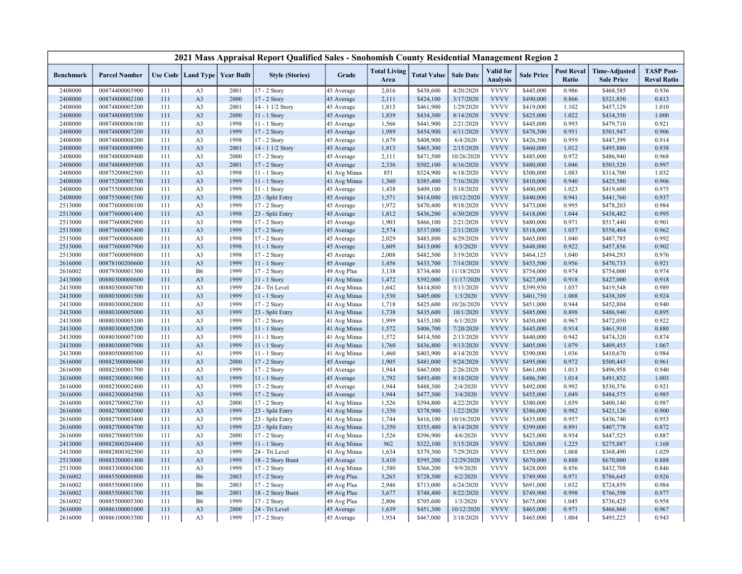|                    |                                  |     |                |                                   | 2021 Mass Appraisal Report Qualified Sales - Snohomish County Residential Management Region 2 |                              |                             |                        |                  |                                     |                        |                            |                                           |                                         |
|--------------------|----------------------------------|-----|----------------|-----------------------------------|-----------------------------------------------------------------------------------------------|------------------------------|-----------------------------|------------------------|------------------|-------------------------------------|------------------------|----------------------------|-------------------------------------------|-----------------------------------------|
| <b>Benchmark</b>   | <b>Parcel Number</b>             |     |                | Use Code   Land Type   Year Built | <b>Style (Stories)</b>                                                                        | Grade                        | <b>Total Living</b><br>Area | <b>Total Value</b>     | <b>Sale Date</b> | <b>Valid</b> for<br><b>Analysis</b> | <b>Sale Price</b>      | <b>Post Reval</b><br>Ratio | <b>Time-Adjusted</b><br><b>Sale Price</b> | <b>TASP Post-</b><br><b>Reval Ratio</b> |
| 2408000            | 00874400005900                   | 111 | A <sub>3</sub> | 2001                              | 17 - 2 Story                                                                                  | 45 Average                   | 2,016                       | \$438,600              | 4/20/2020        | <b>VVVV</b>                         | \$445,000              | 0.986                      | \$468,585                                 | 0.936                                   |
| 2408000            | 00874800002100                   | 111 | A <sub>3</sub> | 2000                              | 17 - 2 Story                                                                                  | 45 Average                   | 2,111                       | \$424,100              | 3/17/2020        | <b>VVVV</b>                         | \$490,000              | 0.866                      | \$521,850                                 | 0.813                                   |
| 2408000            | 00874800005200                   | 111 | A <sub>3</sub> | 2001                              | 14 - 1 1/2 Story                                                                              | 45 Average                   | 1,813                       | \$461,900              | 1/29/2020        | <b>VVVV</b>                         | \$419,000              | 1.102                      | \$457,129                                 | 1.010                                   |
| 2408000            | 00874800005300                   | 111 | A <sub>3</sub> | 2000                              | 11 - 1 Story                                                                                  | 45 Average                   | 1,839                       | \$434,300              | 8/14/2020        | <b>VVVV</b>                         | \$425,000              | 1.022                      | \$434,350                                 | 1.000                                   |
| 2408000            | 00874800006100                   | 111 | A <sub>3</sub> | 1998                              | 11 - 1 Story                                                                                  | 45 Average                   | 1,566                       | \$441,900              | 2/21/2020        | <b>VVVV</b>                         | \$445,000              | 0.993                      | \$479,710                                 | 0.921                                   |
| 2408000            | 00874800007200                   | 111 | A <sub>3</sub> | 1999                              | 17 - 2 Story                                                                                  | 45 Average                   | 1,989                       | \$454,900              | 6/11/2020        | <b>VVVV</b>                         | \$478,500              | 0.951                      | \$501,947                                 | 0.906                                   |
| 2408000            | 00874800008200                   | 111 | A <sub>3</sub> | 1998                              | 17 - 2 Story                                                                                  | 45 Average                   | 1,679                       | \$408,900              | 6/4/2020         | <b>VVVV</b>                         | \$426,500              | 0.959                      | \$447,399                                 | 0.914                                   |
| 2408000            | 00874800008900                   | 111 | A <sub>3</sub> | 2001                              | 14 - 1 1/2 Story                                                                              | 45 Average                   | 1,813                       | \$465,300              | 2/15/2020        | <b>VVVV</b>                         | \$460,000              | 1.012                      | \$495,880                                 | 0.938                                   |
| 2408000            | 00874800009400                   | 111 | A <sub>3</sub> | 2000                              | 17 - 2 Story                                                                                  | 45 Average                   | 2,111                       | \$471,500              | 10/26/2020       | <b>VVVV</b>                         | \$485,000              | 0.972                      | \$486,940                                 | 0.968                                   |
| 2408000            | 00874800009500                   | 111 | A <sub>3</sub> | 2001                              | 17 - 2 Story                                                                                  | 45 Average                   | 2,336                       | \$502,100              | 6/16/2020        | <b>VVVV</b>                         | \$480,000              | 1.046                      | \$503,520                                 | 0.997                                   |
| 2408000            | 00875200002500                   | 111 | A <sub>3</sub> | 1998                              | 11 - 1 Story                                                                                  | 41 Avg Minus                 | 851                         | \$324,900              | 6/18/2020        | <b>VVVV</b>                         | \$300,000              | 1.083                      | \$314,700                                 | 1.032                                   |
| 2408000            | 00875200005700                   | 111 | A <sub>3</sub> | 1999                              | $11 - 1$ Story                                                                                | 41 Avg Minus                 | 1,360                       | \$385,400              | 7/16/2020        | <b>VVVV</b>                         | \$410,000              | 0.940                      | \$425,580                                 | 0.906                                   |
| 2408000            | 00875500000300                   | 111 | A <sub>3</sub> | 1999                              | 11 - 1 Story                                                                                  | 45 Average                   | 1,438                       | \$409,100              | 5/18/2020        | <b>VVVV</b>                         | \$400,000              | 1.023                      | \$419,600                                 | 0.975                                   |
| 2408000            | 00875500001500                   | 111 | A <sub>3</sub> | 1998                              | 23 - Split Entry                                                                              | 45 Average                   | 1,571                       | \$414,000              | 10/12/2020       | <b>VVVV</b>                         | \$440,000              | 0.941                      | \$441,760                                 | 0.937                                   |
| 2513000            | 00877600000100                   | 111 | A <sub>3</sub> | 1999                              | 17 - 2 Story                                                                                  | 45 Average                   | 1,972                       | \$470,400              | 9/18/2020        | <b>VVVV</b>                         | \$473,000              | 0.995                      | \$478,203                                 | 0.984                                   |
| 2513000            | 00877600001400                   | 111 | A <sub>3</sub> | 1998                              | 23 - Split Entry                                                                              | 45 Average                   | 1,812                       | \$436,200              | 6/30/2020        | <b>VVVV</b>                         | \$418,000              | 1.044                      | \$438,482                                 | 0.995                                   |
| 2513000            | 00877600002900                   | 111 | A <sub>3</sub> | 1998                              | 17 - 2 Story                                                                                  | 45 Average                   | 1,903                       | \$466,100              | 2/21/2020        | <b>VVVV</b>                         | \$480,000              | 0.971                      | \$517,440                                 | 0.901                                   |
| 2513000            | 00877600005400                   | 111 | A <sub>3</sub> | 1999                              | 17 - 2 Story                                                                                  | 45 Average                   | 2,574                       | \$537,000              | 2/11/2020        | <b>VVVV</b>                         | \$518,000              | 1.037                      | \$558,404                                 | 0.962                                   |
| 2513000            | 00877600006800                   | 111 | A <sub>3</sub> | 1998                              | 17 - 2 Story                                                                                  | 45 Average                   | 2,029                       | \$483,800              | 6/29/2020        | <b>VVVV</b>                         | \$465,000              | 1.040                      | \$487,785                                 | 0.992                                   |
| 2513000            | 00877600007900                   | 111 | A <sub>3</sub> | 1998                              | $11 - 1$ Story                                                                                | 45 Average                   | 1,609                       | \$413,000              | 8/3/2020         | <b>VVVV</b>                         | \$448,000              | 0.922                      | \$457,856                                 | 0.902                                   |
| 2513000            | 00877600009800                   | 111 | A <sub>3</sub> | 1998                              | 17 - 2 Story                                                                                  | 45 Average                   | 2,008                       | \$482,500              | 3/19/2020        | <b>VVVV</b>                         | \$464,125              | 1.040                      | \$494,293                                 | 0.976                                   |
| 2616000            | 00878100200600                   | 111 | A <sub>3</sub> | 1999                              | 11 - 1 Story                                                                                  | 45 Average                   | 1,456                       | \$433,700              | 7/14/2020        | <b>VVVV</b>                         | \$453,500              | 0.956                      | \$470,733                                 | 0.921                                   |
| 2616002            | 00879300001300                   | 111 | <b>B6</b>      | 1999                              | 17 - 2 Story                                                                                  | 49 Avg Plus                  | 3,138                       | \$734,400              | 11/18/2020       | <b>VVVV</b>                         | \$754,000              | 0.974                      | \$754,000                                 | 0.974                                   |
| 2413000            | 00880300000600                   | 111 | A <sub>3</sub> | 1999                              | $11 - 1$ Story                                                                                | 41 Avg Minus                 | 1,472                       | \$392,000              | 11/17/2020       | <b>VVVV</b>                         | \$427,000              | 0.918                      | \$427,000                                 | 0.918                                   |
| 2413000            | 00880300000700                   | 111 | A <sub>3</sub> | 1999                              | 24 - Tri Level                                                                                | 41 Avg Minus                 | 1,642                       | \$414,800              | 5/13/2020        | <b>VVVV</b>                         | \$399,950              | 1.037                      | \$419,548                                 | 0.989                                   |
| 2413000            | 00880300001500                   | 111 | A <sub>3</sub> | 1999                              | 11 - 1 Story                                                                                  | 41 Avg Minus                 | 1,530                       | \$405,000              | 1/3/2020         | <b>VVVV</b>                         | \$401,750              | 1.008                      | \$438,309                                 | 0.924                                   |
| 2413000            | 00880300002800                   | 111 | A <sub>3</sub> | 1999                              | 17 - 2 Story                                                                                  | 41 Avg Minus                 | 1,718                       | \$425,600              | 10/26/2020       | <b>VVVV</b>                         | \$451,000              | 0.944                      | \$452,804                                 | 0.940                                   |
| 2413000            | 00880300005000                   | 111 | A <sub>3</sub> | 1999                              | 23 - Split Entry                                                                              | 41 Avg Minus                 | 1,738                       | \$435,600              | 10/1/2020        | <b>VVVV</b>                         | \$485,000              | 0.898                      | \$486,940                                 | 0.895                                   |
| 2413000            | 00880300005100                   | 111 | A <sub>3</sub> | 1999                              | 17 - 2 Story                                                                                  | 41 Avg Minus                 | 1,999                       | \$435,100              | 6/1/2020         | <b>VVVV</b>                         | \$450,000              | 0.967                      | \$472,050                                 | 0.922                                   |
| 2413000            | 00880300005200                   | 111 | A <sub>3</sub> | 1999                              | $11 - 1$ Story                                                                                | 41 Avg Minus                 | 1,572                       | \$406,700              | 7/20/2020        | <b>VVVV</b>                         | \$445,000              | 0.914                      | \$461,910                                 | 0.880                                   |
| 2413000            | 00880300007100                   | 111 | A <sub>3</sub> | 1999                              | 11 - 1 Story                                                                                  | 41 Avg Minus                 | 1,572                       | \$414,500              | 2/13/2020        | <b>VVVV</b>                         | \$440,000              | 0.942                      | \$474,320                                 | 0.874                                   |
| 2413000            | 00880300007900                   | 111 | A <sub>3</sub> | 1999                              | $11 - 1$ Story                                                                                | 41 Avg Minus                 | 1,760                       | \$436,800              | 9/13/2020        | <b>VVVV</b>                         | \$405,000              | 1.079                      | \$409,455                                 | 1.067                                   |
| 2413000            | 00880500000300                   | 111 | A1             | 1999                              | 11 - 1 Story                                                                                  | 41 Avg Minus                 | 1,460                       | \$403,900              | 4/14/2020        | <b>VVVV</b>                         | \$390,000              | 1.036                      | \$410,670                                 | 0.984                                   |
| 2616000            | 00882300000600                   | 111 | A <sub>3</sub> | 2000                              | 17 - 2 Story                                                                                  | 45 Average                   | 1,905                       | \$481,000              | 9/24/2020        | <b>VVVV</b>                         | \$495,000              | 0.972                      | \$500,445                                 | 0.961                                   |
| 2616000            | 00882300001700                   | 111 | A <sub>3</sub> | 1999                              | 17 - 2 Story                                                                                  | 45 Average                   | 1,944                       | \$467,000              | 2/26/2020        | <b>VVVV</b>                         | \$461,000              | 1.013                      | \$496,958                                 | 0.940                                   |
| 2616000            | 00882300001900                   | 111 | A <sub>3</sub> | 1999                              | 11 - 1 Story                                                                                  |                              | 1,792                       | \$493,400              | 9/18/2020        | <b>VVVV</b>                         | \$486,500              | 1.014                      | \$491,852                                 | 1.003                                   |
| 2616000            | 00882300002400                   | 111 | A <sub>3</sub> | 1999                              | 17 - 2 Story                                                                                  | 45 Average<br>45 Average     | 1,944                       | \$488,300              | 2/4/2020         | <b>VVVV</b>                         | \$492,000              | 0.992                      | \$530,376                                 | 0.921                                   |
|                    |                                  | 111 | A <sub>3</sub> | 1999                              | 17 - 2 Story                                                                                  |                              | 1,944                       | \$477,300              | 3/4/2020         | <b>VVVV</b>                         | \$455,000              | 1.049                      | \$484,575                                 | 0.985                                   |
| 2616000<br>2616000 | 00882300004500<br>00882700002700 | 111 | A <sub>3</sub> | 2000                              | 17 - 2 Story                                                                                  | 45 Average<br>41 Avg Minus   | 1,526                       | \$394,800              | 4/22/2020        | <b>VVVV</b>                         | \$380,000              | 1.039                      | \$400,140                                 | 0.987                                   |
| 2616000            | 00882700003000                   | 111 | A <sub>3</sub> | 1999                              | 23 - Split Entry                                                                              |                              | 1,350                       |                        | 1/22/2020        | <b>VVVV</b>                         |                        | 0.982                      | \$421,126                                 | 0.900                                   |
|                    | 00882700003400                   | 111 | A <sub>3</sub> | 1999                              |                                                                                               | 41 Avg Minus                 | 1,744                       | \$378,900              | 10/16/2020       | <b>VVVV</b>                         | \$386,000<br>\$435,000 | 0.957                      | \$436,740                                 | 0.953                                   |
| 2616000<br>2616000 | 00882700004700                   | 111 | A <sub>3</sub> | 1999                              | 23 - Split Entry<br>23 - Split Entry                                                          | 41 Avg Minus<br>41 Avg Minus | 1,350                       | \$416,100<br>\$355,400 | 8/14/2020        | <b>VVVV</b>                         | \$399,000              | 0.891                      | \$407,778                                 | 0.872                                   |
| 2616000            | 00882700005500                   | 111 | A <sub>3</sub> | 2000                              | 17 - 2 Story                                                                                  |                              | 1,526                       | \$396,900              | 4/6/2020         | <b>VVVV</b>                         | \$425,000              | 0.934                      | \$447,525                                 | 0.887                                   |
|                    | 00882800204400                   | 111 | A <sub>3</sub> | 1999                              | $11 - 1$ Story                                                                                | 41 Avg Minus                 | 962                         |                        | 5/15/2020        | <b>VVVV</b>                         |                        |                            |                                           |                                         |
| 2413000            |                                  | 111 |                | 1999                              |                                                                                               | 41 Avg Minus                 |                             | \$322,100              |                  | <b>VVVV</b>                         | \$263,000              | 1.225                      | \$275,887                                 | 1.168                                   |
| 2413000            | 00882800302500                   |     | A <sub>3</sub> |                                   | 24 - Tri Level                                                                                | 41 Avg Minus                 | 1,634                       | \$379,300              | 7/29/2020        | <b>VVVV</b>                         | \$355,000              | 1.068                      | \$368,490                                 | 1.029                                   |
| 2513000            | 00883200001400                   | 111 | A <sub>3</sub> | 1999                              | 18 - 2 Story Bsmt                                                                             | 45 Average                   | 3,410                       | \$595,200              | 12/29/2020       |                                     | \$670,000              | 0.888                      | \$670,000                                 | 0.888                                   |
| 2513000            | 00883300004300                   | 111 | A <sub>3</sub> | 1999                              | 17 - 2 Story                                                                                  | 41 Avg Minus                 | 1,580                       | \$366,200              | 9/9/2020         | <b>VVVV</b><br><b>VVVV</b>          | \$428,000              | 0.856                      | \$432,708                                 | 0.846                                   |
| 2616002            | 00885500000800                   | 111 | <b>B6</b>      | 2003                              | 17 - 2 Story                                                                                  | 49 Avg Plus                  | 3,265                       | \$728,300              | 6/2/2020         |                                     | \$749,900              | 0.971                      | \$786,645                                 | 0.926                                   |
| 2616002            | 00885500001000                   | 111 | <b>B6</b>      | 2003                              | 17 - 2 Story                                                                                  | 49 Avg Plus                  | 2,946                       | \$713,000              | 6/24/2020        | <b>VVVV</b>                         | \$691,000              | 1.032                      | \$724,859                                 | 0.984                                   |
| 2616002            | 00885500001700                   | 111 | <b>B6</b>      | 2001                              | 18 - 2 Story Bsmt                                                                             | 49 Avg Plus                  | 3,677                       | \$748,400              | 8/22/2020        | <b>VVVV</b>                         | \$749,900              | 0.998                      | \$766,398                                 | 0.977                                   |
| 2616002            | 00885500005300                   | 111 | <b>B6</b>      | 1999                              | 17 - 2 Story                                                                                  | 49 Avg Plus                  | 2,806                       | \$705,600              | 1/3/2020         | <b>VVVV</b>                         | \$675,000              | 1.045                      | \$736,425                                 | 0.958                                   |
| 2616000            | 00886100001000                   | 111 | A <sub>3</sub> | 2000                              | 24 - Tri Level                                                                                | 45 Average                   | 1,639                       | \$451,300              | 10/12/2020       | <b>VVVV</b>                         | \$465,000              | 0.971                      | \$466,860                                 | 0.967                                   |
| 2616000            | 00886100003500                   | 111 | A <sub>3</sub> | 1999                              | 17 - 2 Story                                                                                  | 45 Average                   | 1,934                       | \$467,000              | 3/18/2020        | <b>VVVV</b>                         | \$465,000              | 1.004                      | \$495,225                                 | 0.943                                   |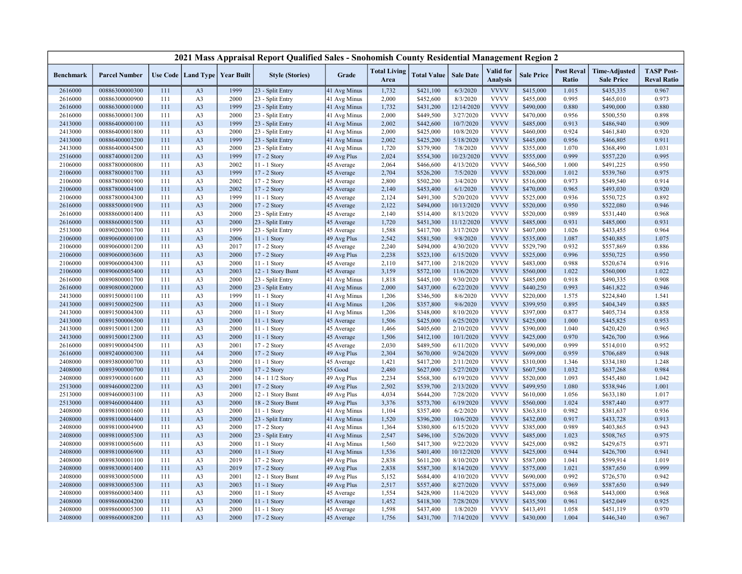|                  |                      |     |                                   |      | 2021 Mass Appraisal Report Qualified Sales - Snohomish County Residential Management Region 2 |              |                             |                    |                  |                                     |                   |                            |                                           |                                         |
|------------------|----------------------|-----|-----------------------------------|------|-----------------------------------------------------------------------------------------------|--------------|-----------------------------|--------------------|------------------|-------------------------------------|-------------------|----------------------------|-------------------------------------------|-----------------------------------------|
| <b>Benchmark</b> | <b>Parcel Number</b> |     | Use Code   Land Type   Year Built |      | <b>Style (Stories)</b>                                                                        | Grade        | <b>Total Living</b><br>Area | <b>Total Value</b> | <b>Sale Date</b> | <b>Valid</b> for<br><b>Analysis</b> | <b>Sale Price</b> | <b>Post Reval</b><br>Ratio | <b>Time-Adjusted</b><br><b>Sale Price</b> | <b>TASP Post-</b><br><b>Reval Ratio</b> |
| 2616000          | 00886300000300       | 111 | A <sub>3</sub>                    | 1999 | 23 - Split Entry                                                                              | 41 Avg Minus | 1,732                       | \$421,100          | 6/3/2020         | <b>VVVV</b>                         | \$415,000         | 1.015                      | \$435,335                                 | 0.967                                   |
| 2616000          | 00886300000900       | 111 | A <sub>3</sub>                    | 2000 | 23 - Split Entry                                                                              | 41 Avg Minus | 2,000                       | \$452,600          | 8/3/2020         | <b>VVVV</b>                         | \$455,000         | 0.995                      | \$465,010                                 | 0.973                                   |
| 2616000          | 00886300001000       | 111 | A <sub>3</sub>                    | 1999 | 23 - Split Entry                                                                              | 41 Avg Minus | 1,732                       | \$431,200          | 12/14/2020       | <b>VVVV</b>                         | \$490,000         | 0.880                      | \$490,000                                 | 0.880                                   |
| 2616000          | 00886300001300       | 111 | A <sub>3</sub>                    | 2000 | 23 - Split Entry                                                                              | 41 Avg Minus | 2,000                       | \$449,500          | 3/27/2020        | <b>VVVV</b>                         | \$470,000         | 0.956                      | \$500,550                                 | 0.898                                   |
| 2413000          | 00886400000100       | 111 | A <sub>3</sub>                    | 1999 | 23 - Split Entry                                                                              | 41 Avg Minus | 2,002                       | \$442,600          | 10/7/2020        | <b>VVVV</b>                         | \$485,000         | 0.913                      | \$486,940                                 | 0.909                                   |
| 2413000          | 00886400001800       | 111 | A <sub>3</sub>                    | 2000 | 23 - Split Entry                                                                              | 41 Avg Minus | 2,000                       | \$425,000          | 10/8/2020        | <b>VVVV</b>                         | \$460,000         | 0.924                      | \$461,840                                 | 0.920                                   |
| 2413000          | 00886400003200       | 111 | A <sub>3</sub>                    | 1999 | 23 - Split Entry                                                                              | 41 Avg Minus | 2,002                       | \$425,200          | 5/18/2020        | <b>VVVV</b>                         | \$445,000         | 0.956                      | \$466,805                                 | 0.911                                   |
| 2413000          | 00886400004500       | 111 | A <sub>3</sub>                    | 2000 | 23 - Split Entry                                                                              | 41 Avg Minus | 1,720                       | \$379,900          | 7/8/2020         | <b>VVVV</b>                         | \$355,000         | 1.070                      | \$368,490                                 | 1.031                                   |
| 2516000          | 00887400001200       | 111 | A <sub>3</sub>                    | 1999 | 17 - 2 Story                                                                                  | 49 Avg Plus  | 2,024                       | \$554,300          | 10/23/2020       | <b>VVVV</b>                         | \$555,000         | 0.999                      | \$557,220                                 | 0.995                                   |
| 2106000          | 00887800000800       | 111 | A3                                | 2002 | 11 - 1 Story                                                                                  | 45 Average   | 2,064                       | \$466,600          | 4/13/2020        | <b>VVVV</b>                         | \$466,500         | 1.000                      | \$491,225                                 | 0.950                                   |
| 2106000          | 00887800001700       | 111 | A <sub>3</sub>                    | 1999 | 17 - 2 Story                                                                                  | 45 Average   | 2,704                       | \$526,200          | 7/5/2020         | <b>VVVV</b>                         | \$520,000         | 1.012                      | \$539,760                                 | 0.975                                   |
| 2106000          | 00887800001900       | 111 | A <sub>3</sub>                    | 2002 | 17 - 2 Story                                                                                  | 45 Average   | 2,800                       | \$502,200          | 3/4/2020         | <b>VVVV</b>                         | \$516,000         | 0.973                      | \$549,540                                 | 0.914                                   |
| 2106000          | 00887800004100       | 111 | A <sub>3</sub>                    | 2002 | 17 - 2 Story                                                                                  | 45 Average   | 2,140                       | \$453,400          | 6/1/2020         | <b>VVVV</b>                         | \$470,000         | 0.965                      | \$493,030                                 | 0.920                                   |
| 2106000          | 00887800004300       | 111 | A3                                | 1999 | 11 - 1 Story                                                                                  | 45 Average   | 2,124                       | \$491,300          | 5/20/2020        | <b>VVVV</b>                         | \$525,000         | 0.936                      | \$550,725                                 | 0.892                                   |
| 2616000          | 00888500001900       | 111 | A <sub>3</sub>                    | 2000 | 17 - 2 Story                                                                                  | 45 Average   | 2,122                       | \$494,000          | 10/13/2020       | <b>VVVV</b>                         | \$520,000         | 0.950                      | \$522,080                                 | 0.946                                   |
| 2616000          | 00888600001400       | 111 | A <sub>3</sub>                    | 2000 | 23 - Split Entry                                                                              | 45 Average   | 2,140                       | \$514,400          | 8/13/2020        | <b>VVVV</b>                         | \$520,000         | 0.989                      | \$531,440                                 | 0.968                                   |
| 2616000          | 00888600001500       | 111 | A <sub>3</sub>                    | 2000 | 23 - Split Entry                                                                              | 45 Average   | 1,720                       | \$451,300          | 11/12/2020       | <b>VVVV</b>                         | \$485,000         | 0.931                      | \$485,000                                 | 0.931                                   |
| 2513000          | 00890200001700       | 111 | A <sub>3</sub>                    | 1999 | 23 - Split Entry                                                                              | 45 Average   | 1,588                       | \$417,700          | 3/17/2020        | <b>VVVV</b>                         | \$407,000         | 1.026                      | \$433,455                                 | 0.964                                   |
| 2106000          | 00890600000100       | 111 | A <sub>3</sub>                    | 2006 | 11 - 1 Story                                                                                  | 49 Avg Plus  | 2,542                       | \$581,500          | 9/8/2020         | <b>VVVV</b>                         | \$535,000         | 1.087                      | \$540,885                                 | 1.075                                   |
| 2106000          | 00890600001200       | 111 | A <sub>3</sub>                    | 2017 | 17 - 2 Story                                                                                  | 45 Average   | 2,240                       | \$494,000          | 4/30/2020        | <b>VVVV</b>                         | \$529,790         | 0.932                      | \$557,869                                 | 0.886                                   |
| 2106000          | 00890600003600       | 111 | A <sub>3</sub>                    | 2000 | 17 - 2 Story                                                                                  | 49 Avg Plus  | 2,238                       | \$523,100          | 6/15/2020        | <b>VVVV</b>                         | \$525,000         | 0.996                      | \$550,725                                 | 0.950                                   |
| 2106000          | 00890600004300       | 111 | A <sub>3</sub>                    | 2000 | 11 - 1 Story                                                                                  | 45 Average   | 2,110                       | \$477,100          | 2/18/2020        | <b>VVVV</b>                         | \$483,000         | 0.988                      | \$520,674                                 | 0.916                                   |
| 2106000          | 00890600005400       | 111 | A <sub>3</sub>                    | 2003 | 12 - 1 Story Bsmt                                                                             | 45 Average   | 3,159                       | \$572,100          | 11/6/2020        | <b>VVVV</b>                         | \$560,000         | 1.022                      | \$560,000                                 | 1.022                                   |
| 2616000          | 00890800001700       | 111 | A <sub>3</sub>                    | 2000 | 23 - Split Entry                                                                              | 41 Avg Minus | 1,818                       | \$445,100          | 9/30/2020        | <b>VVVV</b>                         | \$485,000         | 0.918                      | \$490,335                                 | 0.908                                   |
| 2616000          | 00890800002000       | 111 | A <sub>3</sub>                    | 2000 | 23 - Split Entry                                                                              | 41 Avg Minus | 2,000                       | \$437,000          | 6/22/2020        | <b>VVVV</b>                         | \$440,250         | 0.993                      | \$461,822                                 | 0.946                                   |
| 2413000          | 00891500001100       | 111 | A <sub>3</sub>                    | 1999 | 11 - 1 Story                                                                                  | 41 Avg Minus | 1,206                       | \$346,500          | 8/6/2020         | <b>VVVV</b>                         | \$220,000         | 1.575                      | \$224,840                                 | 1.541                                   |
| 2413000          | 00891500002500       | 111 | A <sub>3</sub>                    | 2000 | 11 - 1 Story                                                                                  | 41 Avg Minus | 1,206                       | \$357,800          | 9/6/2020         | <b>VVVV</b>                         | \$399,950         | 0.895                      | \$404,349                                 | 0.885                                   |
| 2413000          | 00891500004300       | 111 | A3                                | 2000 | 11 - 1 Story                                                                                  | 41 Avg Minus | 1,206                       | \$348,000          | 8/10/2020        | <b>VVVV</b>                         | \$397,000         | 0.877                      | \$405,734                                 | 0.858                                   |
| 2413000          | 00891500006500       | 111 | A <sub>3</sub>                    | 2000 | 11 - 1 Story                                                                                  | 45 Average   | 1,506                       | \$425,000          | 6/25/2020        | <b>VVVV</b>                         | \$425,000         | 1.000                      | \$445,825                                 | 0.953                                   |
| 2413000          | 00891500011200       | 111 | A <sub>3</sub>                    | 2000 | 11 - 1 Story                                                                                  | 45 Average   | 1,466                       | \$405,600          | 2/10/2020        | <b>VVVV</b>                         | \$390,000         | 1.040                      | \$420,420                                 | 0.965                                   |
| 2413000          | 00891500012300       | 111 | A <sub>3</sub>                    | 2000 | 11 - 1 Story                                                                                  | 45 Average   | 1,506                       | \$412,100          | 10/1/2020        | <b>VVVV</b>                         | \$425,000         | 0.970                      | \$426,700                                 | 0.966                                   |
| 2616000          | 00891900004500       | 111 | A <sub>3</sub>                    | 2001 | 17 - 2 Story                                                                                  | 45 Average   | 2,030                       | \$489,500          | 6/11/2020        | <b>VVVV</b>                         | \$490,000         | 0.999                      | \$514,010                                 | 0.952                                   |
| 2616000          | 00892400000300       | 111 | A <sub>4</sub>                    | 2000 | 17 - 2 Story                                                                                  | 49 Avg Plus  | 2,304                       | \$670,000          | 9/24/2020        | <b>VVVV</b>                         | \$699,000         | 0.959                      | \$706,689                                 | 0.948                                   |
| 2408000          | 00893800000700       | 111 | A <sub>3</sub>                    | 2000 | 11 - 1 Story                                                                                  | 45 Average   | 1,421                       | \$417,200          | 2/11/2020        | <b>VVVV</b>                         | \$310,000         | 1.346                      | \$334,180                                 | 1.248                                   |
| 2408000          | 00893900000700       | 111 | A <sub>3</sub>                    | 2000 | 17 - 2 Story                                                                                  | 55 Good      | 2,480                       | \$627,000          | 5/27/2020        | <b>VVVV</b>                         | \$607,500         | 1.032                      | \$637,268                                 | 0.984                                   |
| 2408000          | 00893900001600       | 111 | A <sub>3</sub>                    | 2000 | 14 - 1 1/2 Story                                                                              | 49 Avg Plus  | 2,234                       | \$568,300          | 6/19/2020        | <b>VVVV</b>                         | \$520,000         | 1.093                      | \$545,480                                 | 1.042                                   |
| 2513000          | 00894600002200       | 111 | A <sub>3</sub>                    | 2001 | 17 - 2 Story                                                                                  | 49 Avg Plus  | 2,502                       | \$539,700          | 2/13/2020        | <b>VVVV</b>                         | \$499,950         | 1.080                      | \$538,946                                 | 1.001                                   |
| 2513000          | 00894600003100       | 111 | A <sub>3</sub>                    | 2000 | 12 - 1 Story Bsmt                                                                             | 49 Avg Plus  | 4,034                       | \$644,200          | 7/28/2020        | <b>VVVV</b>                         | \$610,000         | 1.056                      | \$633,180                                 | 1.017                                   |
| 2513000          | 00894600004400       | 111 | A <sub>3</sub>                    | 2000 | 18 - 2 Story Bsmt                                                                             | 49 Avg Plus  | 3,376                       | \$573,700          | 6/19/2020        | <b>VVVV</b>                         | \$560,000         | 1.024                      | \$587,440                                 | 0.977                                   |
| 2408000          | 00898100001600       | 111 | A <sub>3</sub>                    | 2000 | 11 - 1 Story                                                                                  | 41 Avg Minus | 1,104                       | \$357,400          | 6/2/2020         | <b>VVVV</b>                         | \$363,810         | 0.982                      | \$381,637                                 | 0.936                                   |
| 2408000          | 00898100004400       | 111 | A <sub>3</sub>                    | 2000 | 23 - Split Entry                                                                              | 41 Avg Minus | 1,520                       | \$396,200          | 10/6/2020        | <b>VVVV</b>                         | \$432,000         | 0.917                      | \$433,728                                 | 0.913                                   |
| 2408000          | 00898100004900       | 111 | A <sub>3</sub>                    | 2000 | 17 - 2 Story                                                                                  | 41 Avg Minus | 1,364                       | \$380,800          | 6/15/2020        | <b>VVVV</b>                         | \$385,000         | 0.989                      | \$403,865                                 | 0.943                                   |
| 2408000          | 00898100005300       | 111 | A <sub>3</sub>                    | 2000 | 23 - Split Entry                                                                              | 41 Avg Minus | 2,547                       | \$496,100          | 5/26/2020        | <b>VVVV</b>                         | \$485,000         | 1.023                      | \$508,765                                 | 0.975                                   |
| 2408000          | 00898100005600       | 111 | A3                                | 2000 | 11 - 1 Story                                                                                  | 41 Avg Minus | 1,560                       | \$417,300          | 9/22/2020        | <b>VVVV</b>                         | \$425,000         | 0.982                      | \$429,675                                 | 0.971                                   |
| 2408000          | 00898100006900       | 111 | A <sub>3</sub>                    | 2000 | 11 - 1 Story                                                                                  | 41 Avg Minus | 1,536                       | \$401,400          | 10/12/2020       | <b>VVVV</b>                         | \$425,000         | 0.944                      | \$426,700                                 | 0.941                                   |
| 2408000          | 00898300001100       | 111 | A <sub>3</sub>                    | 2019 | 17 - 2 Story                                                                                  | 49 Avg Plus  | 2,838                       | \$611,200          | 8/10/2020        | <b>VVVV</b>                         | \$587,000         | 1.041                      | \$599,914                                 | 1.019                                   |
| 2408000          | 00898300001400       | 111 | A <sub>3</sub>                    | 2019 | 17 - 2 Story                                                                                  | 49 Avg Plus  | 2,838                       | \$587,300          | 8/14/2020        | <b>VVVV</b>                         | \$575,000         | 1.021                      | \$587,650                                 | 0.999                                   |
| 2408000          | 00898300005000       | 111 | A <sub>3</sub>                    | 2001 | 12 - 1 Story Bsmt                                                                             | 49 Avg Plus  | 5,152                       | \$684,400          | 4/10/2020        | <b>VVVV</b>                         | \$690,000         | 0.992                      | \$726,570                                 | 0.942                                   |
| 2408000          | 00898300005300       | 111 | A <sub>3</sub>                    | 2003 | 11 - 1 Story                                                                                  | 49 Avg Plus  | 2,517                       | \$557,400          | 8/27/2020        | <b>VVVV</b>                         | \$575,000         | 0.969                      | \$587,650                                 | 0.949                                   |
| 2408000          | 00898600003400       | 111 | A <sub>3</sub>                    | 2000 | 11 - 1 Story                                                                                  | 45 Average   | 1,554                       | \$428,900          | 11/4/2020        | <b>VVVV</b>                         | \$443,000         | 0.968                      | \$443,000                                 | 0.968                                   |
| 2408000          | 00898600004200       | 111 | A <sub>3</sub>                    | 2000 | 11 - 1 Story                                                                                  | 45 Average   | 1,452                       | \$418,300          | 7/28/2020        | <b>VVVV</b>                         | \$435,500         | 0.961                      | \$452,049                                 | 0.925                                   |
| 2408000          | 00898600005300       | 111 | A <sub>3</sub>                    | 2000 | 11 - 1 Story                                                                                  | 45 Average   | 1,598                       | \$437,400          | 1/8/2020         | <b>VVVV</b>                         | \$413,491         | 1.058                      | \$451,119                                 | 0.970                                   |
| 2408000          | 00898600008200       | 111 | A <sub>3</sub>                    | 2000 | 17 - 2 Story                                                                                  | 45 Average   | 1,756                       | \$431,700          | 7/14/2020        | <b>VVVV</b>                         | \$430,000         | 1.004                      | \$446,340                                 | 0.967                                   |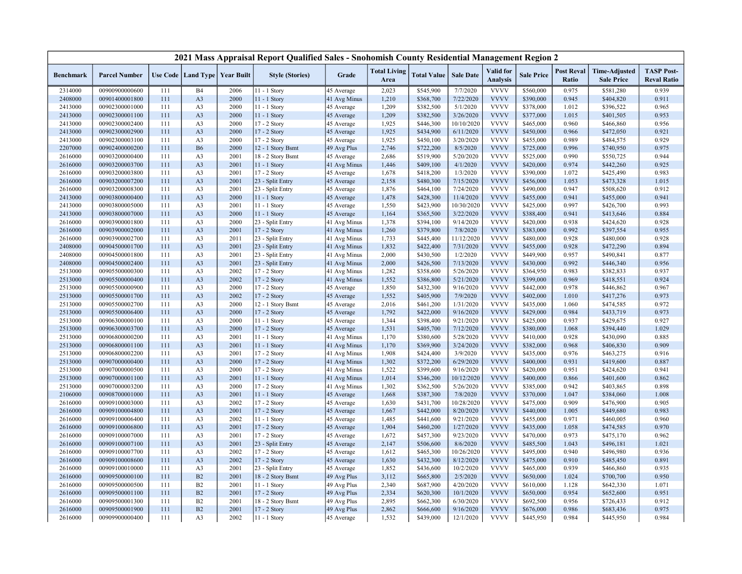|                  |                      |     |                                   |      | 2021 Mass Appraisal Report Qualified Sales - Snohomish County Residential Management Region 2 |              |                             |                    |                  |                                     |                   |                            |                                           |                                         |
|------------------|----------------------|-----|-----------------------------------|------|-----------------------------------------------------------------------------------------------|--------------|-----------------------------|--------------------|------------------|-------------------------------------|-------------------|----------------------------|-------------------------------------------|-----------------------------------------|
| <b>Benchmark</b> | <b>Parcel Number</b> |     | Use Code   Land Type   Year Built |      | <b>Style (Stories)</b>                                                                        | Grade        | <b>Total Living</b><br>Area | <b>Total Value</b> | <b>Sale Date</b> | <b>Valid</b> for<br><b>Analysis</b> | <b>Sale Price</b> | <b>Post Reval</b><br>Ratio | <b>Time-Adjusted</b><br><b>Sale Price</b> | <b>TASP Post-</b><br><b>Reval Ratio</b> |
| 2314000          | 00900900000600       | 111 | <b>B4</b>                         | 2006 | 11 - 1 Story                                                                                  | 45 Average   | 2,023                       | \$545,900          | 7/7/2020         | <b>VVVV</b>                         | \$560,000         | 0.975                      | \$581,280                                 | 0.939                                   |
| 2408000          | 00901400001800       | 111 | A <sub>3</sub>                    | 2000 | 11 - 1 Story                                                                                  | 41 Avg Minus | 1,210                       | \$368,700          | 7/22/2020        | <b>VVVV</b>                         | \$390,000         | 0.945                      | \$404,820                                 | 0.911                                   |
| 2413000          | 00902300001000       | 111 | A <sub>3</sub>                    | 2000 | $11 - 1$ Story                                                                                | 45 Average   | 1,209                       | \$382,500          | 5/1/2020         | <b>VVVV</b>                         | \$378,000         | 1.012                      | \$396,522                                 | 0.965                                   |
| 2413000          | 00902300001100       | 111 | A <sub>3</sub>                    | 2000 | 11 - 1 Story                                                                                  | 45 Average   | 1,209                       | \$382,500          | 3/26/2020        | <b>VVVV</b>                         | \$377,000         | 1.015                      | \$401,505                                 | 0.953                                   |
| 2413000          | 00902300002400       | 111 | A <sub>3</sub>                    | 2000 | 17 - 2 Story                                                                                  | 45 Average   | 1,925                       | \$446,300          | 10/10/2020       | <b>VVVV</b>                         | \$465,000         | 0.960                      | \$466,860                                 | 0.956                                   |
| 2413000          | 00902300002900       | 111 | A <sub>3</sub>                    | 2000 | 17 - 2 Story                                                                                  | 45 Average   | 1,925                       | \$434,900          | 6/11/2020        | <b>VVVV</b>                         | \$450,000         | 0.966                      | \$472,050                                 | 0.921                                   |
| 2413000          | 00902300003100       | 111 | A <sub>3</sub>                    | 2000 | 17 - 2 Story                                                                                  | 45 Average   | 1,925                       | \$450,100          | 3/20/2020        | <b>VVVV</b>                         | \$455,000         | 0.989                      | \$484,575                                 | 0.929                                   |
| 2207000          | 00902400000200       | 111 | <b>B6</b>                         | 2000 | 12 - 1 Story Bsmt                                                                             | 49 Avg Plus  | 2,746                       | \$722,200          | 8/5/2020         | <b>VVVV</b>                         | \$725,000         | 0.996                      | \$740,950                                 | 0.975                                   |
| 2616000          | 00903200000400       | 111 | A <sub>3</sub>                    | 2001 | 18 - 2 Story Bsmt                                                                             | 45 Average   | 2,686                       | \$519,900          | 5/20/2020        | <b>VVVV</b>                         | \$525,000         | 0.990                      | \$550,725                                 | 0.944                                   |
| 2616000          | 00903200003700       | 111 | A <sub>3</sub>                    | 2001 | 11 - 1 Story                                                                                  | 41 Avg Minus | 1,446                       | \$409,100          | 4/1/2020         | <b>VVVV</b>                         | \$420,000         | 0.974                      | \$442,260                                 | 0.925                                   |
| 2616000          | 00903200003800       | 111 | A <sub>3</sub>                    | 2001 | 17 - 2 Story                                                                                  | 45 Average   | 1,678                       | \$418,200          | 1/3/2020         | <b>VVVV</b>                         | \$390,000         | 1.072                      | \$425,490                                 | 0.983                                   |
| 2616000          | 00903200007200       | 111 | A <sub>3</sub>                    | 2001 | 23 - Split Entry                                                                              | 45 Average   | 2,158                       | \$480,300          | 7/15/2020        | <b>VVVV</b>                         | \$456,000         | 1.053                      | \$473,328                                 | 1.015                                   |
| 2616000          | 00903200008300       | 111 | A <sub>3</sub>                    | 2001 | 23 - Split Entry                                                                              | 45 Average   | 1,876                       | \$464,100          | 7/24/2020        | <b>VVVV</b>                         | \$490,000         | 0.947                      | \$508,620                                 | 0.912                                   |
| 2413000          | 00903800000400       | 111 | A <sub>3</sub>                    | 2000 | 11 - 1 Story                                                                                  | 45 Average   | 1,478                       | \$428,300          | 11/4/2020        | <b>VVVV</b>                         | \$455,000         | 0.941                      | \$455,000                                 | 0.941                                   |
| 2413000          | 00903800005000       | 111 | A <sub>3</sub>                    | 2001 | $11 - 1$ Story                                                                                | 45 Average   | 1,550                       | \$423,900          | 10/30/2020       | <b>VVVV</b>                         | \$425,000         | 0.997                      | \$426,700                                 | 0.993                                   |
| 2413000          | 00903800007000       | 111 | A <sub>3</sub>                    | 2000 | 11 - 1 Story                                                                                  | 45 Average   | 1,164                       | \$365,500          | 3/22/2020        | <b>VVVV</b>                         | \$388,400         | 0.941                      | \$413,646                                 | 0.884                                   |
| 2616000          | 00903900001800       | 111 | A <sub>3</sub>                    | 2000 | 23 - Split Entry                                                                              | 41 Avg Minus | 1,378                       | \$394,100          | 9/14/2020        | <b>VVVV</b>                         | \$420,000         | 0.938                      | \$424,620                                 | 0.928                                   |
| 2616000          | 00903900002000       | 111 | A <sub>3</sub>                    | 2001 | 17 - 2 Story                                                                                  | 41 Avg Minus | 1,260                       | \$379,800          | 7/8/2020         | <b>VVVV</b>                         | \$383,000         | 0.992                      | \$397,554                                 | 0.955                                   |
| 2616000          | 00903900002700       | 111 | A <sub>3</sub>                    | 2011 | 23 - Split Entry                                                                              | 41 Avg Minus | 1,733                       | \$445,400          | 11/12/2020       | <b>VVVV</b>                         | \$480,000         | 0.928                      | \$480,000                                 | 0.928                                   |
| 2408000          | 00904500001700       | 111 | A <sub>3</sub>                    | 2001 | 23 - Split Entry                                                                              | 41 Avg Minus | 1,832                       | \$422,400          | 7/31/2020        | <b>VVVV</b>                         | \$455,000         | 0.928                      | \$472,290                                 | 0.894                                   |
| 2408000          | 00904500001800       | 111 | A <sub>3</sub>                    | 2001 | 23 - Split Entry                                                                              | 41 Avg Minus | 2,000                       | \$430,500          | 1/2/2020         | <b>VVVV</b>                         | \$449,900         | 0.957                      | \$490,841                                 | 0.877                                   |
| 2408000          | 00904500002400       | 111 | A <sub>3</sub>                    | 2001 | 23 - Split Entry                                                                              | 41 Avg Minus | 2,000                       | \$426,500          | 7/13/2020        | <b>VVVV</b>                         | \$430,000         | 0.992                      | \$446,340                                 | 0.956                                   |
| 2513000          | 00905500000300       | 111 | A <sub>3</sub>                    | 2002 | 17 - 2 Story                                                                                  | 41 Avg Minus | 1,282                       | \$358,600          | 5/26/2020        | <b>VVVV</b>                         | \$364,950         | 0.983                      | \$382,833                                 | 0.937                                   |
| 2513000          | 00905500000400       | 111 | A <sub>3</sub>                    | 2002 | 17 - 2 Story                                                                                  | 41 Avg Minus | 1,552                       | \$386,800          | 5/21/2020        | <b>VVVV</b>                         | \$399,000         | 0.969                      | \$418,551                                 | 0.924                                   |
| 2513000          | 00905500000900       | 111 | A <sub>3</sub>                    | 2000 | 17 - 2 Story                                                                                  | 45 Average   | 1,850                       | \$432,300          | 9/16/2020        | <b>VVVV</b>                         | \$442,000         | 0.978                      | \$446,862                                 | 0.967                                   |
| 2513000          | 00905500001700       | 111 | A <sub>3</sub>                    | 2002 | 17 - 2 Story                                                                                  | 45 Average   | 1,552                       | \$405,900          | 7/9/2020         | <b>VVVV</b>                         | \$402,000         | 1.010                      | \$417,276                                 | 0.973                                   |
| 2513000          | 00905500002700       | 111 | A <sub>3</sub>                    | 2000 | 12 - 1 Story Bsmt                                                                             | 45 Average   | 2,016                       | \$461,200          | 1/31/2020        | <b>VVVV</b>                         | \$435,000         | 1.060                      | \$474,585                                 | 0.972                                   |
| 2513000          | 00905500006400       | 111 | A <sub>3</sub>                    | 2000 | 17 - 2 Story                                                                                  | 45 Average   | 1,792                       | \$422,000          | 9/16/2020        | <b>VVVV</b>                         | \$429,000         | 0.984                      | \$433,719                                 | 0.973                                   |
| 2513000          | 00906300000100       | 111 | A <sub>3</sub>                    | 2000 | 11 - 1 Story                                                                                  | 45 Average   | 1,344                       | \$398,400          | 9/21/2020        | <b>VVVV</b>                         | \$425,000         | 0.937                      | \$429,675                                 | 0.927                                   |
| 2513000          | 00906300003700       | 111 | A <sub>3</sub>                    | 2000 | 17 - 2 Story                                                                                  | 45 Average   | 1,531                       | \$405,700          | 7/12/2020        | <b>VVVV</b>                         | \$380,000         | 1.068                      | \$394,440                                 | 1.029                                   |
| 2513000          | 00906800000200       | 111 | A <sub>3</sub>                    | 2001 | $11 - 1$ Story                                                                                | 41 Avg Minus | 1,170                       | \$380,600          | 5/28/2020        | <b>VVVV</b>                         | \$410,000         | 0.928                      | \$430,090                                 | 0.885                                   |
| 2513000          | 00906800001100       | 111 | A <sub>3</sub>                    | 2001 | 11 - 1 Story                                                                                  | 41 Avg Minus | 1,170                       | \$369,900          | 3/24/2020        | <b>VVVV</b>                         | \$382,000         | 0.968                      | \$406,830                                 | 0.909                                   |
| 2513000          | 00906800002200       | 111 | A <sub>3</sub>                    | 2001 | 17 - 2 Story                                                                                  | 41 Avg Minus | 1,908                       | \$424,400          | 3/9/2020         | <b>VVVV</b>                         | \$435,000         | 0.976                      | \$463,275                                 | 0.916                                   |
| 2513000          | 00907000000400       | 111 | A <sub>3</sub>                    | 2000 | 17 - 2 Story                                                                                  | 41 Avg Minus | 1,302                       | \$372,200          | 6/29/2020        | <b>VVVV</b>                         | \$400,000         | 0.931                      | \$419,600                                 | 0.887                                   |
| 2513000          | 00907000000500       | 111 | A <sub>3</sub>                    | 2000 | 17 - 2 Story                                                                                  | 41 Avg Minus | 1,522                       | \$399,600          | 9/16/2020        | <b>VVVV</b>                         | \$420,000         | 0.951                      | \$424,620                                 | 0.941                                   |
| 2513000          | 00907000001100       | 111 | A <sub>3</sub>                    | 2001 | 11 - 1 Story                                                                                  | 41 Avg Minus | 1,014                       | \$346,200          | 10/12/2020       | <b>VVVV</b>                         | \$400,000         | 0.866                      | \$401,600                                 | 0.862                                   |
| 2513000          | 00907000003200       | 111 | A <sub>3</sub>                    | 2000 | 17 - 2 Story                                                                                  | 41 Avg Minus | 1,302                       | \$362,500          | 5/26/2020        | <b>VVVV</b>                         | \$385,000         | 0.942                      | \$403,865                                 | 0.898                                   |
| 2106000          | 00908700001000       | 111 | A <sub>3</sub>                    | 2001 | 11 - 1 Story                                                                                  | 45 Average   | 1,668                       | \$387,300          | 7/8/2020         | <b>VVVV</b>                         | \$370,000         | 1.047                      | \$384,060                                 | 1.008                                   |
| 2616000          | 00909100003000       | 111 | A <sub>3</sub>                    | 2002 | 17 - 2 Story                                                                                  | 45 Average   | 1,630                       | \$431,700          | 10/28/2020       | <b>VVVV</b>                         | \$475,000         | 0.909                      | \$476,900                                 | 0.905                                   |
| 2616000          | 00909100004800       | 111 | A <sub>3</sub>                    | 2001 | 17 - 2 Story                                                                                  | 45 Average   | 1,667                       | \$442,000          | 8/20/2020        | <b>VVVV</b>                         | \$440,000         | 1.005                      | \$449,680                                 | 0.983                                   |
| 2616000          | 00909100006400       | 111 | A <sub>3</sub>                    | 2002 | 11 - 1 Story                                                                                  | 45 Average   | 1,485                       | \$441,600          | 9/21/2020        | <b>VVVV</b>                         | \$455,000         | 0.971                      | \$460,005                                 | 0.960                                   |
| 2616000          | 00909100006800       | 111 | A <sub>3</sub>                    | 2001 | 17 - 2 Story                                                                                  | 45 Average   | 1,904                       | \$460,200          | 1/27/2020        | <b>VVVV</b>                         | \$435,000         | 1.058                      | \$474,585                                 | 0.970                                   |
| 2616000          | 00909100007000       | 111 | A <sub>3</sub>                    | 2001 | 17 - 2 Story                                                                                  | 45 Average   | 1,672                       | \$457,300          | 9/23/2020        | <b>VVVV</b>                         | \$470,000         | 0.973                      | \$475,170                                 | 0.962                                   |
| 2616000          | 00909100007100       | 111 | A <sub>3</sub>                    | 2001 | 23 - Split Entry                                                                              | 45 Average   | 2,147                       | \$506,600          | 8/6/2020         | <b>VVVV</b>                         | \$485,500         | 1.043                      | \$496,181                                 | 1.021                                   |
| 2616000          | 00909100007700       | 111 | A <sub>3</sub>                    | 2002 | $17 - 2$ Story                                                                                | 45 Average   | 1,612                       | \$465,300          | 10/26/2020       | <b>VVVV</b>                         | \$495,000         | 0.940                      | \$496,980                                 | 0.936                                   |
| 2616000          | 00909100008600       | 111 | A <sub>3</sub>                    | 2002 | 17 - 2 Story                                                                                  | 45 Average   | 1,630                       | \$432,300          | 8/12/2020        | <b>VVVV</b>                         | \$475,000         | 0.910                      | \$485,450                                 | 0.891                                   |
| 2616000          | 00909100010000       | 111 | A <sub>3</sub>                    | 2001 | 23 - Split Entry                                                                              | 45 Average   | 1,852                       | \$436,600          | 10/2/2020        | <b>VVVV</b>                         | \$465,000         | 0.939                      | \$466,860                                 | 0.935                                   |
| 2616000          | 00909500000100       | 111 | B2                                | 2001 | 18 - 2 Story Bsmt                                                                             | 49 Avg Plus  | 3,112                       | \$665,800          | 2/5/2020         | <b>VVVV</b>                         | \$650,000         | 1.024                      | \$700,700                                 | 0.950                                   |
| 2616000          | 00909500000500       | 111 | B2                                | 2001 | 11 - 1 Story                                                                                  | 49 Avg Plus  | 2,340                       | \$687,900          | 4/20/2020        | <b>VVVV</b>                         | \$610,000         | 1.128                      | \$642,330                                 | 1.071                                   |
| 2616000          | 00909500001100       | 111 | B2                                | 2001 | 17 - 2 Story                                                                                  | 49 Avg Plus  | 2,334                       | \$620,300          | 10/1/2020        | <b>VVVV</b>                         | \$650,000         | 0.954                      | \$652,600                                 | 0.951                                   |
| 2616000          | 00909500001300       | 111 | B2                                | 2001 | 18 - 2 Story Bsmt                                                                             | 49 Avg Plus  | 2,895                       | \$662,300          | 6/30/2020        | <b>VVVV</b>                         | \$692,500         | 0.956                      | \$726,433                                 | 0.912                                   |
| 2616000          | 00909500001900       | 111 | B2                                | 2001 | 17 - 2 Story                                                                                  | 49 Avg Plus  | 2,862                       | \$666,600          | 9/16/2020        | <b>VVVV</b>                         | \$676,000         | 0.986                      | \$683,436                                 | 0.975                                   |
| 2616000          | 00909900000400       | 111 | A <sub>3</sub>                    | 2002 | 11 - 1 Story                                                                                  | 45 Average   | 1,532                       | \$439,000          | 12/1/2020        | <b>VVVV</b>                         | \$445,950         | 0.984                      | \$445,950                                 | 0.984                                   |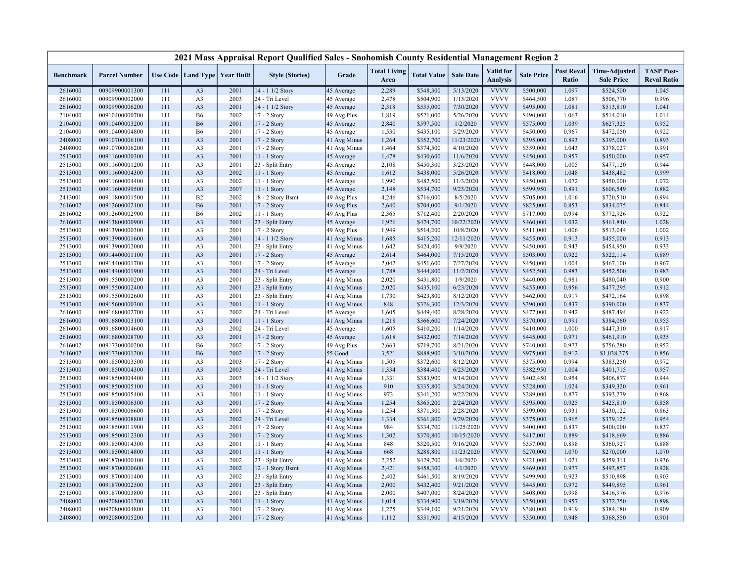|                    |                                  |            |                                   |              | 2021 Mass Appraisal Report Qualified Sales - Snohomish County Residential Management Region 2 |                            |                             |                        |                        |                                     |                        |                            |                                           |                                         |
|--------------------|----------------------------------|------------|-----------------------------------|--------------|-----------------------------------------------------------------------------------------------|----------------------------|-----------------------------|------------------------|------------------------|-------------------------------------|------------------------|----------------------------|-------------------------------------------|-----------------------------------------|
| <b>Benchmark</b>   | <b>Parcel Number</b>             |            | Use Code   Land Type   Year Built |              | <b>Style (Stories)</b>                                                                        | Grade                      | <b>Total Living</b><br>Area | <b>Total Value</b>     | <b>Sale Date</b>       | <b>Valid</b> for<br><b>Analysis</b> | <b>Sale Price</b>      | <b>Post Reval</b><br>Ratio | <b>Time-Adjusted</b><br><b>Sale Price</b> | <b>TASP Post-</b><br><b>Reval Ratio</b> |
| 2616000            | 00909900001300                   | 111        | A <sub>3</sub>                    | 2001         | 14 - 1 1/2 Story                                                                              | 45 Average                 | 2,289                       | \$548,300              | 5/13/2020              | <b>VVVV</b>                         | \$500,000              | 1.097                      | \$524,500                                 | 1.045                                   |
| 2616000            | 00909900002000                   | 111        | A <sub>3</sub>                    | 2003         | 24 - Tri Level                                                                                | 45 Average                 | 2,478                       | \$504,900              | 1/15/2020              | <b>VVVV</b>                         | \$464,500              | 1.087                      | \$506,770                                 | 0.996                                   |
| 2616000            | 00909900006200                   | 111        | A <sub>3</sub>                    | 2001         | 14 - 1 1/2 Story                                                                              | 45 Average                 | 2,318                       | \$535,000              | 7/30/2020              | <b>VVVV</b>                         | \$495,000              | 1.081                      | \$513,810                                 | 1.041                                   |
| 2104000            | 00910400000700                   | 111        | <b>B6</b>                         | 2002         | 17 - 2 Story                                                                                  | 49 Avg Plus                | 1,819                       | \$521,000              | 5/26/2020              | <b>VVVV</b>                         | \$490,000              | 1.063                      | \$514,010                                 | 1.014                                   |
| 2104000            | 00910400003200                   | 111        | <b>B6</b>                         | 2001         | 17 - 2 Story                                                                                  | 45 Average                 | 2,840                       | \$597,500              | 1/2/2020               | <b>VVVV</b>                         | \$575,000              | 1.039                      | \$627,325                                 | 0.952                                   |
| 2104000            | 00910400004800                   | 111        | <b>B6</b>                         | 2001         | 17 - 2 Story                                                                                  | 45 Average                 | 1,530                       | \$435,100              | 5/29/2020              | <b>VVVV</b>                         | \$450,000              | 0.967                      | \$472,050                                 | 0.922                                   |
| 2408000            | 00910700006100                   | 111        | A <sub>3</sub>                    | 2001         | $17 - 2$ Story                                                                                | 41 Avg Minus               | 1,264                       | \$352,700              | 11/23/2020             | <b>VVVV</b>                         | \$395,000              | 0.893                      | \$395,000                                 | 0.893                                   |
| 2408000            | 00910700006200                   | 111        | A <sub>3</sub>                    | 2001         | 17 - 2 Story                                                                                  | 41 Avg Minus               | 1,464                       | \$374,500              | 4/10/2020              | <b>VVVV</b>                         | \$359,000              | 1.043                      | \$378,027                                 | 0.991                                   |
| 2513000            | 00911600000300                   | 111        | A <sub>3</sub>                    | 2001         | $11 - 1$ Story                                                                                | 45 Average                 | 1,478                       | \$430,600              | 11/6/2020              | <b>VVVV</b>                         | \$450,000              | 0.957                      | \$450,000                                 | 0.957                                   |
| 2513000            | 00911600001200                   | 111        | A <sub>3</sub>                    | 2001         | 23 - Split Entry                                                                              | 45 Average                 | 2,108                       | \$450,300              | 3/23/2020              | <b>VVVV</b>                         | \$448,000              | 1.005                      | \$477,120                                 | 0.944                                   |
| 2513000            | 00911600004300                   | 111        | A <sub>3</sub>                    | 2002         | 11 - 1 Story                                                                                  | 45 Average                 | 1,612                       | \$438,000              | 5/26/2020              | <b>VVVV</b>                         | \$418,000              | 1.048                      | \$438,482                                 | 0.999                                   |
| 2513000            | 00911600004400                   | 111        | A <sub>3</sub>                    | 2002         | 11 - 1 Story                                                                                  | 45 Average                 | 1,990                       | \$482,500              | 11/3/2020              | <b>VVVV</b>                         | \$450,000              | 1.072                      | \$450,000                                 | 1.072                                   |
| 2513000            | 00911600099500                   | 111        | A <sub>3</sub>                    | 2007         | 11 - 1 Story                                                                                  | 45 Average                 | 2,148                       | \$534,700              | 9/23/2020              | <b>VVVV</b>                         | \$599,950              | 0.891                      | \$606,549                                 | 0.882                                   |
| 2413001            | 00911800001500                   | 111        | B2                                | 2002         | 18 - 2 Story Bsmt                                                                             | 49 Avg Plus                | 4,246                       | \$716,000              | 8/5/2020               | <b>VVVV</b>                         | \$705,000              | 1.016                      | \$720,510                                 | 0.994                                   |
| 2616002            | 00912600002100                   | 111        | <b>B6</b>                         | 2001         | 17 - 2 Story                                                                                  | 49 Avg Plus                | 2,640                       | \$704,000              | 9/1/2020               | <b>VVVV</b>                         | \$825,000              | 0.853                      | \$834,075                                 | 0.844                                   |
| 2616002            | 00912600002900                   | 111        | <b>B6</b>                         | 2002         | $11 - 1$ Story                                                                                | 49 Avg Plus                | 2,365                       | \$712,400              | 2/20/2020              | <b>VVVV</b>                         | \$717,000              | 0.994                      | \$772,926                                 | 0.922                                   |
| 2616000            | 00913800000900                   | 111        | A <sub>3</sub>                    | 2001         | 23 - Split Entry                                                                              | 45 Average                 | 1,926                       | \$474,700              | 10/22/2020             | <b>VVVV</b>                         | \$460,000              | 1.032                      | \$461,840                                 | 1.028                                   |
| 2513000            | 00913900000300                   | 111        | A <sub>3</sub>                    | 2001         | 17 - 2 Story                                                                                  | 49 Avg Plus                | 1,949                       | \$514,200              | 10/8/2020              | <b>VVVV</b>                         | \$511,000              | 1.006                      | \$513,044                                 | 1.002                                   |
| 2513000            | 00913900001600                   | 111        | A <sub>3</sub>                    | 2001         | 14 - 1 1/2 Story                                                                              | 41 Avg Minus               | 1,685                       | \$415,200              | 12/11/2020             | <b>VVVV</b>                         | \$455,000              | 0.913                      | \$455,000                                 | 0.913                                   |
| 2513000            | 00913900002000                   | 111        | A <sub>3</sub>                    | 2001         | 23 - Split Entry                                                                              | 41 Avg Minus               | 1,642                       | \$424,400              | 9/9/2020               | <b>VVVV</b>                         | \$450,000              | 0.943                      | \$454,950                                 | 0.933                                   |
| 2513000            | 00914400001100                   | 111        | A <sub>3</sub>                    | 2001         | 17 - 2 Story                                                                                  | 45 Average                 | 2,614                       | \$464,000              | 7/15/2020              | <b>VVVV</b>                         | \$503,000              | 0.922                      | \$522,114                                 | 0.889                                   |
| 2513000            | 00914400001700                   | 111        | A <sub>3</sub>                    | 2001         | 17 - 2 Story                                                                                  | 45 Average                 | 2,042                       | \$451,600              | 7/27/2020              | <b>VVVV</b>                         | \$450,000              | 1.004                      | \$467,100                                 | 0.967                                   |
| 2513000            | 00914400001900                   | 111        | A <sub>3</sub>                    | 2001         | 24 - Tri Level                                                                                | 45 Average                 | 1,788                       | \$444,800              | 11/2/2020              | <b>VVVV</b>                         | \$452,500              | 0.983                      | \$452,500                                 | 0.983                                   |
| 2513000            | 00915500000200                   | 111        | A <sub>3</sub>                    | 2001         | 23 - Split Entry                                                                              | 41 Avg Minus               | 2,020                       | \$431,800              | 1/9/2020               | <b>VVVV</b>                         | \$440,000              | 0.981                      | \$480,040                                 | 0.900                                   |
| 2513000            | 00915500002400                   | 111        | A <sub>3</sub>                    | 2001         | 23 - Split Entry                                                                              | 41 Avg Minus               | 2,020                       | \$435,100              | 6/23/2020              | <b>VVVV</b>                         | \$455,000              | 0.956                      | \$477,295                                 | 0.912                                   |
| 2513000            | 00915500002600                   | 111        | A <sub>3</sub>                    | 2001         | 23 - Split Entry                                                                              | 41 Avg Minus               | 1,730                       | \$423,800              | 8/12/2020              | <b>VVVV</b>                         | \$462,000              | 0.917                      | \$472,164                                 | 0.898                                   |
| 2513000            | 00915600000300                   | 111        | A <sub>3</sub>                    | 2001         | 11 - 1 Story                                                                                  | 41 Avg Minus<br>45 Average | 848                         | \$326,300              | 12/3/2020              | <b>VVVV</b><br><b>VVVV</b>          | \$390,000              | 0.837<br>0.942             | \$390,000                                 | 0.837<br>0.922                          |
| 2616000<br>2616000 | 00916800002700<br>00916800003100 | 111<br>111 | A <sub>3</sub><br>A <sub>3</sub>  | 2002<br>2001 | 24 - Tri Level<br>11 - 1 Story                                                                |                            | 1,605<br>1,218              | \$449,400<br>\$366,600 | 8/28/2020<br>7/24/2020 | <b>VVVV</b>                         | \$477,000<br>\$370,000 | 0.991                      | \$487,494<br>\$384,060                    | 0.955                                   |
|                    | 00916800004600                   | 111        | A <sub>3</sub>                    | 2002         | 24 - Tri Level                                                                                | 41 Avg Minus               | 1,605                       |                        | 1/14/2020              | <b>VVVV</b>                         | \$410,000              | 1.000                      |                                           | 0.917                                   |
| 2616000<br>2616000 | 00916800008700                   | 111        | A <sub>3</sub>                    | 2001         | 17 - 2 Story                                                                                  | 45 Average<br>45 Average   | 1,618                       | \$410,200<br>\$432,000 | 7/14/2020              | <b>VVVV</b>                         | \$445,000              | 0.971                      | \$447,310<br>\$461,910                    | 0.935                                   |
| 2616002            | 00917300000200                   | 111        | <b>B6</b>                         | 2002         | 17 - 2 Story                                                                                  | 49 Avg Plus                | 2,663                       | \$719,700              | 8/21/2020              | <b>VVVV</b>                         | \$740,000              | 0.973                      | \$756,280                                 | 0.952                                   |
| 2616002            | 00917300001200                   | 111        | <b>B6</b>                         | 2002         | 17 - 2 Story                                                                                  | 55 Good                    | 3,521                       | \$888,900              | 3/10/2020              | <b>VVVV</b>                         | \$975,000              | 0.912                      | \$1,038,375                               | 0.856                                   |
| 2513000            | 00918500003500                   | 111        | A <sub>3</sub>                    | 2003         | 17 - 2 Story                                                                                  | 41 Avg Minus               | 1,505                       | \$372,600              | 8/12/2020              | <b>VVVV</b>                         | \$375,000              | 0.994                      | \$383,250                                 | 0.972                                   |
| 2513000            | 00918500004300                   | 111        | A <sub>3</sub>                    | 2003         | 24 - Tri Level                                                                                | 41 Avg Minus               | 1,334                       | \$384,400              | 6/23/2020              | <b>VVVV</b>                         | \$382,950              | 1.004                      | \$401,715                                 | 0.957                                   |
| 2513000            | 00918500004400                   | 111        | A <sub>3</sub>                    | 2003         | 14 - 1 1/2 Story                                                                              | 41 Avg Minus               | 1,331                       | \$383,900              | 9/14/2020              | <b>VVVV</b>                         | \$402,450              | 0.954                      | \$406,877                                 | 0.944                                   |
| 2513000            | 00918500005100                   | 111        | A <sub>3</sub>                    | 2001         | 11 - 1 Story                                                                                  | 41 Avg Minus               | 910                         | \$335,800              | 3/24/2020              | <b>VVVV</b>                         | \$328,000              | 1.024                      | \$349,320                                 | 0.961                                   |
| 2513000            | 00918500005400                   | 111        | A <sub>3</sub>                    | 2001         | 11 - 1 Story                                                                                  | 41 Avg Minus               | 973                         | \$341,200              | 9/22/2020              | <b>VVVV</b>                         | \$389,000              | 0.877                      | \$393,279                                 | 0.868                                   |
| 2513000            | 00918500006300                   | 111        | A <sub>3</sub>                    | 2001         | $17 - 2$ Story                                                                                | 41 Avg Minus               | 1,254                       | \$365,200              | 2/24/2020              | <b>VVVV</b>                         | \$395,000              | 0.925                      | \$425,810                                 | 0.858                                   |
| 2513000            | 00918500006600                   | 111        | A <sub>3</sub>                    | 2001         | 17 - 2 Story                                                                                  | 41 Avg Minus               | 1,254                       | \$371,300              | 2/28/2020              | <b>VVVV</b>                         | \$399,000              | 0.931                      | \$430,122                                 | 0.863                                   |
| 2513000            | 00918500008800                   | 111        | A <sub>3</sub>                    | 2002         | 24 - Tri Level                                                                                | 41 Avg Minus               | 1,334                       | \$361,800              | 9/29/2020              | <b>VVVV</b>                         | \$375,000              | 0.965                      | \$379,125                                 | 0.954                                   |
| 2513000            | 00918500011900                   | 111        | A <sub>3</sub>                    | 2001         | 17 - 2 Story                                                                                  | 41 Avg Minus               | 984                         | \$334,700              | 11/25/2020             | <b>VVVV</b>                         | \$400,000              | 0.837                      | \$400,000                                 | 0.837                                   |
| 2513000            | 00918500012300                   | 111        | A <sub>3</sub>                    | 2001         | 17 - 2 Story                                                                                  | 41 Avg Minus               | 1,302                       | \$370,800              | 10/15/2020             | <b>VVVV</b>                         | \$417,001              | 0.889                      | \$418,669                                 | 0.886                                   |
| 2513000            | 00918500014300                   | 111        | A <sub>3</sub>                    | 2001         | 11 - 1 Story                                                                                  | 41 Avg Minus               | 848                         | \$320,500              | 9/16/2020              | <b>VVVV</b>                         | \$357,000              | 0.898                      | \$360,927                                 | 0.888                                   |
| 2513000            | 00918500014800                   | 111        | A <sub>3</sub>                    | 2001         | 11 - 1 Story                                                                                  | 41 Avg Minus               | 668                         | \$288,800              | 11/23/2020             | <b>VVVV</b>                         | \$270,000              | 1.070                      | \$270,000                                 | 1.070                                   |
| 2513000            | 00918700000100                   | 111        | A <sub>3</sub>                    | 2002         | 23 - Split Entry                                                                              | 41 Avg Minus               | 2,252                       | \$429,700              | 1/6/2020               | <b>VVVV</b>                         | \$421,000              | 1.021                      | \$459,311                                 | 0.936                                   |
| 2513000            | 00918700000600                   | 111        | A <sub>3</sub>                    | 2002         | 12 - 1 Story Bsmt                                                                             | 41 Avg Minus               | 2,421                       | \$458,300              | 4/1/2020               | <b>VVVV</b>                         | \$469,000              | 0.977                      | \$493,857                                 | 0.928                                   |
| 2513000            | 00918700001400                   | 111        | A <sub>3</sub>                    | 2002         | 23 - Split Entry                                                                              | 41 Avg Minus               | 2,402                       | \$461,500              | 8/19/2020              | <b>VVVV</b>                         | \$499,900              | 0.923                      | \$510,898                                 | 0.903                                   |
| 2513000            | 00918700002500                   | 111        | A <sub>3</sub>                    | 2001         | 23 - Split Entry                                                                              | 41 Avg Minus               | 2,000                       | \$432,400              | 9/21/2020              | <b>VVVV</b>                         | \$445,000              | 0.972                      | \$449,895                                 | 0.961                                   |
| 2513000            | 00918700003800                   | 111        | A <sub>3</sub>                    | 2001         | 23 - Split Entry                                                                              | 41 Avg Minus               | 2,000                       | \$407,000              | 8/24/2020              | <b>VVVV</b>                         | \$408,000              | 0.998                      | \$416,976                                 | 0.976                                   |
| 2408000            | 00920800001200                   | 111        | A <sub>3</sub>                    | 2001         | 11 - 1 Story                                                                                  | 41 Avg Minus               | 1,014                       | \$334,900              | 3/19/2020              | <b>VVVV</b>                         | \$350,000              | 0.957                      | \$372,750                                 | 0.898                                   |
| 2408000            | 00920800004800                   | 111        | A <sub>3</sub>                    | 2001         | 17 - 2 Story                                                                                  | 41 Avg Minus               | 1,275                       | \$349,100              | 9/21/2020              | <b>VVVV</b>                         | \$380,000              | 0.919                      | \$384,180                                 | 0.909                                   |
| 2408000            | 00920800005200                   | 111        | A <sub>3</sub>                    | 2001         | 17 - 2 Story                                                                                  | 41 Avg Minus               | 1,112                       | \$331,900              | 4/15/2020              | <b>VVVV</b>                         | \$350,000              | 0.948                      | \$368,550                                 | 0.901                                   |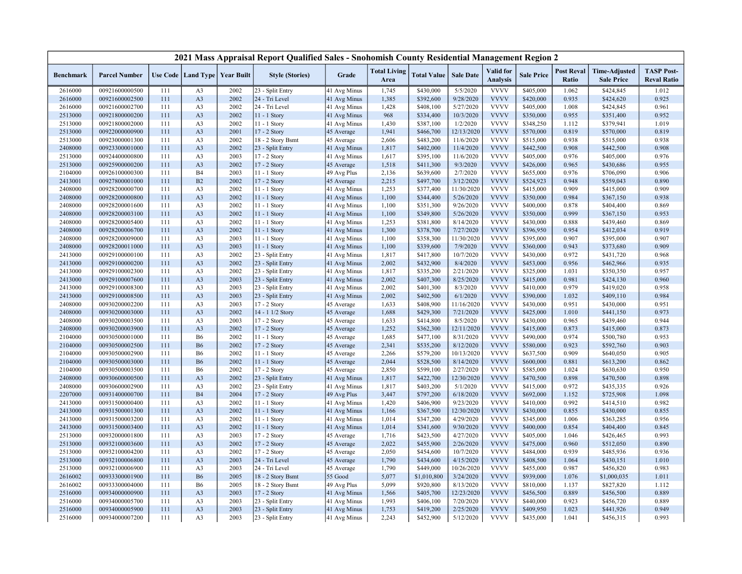|                  |                      |     |                                   |      | 2021 Mass Appraisal Report Qualified Sales - Snohomish County Residential Management Region 2 |              |                             |                    |                  |                                     |                   |                            |                                           |                                         |
|------------------|----------------------|-----|-----------------------------------|------|-----------------------------------------------------------------------------------------------|--------------|-----------------------------|--------------------|------------------|-------------------------------------|-------------------|----------------------------|-------------------------------------------|-----------------------------------------|
| <b>Benchmark</b> | <b>Parcel Number</b> |     | Use Code   Land Type   Year Built |      | <b>Style (Stories)</b>                                                                        | Grade        | <b>Total Living</b><br>Area | <b>Total Value</b> | <b>Sale Date</b> | <b>Valid</b> for<br><b>Analysis</b> | <b>Sale Price</b> | <b>Post Reval</b><br>Ratio | <b>Time-Adjusted</b><br><b>Sale Price</b> | <b>TASP Post-</b><br><b>Reval Ratio</b> |
| 2616000          | 00921600000500       | 111 | A <sub>3</sub>                    | 2002 | 23 - Split Entry                                                                              | 41 Avg Minus | 1,745                       | \$430,000          | 5/5/2020         | <b>VVVV</b>                         | \$405,000         | 1.062                      | \$424,845                                 | 1.012                                   |
| 2616000          | 00921600002500       | 111 | A <sub>3</sub>                    | 2002 | 24 - Tri Level                                                                                | 41 Avg Minus | 1,385                       | \$392,600          | 9/28/2020        | <b>VVVV</b>                         | \$420,000         | 0.935                      | \$424,620                                 | 0.925                                   |
| 2616000          | 00921600002700       | 111 | A <sub>3</sub>                    | 2002 | 24 - Tri Level                                                                                | 41 Avg Minus | 1,428                       | \$408,100          | 5/27/2020        | <b>VVVV</b>                         | \$405,000         | 1.008                      | \$424,845                                 | 0.961                                   |
| 2513000          | 00921800000200       | 111 | A <sub>3</sub>                    | 2002 | 11 - 1 Story                                                                                  | 41 Avg Minus | 968                         | \$334,400          | 10/3/2020        | <b>VVVV</b>                         | \$350,000         | 0.955                      | \$351,400                                 | 0.952                                   |
| 2513000          | 00921800002000       | 111 | A <sub>3</sub>                    | 2002 | 11 - 1 Story                                                                                  | 41 Avg Minus | 1,430                       | \$387,100          | 1/2/2020         | <b>VVVV</b>                         | \$348,250         | 1.112                      | \$379,941                                 | 1.019                                   |
| 2513000          | 00922000000900       | 111 | A <sub>3</sub>                    | 2001 | $17 - 2$ Story                                                                                | 45 Average   | 1,941                       | \$466,700          | 12/13/2020       | <b>VVVV</b>                         | \$570,000         | 0.819                      | \$570,000                                 | 0.819                                   |
| 2513000          | 00923000001300       | 111 | A <sub>3</sub>                    | 2002 | 18 - 2 Story Bsmt                                                                             | 45 Average   | 2,606                       | \$483,200          | 11/6/2020        | <b>VVVV</b>                         | \$515,000         | 0.938                      | \$515,000                                 | 0.938                                   |
| 2408000          | 00923300001000       | 111 | A <sub>3</sub>                    | 2002 | 23 - Split Entry                                                                              | 41 Avg Minus | 1,817                       | \$402,000          | 11/4/2020        | <b>VVVV</b>                         | \$442,500         | 0.908                      | \$442,500                                 | 0.908                                   |
| 2513000          | 00924400000800       | 111 | A <sub>3</sub>                    | 2003 | 17 - 2 Story                                                                                  | 41 Avg Minus | 1,617                       | \$395,100          | 11/6/2020        | <b>VVVV</b>                         | \$405,000         | 0.976                      | \$405,000                                 | 0.976                                   |
| 2513000          | 00925900000200       | 111 | A3                                | 2002 | 17 - 2 Story                                                                                  | 45 Average   | 1,518                       | \$411,300          | 9/3/2020         | <b>VVVV</b>                         | \$426,000         | 0.965                      | \$430,686                                 | 0.955                                   |
| 2104000          | 00926100000300       | 111 | <b>B4</b>                         | 2003 | 11 - 1 Story                                                                                  | 49 Avg Plus  | 2,136                       | \$639,600          | 2/7/2020         | <b>VVVV</b>                         | \$655,000         | 0.976                      | \$706,090                                 | 0.906                                   |
| 2413001          | 00927800001000       | 111 | B2                                | 2002 | 17 - 2 Story                                                                                  | 45 Average   | 2,215                       | \$497,700          | 3/12/2020        | <b>VVVV</b>                         | \$524,923         | 0.948                      | \$559,043                                 | 0.890                                   |
| 2408000          | 00928200000700       | 111 | A <sub>3</sub>                    | 2002 | $11 - 1$ Story                                                                                | 41 Avg Minus | 1,253                       | \$377,400          | 11/30/2020       | <b>VVVV</b>                         | \$415,000         | 0.909                      | \$415,000                                 | 0.909                                   |
| 2408000          | 00928200000800       | 111 | A <sub>3</sub>                    | 2002 | 11 - 1 Story                                                                                  | 41 Avg Minus | 1,100                       | \$344,400          | 5/26/2020        | <b>VVVV</b>                         | \$350,000         | 0.984                      | \$367,150                                 | 0.938                                   |
| 2408000          | 00928200001600       | 111 | A <sub>3</sub>                    | 2002 | $11 - 1$ Story                                                                                | 41 Avg Minus | 1,100                       | \$351,300          | 9/26/2020        | <b>VVVV</b>                         | \$400,000         | 0.878                      | \$404,400                                 | 0.869                                   |
| 2408000          | 00928200003100       | 111 | A <sub>3</sub>                    | 2002 | 11 - 1 Story                                                                                  | 41 Avg Minus | 1,100                       | \$349,800          | 5/26/2020        | <b>VVVV</b>                         | \$350,000         | 0.999                      | \$367,150                                 | 0.953                                   |
| 2408000          | 00928200005400       | 111 | A <sub>3</sub>                    | 2002 | 11 - 1 Story                                                                                  | 41 Avg Minus | 1,253                       | \$381,800          | 8/14/2020        | <b>VVVV</b>                         | \$430,000         | 0.888                      | \$439,460                                 | 0.869                                   |
| 2408000          | 00928200006700       | 111 | A <sub>3</sub>                    | 2002 | 11 - 1 Story                                                                                  | 41 Avg Minus | 1,300                       | \$378,700          | 7/27/2020        | <b>VVVV</b>                         | \$396,950         | 0.954                      | \$412,034                                 | 0.919                                   |
| 2408000          | 00928200009000       | 111 | A <sub>3</sub>                    | 2003 | 11 - 1 Story                                                                                  | 41 Avg Minus | 1,100                       | \$358,300          | 11/30/2020       | <b>VVVV</b>                         | \$395,000         | 0.907                      | \$395,000                                 | 0.907                                   |
| 2408000          | 00928200011000       | 111 | A <sub>3</sub>                    | 2003 | 11 - 1 Story                                                                                  | 41 Avg Minus | 1,100                       | \$339,600          | 7/9/2020         | <b>VVVV</b>                         | \$360,000         | 0.943                      | \$373,680                                 | 0.909                                   |
| 2413000          | 00929100000100       | 111 | A <sub>3</sub>                    | 2002 | 23 - Split Entry                                                                              | 41 Avg Minus | 1,817                       | \$417,800          | 10/7/2020        | <b>VVVV</b>                         | \$430,000         | 0.972                      | \$431,720                                 | 0.968                                   |
| 2413000          | 00929100000200       | 111 | A <sub>3</sub>                    | 2002 | 23 - Split Entry                                                                              | 41 Avg Minus | 2,002                       | \$432,900          | 8/4/2020         | <b>VVVV</b>                         | \$453,000         | 0.956                      | \$462,966                                 | 0.935                                   |
| 2413000          | 00929100002300       | 111 | A <sub>3</sub>                    | 2002 | 23 - Split Entry                                                                              | 41 Avg Minus | 1,817                       | \$335,200          | 2/21/2020        | <b>VVVV</b>                         | \$325,000         | 1.031                      | \$350,350                                 | 0.957                                   |
| 2413000          | 00929100007600       | 111 | A <sub>3</sub>                    | 2003 | 23 - Split Entry                                                                              | 41 Avg Minus | 2,002                       | \$407,300          | 8/25/2020        | <b>VVVV</b>                         | \$415,000         | 0.981                      | \$424,130                                 | 0.960                                   |
| 2413000          | 00929100008300       | 111 | A <sub>3</sub>                    | 2003 | 23 - Split Entry                                                                              | 41 Avg Minus | 2,002                       | \$401,300          | 8/3/2020         | <b>VVVV</b>                         | \$410,000         | 0.979                      | \$419,020                                 | 0.958                                   |
| 2413000          | 00929100008500       | 111 | A <sub>3</sub>                    | 2003 | 23 - Split Entry                                                                              | 41 Avg Minus | 2,002                       | \$402,500          | 6/1/2020         | <b>VVVV</b>                         | \$390,000         | 1.032                      | \$409,110                                 | 0.984                                   |
| 2408000          | 00930200002200       | 111 | A <sub>3</sub>                    | 2003 | 17 - 2 Story                                                                                  | 45 Average   | 1,633                       | \$408,900          | 11/16/2020       | <b>VVVV</b>                         | \$430,000         | 0.951                      | \$430,000                                 | 0.951                                   |
| 2408000          | 00930200003000       | 111 | A <sub>3</sub>                    | 2002 | 14 - 1 1/2 Story                                                                              | 45 Average   | 1,688                       | \$429,300          | 7/21/2020        | <b>VVVV</b>                         | \$425,000         | 1.010                      | \$441,150                                 | 0.973                                   |
| 2408000          | 00930200003500       | 111 | A <sub>3</sub>                    | 2003 | 17 - 2 Story                                                                                  | 45 Average   | 1,633                       | \$414,800          | 8/5/2020         | <b>VVVV</b>                         | \$430,000         | 0.965                      | \$439,460                                 | 0.944                                   |
| 2408000          | 00930200003900       | 111 | A <sub>3</sub>                    | 2002 | 17 - 2 Story                                                                                  | 45 Average   | 1,252                       | \$362,300          | 12/11/2020       | <b>VVVV</b>                         | \$415,000         | 0.873                      | \$415,000                                 | 0.873                                   |
| 2104000          | 00930500001000       | 111 | <b>B6</b>                         | 2002 | 11 - 1 Story                                                                                  | 45 Average   | 1,685                       | \$477,100          | 8/31/2020        | <b>VVVV</b>                         | \$490,000         | 0.974                      | \$500,780                                 | 0.953                                   |
| 2104000          | 00930500002500       | 111 | <b>B6</b>                         | 2002 | 17 - 2 Story                                                                                  | 45 Average   | 2,341                       | \$535,200          | 8/12/2020        | <b>VVVV</b>                         | \$580,000         | 0.923                      | \$592,760                                 | 0.903                                   |
| 2104000          | 00930500002900       | 111 | <b>B6</b>                         | 2002 | $11 - 1$ Story                                                                                | 45 Average   | 2,266                       | \$579,200          | 10/13/2020       | <b>VVVV</b>                         | \$637,500         | 0.909                      | \$640,050                                 | 0.905                                   |
| 2104000          | 00930500003000       | 111 | <b>B6</b>                         | 2002 | 11 - 1 Story                                                                                  | 45 Average   | 2,044                       | \$528,500          | 8/14/2020        | <b>VVVV</b>                         | \$600,000         | 0.881                      | \$613,200                                 | 0.862                                   |
| 2104000          | 00930500003500       | 111 | <b>B6</b>                         | 2002 | 17 - 2 Story                                                                                  | 45 Average   | 2,850                       | \$599,100          | 2/27/2020        | <b>VVVV</b>                         | \$585,000         | 1.024                      | \$630,630                                 | 0.950                                   |
| 2408000          | 00930600000500       | 111 | A <sub>3</sub>                    | 2002 | 23 - Split Entry                                                                              | 41 Avg Minus | 1,817                       | \$422,700          | 12/30/2020       | <b>VVVV</b>                         | \$470,500         | 0.898                      | \$470,500                                 | 0.898                                   |
| 2408000          | 00930600002900       | 111 | A <sub>3</sub>                    | 2002 | 23 - Split Entry                                                                              | 41 Avg Minus | 1,817                       | \$403,200          | 5/1/2020         | <b>VVVV</b>                         | \$415,000         | 0.972                      | \$435,335                                 | 0.926                                   |
| 2207000          | 00931400000700       | 111 | <b>B4</b>                         | 2004 | 17 - 2 Story                                                                                  | 49 Avg Plus  | 3,447                       | \$797,200          | 6/18/2020        | <b>VVVV</b>                         | \$692,000         | 1.152                      | \$725,908                                 | 1.098                                   |
| 2413000          | 00931500000400       | 111 | A <sub>3</sub>                    | 2002 | 11 - 1 Story                                                                                  | 41 Avg Minus | 1,420                       | \$406,900          | 9/23/2020        | <b>VVVV</b>                         | \$410,000         | 0.992                      | \$414,510                                 | 0.982                                   |
| 2413000          | 00931500001300       | 111 | A <sub>3</sub>                    | 2002 | $11 - 1$ Story                                                                                | 41 Avg Minus | 1,166                       | \$367,500          | 12/30/2020       | <b>VVVV</b>                         | \$430,000         | 0.855                      | \$430,000                                 | 0.855                                   |
| 2413000          | 00931500003200       | 111 | A <sub>3</sub>                    | 2002 | 11 - 1 Story                                                                                  | 41 Avg Minus | 1,014                       | \$347,200          | 4/29/2020        | <b>VVVV</b>                         | \$345,000         | 1.006                      | \$363,285                                 | 0.956                                   |
| 2413000          | 00931500003400       | 111 | A <sub>3</sub>                    | 2002 | 11 - 1 Story                                                                                  | 41 Avg Minus | 1,014                       | \$341,600          | 9/30/2020        | <b>VVVV</b>                         | \$400,000         | 0.854                      | \$404,400                                 | 0.845                                   |
| 2513000          | 00932000001800       | 111 | A <sub>3</sub>                    | 2003 | 17 - 2 Story                                                                                  | 45 Average   | 1,716                       | \$423,500          | 4/27/2020        | <b>VVVV</b>                         | \$405,000         | 1.046                      | \$426,465                                 | 0.993                                   |
| 2513000          | 00932100003600       | 111 | A <sub>3</sub>                    | 2002 | 17 - 2 Story                                                                                  | 45 Average   | 2,022                       | \$455,900          | 2/26/2020        | <b>VVVV</b>                         | \$475,000         | 0.960                      | \$512,050                                 | 0.890                                   |
| 2513000          | 00932100004200       | 111 | A <sub>3</sub>                    | 2002 | $17 - 2$ Story                                                                                | 45 Average   | 2,050                       | \$454,600          | 10/7/2020        | <b>VVVV</b>                         | \$484,000         | 0.939                      | \$485,936                                 | 0.936                                   |
| 2513000          | 00932100006800       | 111 | A <sub>3</sub>                    | 2003 | 24 - Tri Level                                                                                | 45 Average   | 1,790                       | \$434,600          | 4/15/2020        | <b>VVVV</b>                         | \$408,500         | 1.064                      | \$430,151                                 | 1.010                                   |
| 2513000          | 00932100006900       | 111 | A <sub>3</sub>                    | 2003 | 24 - Tri Level                                                                                | 45 Average   | 1,790                       | \$449,000          | 10/26/2020       | <b>VVVV</b>                         | \$455,000         | 0.987                      | \$456,820                                 | 0.983                                   |
| 2616002          | 00933300001900       | 111 | <b>B6</b>                         | 2005 | 18 - 2 Story Bsmt                                                                             | 55 Good      | 5,077                       | \$1,010,800        | 3/24/2020        | <b>VVVV</b>                         | \$939,000         | 1.076                      | \$1,000,035                               | 1.011                                   |
| 2616002          | 00933300004000       | 111 | <b>B6</b>                         | 2005 | 18 - 2 Story Bsmt                                                                             | 49 Avg Plus  | 5,099                       | \$920,800          | 8/13/2020        | <b>VVVV</b>                         | \$810,000         | 1.137                      | \$827,820                                 | 1.112                                   |
| 2516000          | 00934000000900       | 111 | A <sub>3</sub>                    | 2003 | 17 - 2 Story                                                                                  | 41 Avg Minus | 1,566                       | \$405,700          | 12/23/2020       | <b>VVVV</b>                         | \$456,500         | 0.889                      | \$456,500                                 | 0.889                                   |
| 2516000          | 00934000005700       | 111 | A <sub>3</sub>                    | 2003 | 23 - Split Entry                                                                              | 41 Avg Minus | 1,993                       | \$406,100          | 7/20/2020        | <b>VVVV</b>                         | \$440,000         | 0.923                      | \$456,720                                 | 0.889                                   |
| 2516000          | 00934000005900       | 111 | A <sub>3</sub>                    | 2003 | 23 - Split Entry                                                                              | 41 Avg Minus | 1,753                       | \$419,200          | 2/25/2020        | <b>VVVV</b>                         | \$409,950         | 1.023                      | \$441,926                                 | 0.949                                   |
| 2516000          | 00934000007200       | 111 | A <sub>3</sub>                    | 2003 | 23 - Split Entry                                                                              | 41 Avg Minus | 2,243                       | \$452,900          | 5/12/2020        | <b>VVVV</b>                         | \$435,000         | 1.041                      | \$456,315                                 | 0.993                                   |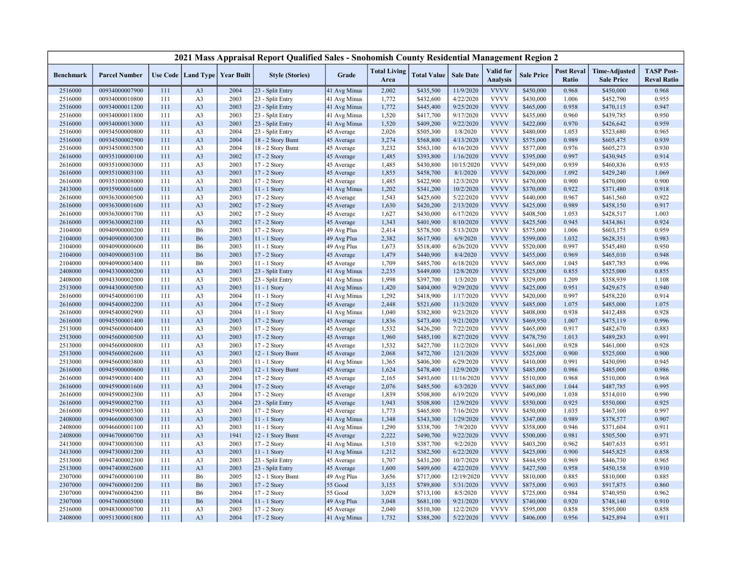|                    |                                  |            |                                   |              | 2021 Mass Appraisal Report Qualified Sales - Snohomish County Residential Management Region 2 |                            |                             |                        |                        |                                     |                        |                            |                                           |                                         |
|--------------------|----------------------------------|------------|-----------------------------------|--------------|-----------------------------------------------------------------------------------------------|----------------------------|-----------------------------|------------------------|------------------------|-------------------------------------|------------------------|----------------------------|-------------------------------------------|-----------------------------------------|
| <b>Benchmark</b>   | <b>Parcel Number</b>             |            | Use Code   Land Type   Year Built |              | <b>Style (Stories)</b>                                                                        | Grade                      | <b>Total Living</b><br>Area | <b>Total Value</b>     | <b>Sale Date</b>       | <b>Valid</b> for<br><b>Analysis</b> | <b>Sale Price</b>      | <b>Post Reval</b><br>Ratio | <b>Time-Adjusted</b><br><b>Sale Price</b> | <b>TASP Post-</b><br><b>Reval Ratio</b> |
| 2516000            | 00934000007900                   | 111        | A <sub>3</sub>                    | 2004         | 23 - Split Entry                                                                              | 41 Avg Minus               | 2,002                       | \$435,500              | 11/9/2020              | <b>VVVV</b>                         | \$450,000              | 0.968                      | \$450,000                                 | 0.968                                   |
| 2516000            | 00934000010800                   | 111        | A <sub>3</sub>                    | 2003         | 23 - Split Entry                                                                              | 41 Avg Minus               | 1,772                       | \$432,600              | 4/22/2020              | <b>VVVV</b>                         | \$430,000              | 1.006                      | \$452,790                                 | 0.955                                   |
| 2516000            | 00934000011200                   | 111        | A <sub>3</sub>                    | 2003         | 23 - Split Entry                                                                              | 41 Avg Minus               | 1,772                       | \$445,400              | 9/25/2020              | <b>VVVV</b>                         | \$465,000              | 0.958                      | \$470,115                                 | 0.947                                   |
| 2516000            | 00934000011800                   | 111        | A <sub>3</sub>                    | 2003         | 23 - Split Entry                                                                              | 41 Avg Minus               | 1,520                       | \$417,700              | 9/17/2020              | <b>VVVV</b>                         | \$435,000              | 0.960                      | \$439,785                                 | 0.950                                   |
| 2516000            | 00934000013000                   | 111        | A <sub>3</sub>                    | 2003         | 23 - Split Entry                                                                              | 41 Avg Minus               | 1,520                       | \$409,200              | 9/22/2020              | <b>VVVV</b>                         | \$422,000              | 0.970                      | \$426,642                                 | 0.959                                   |
| 2516000            | 00934500000800                   | 111        | A <sub>3</sub>                    | 2004         | 23 - Split Entry                                                                              | 45 Average                 | 2,026                       | \$505,300              | 1/8/2020               | <b>VVVV</b>                         | \$480,000              | 1.053                      | \$523,680                                 | 0.965                                   |
| 2516000            | 00934500002900                   | 111        | A <sub>3</sub>                    | 2004         | 18 - 2 Story Bsmt                                                                             | 45 Average                 | 3,274                       | \$568,800              | 4/13/2020              | <b>VVVV</b>                         | \$575,000              | 0.989                      | \$605,475                                 | 0.939                                   |
| 2516000            | 00934500003500                   | 111        | A <sub>3</sub>                    | 2004         | 18 - 2 Story Bsmt                                                                             | 45 Average                 | 3,232                       | \$563,100              | 6/16/2020              | <b>VVVV</b>                         | \$577,000              | 0.976                      | \$605,273                                 | 0.930                                   |
| 2616000            | 00935100000100                   | 111        | A <sub>3</sub>                    | 2002         | 17 - 2 Story                                                                                  | 45 Average                 | 1,485                       | \$393,800              | 1/16/2020              | <b>VVVV</b>                         | \$395,000              | 0.997                      | \$430,945                                 | 0.914                                   |
| 2616000            | 00935100003000                   | 111        | A <sub>3</sub>                    | 2003         | 17 - 2 Story                                                                                  | 45 Average                 | 1,485                       | \$430,800              | 10/15/2020             | <b>VVVV</b>                         | \$459,000              | 0.939                      | \$460,836                                 | 0.935                                   |
| 2616000            | 00935100003100                   | 111        | A <sub>3</sub>                    | 2003         | 17 - 2 Story                                                                                  | 45 Average                 | 1,855                       | \$458,700              | 8/1/2020               | <b>VVVV</b>                         | \$420,000              | 1.092                      | \$429,240                                 | 1.069                                   |
| 2616000            | 00935100008000                   | 111        | A <sub>3</sub>                    | 2003         | 17 - 2 Story                                                                                  | 45 Average                 | 1,485                       | \$422,900              | 12/3/2020              | <b>VVVV</b>                         | \$470,000              | 0.900                      | \$470,000                                 | 0.900                                   |
| 2413000            | 00935900001600                   | 111        | A <sub>3</sub>                    | 2003         | $11 - 1$ Story                                                                                | 41 Avg Minus               | 1,202                       | \$341,200              | 10/2/2020              | <b>VVVV</b>                         | \$370,000              | 0.922                      | \$371,480                                 | 0.918                                   |
| 2616000            | 00936300000500                   | 111        | A <sub>3</sub>                    | 2003         | 17 - 2 Story                                                                                  | 45 Average                 | 1,543                       | \$425,600              | 5/22/2020              | <b>VVVV</b>                         | \$440,000              | 0.967                      | \$461,560                                 | 0.922                                   |
| 2616000            | 00936300001600                   | 111        | A <sub>3</sub>                    | 2002         | $17 - 2$ Story                                                                                | 45 Average                 | 1,630                       | \$420,200              | 2/13/2020              | <b>VVVV</b>                         | \$425,000              | 0.989                      | \$458,150                                 | 0.917                                   |
| 2616000            | 00936300001700                   | 111        | A <sub>3</sub>                    | 2002         | 17 - 2 Story                                                                                  | 45 Average                 | 1,627                       | \$430,000              | 6/17/2020              | <b>VVVV</b>                         | \$408,500              | 1.053                      | \$428,517                                 | 1.003                                   |
| 2616000            | 00936300002100                   | 111        | A <sub>3</sub>                    | 2002         | 17 - 2 Story                                                                                  | 45 Average                 | 1,343                       | \$401,900              | 8/10/2020              | <b>VVVV</b>                         | \$425,500              | 0.945                      | \$434,861                                 | 0.924                                   |
| 2104000            | 00940900000200                   | 111        | <b>B6</b>                         | 2003         | 17 - 2 Story                                                                                  | 49 Avg Plus                | 2,414                       | \$578,500              | 5/13/2020              | <b>VVVV</b>                         | \$575,000              | 1.006                      | \$603,175                                 | 0.959                                   |
| 2104000            | 00940900000300                   | 111        | <b>B6</b>                         | 2003         | 11 - 1 Story                                                                                  | 49 Avg Plus                | 2,382                       | \$617,900              | 6/9/2020               | <b>VVVV</b>                         | \$599,000              | 1.032                      | \$628,351                                 | 0.983                                   |
| 2104000            | 00940900000600                   | 111        | <b>B6</b>                         | 2003         | 11 - 1 Story                                                                                  | 49 Avg Plus                | 1,673                       | \$518,400              | 6/26/2020              | <b>VVVV</b>                         | \$520,000              | 0.997                      | \$545,480                                 | 0.950                                   |
| 2104000            | 00940900003100                   | 111        | <b>B6</b>                         | 2003         | 17 - 2 Story                                                                                  | 45 Average                 | 1,479                       | \$440,900              | 8/4/2020               | <b>VVVV</b>                         | \$455,000              | 0.969                      | \$465,010                                 | 0.948                                   |
| 2104000            | 00940900003400                   | 111        | <b>B6</b>                         | 2003         | $11 - 1$ Story                                                                                | 45 Average                 | 1,709                       | \$485,700              | 6/18/2020              | <b>VVVV</b>                         | \$465,000              | 1.045                      | \$487,785                                 | 0.996                                   |
| 2408000            | 00943300000200                   | 111        | A <sub>3</sub>                    | 2003         | 23 - Split Entry                                                                              | 41 Avg Minus               | 2,235                       | \$449,000              | 12/8/2020              | <b>VVVV</b>                         | \$525,000              | 0.855                      | \$525,000                                 | 0.855                                   |
| 2408000            | 00943300002000                   | 111        | A <sub>3</sub>                    | 2003         | 23 - Split Entry                                                                              | 41 Avg Minus               | 1,998                       | \$397,700              | 1/3/2020               | <b>VVVV</b>                         | \$329,000              | 1.209                      | \$358,939                                 | 1.108                                   |
| 2513000            | 00944300000500                   | 111        | A <sub>3</sub>                    | 2003         | 11 - 1 Story                                                                                  | 41 Avg Minus               | 1,420                       | \$404,000              | 9/29/2020              | <b>VVVV</b><br><b>VVVV</b>          | \$425,000              | 0.951                      | \$429,675                                 | 0.940                                   |
| 2616000            | 00945400000100                   | 111        | A <sub>3</sub>                    | 2004         | 11 - 1 Story                                                                                  | 41 Avg Minus               | 1,292                       | \$418,900              | 1/17/2020              |                                     | \$420,000              | 0.997                      | \$458,220                                 | 0.914                                   |
| 2616000            | 00945400002200<br>00945400002900 | 111<br>111 | A <sub>3</sub>                    | 2004<br>2004 | 17 - 2 Story                                                                                  | 45 Average                 | 2,448                       | \$521,600              | 11/3/2020              | <b>VVVV</b><br><b>VVVV</b>          | \$485,000              | 1.075<br>0.938             | \$485,000                                 | 1.075                                   |
| 2616000<br>2616000 | 00945500001400                   | 111        | A <sub>3</sub><br>A <sub>3</sub>  | 2003         | 11 - 1 Story<br>17 - 2 Story                                                                  | 41 Avg Minus<br>45 Average | 1,040<br>1,836              | \$382,800<br>\$473,400 | 9/23/2020<br>9/21/2020 | <b>VVVV</b>                         | \$408,000<br>\$469,950 | 1.007                      | \$412,488<br>\$475,119                    | 0.928<br>0.996                          |
| 2513000            | 00945600000400                   | 111        | A <sub>3</sub>                    | 2003         | 17 - 2 Story                                                                                  | 45 Average                 | 1,532                       | \$426,200              | 7/22/2020              | <b>VVVV</b>                         | \$465,000              | 0.917                      | \$482,670                                 | 0.883                                   |
| 2513000            | 00945600000500                   | 111        | A <sub>3</sub>                    | 2003         | 17 - 2 Story                                                                                  | 45 Average                 | 1,960                       | \$485,100              | 8/27/2020              | <b>VVVV</b>                         | \$478,750              | 1.013                      | \$489,283                                 | 0.991                                   |
| 2513000            | 00945600000800                   | 111        | A <sub>3</sub>                    | 2003         | 17 - 2 Story                                                                                  | 45 Average                 | 1,532                       | \$427,700              | 11/2/2020              | <b>VVVV</b>                         | \$461,000              | 0.928                      | \$461,000                                 | 0.928                                   |
| 2513000            | 00945600002600                   | 111        | A <sub>3</sub>                    | 2003         | 12 - 1 Story Bsmt                                                                             | 45 Average                 | 2,068                       | \$472,700              | 12/1/2020              | <b>VVVV</b>                         | \$525,000              | 0.900                      | \$525,000                                 | 0.900                                   |
| 2513000            | 00945600003800                   | 111        | A <sub>3</sub>                    | 2003         | 11 - 1 Story                                                                                  | 41 Avg Minus               | 1,365                       | \$406,300              | 6/29/2020              | <b>VVVV</b>                         | \$410,000              | 0.991                      | \$430,090                                 | 0.945                                   |
| 2616000            | 00945900000600                   | 111        | A <sub>3</sub>                    | 2003         | 12 - 1 Story Bsmt                                                                             | 45 Average                 | 1,624                       | \$478,400              | 12/9/2020              | <b>VVVV</b>                         | \$485,000              | 0.986                      | \$485,000                                 | 0.986                                   |
| 2616000            | 00945900001400                   | 111        | A <sub>3</sub>                    | 2004         | 17 - 2 Story                                                                                  | 45 Average                 | 2,165                       | \$493,600              | 11/16/2020             | <b>VVVV</b>                         | \$510,000              | 0.968                      | \$510,000                                 | 0.968                                   |
| 2616000            | 00945900001600                   | 111        | A <sub>3</sub>                    | 2004         | 17 - 2 Story                                                                                  | 45 Average                 | 2,076                       | \$485,500              | 6/3/2020               | <b>VVVV</b>                         | \$465,000              | 1.044                      | \$487,785                                 | 0.995                                   |
| 2616000            | 00945900002300                   | 111        | A <sub>3</sub>                    | 2004         | 17 - 2 Story                                                                                  | 45 Average                 | 1,839                       | \$508,800              | 6/19/2020              | <b>VVVV</b>                         | \$490,000              | 1.038                      | \$514,010                                 | 0.990                                   |
| 2616000            | 00945900002700                   | 111        | A <sub>3</sub>                    | 2004         | 23 - Split Entry                                                                              | 45 Average                 | 1,943                       | \$508,800              | 12/9/2020              | <b>VVVV</b>                         | \$550,000              | 0.925                      | \$550,000                                 | 0.925                                   |
| 2616000            | 00945900005300                   | 111        | A <sub>3</sub>                    | 2003         | $17 - 2$ Story                                                                                | 45 Average                 | 1,773                       | \$465,800              | 7/16/2020              | <b>VVVV</b>                         | \$450,000              | 1.035                      | \$467,100                                 | 0.997                                   |
| 2408000            | 00946600000300                   | 111        | A <sub>3</sub>                    | 2003         | 11 - 1 Story                                                                                  | 41 Avg Minus               | 1,348                       | \$343,300              | 1/29/2020              | <b>VVVV</b>                         | \$347,000              | 0.989                      | \$378,577                                 | 0.907                                   |
| 2408000            | 00946600001100                   | 111        | A <sub>3</sub>                    | 2003         | 11 - 1 Story                                                                                  | 41 Avg Minus               | 1,290                       | \$338,700              | 7/9/2020               | <b>VVVV</b>                         | \$358,000              | 0.946                      | \$371,604                                 | 0.911                                   |
| 2408000            | 00946700000700                   | 111        | A <sub>3</sub>                    | 1941         | 12 - 1 Story Bsmt                                                                             | 45 Average                 | 2,222                       | \$490,700              | 9/22/2020              | <b>VVVV</b>                         | \$500,000              | 0.981                      | \$505,500                                 | 0.971                                   |
| 2413000            | 00947300000300                   | 111        | A <sub>3</sub>                    | 2003         | 17 - 2 Story                                                                                  | 41 Avg Minus               | 1,510                       | \$387,700              | 9/2/2020               | <b>VVVV</b>                         | \$403,200              | 0.962                      | \$407,635                                 | 0.951                                   |
| 2413000            | 00947300001200                   | 111        | A <sub>3</sub>                    | 2003         | $11 - 1$ Story                                                                                | 41 Avg Minus               | 1,212                       | \$382,500              | 6/22/2020              | <b>VVVV</b>                         | \$425,000              | 0.900                      | \$445,825                                 | 0.858                                   |
| 2513000            | 00947400002300                   | 111        | A <sub>3</sub>                    | 2003         | 23 - Split Entry                                                                              | 45 Average                 | 1,707                       | \$431,200              | 10/7/2020              | <b>VVVV</b>                         | \$444,950              | 0.969                      | \$446,730                                 | 0.965                                   |
| 2513000            | 00947400002600                   | 111        | A <sub>3</sub>                    | 2003         | 23 - Split Entry                                                                              | 45 Average                 | 1,600                       | \$409,600              | 4/22/2020              | <b>VVVV</b>                         | \$427,500              | 0.958                      | \$450,158                                 | 0.910                                   |
| 2307000            | 00947600000100                   | 111        | <b>B6</b>                         | 2005         | 12 - 1 Story Bsmt                                                                             | 49 Avg Plus                | 3,656                       | \$717,000              | 12/19/2020             | <b>VVVV</b>                         | \$810,000              | 0.885                      | \$810,000                                 | 0.885                                   |
| 2307000            | 00947600001200                   | 111        | <b>B6</b>                         | 2003         | 17 - 2 Story                                                                                  | 55 Good                    | 3,155                       | \$789,800              | 5/31/2020              | <b>VVVV</b>                         | \$875,000              | 0.903                      | \$917,875                                 | 0.860                                   |
| 2307000            | 00947600004200                   | 111        | <b>B6</b>                         | 2004         | 17 - 2 Story                                                                                  | 55 Good                    | 3,029                       | \$713,100              | 8/5/2020               | <b>VVVV</b>                         | \$725,000              | 0.984                      | \$740,950                                 | 0.962                                   |
| 2307000            | 00947600005000                   | 111        | <b>B6</b>                         | 2004         | 11 - 1 Story                                                                                  | 49 Avg Plus                | 3,048                       | \$681,100              | 9/21/2020              | <b>VVVV</b>                         | \$740,000              | 0.920                      | \$748,140                                 | 0.910                                   |
| 2516000            | 00948300000700                   | 111        | A <sub>3</sub>                    | 2003         | 17 - 2 Story                                                                                  | 45 Average                 | 2,040                       | \$510,300              | 12/2/2020              | <b>VVVV</b>                         | \$595,000              | 0.858                      | \$595,000                                 | 0.858                                   |
| 2408000            | 00951300001800                   | 111        | A <sub>3</sub>                    | 2004         | 17 - 2 Story                                                                                  | 41 Avg Minus               | 1,732                       | \$388,200              | 5/22/2020              | <b>VVVV</b>                         | \$406,000              | 0.956                      | \$425,894                                 | 0.911                                   |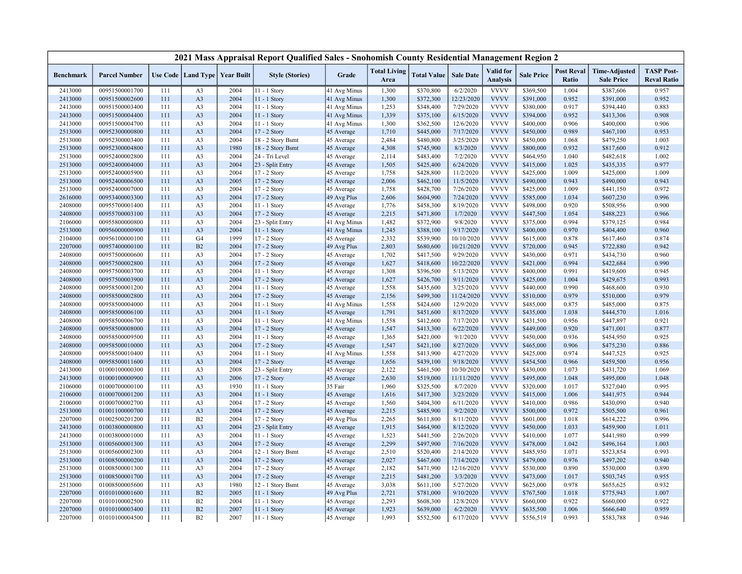|                  |                      |     |                                   |      | 2021 Mass Appraisal Report Qualified Sales - Snohomish County Residential Management Region 2 |                          |                             |                    |                  |                                     |                   |                            |                                           |                                         |
|------------------|----------------------|-----|-----------------------------------|------|-----------------------------------------------------------------------------------------------|--------------------------|-----------------------------|--------------------|------------------|-------------------------------------|-------------------|----------------------------|-------------------------------------------|-----------------------------------------|
| <b>Benchmark</b> | <b>Parcel Number</b> |     | Use Code   Land Type   Year Built |      | <b>Style (Stories)</b>                                                                        | Grade                    | <b>Total Living</b><br>Area | <b>Total Value</b> | <b>Sale Date</b> | <b>Valid</b> for<br><b>Analysis</b> | <b>Sale Price</b> | <b>Post Reval</b><br>Ratio | <b>Time-Adjusted</b><br><b>Sale Price</b> | <b>TASP Post-</b><br><b>Reval Ratio</b> |
| 2413000          | 00951500001700       | 111 | A <sub>3</sub>                    | 2004 | 11 - 1 Story                                                                                  | 41 Avg Minus             | 1,300                       | \$370,800          | 6/2/2020         | <b>VVVV</b>                         | \$369,500         | 1.004                      | \$387,606                                 | 0.957                                   |
| 2413000          | 00951500002600       | 111 | A <sub>3</sub>                    | 2004 | 11 - 1 Story                                                                                  | 41 Avg Minus             | 1,300                       | \$372,300          | 12/23/2020       | <b>VVVV</b>                         | \$391,000         | 0.952                      | \$391,000                                 | 0.952                                   |
| 2413000          | 00951500003400       | 111 | A <sub>3</sub>                    | 2004 | 11 - 1 Story                                                                                  | 41 Avg Minus             | 1,253                       | \$348,400          | 7/29/2020        | <b>VVVV</b>                         | \$380,000         | 0.917                      | \$394,440                                 | 0.883                                   |
| 2413000          | 00951500004400       | 111 | A <sub>3</sub>                    | 2004 | 11 - 1 Story                                                                                  | 41 Avg Minus             | 1,339                       | \$375,100          | 6/15/2020        | <b>VVVV</b>                         | \$394,000         | 0.952                      | \$413,306                                 | 0.908                                   |
| 2413000          | 00951500004700       | 111 | A <sub>3</sub>                    | 2004 | 11 - 1 Story                                                                                  | 41 Avg Minus             | 1,300                       | \$362,500          | 12/6/2020        | <b>VVVV</b>                         | \$400,000         | 0.906                      | \$400,000                                 | 0.906                                   |
| 2513000          | 00952300000800       | 111 | A <sub>3</sub>                    | 2004 | 17 - 2 Story                                                                                  | 45 Average               | 1,710                       | \$445,000          | 7/17/2020        | <b>VVVV</b>                         | \$450,000         | 0.989                      | \$467,100                                 | 0.953                                   |
| 2513000          | 00952300003400       | 111 | A <sub>3</sub>                    | 2004 | 18 - 2 Story Bsmt                                                                             | 45 Average               | 2,484                       | \$480,800          | 3/25/2020        | <b>VVVV</b>                         | \$450,000         | 1.068                      | \$479,250                                 | 1.003                                   |
| 2513000          | 00952300004800       | 111 | A <sub>3</sub>                    | 1980 | 18 - 2 Story Bsmt                                                                             | 45 Average               | 4,308                       | \$745,900          | 8/3/2020         | <b>VVVV</b>                         | \$800,000         | 0.932                      | \$817,600                                 | 0.912                                   |
| 2513000          | 00952400002800       | 111 | A <sub>3</sub>                    | 2004 | 24 - Tri Level                                                                                | 45 Average               | 2,114                       | \$483,400          | 7/2/2020         | <b>VVVV</b>                         | \$464,950         | 1.040                      | \$482,618                                 | 1.002                                   |
| 2513000          | 00952400004000       | 111 | A <sub>3</sub>                    | 2004 | 23 - Split Entry                                                                              | 45 Average               | 1,505                       | \$425,400          | 6/24/2020        | <b>VVVV</b>                         | \$415,000         | 1.025                      | \$435,335                                 | 0.977                                   |
| 2513000          | 00952400005900       | 111 | A <sub>3</sub>                    | 2004 | 17 - 2 Story                                                                                  | 45 Average               | 1,758                       | \$428,800          | 11/2/2020        | <b>VVVV</b>                         | \$425,000         | 1.009                      | \$425,000                                 | 1.009                                   |
| 2513000          | 00952400006500       | 111 | A <sub>3</sub>                    | 2005 | 17 - 2 Story                                                                                  | 45 Average               | 2,006                       | \$462,100          | 11/5/2020        | <b>VVVV</b>                         | \$490,000         | 0.943                      | \$490,000                                 | 0.943                                   |
| 2513000          | 00952400007000       | 111 | A <sub>3</sub>                    | 2004 | 17 - 2 Story                                                                                  | 45 Average               | 1,758                       | \$428,700          | 7/26/2020        | <b>VVVV</b>                         | \$425,000         | 1.009                      | \$441,150                                 | 0.972                                   |
| 2616000          | 00953400003300       | 111 | A <sub>3</sub>                    | 2004 | 17 - 2 Story                                                                                  | 49 Avg Plus              | 2,606                       | \$604,900          | 7/24/2020        | <b>VVVV</b>                         | \$585,000         | 1.034                      | \$607,230                                 | 0.996                                   |
| 2408000          | 00955700001400       | 111 | A <sub>3</sub>                    | 2004 | 11 - 1 Story                                                                                  | 45 Average               | 1,776                       | \$458,300          | 8/19/2020        | <b>VVVV</b>                         | \$498,000         | 0.920                      | \$508,956                                 | 0.900                                   |
| 2408000          | 00955700003100       | 111 | A <sub>3</sub>                    | 2004 | 17 - 2 Story                                                                                  | 45 Average               | 2,215                       | \$471,800          | 1/7/2020         | <b>VVVV</b>                         | \$447,500         | 1.054                      | \$488,223                                 | 0.966                                   |
| 2106000          | 00955800000800       | 111 | A <sub>3</sub>                    | 2004 | 23 - Split Entry                                                                              | 41 Avg Minus             | 1,482                       | \$372,900          | 9/8/2020         | <b>VVVV</b>                         | \$375,000         | 0.994                      | \$379,125                                 | 0.984                                   |
| 2513000          | 00956000000900       | 111 | A <sub>3</sub>                    | 2004 | 11 - 1 Story                                                                                  | 41 Avg Minus             | 1,245                       | \$388,100          | 9/17/2020        | <b>VVVV</b>                         | \$400,000         | 0.970                      | \$404,400                                 | 0.960                                   |
| 2104000          | 00956100000100       | 111 | G <sub>4</sub>                    | 1999 | 17 - 2 Story                                                                                  | 45 Average               | 2,332                       | \$539,900          | 10/10/2020       | <b>VVVV</b>                         | \$615,000         | 0.878                      | \$617,460                                 | 0.874                                   |
| 2207000          | 00957400000100       | 111 | B2                                | 2004 | 17 - 2 Story                                                                                  | 49 Avg Plus              | 2,803                       | \$680,600          | 10/21/2020       | <b>VVVV</b>                         | \$720,000         | 0.945                      | \$722,880                                 | 0.942                                   |
| 2408000          | 00957500000600       | 111 | A <sub>3</sub>                    | 2004 | 17 - 2 Story                                                                                  | 45 Average               | 1,702                       | \$417,500          | 9/29/2020        | <b>VVVV</b>                         | \$430,000         | 0.971                      | \$434,730                                 | 0.960                                   |
| 2408000          | 00957500002800       | 111 | A <sub>3</sub>                    | 2004 | 17 - 2 Story                                                                                  | 45 Average               | 1,627                       | \$418,600          | 10/22/2020       | <b>VVVV</b>                         | \$421,000         | 0.994                      | \$422,684                                 | 0.990                                   |
| 2408000          | 00957500003700       | 111 | A <sub>3</sub>                    | 2004 | 11 - 1 Story                                                                                  | 45 Average               | 1,308                       | \$396,500          | 5/13/2020        | <b>VVVV</b>                         | \$400,000         | 0.991                      | \$419,600                                 | 0.945                                   |
| 2408000          | 00957500003900       | 111 | A <sub>3</sub>                    | 2004 | 17 - 2 Story                                                                                  | 45 Average               | 1,627                       | \$426,700          | 9/11/2020        | <b>VVVV</b>                         | \$425,000         | 1.004                      | \$429,675                                 | 0.993                                   |
| 2408000          | 00958500001200       | 111 | A <sub>3</sub>                    | 2004 | $11 - 1$ Story                                                                                | 45 Average               | 1,558                       | \$435,600          | 3/25/2020        | <b>VVVV</b>                         | \$440,000         | 0.990                      | \$468,600                                 | 0.930                                   |
| 2408000          | 00958500002800       | 111 | A <sub>3</sub>                    | 2004 | $17 - 2$ Story                                                                                | 45 Average               | 2,156                       | \$499,300          | 11/24/2020       | <b>VVVV</b>                         | \$510,000         | 0.979                      | \$510,000                                 | 0.979                                   |
| 2408000          | 00958500004000       | 111 | A <sub>3</sub>                    | 2004 | 11 - 1 Story                                                                                  | 41 Avg Minus             | 1,558                       | \$424,600          | 12/9/2020        | <b>VVVV</b>                         | \$485,000         | 0.875                      | \$485,000                                 | 0.875                                   |
| 2408000          | 00958500006100       | 111 | A <sub>3</sub>                    | 2004 | 11 - 1 Story                                                                                  | 45 Average               | 1,791                       | \$451,600          | 8/17/2020        | <b>VVVV</b>                         | \$435,000         | 1.038                      | \$444,570                                 | 1.016                                   |
| 2408000          | 00958500006700       | 111 | A <sub>3</sub>                    | 2004 | 11 - 1 Story                                                                                  | 41 Avg Minus             | 1,558                       | \$412,600          | 7/17/2020        | <b>VVVV</b>                         | \$431,500         | 0.956                      | \$447,897                                 | 0.921                                   |
| 2408000          | 00958500008000       | 111 | A <sub>3</sub>                    | 2004 | 17 - 2 Story                                                                                  | 45 Average               | 1,547                       | \$413,300          | 6/22/2020        | <b>VVVV</b>                         | \$449,000         | 0.920                      | \$471,001                                 | 0.877                                   |
| 2408000          | 00958500009500       | 111 | A <sub>3</sub>                    | 2004 | $11 - 1$ Story                                                                                | 45 Average               | 1,365                       | \$421,000          | 9/1/2020         | <b>VVVV</b>                         | \$450,000         | 0.936                      | \$454,950                                 | 0.925                                   |
| 2408000          | 00958500010000       | 111 | A <sub>3</sub>                    | 2004 | 17 - 2 Story                                                                                  | 45 Average               | 1,547                       | \$421,100          | 8/27/2020        | <b>VVVV</b>                         | \$465,000         | 0.906                      | \$475,230                                 | 0.886                                   |
| 2408000          | 00958500010400       | 111 | A <sub>3</sub>                    | 2004 | $11 - 1$ Story                                                                                | 41 Avg Minus             | 1,558                       | \$413,900          | 4/27/2020        | <b>VVVV</b>                         | \$425,000         | 0.974                      | \$447,525                                 | 0.925                                   |
| 2408000          | 00958500011600       | 111 | A <sub>3</sub>                    | 2004 | 17 - 2 Story                                                                                  | 45 Average               | 1,656                       | \$439,100          | 9/18/2020        | <b>VVVV</b>                         | \$454,500         | 0.966                      | \$459,500                                 | 0.956                                   |
| 2413000          | 01000100000300       | 111 | A <sub>3</sub>                    | 2008 | 23 - Split Entry                                                                              | 45 Average               | 2,122                       | \$461,500          | 10/30/2020       | <b>VVVV</b>                         | \$430,000         | 1.073                      | \$431,720                                 | 1.069                                   |
| 2413000          | 01000100000900       | 111 | A <sub>3</sub>                    | 2006 | 17 - 2 Story                                                                                  | 45 Average               | 2,630                       | \$519,000          | 11/11/2020       | <b>VVVV</b>                         | \$495,000         | 1.048                      | \$495,000                                 | 1.048                                   |
| 2106000          | 01000700000100       | 111 | A <sub>3</sub>                    | 1930 | 11 - 1 Story                                                                                  | 35 Fair                  | 1,960                       | \$325,500          | 8/7/2020         | <b>VVVV</b>                         | \$320,000         | 1.017                      | \$327,040                                 | 0.995                                   |
| 2106000          | 01000700001200       | 111 | A <sub>3</sub>                    | 2004 | 11 - 1 Story                                                                                  | 45 Average               | 1,616                       | \$417,300          | 3/23/2020        | <b>VVVV</b>                         | \$415,000         | 1.006                      | \$441,975                                 | 0.944                                   |
| 2106000          | 01000700002700       | 111 | A <sub>3</sub>                    | 2004 | 17 - 2 Story                                                                                  | 45 Average               | 1,560                       | \$404,300          | 6/11/2020        | <b>VVVV</b>                         | \$410,000         | 0.986                      | \$430,090                                 | 0.940                                   |
| 2513000          | 01001100000700       | 111 | A <sub>3</sub>                    | 2004 | 17 - 2 Story                                                                                  | 45 Average               | 2,215                       | \$485,900          | 9/2/2020         | <b>VVVV</b>                         | \$500,000         | 0.972                      | \$505,500                                 | 0.961                                   |
| 2207000          | 01002500201200       | 111 | B2                                | 2004 | 17 - 2 Story                                                                                  | 49 Avg Plus              | 2,265                       | \$611,800          | 8/11/2020        | <b>VVVV</b>                         | \$601,000         | 1.018                      | \$614,222                                 | 0.996                                   |
| 2413000          | 01003800000800       | 111 | A <sub>3</sub>                    | 2004 | 23 - Split Entry                                                                              | 45 Average               | 1,915                       | \$464,900          | 8/12/2020        | <b>VVVV</b>                         | \$450,000         | 1.033                      | \$459,900                                 | 1.011                                   |
| 2413000          | 01003800001000       | 111 | A <sub>3</sub>                    | 2004 | 11 - 1 Story                                                                                  | 45 Average               | 1,523                       | \$441,500          | 2/26/2020        | <b>VVVV</b>                         | \$410,000         | 1.077                      | \$441,980                                 | 0.999                                   |
| 2513000          | 01005600001300       | 111 | A <sub>3</sub>                    | 2004 | 17 - 2 Story                                                                                  | 45 Average               | 2,299                       | \$497,900          | 7/16/2020        | <b>VVVV</b>                         | \$478,000         | 1.042                      | \$496,164                                 | 1.003                                   |
| 2513000          | 01005600002300       | 111 | A <sub>3</sub>                    | 2004 | 12 - 1 Story Bsmt                                                                             | 45 Average               | 2,510                       | \$520,400          | 2/14/2020        | <b>VVVV</b>                         | \$485,950         | 1.071                      | \$523,854                                 | 0.993                                   |
| 2513000          | 01008500000200       | 111 | A <sub>3</sub>                    | 2004 | 17 - 2 Story                                                                                  | 45 Average               | 2,027                       | \$467,600          | 7/14/2020        | <b>VVVV</b>                         | \$479,000         | 0.976                      | \$497,202                                 | 0.940                                   |
| 2513000          | 01008500001300       | 111 | A <sub>3</sub>                    | 2004 | 17 - 2 Story                                                                                  | 45 Average               | 2,182                       | \$471,900          | 12/16/2020       | <b>VVVV</b>                         | \$530,000         | 0.890                      | \$530,000                                 | 0.890                                   |
| 2513000          | 01008500001700       | 111 | A <sub>3</sub>                    | 2004 | 17 - 2 Story                                                                                  |                          | 2,215                       | \$481,200          | 3/3/2020         | <b>VVVV</b>                         | \$473,000         | 1.017                      | \$503,745                                 | 0.955                                   |
| 2513000          | 01008500005600       | 111 | A <sub>3</sub>                    | 1980 |                                                                                               | 45 Average<br>45 Average | 3,038                       | \$611,100          | 5/27/2020        | <b>VVVV</b>                         | \$625,000         | 0.978                      | \$655,625                                 | 0.932                                   |
| 2207000          | 01010100001600       | 111 | B2                                | 2005 | 12 - 1 Story Bsmt<br>11 - 1 Story                                                             | 49 Avg Plus              | 2,721                       | \$781,000          | 9/10/2020        | <b>VVVV</b>                         | \$767,500         | 1.018                      | \$775,943                                 | 1.007                                   |
| 2207000          | 01010100002500       | 111 | B2                                | 2004 | 11 - 1 Story                                                                                  |                          | 2,293                       | \$608,300          | 12/8/2020        | <b>VVVV</b>                         | \$660,000         | 0.922                      | \$660,000                                 | 0.922                                   |
| 2207000          | 01010100003400       | 111 | B2                                | 2007 |                                                                                               | 45 Average               | 1,923                       | \$639,000          | 6/2/2020         | <b>VVVV</b>                         | \$635,500         | 1.006                      |                                           | 0.959                                   |
|                  |                      |     |                                   |      | 11 - 1 Story                                                                                  | 45 Average               |                             |                    |                  | <b>VVVV</b>                         |                   | 0.993                      | \$666,640                                 |                                         |
| 2207000          | 01010100004500       | 111 | <b>B2</b>                         | 2007 | 11 - 1 Story                                                                                  | 45 Average               | 1,993                       | \$552,500          | 6/17/2020        |                                     | \$556,519         |                            | \$583,788                                 | 0.946                                   |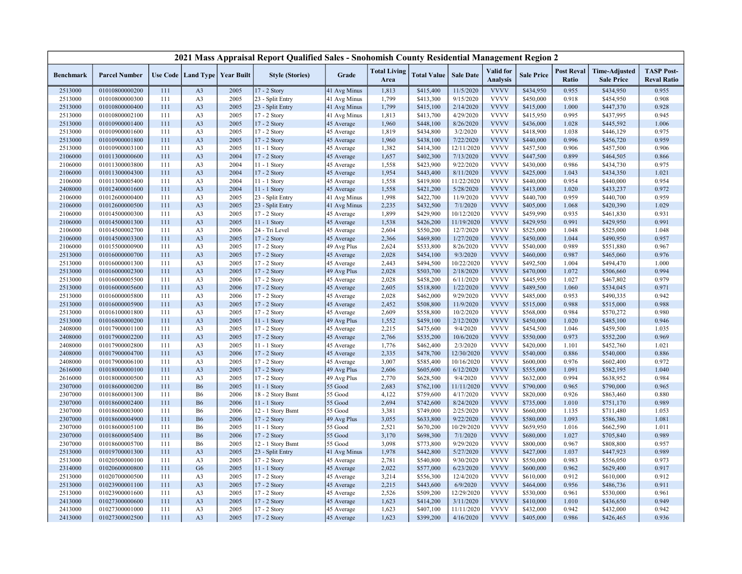|                    |                                  |            |                                  |                                   | 2021 Mass Appraisal Report Qualified Sales - Snohomish County Residential Management Region 2 |                           |                             |                        |                        |                                     |                        |                            |                                           |                                         |
|--------------------|----------------------------------|------------|----------------------------------|-----------------------------------|-----------------------------------------------------------------------------------------------|---------------------------|-----------------------------|------------------------|------------------------|-------------------------------------|------------------------|----------------------------|-------------------------------------------|-----------------------------------------|
| <b>Benchmark</b>   | <b>Parcel Number</b>             |            |                                  | Use Code   Land Type   Year Built | <b>Style (Stories)</b>                                                                        | Grade                     | <b>Total Living</b><br>Area | <b>Total Value</b>     | <b>Sale Date</b>       | <b>Valid</b> for<br><b>Analysis</b> | <b>Sale Price</b>      | <b>Post Reval</b><br>Ratio | <b>Time-Adjusted</b><br><b>Sale Price</b> | <b>TASP Post-</b><br><b>Reval Ratio</b> |
| 2513000            | 01010800000200                   | 111        | A <sub>3</sub>                   | 2005                              | 17 - 2 Story                                                                                  | 41 Avg Minus              | 1,813                       | \$415,400              | 11/5/2020              | <b>VVVV</b>                         | \$434,950              | 0.955                      | \$434,950                                 | 0.955                                   |
| 2513000            | 01010800000300                   | 111        | A <sub>3</sub>                   | 2005                              | 23 - Split Entry                                                                              | 41 Avg Minus              | 1,799                       | \$413,300              | 9/15/2020              | <b>VVVV</b>                         | \$450,000              | 0.918                      | \$454,950                                 | 0.908                                   |
| 2513000            | 01010800000400                   | 111        | A <sub>3</sub>                   | 2005                              | 23 - Split Entry                                                                              | 41 Avg Minus              | 1,799                       | \$415,100              | 2/14/2020              | <b>VVVV</b>                         | \$415,000              | 1.000                      | \$447,370                                 | 0.928                                   |
| 2513000            | 01010800002100                   | 111        | A <sub>3</sub>                   | 2005                              | 17 - 2 Story                                                                                  | 41 Avg Minus              | 1,813                       | \$413,700              | 4/29/2020              | <b>VVVV</b>                         | \$415,950              | 0.995                      | \$437,995                                 | 0.945                                   |
| 2513000            | 01010900001400                   | 111        | A <sub>3</sub>                   | 2005                              | 17 - 2 Story                                                                                  | 45 Average                | 1,960                       | \$448,100              | 8/26/2020              | <b>VVVV</b>                         | \$436,000              | 1.028                      | \$445,592                                 | 1.006                                   |
| 2513000            | 01010900001600                   | 111        | A <sub>3</sub>                   | 2005                              | 17 - 2 Story                                                                                  | 45 Average                | 1,819                       | \$434,800              | 3/2/2020               | <b>VVVV</b>                         | \$418,900              | 1.038                      | \$446,129                                 | 0.975                                   |
| 2513000            | 01010900001800                   | 111        | A <sub>3</sub>                   | 2005                              | 17 - 2 Story                                                                                  | 45 Average                | 1,960                       | \$438,100              | 7/22/2020              | <b>VVVV</b>                         | \$440,000              | 0.996                      | \$456,720                                 | 0.959                                   |
| 2513000            | 01010900003100                   | 111        | A <sub>3</sub>                   | 2005                              | 11 - 1 Story                                                                                  | 45 Average                | 1,382                       | \$414,300              | 12/11/2020             | <b>VVVV</b>                         | \$457,500              | 0.906                      | \$457,500                                 | 0.906                                   |
| 2106000            | 01011300000600                   | 111        | A <sub>3</sub>                   | 2004                              | 17 - 2 Story                                                                                  | 45 Average                | 1,657                       | \$402,300              | 7/13/2020              | <b>VVVV</b>                         | \$447,500              | 0.899                      | \$464,505                                 | 0.866                                   |
| 2106000            | 01011300003800                   | 111        | A <sub>3</sub>                   | 2004                              | 11 - 1 Story                                                                                  | 45 Average                | 1,558                       | \$423,900              | 9/22/2020              | <b>VVVV</b>                         | \$430,000              | 0.986                      | \$434,730                                 | 0.975                                   |
| 2106000            | 01011300004300                   | 111        | A <sub>3</sub>                   | 2004                              | 17 - 2 Story                                                                                  | 45 Average                | 1,954                       | \$443,400              | 8/11/2020              | <b>VVVV</b>                         | \$425,000              | 1.043                      | \$434,350                                 | 1.021                                   |
| 2106000            | 01011300005400                   | 111        | A <sub>3</sub>                   | 2004                              | 11 - 1 Story                                                                                  | 45 Average                | 1,558                       | \$419,800              | 11/22/2020             | <b>VVVV</b>                         | \$440,000              | 0.954                      | \$440,000                                 | 0.954                                   |
| 2408000            | 01012400001600                   | 111        | A <sub>3</sub>                   | 2004                              | 11 - 1 Story                                                                                  | 45 Average                | 1,558                       | \$421,200              | 5/28/2020              | <b>VVVV</b>                         | \$413,000              | 1.020                      | \$433,237                                 | 0.972                                   |
| 2106000            | 01012600000400                   | 111        | A <sub>3</sub>                   | 2005                              | 23 - Split Entry                                                                              | 41 Avg Minus              | 1,998                       | \$422,700              | 11/9/2020              | <b>VVVV</b>                         | \$440,700              | 0.959                      | \$440,700                                 | 0.959                                   |
| 2106000            | 01012600000500                   | 111        | A <sub>3</sub>                   | 2005                              | 23 - Split Entry                                                                              | 41 Avg Minus              | 2,235                       | \$432,500              | 7/1/2020               | <b>VVVV</b>                         | \$405,000              | 1.068                      | \$420,390                                 | 1.029                                   |
| 2106000            | 01014500000300                   | 111        | A <sub>3</sub>                   | 2005                              | 17 - 2 Story                                                                                  | 45 Average                | 1,899                       | \$429,900              | 10/12/2020             | <b>VVVV</b>                         | \$459,990              | 0.935                      | \$461,830                                 | 0.931                                   |
| 2106000            | 01014500001300                   | 111        | A <sub>3</sub>                   | 2005                              | $11 - 1$ Story                                                                                | 45 Average                | 1,538                       | \$426,200              | 11/19/2020             | <b>VVVV</b>                         | \$429,950              | 0.991                      | \$429,950                                 | 0.991                                   |
| 2106000            | 01014500002700                   | 111        | A <sub>3</sub>                   | 2006                              | 24 - Tri Level                                                                                | 45 Average                | 2,604                       | \$550,200              | 12/7/2020              | <b>VVVV</b>                         | \$525,000              | 1.048                      | \$525,000                                 | 1.048                                   |
| 2106000            | 01014500003300                   | 111        | A <sub>3</sub>                   | 2005                              | $17 - 2$ Story                                                                                | 45 Average                | 2,366                       | \$469,800              | 1/27/2020              | <b>VVVV</b>                         | \$450,000              | 1.044                      | \$490,950                                 | 0.957                                   |
| 2106000            | 01015500000900                   | 111        | A <sub>3</sub>                   | 2005                              | 17 - 2 Story                                                                                  | 49 Avg Plus               | 2,624                       | \$533,800              | 8/26/2020              | <b>VVVV</b>                         | \$540,000              | 0.989                      | \$551,880                                 | 0.967                                   |
| 2513000            | 01016000000700                   | 111        | A <sub>3</sub>                   | 2005                              | 17 - 2 Story                                                                                  | 45 Average                | 2,028                       | \$454,100              | 9/3/2020               | <b>VVVV</b>                         | \$460,000              | 0.987                      | \$465,060                                 | 0.976                                   |
| 2513000            | 01016000001300                   | 111        | A <sub>3</sub>                   | 2005                              | 17 - 2 Story                                                                                  | 45 Average                | 2,443                       | \$494,500              | 10/22/2020             | <b>VVVV</b>                         | \$492,500              | 1.004                      | \$494,470                                 | 1.000                                   |
| 2513000            | 01016000002300                   | 111        | A <sub>3</sub>                   | 2005                              | 17 - 2 Story                                                                                  | 49 Avg Plus               | 2,028                       | \$503,700              | 2/18/2020              | <b>VVVV</b>                         | \$470,000              | 1.072                      | \$506,660                                 | 0.994                                   |
| 2513000            | 01016000005500                   | 111        | A <sub>3</sub>                   | 2006                              | 17 - 2 Story                                                                                  | 45 Average                | 2,028                       | \$458,200              | 6/11/2020              | <b>VVVV</b><br><b>VVVV</b>          | \$445,950              | 1.027                      | \$467,802                                 | 0.979                                   |
| 2513000            | 01016000005600                   | 111<br>111 | A <sub>3</sub>                   | 2006                              | 17 - 2 Story                                                                                  | 45 Average                | 2,605                       | \$518,800              | 1/22/2020              | <b>VVVV</b>                         | \$489,500              | 1.060<br>0.953             | \$534,045                                 | 0.971<br>0.942                          |
| 2513000            | 01016000005800                   |            | A <sub>3</sub>                   | 2006<br>2005                      | 17 - 2 Story                                                                                  | 45 Average                | 2,028<br>2,452              | \$462,000<br>\$508,800 | 9/29/2020<br>11/9/2020 | <b>VVVV</b>                         | \$485,000              | 0.988                      | \$490,335                                 | 0.988                                   |
| 2513000<br>2513000 | 01016000005900<br>01016100001800 | 111<br>111 | A <sub>3</sub><br>A <sub>3</sub> | 2005                              | 17 - 2 Story<br>17 - 2 Story                                                                  | 45 Average                | 2,609                       | \$558,800              | 10/2/2020              | <b>VVVV</b>                         | \$515,000<br>\$568,000 | 0.984                      | \$515,000<br>\$570,272                    | 0.980                                   |
| 2513000            | 01016800000200                   | 111        | A <sub>3</sub>                   | 2005                              | 11 - 1 Story                                                                                  | 45 Average<br>49 Avg Plus | 1,552                       | \$459,100              | 2/12/2020              | <b>VVVV</b>                         | \$450,000              | 1.020                      | \$485,100                                 | 0.946                                   |
| 2408000            | 01017900001100                   | 111        | A <sub>3</sub>                   | 2005                              | 17 - 2 Story                                                                                  | 45 Average                | 2,215                       | \$475,600              | 9/4/2020               | <b>VVVV</b>                         | \$454,500              | 1.046                      | \$459,500                                 | 1.035                                   |
| 2408000            | 01017900002200                   | 111        | A <sub>3</sub>                   | 2005                              | $17 - 2$ Story                                                                                | 45 Average                | 2,766                       | \$535,200              | 10/6/2020              | <b>VVVV</b>                         | \$550,000              | 0.973                      | \$552,200                                 | 0.969                                   |
| 2408000            | 01017900002800                   | 111        | A <sub>3</sub>                   | 2005                              | 11 - 1 Story                                                                                  | 45 Average                | 1,776                       | \$462,400              | 2/3/2020               | <b>VVVV</b>                         | \$420,000              | 1.101                      | \$452,760                                 | 1.021                                   |
| 2408000            | 01017900004700                   | 111        | A <sub>3</sub>                   | 2006                              | 17 - 2 Story                                                                                  | 45 Average                | 2,335                       | \$478,700              | 12/30/2020             | <b>VVVV</b>                         | \$540,000              | 0.886                      | \$540,000                                 | 0.886                                   |
| 2408000            | 01017900006100                   | 111        | A <sub>3</sub>                   | 2005                              | 17 - 2 Story                                                                                  | 45 Average                | 3,007                       | \$585,400              | 10/16/2020             | <b>VVVV</b>                         | \$600,000              | 0.976                      | \$602,400                                 | 0.972                                   |
| 2616000            | 01018000000100                   | 111        | A <sub>3</sub>                   | 2005                              | 17 - 2 Story                                                                                  | 49 Avg Plus               | 2,606                       | \$605,600              | 6/12/2020              | <b>VVVV</b>                         | \$555,000              | 1.091                      | \$582,195                                 | 1.040                                   |
| 2616000            | 01018000000500                   | 111        | A <sub>3</sub>                   | 2005                              | 17 - 2 Story                                                                                  | 49 Avg Plus               | 2,770                       | \$628,500              | 9/4/2020               | <b>VVVV</b>                         | \$632,000              | 0.994                      | \$638,952                                 | 0.984                                   |
| 2307000            | 01018600000200                   | 111        | <b>B6</b>                        | 2005                              | 11 - 1 Story                                                                                  | 55 Good                   | 2,683                       | \$762,100              | 11/11/2020             | <b>VVVV</b>                         | \$790,000              | 0.965                      | \$790,000                                 | 0.965                                   |
| 2307000            | 01018600001300                   | 111        | B6                               | 2006                              | 18 - 2 Story Bsmt                                                                             | 55 Good                   | 4,122                       | \$759,600              | 4/17/2020              | <b>VVVV</b>                         | \$820,000              | 0.926                      | \$863,460                                 | 0.880                                   |
| 2307000            | 01018600002400                   | 111        | <b>B6</b>                        | 2006                              | 11 - 1 Story                                                                                  | 55 Good                   | 2,694                       | \$742,600              | 8/24/2020              | <b>VVVV</b>                         | \$735,000              | 1.010                      | \$751,170                                 | 0.989                                   |
| 2307000            | 01018600003000                   | 111        | <b>B6</b>                        | 2006                              | 12 - 1 Story Bsmt                                                                             | 55 Good                   | 3,381                       | \$749,000              | 2/25/2020              | <b>VVVV</b>                         | \$660,000              | 1.135                      | \$711,480                                 | 1.053                                   |
| 2307000            | 01018600004900                   | 111        | <b>B6</b>                        | 2006                              | 17 - 2 Story                                                                                  | 49 Avg Plus               | 3,055                       | \$633,800              | 9/22/2020              | <b>VVVV</b>                         | \$580,000              | 1.093                      | \$586,380                                 | 1.081                                   |
| 2307000            | 01018600005100                   | 111        | <b>B6</b>                        | 2005                              | 11 - 1 Story                                                                                  | 55 Good                   | 2,521                       | \$670,200              | 10/29/2020             | <b>VVVV</b>                         | \$659,950              | 1.016                      | \$662,590                                 | 1.011                                   |
| 2307000            | 01018600005400                   | 111        | <b>B6</b>                        | 2006                              | 17 - 2 Story                                                                                  | 55 Good                   | 3,170                       | \$698,300              | 7/1/2020               | <b>VVVV</b>                         | \$680,000              | 1.027                      | \$705,840                                 | 0.989                                   |
| 2307000            | 01018600005700                   | 111        | <b>B6</b>                        | 2005                              | 12 - 1 Story Bsmt                                                                             | 55 Good                   | 3,098                       | \$773,800              | 9/29/2020              | <b>VVVV</b>                         | \$800,000              | 0.967                      | \$808,800                                 | 0.957                                   |
| 2513000            | 01019700001300                   | 111        | A <sub>3</sub>                   | 2005                              | 23 - Split Entry                                                                              | 41 Avg Minus              | 1,978                       | \$442,800              | 5/27/2020              | <b>VVVV</b>                         | \$427,000              | 1.037                      | \$447,923                                 | 0.989                                   |
| 2513000            | 01020500000100                   | 111        | A <sub>3</sub>                   | 2005                              | 17 - 2 Story                                                                                  | 45 Average                | 2,781                       | \$540,800              | 9/30/2020              | <b>VVVV</b>                         | \$550,000              | 0.983                      | \$556,050                                 | 0.973                                   |
| 2314000            | 01020600000800                   | 111        | G <sub>6</sub>                   | 2005                              | $11 - 1$ Story                                                                                | 45 Average                | 2,022                       | \$577,000              | 6/23/2020              | <b>VVVV</b>                         | \$600,000              | 0.962                      | \$629,400                                 | 0.917                                   |
| 2513000            | 01020700000500                   | 111        | A <sub>3</sub>                   | 2005                              | 17 - 2 Story                                                                                  | 45 Average                | 3,214                       | \$556,300              | 12/4/2020              | <b>VVVV</b>                         | \$610,000              | 0.912                      | \$610,000                                 | 0.912                                   |
| 2513000            | 01023900001100                   | 111        | A <sub>3</sub>                   | 2005                              | $17 - 2$ Story                                                                                | 45 Average                | 2,215                       | \$443,600              | 6/9/2020               | <b>VVVV</b>                         | \$464,000              | 0.956                      | \$486,736                                 | 0.911                                   |
| 2513000            | 01023900001600                   | 111        | A <sub>3</sub>                   | 2005                              | 17 - 2 Story                                                                                  | 45 Average                | 2,526                       | \$509,200              | 12/29/2020             | <b>VVVV</b>                         | \$530,000              | 0.961                      | \$530,000                                 | 0.961                                   |
| 2413000            | 01027300000600                   | 111        | A <sub>3</sub>                   | 2005                              | 17 - 2 Story                                                                                  | 45 Average                | 1,623                       | \$414,200              | 3/11/2020              | <b>VVVV</b>                         | \$410,000              | 1.010                      | \$436,650                                 | 0.949                                   |
| 2413000            | 01027300001000                   | 111        | A <sub>3</sub>                   | 2005                              | 17 - 2 Story                                                                                  | 45 Average                | 1,623                       | \$407,100              | 11/11/2020             | <b>VVVV</b>                         | \$432,000              | 0.942                      | \$432,000                                 | 0.942                                   |
| 2413000            | 01027300002500                   | 111        | A <sub>3</sub>                   | 2005                              | 17 - 2 Story                                                                                  | 45 Average                | 1,623                       | \$399,200              | 4/16/2020              | <b>VVVV</b>                         | \$405,000              | 0.986                      | \$426,465                                 | 0.936                                   |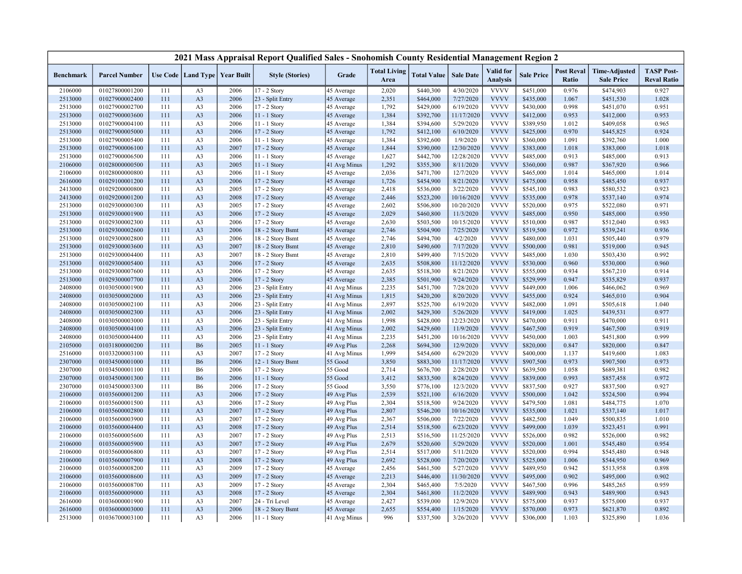|                    |                                  |            |                                   |              | 2021 Mass Appraisal Report Qualified Sales - Snohomish County Residential Management Region 2 |                              |                             |                        |                        |                              |                        |                                   |                                           |                                         |
|--------------------|----------------------------------|------------|-----------------------------------|--------------|-----------------------------------------------------------------------------------------------|------------------------------|-----------------------------|------------------------|------------------------|------------------------------|------------------------|-----------------------------------|-------------------------------------------|-----------------------------------------|
| <b>Benchmark</b>   | <b>Parcel Number</b>             |            | Use Code   Land Type   Year Built |              | <b>Style (Stories)</b>                                                                        | Grade                        | <b>Total Living</b><br>Area | <b>Total Value</b>     | <b>Sale Date</b>       | Valid for<br><b>Analysis</b> | <b>Sale Price</b>      | <b>Post Reval</b><br><b>Ratio</b> | <b>Time-Adjusted</b><br><b>Sale Price</b> | <b>TASP Post-</b><br><b>Reval Ratio</b> |
| 2106000            | 01027800001200                   | 111        | A <sub>3</sub>                    | 2006         | 17 - 2 Story                                                                                  | 45 Average                   | 2,020                       | \$440,300              | 4/30/2020              | <b>VVVV</b>                  | \$451,000              | 0.976                             | \$474,903                                 | 0.927                                   |
| 2513000            | 01027900002400                   | 111        | A <sub>3</sub>                    | 2006         | 23 - Split Entry                                                                              | 45 Average                   | 2,351                       | \$464,000              | 7/27/2020              | <b>VVVV</b>                  | \$435,000              | 1.067                             | \$451,530                                 | 1.028                                   |
| 2513000            | 01027900002700                   | 111        | A <sub>3</sub>                    | 2006         | 17 - 2 Story                                                                                  | 45 Average                   | 1,792                       | \$429,000              | 6/19/2020              | <b>VVVV</b>                  | \$430,000              | 0.998                             | \$451,070                                 | 0.951                                   |
| 2513000            | 01027900003600                   | 111        | A <sub>3</sub>                    | 2006         | 11 - 1 Story                                                                                  | 45 Average                   | 1,384                       | \$392,700              | 11/17/2020             | <b>VVVV</b>                  | \$412,000              | 0.953                             | \$412,000                                 | 0.953                                   |
| 2513000            | 01027900004100                   | 111        | A <sub>3</sub>                    | 2006         | $11 - 1$ Story                                                                                | 45 Average                   | 1,384                       | \$394,600              | 5/29/2020              | <b>VVVV</b>                  | \$389,950              | 1.012                             | \$409,058                                 | 0.965                                   |
| 2513000            | 01027900005000                   | 111        | A <sub>3</sub>                    | 2006         | 17 - 2 Story                                                                                  | 45 Average                   | 1,792                       | \$412,100              | 6/10/2020              | <b>VVVV</b>                  | \$425,000              | 0.970                             | \$445,825                                 | 0.924                                   |
| 2513000            | 01027900005400                   | 111        | A <sub>3</sub>                    | 2006         | $11 - 1$ Story                                                                                | 45 Average                   | 1,384                       | \$392,600              | 1/9/2020               | <b>VVVV</b>                  | \$360,000              | 1.091                             | \$392,760                                 | 1.000                                   |
| 2513000            | 01027900006100                   | 111        | A <sub>3</sub>                    | 2007         | 17 - 2 Story                                                                                  | 45 Average                   | 1,844                       | \$390,000              | 12/30/2020             | <b>VVVV</b>                  | \$383,000              | 1.018                             | \$383,000                                 | 1.018                                   |
| 2513000            | 01027900006500                   | 111        | A <sub>3</sub>                    | 2006         | 11 - 1 Story                                                                                  | 45 Average                   | 1,627                       | \$442,700              | 12/28/2020             | <b>VVVV</b>                  | \$485,000              | 0.913                             | \$485,000                                 | 0.913                                   |
| 2106000            | 01028000000500                   | 111        | A <sub>3</sub>                    | 2005         | 11 - 1 Story                                                                                  | 41 Avg Minus                 | 1,292                       | \$355,300              | 8/11/2020              | <b>VVVV</b>                  | \$360,000              | 0.987                             | \$367,920                                 | 0.966                                   |
| 2106000            | 01028000000800                   | 111        | A <sub>3</sub>                    | 2006         | 11 - 1 Story                                                                                  | 45 Average                   | 2,036                       | \$471,700              | 12/7/2020              | <b>VVVV</b>                  | \$465,000              | 1.014                             | \$465,000                                 | 1.014                                   |
| 2616000            | 01029100001200                   | 111        | A <sub>3</sub>                    | 2006         | 17 - 2 Story                                                                                  | 45 Average                   | 1,726                       | \$454,900              | 8/21/2020              | <b>VVVV</b>                  | \$475,000              | 0.958                             | \$485,450                                 | 0.937                                   |
| 2413000            | 01029200000800                   | 111        | A <sub>3</sub>                    | 2005         | 17 - 2 Story                                                                                  | 45 Average                   | 2,418                       | \$536,000              | 3/22/2020              | <b>VVVV</b>                  | \$545,100              | 0.983                             | \$580,532                                 | 0.923                                   |
| 2413000            | 01029200001200                   | 111        | A <sub>3</sub>                    | 2008         | 17 - 2 Story                                                                                  | 45 Average                   | 2,446                       | \$523,200              | 10/16/2020             | <b>VVVV</b>                  | \$535,000              | 0.978                             | \$537,140                                 | 0.974                                   |
| 2513000            | 01029300000300                   | 111        | A <sub>3</sub>                    | 2005         | 17 - 2 Story                                                                                  | 45 Average                   | 2,602                       | \$506,800              | 10/20/2020             | <b>VVVV</b>                  | \$520,000              | 0.975                             | \$522,080                                 | 0.971                                   |
| 2513000            | 01029300001900                   | 111        | A <sub>3</sub>                    | 2006         | 17 - 2 Story                                                                                  | 45 Average                   | 2,029                       | \$460,800              | 11/3/2020              | <b>VVVV</b>                  | \$485,000              | 0.950                             | \$485,000                                 | 0.950                                   |
| 2513000            | 01029300002300                   | 111        | A <sub>3</sub>                    | 2006         | 17 - 2 Story                                                                                  | 45 Average                   | 2,630                       | \$503,500              | 10/15/2020             | <b>VVVV</b>                  | \$510,000              | 0.987                             | \$512,040                                 | 0.983                                   |
| 2513000            | 01029300002600                   | 111        | A <sub>3</sub>                    | 2006         | 18 - 2 Story Bsmt                                                                             | 45 Average                   | 2,746                       | \$504,900              | 7/25/2020              | <b>VVVV</b>                  | \$519,500              | 0.972                             | \$539,241                                 | 0.936                                   |
| 2513000            | 01029300002800                   | 111        | A <sub>3</sub>                    | 2006         | 18 - 2 Story Bsmt                                                                             | 45 Average                   | 2,746                       | \$494,700              | 4/2/2020               | <b>VVVV</b>                  | \$480,000              | 1.031                             | \$505,440                                 | 0.979                                   |
| 2513000            | 01029300003600                   | 111        | A <sub>3</sub>                    | 2007         | 18 - 2 Story Bsmt                                                                             | 45 Average                   | 2,810                       | \$490,600              | 7/17/2020              | <b>VVVV</b>                  | \$500,000              | 0.981                             | \$519,000                                 | 0.945                                   |
| 2513000            | 01029300004400                   | 111        | A <sub>3</sub>                    | 2007         | 18 - 2 Story Bsmt                                                                             | 45 Average                   | 2,810                       | \$499,400              | 7/15/2020              | <b>VVVV</b>                  | \$485,000              | 1.030                             | \$503,430                                 | 0.992                                   |
| 2513000            | 01029300005400                   | 111        | A <sub>3</sub>                    | 2006         | 17 - 2 Story                                                                                  | 45 Average                   | 2,635                       | \$508,800              | 11/12/2020             | <b>VVVV</b>                  | \$530,000              | 0.960                             | \$530,000                                 | 0.960                                   |
| 2513000            | 01029300007600                   | 111        | A <sub>3</sub>                    | 2006         | 17 - 2 Story                                                                                  | 45 Average                   | 2,635                       | \$518,300              | 8/21/2020              | <b>VVVV</b>                  | \$555,000              | 0.934                             | \$567,210                                 | 0.914                                   |
| 2513000            | 01029300007700                   | 111        | A <sub>3</sub>                    | 2006         | 17 - 2 Story                                                                                  | 45 Average                   | 2,385                       | \$501,900              | 9/24/2020              | <b>VVVV</b>                  | \$529,999              | 0.947                             | \$535,829                                 | 0.937                                   |
| 2408000            | 01030500001900                   | 111        | A <sub>3</sub>                    | 2006         | 23 - Split Entry                                                                              | 41 Avg Minus                 | 2,235                       | \$451,700              | 7/28/2020              | <b>VVVV</b>                  | \$449,000              | 1.006                             | \$466,062                                 | 0.969                                   |
| 2408000            | 01030500002000                   | 111        | A <sub>3</sub>                    | 2006         | 23 - Split Entry                                                                              | 41 Avg Minus                 | 1,815                       | \$420,200              | 8/20/2020              | <b>VVVV</b><br><b>VVVV</b>   | \$455,000              | 0.924                             | \$465,010                                 | 0.904                                   |
| 2408000            | 01030500002100                   | 111        | A <sub>3</sub>                    | 2006         | 23 - Split Entry                                                                              | 41 Avg Minus                 | 2,897                       | \$525,700              | 6/19/2020<br>5/26/2020 | <b>VVVV</b>                  | \$482,000              | 1.091                             | \$505,618                                 | 1.040<br>0.977                          |
| 2408000<br>2408000 | 01030500002300<br>01030500003000 | 111<br>111 | A <sub>3</sub><br>A <sub>3</sub>  | 2006<br>2006 | 23 - Split Entry<br>23 - Split Entry                                                          | 41 Avg Minus<br>41 Avg Minus | 2,002<br>1,998              | \$429,300<br>\$428,000 | 12/23/2020             | <b>VVVV</b>                  | \$419,000<br>\$470,000 | 1.025<br>0.911                    | \$439,531<br>\$470,000                    | 0.911                                   |
| 2408000            | 01030500004100                   | 111        | A <sub>3</sub>                    | 2006         | 23 - Split Entry                                                                              |                              | 2,002                       | \$429,600              | 11/9/2020              | <b>VVVV</b>                  | \$467,500              | 0.919                             | \$467,500                                 | 0.919                                   |
| 2408000            | 01030500004400                   | 111        | A <sub>3</sub>                    | 2006         | 23 - Split Entry                                                                              | 41 Avg Minus<br>41 Avg Minus | 2,235                       | \$451,200              | 10/16/2020             | <b>VVVV</b>                  | \$450,000              | 1.003                             | \$451,800                                 | 0.999                                   |
| 2105000            | 01031800000200                   | 111        | <b>B6</b>                         | 2005         | 11 - 1 Story                                                                                  | 49 Avg Plus                  | 2,268                       | \$694,300              | 12/9/2020              | <b>VVVV</b>                  | \$820,000              | 0.847                             | \$820,000                                 | 0.847                                   |
| 2516000            | 01033200003100                   | 111        | A <sub>3</sub>                    | 2007         | 17 - 2 Story                                                                                  | 41 Avg Minus                 | 1,999                       | \$454,600              | 6/29/2020              | <b>VVVV</b>                  | \$400,000              | 1.137                             | \$419,600                                 | 1.083                                   |
| 2307000            | 01034500001000                   | 111        | <b>B6</b>                         | 2006         | 12 - 1 Story Bsmt                                                                             | 55 Good                      | 3,850                       | \$883,300              | 11/17/2020             | <b>VVVV</b>                  | \$907,500              | 0.973                             | \$907,500                                 | 0.973                                   |
| 2307000            | 01034500001100                   | 111        | <b>B6</b>                         | 2006         | 17 - 2 Story                                                                                  | 55 Good                      | 2,714                       | \$676,700              | 2/28/2020              | <b>VVVV</b>                  | \$639,500              | 1.058                             | \$689,381                                 | 0.982                                   |
| 2307000            | 01034500001300                   | 111        | <b>B6</b>                         | 2006         | 11 - 1 Story                                                                                  | 55 Good                      | 3,412                       | \$833,500              | 8/24/2020              | <b>VVVV</b>                  | \$839,000              | 0.993                             | \$857,458                                 | 0.972                                   |
| 2307000            | 01034500003300                   | 111        | <b>B6</b>                         | 2006         | $17 - 2$ Story                                                                                | 55 Good                      | 3,550                       | \$776,100              | 12/3/2020              | <b>VVVV</b>                  | \$837,500              | 0.927                             | \$837,500                                 | 0.927                                   |
| 2106000            | 01035600001200                   | 111        | A <sub>3</sub>                    | 2006         | 17 - 2 Story                                                                                  | 49 Avg Plus                  | 2,539                       | \$521,100              | 6/16/2020              | <b>VVVV</b>                  | \$500,000              | 1.042                             | \$524,500                                 | 0.994                                   |
| 2106000            | 01035600001500                   | 111        | A <sub>3</sub>                    | 2006         | 17 - 2 Story                                                                                  | 49 Avg Plus                  | 2,304                       | \$518,500              | 9/24/2020              | <b>VVVV</b>                  | \$479,500              | 1.081                             | \$484,775                                 | 1.070                                   |
| 2106000            | 01035600002800                   | 111        | A <sub>3</sub>                    | 2007         | 17 - 2 Story                                                                                  | 49 Avg Plus                  | 2,807                       | \$546,200              | 10/16/2020             | <b>VVVV</b>                  | \$535,000              | 1.021                             | \$537,140                                 | 1.017                                   |
| 2106000            | 01035600003900                   | 111        | A <sub>3</sub>                    | 2007         | 17 - 2 Story                                                                                  | 49 Avg Plus                  | 2,367                       | \$506,000              | 7/22/2020              | <b>VVVV</b>                  | \$482,500              | 1.049                             | \$500,835                                 | 1.010                                   |
| 2106000            | 01035600004400                   | 111        | A <sub>3</sub>                    | 2008         | 17 - 2 Story                                                                                  | 49 Avg Plus                  | 2,514                       | \$518,500              | 6/23/2020              | <b>VVVV</b>                  | \$499,000              | 1.039                             | \$523,451                                 | 0.991                                   |
| 2106000            | 01035600005600                   | 111        | A <sub>3</sub>                    | 2007         | 17 - 2 Story                                                                                  | 49 Avg Plus                  | 2,513                       | \$516,500              | 11/25/2020             | <b>VVVV</b>                  | \$526,000              | 0.982                             | \$526,000                                 | 0.982                                   |
| 2106000            | 01035600005900                   | 111        | A <sub>3</sub>                    | 2007         | 17 - 2 Story                                                                                  | 49 Avg Plus                  | 2,679                       | \$520,600              | 5/29/2020              | <b>VVVV</b>                  | \$520,000              | 1.001                             | \$545,480                                 | 0.954                                   |
| 2106000            | 01035600006800                   | 111        | A <sub>3</sub>                    | 2007         | 17 - 2 Story                                                                                  | 49 Avg Plus                  | 2,514                       | \$517,000              | 5/11/2020              | <b>VVVV</b>                  | \$520,000              | 0.994                             | \$545,480                                 | 0.948                                   |
| 2106000            | 01035600007900                   | 111        | A <sub>3</sub>                    | 2008         | 17 - 2 Story                                                                                  | 49 Avg Plus                  | 2,692                       | \$528,000              | 7/20/2020              | <b>VVVV</b>                  | \$525,000              | 1.006                             | \$544,950                                 | 0.969                                   |
| 2106000            | 01035600008200                   | 111        | A <sub>3</sub>                    | 2009         | 17 - 2 Story                                                                                  | 45 Average                   | 2,456                       | \$461,500              | 5/27/2020              | <b>VVVV</b>                  | \$489,950              | 0.942                             | \$513,958                                 | 0.898                                   |
| 2106000            | 01035600008600                   | 111        | A <sub>3</sub>                    | 2009         | 17 - 2 Story                                                                                  | 45 Average                   | 2,213                       | \$446,400              | 11/30/2020             | <b>VVVV</b>                  | \$495,000              | 0.902                             | \$495,000                                 | 0.902                                   |
| 2106000            | 01035600008700                   | 111        | A <sub>3</sub>                    | 2009         | 17 - 2 Story                                                                                  | 45 Average                   | 2,304                       | \$465,400              | 7/5/2020               | <b>VVVV</b>                  | \$467,500              | 0.996                             | \$485,265                                 | 0.959                                   |
| 2106000            | 01035600009000                   | 111        | A <sub>3</sub>                    | 2008         | 17 - 2 Story                                                                                  | 45 Average                   | 2,304                       | \$461,800              | 11/2/2020              | <b>VVVV</b>                  | \$489,900              | 0.943                             | \$489,900                                 | 0.943                                   |
| 2616000            | 01036000001900                   | 111        | A <sub>3</sub>                    | 2007         | 24 - Tri Level                                                                                | 45 Average                   | 2,427                       | \$539,000              | 12/9/2020              | <b>VVVV</b>                  | \$575,000              | 0.937                             | \$575,000                                 | 0.937                                   |
| 2616000            | 01036000003000                   | 111        | A <sub>3</sub>                    | 2006         | 18 - 2 Story Bsmt                                                                             | 45 Average                   | 2,655                       | \$554,400              | 1/15/2020              | <b>VVVV</b>                  | \$570,000              | 0.973                             | \$621,870                                 | 0.892                                   |
| 2513000            | 01036700003100                   | 111        | A <sub>3</sub>                    | 2006         | 11 - 1 Story                                                                                  | 41 Avg Minus                 | 996                         | \$337,500              | 3/26/2020              | <b>VVVV</b>                  | \$306,000              | 1.103                             | \$325,890                                 | 1.036                                   |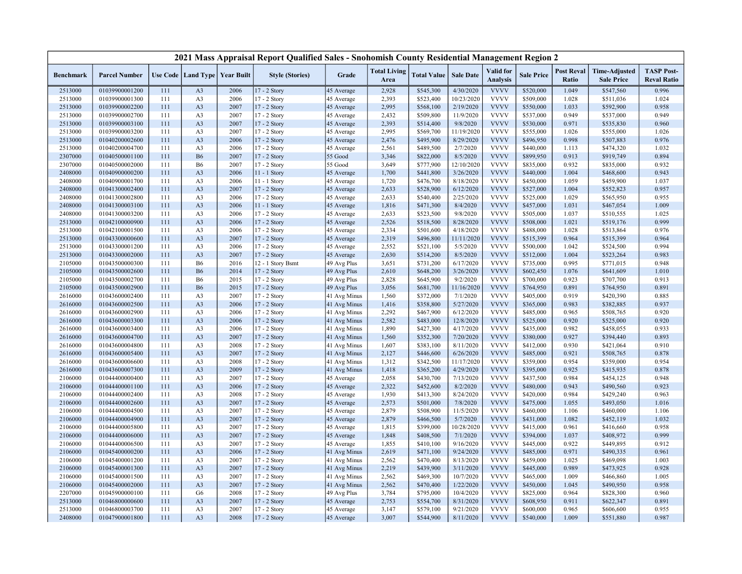|                    |                                  |            |                                   |              | 2021 Mass Appraisal Report Qualified Sales - Snohomish County Residential Management Region 2 |                              |                             |                        |                        |                              |                        |                            |                                           |                                         |
|--------------------|----------------------------------|------------|-----------------------------------|--------------|-----------------------------------------------------------------------------------------------|------------------------------|-----------------------------|------------------------|------------------------|------------------------------|------------------------|----------------------------|-------------------------------------------|-----------------------------------------|
| <b>Benchmark</b>   | <b>Parcel Number</b>             |            | Use Code   Land Type   Year Built |              | <b>Style (Stories)</b>                                                                        | Grade                        | <b>Total Living</b><br>Area | <b>Total Value</b>     | <b>Sale Date</b>       | Valid for<br><b>Analysis</b> | <b>Sale Price</b>      | <b>Post Reval</b><br>Ratio | <b>Time-Adjusted</b><br><b>Sale Price</b> | <b>TASP Post-</b><br><b>Reval Ratio</b> |
| 2513000            | 01039900001200                   | 111        | A <sub>3</sub>                    | 2006         | 17 - 2 Story                                                                                  | 45 Average                   | 2,928                       | \$545,300              | 4/30/2020              | <b>VVVV</b>                  | \$520,000              | 1.049                      | \$547,560                                 | 0.996                                   |
| 2513000            | 01039900001300                   | 111        | A <sub>3</sub>                    | 2006         | 17 - 2 Story                                                                                  | 45 Average                   | 2,393                       | \$523,400              | 10/23/2020             | <b>VVVV</b>                  | \$509,000              | 1.028                      | \$511,036                                 | 1.024                                   |
| 2513000            | 01039900002200                   | 111        | A <sub>3</sub>                    | 2007         | 17 - 2 Story                                                                                  | 45 Average                   | 2,995                       | \$568,100              | 2/19/2020              | <b>VVVV</b>                  | \$550,000              | 1.033                      | \$592,900                                 | 0.958                                   |
| 2513000            | 01039900002700                   | 111        | A <sub>3</sub>                    | 2007         | 17 - 2 Story                                                                                  | 45 Average                   | 2,432                       | \$509,800              | 11/9/2020              | <b>VVVV</b>                  | \$537,000              | 0.949                      | \$537,000                                 | 0.949                                   |
| 2513000            | 01039900003100                   | 111        | A <sub>3</sub>                    | 2007         | 17 - 2 Story                                                                                  | 45 Average                   | 2,393                       | \$514,400              | 9/8/2020               | <b>VVVV</b>                  | \$530,000              | 0.971                      | \$535,830                                 | 0.960                                   |
| 2513000            | 01039900003200                   | 111        | A <sub>3</sub>                    | 2007         | 17 - 2 Story                                                                                  | 45 Average                   | 2,995                       | \$569,700              | 11/19/2020             | <b>VVVV</b>                  | \$555,000              | 1.026                      | \$555,000                                 | 1.026                                   |
| 2513000            | 01040200002600                   | 111        | A <sub>3</sub>                    | 2006         | 17 - 2 Story                                                                                  | 45 Average                   | 2,476                       | \$495,900              | 8/29/2020              | <b>VVVV</b>                  | \$496,950              | 0.998                      | \$507,883                                 | 0.976                                   |
| 2513000            | 01040200004700                   | 111        | A <sub>3</sub>                    | 2006         | 17 - 2 Story                                                                                  | 45 Average                   | 2,561                       | \$489,500              | 2/7/2020               | <b>VVVV</b>                  | \$440,000              | 1.113                      | \$474,320                                 | 1.032                                   |
| 2307000            | 01040500001100                   | 111        | <b>B6</b>                         | 2007         | $17 - 2$ Story                                                                                | 55 Good                      | 3,346                       | \$822,000              | 8/5/2020               | <b>VVVV</b>                  | \$899,950              | 0.913                      | \$919,749                                 | 0.894                                   |
| 2307000            | 01040500002000                   | 111        | <b>B6</b>                         | 2007         | 17 - 2 Story                                                                                  | 55 Good                      | 3,649                       | \$777,900              | 12/10/2020             | <b>VVVV</b>                  | \$835,000              | 0.932                      | \$835,000                                 | 0.932                                   |
| 2408000            | 01040900000200                   | 111        | A <sub>3</sub>                    | 2006         | 11 - 1 Story                                                                                  | 45 Average                   | 1,700                       | \$441,800              | 3/26/2020              | <b>VVVV</b>                  | \$440,000              | 1.004                      | \$468,600                                 | 0.943                                   |
| 2408000            | 01040900001700                   | 111        | A <sub>3</sub>                    | 2006         | $11 - 1$ Story                                                                                | 45 Average                   | 1,720                       | \$476,700              | 8/18/2020              | <b>VVVV</b>                  | \$450,000              | 1.059                      | \$459,900                                 | 1.037                                   |
| 2408000            | 01041300002400                   | 111        | A <sub>3</sub>                    | 2007         | 17 - 2 Story                                                                                  | 45 Average                   | 2,633                       | \$528,900              | 6/12/2020              | <b>VVVV</b>                  | \$527,000              | 1.004                      | \$552,823                                 | 0.957                                   |
| 2408000            | 01041300002800                   | 111        | A <sub>3</sub>                    | 2006         | 17 - 2 Story                                                                                  | 45 Average                   | 2,633                       | \$540,400              | 2/25/2020              | <b>VVVV</b>                  | \$525,000              | 1.029                      | \$565,950                                 | 0.955                                   |
| 2408000            | 01041300003100                   | 111        | A <sub>3</sub>                    | 2006         | 11 - 1 Story                                                                                  | 45 Average                   | 1,816                       | \$471,300              | 8/4/2020               | <b>VVVV</b>                  | \$457,000              | 1.031                      | \$467,054                                 | 1.009                                   |
| 2408000            | 01041300003200                   | 111        | A <sub>3</sub>                    | 2006         | 17 - 2 Story                                                                                  | 45 Average                   | 2,633                       | \$523,500              | 9/8/2020               | <b>VVVV</b>                  | \$505,000              | 1.037                      | \$510,555                                 | 1.025                                   |
| 2513000            | 01042100000900                   | 111        | A <sub>3</sub>                    | 2006         | 17 - 2 Story                                                                                  | 45 Average                   | 2,526                       | \$518,500              | 8/28/2020              | <b>VVVV</b>                  | \$508,000              | 1.021                      | \$519,176                                 | 0.999                                   |
| 2513000            | 01042100001500                   | 111        | A <sub>3</sub>                    | 2006         | 17 - 2 Story                                                                                  | 45 Average                   | 2,334                       | \$501,600              | 4/18/2020              | <b>VVVV</b>                  | \$488,000              | 1.028                      | \$513,864                                 | 0.976                                   |
| 2513000            | 01043300000600                   | 111        | A <sub>3</sub>                    | 2007         | 17 - 2 Story                                                                                  | 45 Average                   | 2,319                       | \$496,800              | 11/11/2020             | <b>VVVV</b>                  | \$515,399              | 0.964                      | \$515,399                                 | 0.964                                   |
| 2513000            | 01043300001200                   | 111        | A <sub>3</sub>                    | 2006         | $17 - 2$ Story                                                                                | 45 Average                   | 2,552                       | \$521,100              | 5/5/2020               | <b>VVVV</b>                  | \$500,000              | 1.042                      | \$524,500                                 | 0.994                                   |
| 2513000            | 01043300002000                   | 111        | A <sub>3</sub>                    | 2007         | 17 - 2 Story                                                                                  | 45 Average                   | 2,630                       | \$514,200              | 8/5/2020               | <b>VVVV</b>                  | \$512,000              | 1.004                      | \$523,264                                 | 0.983                                   |
| 2105000            | 01043500000300                   | 111        | <b>B6</b>                         | 2016         | 12 - 1 Story Bsmt                                                                             | 49 Avg Plus                  | 3,651                       | \$731,200              | 6/17/2020              | <b>VVVV</b>                  | \$735,000              | 0.995                      | \$771,015                                 | 0.948                                   |
| 2105000            | 01043500002600                   | 111        | <b>B6</b>                         | 2014         | 17 - 2 Story                                                                                  | 49 Avg Plus                  | 2,610                       | \$648,200              | 3/26/2020              | <b>VVVV</b>                  | \$602,450              | 1.076                      | \$641,609                                 | 1.010                                   |
| 2105000            | 01043500002700                   | 111        | <b>B6</b>                         | 2015         | 17 - 2 Story                                                                                  | 49 Avg Plus                  | 2,828                       | \$645,900              | 9/2/2020               | <b>VVVV</b>                  | \$700,000              | 0.923                      | \$707,700                                 | 0.913                                   |
| 2105000            | 01043500002900                   | 111        | <b>B6</b>                         | 2015         | 17 - 2 Story                                                                                  | 49 Avg Plus                  | 3,056                       | \$681,700              | 11/16/2020             | <b>VVVV</b><br><b>VVVV</b>   | \$764,950              | 0.891                      | \$764,950                                 | 0.891                                   |
| 2616000            | 01043600002400                   | 111        | A <sub>3</sub>                    | 2007         | 17 - 2 Story                                                                                  | 41 Avg Minus                 | 1,560                       | \$372,000              | 7/1/2020               |                              | \$405,000              | 0.919                      | \$420,390                                 | 0.885                                   |
| 2616000            | 01043600002500                   | 111        | A <sub>3</sub>                    | 2006         | 17 - 2 Story                                                                                  | 41 Avg Minus                 | 1,416                       | \$358,800              | 5/27/2020              | <b>VVVV</b><br><b>VVVV</b>   | \$365,000              | 0.983                      | \$382,885                                 | 0.937                                   |
| 2616000<br>2616000 | 01043600002900<br>01043600003300 | 111<br>111 | A <sub>3</sub><br>A <sub>3</sub>  | 2006<br>2006 | 17 - 2 Story                                                                                  | 41 Avg Minus                 | 2,292<br>2,582              | \$467,900<br>\$483,000 | 6/12/2020<br>12/8/2020 | <b>VVVV</b>                  | \$485,000<br>\$525,000 | 0.965<br>0.920             | \$508,765<br>\$525,000                    | 0.920<br>0.920                          |
|                    | 01043600003400                   | 111        | A <sub>3</sub>                    | 2006         | 17 - 2 Story                                                                                  | 41 Avg Minus                 | 1,890                       |                        | 4/17/2020              | <b>VVVV</b>                  | \$435,000              | 0.982                      | \$458,055                                 | 0.933                                   |
| 2616000<br>2616000 | 01043600004700                   | 111        | A <sub>3</sub>                    | 2007         | 17 - 2 Story<br>17 - 2 Story                                                                  | 41 Avg Minus<br>41 Avg Minus | 1,560                       | \$427,300<br>\$352,300 | 7/20/2020              | <b>VVVV</b>                  | \$380,000              | 0.927                      | \$394,440                                 | 0.893                                   |
| 2616000            | 01043600004800                   | 111        | A <sub>3</sub>                    | 2008         | 17 - 2 Story                                                                                  | 41 Avg Minus                 | 1,607                       | \$383,100              | 8/11/2020              | <b>VVVV</b>                  | \$412,000              | 0.930                      | \$421,064                                 | 0.910                                   |
| 2616000            | 01043600005400                   | 111        | A <sub>3</sub>                    | 2007         | 17 - 2 Story                                                                                  | 41 Avg Minus                 | 2,127                       | \$446,600              | 6/26/2020              | <b>VVVV</b>                  | \$485,000              | 0.921                      | \$508,765                                 | 0.878                                   |
| 2616000            | 01043600006600                   | 111        | A <sub>3</sub>                    | 2008         | 17 - 2 Story                                                                                  | 41 Avg Minus                 | 1,312                       | \$342,500              | 11/17/2020             | <b>VVVV</b>                  | \$359,000              | 0.954                      | \$359,000                                 | 0.954                                   |
| 2616000            | 01043600007300                   | 111        | A <sub>3</sub>                    | 2009         | $17 - 2$ Story                                                                                | 41 Avg Minus                 | 1,418                       | \$365,200              | 4/29/2020              | <b>VVVV</b>                  | \$395,000              | 0.925                      | \$415,935                                 | 0.878                                   |
| 2106000            | 01044400000400                   | 111        | A <sub>3</sub>                    | 2007         | 17 - 2 Story                                                                                  | 45 Average                   | 2,058                       | \$430,700              | 7/13/2020              | <b>VVVV</b>                  | \$437,500              | 0.984                      | \$454,125                                 | 0.948                                   |
| 2106000            | 01044400001100                   | 111        | A <sub>3</sub>                    | 2006         | 17 - 2 Story                                                                                  | 45 Average                   | 2,322                       | \$452,600              | 8/2/2020               | <b>VVVV</b>                  | \$480,000              | 0.943                      | \$490,560                                 | 0.923                                   |
| 2106000            | 01044400002400                   | 111        | A <sub>3</sub>                    | 2008         | 17 - 2 Story                                                                                  | 45 Average                   | 1,930                       | \$413,300              | 8/24/2020              | <b>VVVV</b>                  | \$420,000              | 0.984                      | \$429,240                                 | 0.963                                   |
| 2106000            | 01044400002600                   | 111        | A <sub>3</sub>                    | 2007         | $17 - 2$ Story                                                                                | 45 Average                   | 2,573                       | \$501,000              | 7/8/2020               | <b>VVVV</b>                  | \$475,000              | 1.055                      | \$493,050                                 | 1.016                                   |
| 2106000            | 01044400004500                   | 111        | A <sub>3</sub>                    | 2007         | 17 - 2 Story                                                                                  | 45 Average                   | 2,879                       | \$508,900              | 11/5/2020              | <b>VVVV</b>                  | \$460,000              | 1.106                      | \$460,000                                 | 1.106                                   |
| 2106000            | 01044400004900                   | 111        | A <sub>3</sub>                    | 2007         | 17 - 2 Story                                                                                  | 45 Average                   | 2,879                       | \$466,500              | 5/7/2020               | <b>VVVV</b>                  | \$431,000              | 1.082                      | \$452,119                                 | 1.032                                   |
| 2106000            | 01044400005800                   | 111        | A <sub>3</sub>                    | 2007         | 17 - 2 Story                                                                                  | 45 Average                   | 1,815                       | \$399,000              | 10/28/2020             | <b>VVVV</b>                  | \$415,000              | 0.961                      | \$416,660                                 | 0.958                                   |
| 2106000            | 01044400006000                   | 111        | A <sub>3</sub>                    | 2007         | 17 - 2 Story                                                                                  | 45 Average                   | 1,848                       | \$408,500              | 7/1/2020               | <b>VVVV</b>                  | \$394,000              | 1.037                      | \$408,972                                 | 0.999                                   |
| 2106000            | 01044400006500                   | 111        | A <sub>3</sub>                    | 2007         | 17 - 2 Story                                                                                  | 45 Average                   | 1,855                       | \$410,100              | 9/16/2020              | <b>VVVV</b>                  | \$445,000              | 0.922                      | \$449,895                                 | 0.912                                   |
| 2106000            | 01045400000200                   | 111        | A <sub>3</sub>                    | 2006         | 17 - 2 Story                                                                                  | 41 Avg Minus                 | 2,619                       | \$471,100              | 9/24/2020              | <b>VVVV</b>                  | \$485,000              | 0.971                      | \$490,335                                 | 0.961                                   |
| 2106000            | 01045400001200                   | 111        | A <sub>3</sub>                    | 2007         | 17 - 2 Story                                                                                  | 41 Avg Minus                 | 2,562                       | \$470,400              | 8/13/2020              | <b>VVVV</b>                  | \$459,000              | 1.025                      | \$469,098                                 | 1.003                                   |
| 2106000            | 01045400001300                   | 111        | A <sub>3</sub>                    | 2007         | 17 - 2 Story                                                                                  | 41 Avg Minus                 | 2,219                       | \$439,900              | 3/11/2020              | <b>VVVV</b>                  | \$445,000              | 0.989                      | \$473,925                                 | 0.928                                   |
| 2106000            | 01045400001500                   | 111        | A <sub>3</sub>                    | 2007         | 17 - 2 Story                                                                                  | 41 Avg Minus                 | 2,562                       | \$469,300              | 10/7/2020              | <b>VVVV</b>                  | \$465,000              | 1.009                      | \$466,860                                 | 1.005                                   |
| 2106000            | 01045400002000                   | 111        | A <sub>3</sub>                    | 2007         | 17 - 2 Story                                                                                  | 41 Avg Minus                 | 2,562                       | \$470,400              | 1/22/2020              | <b>VVVV</b>                  | \$450,000              | 1.045                      | \$490,950                                 | 0.958                                   |
| 2207000            | 01045900000100                   | 111        | G <sub>6</sub>                    | 2008         | 17 - 2 Story                                                                                  | 49 Avg Plus                  | 3,784                       | \$795,000              | 10/4/2020              | <b>VVVV</b>                  | \$825,000              | 0.964                      | \$828,300                                 | 0.960                                   |
| 2513000            | 01046800000600                   | 111        | A <sub>3</sub>                    | 2007         | 17 - 2 Story                                                                                  | 45 Average                   | 2,753                       | \$554,700              | 8/31/2020              | <b>VVVV</b>                  | \$608,950              | 0.911                      | \$622,347                                 | 0.891                                   |
| 2513000            | 01046800003700                   | 111        | A <sub>3</sub>                    | 2007         | 17 - 2 Story                                                                                  | 45 Average                   | 3,147                       | \$579,100              | 9/21/2020              | <b>VVVV</b>                  | \$600,000              | 0.965                      | \$606,600                                 | 0.955                                   |
| 2408000            | 01047900001800                   | 111        | A <sub>3</sub>                    | 2008         | 17 - 2 Story                                                                                  | 45 Average                   | 3,007                       | \$544,900              | 8/11/2020              | <b>VVVV</b>                  | \$540,000              | 1.009                      | \$551,880                                 | 0.987                                   |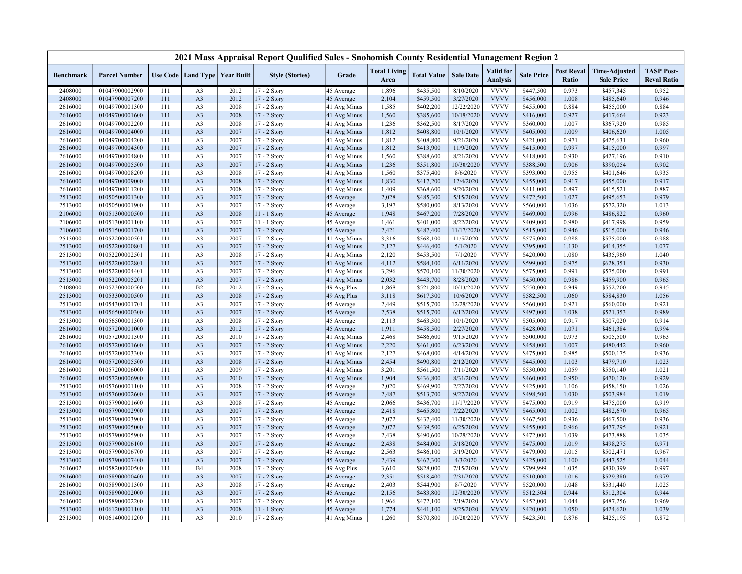|                  |                                  |            |                |                                   | 2021 Mass Appraisal Report Qualified Sales - Snohomish County Residential Management Region 2 |              |                             |                        |                        |                                     |                   |                            |                                           |                                         |
|------------------|----------------------------------|------------|----------------|-----------------------------------|-----------------------------------------------------------------------------------------------|--------------|-----------------------------|------------------------|------------------------|-------------------------------------|-------------------|----------------------------|-------------------------------------------|-----------------------------------------|
| <b>Benchmark</b> | <b>Parcel Number</b>             |            |                | Use Code   Land Type   Year Built | <b>Style (Stories)</b>                                                                        | Grade        | <b>Total Living</b><br>Area | <b>Total Value</b>     | <b>Sale Date</b>       | <b>Valid</b> for<br><b>Analysis</b> | <b>Sale Price</b> | <b>Post Reval</b><br>Ratio | <b>Time-Adjusted</b><br><b>Sale Price</b> | <b>TASP Post-</b><br><b>Reval Ratio</b> |
| 2408000          | 01047900002900                   | 111        | A <sub>3</sub> | 2012                              | 17 - 2 Story                                                                                  | 45 Average   | 1,896                       | \$435,500              | 8/10/2020              | <b>VVVV</b>                         | \$447,500         | 0.973                      | \$457,345                                 | 0.952                                   |
| 2408000          | 01047900007200                   | 111        | A <sub>3</sub> | 2012                              | 17 - 2 Story                                                                                  | 45 Average   | 2,104                       | \$459,500              | 3/27/2020              | <b>VVVV</b>                         | \$456,000         | 1.008                      | \$485,640                                 | 0.946                                   |
| 2616000          | 01049700001300                   | 111        | A <sub>3</sub> | 2008                              | 17 - 2 Story                                                                                  | 41 Avg Minus | 1,585                       | \$402,200              | 12/22/2020             | <b>VVVV</b>                         | \$455,000         | 0.884                      | \$455,000                                 | 0.884                                   |
| 2616000          | 01049700001600                   | 111        | A <sub>3</sub> | 2008                              | 17 - 2 Story                                                                                  | 41 Avg Minus | 1,560                       | \$385,600              | 10/19/2020             | <b>VVVV</b>                         | \$416,000         | 0.927                      | \$417,664                                 | 0.923                                   |
| 2616000          | 01049700002200                   | 111        | A <sub>3</sub> | 2008                              | 17 - 2 Story                                                                                  | 41 Avg Minus | 1,236                       | \$362,500              | 8/17/2020              | <b>VVVV</b>                         | \$360,000         | 1.007                      | \$367,920                                 | 0.985                                   |
| 2616000          | 01049700004000                   | 111        | A <sub>3</sub> | 2007                              | 17 - 2 Story                                                                                  | 41 Avg Minus | 1,812                       | \$408,800              | 10/1/2020              | <b>VVVV</b>                         | \$405,000         | 1.009                      | \$406,620                                 | 1.005                                   |
| 2616000          | 01049700004200                   | 111        | A <sub>3</sub> | 2007                              | 17 - 2 Story                                                                                  | 41 Avg Minus | 1,812                       | \$408,800              | 9/21/2020              | <b>VVVV</b>                         | \$421,000         | 0.971                      | \$425,631                                 | 0.960                                   |
| 2616000          | 01049700004300                   | 111        | A <sub>3</sub> | 2007                              | 17 - 2 Story                                                                                  | 41 Avg Minus | 1,812                       | \$413,900              | 11/9/2020              | <b>VVVV</b>                         | \$415,000         | 0.997                      | \$415,000                                 | 0.997                                   |
| 2616000          | 01049700004800                   | 111        | A <sub>3</sub> | 2007                              | 17 - 2 Story                                                                                  | 41 Avg Minus | 1,560                       | \$388,600              | 8/21/2020              | <b>VVVV</b>                         | \$418,000         | 0.930                      | \$427,196                                 | 0.910                                   |
| 2616000          | 01049700005500                   | 111        | A <sub>3</sub> | 2007                              | 17 - 2 Story                                                                                  | 41 Avg Minus | 1,236                       | \$351,800              | 10/30/2020             | <b>VVVV</b>                         | \$388,500         | 0.906                      | \$390,054                                 | 0.902                                   |
| 2616000          | 01049700008200                   | 111        | A <sub>3</sub> | 2008                              | 17 - 2 Story                                                                                  | 41 Avg Minus | 1,560                       | \$375,400              | 8/6/2020               | <b>VVVV</b>                         | \$393,000         | 0.955                      | \$401,646                                 | 0.935                                   |
| 2616000          | 01049700009000                   | 111        | A <sub>3</sub> | 2008                              | 17 - 2 Story                                                                                  | 41 Avg Minus | 1,830                       | \$417,200              | 12/4/2020              | <b>VVVV</b>                         | \$455,000         | 0.917                      | \$455,000                                 | 0.917                                   |
| 2616000          | 01049700011200                   | 111        | A <sub>3</sub> | 2008                              | 17 - 2 Story                                                                                  | 41 Avg Minus | 1,409                       | \$368,600              | 9/20/2020              | <b>VVVV</b>                         | \$411,000         | 0.897                      | \$415,521                                 | 0.887                                   |
| 2513000          | 01050500001300                   | 111        | A <sub>3</sub> | 2007                              | 17 - 2 Story                                                                                  | 45 Average   | 2,028                       | \$485,300              | 5/15/2020              | <b>VVVV</b>                         | \$472,500         | 1.027                      | \$495,653                                 | 0.979                                   |
| 2513000          | 01050500001900                   | 111        | A <sub>3</sub> | 2007                              | $17 - 2$ Story                                                                                | 45 Average   | 3,197                       | \$580,000              | 8/13/2020              | <b>VVVV</b>                         | \$560,000         | 1.036                      | \$572,320                                 | 1.013                                   |
| 2106000          | 01051300000500                   | 111        | A <sub>3</sub> | 2008                              | 11 - 1 Story                                                                                  | 45 Average   | 1,948                       | \$467,200              | 7/28/2020              | <b>VVVV</b>                         | \$469,000         | 0.996                      | \$486,822                                 | 0.960                                   |
| 2106000          | 01051300001100                   | 111        | A <sub>3</sub> | 2007                              | $11 - 1$ Story                                                                                | 45 Average   | 1,461                       | \$401,000              | 8/22/2020              | <b>VVVV</b>                         | \$409,000         | 0.980                      | \$417,998                                 | 0.959                                   |
| 2106000          | 01051500001700                   | 111        | A <sub>3</sub> | 2007                              | 17 - 2 Story                                                                                  | 45 Average   | 2,421                       | \$487,400              | 11/17/2020             | <b>VVVV</b>                         | \$515,000         | 0.946                      | \$515,000                                 | 0.946                                   |
| 2513000          | 01052200000501                   | 111        | A <sub>3</sub> | 2007                              | 17 - 2 Story                                                                                  | 41 Avg Minus | 3,316                       | \$568,100              | 11/5/2020              | <b>VVVV</b>                         | \$575,000         | 0.988                      | \$575,000                                 | 0.988                                   |
| 2513000          | 01052200000801                   | 111        | A <sub>3</sub> | 2007                              | 17 - 2 Story                                                                                  | 41 Avg Minus | 2,127                       | \$446,400              | 5/1/2020               | <b>VVVV</b>                         | \$395,000         | 1.130                      | \$414,355                                 | 1.077                                   |
| 2513000          | 01052200002501                   | 111        | A <sub>3</sub> | 2008                              | 17 - 2 Story                                                                                  | 41 Avg Minus | 2,120                       | \$453,500              | 7/1/2020               | <b>VVVV</b>                         | \$420,000         | 1.080                      | \$435,960                                 | 1.040                                   |
| 2513000          | 01052200002801                   | 111        | A <sub>3</sub> | 2007                              | $17 - 2$ Story                                                                                | 41 Avg Minus | 4,112                       | \$584,100              | 6/11/2020              | <b>VVVV</b>                         | \$599,000         | 0.975                      | \$628,351                                 | 0.930                                   |
| 2513000          | 01052200004401                   | 111        | A <sub>3</sub> | 2007                              | 17 - 2 Story                                                                                  | 41 Avg Minus | 3,296                       | \$570,100              | 11/30/2020             | <b>VVVV</b>                         | \$575,000         | 0.991                      | \$575,000                                 | 0.991                                   |
| 2513000          | 01052200005201                   | 111        | A <sub>3</sub> | 2007                              | 17 - 2 Story                                                                                  | 41 Avg Minus | 2,032                       | \$443,700              | 8/28/2020              | <b>VVVV</b>                         | \$450,000         | 0.986                      | \$459,900                                 | 0.965                                   |
| 2408000          | 01052300000500                   | 111        | B2             | 2012                              | 17 - 2 Story                                                                                  | 49 Avg Plus  | 1,868                       | \$521,800              | 10/13/2020             | <b>VVVV</b>                         | \$550,000         | 0.949                      | \$552,200                                 | 0.945                                   |
| 2513000          | 01053300000500                   | 111        | A <sub>3</sub> | 2008                              | 17 - 2 Story                                                                                  | 49 Avg Plus  | 3,118                       | \$617,300              | 10/6/2020              | <b>VVVV</b>                         | \$582,500         | 1.060                      | \$584,830                                 | 1.056                                   |
| 2513000          | 01054300001701                   | 111        | A <sub>3</sub> | 2007                              | 17 - 2 Story                                                                                  | 45 Average   | 2,449                       | \$515,700              | 12/29/2020             | <b>VVVV</b>                         | \$560,000         | 0.921                      | \$560,000                                 | 0.921                                   |
| 2513000          | 01056500000300                   | 111        | A <sub>3</sub> | 2007                              | 17 - 2 Story                                                                                  | 45 Average   | 2,538                       | \$515,700              | 6/12/2020              | <b>VVVV</b>                         | \$497,000         | 1.038                      | \$521,353                                 | 0.989                                   |
| 2513000          | 01056500001300                   | 111        | A <sub>3</sub> | 2008                              | 17 - 2 Story                                                                                  | 45 Average   | 2,113                       | \$463,300              | 10/1/2020              | <b>VVVV</b>                         | \$505,000         | 0.917                      | \$507,020                                 | 0.914                                   |
| 2616000          | 01057200001000                   | 111        | A <sub>3</sub> | 2012                              | 17 - 2 Story                                                                                  | 45 Average   | 1,911                       | \$458,500              | 2/27/2020              | <b>VVVV</b>                         | \$428,000         | 1.071                      | \$461,384                                 | 0.994                                   |
| 2616000          | 01057200001300                   | 111        | A <sub>3</sub> | 2010                              | 17 - 2 Story                                                                                  | 41 Avg Minus | 2,468                       | \$486,600              | 9/15/2020              | <b>VVVV</b>                         | \$500,000         | 0.973                      | \$505,500                                 | 0.963                                   |
| 2616000          | 01057200001600                   | 111        | A <sub>3</sub> | 2007                              | 17 - 2 Story                                                                                  | 41 Avg Minus | 2,220                       | \$461,000              | 6/23/2020              | <b>VVVV</b>                         | \$458,000         | 1.007                      | \$480,442                                 | 0.960                                   |
| 2616000          | 01057200003300                   | 111        | A <sub>3</sub> | 2007                              | 17 - 2 Story                                                                                  | 41 Avg Minus | 2,127                       | \$468,000              | 4/14/2020              | <b>VVVV</b>                         | \$475,000         | 0.985                      | \$500,175                                 | 0.936                                   |
| 2616000          | 01057200005500                   | 111        | A <sub>3</sub> | 2008                              | 17 - 2 Story                                                                                  | 41 Avg Minus | 2,454                       | \$490,800              | 2/12/2020              | <b>VVVV</b>                         | \$445,000         | 1.103                      | \$479,710                                 | 1.023                                   |
| 2616000          | 01057200006000                   | 111        | A <sub>3</sub> | 2009                              | 17 - 2 Story                                                                                  | 41 Avg Minus | 3,201                       | \$561,500              | 7/11/2020              | <b>VVVV</b>                         | \$530,000         | 1.059                      | \$550,140                                 | 1.021                                   |
| 2616000          | 01057200006900                   | 111        | A <sub>3</sub> | 2010                              | 17 - 2 Story                                                                                  | 41 Avg Minus | 1,904                       | \$436,800              | 8/31/2020              | <b>VVVV</b>                         | \$460,000         | 0.950                      | \$470,120                                 | 0.929                                   |
| 2513000          | 01057600001100                   | 111        | A <sub>3</sub> | 2008                              | 17 - 2 Story                                                                                  | 45 Average   | 2,020                       | \$469,900              | 2/27/2020              | <b>VVVV</b>                         | \$425,000         | 1.106                      | \$458,150                                 | 1.026                                   |
| 2513000          | 01057600002600                   | 111        | A <sub>3</sub> | 2007                              | 17 - 2 Story                                                                                  | 45 Average   | 2,487                       | \$513,700              | 9/27/2020              | <b>VVVV</b>                         | \$498,500         | 1.030                      | \$503,984                                 | 1.019                                   |
| 2513000          | 01057900001600                   | 111        | A <sub>3</sub> | 2008                              | 17 - 2 Story                                                                                  | 45 Average   | 2,066                       | \$436,700              | 11/17/2020             | <b>VVVV</b>                         | \$475,000         | 0.919                      | \$475,000                                 | 0.919                                   |
| 2513000          | 01057900002900                   | 111        | A <sub>3</sub> | 2007                              | 17 - 2 Story                                                                                  | 45 Average   | 2,418                       | \$465,800              | 7/22/2020              | <b>VVVV</b>                         | \$465,000         | 1.002                      | \$482,670                                 | 0.965                                   |
| 2513000          | 01057900003900                   | 111        | A <sub>3</sub> | 2007                              | 17 - 2 Story                                                                                  | 45 Average   | 2,072                       | \$437,400              | 11/30/2020             | <b>VVVV</b>                         | \$467,500         | 0.936                      | \$467,500                                 | 0.936                                   |
| 2513000          | 01057900005000                   | 111        | A <sub>3</sub> | 2007                              | 17 - 2 Story                                                                                  | 45 Average   | 2,072                       | \$439,500              | 6/25/2020              | <b>VVVV</b>                         | \$455,000         | 0.966                      | \$477,295                                 | 0.921                                   |
| 2513000          | 01057900005900                   | 111        | A <sub>3</sub> | 2007                              | 17 - 2 Story                                                                                  | 45 Average   | 2,438                       | \$490,600              | 10/29/2020             | <b>VVVV</b>                         | \$472,000         | 1.039                      | \$473,888                                 | 1.035                                   |
| 2513000          | 01057900006100                   | 111        | A <sub>3</sub> | 2007                              | 17 - 2 Story                                                                                  | 45 Average   | 2,438                       | \$484,000              | 5/18/2020              | <b>VVVV</b>                         | \$475,000         | 1.019                      | \$498,275                                 | 0.971                                   |
| 2513000          | 01057900006700                   | 111        | A <sub>3</sub> | 2007                              | $17 - 2$ Story                                                                                | 45 Average   | 2,563                       | \$486,100              | 5/19/2020              | <b>VVVV</b>                         | \$479,000         | 1.015                      | \$502,471                                 | 0.967                                   |
| 2513000          | 01057900007400                   | 111        | A <sub>3</sub> | 2007                              | 17 - 2 Story                                                                                  |              | 2,439                       | \$467,300              | 4/3/2020               | <b>VVVV</b>                         | \$425,000         | 1.100                      | \$447,525                                 | 1.044                                   |
|                  | 01058200000500                   | 111        | <b>B4</b>      | 2008                              | 17 - 2 Story                                                                                  | 45 Average   | 3,610                       | \$828,000              | 7/15/2020              | <b>VVVV</b>                         | \$799,999         | 1.035                      | \$830,399                                 | 0.997                                   |
| 2616002          |                                  | 111        | A <sub>3</sub> |                                   |                                                                                               | 49 Avg Plus  |                             |                        | 7/31/2020              | <b>VVVV</b>                         |                   |                            |                                           | 0.979                                   |
| 2616000          | 01058900000400                   |            |                | 2007                              | 17 - 2 Story                                                                                  | 45 Average   | 2,351                       | \$518,400              |                        | <b>VVVV</b>                         | \$510,000         | 1.016<br>1.048             | \$529,380                                 |                                         |
| 2616000          | 01058900001300<br>01058900002000 | 111<br>111 | A <sub>3</sub> | 2008                              | 17 - 2 Story                                                                                  | 45 Average   | 2,403<br>2,156              | \$544,900<br>\$483,800 | 8/7/2020               | <b>VVVV</b>                         | \$520,000         | 0.944                      | \$531,440                                 | 1.025<br>0.944                          |
| 2616000          |                                  | 111        | A <sub>3</sub> | 2007                              | 17 - 2 Story<br>17 - 2 Story                                                                  | 45 Average   |                             |                        | 12/30/2020             | <b>VVVV</b>                         | \$512,304         | 1.044                      | \$512,304                                 |                                         |
| 2616000          | 01058900002200                   |            | A <sub>3</sub> | 2007                              |                                                                                               | 45 Average   | 1,966                       | \$472,100              | 2/19/2020<br>9/25/2020 | <b>VVVV</b>                         | \$452,000         |                            | \$487,256                                 | 0.969                                   |
| 2513000          | 01061200001100                   | 111        | A <sub>3</sub> | 2008                              | $11 - 1$ Story                                                                                | 45 Average   | 1,774                       | \$441,100              |                        |                                     | \$420,000         | 1.050                      | \$424,620                                 | 1.039                                   |
| 2513000          | 01061400001200                   | 111        | A <sub>3</sub> | 2010                              | 17 - 2 Story                                                                                  | 41 Avg Minus | 1,260                       | \$370,800              | 10/20/2020             | <b>VVVV</b>                         | \$423,501         | 0.876                      | \$425,195                                 | 0.872                                   |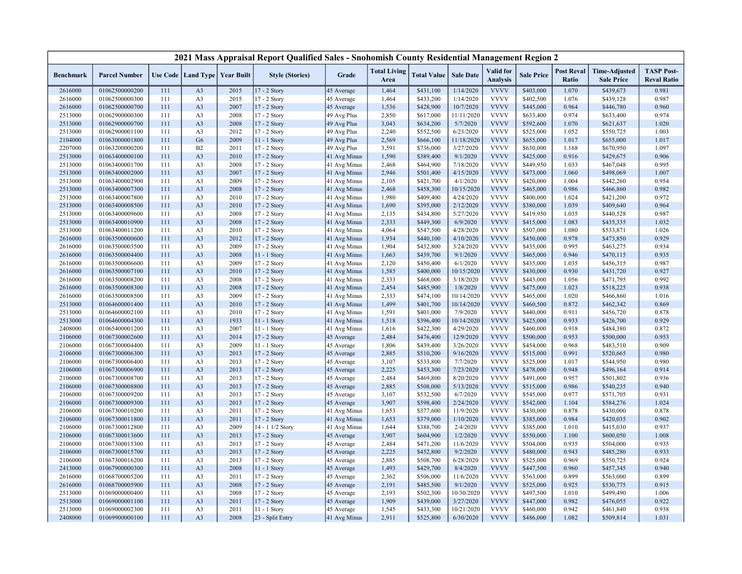|                    |                                  |            |                                   |              | 2021 Mass Appraisal Report Qualified Sales - Snohomish County Residential Management Region 2 |                          |                             |                        |                        |                                     |                        |                            |                                           |                                         |
|--------------------|----------------------------------|------------|-----------------------------------|--------------|-----------------------------------------------------------------------------------------------|--------------------------|-----------------------------|------------------------|------------------------|-------------------------------------|------------------------|----------------------------|-------------------------------------------|-----------------------------------------|
| <b>Benchmark</b>   | <b>Parcel Number</b>             |            | Use Code   Land Type   Year Built |              | <b>Style (Stories)</b>                                                                        | Grade                    | <b>Total Living</b><br>Area | <b>Total Value</b>     | <b>Sale Date</b>       | <b>Valid</b> for<br><b>Analysis</b> | <b>Sale Price</b>      | <b>Post Reval</b><br>Ratio | <b>Time-Adjusted</b><br><b>Sale Price</b> | <b>TASP Post-</b><br><b>Reval Ratio</b> |
| 2616000            | 01062500000200                   | 111        | A <sub>3</sub>                    | 2015         | 17 - 2 Story                                                                                  | 45 Average               | 1,464                       | \$431,100              | 1/14/2020              | <b>VVVV</b>                         | \$403,000              | 1.070                      | \$439,673                                 | 0.981                                   |
| 2616000            | 01062500000300                   | 111        | A <sub>3</sub>                    | 2015         | 17 - 2 Story                                                                                  | 45 Average               | 1,464                       | \$433,200              | 1/14/2020              | <b>VVVV</b>                         | \$402,500              | 1.076                      | \$439,128                                 | 0.987                                   |
| 2616000            | 01062500000700                   | 111        | A <sub>3</sub>                    | 2007         | 17 - 2 Story                                                                                  | 45 Average               | 1,536                       | \$428,900              | 10/7/2020              | <b>VVVV</b>                         | \$445,000              | 0.964                      | \$446,780                                 | 0.960                                   |
| 2513000            | 01062900000300                   | 111        | A <sub>3</sub>                    | 2008         | 17 - 2 Story                                                                                  | 49 Avg Plus              | 2,850                       | \$617,000              | 11/11/2020             | <b>VVVV</b>                         | \$633,400              | 0.974                      | \$633,400                                 | 0.974                                   |
| 2513000            | 01062900000700                   | 111        | A <sub>3</sub>                    | 2008         | 17 - 2 Story                                                                                  | 49 Avg Plus              | 3,043                       | \$634,200              | 5/7/2020               | <b>VVVV</b>                         | \$592,600              | 1.070                      | \$621,637                                 | 1.020                                   |
| 2513000            | 01062900001100                   | 111        | A <sub>3</sub>                    | 2012         | 17 - 2 Story                                                                                  | 49 Avg Plus              | 2,240                       | \$552,500              | 6/23/2020              | <b>VVVV</b>                         | \$525,000              | 1.052                      | \$550,725                                 | 1.003                                   |
| 2104000            | 01063000001800                   | 111        | G <sub>6</sub>                    | 2009         | 11 - 1 Story                                                                                  | 49 Avg Plus              | 2,569                       | \$666,100              | 11/18/2020             | <b>VVVV</b>                         | \$655,000              | 1.017                      | \$655,000                                 | 1.017                                   |
| 2207000            | 01063200000200                   | 111        | B2                                | 2011         | 17 - 2 Story                                                                                  | 49 Avg Plus              | 3,591                       | \$736,000              | 3/27/2020              | <b>VVVV</b>                         | \$630,000              | 1.168                      | \$670,950                                 | 1.097                                   |
| 2513000            | 01063400000100                   | 111        | A <sub>3</sub>                    | 2010         | 17 - 2 Story                                                                                  | 41 Avg Minus             | 1,590                       | \$389,400              | 9/1/2020               | <b>VVVV</b>                         | \$425,000              | 0.916                      | \$429,675                                 | 0.906                                   |
| 2513000            | 01063400001700                   | 111        | A <sub>3</sub>                    | 2008         | 17 - 2 Story                                                                                  | 41 Avg Minus             | 2,468                       | \$464,900              | 7/18/2020              | <b>VVVV</b>                         | \$449,950              | 1.033                      | \$467,048                                 | 0.995                                   |
| 2513000            | 01063400002000                   | 111        | A <sub>3</sub>                    | 2007         | 17 - 2 Story                                                                                  | 41 Avg Minus             | 2,946                       | \$501,400              | 4/15/2020              | <b>VVVV</b>                         | \$473,000              | 1.060                      | \$498,069                                 | 1.007                                   |
| 2513000            | 01063400002900                   | 111        | A <sub>3</sub>                    | 2009         | 17 - 2 Story                                                                                  | 41 Avg Minus             | 2,105                       | \$421,700              | 4/1/2020               | <b>VVVV</b>                         | \$420,000              | 1.004                      | \$442,260                                 | 0.954                                   |
| 2513000            | 01063400007300                   | 111        | A <sub>3</sub>                    | 2008         | 17 - 2 Story                                                                                  | 41 Avg Minus             | 2,468                       | \$458,300              | 10/15/2020             | <b>VVVV</b>                         | \$465,000              | 0.986                      | \$466,860                                 | 0.982                                   |
| 2513000            | 01063400007800                   | 111        | A <sub>3</sub>                    | 2010         | 17 - 2 Story                                                                                  | 41 Avg Minus             | 1,980                       | \$409,400              | 4/24/2020              | <b>VVVV</b>                         | \$400,000              | 1.024                      | \$421,200                                 | 0.972                                   |
| 2513000            | 01063400008500                   | 111        | A <sub>3</sub>                    | 2010         | $17 - 2$ Story                                                                                | 41 Avg Minus             | 1,690                       | \$395,000              | 2/12/2020              | <b>VVVV</b>                         | \$380,000              | 1.039                      | \$409,640                                 | 0.964                                   |
| 2513000            | 01063400009600                   | 111        | A <sub>3</sub>                    | 2008         | 17 - 2 Story                                                                                  | 41 Avg Minus             | 2,135                       | \$434,800              | 5/27/2020              | <b>VVVV</b>                         | \$419,950              | 1.035                      | \$440,528                                 | 0.987                                   |
| 2513000            | 01063400010900                   | 111        | A <sub>3</sub>                    | 2008         | 17 - 2 Story                                                                                  | 41 Avg Minus             | 2,333                       | \$449,300              | 6/9/2020               | <b>VVVV</b>                         | \$415,000              | 1.083                      | \$435,335                                 | 1.032                                   |
| 2513000            | 01063400011200                   | 111        | A <sub>3</sub>                    | 2010         | 17 - 2 Story                                                                                  | 41 Avg Minus             | 4,064                       | \$547,500              | 4/28/2020              | <b>VVVV</b>                         | \$507,000              | 1.080                      | \$533,871                                 | 1.026                                   |
| 2616000            | 01063500000600                   | 111        | A <sub>3</sub>                    | 2012         | 17 - 2 Story                                                                                  | 41 Avg Minus             | 1,934                       | \$440,100              | 4/10/2020              | <b>VVVV</b>                         | \$450,000              | 0.978                      | \$473,850                                 | 0.929                                   |
| 2616000            | 01063500003500                   | 111        | A <sub>3</sub>                    | 2009         | 17 - 2 Story                                                                                  | 41 Avg Minus             | 1,904                       | \$432,800              | 3/24/2020              | <b>VVVV</b>                         | \$435,000              | 0.995                      | \$463,275                                 | 0.934                                   |
| 2616000            | 01063500004400                   | 111        | A <sub>3</sub>                    | 2008         | 11 - 1 Story                                                                                  | 41 Avg Minus             | 1,663                       | \$439,700              | 9/1/2020               | <b>VVVV</b>                         | \$465,000              | 0.946                      | \$470,115                                 | 0.935                                   |
| 2616000            | 01063500006600                   | 111        | A <sub>3</sub>                    | 2009         | $17 - 2$ Story                                                                                | 41 Avg Minus             | 2,120                       | \$450,400              | 6/1/2020               | <b>VVVV</b>                         | \$435,000              | 1.035                      | \$456,315                                 | 0.987                                   |
| 2616000            | 01063500007100                   | 111        | A <sub>3</sub>                    | 2010         | 17 - 2 Story                                                                                  | 41 Avg Minus             | 1,585                       | \$400,000              | 10/15/2020             | <b>VVVV</b>                         | \$430,000              | 0.930                      | \$431,720                                 | 0.927                                   |
| 2616000            | 01063500008200                   | 111        | A <sub>3</sub>                    | 2008         | 17 - 2 Story                                                                                  | 41 Avg Minus             | 2,333                       | \$468,000              | 3/18/2020              | <b>VVVV</b>                         | \$443,000              | 1.056                      | \$471,795                                 | 0.992                                   |
| 2616000            | 01063500008300                   | 111        | A <sub>3</sub>                    | 2008         | 17 - 2 Story                                                                                  | 41 Avg Minus             | 2,454                       | \$485,900              | 1/8/2020               | <b>VVVV</b>                         | \$475,000              | 1.023                      | \$518,225                                 | 0.938                                   |
| 2616000            | 01063500008500                   | 111        | A <sub>3</sub>                    | 2009         | 17 - 2 Story                                                                                  | 41 Avg Minus             | 2,333                       | \$474,100              | 10/14/2020             | <b>VVVV</b>                         | \$465,000              | 1.020                      | \$466,860                                 | 1.016                                   |
| 2513000            | 01064600001400                   | 111        | A <sub>3</sub>                    | 2010         | 17 - 2 Story                                                                                  | 41 Avg Minus             | 1,499                       | \$401,700              | 10/14/2020             | <b>VVVV</b><br><b>VVVV</b>          | \$460,500              | 0.872                      | \$462,342                                 | 0.869                                   |
| 2513000            | 01064600002100                   | 111        | A <sub>3</sub>                    | 2010<br>1933 | 17 - 2 Story                                                                                  | 41 Avg Minus             | 1,591                       | \$401,000              | 7/9/2020               | <b>VVVV</b>                         | \$440,000              | 0.911<br>0.933             | \$456,720                                 | 0.878                                   |
| 2513000            | 01064600004300                   | 111        | A <sub>3</sub>                    |              | 11 - 1 Story                                                                                  | 41 Avg Minus             | 1,518                       | \$396,400              | 10/14/2020             | <b>VVVV</b>                         | \$425,000              |                            | \$426,700                                 | 0.929                                   |
| 2408000            | 01065400001200<br>01067300002600 | 111        | A <sub>3</sub><br>A <sub>3</sub>  | 2007<br>2014 | $11 - 1$ Story                                                                                | 41 Avg Minus             | 1,616                       | \$422,300              | 4/29/2020              | <b>VVVV</b>                         | \$460,000              | 0.918<br>0.953             | \$484,380                                 | 0.872<br>0.953                          |
| 2106000            | 01067300004400                   | 111<br>111 | A <sub>3</sub>                    | 2009         | 17 - 2 Story                                                                                  | 45 Average<br>45 Average | 2,484<br>1,806              | \$476,400              | 12/9/2020<br>3/26/2020 | <b>VVVV</b>                         | \$500,000<br>\$454,000 | 0.968                      | \$500,000<br>\$483,510                    | 0.909                                   |
| 2106000<br>2106000 | 01067300006300                   | 111        | A <sub>3</sub>                    | 2013         | 11 - 1 Story<br>17 - 2 Story                                                                  | 45 Average               | 2,885                       | \$439,400              | 9/16/2020              | <b>VVVV</b>                         | \$515,000              | 0.991                      | \$520,665                                 | 0.980                                   |
| 2106000            | 01067300006400                   | 111        | A <sub>3</sub>                    | 2013         | 17 - 2 Story                                                                                  | 45 Average               | 3,107                       | \$510,200<br>\$533,800 | 7/7/2020               | <b>VVVV</b>                         | \$525,000              | 1.017                      | \$544,950                                 | 0.980                                   |
| 2106000            | 01067300006900                   | 111        | A <sub>3</sub>                    | 2013         |                                                                                               |                          | 2,225                       |                        | 7/23/2020              | <b>VVVV</b>                         | \$478,000              | 0.948                      |                                           | 0.914                                   |
| 2106000            | 01067300008700                   | 111        | A <sub>3</sub>                    | 2013         | 17 - 2 Story<br>17 - 2 Story                                                                  | 45 Average<br>45 Average | 2,484                       | \$453,300<br>\$469,800 | 8/20/2020              | <b>VVVV</b>                         | \$491,000              | 0.957                      | \$496,164<br>\$501,802                    | 0.936                                   |
| 2106000            | 01067300008800                   | 111        | A <sub>3</sub>                    | 2013         | 17 - 2 Story                                                                                  | 45 Average               | 2,885                       | \$508,000              | 5/13/2020              | <b>VVVV</b>                         | \$515,000              | 0.986                      | \$540,235                                 | 0.940                                   |
| 2106000            | 01067300009200                   | 111        | A <sub>3</sub>                    | 2013         | 17 - 2 Story                                                                                  | 45 Average               | 3,107                       | \$532,500              | 6/7/2020               | <b>VVVV</b>                         | \$545,000              | 0.977                      | \$571,705                                 | 0.931                                   |
| 2106000            | 01067300009300                   | 111        | A <sub>3</sub>                    | 2013         | 17 - 2 Story                                                                                  | 45 Average               | 3,907                       | \$598,400              | 2/24/2020              | <b>VVVV</b>                         | \$542,000              | 1.104                      | \$584,276                                 | 1.024                                   |
| 2106000            | 01067300010200                   | 111        | A <sub>3</sub>                    | 2011         | $17 - 2$ Story                                                                                | 41 Avg Minus             | 1,653                       | \$377,600              | 11/9/2020              | <b>VVVV</b>                         | \$430,000              | 0.878                      | \$430,000                                 | 0.878                                   |
| 2106000            | 01067300011800                   | 111        | A <sub>3</sub>                    | 2011         | 17 - 2 Story                                                                                  | 41 Avg Minus             | 1,653                       | \$379,000              | 1/10/2020              | <b>VVVV</b>                         | \$385,000              | 0.984                      | \$420,035                                 | 0.902                                   |
| 2106000            | 01067300012800                   | 111        | A <sub>3</sub>                    | 2009         | 14 - 1 1/2 Story                                                                              | 41 Avg Minus             | 1,644                       | \$388,700              | 2/4/2020               | <b>VVVV</b>                         | \$385,000              | 1.010                      | \$415,030                                 | 0.937                                   |
| 2106000            | 01067300013600                   | 111        | A <sub>3</sub>                    | 2013         | 17 - 2 Story                                                                                  | 45 Average               | 3,907                       | \$604,900              | 1/2/2020               | <b>VVVV</b>                         | \$550,000              | 1.100                      | \$600,050                                 | 1.008                                   |
| 2106000            | 01067300015300                   | 111        | A <sub>3</sub>                    | 2013         | 17 - 2 Story                                                                                  | 45 Average               | 2,484                       | \$471,200              | 11/6/2020              | <b>VVVV</b>                         | \$504,000              | 0.935                      | \$504,000                                 | 0.935                                   |
| 2106000            | 01067300015700                   | 111        | A <sub>3</sub>                    | 2013         | $17 - 2$ Story                                                                                | 45 Average               | 2,225                       | \$452,800              | 9/2/2020               | <b>VVVV</b>                         | \$480,000              | 0.943                      | \$485,280                                 | 0.933                                   |
| 2106000            | 01067300016200                   | 111        | A <sub>3</sub>                    | 2013         | 17 - 2 Story                                                                                  | 45 Average               | 2,885                       | \$508,700              | 6/28/2020              | <b>VVVV</b>                         | \$525,000              | 0.969                      | \$550,725                                 | 0.924                                   |
| 2413000            | 01067900000300                   | 111        | A <sub>3</sub>                    | 2008         | $11 - 1$ Story                                                                                | 45 Average               | 1,493                       | \$429,700              | 8/4/2020               | <b>VVVV</b>                         | \$447,500              | 0.960                      | \$457,345                                 | 0.940                                   |
| 2616000            | 01068700005200                   | 111        | A <sub>3</sub>                    | 2011         | 17 - 2 Story                                                                                  | 45 Average               | 2,362                       | \$506,000              | 11/6/2020              | <b>VVVV</b>                         | \$563,000              | 0.899                      | \$563,000                                 | 0.899                                   |
| 2616000            | 01068700005900                   | 111        | A <sub>3</sub>                    | 2008         | 17 - 2 Story                                                                                  | 45 Average               | 2,191                       | \$485,500              | 9/1/2020               | <b>VVVV</b>                         | \$525,000              | 0.925                      | \$530,775                                 | 0.915                                   |
| 2513000            | 01069000000400                   | 111        | A <sub>3</sub>                    | 2008         | 17 - 2 Story                                                                                  | 45 Average               | 2,193                       | \$502,300              | 10/30/2020             | <b>VVVV</b>                         | \$497,500              | 1.010                      | \$499,490                                 | 1.006                                   |
| 2513000            | 01069000001100                   | 111        | A <sub>3</sub>                    | 2011         | 17 - 2 Story                                                                                  | 45 Average               | 1,909                       | \$439,000              | 3/27/2020              | <b>VVVV</b>                         | \$447,000              | 0.982                      | \$476,055                                 | 0.922                                   |
| 2513000            | 01069000002300                   | 111        | A <sub>3</sub>                    | 2011         | $11 - 1$ Story                                                                                | 45 Average               | 1,545                       | \$433,300              | 10/21/2020             | <b>VVVV</b>                         | \$460,000              | 0.942                      | \$461,840                                 | 0.938                                   |
| 2408000            | 01069900000100                   | 111        | A <sub>3</sub>                    | 2008         | 23 - Split Entry                                                                              | 41 Avg Minus             | 2,911                       | \$525,800              | 6/30/2020              | <b>VVVV</b>                         | \$486,000              | 1.082                      | \$509,814                                 | 1.031                                   |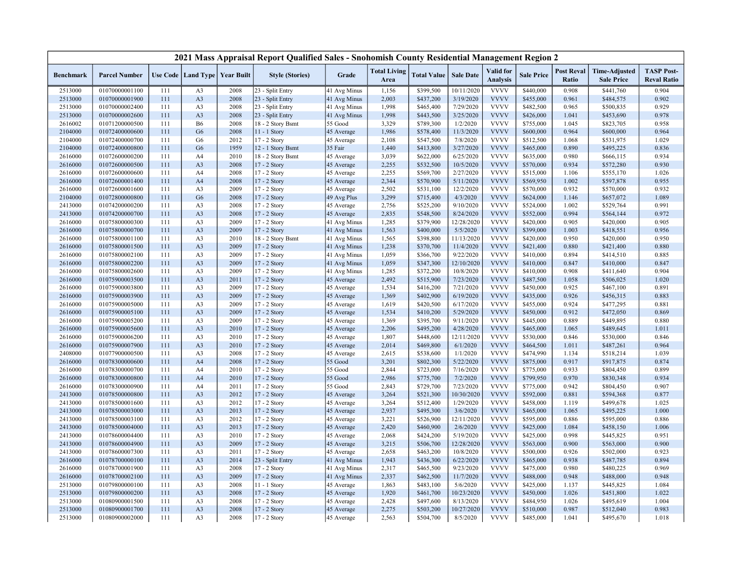|                  |                      |            |                |                                   | 2021 Mass Appraisal Report Qualified Sales - Snohomish County Residential Management Region 2 |              |                             |                        |                  |                                     |                        |                            |                                           |                                         |
|------------------|----------------------|------------|----------------|-----------------------------------|-----------------------------------------------------------------------------------------------|--------------|-----------------------------|------------------------|------------------|-------------------------------------|------------------------|----------------------------|-------------------------------------------|-----------------------------------------|
| <b>Benchmark</b> | <b>Parcel Number</b> |            |                | Use Code   Land Type   Year Built | <b>Style (Stories)</b>                                                                        | Grade        | <b>Total Living</b><br>Area | <b>Total Value</b>     | <b>Sale Date</b> | <b>Valid</b> for<br><b>Analysis</b> | <b>Sale Price</b>      | <b>Post Reval</b><br>Ratio | <b>Time-Adjusted</b><br><b>Sale Price</b> | <b>TASP Post-</b><br><b>Reval Ratio</b> |
| 2513000          | 01070000001100       | 111        | A <sub>3</sub> | 2008                              | 23 - Split Entry                                                                              | 41 Avg Minus | 1,156                       | \$399,500              | 10/11/2020       | <b>VVVV</b>                         | \$440,000              | 0.908                      | \$441,760                                 | 0.904                                   |
| 2513000          | 01070000001900       | 111        | A <sub>3</sub> | 2008                              | 23 - Split Entry                                                                              | 41 Avg Minus | 2,003                       | \$437,200              | 3/19/2020        | <b>VVVV</b>                         | \$455,000              | 0.961                      | \$484,575                                 | 0.902                                   |
| 2513000          | 01070000002400       | 111        | A <sub>3</sub> | 2008                              | 23 - Split Entry                                                                              | 41 Avg Minus | 1,998                       | \$465,400              | 7/29/2020        | <b>VVVV</b>                         | \$482,500              | 0.965                      | \$500,835                                 | 0.929                                   |
| 2513000          | 01070000002600       | 111        | A <sub>3</sub> | 2008                              | 23 - Split Entry                                                                              | 41 Avg Minus | 1,998                       | \$443,500              | 3/25/2020        | <b>VVVV</b>                         | \$426,000              | 1.041                      | \$453,690                                 | 0.978                                   |
| 2616002          | 01071200000500       | 111        | <b>B6</b>      | 2008                              | 18 - 2 Story Bsmt                                                                             | 55 Good      | 3,329                       | \$789,300              | 1/2/2020         | <b>VVVV</b>                         | \$755,000              | 1.045                      | \$823,705                                 | 0.958                                   |
| 2104000          | 01072400000600       | 111        | G <sub>6</sub> | 2008                              | $11 - 1$ Story                                                                                | 45 Average   | 1,986                       | \$578,400              | 11/3/2020        | <b>VVVV</b>                         | \$600,000              | 0.964                      | \$600,000                                 | 0.964                                   |
| 2104000          | 01072400000700       | 111        | G <sub>6</sub> | 2012                              | 17 - 2 Story                                                                                  | 45 Average   | 2,108                       | \$547,500              | 7/8/2020         | <b>VVVV</b>                         | \$512,500              | 1.068                      | \$531,975                                 | 1.029                                   |
| 2104000          | 01072400000800       | 111        | G <sub>6</sub> | 1959                              | 12 - 1 Story Bsmt                                                                             | 35 Fair      | 1,440                       | \$413,800              | 3/27/2020        | <b>VVVV</b>                         | \$465,000              | 0.890                      | \$495,225                                 | 0.836                                   |
| 2616000          | 01072600000200       | 111        | A4             | 2010                              | 18 - 2 Story Bsmt                                                                             | 45 Average   | 3,039                       | \$622,000              | 6/25/2020        | <b>VVVV</b>                         | \$635,000              | 0.980                      | \$666,115                                 | 0.934                                   |
| 2616000          | 01072600000500       | 111        | A <sub>3</sub> | 2008                              | 17 - 2 Story                                                                                  | 45 Average   | 2,255                       | \$532,500              | 10/5/2020        | <b>VVVV</b>                         | \$570,000              | 0.934                      | \$572,280                                 | 0.930                                   |
| 2616000          | 01072600000600       | 111        | A4             | 2008                              | 17 - 2 Story                                                                                  | 45 Average   | 2,255                       | \$569,700              | 2/27/2020        | <b>VVVV</b>                         | \$515,000              | 1.106                      | \$555,170                                 | 1.026                                   |
| 2616000          | 01072600001400       | 111        | A <sub>4</sub> | 2008                              | 17 - 2 Story                                                                                  | 45 Average   | 2,344                       | \$570,900              | 5/11/2020        | <b>VVVV</b>                         | \$569,950              | 1.002                      | \$597,878                                 | 0.955                                   |
| 2616000          | 01072600001600       | 111        | A <sub>3</sub> | 2009                              | 17 - 2 Story                                                                                  | 45 Average   | 2,502                       | \$531,100              | 12/2/2020        | <b>VVVV</b>                         | \$570,000              | 0.932                      | \$570,000                                 | 0.932                                   |
| 2104000          | 01072800000800       | 111        | G <sub>6</sub> | 2008                              | 17 - 2 Story                                                                                  | 49 Avg Plus  | 3,299                       | \$715,400              | 4/3/2020         | <b>VVVV</b>                         | \$624,000              | 1.146                      | \$657,072                                 | 1.089                                   |
| 2413000          | 01074200000200       | 111        | A <sub>3</sub> | 2008                              | $17 - 2$ Story                                                                                | 45 Average   | 2,756                       | \$525,200              | 9/10/2020        | <b>VVVV</b>                         | \$524,000              | 1.002                      | \$529,764                                 | 0.991                                   |
| 2413000          | 01074200000700       | 111        | A <sub>3</sub> | 2008                              | 17 - 2 Story                                                                                  | 45 Average   | 2,835                       | \$548,500              | 8/24/2020        | <b>VVVV</b>                         | \$552,000              | 0.994                      | \$564,144                                 | 0.972                                   |
| 2616000          | 01075800000300       | 111        | A <sub>3</sub> | 2009                              | 17 - 2 Story                                                                                  | 41 Avg Minus | 1,285                       | \$379,900              | 12/28/2020       | <b>VVVV</b>                         | \$420,000              | 0.905                      | \$420,000                                 | 0.905                                   |
| 2616000          | 01075800000700       | 111        | A <sub>3</sub> | 2009                              | 17 - 2 Story                                                                                  | 41 Avg Minus | 1,563                       | \$400,000              | 5/5/2020         | <b>VVVV</b>                         | \$399,000              | 1.003                      | \$418,551                                 | 0.956                                   |
| 2616000          | 01075800001100       | 111        | A <sub>3</sub> | 2010                              | 18 - 2 Story Bsmt                                                                             | 41 Avg Minus | 1,565                       | \$398,800              | 11/13/2020       | <b>VVVV</b>                         | \$420,000              | 0.950                      | \$420,000                                 | 0.950                                   |
| 2616000          | 01075800001500       | 111        | A <sub>3</sub> | 2009                              | 17 - 2 Story                                                                                  | 41 Avg Minus | 1,238                       | \$370,700              | 11/4/2020        | <b>VVVV</b>                         | \$421,400              | 0.880                      | \$421,400                                 | 0.880                                   |
| 2616000          | 01075800002100       | 111        | A <sub>3</sub> | 2009                              | 17 - 2 Story                                                                                  | 41 Avg Minus | 1,059                       | \$366,700              | 9/22/2020        | <b>VVVV</b>                         | \$410,000              | 0.894                      | \$414,510                                 | 0.885                                   |
| 2616000          | 01075800002200       | 111        | A <sub>3</sub> | 2009                              | 17 - 2 Story                                                                                  | 41 Avg Minus | 1,059                       | \$347,300              | 12/10/2020       | <b>VVVV</b>                         | \$410,000              | 0.847                      | \$410,000                                 | 0.847                                   |
| 2616000          | 01075800002600       | 111        | A <sub>3</sub> | 2009                              | 17 - 2 Story                                                                                  | 41 Avg Minus | 1,285                       | \$372,200              | 10/8/2020        | <b>VVVV</b>                         | \$410,000              | 0.908                      | \$411,640                                 | 0.904                                   |
| 2616000          | 01075900003500       | 111        | A <sub>3</sub> | 2011                              | 17 - 2 Story                                                                                  | 45 Average   | 2,492                       | \$515,900              | 7/23/2020        | <b>VVVV</b>                         | \$487,500              | 1.058                      | \$506,025                                 | 1.020                                   |
| 2616000          | 01075900003800       | 111        | A <sub>3</sub> | 2009                              | 17 - 2 Story                                                                                  | 45 Average   | 1,534                       | \$416,200              | 7/21/2020        | <b>VVVV</b>                         | \$450,000              | 0.925                      | \$467,100                                 | 0.891                                   |
| 2616000          | 01075900003900       | 111        | A <sub>3</sub> | 2009                              | 17 - 2 Story                                                                                  | 45 Average   | 1,369                       | \$402,900              | 6/19/2020        | <b>VVVV</b>                         | \$435,000              | 0.926                      | \$456,315                                 | 0.883                                   |
| 2616000          | 01075900005000       | 111        | A <sub>3</sub> | 2009                              | 17 - 2 Story                                                                                  | 45 Average   | 1,619                       | \$420,500              | 6/17/2020        | <b>VVVV</b>                         | \$455,000              | 0.924                      | \$477,295                                 | 0.881                                   |
| 2616000          | 01075900005100       | 111        | A <sub>3</sub> | 2009                              | 17 - 2 Story                                                                                  | 45 Average   | 1,534                       | \$410,200              | 5/29/2020        | <b>VVVV</b>                         | \$450,000              | 0.912                      | \$472,050                                 | 0.869                                   |
| 2616000          | 01075900005200       | 111        | A <sub>3</sub> | 2009                              | 17 - 2 Story                                                                                  | 45 Average   | 1,369                       | \$395,700              | 9/11/2020        | <b>VVVV</b>                         | \$445,000              | 0.889                      | \$449,895                                 | 0.880                                   |
| 2616000          | 01075900005600       | 111        | A <sub>3</sub> | 2010                              | 17 - 2 Story                                                                                  | 45 Average   | 2,206                       | \$495,200              | 4/28/2020        | <b>VVVV</b>                         | \$465,000              | 1.065                      | \$489,645                                 | 1.011                                   |
| 2616000          | 01075900006200       | 111        | A <sub>3</sub> | 2010                              | 17 - 2 Story                                                                                  | 45 Average   | 1,807                       | \$448,600              | 12/11/2020       | <b>VVVV</b>                         | \$530,000              | 0.846                      | \$530,000                                 | 0.846                                   |
| 2616000          | 01075900007900       | 111        | A <sub>3</sub> | 2010                              | 17 - 2 Story                                                                                  | 45 Average   | 2,014                       | \$469,800              | 6/1/2020         | <b>VVVV</b>                         | \$464,500              | 1.011                      | \$487,261                                 | 0.964                                   |
| 2408000          | 01077900000500       | 111        | A <sub>3</sub> | 2008                              | 17 - 2 Story                                                                                  | 45 Average   | 2,615                       | \$538,600              | 1/1/2020         | <b>VVVV</b>                         | \$474,990              | 1.134                      | \$518,214                                 | 1.039                                   |
| 2616000          | 01078300000600       | 111        | A <sub>4</sub> | 2008                              | 17 - 2 Story                                                                                  | 55 Good      | 3,201                       | \$802,300              | 5/22/2020        | <b>VVVV</b>                         | \$875,000              | 0.917                      | \$917,875                                 | 0.874                                   |
| 2616000          | 01078300000700       | 111        | A4             | 2010                              | 17 - 2 Story                                                                                  | 55 Good      | 2,844                       | \$723,000              | 7/16/2020        | <b>VVVV</b>                         | \$775,000              | 0.933                      | \$804,450                                 | 0.899                                   |
| 2616000          | 01078300000800       | 111        | A <sub>4</sub> | 2010                              | 17 - 2 Story                                                                                  | 55 Good      | 2,986                       | \$775,700              | 7/2/2020         | <b>VVVV</b>                         | \$799,950              | 0.970                      | \$830,348                                 | 0.934                                   |
| 2616000          | 01078300000900       | 111        | A4             | 2011                              | 17 - 2 Story                                                                                  | 55 Good      | 2,843                       | \$729,700              | 7/23/2020        | <b>VVVV</b>                         | \$775,000              | 0.942                      | \$804,450                                 | 0.907                                   |
| 2413000          | 01078500000800       | 111        | A <sub>3</sub> | 2012                              | 17 - 2 Story                                                                                  | 45 Average   | 3,264                       | \$521,300              | 10/30/2020       | <b>VVVV</b>                         | \$592,000              | 0.881                      | \$594,368                                 | 0.877                                   |
| 2413000          | 01078500001600       | 111        | A <sub>3</sub> | 2012                              | 17 - 2 Story                                                                                  | 45 Average   | 3,264                       | \$512,400              | 1/29/2020        | <b>VVVV</b>                         | \$458,000              | 1.119                      | \$499,678                                 | 1.025                                   |
| 2413000          | 01078500003000       | 111        | A <sub>3</sub> | 2013                              | 17 - 2 Story                                                                                  | 45 Average   | 2,937                       | \$495,300              | 3/6/2020         | <b>VVVV</b>                         | \$465,000              | 1.065                      | \$495,225                                 | 1.000                                   |
| 2413000          | 01078500003100       | 111        | A <sub>3</sub> | 2012                              | 17 - 2 Story                                                                                  | 45 Average   | 3,221                       | \$526,900              | 12/11/2020       | <b>VVVV</b>                         | \$595,000              | 0.886                      | \$595,000                                 | 0.886                                   |
| 2413000          | 01078500004000       | 111        | A <sub>3</sub> | 2013                              | 17 - 2 Story                                                                                  | 45 Average   | 2,420                       | \$460,900              | 2/6/2020         | <b>VVVV</b>                         | \$425,000              | 1.084                      | \$458,150                                 | 1.006                                   |
| 2413000          | 01078600004400       | 111        | A <sub>3</sub> | 2010                              | 17 - 2 Story                                                                                  | 45 Average   | 2,068                       | \$424,200              | 5/19/2020        | <b>VVVV</b>                         | \$425,000              | 0.998                      | \$445,825                                 | 0.951                                   |
| 2413000          | 01078600004900       | 111        | A <sub>3</sub> | 2009                              | 17 - 2 Story                                                                                  |              | 3,215                       |                        | 12/28/2020       | <b>VVVV</b>                         | \$563,000              | 0.900                      | \$563,000                                 | 0.900                                   |
|                  | 01078600007300       | 111        | A <sub>3</sub> | 2011                              |                                                                                               | 45 Average   | 2,658                       | \$506,700<br>\$463,200 | 10/8/2020        | <b>VVVV</b>                         | \$500,000              | 0.926                      |                                           | 0.923                                   |
| 2413000          |                      |            | A <sub>3</sub> |                                   | $17 - 2$ Story                                                                                | 45 Average   | 1,943                       | \$436,300              | 6/22/2020        | <b>VVVV</b>                         |                        | 0.938                      | \$502,000                                 | 0.894                                   |
| 2616000          | 01078700000100       | 111<br>111 | A <sub>3</sub> | 2014<br>2008                      | 23 - Split Entry<br>17 - 2 Story                                                              | 41 Avg Minus | 2,317                       |                        | 9/23/2020        | <b>VVVV</b>                         | \$465,000              | 0.980                      | \$487,785                                 | 0.969                                   |
| 2616000          | 01078700001900       | 111        | A <sub>3</sub> |                                   |                                                                                               | 41 Avg Minus | 2,337                       | \$465,500              | 11/7/2020        | <b>VVVV</b>                         | \$475,000<br>\$488,000 | 0.948                      | \$480,225                                 | 0.948                                   |
| 2616000          | 01078700002100       |            |                | 2009                              | 17 - 2 Story                                                                                  | 41 Avg Minus |                             | \$462,500              |                  | <b>VVVV</b>                         |                        |                            | \$488,000                                 |                                         |
| 2513000          | 01079800000100       | 111        | A <sub>3</sub> | 2008                              | 11 - 1 Story                                                                                  | 45 Average   | 1,863                       | \$483,100              | 5/6/2020         | <b>VVVV</b>                         | \$425,000              | 1.137                      | \$445,825                                 | 1.084                                   |
| 2513000          | 01079800000200       | 111        | A <sub>3</sub> | 2008                              | 17 - 2 Story                                                                                  | 45 Average   | 1,920                       | \$461,700              | 10/23/2020       | <b>VVVV</b>                         | \$450,000              | 1.026                      | \$451,800                                 | 1.022                                   |
| 2513000          | 01080900001500       | 111        | A <sub>3</sub> | 2008                              | 17 - 2 Story                                                                                  | 45 Average   | 2,428                       | \$497,600              | 8/13/2020        |                                     | \$484,950              | 1.026                      | \$495,619                                 | 1.004                                   |
| 2513000          | 01080900001700       | 111        | A <sub>3</sub> | 2008                              | $17 - 2$ Story                                                                                | 45 Average   | 2,275                       | \$503,200              | 10/27/2020       | <b>VVVV</b>                         | \$510,000              | 0.987                      | \$512,040                                 | 0.983                                   |
| 2513000          | 01080900002000       | 111        | A <sub>3</sub> | 2008                              | 17 - 2 Story                                                                                  | 45 Average   | 2,563                       | \$504,700              | 8/5/2020         | <b>VVVV</b>                         | \$485,000              | 1.041                      | \$495,670                                 | 1.018                                   |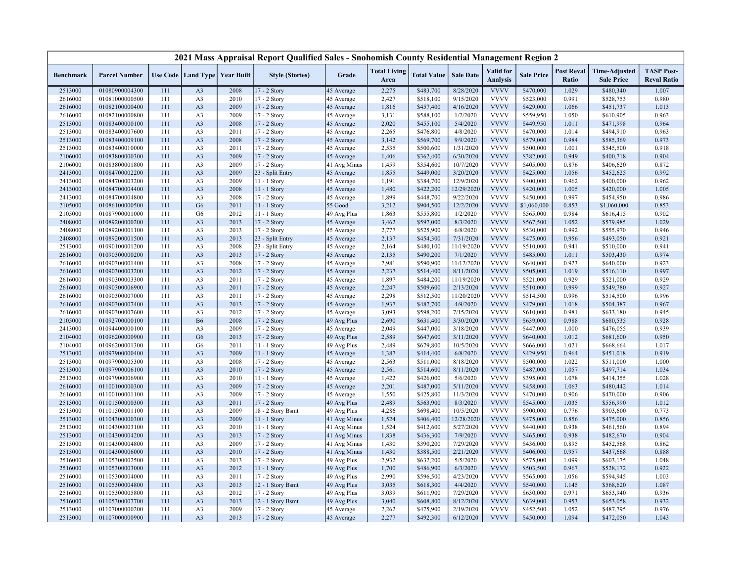|                    |                                  |            |                                   |              | 2021 Mass Appraisal Report Qualified Sales - Snohomish County Residential Management Region 2 |                           |                             |                        |                        |                              |                        |                            |                                           |                                         |
|--------------------|----------------------------------|------------|-----------------------------------|--------------|-----------------------------------------------------------------------------------------------|---------------------------|-----------------------------|------------------------|------------------------|------------------------------|------------------------|----------------------------|-------------------------------------------|-----------------------------------------|
| <b>Benchmark</b>   | <b>Parcel Number</b>             |            | Use Code   Land Type   Year Built |              | <b>Style (Stories)</b>                                                                        | Grade                     | <b>Total Living</b><br>Area | <b>Total Value</b>     | <b>Sale Date</b>       | Valid for<br><b>Analysis</b> | <b>Sale Price</b>      | <b>Post Reval</b><br>Ratio | <b>Time-Adjusted</b><br><b>Sale Price</b> | <b>TASP Post-</b><br><b>Reval Ratio</b> |
| 2513000            | 01080900004300                   | 111        | A <sub>3</sub>                    | 2008         | 17 - 2 Story                                                                                  | 45 Average                | 2,275                       | \$483,700              | 8/28/2020              | <b>VVVV</b>                  | \$470,000              | 1.029                      | \$480,340                                 | 1.007                                   |
| 2616000            | 01081000000500                   | 111        | A <sub>3</sub>                    | 2010         | 17 - 2 Story                                                                                  | 45 Average                | 2,427                       | \$518,100              | 9/15/2020              | <b>VVVV</b>                  | \$523,000              | 0.991                      | \$528,753                                 | 0.980                                   |
| 2616000            | 01082100000400                   | 111        | A <sub>3</sub>                    | 2009         | 17 - 2 Story                                                                                  | 45 Average                | 1,816                       | \$457,400              | 4/16/2020              | <b>VVVV</b>                  | \$429,000              | 1.066                      | \$451,737                                 | 1.013                                   |
| 2616000            | 01082100000800                   | 111        | A <sub>3</sub>                    | 2009         | 17 - 2 Story                                                                                  | 45 Average                | 3,131                       | \$588,100              | 1/2/2020               | <b>VVVV</b>                  | \$559,950              | 1.050                      | \$610,905                                 | 0.963                                   |
| 2513000            | 01083400000100                   | 111        | A <sub>3</sub>                    | 2008         | 17 - 2 Story                                                                                  | 45 Average                | 2,020                       | \$455,100              | 5/4/2020               | <b>VVVV</b>                  | \$449,950              | 1.011                      | \$471,998                                 | 0.964                                   |
| 2513000            | 01083400007600                   | 111        | A <sub>3</sub>                    | 2011         | 17 - 2 Story                                                                                  | 45 Average                | 2,265                       | \$476,800              | 4/8/2020               | <b>VVVV</b>                  | \$470,000              | 1.014                      | \$494,910                                 | 0.963                                   |
| 2513000            | 01083400009100                   | 111        | A <sub>3</sub>                    | 2008         | 17 - 2 Story                                                                                  | 45 Average                | 3,142                       | \$569,700              | 9/9/2020               | <b>VVVV</b>                  | \$579,000              | 0.984                      | \$585,369                                 | 0.973                                   |
| 2513000            | 01083400010000                   | 111        | A <sub>3</sub>                    | 2011         | 17 - 2 Story                                                                                  | 45 Average                | 2,535                       | \$500,600              | 1/31/2020              | <b>VVVV</b>                  | \$500,000              | 1.001                      | \$545,500                                 | 0.918                                   |
| 2106000            | 01083800000300                   | 111        | A <sub>3</sub>                    | 2009         | 17 - 2 Story                                                                                  | 45 Average                | 1,406                       | \$362,400              | 6/30/2020              | <b>VVVV</b>                  | \$382,000              | 0.949                      | \$400,718                                 | 0.904                                   |
| 2106000            | 01083800001800                   | 111        | A <sub>3</sub>                    | 2009         | 17 - 2 Story                                                                                  | 41 Avg Minus              | 1,459                       | \$354,600              | 10/7/2020              | <b>VVVV</b>                  | \$405,000              | 0.876                      | \$406,620                                 | 0.872                                   |
| 2413000            | 01084700002200                   | 111        | A <sub>3</sub>                    | 2009         | 23 - Split Entry                                                                              | 45 Average                | 1,855                       | \$449,000              | 3/20/2020              | <b>VVVV</b>                  | \$425,000              | 1.056                      | \$452,625                                 | 0.992                                   |
| 2413000            | 01084700003200                   | 111        | A <sub>3</sub>                    | 2009         | 11 - 1 Story                                                                                  | 45 Average                | 1,191                       | \$384,700              | 12/9/2020              | <b>VVVV</b>                  | \$400,000              | 0.962                      | \$400,000                                 | 0.962                                   |
| 2413000            | 01084700004400                   | 111        | A <sub>3</sub>                    | 2008         | 11 - 1 Story                                                                                  | 45 Average                | 1,480                       | \$422,200              | 12/29/2020             | <b>VVVV</b>                  | \$420,000              | 1.005                      | \$420,000                                 | 1.005                                   |
| 2413000            | 01084700004800                   | 111        | A <sub>3</sub>                    | 2008         | 17 - 2 Story                                                                                  | 45 Average                | 1,899                       | \$448,700              | 9/22/2020              | <b>VVVV</b>                  | \$450,000              | 0.997                      | \$454,950                                 | 0.986                                   |
| 2105000            | 01086100000500                   | 111        | G <sub>6</sub>                    | 2011         | 11 - 1 Story                                                                                  | 55 Good                   | 3,212                       | \$904,500              | 12/2/2020              | <b>VVVV</b>                  | \$1,060,000            | 0.853                      | \$1,060,000                               | 0.853                                   |
| 2105000            | 01087900001000                   | 111        | G <sub>6</sub>                    | 2012         | 11 - 1 Story                                                                                  | 49 Avg Plus               | 1,863                       | \$555,800              | 1/2/2020               | <b>VVVV</b>                  | \$565,000              | 0.984                      | \$616,415                                 | 0.902                                   |
| 2408000            | 01089200000200                   | 111        | A <sub>3</sub>                    | 2013         | $17 - 2$ Story                                                                                | 45 Average                | 3,462                       | \$597,000              | 8/3/2020               | <b>VVVV</b>                  | \$567,500              | 1.052                      | \$579,985                                 | 1.029                                   |
| 2408000            | 01089200001100                   | 111        | A <sub>3</sub>                    | 2013         | 17 - 2 Story                                                                                  | 45 Average                | 2,777                       | \$525,900              | 6/8/2020               | <b>VVVV</b>                  | \$530,000              | 0.992                      | \$555,970                                 | 0.946                                   |
| 2408000            | 01089200001500                   | 111        | A <sub>3</sub>                    | 2013         | 23 - Split Entry                                                                              | 45 Average                | 2,137                       | \$454,300              | 7/31/2020              | <b>VVVV</b>                  | \$475,000              | 0.956                      | \$493,050                                 | 0.921                                   |
| 2513000            | 01090100001200                   | 111        | A <sub>3</sub>                    | 2008         | 23 - Split Entry                                                                              | 45 Average                | 2,164                       | \$480,100              | 11/19/2020             | <b>VVVV</b>                  | \$510,000              | 0.941                      | \$510,000                                 | 0.941                                   |
| 2616000            | 01090300000200                   | 111        | A <sub>3</sub>                    | 2013         | 17 - 2 Story                                                                                  | 45 Average                | 2,135                       | \$490,200              | 7/1/2020               | <b>VVVV</b>                  | \$485,000              | 1.011                      | \$503,430                                 | 0.974                                   |
| 2616000            | 01090300001400                   | 111        | A <sub>3</sub>                    | 2008         | 17 - 2 Story                                                                                  | 45 Average                | 2,981                       | \$590,900              | 11/12/2020             | <b>VVVV</b>                  | \$640,000              | 0.923                      | \$640,000                                 | 0.923                                   |
| 2616000            | 01090300003200                   | 111        | A <sub>3</sub>                    | 2012         | 17 - 2 Story                                                                                  | 45 Average                | 2,237                       | \$514,400              | 8/11/2020              | <b>VVVV</b>                  | \$505,000              | 1.019                      | \$516,110                                 | 0.997                                   |
| 2616000            | 01090300003300                   | 111        | A <sub>3</sub>                    | 2011         | 17 - 2 Story                                                                                  | 45 Average                | 1,897                       | \$484,200              | 11/19/2020             | <b>VVVV</b><br><b>VVVV</b>   | \$521,000              | 0.929                      | \$521,000                                 | 0.929                                   |
| 2616000            | 01090300006900                   | 111        | A <sub>3</sub>                    | 2011         | 17 - 2 Story                                                                                  | 45 Average                | 2,247                       | \$509,600              | 2/13/2020              | <b>VVVV</b>                  | \$510,000              | 0.999                      | \$549,780                                 | 0.927                                   |
| 2616000            | 01090300007000                   | 111        | A <sub>3</sub>                    | 2011         | 17 - 2 Story                                                                                  | 45 Average                | 2,298                       | \$512,500              | 11/20/2020             |                              | \$514,500              | 0.996                      | \$514,500                                 | 0.996                                   |
| 2616000            | 01090300007400                   | 111        | A <sub>3</sub>                    | 2013         | 17 - 2 Story                                                                                  | 45 Average                | 1,937                       | \$487,700              | 4/9/2020               | <b>VVVV</b><br><b>VVVV</b>   | \$479,000              | 1.018<br>0.981             | \$504,387                                 | 0.967                                   |
| 2616000<br>2105000 | 01090300007600<br>01092700000100 | 111<br>111 | A <sub>3</sub><br><b>B6</b>       | 2012<br>2008 | 17 - 2 Story<br>17 - 2 Story                                                                  | 45 Average<br>49 Avg Plus | 3,093<br>2,690              | \$598,200<br>\$631,400 | 7/15/2020<br>3/30/2020 | <b>VVVV</b>                  | \$610,000<br>\$639,000 | 0.988                      | \$633,180<br>\$680,535                    | 0.945<br>0.928                          |
|                    | 01094400000100                   | 111        |                                   |              |                                                                                               |                           | 2,049                       |                        |                        | <b>VVVV</b>                  |                        | 1.000                      |                                           | 0.939                                   |
| 2413000<br>2104000 | 01096200000900                   | 111        | A <sub>3</sub><br>G <sub>6</sub>  | 2009<br>2013 | 17 - 2 Story<br>$17 - 2$ Story                                                                | 45 Average<br>49 Avg Plus | 2,589                       | \$447,000<br>\$647,600 | 3/18/2020<br>3/11/2020 | <b>VVVV</b>                  | \$447,000<br>\$640,000 | 1.012                      | \$476,055<br>\$681,600                    | 0.950                                   |
| 2104000            | 01096200001300                   | 111        | G <sub>6</sub>                    | 2011         | 11 - 1 Story                                                                                  | 49 Avg Plus               | 2,489                       | \$679,800              | 10/5/2020              | <b>VVVV</b>                  | \$666,000              | 1.021                      | \$668,664                                 | 1.017                                   |
| 2513000            | 01097900000400                   | 111        | A <sub>3</sub>                    | 2009         | $11 - 1$ Story                                                                                | 45 Average                | 1,387                       | \$414,400              | 6/8/2020               | <b>VVVV</b>                  | \$429,950              | 0.964                      | \$451,018                                 | 0.919                                   |
| 2513000            | 01097900005300                   | 111        | A <sub>3</sub>                    | 2008         | 17 - 2 Story                                                                                  | 45 Average                | 2,563                       | \$511,000              | 8/18/2020              | <b>VVVV</b>                  | \$500,000              | 1.022                      | \$511,000                                 | 1.000                                   |
| 2513000            | 01097900006100                   | 111        | A <sub>3</sub>                    | 2010         | 17 - 2 Story                                                                                  | 45 Average                | 2,561                       | \$514,600              | 8/11/2020              | <b>VVVV</b>                  | \$487,000              | 1.057                      | \$497,714                                 | 1.034                                   |
| 2513000            | 01097900006900                   | 111        | A <sub>3</sub>                    | 2010         | 11 - 1 Story                                                                                  | 45 Average                | 1,422                       | \$426,000              | 5/6/2020               | <b>VVVV</b>                  | \$395,000              | 1.078                      | \$414,355                                 | 1.028                                   |
| 2616000            | 01100100000300                   | 111        | A <sub>3</sub>                    | 2009         | 17 - 2 Story                                                                                  | 45 Average                | 2,201                       | \$487,000              | 5/11/2020              | <b>VVVV</b>                  | \$458,000              | 1.063                      | \$480,442                                 | 1.014                                   |
| 2616000            | 01100100001100                   | 111        | A <sub>3</sub>                    | 2009         | 17 - 2 Story                                                                                  | 45 Average                | 1,550                       | \$425,800              | 11/3/2020              | <b>VVVV</b>                  | \$470,000              | 0.906                      | \$470,000                                 | 0.906                                   |
| 2513000            | 01101500000300                   | 111        | A <sub>3</sub>                    | 2011         | 17 - 2 Story                                                                                  | 49 Avg Plus               | 2,489                       | \$563,900              | 8/3/2020               | <b>VVVV</b>                  | \$545,000              | 1.035                      | \$556,990                                 | 1.012                                   |
| 2513000            | 01101500001100                   | 111        | A <sub>3</sub>                    | 2009         | 18 - 2 Story Bsmt                                                                             | 49 Avg Plus               | 4,286                       | \$698,400              | 10/5/2020              | <b>VVVV</b>                  | \$900,000              | 0.776                      | \$903,600                                 | 0.773                                   |
| 2513000            | 01104300000300                   | 111        | A <sub>3</sub>                    | 2009         | 11 - 1 Story                                                                                  | 41 Avg Minus              | 1,524                       | \$406,400              | 12/28/2020             | <b>VVVV</b>                  | \$475,000              | 0.856                      | \$475,000                                 | 0.856                                   |
| 2513000            | 01104300003100                   | 111        | A <sub>3</sub>                    | 2010         | 11 - 1 Story                                                                                  | 41 Avg Minus              | 1,524                       | \$412,600              | 5/27/2020              | <b>VVVV</b>                  | \$440,000              | 0.938                      | \$461,560                                 | 0.894                                   |
| 2513000            | 01104300004200                   | 111        | A <sub>3</sub>                    | 2013         | 17 - 2 Story                                                                                  | 41 Avg Minus              | 1,838                       | \$436,300              | 7/9/2020               | <b>VVVV</b>                  | \$465,000              | 0.938                      | \$482,670                                 | 0.904                                   |
| 2513000            | 01104300004800                   | 111        | A <sub>3</sub>                    | 2009         | 17 - 2 Story                                                                                  | 41 Avg Minus              | 1,430                       | \$390,200              | 7/29/2020              | <b>VVVV</b>                  | \$436,000              | 0.895                      | \$452,568                                 | 0.862                                   |
| 2513000            | 01104300006000                   | 111        | A <sub>3</sub>                    | 2010         | 17 - 2 Story                                                                                  | 41 Avg Minus              | 1,430                       | \$388,500              | 2/21/2020              | <b>VVVV</b>                  | \$406,000              | 0.957                      | \$437,668                                 | 0.888                                   |
| 2516000            | 01105300002500                   | 111        | A <sub>3</sub>                    | 2013         | 17 - 2 Story                                                                                  | 49 Avg Plus               | 2,932                       | \$632,200              | 5/5/2020               | <b>VVVV</b>                  | \$575,000              | 1.099                      | \$603,175                                 | 1.048                                   |
| 2516000            | 01105300003000                   | 111        | A <sub>3</sub>                    | 2012         | $11 - 1$ Story                                                                                | 49 Avg Plus               | 1,700                       | \$486,900              | 6/3/2020               | <b>VVVV</b>                  | \$503,500              | 0.967                      | \$528,172                                 | 0.922                                   |
| 2516000            | 01105300004000                   | 111        | A <sub>3</sub>                    | 2011         | 17 - 2 Story                                                                                  | 49 Avg Plus               | 2,990                       | \$596,500              | 4/23/2020              | <b>VVVV</b>                  | \$565,000              | 1.056                      | \$594,945                                 | 1.003                                   |
| 2516000            | 01105300004800                   | 111        | A <sub>3</sub>                    | 2013         | 12 - 1 Story Bsmt                                                                             | 49 Avg Plus               | 3,035                       | \$618,300              | 4/4/2020               | <b>VVVV</b>                  | \$540,000              | 1.145                      | \$568,620                                 | 1.087                                   |
| 2516000            | 01105300005800                   | 111        | A <sub>3</sub>                    | 2012         | 17 - 2 Story                                                                                  | 49 Avg Plus               | 3,039                       | \$611,900              | 7/29/2020              | <b>VVVV</b>                  | \$630,000              | 0.971                      | \$653,940                                 | 0.936                                   |
| 2516000            | 01105300007700                   | 111        | A <sub>3</sub>                    | 2013         | 12 - 1 Story Bsmt                                                                             | 49 Avg Plus               | 3,040                       | \$608,800              | 8/12/2020              | <b>VVVV</b>                  | \$639,000              | 0.953                      | \$653,058                                 | 0.932                                   |
| 2513000            | 01107000000200                   | 111        | A <sub>3</sub>                    | 2009         | 17 - 2 Story                                                                                  | 45 Average                | 2,262                       | \$475,900              | 2/19/2020              | <b>VVVV</b>                  | \$452,500              | 1.052                      | \$487,795                                 | 0.976                                   |
| 2513000            | 01107000000900                   | 111        | A <sub>3</sub>                    | 2013         | 17 - 2 Story                                                                                  | 45 Average                | 2,277                       | \$492,300              | 6/12/2020              | <b>VVVV</b>                  | \$450,000              | 1.094                      | \$472,050                                 | 1.043                                   |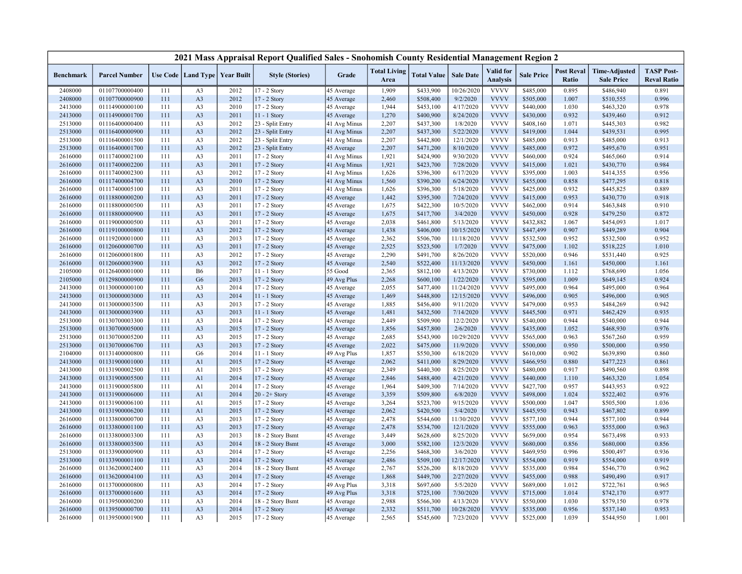|                  |                      |     |                                   |      | 2021 Mass Appraisal Report Qualified Sales - Snohomish County Residential Management Region 2 |              |                             |                    |                  |                                     |                   |                            |                                           |                                         |
|------------------|----------------------|-----|-----------------------------------|------|-----------------------------------------------------------------------------------------------|--------------|-----------------------------|--------------------|------------------|-------------------------------------|-------------------|----------------------------|-------------------------------------------|-----------------------------------------|
| <b>Benchmark</b> | <b>Parcel Number</b> |     | Use Code   Land Type   Year Built |      | <b>Style (Stories)</b>                                                                        | Grade        | <b>Total Living</b><br>Area | <b>Total Value</b> | <b>Sale Date</b> | <b>Valid</b> for<br><b>Analysis</b> | <b>Sale Price</b> | <b>Post Reval</b><br>Ratio | <b>Time-Adjusted</b><br><b>Sale Price</b> | <b>TASP Post-</b><br><b>Reval Ratio</b> |
| 2408000          | 01107700000400       | 111 | A <sub>3</sub>                    | 2012 | 17 - 2 Story                                                                                  | 45 Average   | 1,909                       | \$433,900          | 10/26/2020       | <b>VVVV</b>                         | \$485,000         | 0.895                      | \$486,940                                 | 0.891                                   |
| 2408000          | 01107700000900       | 111 | A <sub>3</sub>                    | 2012 | 17 - 2 Story                                                                                  | 45 Average   | 2,460                       | \$508,400          | 9/2/2020         | <b>VVVV</b>                         | \$505,000         | 1.007                      | \$510,555                                 | 0.996                                   |
| 2413000          | 01114900000100       | 111 | A <sub>3</sub>                    | 2010 | 17 - 2 Story                                                                                  | 45 Average   | 1,944                       | \$453,100          | 4/17/2020        | <b>VVVV</b>                         | \$440,000         | 1.030                      | \$463,320                                 | 0.978                                   |
| 2413000          | 01114900001700       | 111 | A <sub>3</sub>                    | 2011 | 11 - 1 Story                                                                                  | 45 Average   | 1,270                       | \$400,900          | 8/24/2020        | <b>VVVV</b>                         | \$430,000         | 0.932                      | \$439,460                                 | 0.912                                   |
| 2513000          | 01116400000400       | 111 | A <sub>3</sub>                    | 2012 | 23 - Split Entry                                                                              | 41 Avg Minus | 2,207                       | \$437,300          | 1/8/2020         | <b>VVVV</b>                         | \$408,160         | 1.071                      | \$445,303                                 | 0.982                                   |
| 2513000          | 01116400000900       | 111 | A <sub>3</sub>                    | 2012 | 23 - Split Entry                                                                              | 41 Avg Minus | 2,207                       | \$437,300          | 5/22/2020        | <b>VVVV</b>                         | \$419,000         | 1.044                      | \$439,531                                 | 0.995                                   |
| 2513000          | 01116400001500       | 111 | A <sub>3</sub>                    | 2012 | 23 - Split Entry                                                                              | 41 Avg Minus | 2,207                       | \$442,800          | 12/1/2020        | <b>VVVV</b>                         | \$485,000         | 0.913                      | \$485,000                                 | 0.913                                   |
| 2513000          | 01116400001700       | 111 | A <sub>3</sub>                    | 2012 | 23 - Split Entry                                                                              | 45 Average   | 2,207                       | \$471,200          | 8/10/2020        | <b>VVVV</b>                         | \$485,000         | 0.972                      | \$495,670                                 | 0.951                                   |
| 2616000          | 01117400002100       | 111 | A <sub>3</sub>                    | 2011 | 17 - 2 Story                                                                                  | 41 Avg Minus | 1,921                       | \$424,900          | 9/30/2020        | <b>VVVV</b>                         | \$460,000         | 0.924                      | \$465,060                                 | 0.914                                   |
| 2616000          | 01117400002200       | 111 | A <sub>3</sub>                    | 2011 | 17 - 2 Story                                                                                  | 41 Avg Minus | 1,921                       | \$423,700          | 7/28/2020        | <b>VVVV</b>                         | \$415,000         | 1.021                      | \$430,770                                 | 0.984                                   |
| 2616000          | 01117400002300       | 111 | A <sub>3</sub>                    | 2012 | 17 - 2 Story                                                                                  | 41 Avg Minus | 1,626                       | \$396,300          | 6/17/2020        | <b>VVVV</b>                         | \$395,000         | 1.003                      | \$414,355                                 | 0.956                                   |
| 2616000          | 01117400004700       | 111 | A <sub>3</sub>                    | 2010 | 17 - 2 Story                                                                                  | 41 Avg Minus | 1,560                       | \$390,200          | 6/24/2020        | <b>VVVV</b>                         | \$455,000         | 0.858                      | \$477,295                                 | 0.818                                   |
| 2616000          | 01117400005100       | 111 | A <sub>3</sub>                    | 2011 | 17 - 2 Story                                                                                  | 41 Avg Minus | 1,626                       | \$396,300          | 5/18/2020        | <b>VVVV</b>                         | \$425,000         | 0.932                      | \$445,825                                 | 0.889                                   |
| 2616000          | 01118800000200       | 111 | A <sub>3</sub>                    | 2011 | 17 - 2 Story                                                                                  | 45 Average   | 1,442                       | \$395,300          | 7/24/2020        | <b>VVVV</b>                         | \$415,000         | 0.953                      | \$430,770                                 | 0.918                                   |
| 2616000          | 01118800000500       | 111 | A <sub>3</sub>                    | 2011 | $17 - 2$ Story                                                                                | 45 Average   | 1,675                       | \$422,300          | 10/5/2020        | <b>VVVV</b>                         | \$462,000         | 0.914                      | \$463,848                                 | 0.910                                   |
| 2616000          | 01118800000900       | 111 | A <sub>3</sub>                    | 2011 | 17 - 2 Story                                                                                  | 45 Average   | 1,675                       | \$417,700          | 3/4/2020         | <b>VVVV</b>                         | \$450,000         | 0.928                      | \$479,250                                 | 0.872                                   |
| 2616000          | 01119000000500       | 111 | A <sub>3</sub>                    | 2011 | 17 - 2 Story                                                                                  | 45 Average   | 2,038                       | \$461,800          | 5/13/2020        | <b>VVVV</b>                         | \$432,882         | 1.067                      | \$454,093                                 | 1.017                                   |
| 2616000          | 01119100000800       | 111 | A <sub>3</sub>                    | 2012 | 17 - 2 Story                                                                                  | 45 Average   | 1,438                       | \$406,000          | 10/15/2020       | <b>VVVV</b>                         | \$447,499         | 0.907                      | \$449,289                                 | 0.904                                   |
| 2616000          | 01119200001000       | 111 | A <sub>3</sub>                    | 2013 | 17 - 2 Story                                                                                  | 45 Average   | 2,362                       | \$506,700          | 11/18/2020       | <b>VVVV</b>                         | \$532,500         | 0.952                      | \$532,500                                 | 0.952                                   |
| 2616000          | 01120600000700       | 111 | A <sub>3</sub>                    | 2011 | 17 - 2 Story                                                                                  | 45 Average   | 2,525                       | \$523,500          | 1/7/2020         | <b>VVVV</b>                         | \$475,000         | 1.102                      | \$518,225                                 | 1.010                                   |
| 2616000          | 01120600001800       | 111 | A <sub>3</sub>                    | 2012 | 17 - 2 Story                                                                                  | 45 Average   | 2,290                       | \$491,700          | 8/26/2020        | <b>VVVV</b>                         | \$520,000         | 0.946                      | \$531,440                                 | 0.925                                   |
| 2616000          | 01120600003900       | 111 | A <sub>3</sub>                    | 2012 | 17 - 2 Story                                                                                  | 45 Average   | 2,540                       | \$522,400          | 11/13/2020       | <b>VVVV</b>                         | \$450,000         | 1.161                      | \$450,000                                 | 1.161                                   |
| 2105000          | 01126400001000       | 111 | <b>B6</b>                         | 2017 | 11 - 1 Story                                                                                  | 55 Good      | 2,365                       | \$812,100          | 4/13/2020        | <b>VVVV</b>                         | \$730,000         | 1.112                      | \$768,690                                 | 1.056                                   |
| 2105000          | 01129800000900       | 111 | G <sub>6</sub>                    | 2013 | 17 - 2 Story                                                                                  | 49 Avg Plus  | 2,268                       | \$600,100          | 1/22/2020        | <b>VVVV</b>                         | \$595,000         | 1.009                      | \$649,145                                 | 0.924                                   |
| 2413000          | 01130000000100       | 111 | A <sub>3</sub>                    | 2014 | 17 - 2 Story                                                                                  | 45 Average   | 2,055                       | \$477,400          | 11/24/2020       | <b>VVVV</b>                         | \$495,000         | 0.964                      | \$495,000                                 | 0.964                                   |
| 2413000          | 01130000003000       | 111 | A <sub>3</sub>                    | 2014 | 11 - 1 Story                                                                                  | 45 Average   | 1,469                       | \$448,800          | 12/15/2020       | <b>VVVV</b>                         | \$496,000         | 0.905                      | \$496,000                                 | 0.905                                   |
| 2413000          | 01130000003500       | 111 | A <sub>3</sub>                    | 2013 | 17 - 2 Story                                                                                  | 45 Average   | 1,885                       | \$456,400          | 9/11/2020        | <b>VVVV</b>                         | \$479,000         | 0.953                      | \$484,269                                 | 0.942                                   |
| 2413000          | 01130000003900       | 111 | A <sub>3</sub>                    | 2013 | $11 - 1$ Story                                                                                | 45 Average   | 1,481                       | \$432,500          | 7/14/2020        | <b>VVVV</b>                         | \$445,500         | 0.971                      | \$462,429                                 | 0.935                                   |
| 2513000          | 01130700003300       | 111 | A <sub>3</sub>                    | 2014 | 17 - 2 Story                                                                                  | 45 Average   | 2,449                       | \$509,900          | 12/2/2020        | <b>VVVV</b>                         | \$540,000         | 0.944                      | \$540,000                                 | 0.944                                   |
| 2513000          | 01130700005000       | 111 | A <sub>3</sub>                    | 2015 | 17 - 2 Story                                                                                  | 45 Average   | 1,856                       | \$457,800          | 2/6/2020         | <b>VVVV</b>                         | \$435,000         | 1.052                      | \$468,930                                 | 0.976                                   |
| 2513000          | 01130700005200       | 111 | A <sub>3</sub>                    | 2015 | 17 - 2 Story                                                                                  | 45 Average   | 2,685                       | \$543,900          | 10/29/2020       | <b>VVVV</b>                         | \$565,000         | 0.963                      | \$567,260                                 | 0.959                                   |
| 2513000          | 01130700006700       | 111 | A <sub>3</sub>                    | 2013 | 17 - 2 Story                                                                                  | 45 Average   | 2,022                       | \$475,000          | 11/9/2020        | <b>VVVV</b>                         | \$500,000         | 0.950                      | \$500,000                                 | 0.950                                   |
| 2104000          | 01131400000800       | 111 | G <sub>6</sub>                    | 2014 | $11 - 1$ Story                                                                                | 49 Avg Plus  | 1,857                       | \$550,300          | 6/18/2020        | <b>VVVV</b>                         | \$610,000         | 0.902                      | \$639,890                                 | 0.860                                   |
| 2413000          | 01131900001000       | 111 | A1                                | 2015 | 17 - 2 Story                                                                                  | 45 Average   | 2,062                       | \$411,000          | 8/29/2020        | <b>VVVV</b>                         | \$466,950         | 0.880                      | \$477,223                                 | 0.861                                   |
| 2413000          | 01131900002500       | 111 | A1                                | 2015 | 17 - 2 Story                                                                                  | 45 Average   | 2,349                       | \$440,300          | 8/25/2020        | <b>VVVV</b>                         | \$480,000         | 0.917                      | \$490,560                                 | 0.898                                   |
| 2413000          | 01131900005500       | 111 | A1                                | 2014 | 17 - 2 Story                                                                                  | 45 Average   | 2,846                       | \$488,400          | 4/21/2020        | <b>VVVV</b>                         | \$440,000         | 1.110                      | \$463,320                                 | 1.054                                   |
| 2413000          | 01131900005800       | 111 | A1                                | 2014 | 17 - 2 Story                                                                                  | 45 Average   | 1,964                       | \$409,300          | 7/14/2020        | <b>VVVV</b>                         | \$427,700         | 0.957                      | \$443,953                                 | 0.922                                   |
| 2413000          | 01131900006000       | 111 | A <sub>1</sub>                    | 2014 | $20 - 2 +$ Story                                                                              | 45 Average   | 3,359                       | \$509,800          | 6/8/2020         | <b>VVVV</b>                         | \$498,000         | 1.024                      | \$522,402                                 | 0.976                                   |
| 2413000          | 01131900006100       | 111 | A1                                | 2015 | 17 - 2 Story                                                                                  | 45 Average   | 3,264                       | \$523,700          | 9/15/2020        | <b>VVVV</b>                         | \$500,000         | 1.047                      | \$505,500                                 | 1.036                                   |
| 2413000          | 01131900006200       | 111 | A1                                | 2015 | 17 - 2 Story                                                                                  | 45 Average   | 2,062                       | \$420,500          | 5/4/2020         | <b>VVVV</b>                         | \$445,950         | 0.943                      | \$467,802                                 | 0.899                                   |
| 2616000          | 01133800000700       | 111 | A <sub>3</sub>                    | 2013 | 17 - 2 Story                                                                                  | 45 Average   | 2,478                       | \$544,600          | 11/30/2020       | <b>VVVV</b>                         | \$577,100         | 0.944                      | \$577,100                                 | 0.944                                   |
| 2616000          | 01133800001100       | 111 | A <sub>3</sub>                    | 2013 | 17 - 2 Story                                                                                  | 45 Average   | 2,478                       | \$534,700          | 12/1/2020        | <b>VVVV</b>                         | \$555,000         | 0.963                      | \$555,000                                 | 0.963                                   |
| 2616000          | 01133800003300       | 111 | A <sub>3</sub>                    | 2013 | 18 - 2 Story Bsmt                                                                             | 45 Average   | 3,449                       | \$628,600          | 8/25/2020        | <b>VVVV</b>                         | \$659,000         | 0.954                      | \$673,498                                 | 0.933                                   |
| 2616000          | 01133800003500       | 111 | A <sub>3</sub>                    | 2014 | 18 - 2 Story Bsmt                                                                             | 45 Average   | 3,000                       | \$582,100          | 12/3/2020        | <b>VVVV</b>                         | \$680,000         | 0.856                      | \$680,000                                 | 0.856                                   |
| 2513000          | 01133900000900       | 111 | A <sub>3</sub>                    | 2014 | 17 - 2 Story                                                                                  | 45 Average   | 2,256                       | \$468,300          | 3/6/2020         | <b>VVVV</b>                         | \$469,950         | 0.996                      | \$500,497                                 | 0.936                                   |
| 2513000          | 01133900001100       | 111 | A <sub>3</sub>                    | 2014 | 17 - 2 Story                                                                                  | 45 Average   | 2,486                       | \$509,100          | 12/17/2020       | <b>VVVV</b>                         | \$554,000         | 0.919                      | \$554,000                                 | 0.919                                   |
| 2616000          | 01136200002400       | 111 | A <sub>3</sub>                    | 2014 | 18 - 2 Story Bsmt                                                                             | 45 Average   | 2,767                       | \$526,200          | 8/18/2020        | <b>VVVV</b>                         | \$535,000         | 0.984                      | \$546,770                                 | 0.962                                   |
| 2616000          | 01136200004100       | 111 | A <sub>3</sub>                    | 2014 | 17 - 2 Story                                                                                  | 45 Average   | 1,868                       | \$449,700          | 2/27/2020        | <b>VVVV</b>                         | \$455,000         | 0.988                      | \$490,490                                 | 0.917                                   |
| 2616000          | 01137000000800       | 111 | A <sub>3</sub>                    | 2014 | 17 - 2 Story                                                                                  | 49 Avg Plus  | 3,318                       | \$697,600          | 5/5/2020         | <b>VVVV</b>                         | \$689,000         | 1.012                      | \$722,761                                 | 0.965                                   |
| 2616000          | 01137000001600       | 111 | A <sub>3</sub>                    | 2014 | 17 - 2 Story                                                                                  | 49 Avg Plus  | 3,318                       | \$725,100          | 7/30/2020        | <b>VVVV</b>                         | \$715,000         | 1.014                      | \$742,170                                 | 0.977                                   |
| 2616000          | 01139500000200       | 111 | A <sub>3</sub>                    | 2014 | 18 - 2 Story Bsmt                                                                             | 45 Average   | 2,988                       | \$566,300          | 4/13/2020        | <b>VVVV</b>                         | \$550,000         | 1.030                      | \$579,150                                 | 0.978                                   |
| 2616000          | 01139500000700       | 111 | A <sub>3</sub>                    | 2014 | 17 - 2 Story                                                                                  | 45 Average   | 2,332                       | \$511,700          | 10/28/2020       | <b>VVVV</b>                         | \$535,000         | 0.956                      | \$537,140                                 | 0.953                                   |
| 2616000          | 01139500001900       | 111 | A <sub>3</sub>                    | 2015 | 17 - 2 Story                                                                                  | 45 Average   | 2,565                       | \$545,600          | 7/23/2020        | <b>VVVV</b>                         | \$525,000         | 1.039                      | \$544,950                                 | 1.001                                   |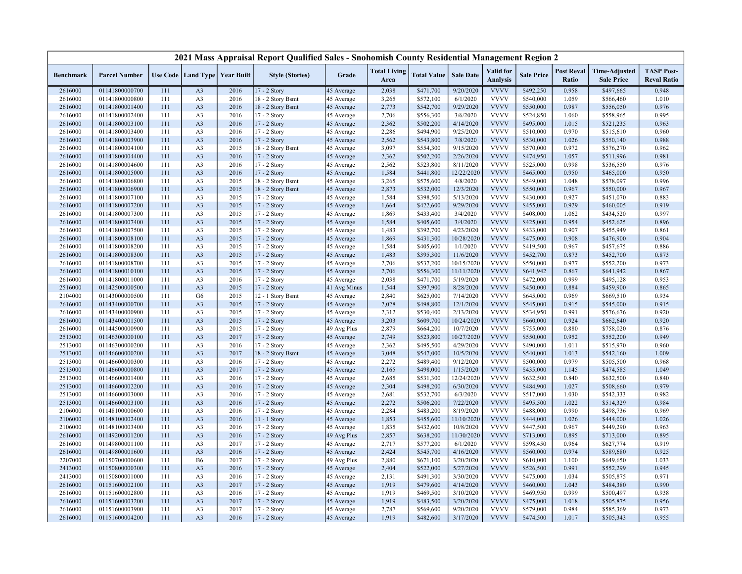|                    |                                  |            |                                   |              | 2021 Mass Appraisal Report Qualified Sales - Snohomish County Residential Management Region 2 |                          |                             |                        |                         |                                     |                        |                            |                                           |                                         |
|--------------------|----------------------------------|------------|-----------------------------------|--------------|-----------------------------------------------------------------------------------------------|--------------------------|-----------------------------|------------------------|-------------------------|-------------------------------------|------------------------|----------------------------|-------------------------------------------|-----------------------------------------|
| <b>Benchmark</b>   | <b>Parcel Number</b>             |            | Use Code   Land Type   Year Built |              | <b>Style (Stories)</b>                                                                        | Grade                    | <b>Total Living</b><br>Area | <b>Total Value</b>     | <b>Sale Date</b>        | <b>Valid</b> for<br><b>Analysis</b> | <b>Sale Price</b>      | <b>Post Reval</b><br>Ratio | <b>Time-Adjusted</b><br><b>Sale Price</b> | <b>TASP Post-</b><br><b>Reval Ratio</b> |
| 2616000            | 01141800000700                   | 111        | A <sub>3</sub>                    | 2016         | 17 - 2 Story                                                                                  | 45 Average               | 2,038                       | \$471,700              | 9/20/2020               | <b>VVVV</b>                         | \$492,250              | 0.958                      | \$497,665                                 | 0.948                                   |
| 2616000            | 01141800000800                   | 111        | A <sub>3</sub>                    | 2016         | 18 - 2 Story Bsmt                                                                             | 45 Average               | 3,265                       | \$572,100              | 6/1/2020                | <b>VVVV</b>                         | \$540,000              | 1.059                      | \$566,460                                 | 1.010                                   |
| 2616000            | 01141800001400                   | 111        | A <sub>3</sub>                    | 2016         | 18 - 2 Story Bsmt                                                                             | 45 Average               | 2,773                       | \$542,700              | 9/29/2020               | <b>VVVV</b>                         | \$550,000              | 0.987                      | \$556,050                                 | 0.976                                   |
| 2616000            | 01141800002400                   | 111        | A <sub>3</sub>                    | 2016         | 17 - 2 Story                                                                                  | 45 Average               | 2,706                       | \$556,300              | 3/6/2020                | <b>VVVV</b>                         | \$524,850              | 1.060                      | \$558,965                                 | 0.995                                   |
| 2616000            | 01141800003100                   | 111        | A <sub>3</sub>                    | 2016         | 17 - 2 Story                                                                                  | 45 Average               | 2,362                       | \$502,200              | 4/14/2020               | <b>VVVV</b>                         | \$495,000              | 1.015                      | \$521,235                                 | 0.963                                   |
| 2616000            | 01141800003400                   | 111        | A <sub>3</sub>                    | 2016         | 17 - 2 Story                                                                                  | 45 Average               | 2,286                       | \$494,900              | 9/25/2020               | <b>VVVV</b>                         | \$510,000              | 0.970                      | \$515,610                                 | 0.960                                   |
| 2616000            | 01141800003900                   | 111        | A <sub>3</sub>                    | 2016         | 17 - 2 Story                                                                                  | 45 Average               | 2,562                       | \$543,800              | 7/8/2020                | <b>VVVV</b>                         | \$530,000              | 1.026                      | \$550,140                                 | 0.988                                   |
| 2616000            | 01141800004100                   | 111        | A <sub>3</sub>                    | 2015         | 18 - 2 Story Bsmt                                                                             | 45 Average               | 3,097                       | \$554,300              | 9/15/2020               | <b>VVVV</b>                         | \$570,000              | 0.972                      | \$576,270                                 | 0.962                                   |
| 2616000            | 01141800004400                   | 111        | A <sub>3</sub>                    | 2016         | 17 - 2 Story                                                                                  | 45 Average               | 2,362                       | \$502,200              | 2/26/2020               | <b>VVVV</b>                         | \$474,950              | 1.057                      | \$511,996                                 | 0.981                                   |
| 2616000            | 01141800004600                   | 111        | A <sub>3</sub>                    | 2016         | 17 - 2 Story                                                                                  | 45 Average               | 2,562                       | \$523,800              | 8/11/2020               | <b>VVVV</b>                         | \$525,000              | 0.998                      | \$536,550                                 | 0.976                                   |
| 2616000            | 01141800005000                   | 111        | A <sub>3</sub>                    | 2016         | 17 - 2 Story                                                                                  | 45 Average               | 1,584                       | \$441,800              | 12/22/2020              | <b>VVVV</b>                         | \$465,000              | 0.950                      | \$465,000                                 | 0.950                                   |
| 2616000            | 01141800006800                   | 111        | A <sub>3</sub>                    | 2015         | 18 - 2 Story Bsmt                                                                             | 45 Average               | 3,265                       | \$575,600              | 4/8/2020                | <b>VVVV</b>                         | \$549,000              | 1.048                      | \$578,097                                 | 0.996                                   |
| 2616000            | 01141800006900                   | 111        | A <sub>3</sub>                    | 2015         | 18 - 2 Story Bsmt                                                                             | 45 Average               | 2,873                       | \$532,000              | 12/3/2020               | <b>VVVV</b>                         | \$550,000              | 0.967                      | \$550,000                                 | 0.967                                   |
| 2616000            | 01141800007100                   | 111        | A <sub>3</sub>                    | 2015         | 17 - 2 Story                                                                                  | 45 Average               | 1,584                       | \$398,500              | 5/13/2020               | <b>VVVV</b>                         | \$430,000              | 0.927                      | \$451,070                                 | 0.883                                   |
| 2616000            | 01141800007200                   | 111        | A <sub>3</sub>                    | 2015         | $17 - 2$ Story                                                                                | 45 Average               | 1,664                       | \$422,600              | 9/29/2020               | <b>VVVV</b>                         | \$455,000              | 0.929                      | \$460,005                                 | 0.919                                   |
| 2616000            | 01141800007300                   | 111        | A <sub>3</sub>                    | 2015         | 17 - 2 Story                                                                                  | 45 Average               | 1,869                       | \$433,400              | 3/4/2020                | <b>VVVV</b>                         | \$408,000              | 1.062                      | \$434,520                                 | 0.997                                   |
| 2616000            | 01141800007400                   | 111        | A <sub>3</sub>                    | 2015         | 17 - 2 Story                                                                                  | 45 Average               | 1,584                       | \$405,600              | 3/4/2020                | <b>VVVV</b>                         | \$425,000              | 0.954                      | \$452,625                                 | 0.896                                   |
| 2616000            | 01141800007500                   | 111        | A <sub>3</sub>                    | 2015         | 17 - 2 Story                                                                                  | 45 Average               | 1,483                       | \$392,700              | 4/23/2020               | <b>VVVV</b>                         | \$433,000              | 0.907                      | \$455,949                                 | 0.861                                   |
| 2616000            | 01141800008100                   | 111        | A <sub>3</sub>                    | 2015         | 17 - 2 Story                                                                                  | 45 Average               | 1,869                       | \$431,300              | 10/28/2020              | <b>VVVV</b>                         | \$475,000              | 0.908                      | \$476,900                                 | 0.904                                   |
| 2616000            | 01141800008200                   | 111        | A <sub>3</sub>                    | 2015         | 17 - 2 Story                                                                                  | 45 Average               | 1,584                       | \$405,600              | 1/1/2020                | <b>VVVV</b>                         | \$419,500              | 0.967                      | \$457,675                                 | 0.886                                   |
| 2616000            | 01141800008300                   | 111        | A <sub>3</sub>                    | 2015         | 17 - 2 Story                                                                                  | 45 Average               | 1,483                       | \$395,300              | 11/6/2020               | <b>VVVV</b>                         | \$452,700              | 0.873                      | \$452,700                                 | 0.873                                   |
| 2616000            | 01141800008700                   | 111        | A <sub>3</sub>                    | 2015         | 17 - 2 Story                                                                                  | 45 Average               | 2,706                       | \$537,200              | 10/15/2020              | <b>VVVV</b>                         | \$550,000              | 0.977                      | \$552,200                                 | 0.973                                   |
| 2616000            | 01141800010100                   | 111        | A <sub>3</sub>                    | 2015         | 17 - 2 Story                                                                                  | 45 Average               | 2,706                       | \$556,300              | 11/11/2020              | <b>VVVV</b>                         | \$641,942              | 0.867                      | \$641,942                                 | 0.867                                   |
| 2616000            | 01141800011000                   | 111        | A <sub>3</sub>                    | 2016         | 17 - 2 Story                                                                                  | 45 Average               | 2,038                       | \$471,700              | 5/19/2020               | <b>VVVV</b>                         | \$472,000              | 0.999                      | \$495,128                                 | 0.953                                   |
| 2516000            | 01142500000500                   | 111        | A <sub>3</sub>                    | 2015         | 17 - 2 Story                                                                                  | 41 Avg Minus             | 1,544                       | \$397,900              | 8/28/2020               | <b>VVVV</b>                         | \$450,000              | 0.884                      | \$459,900                                 | 0.865                                   |
| 2104000            | 01143000000500                   | 111        | G6                                | 2015         | 12 - 1 Story Bsmt                                                                             | 45 Average               | 2,840                       | \$625,000              | 7/14/2020               | <b>VVVV</b>                         | \$645,000              | 0.969                      | \$669,510                                 | 0.934                                   |
| 2616000            | 01143400000700                   | 111        | A <sub>3</sub>                    | 2015         | 17 - 2 Story                                                                                  | 45 Average               | 2,028                       | \$498,800              | 12/1/2020               | <b>VVVV</b>                         | \$545,000              | 0.915                      | \$545,000                                 | 0.915                                   |
| 2616000            | 01143400000900                   | 111        | A <sub>3</sub><br>A <sub>3</sub>  | 2015<br>2015 | 17 - 2 Story                                                                                  | 45 Average               | 2,312                       | \$530,400              | 2/13/2020               | <b>VVVV</b><br><b>VVVV</b>          | \$534,950              | 0.991<br>0.924             | \$576,676                                 | 0.920                                   |
| 2616000            | 01143400001500                   | 111        |                                   |              | 17 - 2 Story                                                                                  | 45 Average               | 3,203                       | \$609,700              | 10/24/2020              |                                     | \$660,000              |                            | \$662,640                                 | 0.920                                   |
| 2616000            | 01144500000900<br>01146300000100 | 111        | A <sub>3</sub><br>A <sub>3</sub>  | 2015<br>2017 | 17 - 2 Story<br>17 - 2 Story                                                                  | 49 Avg Plus              | 2,879<br>2,749              | \$664,200              | 10/7/2020               | <b>VVVV</b><br><b>VVVV</b>          | \$755,000              | 0.880<br>0.952             | \$758,020                                 | 0.876<br>0.949                          |
| 2513000<br>2513000 | 01146300000200                   | 111<br>111 | A <sub>3</sub>                    | 2016         | 17 - 2 Story                                                                                  | 45 Average<br>45 Average | 2,362                       | \$523,800<br>\$495,500 | 10/27/2020<br>4/29/2020 | <b>VVVV</b>                         | \$550,000<br>\$490,000 | 1.011                      | \$552,200<br>\$515,970                    | 0.960                                   |
| 2513000            | 01146600000200                   | 111        | A <sub>3</sub>                    | 2017         | 18 - 2 Story Bsmt                                                                             | 45 Average               | 3,048                       | \$547,000              | 10/5/2020               | <b>VVVV</b>                         | \$540,000              | 1.013                      | \$542,160                                 | 1.009                                   |
| 2513000            | 01146600000300                   | 111        | A <sub>3</sub>                    | 2016         | 17 - 2 Story                                                                                  | 45 Average               | 2,272                       | \$489,400              | 9/12/2020               | <b>VVVV</b>                         | \$500,000              | 0.979                      | \$505,500                                 | 0.968                                   |
| 2513000            | 01146600000800                   | 111        | A <sub>3</sub>                    | 2017         | 17 - 2 Story                                                                                  | 45 Average               | 2,165                       | \$498,000              | 1/15/2020               | <b>VVVV</b>                         | \$435,000              | 1.145                      | \$474,585                                 | 1.049                                   |
| 2513000            | 01146600001400                   | 111        | A <sub>3</sub>                    | 2016         | 17 - 2 Story                                                                                  | 45 Average               | 2,685                       | \$531,300              | 12/24/2020              | <b>VVVV</b>                         | \$632,500              | 0.840                      | \$632,500                                 | 0.840                                   |
| 2513000            | 01146600002200                   | 111        | A <sub>3</sub>                    | 2016         | 17 - 2 Story                                                                                  | 45 Average               | 2,304                       | \$498,200              | 6/30/2020               | <b>VVVV</b>                         | \$484,900              | 1.027                      | \$508,660                                 | 0.979                                   |
| 2513000            | 01146600003000                   | 111        | A <sub>3</sub>                    | 2016         | 17 - 2 Story                                                                                  | 45 Average               | 2,681                       | \$532,700              | 6/3/2020                | <b>VVVV</b>                         | \$517,000              | 1.030                      | \$542,333                                 | 0.982                                   |
| 2513000            | 01146600003100                   | 111        | A <sub>3</sub>                    | 2016         | 17 - 2 Story                                                                                  | 45 Average               | 2,272                       | \$506,200              | 7/22/2020               | <b>VVVV</b>                         | \$495,500              | 1.022                      | \$514,329                                 | 0.984                                   |
| 2106000            | 01148100000600                   | 111        | A <sub>3</sub>                    | 2016         | $17 - 2$ Story                                                                                | 45 Average               | 2,284                       | \$483,200              | 8/19/2020               | <b>VVVV</b>                         | \$488,000              | 0.990                      | \$498,736                                 | 0.969                                   |
| 2106000            | 01148100002400                   | 111        | A <sub>3</sub>                    | 2016         | 11 - 1 Story                                                                                  | 45 Average               | 1,853                       | \$455,600              | 11/10/2020              | <b>VVVV</b>                         | \$444,000              | 1.026                      | \$444,000                                 | 1.026                                   |
| 2106000            | 01148100003400                   | 111        | A <sub>3</sub>                    | 2016         | 17 - 2 Story                                                                                  | 45 Average               | 1,835                       | \$432,600              | 10/8/2020               | <b>VVVV</b>                         | \$447,500              | 0.967                      | \$449,290                                 | 0.963                                   |
| 2616000            | 01149200001200                   | 111        | A <sub>3</sub>                    | 2016         | 17 - 2 Story                                                                                  | 49 Avg Plus              | 2,857                       | \$638,200              | 11/30/2020              | <b>VVVV</b>                         | \$713,000              | 0.895                      | \$713,000                                 | 0.895                                   |
| 2616000            | 01149800001100                   | 111        | A <sub>3</sub>                    | 2017         | 17 - 2 Story                                                                                  | 45 Average               | 2,717                       | \$577,200              | 6/1/2020                | <b>VVVV</b>                         | \$598,450              | 0.964                      | \$627,774                                 | 0.919                                   |
| 2616000            | 01149800001600                   | 111        | A <sub>3</sub>                    | 2016         | $17 - 2$ Story                                                                                | 45 Average               | 2,424                       | \$545,700              | 4/16/2020               | <b>VVVV</b>                         | \$560,000              | 0.974                      | \$589,680                                 | 0.925                                   |
| 2207000            | 01150700000600                   | 111        | <b>B6</b>                         | 2017         | 17 - 2 Story                                                                                  | 49 Avg Plus              | 2,880                       | \$671,100              | 3/20/2020               | <b>VVVV</b>                         | \$610,000              | 1.100                      | \$649,650                                 | 1.033                                   |
| 2413000            | 01150800000300                   | 111        | A <sub>3</sub>                    | 2016         | 17 - 2 Story                                                                                  | 45 Average               | 2,404                       | \$522,000              | 5/27/2020               | <b>VVVV</b>                         | \$526,500              | 0.991                      | \$552,299                                 | 0.945                                   |
| 2413000            | 01150800001000                   | 111        | A <sub>3</sub>                    | 2016         | 17 - 2 Story                                                                                  | 45 Average               | 2,131                       | \$491,300              | 3/30/2020               | <b>VVVV</b>                         | \$475,000              | 1.034                      | \$505,875                                 | 0.971                                   |
| 2616000            | 01151600002100                   | 111        | A <sub>3</sub>                    | 2017         | 17 - 2 Story                                                                                  | 45 Average               | 1,919                       | \$479,600              | 4/14/2020               | <b>VVVV</b>                         | \$460,000              | 1.043                      | \$484,380                                 | 0.990                                   |
| 2616000            | 01151600002800                   | 111        | A <sub>3</sub>                    | 2016         | 17 - 2 Story                                                                                  | 45 Average               | 1,919                       | \$469,500              | 3/10/2020               | <b>VVVV</b>                         | \$469,950              | 0.999                      | \$500,497                                 | 0.938                                   |
| 2616000            | 01151600003200                   | 111        | A <sub>3</sub>                    | 2017         | 17 - 2 Story                                                                                  | 45 Average               | 1,919                       | \$483,500              | 3/20/2020               | <b>VVVV</b>                         | \$475,000              | 1.018                      | \$505,875                                 | 0.956                                   |
| 2616000            | 01151600003900                   | 111        | A <sub>3</sub>                    | 2017         | 17 - 2 Story                                                                                  | 45 Average               | 2,787                       | \$569,600              | 9/20/2020               | <b>VVVV</b>                         | \$579,000              | 0.984                      | \$585,369                                 | 0.973                                   |
| 2616000            | 01151600004200                   | 111        | A <sub>3</sub>                    | 2016         | 17 - 2 Story                                                                                  | 45 Average               | 1,919                       | \$482,600              | 3/17/2020               | <b>VVVV</b>                         | \$474,500              | 1.017                      | \$505,343                                 | 0.955                                   |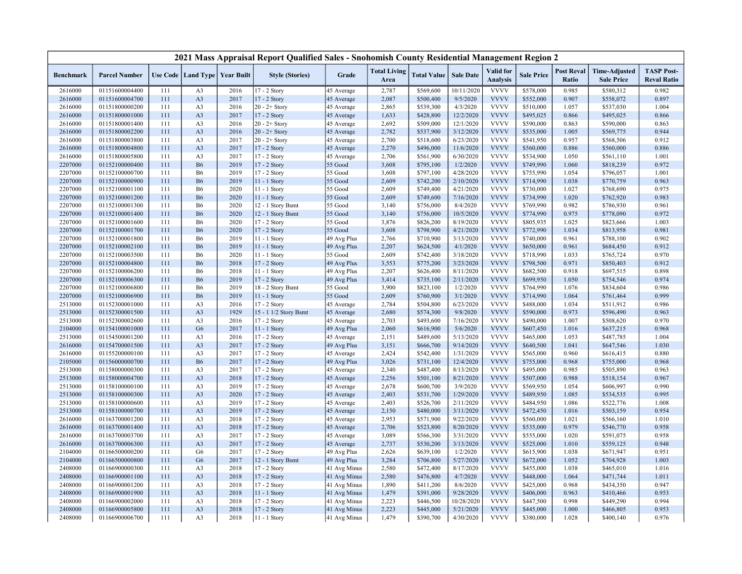|                  |                      |     |                                   |      | 2021 Mass Appraisal Report Qualified Sales - Snohomish County Residential Management Region 2 |              |                             |                    |                  |                              |                   |                            |                                           |                                         |
|------------------|----------------------|-----|-----------------------------------|------|-----------------------------------------------------------------------------------------------|--------------|-----------------------------|--------------------|------------------|------------------------------|-------------------|----------------------------|-------------------------------------------|-----------------------------------------|
| <b>Benchmark</b> | <b>Parcel Number</b> |     | Use Code   Land Type   Year Built |      | <b>Style (Stories)</b>                                                                        | Grade        | <b>Total Living</b><br>Area | <b>Total Value</b> | <b>Sale Date</b> | Valid for<br><b>Analysis</b> | <b>Sale Price</b> | <b>Post Reval</b><br>Ratio | <b>Time-Adjusted</b><br><b>Sale Price</b> | <b>TASP Post-</b><br><b>Reval Ratio</b> |
| 2616000          | 01151600004400       | 111 | A <sub>3</sub>                    | 2016 | 17 - 2 Story                                                                                  | 45 Average   | 2,787                       | \$569,600          | 10/11/2020       | <b>VVVV</b>                  | \$578,000         | 0.985                      | \$580,312                                 | 0.982                                   |
| 2616000          | 01151600004700       | 111 | A <sub>3</sub>                    | 2017 | 17 - 2 Story                                                                                  | 45 Average   | 2,087                       | \$500,400          | 9/5/2020         | <b>VVVV</b>                  | \$552,000         | 0.907                      | \$558,072                                 | 0.897                                   |
| 2616000          | 01151800000200       | 111 | A <sub>3</sub>                    | 2016 | $20 - 2 +$ Story                                                                              | 45 Average   | 2,865                       | \$539,300          | 4/3/2020         | <b>VVVV</b>                  | \$510,000         | 1.057                      | \$537,030                                 | 1.004                                   |
| 2616000          | 01151800001000       | 111 | A <sub>3</sub>                    | 2017 | 17 - 2 Story                                                                                  | 45 Average   | 1,633                       | \$428,800          | 12/2/2020        | <b>VVVV</b>                  | \$495,025         | 0.866                      | \$495,025                                 | 0.866                                   |
| 2616000          | 01151800001400       | 111 | A <sub>3</sub>                    | 2016 | $20 - 2 +$ Story                                                                              | 45 Average   | 2,692                       | \$509,000          | 12/1/2020        | <b>VVVV</b>                  | \$590,000         | 0.863                      | \$590,000                                 | 0.863                                   |
| 2616000          | 01151800002200       | 111 | A <sub>3</sub>                    | 2016 | $20 - 2 +$ Story                                                                              | 45 Average   | 2,782                       | \$537,900          | 3/12/2020        | <b>VVVV</b>                  | \$535,000         | 1.005                      | \$569,775                                 | 0.944                                   |
| 2616000          | 01151800003800       | 111 | A <sub>3</sub>                    | 2017 | $20 - 2 +$ Story                                                                              | 45 Average   | 2,700                       | \$518,600          | 6/23/2020        | <b>VVVV</b>                  | \$541,950         | 0.957                      | \$568,506                                 | 0.912                                   |
| 2616000          | 01151800004800       | 111 | A <sub>3</sub>                    | 2017 | 17 - 2 Story                                                                                  | 45 Average   | 2,270                       | \$496,000          | 11/6/2020        | <b>VVVV</b>                  | \$560,000         | 0.886                      | \$560,000                                 | 0.886                                   |
| 2616000          | 01151800005800       | 111 | A <sub>3</sub>                    | 2017 | 17 - 2 Story                                                                                  | 45 Average   | 2,706                       | \$561,900          | 6/30/2020        | <b>VVVV</b>                  | \$534,900         | 1.050                      | \$561,110                                 | 1.001                                   |
| 2207000          | 01152100000400       | 111 | <b>B6</b>                         | 2019 | 17 - 2 Story                                                                                  | 55 Good      | 3,608                       | \$795,100          | 1/2/2020         | <b>VVVV</b>                  | \$749,990         | 1.060                      | \$818,239                                 | 0.972                                   |
| 2207000          | 01152100000700       | 111 | <b>B6</b>                         | 2019 | 17 - 2 Story                                                                                  | 55 Good      | 3,608                       | \$797,100          | 4/28/2020        | <b>VVVV</b>                  | \$755,990         | 1.054                      | \$796,057                                 | 1.001                                   |
| 2207000          | 01152100000900       | 111 | <b>B6</b>                         | 2019 | $11 - 1$ Story                                                                                | 55 Good      | 2,609                       | \$742,200          | 2/10/2020        | <b>VVVV</b>                  | \$714,990         | 1.038                      | \$770,759                                 | 0.963                                   |
| 2207000          | 01152100001100       | 111 | <b>B6</b>                         | 2020 | 11 - 1 Story                                                                                  | 55 Good      | 2,609                       | \$749,400          | 4/21/2020        | <b>VVVV</b>                  | \$730,000         | 1.027                      | \$768,690                                 | 0.975                                   |
| 2207000          | 01152100001200       | 111 | <b>B6</b>                         | 2020 | $11 - 1$ Story                                                                                | 55 Good      | 2,609                       | \$749,600          | 7/16/2020        | <b>VVVV</b>                  | \$734,990         | 1.020                      | \$762,920                                 | 0.983                                   |
| 2207000          | 01152100001300       | 111 | <b>B6</b>                         | 2020 | 12 - 1 Story Bsmt                                                                             | 55 Good      | 3,140                       | \$756,000          | 8/4/2020         | <b>VVVV</b>                  | \$769,990         | 0.982                      | \$786,930                                 | 0.961                                   |
| 2207000          | 01152100001400       | 111 | <b>B6</b>                         | 2020 | 12 - 1 Story Bsmt                                                                             | 55 Good      | 3,140                       | \$756,000          | 10/5/2020        | <b>VVVV</b>                  | \$774,990         | 0.975                      | \$778,090                                 | 0.972                                   |
| 2207000          | 01152100001600       | 111 | <b>B6</b>                         | 2020 | 17 - 2 Story                                                                                  | 55 Good      | 3,876                       | \$826,200          | 8/19/2020        | <b>VVVV</b>                  | \$805,935         | 1.025                      | \$823,666                                 | 1.003                                   |
| 2207000          | 01152100001700       | 111 | <b>B6</b>                         | 2020 | 17 - 2 Story                                                                                  | 55 Good      | 3,608                       | \$798,900          | 4/21/2020        | <b>VVVV</b>                  | \$772,990         | 1.034                      | \$813,958                                 | 0.981                                   |
| 2207000          | 01152100001800       | 111 |                                   | 2019 |                                                                                               |              | 2,766                       | \$710,900          | 3/13/2020        | <b>VVVV</b>                  | \$740,000         | 0.961                      | \$788,100                                 | 0.902                                   |
|                  |                      |     | B6                                |      | 11 - 1 Story                                                                                  | 49 Avg Plus  |                             |                    |                  | <b>VVVV</b>                  |                   |                            |                                           |                                         |
| 2207000          | 01152100002100       | 111 | <b>B6</b>                         | 2019 | 11 - 1 Story                                                                                  | 49 Avg Plus  | 2,207                       | \$624,500          | 4/1/2020         |                              | \$650,000         | 0.961                      | \$684,450                                 | 0.912                                   |
| 2207000          | 01152100003500       | 111 | <b>B6</b>                         | 2020 | 11 - 1 Story                                                                                  | 55 Good      | 2,609                       | \$742,400          | 3/18/2020        | <b>VVVV</b>                  | \$718,990         | 1.033                      | \$765,724                                 | 0.970                                   |
| 2207000          | 01152100004800       | 111 | <b>B6</b>                         | 2018 | 17 - 2 Story                                                                                  | 49 Avg Plus  | 3,553                       | \$775,200          | 3/23/2020        | <b>VVVV</b>                  | \$798,500         | 0.971                      | \$850,403                                 | 0.912                                   |
| 2207000          | 01152100006200       | 111 | <b>B6</b>                         | 2018 | $11 - 1$ Story                                                                                | 49 Avg Plus  | 2,207                       | \$626,400          | 8/11/2020        | <b>VVVV</b>                  | \$682,500         | 0.918                      | \$697,515                                 | 0.898                                   |
| 2207000          | 01152100006300       | 111 | <b>B6</b>                         | 2019 | 17 - 2 Story                                                                                  | 49 Avg Plus  | 3,414                       | \$735,100          | 2/11/2020        | <b>VVVV</b>                  | \$699,950         | 1.050                      | \$754,546                                 | 0.974                                   |
| 2207000          | 01152100006800       | 111 | <b>B6</b>                         | 2019 | 18 - 2 Story Bsmt                                                                             | 55 Good      | 3,900                       | \$823,100          | 1/2/2020         | <b>VVVV</b>                  | \$764,990         | 1.076                      | \$834,604                                 | 0.986                                   |
| 2207000          | 01152100006900       | 111 | <b>B6</b>                         | 2019 | 11 - 1 Story                                                                                  | 55 Good      | 2,609                       | \$760,900          | 3/1/2020         | <b>VVVV</b>                  | \$714,990         | 1.064                      | \$761,464                                 | 0.999                                   |
| 2513000          | 01152300001000       | 111 | A <sub>3</sub>                    | 2016 | 17 - 2 Story                                                                                  | 45 Average   | 2,784                       | \$504,800          | 6/23/2020        | <b>VVVV</b>                  | \$488,000         | 1.034                      | \$511,912                                 | 0.986                                   |
| 2513000          | 01152300001500       | 111 | A <sub>3</sub>                    | 1929 | 15 - 1 1/2 Story Bsmt                                                                         | 45 Average   | 2,680                       | \$574,300          | 9/8/2020         | <b>VVVV</b>                  | \$590,000         | 0.973                      | \$596,490                                 | 0.963                                   |
| 2513000          | 01152300002600       | 111 | A <sub>3</sub>                    | 2016 | 17 - 2 Story                                                                                  | 45 Average   | 2,703                       | \$493,600          | 7/16/2020        | <b>VVVV</b>                  | \$490,000         | 1.007                      | \$508,620                                 | 0.970                                   |
| 2104000          | 01154100001000       | 111 | G <sub>6</sub>                    | 2017 | $11 - 1$ Story                                                                                | 49 Avg Plus  | 2,060                       | \$616,900          | 5/6/2020         | <b>VVVV</b>                  | \$607,450         | 1.016                      | \$637,215                                 | 0.968                                   |
| 2513000          | 01154500001200       | 111 | A <sub>3</sub>                    | 2016 | 17 - 2 Story                                                                                  | 45 Average   | 2,151                       | \$489,600          | 5/13/2020        | <b>VVVV</b>                  | \$465,000         | 1.053                      | \$487,785                                 | 1.004                                   |
| 2616000          | 01154700001500       | 111 | A <sub>3</sub>                    | 2017 | 17 - 2 Story                                                                                  | 49 Avg Plus  | 3,151                       | \$666,700          | 9/14/2020        | <b>VVVV</b>                  | \$640,500         | 1.041                      | \$647,546                                 | 1.030                                   |
| 2616000          | 01155200000100       | 111 | A <sub>3</sub>                    | 2017 | 17 - 2 Story                                                                                  | 45 Average   | 2,424                       | \$542,400          | 1/31/2020        | <b>VVVV</b>                  | \$565,000         | 0.960                      | \$616,415                                 | 0.880                                   |
| 2105000          | 01156000000700       | 111 | <b>B6</b>                         | 2017 | 17 - 2 Story                                                                                  | 49 Avg Plus  | 3,026                       | \$731,100          | 12/4/2020        | <b>VVVV</b>                  | \$755,000         | 0.968                      | \$755,000                                 | 0.968                                   |
| 2513000          | 01158000000300       | 111 | A <sub>3</sub>                    | 2017 | 17 - 2 Story                                                                                  | 45 Average   | 2,340                       | \$487,400          | 8/13/2020        | <b>VVVV</b>                  | \$495,000         | 0.985                      | \$505,890                                 | 0.963                                   |
| 2513000          | 01158000004700       | 111 | A <sub>3</sub>                    | 2018 | 17 - 2 Story                                                                                  | 45 Average   | 2,256                       | \$501,100          | 8/21/2020        | <b>VVVV</b>                  | \$507,000         | 0.988                      | \$518,154                                 | 0.967                                   |
| 2513000          | 01158100000100       | 111 | A <sub>3</sub>                    | 2019 | 17 - 2 Story                                                                                  | 45 Average   | 2,678                       | \$600,700          | 3/9/2020         | <b>VVVV</b>                  | \$569,950         | 1.054                      | \$606,997                                 | 0.990                                   |
| 2513000          | 01158100000300       | 111 | A <sub>3</sub>                    | 2020 | 17 - 2 Story                                                                                  | 45 Average   | 2,403                       | \$531,700          | 1/29/2020        | <b>VVVV</b>                  | \$489,950         | 1.085                      | \$534,535                                 | 0.995                                   |
| 2513000          | 01158100000600       | 111 | A <sub>3</sub>                    | 2019 | 17 - 2 Story                                                                                  | 45 Average   | 2,403                       | \$526,700          | 2/11/2020        | <b>VVVV</b>                  | \$484,950         | 1.086                      | \$522,776                                 | 1.008                                   |
| 2513000          | 01158100000700       | 111 | A <sub>3</sub>                    | 2019 | 17 - 2 Story                                                                                  | 45 Average   | 2,150                       | \$480,000          | 3/11/2020        | <b>VVVV</b>                  | \$472,450         | 1.016                      | \$503,159                                 | 0.954                                   |
| 2616000          | 01163700001200       | 111 | A <sub>3</sub>                    | 2018 | 17 - 2 Story                                                                                  | 45 Average   | 2,953                       | \$571,900          | 9/22/2020        | <b>VVVV</b>                  | \$560,000         | 1.021                      | \$566,160                                 | 1.010                                   |
| 2616000          | 01163700001400       | 111 | A <sub>3</sub>                    | 2018 | 17 - 2 Story                                                                                  | 45 Average   | 2,706                       | \$523,800          | 8/20/2020        | <b>VVVV</b>                  | \$535,000         | 0.979                      | \$546,770                                 | 0.958                                   |
| 2616000          | 01163700003700       | 111 | A <sub>3</sub>                    | 2017 | 17 - 2 Story                                                                                  | 45 Average   | 3,089                       | \$566,300          | 3/31/2020        | <b>VVVV</b>                  | \$555,000         | 1.020                      | \$591,075                                 | 0.958                                   |
| 2616000          | 01163700006300       | 111 | A <sub>3</sub>                    | 2017 | 17 - 2 Story                                                                                  | 45 Average   | 2,737                       | \$530,200          | 3/13/2020        | <b>VVVV</b>                  | \$525,000         | 1.010                      | \$559,125                                 | 0.948                                   |
| 2104000          | 01166500000200       | 111 | G <sub>6</sub>                    | 2017 | 17 - 2 Story                                                                                  | 49 Avg Plus  | 2,626                       | \$639,100          | 1/2/2020         | <b>VVVV</b>                  | \$615,900         | 1.038                      | \$671,947                                 | 0.951                                   |
| 2104000          | 01166500000800       | 111 | G <sub>6</sub>                    | 2017 | 12 - 1 Story Bsmt                                                                             | 49 Avg Plus  | 3,284                       | \$706,800          | 5/27/2020        | <b>VVVV</b>                  | \$672,000         | 1.052                      | \$704,928                                 | 1.003                                   |
| 2408000          | 01166900000300       | 111 | A <sub>3</sub>                    | 2018 | 17 - 2 Story                                                                                  | 41 Avg Minus | 2,580                       | \$472,400          | 8/17/2020        | <b>VVVV</b>                  | \$455,000         | 1.038                      | \$465,010                                 | 1.016                                   |
| 2408000          | 01166900001100       | 111 | A <sub>3</sub>                    | 2018 | 17 - 2 Story                                                                                  | 41 Avg Minus | 2,580                       | \$476,800          | 4/7/2020         | <b>VVVV</b>                  | \$448,000         | 1.064                      | \$471,744                                 | 1.011                                   |
| 2408000          | 01166900001200       | 111 | A <sub>3</sub>                    | 2018 | 17 - 2 Story                                                                                  | 41 Avg Minus | 1,890                       | \$411,200          | 8/6/2020         | <b>VVVV</b>                  | \$425,000         | 0.968                      | \$434,350                                 | 0.947                                   |
| 2408000          | 01166900001900       | 111 | A <sub>3</sub>                    | 2018 | $11 - 1$ Story                                                                                | 41 Avg Minus | 1,479                       | \$391,000          | 9/28/2020        | <b>VVVV</b>                  | \$406,000         | 0.963                      | \$410,466                                 | 0.953                                   |
| 2408000          | 01166900002000       | 111 | A <sub>3</sub>                    | 2018 | 17 - 2 Story                                                                                  | 41 Avg Minus | 2,223                       | \$446,500          | 10/28/2020       | <b>VVVV</b>                  | \$447,500         | 0.998                      | \$449,290                                 | 0.994                                   |
| 2408000          | 01166900005800       | 111 | A <sub>3</sub>                    | 2018 | 17 - 2 Story                                                                                  | 41 Avg Minus | 2,223                       | \$445,000          | 5/21/2020        | <b>VVVV</b>                  | \$445,000         | 1.000                      | \$466,805                                 | 0.953                                   |
| 2408000          | 01166900006700       | 111 | A <sub>3</sub>                    | 2018 | 11 - 1 Story                                                                                  | 41 Avg Minus | 1,479                       | \$390,700          | 4/30/2020        | <b>VVVV</b>                  | \$380,000         | 1.028                      | \$400,140                                 | 0.976                                   |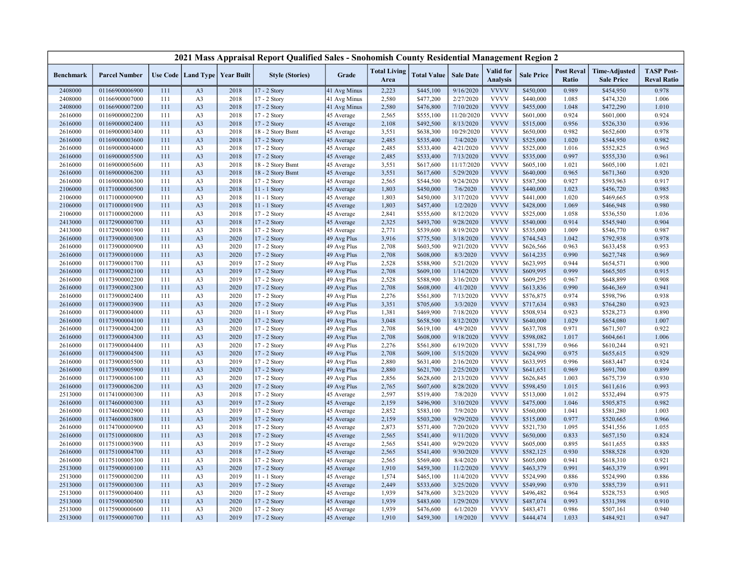|                    |                                  |            |                                   |              | 2021 Mass Appraisal Report Qualified Sales - Snohomish County Residential Management Region 2 |                            |                             |                        |                        |                              |                        |                            |                                           |                                         |
|--------------------|----------------------------------|------------|-----------------------------------|--------------|-----------------------------------------------------------------------------------------------|----------------------------|-----------------------------|------------------------|------------------------|------------------------------|------------------------|----------------------------|-------------------------------------------|-----------------------------------------|
| <b>Benchmark</b>   | <b>Parcel Number</b>             |            | Use Code   Land Type   Year Built |              | <b>Style (Stories)</b>                                                                        | Grade                      | <b>Total Living</b><br>Area | <b>Total Value</b>     | <b>Sale Date</b>       | Valid for<br><b>Analysis</b> | <b>Sale Price</b>      | <b>Post Reval</b><br>Ratio | <b>Time-Adjusted</b><br><b>Sale Price</b> | <b>TASP Post-</b><br><b>Reval Ratio</b> |
| 2408000            | 01166900006900                   | 111        | A <sub>3</sub>                    | 2018         | 17 - 2 Story                                                                                  | 41 Avg Minus               | 2,223                       | \$445,100              | 9/16/2020              | <b>VVVV</b>                  | \$450,000              | 0.989                      | \$454,950                                 | 0.978                                   |
| 2408000            | 01166900007000                   | 111        | A <sub>3</sub>                    | 2018         | 17 - 2 Story                                                                                  | 41 Avg Minus               | 2,580                       | \$477,200              | 2/27/2020              | <b>VVVV</b>                  | \$440,000              | 1.085                      | \$474,320                                 | 1.006                                   |
| 2408000            | 01166900007200                   | 111        | A <sub>3</sub>                    | 2018         | 17 - 2 Story                                                                                  | 41 Avg Minus               | 2,580                       | \$476,800              | 7/10/2020              | <b>VVVV</b>                  | \$455,000              | 1.048                      | \$472,290                                 | 1.010                                   |
| 2616000            | 01169000002200                   | 111        | A <sub>3</sub>                    | 2018         | 17 - 2 Story                                                                                  | 45 Average                 | 2,565                       | \$555,100              | 11/20/2020             | <b>VVVV</b>                  | \$601,000              | 0.924                      | \$601,000                                 | 0.924                                   |
| 2616000            | 01169000002400                   | 111        | A <sub>3</sub>                    | 2018         | 17 - 2 Story                                                                                  | 45 Average                 | 2,108                       | \$492,500              | 8/13/2020              | <b>VVVV</b>                  | \$515,000              | 0.956                      | \$526,330                                 | 0.936                                   |
| 2616000            | 01169000003400                   | 111        | A <sub>3</sub>                    | 2018         | 18 - 2 Story Bsmt                                                                             | 45 Average                 | 3,551                       | \$638,300              | 10/29/2020             | <b>VVVV</b>                  | \$650,000              | 0.982                      | \$652,600                                 | 0.978                                   |
| 2616000            | 01169000003600                   | 111        | A <sub>3</sub>                    | 2018         | 17 - 2 Story                                                                                  | 45 Average                 | 2,485                       | \$535,400              | 7/4/2020               | <b>VVVV</b>                  | \$525,000              | 1.020                      | \$544,950                                 | 0.982                                   |
| 2616000            | 01169000004000                   | 111        | A <sub>3</sub>                    | 2018         | 17 - 2 Story                                                                                  | 45 Average                 | 2,485                       | \$533,400              | 4/21/2020              | <b>VVVV</b>                  | \$525,000              | 1.016                      | \$552,825                                 | 0.965                                   |
| 2616000            | 01169000005500                   | 111        | A <sub>3</sub>                    | 2018         | 17 - 2 Story                                                                                  | 45 Average                 | 2,485                       | \$533,400              | 7/13/2020              | <b>VVVV</b>                  | \$535,000              | 0.997                      | \$555,330                                 | 0.961                                   |
| 2616000            | 01169000005600                   | 111        | A <sub>3</sub>                    | 2018         | 18 - 2 Story Bsmt                                                                             | 45 Average                 | 3,551                       | \$617,600              | 11/17/2020             | <b>VVVV</b>                  | \$605,100              | 1.021                      | \$605,100                                 | 1.021                                   |
| 2616000            | 01169000006200                   | 111        | A <sub>3</sub>                    | 2018         | 18 - 2 Story Bsmt                                                                             | 45 Average                 | 3,551                       | \$617,600              | 5/29/2020              | <b>VVVV</b>                  | \$640,000              | 0.965                      | \$671,360                                 | 0.920                                   |
| 2616000            | 01169000006300                   | 111        | A <sub>3</sub>                    | 2018         | 17 - 2 Story                                                                                  | 45 Average                 | 2,565                       | \$544,500              | 9/24/2020              | <b>VVVV</b>                  | \$587,500              | 0.927                      | \$593,963                                 | 0.917                                   |
| 2106000            | 01171000000500                   | 111        | A <sub>3</sub>                    | 2018         | 11 - 1 Story                                                                                  | 45 Average                 | 1,803                       | \$450,000              | 7/6/2020               | <b>VVVV</b>                  | \$440,000              | 1.023                      | \$456,720                                 | 0.985                                   |
| 2106000            | 01171000000900                   | 111        | A <sub>3</sub>                    | 2018         | $11 - 1$ Story                                                                                | 45 Average                 | 1,803                       | \$450,000              | 3/17/2020              | <b>VVVV</b>                  | \$441,000              | 1.020                      | \$469,665                                 | 0.958                                   |
| 2106000            | 01171000001900                   | 111        | A <sub>3</sub>                    | 2018         | 11 - 1 Story                                                                                  | 45 Average                 | 1,803                       | \$457,400              | 1/2/2020               | <b>VVVV</b>                  | \$428,000              | 1.069                      | \$466,948                                 | 0.980                                   |
| 2106000            | 01171000002000                   | 111        | A <sub>3</sub>                    | 2018         | 17 - 2 Story                                                                                  | 45 Average                 | 2,841                       | \$555,600              | 8/12/2020              | <b>VVVV</b>                  | \$525,000              | 1.058                      | \$536,550                                 | 1.036                                   |
| 2413000            | 01172900000700                   | 111        | A <sub>3</sub>                    | 2018         | 17 - 2 Story                                                                                  | 45 Average                 | 2,325                       | \$493,700              | 9/28/2020              | <b>VVVV</b>                  | \$540,000              | 0.914                      | \$545,940                                 | 0.904                                   |
| 2413000            | 01172900001900                   | 111        | A <sub>3</sub>                    | 2018         | 17 - 2 Story                                                                                  | 45 Average                 | 2,771                       | \$539,600              | 8/19/2020              | <b>VVVV</b>                  | \$535,000              | 1.009                      | \$546,770                                 | 0.987                                   |
| 2616000            | 01173900000300                   | 111        | A <sub>3</sub>                    | 2020         | $17 - 2$ Story                                                                                | 49 Avg Plus                | 3,916                       | \$775,500              | 3/18/2020              | <b>VVVV</b>                  | \$744,543              | 1.042                      | \$792,938                                 | 0.978                                   |
| 2616000            | 01173900000900                   | 111        | A <sub>3</sub>                    | 2020         | 17 - 2 Story                                                                                  | 49 Avg Plus                | 2,708                       | \$603,500              | 9/21/2020              | <b>VVVV</b>                  | \$626,566              | 0.963                      | \$633,458                                 | 0.953                                   |
| 2616000            | 01173900001000                   | 111        | A <sub>3</sub>                    | 2020         | 17 - 2 Story                                                                                  | 49 Avg Plus                | 2,708                       | \$608,000              | 8/3/2020               | <b>VVVV</b>                  | \$614,235              | 0.990                      | \$627,748                                 | 0.969                                   |
| 2616000            | 01173900001700                   | 111        | A <sub>3</sub>                    | 2019         | 17 - 2 Story                                                                                  | 49 Avg Plus                | 2,528                       | \$588,900              | 5/21/2020              | <b>VVVV</b>                  | \$623,995              | 0.944                      | \$654,571                                 | 0.900                                   |
| 2616000            | 01173900002100                   | 111        | A <sub>3</sub>                    | 2019         | 17 - 2 Story                                                                                  | 49 Avg Plus                | 2,708                       | \$609,100              | 1/14/2020              | <b>VVVV</b>                  | \$609,995              | 0.999                      | \$665,505                                 | 0.915                                   |
| 2616000            | 01173900002200                   | 111        | A <sub>3</sub>                    | 2019         | 17 - 2 Story                                                                                  | 49 Avg Plus                | 2,528                       | \$588,900              | 3/16/2020              | <b>VVVV</b><br><b>VVVV</b>   | \$609,295              | 0.967                      | \$648,899                                 | 0.908                                   |
| 2616000            | 01173900002300                   | 111        | A <sub>3</sub>                    | 2020         | 17 - 2 Story                                                                                  | 49 Avg Plus                | 2,708                       | \$608,000              | 4/1/2020               | <b>VVVV</b>                  | \$613,836              | 0.990                      | \$646,369                                 | 0.941                                   |
| 2616000            | 01173900002400                   | 111        | A <sub>3</sub>                    | 2020         | 17 - 2 Story                                                                                  | 49 Avg Plus                | 2,276                       | \$561,800              | 7/13/2020              |                              | \$576,875              | 0.974                      | \$598,796                                 | 0.938                                   |
| 2616000            | 01173900003900                   | 111        | A <sub>3</sub>                    | 2020         | 17 - 2 Story                                                                                  | 49 Avg Plus                | 3,351                       | \$705,600              | 3/3/2020               | <b>VVVV</b><br><b>VVVV</b>   | \$717,634              | 0.983<br>0.923             | \$764,280                                 | 0.923                                   |
| 2616000<br>2616000 | 01173900004000<br>01173900004100 | 111<br>111 | A <sub>3</sub><br>A <sub>3</sub>  | 2020<br>2020 | 11 - 1 Story<br>17 - 2 Story                                                                  | 49 Avg Plus<br>49 Avg Plus | 1,381<br>3,048              | \$469,900<br>\$658,500 | 7/18/2020<br>8/12/2020 | <b>VVVV</b>                  | \$508,934<br>\$640,000 | 1.029                      | \$528,273<br>\$654,080                    | 0.890<br>1.007                          |
|                    |                                  | 111        |                                   |              |                                                                                               |                            | 2,708                       |                        | 4/9/2020               | <b>VVVV</b>                  |                        | 0.971                      |                                           |                                         |
| 2616000<br>2616000 | 01173900004200<br>01173900004300 | 111        | A <sub>3</sub><br>A <sub>3</sub>  | 2020<br>2020 | 17 - 2 Story<br>$17 - 2$ Story                                                                | 49 Avg Plus<br>49 Avg Plus | 2,708                       | \$619,100              | 9/18/2020              | <b>VVVV</b>                  | \$637,708<br>\$598,082 | 1.017                      | \$671,507<br>\$604,661                    | 0.922<br>1.006                          |
| 2616000            | 01173900004400                   | 111        | A <sub>3</sub>                    | 2020         | 17 - 2 Story                                                                                  | 49 Avg Plus                | 2,276                       | \$608,000<br>\$561,800 | 6/19/2020              | <b>VVVV</b>                  | \$581,739              | 0.966                      | \$610,244                                 | 0.921                                   |
| 2616000            | 01173900004500                   | 111        | A <sub>3</sub>                    | 2020         | 17 - 2 Story                                                                                  | 49 Avg Plus                | 2,708                       | \$609,100              | 5/15/2020              | <b>VVVV</b>                  | \$624,990              | 0.975                      | \$655,615                                 | 0.929                                   |
| 2616000            | 01173900005500                   | 111        | A <sub>3</sub>                    | 2019         | 17 - 2 Story                                                                                  | 49 Avg Plus                | 2,880                       | \$631,400              | 2/16/2020              | <b>VVVV</b>                  | \$633,995              | 0.996                      | \$683,447                                 | 0.924                                   |
| 2616000            | 01173900005900                   | 111        | A <sub>3</sub>                    | 2020         | 17 - 2 Story                                                                                  | 49 Avg Plus                | 2,880                       | \$621,700              | 2/25/2020              | <b>VVVV</b>                  | \$641,651              | 0.969                      | \$691,700                                 | 0.899                                   |
| 2616000            | 01173900006100                   | 111        | A <sub>3</sub>                    | 2020         | 17 - 2 Story                                                                                  | 49 Avg Plus                | 2,856                       | \$628,600              | 2/13/2020              | <b>VVVV</b>                  | \$626,845              | 1.003                      | \$675,739                                 | 0.930                                   |
| 2616000            | 01173900006200                   | 111        | A <sub>3</sub>                    | 2020         | 17 - 2 Story                                                                                  | 49 Avg Plus                | 2,765                       | \$607,600              | 8/28/2020              | <b>VVVV</b>                  | \$598,450              | 1.015                      | \$611,616                                 | 0.993                                   |
| 2513000            | 01174100000300                   | 111        | A <sub>3</sub>                    | 2018         | 17 - 2 Story                                                                                  | 45 Average                 | 2,597                       | \$519,400              | 7/8/2020               | <b>VVVV</b>                  | \$513,000              | 1.012                      | \$532,494                                 | 0.975                                   |
| 2616000            | 01174600000300                   | 111        | A <sub>3</sub>                    | 2019         | 17 - 2 Story                                                                                  | 45 Average                 | 2,159                       | \$496,900              | 3/10/2020              | <b>VVVV</b>                  | \$475,000              | 1.046                      | \$505,875                                 | 0.982                                   |
| 2616000            | 01174600002900                   | 111        | A <sub>3</sub>                    | 2019         | 17 - 2 Story                                                                                  | 45 Average                 | 2,852                       | \$583,100              | 7/9/2020               | <b>VVVV</b>                  | \$560,000              | 1.041                      | \$581,280                                 | 1.003                                   |
| 2616000            | 01174600003800                   | 111        | A <sub>3</sub>                    | 2019         | 17 - 2 Story                                                                                  | 45 Average                 | 2,159                       | \$503,200              | 9/29/2020              | <b>VVVV</b>                  | \$515,000              | 0.977                      | \$520,665                                 | 0.966                                   |
| 2616000            | 01174700000900                   | 111        | A <sub>3</sub>                    | 2018         | 17 - 2 Story                                                                                  | 45 Average                 | 2,873                       | \$571,400              | 7/20/2020              | <b>VVVV</b>                  | \$521,730              | 1.095                      | \$541,556                                 | 1.055                                   |
| 2616000            | 01175100000800                   | 111        | A <sub>3</sub>                    | 2018         | 17 - 2 Story                                                                                  | 45 Average                 | 2,565                       | \$541,400              | 9/11/2020              | <b>VVVV</b>                  | \$650,000              | 0.833                      | \$657,150                                 | 0.824                                   |
| 2616000            | 01175100003900                   | 111        | A <sub>3</sub>                    | 2019         | 17 - 2 Story                                                                                  | 45 Average                 | 2,565                       | \$541,400              | 9/29/2020              | <b>VVVV</b>                  | \$605,000              | 0.895                      | \$611,655                                 | 0.885                                   |
| 2616000            | 01175100004700                   | 111        | A <sub>3</sub>                    | 2018         | 17 - 2 Story                                                                                  | 45 Average                 | 2,565                       | \$541,400              | 9/30/2020              | <b>VVVV</b>                  | \$582,125              | 0.930                      | \$588,528                                 | 0.920                                   |
| 2616000            | 01175100005300                   | 111        | A <sub>3</sub>                    | 2018         | 17 - 2 Story                                                                                  | 45 Average                 | 2,565                       | \$569,400              | 8/4/2020               | <b>VVVV</b>                  | \$605,000              | 0.941                      | \$618,310                                 | 0.921                                   |
| 2513000            | 01175900000100                   | 111        | A <sub>3</sub>                    | 2020         | 17 - 2 Story                                                                                  | 45 Average                 | 1,910                       | \$459,300              | 11/2/2020              | <b>VVVV</b>                  | \$463,379              | 0.991                      | \$463,379                                 | 0.991                                   |
| 2513000            | 01175900000200                   | 111        | A <sub>3</sub>                    | 2019         | 11 - 1 Story                                                                                  | 45 Average                 | 1,574                       | \$465,100              | 11/4/2020              | <b>VVVV</b>                  | \$524,990              | 0.886                      | \$524,990                                 | 0.886                                   |
| 2513000            | 01175900000300                   | 111        | A <sub>3</sub>                    | 2019         | $17 - 2$ Story                                                                                | 45 Average                 | 2,449                       | \$533,600              | 3/25/2020              | <b>VVVV</b>                  | \$549,990              | 0.970                      | \$585,739                                 | 0.911                                   |
| 2513000            | 01175900000400                   | 111        | A <sub>3</sub>                    | 2020         | 17 - 2 Story                                                                                  | 45 Average                 | 1,939                       | \$478,600              | 3/23/2020              | <b>VVVV</b>                  | \$496,482              | 0.964                      | \$528,753                                 | 0.905                                   |
| 2513000            | 01175900000500                   | 111        | A <sub>3</sub>                    | 2020         | 17 - 2 Story                                                                                  | 45 Average                 | 1,939                       | \$483,600              | 1/29/2020              | <b>VVVV</b>                  | \$487,074              | 0.993                      | \$531,398                                 | 0.910                                   |
| 2513000            | 01175900000600                   | 111        | A <sub>3</sub>                    | 2020         | 17 - 2 Story                                                                                  | 45 Average                 | 1,939                       | \$476,600              | 6/1/2020               | <b>VVVV</b>                  | \$483,471              | 0.986                      | \$507,161                                 | 0.940                                   |
| 2513000            | 01175900000700                   | 111        | A <sub>3</sub>                    | 2019         | 17 - 2 Story                                                                                  | 45 Average                 | 1,910                       | \$459,300              | 1/9/2020               | <b>VVVV</b>                  | \$444,474              | 1.033                      | \$484,921                                 | 0.947                                   |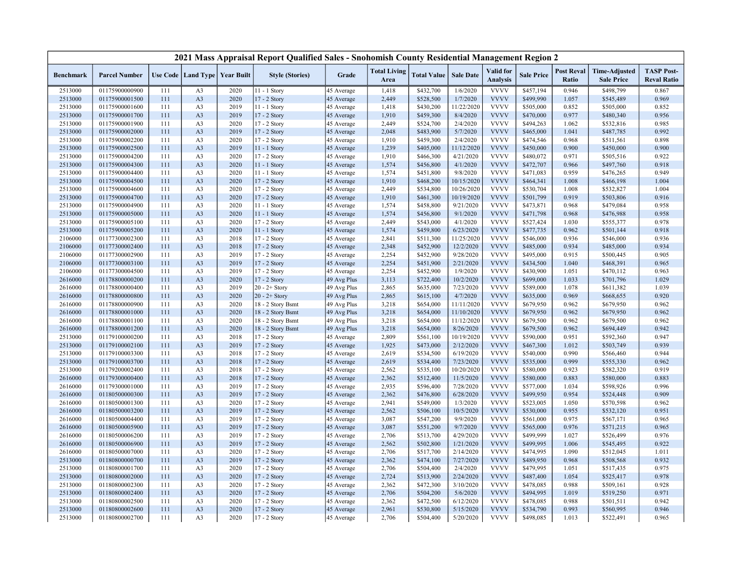|                    |                                  |            |                      |                   | 2021 Mass Appraisal Report Qualified Sales - Snohomish County Residential Management Region 2 |                          |                             |                        |                         |                              |                        |                                   |                                           |                                         |
|--------------------|----------------------------------|------------|----------------------|-------------------|-----------------------------------------------------------------------------------------------|--------------------------|-----------------------------|------------------------|-------------------------|------------------------------|------------------------|-----------------------------------|-------------------------------------------|-----------------------------------------|
| Benchmark          | <b>Parcel Number</b>             |            | Use Code   Land Type | <b>Year Built</b> | <b>Style (Stories)</b>                                                                        | Grade                    | <b>Total Living</b><br>Area | <b>Total Value</b>     | <b>Sale Date</b>        | Valid for<br><b>Analysis</b> | <b>Sale Price</b>      | <b>Post Reval</b><br><b>Ratio</b> | <b>Time-Adjusted</b><br><b>Sale Price</b> | <b>TASP Post-</b><br><b>Reval Ratio</b> |
| 2513000            | 01175900000900                   | 111        | A <sub>3</sub>       | 2020              | 11 - 1 Story                                                                                  | 45 Average               | 1,418                       | \$432,700              | 1/6/2020                | <b>VVVV</b>                  | \$457,194              | 0.946                             | \$498,799                                 | 0.867                                   |
| 2513000            | 01175900001500                   | 111        | A3                   | 2020              | 17 - 2 Story                                                                                  | 45 Average               | 2,449                       | \$528,500              | 1/7/2020                | <b>VVVV</b>                  | \$499,990              | 1.057                             | \$545,489                                 | 0.969                                   |
| 2513000            | 01175900001600                   | 111        | A <sub>3</sub>       | 2019              | 11 - 1 Story                                                                                  | 45 Average               | 1,418                       | \$430,200              | 11/22/2020              | <b>VVVV</b>                  | \$505,000              | 0.852                             | \$505,000                                 | 0.852                                   |
| 2513000            | 01175900001700                   | 111        | A <sub>3</sub>       | 2019              | 17 - 2 Story                                                                                  | 45 Average               | 1,910                       | \$459,300              | 8/4/2020                | <b>VVVV</b>                  | \$470,000              | 0.977                             | \$480,340                                 | 0.956                                   |
| 2513000            | 01175900001900                   | 111        | A3                   | 2020              | 17 - 2 Story                                                                                  | 45 Average               | 2,449                       | \$524,700              | 2/4/2020                | <b>VVVV</b>                  | \$494,263              | 1.062                             | \$532,816                                 | 0.985                                   |
| 2513000            | 01175900002000                   | 111        | A <sub>3</sub>       | 2019              | 17 - 2 Story                                                                                  | 45 Average               | 2,048                       | \$483,900              | 5/7/2020                | <b>VVVV</b>                  | \$465,000              | 1.041                             | \$487,785                                 | 0.992                                   |
| 2513000            | 01175900002200                   | 111        | A3                   | 2020              | 17 - 2 Story                                                                                  | 45 Average               | 1,910                       | \$459,300              | 2/4/2020                | <b>VVVV</b>                  | \$474,546              | 0.968                             | \$511,561                                 | 0.898                                   |
| 2513000            | 01175900002500                   | 111        | A <sub>3</sub>       | 2019              | 11 - 1 Story                                                                                  | 45 Average               | 1,239                       | \$405,000              | 11/12/2020              | <b>VVVV</b>                  | \$450,000              | 0.900                             | \$450,000                                 | 0.900                                   |
| 2513000            | 01175900004200                   | 111        | A3                   | 2020              | 17 - 2 Story                                                                                  | 45 Average               | 1,910                       | \$466,300              | 4/21/2020               | <b>VVVV</b>                  | \$480,072              | 0.971                             | \$505,516                                 | 0.922                                   |
| 2513000            | 01175900004300                   | 111        | A <sub>3</sub>       | 2020              | 11 - 1 Story                                                                                  | 45 Average               | 1,574                       | \$456,800              | 4/1/2020                | <b>VVVV</b>                  | \$472,707              | 0.966                             | \$497,760                                 | 0.918                                   |
| 2513000            | 01175900004400                   | 111        | A3                   | 2020              | 11 - 1 Story                                                                                  | 45 Average               | 1,574                       | \$451,800              | 9/8/2020                | <b>VVVV</b>                  | \$471,083              | 0.959                             | \$476,265                                 | 0.949                                   |
| 2513000            | 01175900004500                   | 111        | A <sub>3</sub>       | 2020              | 17 - 2 Story                                                                                  | 45 Average               | 1,910                       | \$468,200              | 10/15/2020              | <b>VVVV</b>                  | \$464,341              | 1.008                             | \$466,198                                 | 1.004                                   |
| 2513000            | 01175900004600                   | 111        | A <sub>3</sub>       | 2020              | 17 - 2 Story                                                                                  | 45 Average               | 2,449                       | \$534,800              | 10/26/2020              | <b>VVVV</b>                  | \$530,704              | 1.008                             | \$532,827                                 | 1.004                                   |
| 2513000            | 01175900004700                   | 111        | A <sub>3</sub>       | 2020              | 17 - 2 Story                                                                                  | 45 Average               | 1,910                       | \$461,300              | 10/19/2020              | <b>VVVV</b>                  | \$501,799              | 0.919                             | \$503,806                                 | 0.916                                   |
| 2513000            | 01175900004900                   | 111        | A <sub>3</sub>       | 2020              | 11 - 1 Story                                                                                  | 45 Average               | 1,574                       | \$458,800              | 9/21/2020               | <b>VVVV</b>                  | \$473,871              | 0.968                             | \$479,084                                 | 0.958                                   |
| 2513000            | 01175900005000                   | 111        | A <sub>3</sub>       | 2020              | 11 - 1 Story                                                                                  | 45 Average               | 1,574                       | \$456,800              | 9/1/2020                | <b>VVVV</b>                  | \$471,798              | 0.968                             | \$476,988                                 | 0.958                                   |
| 2513000            | 01175900005100                   | 111        | A <sub>3</sub>       | 2020              | 17 - 2 Story                                                                                  | 45 Average               | 2,449                       | \$543,000              | 4/1/2020                | <b>VVVV</b>                  | \$527,424              | 1.030                             | \$555,377                                 | 0.978                                   |
| 2513000            | 01175900005200                   | 111        | A <sub>3</sub>       | 2020              | 11 - 1 Story                                                                                  | 45 Average               | 1,574                       | \$459,800              | 6/23/2020               | <b>VVVV</b>                  | \$477,735              | 0.962                             | \$501,144                                 | 0.918                                   |
| 2106000            | 01177300002300                   | 111        | A3                   | 2018              | 17 - 2 Story                                                                                  | 45 Average               | 2,841                       | \$511,300              | 11/25/2020              | <b>VVVV</b>                  | \$546,000              | 0.936                             | \$546,000                                 | 0.936                                   |
| 2106000            | 01177300002400                   | 111        | A <sub>3</sub>       | 2018              | 17 - 2 Story                                                                                  | 45 Average               | 2,348                       | \$452,900              | 12/2/2020               | <b>VVVV</b>                  | \$485,000              | 0.934                             | \$485,000                                 | 0.934                                   |
| 2106000            | 01177300002900                   | 111        | A3                   | 2019              | 17 - 2 Story                                                                                  | 45 Average               | 2,254                       | \$452,900              | 9/28/2020               | <b>VVVV</b>                  | \$495,000              | 0.915                             | \$500,445                                 | 0.905                                   |
| 2106000            | 01177300003100                   | 111        | A3                   | 2019              | 17 - 2 Story                                                                                  | 45 Average               | 2,254                       | \$451,900              | 2/21/2020               | <b>VVVV</b>                  | \$434,500              | 1.040                             | \$468,391                                 | 0.965                                   |
| 2106000            | 01177300004500                   | 111        | A3                   | 2019              | 17 - 2 Story                                                                                  | 45 Average               | 2,254                       | \$452,900              | 1/9/2020                | <b>VVVV</b>                  | \$430,900              | 1.051                             | \$470,112                                 | 0.963                                   |
| 2616000            | 01178800000200                   | 111        | A <sub>3</sub>       | 2020              | 17 - 2 Story                                                                                  | 49 Avg Plus              | 3,113                       | \$722,400              | 10/2/2020               | <b>VVVV</b>                  | \$699,000              | 1.033                             | \$701,796                                 | 1.029                                   |
| 2616000            | 01178800000400                   | 111        | A3                   | 2019              | $20 - 2 +$ Story                                                                              | 49 Avg Plus              | 2,865                       | \$635,000              | 7/23/2020               | <b>VVVV</b>                  | \$589,000              | 1.078                             | \$611,382                                 | 1.039                                   |
| 2616000            | 01178800000800                   | 111        | A <sub>3</sub>       | 2020              | $20 - 2 +$ Story                                                                              | 49 Avg Plus              | 2,865                       | \$615,100              | 4/7/2020                | <b>VVVV</b>                  | \$635,000              | 0.969                             | \$668,655                                 | 0.920                                   |
| 2616000            | 01178800000900                   | 111        | A <sub>3</sub>       | 2020              | 18 - 2 Story Bsmt                                                                             | 49 Avg Plus              | 3,218                       | \$654,000              | 11/11/2020              | <b>VVVV</b>                  | \$679,950              | 0.962                             | \$679,950                                 | 0.962                                   |
| 2616000            | 01178800001000                   | 111        | A <sub>3</sub>       | 2020              | 18 - 2 Story Bsmt                                                                             | 49 Avg Plus              | 3,218                       | \$654,000              | 11/10/2020              | <b>VVVV</b>                  | \$679,950              | 0.962                             | \$679,950                                 | 0.962                                   |
| 2616000            | 01178800001100                   | 111        | A <sub>3</sub>       | 2020              | 18 - 2 Story Bsmt                                                                             | 49 Avg Plus              | 3,218                       | \$654,000              | 11/12/2020              | <b>VVVV</b>                  | \$679,500              | 0.962                             | \$679,500                                 | 0.962                                   |
| 2616000            | 01178800001200                   | 111        | A <sub>3</sub>       | 2020              | 18 - 2 Story Bsmt                                                                             | 49 Avg Plus              | 3,218                       | \$654,000              | 8/26/2020               | <b>VVVV</b>                  | \$679,500              | 0.962                             | \$694,449                                 | 0.942                                   |
| 2513000            | 01179100000200                   | 111        | A3                   | 2018              | 17 - 2 Story                                                                                  | 45 Average               | 2,809                       | \$561,100              | 10/19/2020              | <b>VVVV</b><br><b>VVVV</b>   | \$590,000              | 0.951                             | \$592,360                                 | 0.947                                   |
| 2513000            | 01179100002100                   | 111        | A <sub>3</sub>       | 2019              | 17 - 2 Story                                                                                  | 45 Average               | 1,925                       | \$473,000              | 2/12/2020               | <b>VVVV</b>                  | \$467,300              | 1.012                             | \$503,749                                 | 0.939                                   |
| 2513000            | 01179100003300                   | 111        | A <sub>3</sub>       | 2018              | 17 - 2 Story                                                                                  | 45 Average               | 2,619                       | \$534,500              | 6/19/2020               | <b>VVVV</b>                  | \$540,000              | 0.990<br>0.999                    | \$566,460                                 | 0.944                                   |
| 2513000            | 01179100003700                   | 111        | A <sub>3</sub>       | 2018              | 17 - 2 Story                                                                                  | 45 Average               | 2,619                       | \$534,400              | 7/23/2020               | <b>VVVV</b>                  | \$535,000              |                                   | \$555,330                                 | 0.962                                   |
| 2513000            | 01179200002400<br>01179300000400 | 111<br>111 | A3<br>A <sub>3</sub> | 2018<br>2018      | 17 - 2 Story                                                                                  | 45 Average               | 2,562<br>2,362              | \$535,100<br>\$512,400 | 10/20/2020<br>11/5/2020 | <b>VVVV</b>                  | \$580,000<br>\$580,000 | 0.923<br>0.883                    | \$582,320<br>\$580,000                    | 0.919<br>0.883                          |
| 2616000<br>2616000 | 01179300001000                   | 111        | A3                   | 2019              | 17 - 2 Story<br>17 - 2 Story                                                                  | 45 Average<br>45 Average | 2,935                       | \$596,400              | 7/28/2020               | <b>VVVV</b>                  | \$577,000              | 1.034                             | \$598,926                                 | 0.996                                   |
| 2616000            | 01180500000300                   | 111        | A <sub>3</sub>       | 2019              | 17 - 2 Story                                                                                  |                          | 2,362                       |                        | 6/28/2020               | <b>VVVV</b>                  | \$499,950              | 0.954                             | \$524,448                                 | 0.909                                   |
| 2616000            | 01180500001300                   | 111        | A <sub>3</sub>       | 2020              | 17 - 2 Story                                                                                  | 45 Average<br>45 Average | 2,941                       | \$476,800<br>\$549,000 | 1/3/2020                | <b>VVVV</b>                  | \$523,005              | 1.050                             | \$570,598                                 | 0.962                                   |
| 2616000            | 01180500003200                   | 111        | A <sub>3</sub>       | 2019              | 17 - 2 Story                                                                                  | 45 Average               | 2,562                       | \$506,100              | 10/5/2020               | <b>VVVV</b>                  | \$530,000              | 0.955                             | \$532,120                                 | 0.951                                   |
| 2616000            | 01180500004400                   | 111        | A3                   | 2019              | 17 - 2 Story                                                                                  | 45 Average               | 3,087                       | \$547,200              | 9/9/2020                | <b>VVVV</b>                  | \$561,000              | 0.975                             | \$567,171                                 | 0.965                                   |
| 2616000            | 01180500005900                   | 111        | A <sub>3</sub>       | 2019              | 17 - 2 Story                                                                                  | 45 Average               | 3,087                       | \$551,200              | 9/7/2020                | <b>VVVV</b>                  | \$565,000              | 0.976                             | \$571,215                                 | 0.965                                   |
| 2616000            | 01180500006200                   | 111        | A3                   | 2019              | 17 - 2 Story                                                                                  | 45 Average               | 2,706                       | \$513,700              | 4/29/2020               | <b>VVVV</b>                  | \$499,999              | 1.027                             | \$526,499                                 | 0.976                                   |
| 2616000            | 01180500006900                   | 111        | A <sub>3</sub>       | 2019              | 17 - 2 Story                                                                                  | 45 Average               | 2,562                       | \$502,800              | 1/21/2020               | <b>VVVV</b>                  | \$499,995              | 1.006                             | \$545,495                                 | 0.922                                   |
| 2616000            | 01180500007000                   | 111        | A <sub>3</sub>       | 2020              | 17 - 2 Story                                                                                  | 45 Average               | 2,706                       | \$517,700              | 2/14/2020               | <b>VVVV</b>                  | \$474,995              | 1.090                             | \$512,045                                 | 1.011                                   |
| 2513000            | 01180800000700                   | 111        | A <sub>3</sub>       | 2019              | 17 - 2 Story                                                                                  | 45 Average               | 2,362                       | \$474,100              | 7/27/2020               | <b>VVVV</b>                  | \$489,950              | 0.968                             | \$508,568                                 | 0.932                                   |
| 2513000            | 01180800001700                   | 111        | A <sub>3</sub>       | 2020              | 17 - 2 Story                                                                                  | 45 Average               | 2,706                       | \$504,400              | 2/4/2020                | <b>VVVV</b>                  | \$479,995              | 1.051                             | \$517,435                                 | 0.975                                   |
| 2513000            | 01180800002000                   | 111        | A <sub>3</sub>       | 2020              | 17 - 2 Story                                                                                  | 45 Average               | 2,724                       | \$513,900              | 2/24/2020               | <b>VVVV</b>                  | \$487,400              | 1.054                             | \$525,417                                 | 0.978                                   |
| 2513000            | 01180800002300                   | 111        | A3                   | 2020              | 17 - 2 Story                                                                                  | 45 Average               | 2,362                       | \$472,300              | 3/10/2020               | <b>VVVV</b>                  | \$478,085              | 0.988                             | \$509,161                                 | 0.928                                   |
| 2513000            | 01180800002400                   | 111        | A <sub>3</sub>       | 2020              | 17 - 2 Story                                                                                  | 45 Average               | 2,706                       | \$504,200              | 5/6/2020                | <b>VVVV</b>                  | \$494,995              | 1.019                             | \$519,250                                 | 0.971                                   |
| 2513000            | 01180800002500                   | 111        | A3                   | 2020              | 17 - 2 Story                                                                                  | 45 Average               | 2,362                       | \$472,500              | 6/12/2020               | <b>VVVV</b>                  | \$478,085              | 0.988                             | \$501,511                                 | 0.942                                   |
| 2513000            | 01180800002600                   | 111        | A <sub>3</sub>       | 2020              | 17 - 2 Story                                                                                  | 45 Average               | 2,961                       | \$530,800              | 5/15/2020               | <b>VVVV</b>                  | \$534,790              | 0.993                             | \$560,995                                 | 0.946                                   |
| 2513000            | 01180800002700                   | 111        | A3                   | 2020              | 17 - 2 Story                                                                                  | 45 Average               | 2,706                       | \$504,400              | 5/20/2020               | <b>VVVV</b>                  | \$498,085              | 1.013                             | \$522,491                                 | 0.965                                   |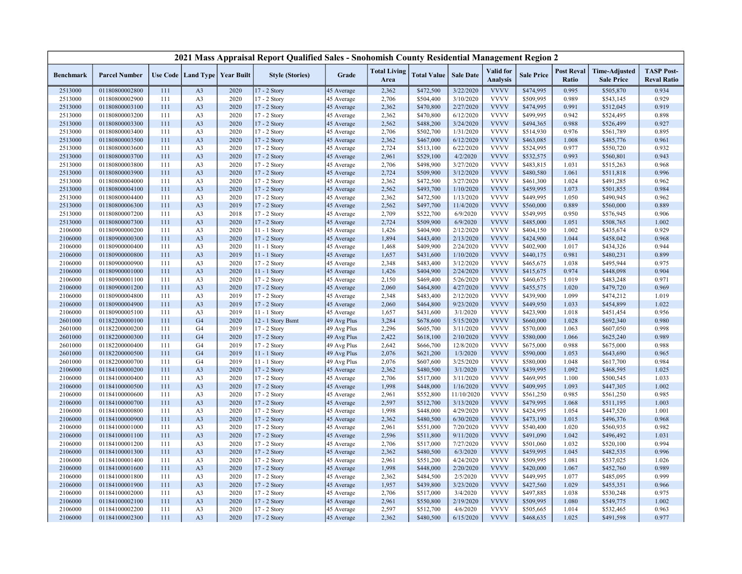|                    |                                  |            |                                   |              | 2021 Mass Appraisal Report Qualified Sales - Snohomish County Residential Management Region 2 |                            |                             |                        |                        |                              |                        |                                   |                                           |                                         |
|--------------------|----------------------------------|------------|-----------------------------------|--------------|-----------------------------------------------------------------------------------------------|----------------------------|-----------------------------|------------------------|------------------------|------------------------------|------------------------|-----------------------------------|-------------------------------------------|-----------------------------------------|
| <b>Benchmark</b>   | <b>Parcel Number</b>             |            | Use Code   Land Type   Year Built |              | <b>Style (Stories)</b>                                                                        | Grade                      | <b>Total Living</b><br>Area | <b>Total Value</b>     | <b>Sale Date</b>       | Valid for<br><b>Analysis</b> | <b>Sale Price</b>      | <b>Post Reval</b><br><b>Ratio</b> | <b>Time-Adjusted</b><br><b>Sale Price</b> | <b>TASP Post-</b><br><b>Reval Ratio</b> |
| 2513000            | 01180800002800                   | 111        | A <sub>3</sub>                    | 2020         | 17 - 2 Story                                                                                  | 45 Average                 | 2,362                       | \$472,500              | 3/22/2020              | <b>VVVV</b>                  | \$474,995              | 0.995                             | \$505,870                                 | 0.934                                   |
| 2513000            | 01180800002900                   | 111        | A <sub>3</sub>                    | 2020         | 17 - 2 Story                                                                                  | 45 Average                 | 2,706                       | \$504,400              | 3/10/2020              | <b>VVVV</b>                  | \$509,995              | 0.989                             | \$543,145                                 | 0.929                                   |
| 2513000            | 01180800003100                   | 111        | A <sub>3</sub>                    | 2020         | 17 - 2 Story                                                                                  | 45 Average                 | 2,362                       | \$470,800              | 2/27/2020              | <b>VVVV</b>                  | \$474,995              | 0.991                             | \$512,045                                 | 0.919                                   |
| 2513000            | 01180800003200                   | 111        | A <sub>3</sub>                    | 2020         | 17 - 2 Story                                                                                  | 45 Average                 | 2,362                       | \$470,800              | 6/12/2020              | <b>VVVV</b>                  | \$499,995              | 0.942                             | \$524,495                                 | 0.898                                   |
| 2513000            | 01180800003300                   | 111        | A <sub>3</sub>                    | 2020         | 17 - 2 Story                                                                                  | 45 Average                 | 2,562                       | \$488,200              | 3/24/2020              | <b>VVVV</b>                  | \$494,365              | 0.988                             | \$526,499                                 | 0.927                                   |
| 2513000            | 01180800003400                   | 111        | A <sub>3</sub>                    | 2020         | 17 - 2 Story                                                                                  | 45 Average                 | 2,706                       | \$502,700              | 1/31/2020              | <b>VVVV</b>                  | \$514,930              | 0.976                             | \$561,789                                 | 0.895                                   |
| 2513000            | 01180800003500                   | 111        | A <sub>3</sub>                    | 2020         | 17 - 2 Story                                                                                  | 45 Average                 | 2,362                       | \$467,000              | 6/12/2020              | <b>VVVV</b>                  | \$463,085              | 1.008                             | \$485,776                                 | 0.961                                   |
| 2513000            | 01180800003600                   | 111        | A <sub>3</sub>                    | 2020         | 17 - 2 Story                                                                                  | 45 Average                 | 2,724                       | \$513,100              | 6/22/2020              | <b>VVVV</b>                  | \$524,995              | 0.977                             | \$550,720                                 | 0.932                                   |
| 2513000            | 01180800003700                   | 111        | A <sub>3</sub>                    | 2020         | 17 - 2 Story                                                                                  | 45 Average                 | 2,961                       | \$529,100              | 4/2/2020               | <b>VVVV</b>                  | \$532,575              | 0.993                             | \$560,801                                 | 0.943                                   |
| 2513000            | 01180800003800                   | 111        | A <sub>3</sub>                    | 2020         | 17 - 2 Story                                                                                  | 45 Average                 | 2,706                       | \$498,900              | 3/27/2020              | <b>VVVV</b>                  | \$483,815              | 1.031                             | \$515,263                                 | 0.968                                   |
| 2513000            | 01180800003900                   | 111        | A <sub>3</sub>                    | 2020         | 17 - 2 Story                                                                                  | 45 Average                 | 2,724                       | \$509,900              | 3/12/2020              | <b>VVVV</b>                  | \$480,580              | 1.061                             | \$511,818                                 | 0.996                                   |
| 2513000            | 01180800004000                   | 111        | A <sub>3</sub>                    | 2020         | 17 - 2 Story                                                                                  | 45 Average                 | 2,362                       | \$472,500              | 3/27/2020              | <b>VVVV</b>                  | \$461,300              | 1.024                             | \$491,285                                 | 0.962                                   |
| 2513000            | 01180800004100                   | 111        | A <sub>3</sub>                    | 2020         | 17 - 2 Story                                                                                  | 45 Average                 | 2,562                       | \$493,700              | 1/10/2020              | <b>VVVV</b>                  | \$459,995              | 1.073                             | \$501,855                                 | 0.984                                   |
| 2513000            | 01180800004400                   | 111        | A <sub>3</sub>                    | 2020         | 17 - 2 Story                                                                                  | 45 Average                 | 2,362                       | \$472,500              | 1/13/2020              | <b>VVVV</b>                  | \$449,995              | 1.050                             | \$490,945                                 | 0.962                                   |
| 2513000            | 01180800006300                   | 111        | A <sub>3</sub>                    | 2019         | 17 - 2 Story                                                                                  | 45 Average                 | 2,562                       | \$497,700              | 11/4/2020              | <b>VVVV</b>                  | \$560,000              | 0.889                             | \$560,000                                 | 0.889                                   |
| 2513000            | 01180800007200                   | 111        | A <sub>3</sub>                    | 2018         | 17 - 2 Story                                                                                  | 45 Average                 | 2,709                       | \$522,700              | 6/9/2020               | <b>VVVV</b>                  | \$549,995              | 0.950                             | \$576,945                                 | 0.906                                   |
| 2513000            | 01180800007300                   | 111        | A <sub>3</sub>                    | 2020         | 17 - 2 Story                                                                                  | 45 Average                 | 2,724                       | \$509,900              | 6/9/2020               | <b>VVVV</b>                  | \$485,000              | 1.051                             | \$508,765                                 | 1.002                                   |
| 2106000            | 01180900000200                   | 111        | A <sub>3</sub>                    | 2020         | 11 - 1 Story                                                                                  | 45 Average                 | 1,426                       | \$404,900              | 2/12/2020              | <b>VVVV</b>                  | \$404,150              | 1.002                             | \$435,674                                 | 0.929                                   |
| 2106000            | 01180900000300                   | 111        | A <sub>3</sub>                    | 2020         | $17 - 2$ Story                                                                                | 45 Average                 | 1,894                       | \$443,400              | 2/13/2020              | <b>VVVV</b>                  | \$424,900              | 1.044                             | \$458,042                                 | 0.968                                   |
| 2106000            | 01180900000400                   | 111        | A <sub>3</sub>                    | 2020         | 11 - 1 Story                                                                                  | 45 Average                 | 1,468                       | \$409,900              | 2/24/2020              | <b>VVVV</b>                  | \$402,900              | 1.017                             | \$434,326                                 | 0.944                                   |
| 2106000            | 01180900000800                   | 111        | A <sub>3</sub>                    | 2019         | 11 - 1 Story                                                                                  | 45 Average                 | 1,657                       | \$431,600              | 1/10/2020              | <b>VVVV</b>                  | \$440,175              | 0.981                             | \$480,231                                 | 0.899                                   |
| 2106000            | 01180900000900                   | 111        | A <sub>3</sub>                    | 2020         | 17 - 2 Story                                                                                  | 45 Average                 | 2,348                       | \$483,400              | 3/12/2020              | <b>VVVV</b>                  | \$465,675              | 1.038                             | \$495,944                                 | 0.975                                   |
| 2106000            | 01180900001000                   | 111        | A <sub>3</sub>                    | 2020         | $11 - 1$ Story                                                                                | 45 Average                 | 1,426                       | \$404,900              | 2/24/2020              | <b>VVVV</b>                  | \$415,675              | 0.974                             | \$448,098                                 | 0.904                                   |
| 2106000            | 01180900001100                   | 111        | A <sub>3</sub>                    | 2020         | 17 - 2 Story                                                                                  | 45 Average                 | 2,150                       | \$469,400              | 5/26/2020              | <b>VVVV</b><br><b>VVVV</b>   | \$460,675              | 1.019                             | \$483,248                                 | 0.971                                   |
| 2106000            | 01180900001200                   | 111        | A <sub>3</sub>                    | 2020         | 17 - 2 Story                                                                                  | 45 Average                 | 2,060                       | \$464,800              | 4/27/2020              | <b>VVVV</b>                  | \$455,575              | 1.020                             | \$479,720                                 | 0.969                                   |
| 2106000            | 01180900004800                   | 111        | A <sub>3</sub>                    | 2019         | 17 - 2 Story                                                                                  | 45 Average                 | 2,348                       | \$483,400              | 2/12/2020              |                              | \$439,900              | 1.099                             | \$474,212                                 | 1.019                                   |
| 2106000            | 01180900004900                   | 111        | A <sub>3</sub>                    | 2019         | 17 - 2 Story                                                                                  | 45 Average                 | 2,060                       | \$464,800              | 9/23/2020              | <b>VVVV</b><br><b>VVVV</b>   | \$449,950              | 1.033                             | \$454,899                                 | 1.022<br>0.956                          |
| 2106000<br>2601000 | 01180900005100<br>01182200000100 | 111<br>111 | A <sub>3</sub><br>G <sub>4</sub>  | 2019<br>2020 | 11 - 1 Story<br>12 - 1 Story Bsmt                                                             | 45 Average<br>49 Avg Plus  | 1,657<br>3,284              | \$431,600<br>\$678,600 | 3/1/2020<br>5/15/2020  | <b>VVVV</b>                  | \$423,900<br>\$660,000 | 1.018<br>1.028                    | \$451,454<br>\$692,340                    | 0.980                                   |
|                    |                                  | 111        | G <sub>4</sub>                    | 2019         |                                                                                               |                            | 2,296                       |                        |                        | <b>VVVV</b>                  |                        | 1.063                             |                                           |                                         |
| 2601000<br>2601000 | 01182200000200<br>01182200000300 | 111        | G <sub>4</sub>                    | 2020         | 17 - 2 Story<br>17 - 2 Story                                                                  | 49 Avg Plus<br>49 Avg Plus | 2,422                       | \$605,700              | 3/11/2020<br>2/10/2020 | <b>VVVV</b>                  | \$570,000<br>\$580,000 | 1.066                             | \$607,050<br>\$625,240                    | 0.998<br>0.989                          |
| 2601000            | 01182200000400                   | 111        | G <sub>4</sub>                    | 2019         | 17 - 2 Story                                                                                  | 49 Avg Plus                | 2,642                       | \$618,100<br>\$666,700 | 12/8/2020              | <b>VVVV</b>                  | \$675,000              | 0.988                             | \$675,000                                 | 0.988                                   |
| 2601000            | 01182200000500                   | 111        | G <sub>4</sub>                    | 2019         | $11 - 1$ Story                                                                                | 49 Avg Plus                | 2,076                       | \$621,200              | 1/3/2020               | <b>VVVV</b>                  | \$590,000              | 1.053                             | \$643,690                                 | 0.965                                   |
| 2601000            | 01182200000700                   | 111        | G <sub>4</sub>                    | 2019         | $11 - 1$ Story                                                                                | 49 Avg Plus                | 2,076                       | \$607,600              | 3/25/2020              | <b>VVVV</b>                  | \$580,000              | 1.048                             | \$617,700                                 | 0.984                                   |
| 2106000            | 01184100000200                   | 111        | A <sub>3</sub>                    | 2020         | 17 - 2 Story                                                                                  | 45 Average                 | 2,362                       | \$480,500              | 3/1/2020               | <b>VVVV</b>                  | \$439,995              | 1.092                             | \$468,595                                 | 1.025                                   |
| 2106000            | 01184100000400                   | 111        | A <sub>3</sub>                    | 2020         | 17 - 2 Story                                                                                  | 45 Average                 | 2,706                       | \$517,000              | 3/11/2020              | <b>VVVV</b>                  | \$469,995              | 1.100                             | \$500,545                                 | 1.033                                   |
| 2106000            | 01184100000500                   | 111        | A <sub>3</sub>                    | 2020         | 17 - 2 Story                                                                                  | 45 Average                 | 1,998                       | \$448,000              | 1/16/2020              | <b>VVVV</b>                  | \$409,995              | 1.093                             | \$447,305                                 | 1.002                                   |
| 2106000            | 01184100000600                   | 111        | A <sub>3</sub>                    | 2020         | 17 - 2 Story                                                                                  | 45 Average                 | 2,961                       | \$552,800              | 11/10/2020             | <b>VVVV</b>                  | \$561,250              | 0.985                             | \$561,250                                 | 0.985                                   |
| 2106000            | 01184100000700                   | 111        | A <sub>3</sub>                    | 2020         | 17 - 2 Story                                                                                  | 45 Average                 | 2,597                       | \$512,700              | 3/13/2020              | <b>VVVV</b>                  | \$479,995              | 1.068                             | \$511,195                                 | 1.003                                   |
| 2106000            | 01184100000800                   | 111        | A <sub>3</sub>                    | 2020         | 17 - 2 Story                                                                                  | 45 Average                 | 1,998                       | \$448,000              | 4/29/2020              | <b>VVVV</b>                  | \$424,995              | 1.054                             | \$447,520                                 | 1.001                                   |
| 2106000            | 01184100000900                   | 111        | A <sub>3</sub>                    | 2020         | 17 - 2 Story                                                                                  | 45 Average                 | 2,362                       | \$480,500              | 6/30/2020              | <b>VVVV</b>                  | \$473,190              | 1.015                             | \$496,376                                 | 0.968                                   |
| 2106000            | 01184100001000                   | 111        | A <sub>3</sub>                    | 2020         | 17 - 2 Story                                                                                  | 45 Average                 | 2,961                       | \$551,000              | 7/20/2020              | <b>VVVV</b>                  | \$540,400              | 1.020                             | \$560,935                                 | 0.982                                   |
| 2106000            | 01184100001100                   | 111        | A <sub>3</sub>                    | 2020         | 17 - 2 Story                                                                                  | 45 Average                 | 2,596                       | \$511,800              | 9/11/2020              | <b>VVVV</b>                  | \$491,090              | 1.042                             | \$496,492                                 | 1.031                                   |
| 2106000            | 01184100001200                   | 111        | A <sub>3</sub>                    | 2020         | 17 - 2 Story                                                                                  | 45 Average                 | 2,706                       | \$517,000              | 7/27/2020              | <b>VVVV</b>                  | \$501,060              | 1.032                             | \$520,100                                 | 0.994                                   |
| 2106000            | 01184100001300                   | 111        | A <sub>3</sub>                    | 2020         | 17 - 2 Story                                                                                  | 45 Average                 | 2,362                       | \$480,500              | 6/3/2020               | <b>VVVV</b>                  | \$459,995              | 1.045                             | \$482,535                                 | 0.996                                   |
| 2106000            | 01184100001400                   | 111        | A <sub>3</sub>                    | 2020         | 17 - 2 Story                                                                                  | 45 Average                 | 2,961                       | \$551,200              | 4/24/2020              | <b>VVVV</b>                  | \$509,995              | 1.081                             | \$537,025                                 | 1.026                                   |
| 2106000            | 01184100001600                   | 111        | A <sub>3</sub>                    | 2020         | 17 - 2 Story                                                                                  | 45 Average                 | 1,998                       | \$448,000              | 2/20/2020              | <b>VVVV</b>                  | \$420,000              | 1.067                             | \$452,760                                 | 0.989                                   |
| 2106000            | 01184100001800                   | 111        | A <sub>3</sub>                    | 2020         | 17 - 2 Story                                                                                  | 45 Average                 | 2,362                       | \$484,500              | 2/5/2020               | <b>VVVV</b>                  | \$449,995              | 1.077                             | \$485,095                                 | 0.999                                   |
| 2106000            | 01184100001900                   | 111        | A <sub>3</sub>                    | 2020         | $17 - 2$ Story                                                                                | 45 Average                 | 1,957                       | \$439,800              | 3/23/2020              | <b>VVVV</b>                  | \$427,560              | 1.029                             | \$455,351                                 | 0.966                                   |
| 2106000            | 01184100002000                   | 111        | A <sub>3</sub>                    | 2020         | 17 - 2 Story                                                                                  | 45 Average                 | 2,706                       | \$517,000              | 3/4/2020               | <b>VVVV</b>                  | \$497,885              | 1.038                             | \$530,248                                 | 0.975                                   |
| 2106000            | 01184100002100                   | 111        | A <sub>3</sub>                    | 2020         | 17 - 2 Story                                                                                  | 45 Average                 | 2,961                       | \$550,800              | 2/19/2020              | <b>VVVV</b>                  | \$509,995              | 1.080                             | \$549,775                                 | 1.002                                   |
| 2106000            | 01184100002200                   | 111        | A <sub>3</sub>                    | 2020         | 17 - 2 Story                                                                                  | 45 Average                 | 2,597                       | \$512,700              | 4/6/2020               | <b>VVVV</b>                  | \$505,665              | 1.014                             | \$532,465                                 | 0.963                                   |
| 2106000            | 01184100002300                   | 111        | A <sub>3</sub>                    | 2020         | 17 - 2 Story                                                                                  | 45 Average                 | 2,362                       | \$480,500              | 6/15/2020              | <b>VVVV</b>                  | \$468,635              | 1.025                             | \$491,598                                 | 0.977                                   |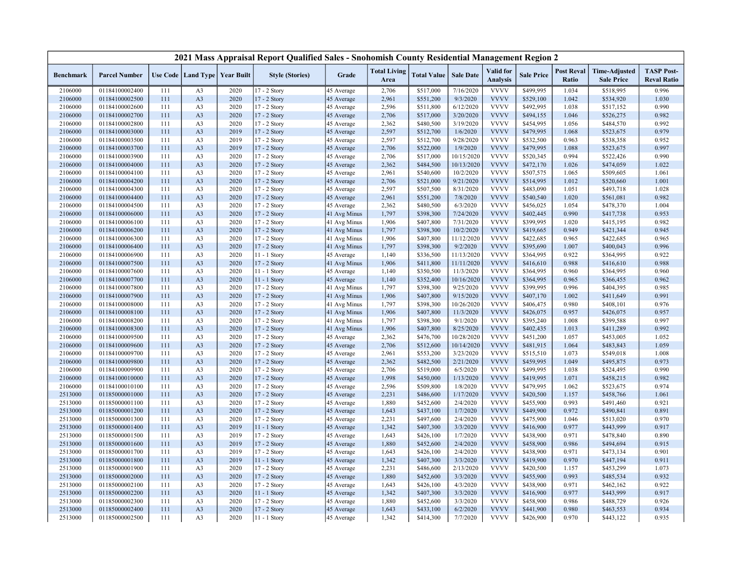|                  |                      |     |                                   |      | 2021 Mass Appraisal Report Qualified Sales - Snohomish County Residential Management Region 2 |                          |                             |                    |                  |                                     |                   |                            |                                           |                                         |
|------------------|----------------------|-----|-----------------------------------|------|-----------------------------------------------------------------------------------------------|--------------------------|-----------------------------|--------------------|------------------|-------------------------------------|-------------------|----------------------------|-------------------------------------------|-----------------------------------------|
| <b>Benchmark</b> | <b>Parcel Number</b> |     | Use Code   Land Type   Year Built |      | <b>Style (Stories)</b>                                                                        | Grade                    | <b>Total Living</b><br>Area | <b>Total Value</b> | <b>Sale Date</b> | <b>Valid</b> for<br><b>Analysis</b> | <b>Sale Price</b> | <b>Post Reval</b><br>Ratio | <b>Time-Adjusted</b><br><b>Sale Price</b> | <b>TASP Post-</b><br><b>Reval Ratio</b> |
| 2106000          | 01184100002400       | 111 | A <sub>3</sub>                    | 2020 | 17 - 2 Story                                                                                  | 45 Average               | 2,706                       | \$517,000          | 7/16/2020        | <b>VVVV</b>                         | \$499,995         | 1.034                      | \$518,995                                 | 0.996                                   |
| 2106000          | 01184100002500       | 111 | A <sub>3</sub>                    | 2020 | 17 - 2 Story                                                                                  | 45 Average               | 2,961                       | \$551,200          | 9/3/2020         | <b>VVVV</b>                         | \$529,100         | 1.042                      | \$534,920                                 | 1.030                                   |
| 2106000          | 01184100002600       | 111 | A <sub>3</sub>                    | 2020 | 17 - 2 Story                                                                                  | 45 Average               | 2,596                       | \$511,800          | 6/12/2020        | <b>VVVV</b>                         | \$492,995         | 1.038                      | \$517,152                                 | 0.990                                   |
| 2106000          | 01184100002700       | 111 | A <sub>3</sub>                    | 2020 | 17 - 2 Story                                                                                  | 45 Average               | 2,706                       | \$517,000          | 3/20/2020        | <b>VVVV</b>                         | \$494,155         | 1.046                      | \$526,275                                 | 0.982                                   |
| 2106000          | 01184100002800       | 111 | A <sub>3</sub>                    | 2020 | 17 - 2 Story                                                                                  | 45 Average               | 2,362                       | \$480,500          | 3/19/2020        | <b>VVVV</b>                         | \$454,995         | 1.056                      | \$484,570                                 | 0.992                                   |
| 2106000          | 01184100003000       | 111 | A <sub>3</sub>                    | 2019 | 17 - 2 Story                                                                                  | 45 Average               | 2,597                       | \$512,700          | 1/6/2020         | <b>VVVV</b>                         | \$479,995         | 1.068                      | \$523,675                                 | 0.979                                   |
| 2106000          | 01184100003500       | 111 | A <sub>3</sub>                    | 2019 | 17 - 2 Story                                                                                  | 45 Average               | 2,597                       | \$512,700          | 9/28/2020        | <b>VVVV</b>                         | \$532,500         | 0.963                      | \$538,358                                 | 0.952                                   |
| 2106000          | 01184100003700       | 111 | A <sub>3</sub>                    | 2019 | 17 - 2 Story                                                                                  | 45 Average               | 2,706                       | \$522,000          | 1/9/2020         | <b>VVVV</b>                         | \$479,995         | 1.088                      | \$523,675                                 | 0.997                                   |
| 2106000          | 01184100003900       | 111 | A <sub>3</sub>                    | 2020 | 17 - 2 Story                                                                                  | 45 Average               | 2,706                       | \$517,000          | 10/15/2020       | <b>VVVV</b>                         | \$520,345         | 0.994                      | \$522,426                                 | 0.990                                   |
| 2106000          | 01184100004000       | 111 | A <sub>3</sub>                    | 2020 | 17 - 2 Story                                                                                  | 45 Average               | 2,362                       | \$484,500          | 10/13/2020       | <b>VVVV</b>                         | \$472,170         | 1.026                      | \$474,059                                 | 1.022                                   |
| 2106000          | 01184100004100       | 111 | A <sub>3</sub>                    | 2020 | 17 - 2 Story                                                                                  | 45 Average               | 2,961                       | \$540,600          | 10/2/2020        | <b>VVVV</b>                         | \$507,575         | 1.065                      | \$509,605                                 | 1.061                                   |
| 2106000          | 01184100004200       | 111 | A <sub>3</sub>                    | 2020 | 17 - 2 Story                                                                                  | 45 Average               | 2,706                       | \$521,000          | 9/21/2020        | <b>VVVV</b>                         | \$514,995         | 1.012                      | \$520,660                                 | 1.001                                   |
| 2106000          | 01184100004300       | 111 | A <sub>3</sub>                    | 2020 | 17 - 2 Story                                                                                  | 45 Average               | 2,597                       | \$507,500          | 8/31/2020        | <b>VVVV</b>                         | \$483,090         | 1.051                      | \$493,718                                 | 1.028                                   |
| 2106000          | 01184100004400       | 111 | A <sub>3</sub>                    | 2020 | 17 - 2 Story                                                                                  | 45 Average               | 2,961                       | \$551,200          | 7/8/2020         | <b>VVVV</b>                         | \$540,540         | 1.020                      | \$561,081                                 | 0.982                                   |
| 2106000          | 01184100004500       | 111 | A <sub>3</sub>                    | 2020 | $17 - 2$ Story                                                                                | 45 Average               | 2,362                       | \$480,500          | 6/3/2020         | <b>VVVV</b>                         | \$456,025         | 1.054                      | \$478,370                                 | 1.004                                   |
| 2106000          | 01184100006000       | 111 | A <sub>3</sub>                    | 2020 | 17 - 2 Story                                                                                  | 41 Avg Minus             | 1,797                       | \$398,300          | 7/24/2020        | <b>VVVV</b>                         | \$402,445         | 0.990                      | \$417,738                                 | 0.953                                   |
| 2106000          | 01184100006100       | 111 | A <sub>3</sub>                    | 2020 | 17 - 2 Story                                                                                  | 41 Avg Minus             | 1,906                       | \$407,800          | 7/31/2020        | <b>VVVV</b>                         | \$399,995         | 1.020                      | \$415,195                                 | 0.982                                   |
| 2106000          | 01184100006200       | 111 | A <sub>3</sub>                    | 2020 | 17 - 2 Story                                                                                  | 41 Avg Minus             | 1,797                       | \$398,300          | 10/2/2020        | <b>VVVV</b>                         | \$419,665         | 0.949                      | \$421,344                                 | 0.945                                   |
| 2106000          | 01184100006300       | 111 | A <sub>3</sub>                    | 2020 | 17 - 2 Story                                                                                  | 41 Avg Minus             | 1,906                       | \$407,800          | 11/12/2020       | <b>VVVV</b>                         | \$422,685         | 0.965                      | \$422,685                                 | 0.965                                   |
| 2106000          | 01184100006400       | 111 | A <sub>3</sub>                    | 2020 | 17 - 2 Story                                                                                  | 41 Avg Minus             | 1,797                       | \$398,300          | 9/2/2020         | <b>VVVV</b>                         | \$395,690         | 1.007                      | \$400,043                                 | 0.996                                   |
| 2106000          | 01184100006900       | 111 | A <sub>3</sub>                    | 2020 | 11 - 1 Story                                                                                  | 45 Average               | 1,140                       | \$336,500          | 11/13/2020       | <b>VVVV</b>                         | \$364,995         | 0.922                      | \$364,995                                 | 0.922                                   |
| 2106000          | 01184100007500       | 111 | A <sub>3</sub>                    | 2020 | 17 - 2 Story                                                                                  | 41 Avg Minus             | 1,906                       | \$411,800          | 11/11/2020       | <b>VVVV</b>                         | \$416,610         | 0.988                      | \$416,610                                 | 0.988                                   |
| 2106000          | 01184100007600       | 111 | A <sub>3</sub>                    | 2020 | 11 - 1 Story                                                                                  | 45 Average               | 1,140                       | \$350,500          | 11/3/2020        | <b>VVVV</b>                         | \$364,995         | 0.960                      | \$364,995                                 | 0.960                                   |
| 2106000          | 01184100007700       | 111 | A <sub>3</sub>                    | 2020 | $11 - 1$ Story                                                                                | 45 Average               | 1,140                       | \$352,400          | 10/16/2020       | <b>VVVV</b>                         | \$364,995         | 0.965                      | \$366,455                                 | 0.962                                   |
| 2106000          | 01184100007800       | 111 | A <sub>3</sub>                    | 2020 | 17 - 2 Story                                                                                  | 41 Avg Minus             | 1,797                       | \$398,300          | 9/25/2020        | <b>VVVV</b>                         | \$399,995         | 0.996                      | \$404,395                                 | 0.985                                   |
| 2106000          | 01184100007900       | 111 | A <sub>3</sub>                    | 2020 | $17 - 2$ Story                                                                                | 41 Avg Minus             | 1,906                       | \$407,800          | 9/15/2020        | <b>VVVV</b>                         | \$407,170         | 1.002                      | \$411,649                                 | 0.991                                   |
| 2106000          | 01184100008000       | 111 | A <sub>3</sub>                    | 2020 | 17 - 2 Story                                                                                  | 41 Avg Minus             | 1,797                       | \$398,300          | 10/26/2020       | <b>VVVV</b>                         | \$406,475         | 0.980                      | \$408,101                                 | 0.976                                   |
| 2106000          | 01184100008100       | 111 | A <sub>3</sub>                    | 2020 | 17 - 2 Story                                                                                  | 41 Avg Minus             | 1,906                       | \$407,800          | 11/3/2020        | <b>VVVV</b>                         | \$426,075         | 0.957                      | \$426,075                                 | 0.957                                   |
| 2106000          | 01184100008200       | 111 | A <sub>3</sub>                    | 2020 | 17 - 2 Story                                                                                  | 41 Avg Minus             | 1,797                       | \$398,300          | 9/1/2020         | <b>VVVV</b>                         | \$395,240         | 1.008                      | \$399,588                                 | 0.997                                   |
| 2106000          | 01184100008300       | 111 | A <sub>3</sub>                    | 2020 | 17 - 2 Story                                                                                  | 41 Avg Minus             | 1,906                       | \$407,800          | 8/25/2020        | <b>VVVV</b>                         | \$402,435         | 1.013                      | \$411,289                                 | 0.992                                   |
| 2106000          | 01184100009500       | 111 | A <sub>3</sub>                    | 2020 | 17 - 2 Story                                                                                  | 45 Average               | 2,362                       | \$476,700          | 10/28/2020       | <b>VVVV</b>                         | \$451,200         | 1.057                      | \$453,005                                 | 1.052                                   |
| 2106000          | 01184100009600       | 111 | A <sub>3</sub>                    | 2020 | 17 - 2 Story                                                                                  | 45 Average               | 2,706                       | \$512,600          | 10/14/2020       | <b>VVVV</b>                         | \$481,915         | 1.064                      | \$483,843                                 | 1.059                                   |
| 2106000          | 01184100009700       | 111 | A <sub>3</sub>                    | 2020 | 17 - 2 Story                                                                                  | 45 Average               | 2,961                       | \$553,200          | 3/23/2020        | <b>VVVV</b>                         | \$515,510         | 1.073                      | \$549,018                                 | 1.008                                   |
| 2106000          | 01184100009800       | 111 | A <sub>3</sub>                    | 2020 | 17 - 2 Story                                                                                  | 45 Average               | 2,362                       | \$482,500          | 2/21/2020        | <b>VVVV</b>                         | \$459,995         | 1.049                      | \$495,875                                 | 0.973                                   |
| 2106000          | 01184100009900       | 111 | A <sub>3</sub>                    | 2020 | 17 - 2 Story                                                                                  | 45 Average               | 2,706                       | \$519,000          | 6/5/2020         | <b>VVVV</b>                         | \$499,995         | 1.038                      | \$524,495                                 | 0.990                                   |
| 2106000          | 01184100010000       | 111 | A <sub>3</sub>                    | 2020 | 17 - 2 Story                                                                                  | 45 Average               | 1,998                       | \$450,000          | 1/13/2020        | <b>VVVV</b>                         | \$419,995         | 1.071                      | \$458,215                                 | 0.982                                   |
| 2106000          | 01184100010100       | 111 | A <sub>3</sub>                    | 2020 | 17 - 2 Story                                                                                  | 45 Average               | 2,596                       | \$509,800          | 1/8/2020         | <b>VVVV</b>                         | \$479,995         | 1.062                      | \$523,675                                 | 0.974                                   |
| 2513000          | 01185000001000       | 111 | A <sub>3</sub>                    | 2020 | 17 - 2 Story                                                                                  | 45 Average               | 2,231                       | \$486,600          | 1/17/2020        | <b>VVVV</b>                         | \$420,500         | 1.157                      | \$458,766                                 | 1.061                                   |
| 2513000          | 01185000001100       | 111 | A <sub>3</sub>                    | 2020 | 17 - 2 Story                                                                                  | 45 Average               | 1,880                       | \$452,600          | 2/4/2020         | <b>VVVV</b>                         | \$455,900         | 0.993                      | \$491,460                                 | 0.921                                   |
| 2513000          | 01185000001200       | 111 | A <sub>3</sub>                    | 2020 | 17 - 2 Story                                                                                  | 45 Average               | 1,643                       | \$437,100          | 1/7/2020         | <b>VVVV</b>                         | \$449,900         | 0.972                      | \$490,841                                 | 0.891                                   |
| 2513000          | 01185000001300       | 111 | A <sub>3</sub>                    | 2020 | 17 - 2 Story                                                                                  | 45 Average               | 2,231                       | \$497,600          | 2/4/2020         | <b>VVVV</b>                         | \$475,900         | 1.046                      | \$513,020                                 | 0.970                                   |
| 2513000          | 01185000001400       | 111 | A <sub>3</sub>                    | 2019 | 11 - 1 Story                                                                                  | 45 Average               | 1,342                       | \$407,300          | 3/3/2020         | <b>VVVV</b>                         | \$416,900         | 0.977                      | \$443,999                                 | 0.917                                   |
| 2513000          | 01185000001500       | 111 | A <sub>3</sub>                    | 2019 | $17 - 2$ Story                                                                                | 45 Average               | 1,643                       | \$426,100          | 1/7/2020         | <b>VVVV</b>                         | \$438,900         | 0.971                      | \$478,840                                 | 0.890                                   |
| 2513000          | 01185000001600       | 111 | A <sub>3</sub>                    | 2019 | 17 - 2 Story                                                                                  | 45 Average               | 1,880                       | \$452,600          | 2/4/2020         | <b>VVVV</b>                         | \$458,900         | 0.986                      | \$494,694                                 | 0.915                                   |
| 2513000          | 01185000001700       | 111 | A <sub>3</sub>                    | 2019 | $17 - 2$ Story                                                                                | 45 Average               | 1,643                       | \$426,100          | 2/4/2020         | <b>VVVV</b>                         | \$438,900         | 0.971                      | \$473,134                                 | 0.901                                   |
| 2513000          | 01185000001800       | 111 | A <sub>3</sub>                    | 2019 | 11 - 1 Story                                                                                  | 45 Average               | 1,342                       | \$407,300          | 3/3/2020         | <b>VVVV</b>                         | \$419,900         | 0.970                      | \$447,194                                 | 0.911                                   |
| 2513000          | 01185000001900       | 111 | A <sub>3</sub>                    | 2020 | 17 - 2 Story                                                                                  | 45 Average               | 2,231                       | \$486,600          | 2/13/2020        | <b>VVVV</b>                         | \$420,500         | 1.157                      | \$453,299                                 | 1.073                                   |
| 2513000          | 01185000002000       | 111 | A <sub>3</sub>                    | 2020 | 17 - 2 Story                                                                                  | 45 Average               | 1,880                       | \$452,600          | 3/3/2020         | <b>VVVV</b>                         | \$455,900         | 0.993                      | \$485,534                                 | 0.932                                   |
| 2513000          | 01185000002100       | 111 | A <sub>3</sub>                    | 2020 |                                                                                               |                          | 1,643                       | \$426,100          | 4/3/2020         | <b>VVVV</b>                         | \$438,900         | 0.971                      | \$462,162                                 | 0.922                                   |
| 2513000          | 01185000002200       | 111 | A <sub>3</sub>                    | 2020 | 17 - 2 Story<br>11 - 1 Story                                                                  | 45 Average<br>45 Average | 1,342                       | \$407,300          | 3/3/2020         | <b>VVVV</b>                         | \$416,900         | 0.977                      | \$443,999                                 | 0.917                                   |
| 2513000          | 01185000002300       | 111 | A <sub>3</sub>                    | 2020 | 17 - 2 Story                                                                                  |                          | 1,880                       | \$452,600          | 3/3/2020         | <b>VVVV</b>                         | \$458,900         | 0.986                      | \$488,729                                 | 0.926                                   |
| 2513000          | 01185000002400       | 111 | A <sub>3</sub>                    | 2020 | 17 - 2 Story                                                                                  | 45 Average               | 1,643                       | \$433,100          | 6/2/2020         | <b>VVVV</b>                         | \$441,900         | 0.980                      | \$463,553                                 | 0.934                                   |
|                  |                      | 111 |                                   |      |                                                                                               | 45 Average               |                             |                    |                  | <b>VVVV</b>                         |                   | 0.970                      |                                           |                                         |
| 2513000          | 01185000002500       |     | A <sub>3</sub>                    | 2020 | 11 - 1 Story                                                                                  | 45 Average               | 1,342                       | \$414,300          | 7/7/2020         |                                     | \$426,900         |                            | \$443,122                                 | 0.935                                   |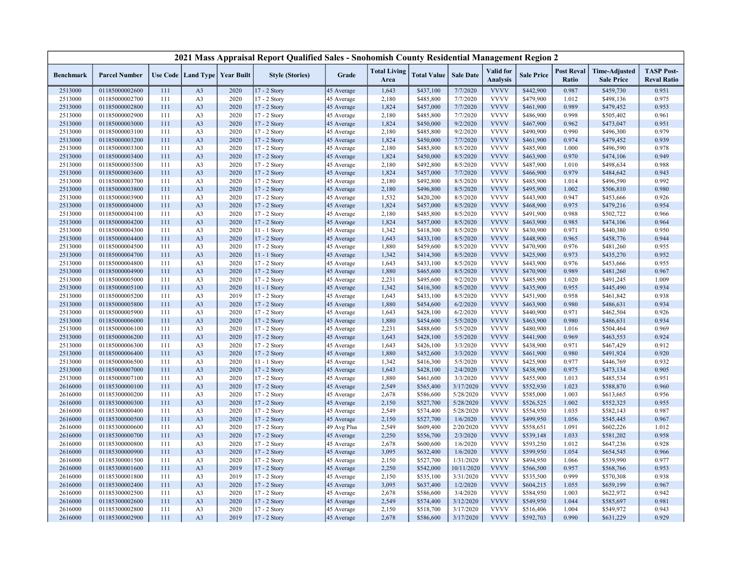|                  |                      |     |                                   |      | 2021 Mass Appraisal Report Qualified Sales - Snohomish County Residential Management Region 2 |             |                             |                    |                  |                              |                   |                            |                                           |                                         |
|------------------|----------------------|-----|-----------------------------------|------|-----------------------------------------------------------------------------------------------|-------------|-----------------------------|--------------------|------------------|------------------------------|-------------------|----------------------------|-------------------------------------------|-----------------------------------------|
| <b>Benchmark</b> | <b>Parcel Number</b> |     | Use Code   Land Type   Year Built |      | <b>Style (Stories)</b>                                                                        | Grade       | <b>Total Living</b><br>Area | <b>Total Value</b> | <b>Sale Date</b> | Valid for<br><b>Analysis</b> | <b>Sale Price</b> | <b>Post Reval</b><br>Ratio | <b>Time-Adjusted</b><br><b>Sale Price</b> | <b>TASP Post-</b><br><b>Reval Ratio</b> |
| 2513000          | 01185000002600       | 111 | A <sub>3</sub>                    | 2020 | 17 - 2 Story                                                                                  | 45 Average  | 1,643                       | \$437,100          | 7/7/2020         | <b>VVVV</b>                  | \$442,900         | 0.987                      | \$459,730                                 | 0.951                                   |
| 2513000          | 01185000002700       | 111 | A <sub>3</sub>                    | 2020 | 17 - 2 Story                                                                                  | 45 Average  | 2,180                       | \$485,800          | 7/7/2020         | <b>VVVV</b>                  | \$479,900         | 1.012                      | \$498,136                                 | 0.975                                   |
| 2513000          | 01185000002800       | 111 | A <sub>3</sub>                    | 2020 | 17 - 2 Story                                                                                  | 45 Average  | 1,824                       | \$457,000          | 7/7/2020         | <b>VVVV</b>                  | \$461,900         | 0.989                      | \$479,452                                 | 0.953                                   |
| 2513000          | 01185000002900       | 111 | A <sub>3</sub>                    | 2020 | 17 - 2 Story                                                                                  | 45 Average  | 2,180                       | \$485,800          | 7/7/2020         | <b>VVVV</b>                  | \$486,900         | 0.998                      | \$505,402                                 | 0.961                                   |
| 2513000          | 01185000003000       | 111 | A <sub>3</sub>                    | 2020 | 17 - 2 Story                                                                                  | 45 Average  | 1,824                       | \$450,000          | 9/2/2020         | <b>VVVV</b>                  | \$467,900         | 0.962                      | \$473,047                                 | 0.951                                   |
| 2513000          | 01185000003100       | 111 | A <sub>3</sub>                    | 2020 | 17 - 2 Story                                                                                  | 45 Average  | 2,180                       | \$485,800          | 9/2/2020         | <b>VVVV</b>                  | \$490,900         | 0.990                      | \$496,300                                 | 0.979                                   |
| 2513000          | 01185000003200       | 111 | A <sub>3</sub>                    | 2020 | 17 - 2 Story                                                                                  | 45 Average  | 1,824                       | \$450,000          | 7/7/2020         | <b>VVVV</b>                  | \$461,900         | 0.974                      | \$479,452                                 | 0.939                                   |
| 2513000          | 01185000003300       | 111 | A <sub>3</sub>                    | 2020 | 17 - 2 Story                                                                                  | 45 Average  | 2,180                       | \$485,800          | 8/5/2020         | <b>VVVV</b>                  | \$485,900         | 1.000                      | \$496,590                                 | 0.978                                   |
| 2513000          | 01185000003400       | 111 | A <sub>3</sub>                    | 2020 | 17 - 2 Story                                                                                  | 45 Average  | 1,824                       | \$450,000          | 8/5/2020         | <b>VVVV</b>                  | \$463,900         | 0.970                      | \$474,106                                 | 0.949                                   |
| 2513000          | 01185000003500       | 111 | A <sub>3</sub>                    | 2020 | 17 - 2 Story                                                                                  | 45 Average  | 2,180                       | \$492,800          | 8/5/2020         | <b>VVVV</b>                  | \$487,900         | 1.010                      | \$498,634                                 | 0.988                                   |
| 2513000          | 01185000003600       | 111 | A <sub>3</sub>                    | 2020 | 17 - 2 Story                                                                                  | 45 Average  | 1,824                       | \$457,000          | 7/7/2020         | <b>VVVV</b>                  | \$466,900         | 0.979                      | \$484,642                                 | 0.943                                   |
| 2513000          | 01185000003700       | 111 | A <sub>3</sub>                    | 2020 | 17 - 2 Story                                                                                  | 45 Average  | 2,180                       | \$492,800          | 8/5/2020         | <b>VVVV</b>                  | \$485,900         | 1.014                      | \$496,590                                 | 0.992                                   |
| 2513000          | 01185000003800       | 111 | A <sub>3</sub>                    | 2020 | 17 - 2 Story                                                                                  | 45 Average  | 2,180                       | \$496,800          | 8/5/2020         | <b>VVVV</b>                  | \$495,900         | 1.002                      | \$506,810                                 | 0.980                                   |
| 2513000          | 01185000003900       | 111 | A <sub>3</sub>                    | 2020 | 17 - 2 Story                                                                                  | 45 Average  | 1,532                       | \$420,200          | 8/5/2020         | <b>VVVV</b>                  | \$443,900         | 0.947                      | \$453,666                                 | 0.926                                   |
| 2513000          | 01185000004000       | 111 | A <sub>3</sub>                    | 2020 | 17 - 2 Story                                                                                  | 45 Average  | 1,824                       | \$457,000          | 8/5/2020         | <b>VVVV</b>                  | \$468,900         | 0.975                      | \$479,216                                 | 0.954                                   |
| 2513000          | 01185000004100       | 111 | A <sub>3</sub>                    | 2020 | 17 - 2 Story                                                                                  | 45 Average  | 2,180                       | \$485,800          | 8/5/2020         | <b>VVVV</b>                  | \$491,900         | 0.988                      | \$502,722                                 | 0.966                                   |
| 2513000          | 01185000004200       | 111 | A <sub>3</sub>                    | 2020 | 17 - 2 Story                                                                                  | 45 Average  | 1,824                       | \$457,000          | 8/5/2020         | <b>VVVV</b>                  | \$463,900         | 0.985                      | \$474,106                                 | 0.964                                   |
| 2513000          | 01185000004300       | 111 | A <sub>3</sub>                    | 2020 | 11 - 1 Story                                                                                  | 45 Average  | 1,342                       | \$418,300          | 8/5/2020         | <b>VVVV</b>                  | \$430,900         | 0.971                      | \$440,380                                 | 0.950                                   |
| 2513000          | 01185000004400       | 111 | A <sub>3</sub>                    | 2020 | 17 - 2 Story                                                                                  | 45 Average  | 1,643                       | \$433,100          | 8/5/2020         | <b>VVVV</b>                  | \$448,900         | 0.965                      | \$458,776                                 | 0.944                                   |
| 2513000          | 01185000004500       | 111 | A <sub>3</sub>                    | 2020 | 17 - 2 Story                                                                                  | 45 Average  | 1,880                       | \$459,600          | 8/5/2020         | <b>VVVV</b>                  | \$470,900         | 0.976                      | \$481,260                                 | 0.955                                   |
| 2513000          | 01185000004700       | 111 | A <sub>3</sub>                    | 2020 | 11 - 1 Story                                                                                  | 45 Average  | 1,342                       | \$414,300          | 8/5/2020         | <b>VVVV</b>                  | \$425,900         | 0.973                      | \$435,270                                 | 0.952                                   |
| 2513000          | 01185000004800       | 111 | A <sub>3</sub>                    | 2020 | 17 - 2 Story                                                                                  | 45 Average  | 1,643                       | \$433,100          | 8/5/2020         | <b>VVVV</b>                  | \$443,900         | 0.976                      | \$453,666                                 | 0.955                                   |
| 2513000          | 01185000004900       | 111 | A <sub>3</sub>                    | 2020 | 17 - 2 Story                                                                                  | 45 Average  | 1,880                       | \$465,600          | 8/5/2020         | <b>VVVV</b>                  | \$470,900         | 0.989                      | \$481,260                                 | 0.967                                   |
| 2513000          | 01185000005000       | 111 | A <sub>3</sub>                    | 2020 | 17 - 2 Story                                                                                  | 45 Average  | 2,231                       | \$495,600          | 9/2/2020         | <b>VVVV</b>                  | \$485,900         | 1.020                      | \$491,245                                 | 1.009                                   |
| 2513000          | 01185000005100       | 111 | A <sub>3</sub>                    | 2020 | $11 - 1$ Story                                                                                | 45 Average  | 1,342                       | \$416,300          | 8/5/2020         | <b>VVVV</b>                  | \$435,900         | 0.955                      | \$445,490                                 | 0.934                                   |
| 2513000          | 01185000005200       | 111 | A <sub>3</sub>                    | 2019 | 17 - 2 Story                                                                                  | 45 Average  | 1,643                       | \$433,100          | 8/5/2020         | <b>VVVV</b>                  | \$451,900         | 0.958                      | \$461,842                                 | 0.938                                   |
| 2513000          | 01185000005800       | 111 | A <sub>3</sub>                    | 2020 | 17 - 2 Story                                                                                  | 45 Average  | 1,880                       | \$454,600          | 6/2/2020         | <b>VVVV</b>                  | \$463,900         | 0.980                      | \$486,631                                 | 0.934                                   |
| 2513000          | 01185000005900       | 111 | A <sub>3</sub>                    | 2020 | 17 - 2 Story                                                                                  | 45 Average  | 1,643                       | \$428,100          | 6/2/2020         | <b>VVVV</b>                  | \$440,900         | 0.971                      | \$462,504                                 | 0.926                                   |
| 2513000          | 01185000006000       | 111 | A <sub>3</sub>                    | 2020 | $17 - 2$ Story                                                                                | 45 Average  | 1,880                       | \$454,600          | 5/5/2020         | <b>VVVV</b>                  | \$463,900         | 0.980                      | \$486,631                                 | 0.934                                   |
| 2513000          | 01185000006100       | 111 | A <sub>3</sub>                    | 2020 | 17 - 2 Story                                                                                  | 45 Average  | 2,231                       | \$488,600          | 5/5/2020         | <b>VVVV</b>                  | \$480,900         | 1.016                      | \$504,464                                 | 0.969                                   |
| 2513000          | 01185000006200       | 111 | A <sub>3</sub>                    | 2020 | 17 - 2 Story                                                                                  | 45 Average  | 1,643                       | \$428,100          | 5/5/2020         | <b>VVVV</b>                  | \$441,900         | 0.969                      | \$463,553                                 | 0.924                                   |
| 2513000          | 01185000006300       | 111 | A <sub>3</sub>                    | 2020 | 17 - 2 Story                                                                                  | 45 Average  | 1,643                       | \$426,100          | 3/3/2020         | <b>VVVV</b>                  | \$438,900         | 0.971                      | \$467,429                                 | 0.912                                   |
| 2513000          | 01185000006400       | 111 | A <sub>3</sub>                    | 2020 | 17 - 2 Story                                                                                  | 45 Average  | 1,880                       | \$452,600          | 3/3/2020         | <b>VVVV</b>                  | \$461,900         | 0.980                      | \$491,924                                 | 0.920                                   |
| 2513000          | 01185000006500       | 111 | A <sub>3</sub>                    | 2020 | 11 - 1 Story                                                                                  | 45 Average  | 1,342                       | \$416,300          | 5/5/2020         | <b>VVVV</b>                  | \$425,900         | 0.977                      | \$446,769                                 | 0.932                                   |
| 2513000          | 01185000007000       | 111 | A <sub>3</sub>                    | 2020 | 17 - 2 Story                                                                                  | 45 Average  | 1,643                       | \$428,100          | 2/4/2020         | <b>VVVV</b>                  | \$438,900         | 0.975                      | \$473,134                                 | 0.905                                   |
| 2513000          | 01185000007100       | 111 | A <sub>3</sub>                    | 2020 | 17 - 2 Story                                                                                  | 45 Average  | 1,880                       | \$461,600          | 3/3/2020         | <b>VVVV</b>                  | \$455,900         | 1.013                      | \$485,534                                 | 0.951                                   |
| 2616000          | 01185300000100       | 111 | A <sub>3</sub>                    | 2020 | 17 - 2 Story                                                                                  | 45 Average  | 2,549                       | \$565,400          | 3/17/2020        | <b>VVVV</b>                  | \$552,930         | 1.023                      | \$588,870                                 | 0.960                                   |
| 2616000          | 01185300000200       | 111 | A <sub>3</sub>                    | 2020 | 17 - 2 Story                                                                                  | 45 Average  | 2,678                       | \$586,600          | 5/28/2020        | <b>VVVV</b>                  | \$585,000         | 1.003                      | \$613,665                                 | 0.956                                   |
| 2616000          | 01185300000300       | 111 | A <sub>3</sub>                    | 2020 | $17 - 2$ Story                                                                                | 45 Average  | 2,150                       | \$527,700          | 5/28/2020        | <b>VVVV</b>                  | \$526,525         | 1.002                      | \$552,325                                 | 0.955                                   |
| 2616000          | 01185300000400       | 111 | A <sub>3</sub>                    | 2020 | 17 - 2 Story                                                                                  | 45 Average  | 2,549                       | \$574,400          | 5/28/2020        | <b>VVVV</b>                  | \$554,950         | 1.035                      | \$582,143                                 | 0.987                                   |
| 2616000          | 01185300000500       | 111 | A <sub>3</sub>                    | 2020 | 17 - 2 Story                                                                                  | 45 Average  | 2,150                       | \$527,700          | 1/6/2020         | <b>VVVV</b>                  | \$499,950         | 1.056                      | \$545,445                                 | 0.967                                   |
| 2616000          | 01185300000600       | 111 | A <sub>3</sub>                    | 2020 | 17 - 2 Story                                                                                  | 49 Avg Plus | 2,549                       | \$609,400          | 2/20/2020        | <b>VVVV</b>                  | \$558,651         | 1.091                      | \$602,226                                 | 1.012                                   |
| 2616000          | 01185300000700       | 111 | A <sub>3</sub>                    | 2020 | 17 - 2 Story                                                                                  | 45 Average  | 2,250                       | \$556,700          | 2/3/2020         | <b>VVVV</b>                  | \$539,148         | 1.033                      | \$581,202                                 | 0.958                                   |
| 2616000          | 01185300000800       | 111 | A <sub>3</sub>                    | 2020 | 17 - 2 Story                                                                                  | 45 Average  | 2,678                       | \$600,600          | 1/6/2020         | <b>VVVV</b>                  | \$593,250         | 1.012                      | \$647,236                                 | 0.928                                   |
| 2616000          | 01185300000900       | 111 | A <sub>3</sub>                    | 2020 | 17 - 2 Story                                                                                  | 45 Average  | 3,095                       | \$632,400          | 1/6/2020         | <b>VVVV</b>                  | \$599,950         | 1.054                      | \$654,545                                 | 0.966                                   |
| 2616000          | 01185300001500       | 111 | A <sub>3</sub>                    | 2020 | 17 - 2 Story                                                                                  | 45 Average  | 2,150                       | \$527,700          | 1/31/2020        | <b>VVVV</b>                  | \$494,950         | 1.066                      | \$539,990                                 | 0.977                                   |
| 2616000          | 01185300001600       | 111 | A <sub>3</sub>                    | 2019 | 17 - 2 Story                                                                                  | 45 Average  | 2,250                       | \$542,000          | 10/11/2020       | <b>VVVV</b>                  | \$566,500         | 0.957                      | \$568,766                                 | 0.953                                   |
| 2616000          | 01185300001800       | 111 | A <sub>3</sub>                    | 2019 | 17 - 2 Story                                                                                  | 45 Average  | 2,150                       | \$535,100          | 3/31/2020        | <b>VVVV</b>                  | \$535,500         | 0.999                      | \$570,308                                 | 0.938                                   |
| 2616000          | 01185300002400       | 111 | A <sub>3</sub>                    | 2020 | $17 - 2$ Story                                                                                | 45 Average  | 3,095                       | \$637,400          | 1/2/2020         | <b>VVVV</b>                  | \$604,215         | 1.055                      | \$659,199                                 | 0.967                                   |
| 2616000          | 01185300002500       | 111 | A <sub>3</sub>                    | 2020 | 17 - 2 Story                                                                                  | 45 Average  | 2,678                       | \$586,600          | 3/4/2020         | <b>VVVV</b>                  | \$584,950         | 1.003                      | \$622,972                                 | 0.942                                   |
| 2616000          | 01185300002600       | 111 | A <sub>3</sub>                    | 2020 | 17 - 2 Story                                                                                  | 45 Average  | 2,549                       | \$574,400          | 3/12/2020        | <b>VVVV</b>                  | \$549,950         | 1.044                      | \$585,697                                 | 0.981                                   |
| 2616000          | 01185300002800       | 111 | A <sub>3</sub>                    | 2020 | 17 - 2 Story                                                                                  | 45 Average  | 2,150                       | \$518,700          | 3/17/2020        | <b>VVVV</b>                  | \$516,406         | 1.004                      | \$549,972                                 | 0.943                                   |
| 2616000          | 01185300002900       | 111 | A <sub>3</sub>                    | 2019 | 17 - 2 Story                                                                                  | 45 Average  | 2,678                       | \$586,600          | 3/17/2020        | <b>VVVV</b>                  | \$592,703         | 0.990                      | \$631,229                                 | 0.929                                   |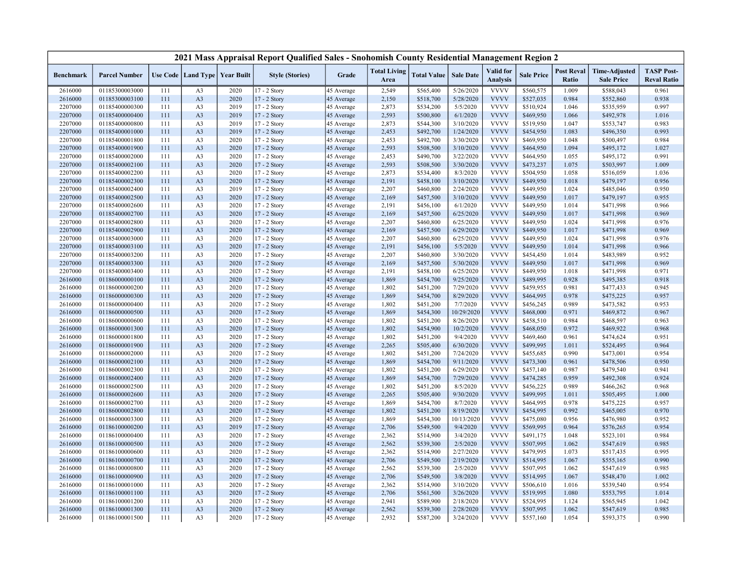|                  |                      |     |                                   |      | 2021 Mass Appraisal Report Qualified Sales - Snohomish County Residential Management Region 2 |            |                             |                    |                  |                                     |                   |                                   |                                           |                                         |
|------------------|----------------------|-----|-----------------------------------|------|-----------------------------------------------------------------------------------------------|------------|-----------------------------|--------------------|------------------|-------------------------------------|-------------------|-----------------------------------|-------------------------------------------|-----------------------------------------|
| <b>Benchmark</b> | <b>Parcel Number</b> |     | Use Code   Land Type   Year Built |      | <b>Style (Stories)</b>                                                                        | Grade      | <b>Total Living</b><br>Area | <b>Total Value</b> | <b>Sale Date</b> | <b>Valid</b> for<br><b>Analysis</b> | <b>Sale Price</b> | <b>Post Reval</b><br><b>Ratio</b> | <b>Time-Adjusted</b><br><b>Sale Price</b> | <b>TASP Post-</b><br><b>Reval Ratio</b> |
| 2616000          | 01185300003000       | 111 | A <sub>3</sub>                    | 2020 | 17 - 2 Story                                                                                  | 45 Average | 2,549                       | \$565,400          | 5/26/2020        | <b>VVVV</b>                         | \$560,575         | 1.009                             | \$588,043                                 | 0.961                                   |
| 2616000          | 01185300003100       | 111 | A <sub>3</sub>                    | 2020 | 17 - 2 Story                                                                                  | 45 Average | 2,150                       | \$518,700          | 5/28/2020        | <b>VVVV</b>                         | \$527,035         | 0.984                             | \$552,860                                 | 0.938                                   |
| 2207000          | 01185400000300       | 111 | A <sub>3</sub>                    | 2019 | 17 - 2 Story                                                                                  | 45 Average | 2,873                       | \$534,200          | 5/5/2020         | <b>VVVV</b>                         | \$510,924         | 1.046                             | \$535,959                                 | 0.997                                   |
| 2207000          | 01185400000400       | 111 | A <sub>3</sub>                    | 2019 | 17 - 2 Story                                                                                  | 45 Average | 2,593                       | \$500,800          | 6/1/2020         | <b>VVVV</b>                         | \$469,950         | 1.066                             | \$492,978                                 | 1.016                                   |
| 2207000          | 01185400000800       | 111 | A <sub>3</sub>                    | 2019 | 17 - 2 Story                                                                                  | 45 Average | 2,873                       | \$544,300          | 3/10/2020        | <b>VVVV</b>                         | \$519,950         | 1.047                             | \$553,747                                 | 0.983                                   |
| 2207000          | 01185400001000       | 111 | A <sub>3</sub>                    | 2019 | 17 - 2 Story                                                                                  | 45 Average | 2,453                       | \$492,700          | 1/24/2020        | <b>VVVV</b>                         | \$454,950         | 1.083                             | \$496,350                                 | 0.993                                   |
| 2207000          | 01185400001800       | 111 | A <sub>3</sub>                    | 2020 | 17 - 2 Story                                                                                  | 45 Average | 2,453                       | \$492,700          | 3/30/2020        | <b>VVVV</b>                         | \$469,950         | 1.048                             | \$500,497                                 | 0.984                                   |
| 2207000          | 01185400001900       | 111 | A <sub>3</sub>                    | 2020 | 17 - 2 Story                                                                                  | 45 Average | 2,593                       | \$508,500          | 3/10/2020        | <b>VVVV</b>                         | \$464,950         | 1.094                             | \$495,172                                 | 1.027                                   |
| 2207000          | 01185400002000       | 111 | A <sub>3</sub>                    | 2020 | 17 - 2 Story                                                                                  | 45 Average | 2,453                       | \$490,700          | 3/22/2020        | <b>VVVV</b>                         | \$464,950         | 1.055                             | \$495,172                                 | 0.991                                   |
| 2207000          | 01185400002100       | 111 | A <sub>3</sub>                    | 2020 | 17 - 2 Story                                                                                  | 45 Average | 2,593                       | \$508,500          | 3/30/2020        | <b>VVVV</b>                         | \$473,237         | 1.075                             | \$503,997                                 | 1.009                                   |
| 2207000          | 01185400002200       | 111 | A <sub>3</sub>                    | 2020 | 17 - 2 Story                                                                                  | 45 Average | 2,873                       | \$534,400          | 8/3/2020         | <b>VVVV</b>                         | \$504,950         | 1.058                             | \$516,059                                 | 1.036                                   |
| 2207000          | 01185400002300       | 111 | A <sub>3</sub>                    | 2020 | 17 - 2 Story                                                                                  | 45 Average | 2,191                       | \$458,100          | 3/10/2020        | <b>VVVV</b>                         | \$449,950         | 1.018                             | \$479,197                                 | 0.956                                   |
| 2207000          | 01185400002400       | 111 | A <sub>3</sub>                    | 2019 | 17 - 2 Story                                                                                  | 45 Average | 2,207                       | \$460,800          | 2/24/2020        | <b>VVVV</b>                         | \$449,950         | 1.024                             | \$485,046                                 | 0.950                                   |
| 2207000          | 01185400002500       | 111 | A <sub>3</sub>                    | 2020 | 17 - 2 Story                                                                                  | 45 Average | 2,169                       | \$457,500          | 3/10/2020        | <b>VVVV</b>                         | \$449,950         | 1.017                             | \$479,197                                 | 0.955                                   |
| 2207000          | 01185400002600       | 111 | A <sub>3</sub>                    | 2020 | 17 - 2 Story                                                                                  | 45 Average | 2,191                       | \$456,100          | 6/1/2020         | <b>VVVV</b>                         | \$449,950         | 1.014                             | \$471,998                                 | 0.966                                   |
| 2207000          | 01185400002700       | 111 | A <sub>3</sub>                    | 2020 | 17 - 2 Story                                                                                  | 45 Average | 2,169                       | \$457,500          | 6/25/2020        | <b>VVVV</b>                         | \$449,950         | 1.017                             | \$471,998                                 | 0.969                                   |
| 2207000          | 01185400002800       | 111 | A <sub>3</sub>                    | 2020 | 17 - 2 Story                                                                                  | 45 Average | 2,207                       | \$460,800          | 6/25/2020        | <b>VVVV</b>                         | \$449,950         | 1.024                             | \$471,998                                 | 0.976                                   |
| 2207000          | 01185400002900       | 111 | A <sub>3</sub>                    | 2020 | 17 - 2 Story                                                                                  | 45 Average | 2,169                       | \$457,500          | 6/29/2020        | <b>VVVV</b>                         | \$449,950         | 1.017                             | \$471,998                                 | 0.969                                   |
| 2207000          | 01185400003000       | 111 | A <sub>3</sub>                    | 2020 | 17 - 2 Story                                                                                  | 45 Average | 2,207                       | \$460,800          | 6/25/2020        | <b>VVVV</b>                         | \$449,950         | 1.024                             | \$471,998                                 | 0.976                                   |
| 2207000          | 01185400003100       | 111 | A <sub>3</sub>                    | 2020 | 17 - 2 Story                                                                                  | 45 Average | 2,191                       | \$456,100          | 5/5/2020         | <b>VVVV</b>                         | \$449,950         | 1.014                             | \$471,998                                 | 0.966                                   |
| 2207000          | 01185400003200       | 111 | A <sub>3</sub>                    | 2020 | 17 - 2 Story                                                                                  | 45 Average | 2,207                       | \$460,800          | 3/30/2020        | <b>VVVV</b>                         | \$454,450         | 1.014                             | \$483,989                                 | 0.952                                   |
| 2207000          | 01185400003300       | 111 | A <sub>3</sub>                    | 2020 | 17 - 2 Story                                                                                  | 45 Average | 2,169                       | \$457,500          | 5/30/2020        | <b>VVVV</b>                         | \$449,950         | 1.017                             | \$471,998                                 | 0.969                                   |
| 2207000          | 01185400003400       | 111 | A <sub>3</sub>                    | 2020 | 17 - 2 Story                                                                                  | 45 Average | 2,191                       | \$458,100          | 6/25/2020        | <b>VVVV</b>                         | \$449,950         | 1.018                             | \$471,998                                 | 0.971                                   |
| 2616000          | 01186000000100       | 111 | A <sub>3</sub>                    | 2020 | $17 - 2$ Story                                                                                | 45 Average | 1,869                       | \$454,700          | 9/25/2020        | <b>VVVV</b>                         | \$489,995         | 0.928                             | \$495,385                                 | 0.918                                   |
| 2616000          | 01186000000200       | 111 | A <sub>3</sub>                    | 2020 | 17 - 2 Story                                                                                  | 45 Average | 1,802                       | \$451,200          | 7/29/2020        | <b>VVVV</b>                         | \$459,955         | 0.981                             | \$477,433                                 | 0.945                                   |
| 2616000          | 01186000000300       | 111 | A <sub>3</sub>                    | 2020 | 17 - 2 Story                                                                                  | 45 Average | 1,869                       | \$454,700          | 8/29/2020        | <b>VVVV</b>                         | \$464,995         | 0.978                             | \$475,225                                 | 0.957                                   |
| 2616000          | 01186000000400       | 111 | A <sub>3</sub>                    | 2020 | 17 - 2 Story                                                                                  | 45 Average | 1,802                       | \$451,200          | 7/7/2020         | <b>VVVV</b>                         | \$456,245         | 0.989                             | \$473,582                                 | 0.953                                   |
| 2616000          | 01186000000500       | 111 | A <sub>3</sub>                    | 2020 | 17 - 2 Story                                                                                  | 45 Average | 1,869                       | \$454,300          | 10/29/2020       | <b>VVVV</b>                         | \$468,000         | 0.971                             | \$469,872                                 | 0.967                                   |
| 2616000          | 01186000000600       | 111 | A <sub>3</sub>                    | 2020 | 17 - 2 Story                                                                                  | 45 Average | 1,802                       | \$451,200          | 8/26/2020        | <b>VVVV</b>                         | \$458,510         | 0.984                             | \$468,597                                 | 0.963                                   |
| 2616000          | 01186000001300       | 111 | A <sub>3</sub>                    | 2020 | 17 - 2 Story                                                                                  | 45 Average | 1,802                       | \$454,900          | 10/2/2020        | <b>VVVV</b>                         | \$468,050         | 0.972                             | \$469,922                                 | 0.968                                   |
| 2616000          | 01186000001800       | 111 | A <sub>3</sub>                    | 2020 | 17 - 2 Story                                                                                  | 45 Average | 1,802                       | \$451,200          | 9/4/2020         | <b>VVVV</b>                         | \$469,460         | 0.961                             | \$474,624                                 | 0.951                                   |
| 2616000          | 01186000001900       | 111 | A <sub>3</sub>                    | 2020 | 17 - 2 Story                                                                                  | 45 Average | 2,265                       | \$505,400          | 6/30/2020        | <b>VVVV</b>                         | \$499,995         | 1.011                             | \$524,495                                 | 0.964                                   |
| 2616000          | 01186000002000       | 111 | A <sub>3</sub>                    | 2020 | 17 - 2 Story                                                                                  | 45 Average | 1,802                       | \$451,200          | 7/24/2020        | <b>VVVV</b>                         | \$455,685         | 0.990                             | \$473,001                                 | 0.954                                   |
| 2616000          | 01186000002100       | 111 | A <sub>3</sub>                    | 2020 | 17 - 2 Story                                                                                  | 45 Average | 1,869                       | \$454,700          | 9/11/2020        | <b>VVVV</b>                         | \$473,300         | 0.961                             | \$478,506                                 | 0.950                                   |
| 2616000          | 01186000002300       | 111 | A <sub>3</sub>                    | 2020 | 17 - 2 Story                                                                                  | 45 Average | 1,802                       | \$451,200          | 6/29/2020        | <b>VVVV</b>                         | \$457,140         | 0.987                             | \$479,540                                 | 0.941                                   |
| 2616000          | 01186000002400       | 111 | A <sub>3</sub>                    | 2020 | 17 - 2 Story                                                                                  | 45 Average | 1,869                       | \$454,700          | 7/29/2020        | <b>VVVV</b>                         | \$474,285         | 0.959                             | \$492,308                                 | 0.924                                   |
| 2616000          | 01186000002500       | 111 | A <sub>3</sub>                    | 2020 | 17 - 2 Story                                                                                  | 45 Average | 1,802                       | \$451,200          | 8/5/2020         | <b>VVVV</b>                         | \$456,225         | 0.989                             | \$466,262                                 | 0.968                                   |
| 2616000          | 01186000002600       | 111 | A <sub>3</sub>                    | 2020 | 17 - 2 Story                                                                                  | 45 Average | 2,265                       | \$505,400          | 9/30/2020        | <b>VVVV</b>                         | \$499,995         | 1.011                             | \$505,495                                 | 1.000                                   |
| 2616000          | 01186000002700       | 111 | A <sub>3</sub>                    | 2020 | 17 - 2 Story                                                                                  | 45 Average | 1,869                       | \$454,700          | 8/7/2020         | <b>VVVV</b>                         | \$464,995         | 0.978                             | \$475,225                                 | 0.957                                   |
| 2616000          | 01186000002800       | 111 | A <sub>3</sub>                    | 2020 | 17 - 2 Story                                                                                  | 45 Average | 1,802                       | \$451,200          | 8/19/2020        | <b>VVVV</b>                         | \$454,995         | 0.992                             | \$465,005                                 | 0.970                                   |
| 2616000          | 01186000003300       | 111 | A <sub>3</sub>                    | 2020 | 17 - 2 Story                                                                                  | 45 Average | 1,869                       | \$454,300          | 10/13/2020       | <b>VVVV</b>                         | \$475,080         | 0.956                             | \$476,980                                 | 0.952                                   |
| 2616000          | 01186100000200       | 111 | A <sub>3</sub>                    | 2019 | 17 - 2 Story                                                                                  | 45 Average | 2,706                       | \$549,500          | 9/4/2020         | <b>VVVV</b>                         | \$569,995         | 0.964                             | \$576,265                                 | 0.954                                   |
| 2616000          | 01186100000400       | 111 | A <sub>3</sub>                    | 2020 | 17 - 2 Story                                                                                  | 45 Average | 2,362                       | \$514,900          | 3/4/2020         | <b>VVVV</b>                         | \$491,175         | 1.048                             | \$523,101                                 | 0.984                                   |
| 2616000          | 01186100000500       | 111 | A <sub>3</sub>                    | 2020 | 17 - 2 Story                                                                                  | 45 Average | 2,562                       | \$539,300          | 2/5/2020         | <b>VVVV</b>                         | \$507,995         | 1.062                             | \$547,619                                 | 0.985                                   |
| 2616000          | 01186100000600       | 111 | A <sub>3</sub>                    | 2020 | $17 - 2$ Story                                                                                | 45 Average | 2,362                       | \$514,900          | 2/27/2020        | <b>VVVV</b>                         | \$479,995         | 1.073                             | \$517,435                                 | 0.995                                   |
| 2616000          | 01186100000700       | 111 | A <sub>3</sub>                    | 2020 | 17 - 2 Story                                                                                  | 45 Average | 2,706                       | \$549,500          | 2/19/2020        | <b>VVVV</b>                         | \$514,995         | 1.067                             | \$555,165                                 | 0.990                                   |
| 2616000          | 01186100000800       | 111 | A <sub>3</sub>                    | 2020 | 17 - 2 Story                                                                                  | 45 Average | 2,562                       | \$539,300          | 2/5/2020         | <b>VVVV</b>                         | \$507,995         | 1.062                             | \$547,619                                 | 0.985                                   |
| 2616000          | 01186100000900       | 111 | A <sub>3</sub>                    | 2020 | 17 - 2 Story                                                                                  | 45 Average | 2,706                       | \$549,500          | 3/8/2020         | <b>VVVV</b>                         | \$514,995         | 1.067                             | \$548,470                                 | 1.002                                   |
| 2616000          | 01186100001000       | 111 | A <sub>3</sub>                    | 2020 | 17 - 2 Story                                                                                  | 45 Average | 2,362                       | \$514,900          | 3/10/2020        | <b>VVVV</b>                         | \$506,610         | 1.016                             | \$539,540                                 | 0.954                                   |
| 2616000          | 01186100001100       | 111 | A <sub>3</sub>                    | 2020 | 17 - 2 Story                                                                                  | 45 Average | 2,706                       | \$561,500          | 3/26/2020        | <b>VVVV</b>                         | \$519,995         | 1.080                             | \$553,795                                 | 1.014                                   |
| 2616000          | 01186100001200       | 111 | A <sub>3</sub>                    | 2020 | 17 - 2 Story                                                                                  | 45 Average | 2,941                       | \$589,900          | 2/18/2020        | <b>VVVV</b>                         | \$524,995         | 1.124                             | \$565,945                                 | 1.042                                   |
| 2616000          | 01186100001300       | 111 | A <sub>3</sub>                    | 2020 | $17 - 2$ Story                                                                                | 45 Average | 2,562                       | \$539,300          | 2/28/2020        | <b>VVVV</b>                         | \$507,995         | 1.062                             | \$547,619                                 | 0.985                                   |
| 2616000          | 01186100001500       | 111 | A <sub>3</sub>                    | 2020 | 17 - 2 Story                                                                                  | 45 Average | 2,932                       | \$587,200          | 3/24/2020        | <b>VVVV</b>                         | \$557,160         | 1.054                             | \$593,375                                 | 0.990                                   |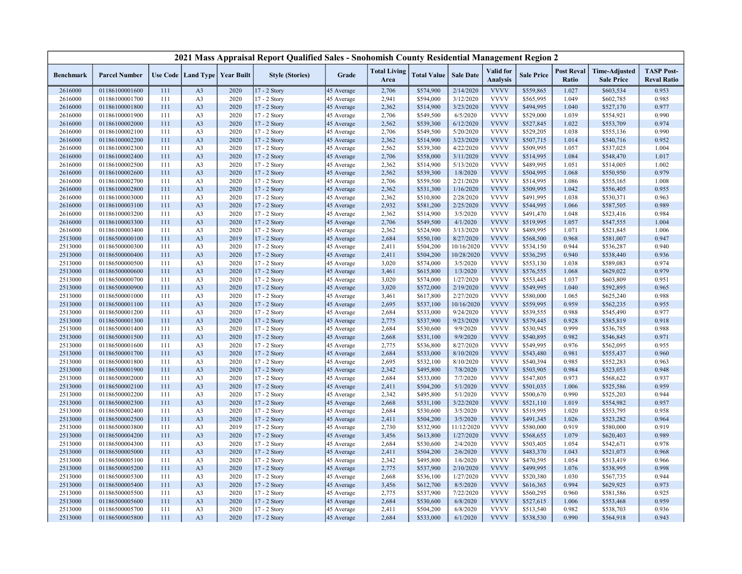|                    |                                  |            |                                  |                                   | 2021 Mass Appraisal Report Qualified Sales - Snohomish County Residential Management Region 2 |                          |                             |                        |                         |                              |                        |                            |                                           |                                         |
|--------------------|----------------------------------|------------|----------------------------------|-----------------------------------|-----------------------------------------------------------------------------------------------|--------------------------|-----------------------------|------------------------|-------------------------|------------------------------|------------------------|----------------------------|-------------------------------------------|-----------------------------------------|
| <b>Benchmark</b>   | <b>Parcel Number</b>             |            |                                  | Use Code   Land Type   Year Built | <b>Style (Stories)</b>                                                                        | Grade                    | <b>Total Living</b><br>Area | <b>Total Value</b>     | <b>Sale Date</b>        | Valid for<br><b>Analysis</b> | <b>Sale Price</b>      | <b>Post Reval</b><br>Ratio | <b>Time-Adjusted</b><br><b>Sale Price</b> | <b>TASP Post-</b><br><b>Reval Ratio</b> |
| 2616000            | 01186100001600                   | 111        | A <sub>3</sub>                   | 2020                              | 17 - 2 Story                                                                                  | 45 Average               | 2,706                       | \$574,900              | 2/14/2020               | <b>VVVV</b>                  | \$559,865              | 1.027                      | \$603,534                                 | 0.953                                   |
| 2616000            | 01186100001700                   | 111        | A <sub>3</sub>                   | 2020                              | 17 - 2 Story                                                                                  | 45 Average               | 2,941                       | \$594,000              | 3/12/2020               | <b>VVVV</b>                  | \$565,995              | 1.049                      | \$602,785                                 | 0.985                                   |
| 2616000            | 01186100001800                   | 111        | A <sub>3</sub>                   | 2020                              | 17 - 2 Story                                                                                  | 45 Average               | 2,362                       | \$514,900              | 3/23/2020               | <b>VVVV</b>                  | \$494,995              | 1.040                      | \$527,170                                 | 0.977                                   |
| 2616000            | 01186100001900                   | 111        | A <sub>3</sub>                   | 2020                              | 17 - 2 Story                                                                                  | 45 Average               | 2,706                       | \$549,500              | 6/5/2020                | <b>VVVV</b>                  | \$529,000              | 1.039                      | \$554,921                                 | 0.990                                   |
| 2616000            | 01186100002000                   | 111        | A <sub>3</sub>                   | 2020                              | 17 - 2 Story                                                                                  | 45 Average               | 2,562                       | \$539,300              | 6/12/2020               | <b>VVVV</b>                  | \$527,845              | 1.022                      | \$553,709                                 | 0.974                                   |
| 2616000            | 01186100002100                   | 111        | A <sub>3</sub>                   | 2020                              | 17 - 2 Story                                                                                  | 45 Average               | 2,706                       | \$549,500              | 5/20/2020               | <b>VVVV</b>                  | \$529,205              | 1.038                      | \$555,136                                 | 0.990                                   |
| 2616000            | 01186100002200                   | 111        | A <sub>3</sub>                   | 2020                              | 17 - 2 Story                                                                                  | 45 Average               | 2,362                       | \$514,900              | 3/23/2020               | <b>VVVV</b>                  | \$507,715              | 1.014                      | \$540,716                                 | 0.952                                   |
| 2616000            | 01186100002300                   | 111        | A <sub>3</sub>                   | 2020                              | 17 - 2 Story                                                                                  | 45 Average               | 2,562                       | \$539,300              | 4/22/2020               | <b>VVVV</b>                  | \$509,995              | 1.057                      | \$537,025                                 | 1.004                                   |
| 2616000            | 01186100002400                   | 111        | A <sub>3</sub>                   | 2020                              | 17 - 2 Story                                                                                  | 45 Average               | 2,706                       | \$558,000              | 3/11/2020               | <b>VVVV</b>                  | \$514,995              | 1.084                      | \$548,470                                 | 1.017                                   |
| 2616000            | 01186100002500                   | 111        | A <sub>3</sub>                   | 2020                              | 17 - 2 Story                                                                                  | 45 Average               | 2,362                       | \$514,900              | 5/13/2020               | <b>VVVV</b>                  | \$489,995              | 1.051                      | \$514,005                                 | 1.002                                   |
| 2616000            | 01186100002600                   | 111        | A <sub>3</sub>                   | 2020                              | 17 - 2 Story                                                                                  | 45 Average               | 2,562                       | \$539,300              | 1/8/2020                | <b>VVVV</b>                  | \$504,995              | 1.068                      | \$550,950                                 | 0.979                                   |
| 2616000            | 01186100002700                   | 111        | A <sub>3</sub>                   | 2020                              | 17 - 2 Story                                                                                  | 45 Average               | 2,706                       | \$559,500              | 2/21/2020               | <b>VVVV</b>                  | \$514,995              | 1.086                      | \$555,165                                 | 1.008                                   |
| 2616000            | 01186100002800                   | 111        | A <sub>3</sub>                   | 2020                              | 17 - 2 Story                                                                                  | 45 Average               | 2,362                       | \$531,300              | 1/16/2020               | <b>VVVV</b>                  | \$509,995              | 1.042                      | \$556,405                                 | 0.955                                   |
| 2616000            | 01186100003000                   | 111        | A <sub>3</sub>                   | 2020                              | 17 - 2 Story                                                                                  | 45 Average               | 2,362                       | \$510,800              | 2/28/2020               | <b>VVVV</b>                  | \$491,995              | 1.038                      | \$530,371                                 | 0.963                                   |
| 2616000            | 01186100003100                   | 111        | A <sub>3</sub>                   | 2020                              | 17 - 2 Story                                                                                  | 45 Average               | 2,932                       | \$581,200              | 2/25/2020               | <b>VVVV</b>                  | \$544,995              | 1.066                      | \$587,505                                 | 0.989                                   |
| 2616000            | 01186100003200                   | 111        | A <sub>3</sub>                   | 2020                              | 17 - 2 Story                                                                                  | 45 Average               | 2,362                       | \$514,900              | 3/5/2020                | <b>VVVV</b>                  | \$491,470              | 1.048                      | \$523,416                                 | 0.984                                   |
| 2616000            | 01186100003300                   | 111        | A <sub>3</sub>                   | 2020                              | 17 - 2 Story                                                                                  | 45 Average               | 2,706                       | \$549,500              | 4/1/2020                | <b>VVVV</b>                  | \$519,995              | 1.057                      | \$547,555                                 | 1.004                                   |
| 2616000            | 01186100003400                   | 111        | A <sub>3</sub>                   | 2020                              | 17 - 2 Story                                                                                  | 45 Average               | 2,362                       | \$524,900              | 3/13/2020               | <b>VVVV</b>                  | \$489,995              | 1.071                      | \$521,845                                 | 1.006                                   |
| 2513000            | 01186500000100                   | 111        | A <sub>3</sub>                   | 2019                              | $17 - 2$ Story                                                                                | 45 Average               | 2,684                       | \$550,100              | 8/27/2020               | <b>VVVV</b>                  | \$568,500              | 0.968                      | \$581,007                                 | 0.947                                   |
| 2513000            | 01186500000300                   | 111        | A <sub>3</sub>                   | 2020                              | 17 - 2 Story                                                                                  | 45 Average               | 2,411                       | \$504,200              | 10/16/2020              | <b>VVVV</b>                  | \$534,150              | 0.944                      | \$536,287                                 | 0.940                                   |
| 2513000            | 01186500000400                   | 111        | A <sub>3</sub>                   | 2020                              | 17 - 2 Story                                                                                  | 45 Average               | 2,411                       | \$504,200              | 10/28/2020              | <b>VVVV</b>                  | \$536,295              | 0.940                      | \$538,440                                 | 0.936                                   |
| 2513000            | 01186500000500                   | 111        | A <sub>3</sub>                   | 2020                              | 17 - 2 Story                                                                                  | 45 Average               | 3,020                       | \$574,000              | 3/5/2020                | <b>VVVV</b>                  | \$553,130              | 1.038                      | \$589,083                                 | 0.974                                   |
| 2513000            | 01186500000600                   | 111        | A <sub>3</sub>                   | 2020                              | 17 - 2 Story                                                                                  | 45 Average               | 3,461                       | \$615,800              | 1/3/2020                | <b>VVVV</b>                  | \$576,555              | 1.068                      | \$629,022                                 | 0.979                                   |
| 2513000            | 01186500000700                   | 111        | A <sub>3</sub>                   | 2020                              | 17 - 2 Story                                                                                  | 45 Average               | 3,020                       | \$574,000              | 1/27/2020               | <b>VVVV</b><br><b>VVVV</b>   | \$553,445              | 1.037                      | \$603,809                                 | 0.951                                   |
| 2513000            | 01186500000900                   | 111<br>111 | A <sub>3</sub>                   | 2020<br>2020                      | 17 - 2 Story                                                                                  | 45 Average               | 3,020                       | \$572,000              | 2/19/2020               | <b>VVVV</b>                  | \$549,995              | 1.040<br>1.065             | \$592,895                                 | 0.965<br>0.988                          |
| 2513000            | 01186500001000                   |            | A <sub>3</sub>                   | 2020                              | 17 - 2 Story                                                                                  | 45 Average               | 3,461<br>2,695              | \$617,800<br>\$537,100 | 2/27/2020<br>10/16/2020 | <b>VVVV</b>                  | \$580,000<br>\$559,995 | 0.959                      | \$625,240<br>\$562,235                    | 0.955                                   |
| 2513000<br>2513000 | 01186500001100<br>01186500001200 | 111<br>111 | A <sub>3</sub><br>A <sub>3</sub> | 2020                              | 17 - 2 Story<br>17 - 2 Story                                                                  | 45 Average               | 2,684                       | \$533,000              | 9/24/2020               | <b>VVVV</b>                  | \$539,555              | 0.988                      | \$545,490                                 | 0.977                                   |
| 2513000            | 01186500001300                   | 111        | A <sub>3</sub>                   | 2020                              | 17 - 2 Story                                                                                  | 45 Average<br>45 Average | 2,775                       | \$537,900              | 9/23/2020               | <b>VVVV</b>                  | \$579,445              | 0.928                      | \$585,819                                 | 0.918                                   |
| 2513000            | 01186500001400                   | 111        | A <sub>3</sub>                   | 2020                              | 17 - 2 Story                                                                                  | 45 Average               | 2,684                       | \$530,600              | 9/9/2020                | <b>VVVV</b>                  | \$530,945              | 0.999                      | \$536,785                                 | 0.988                                   |
| 2513000            | 01186500001500                   | 111        | A <sub>3</sub>                   | 2020                              | 17 - 2 Story                                                                                  | 45 Average               | 2,668                       | \$531,100              | 9/9/2020                | <b>VVVV</b>                  | \$540,895              | 0.982                      | \$546,845                                 | 0.971                                   |
| 2513000            | 01186500001600                   | 111        | A <sub>3</sub>                   | 2020                              | 17 - 2 Story                                                                                  | 45 Average               | 2,775                       | \$536,800              | 8/27/2020               | <b>VVVV</b>                  | \$549,995              | 0.976                      | \$562,095                                 | 0.955                                   |
| 2513000            | 01186500001700                   | 111        | A <sub>3</sub>                   | 2020                              | 17 - 2 Story                                                                                  | 45 Average               | 2,684                       | \$533,000              | 8/10/2020               | <b>VVVV</b>                  | \$543,480              | 0.981                      | \$555,437                                 | 0.960                                   |
| 2513000            | 01186500001800                   | 111        | A <sub>3</sub>                   | 2020                              | 17 - 2 Story                                                                                  | 45 Average               | 2,695                       | \$532,100              | 8/10/2020               | <b>VVVV</b>                  | \$540,394              | 0.985                      | \$552,283                                 | 0.963                                   |
| 2513000            | 01186500001900                   | 111        | A <sub>3</sub>                   | 2020                              | 17 - 2 Story                                                                                  | 45 Average               | 2,342                       | \$495,800              | 7/8/2020                | <b>VVVV</b>                  | \$503,905              | 0.984                      | \$523,053                                 | 0.948                                   |
| 2513000            | 01186500002000                   | 111        | A <sub>3</sub>                   | 2020                              | 17 - 2 Story                                                                                  | 45 Average               | 2,684                       | \$533,000              | 7/7/2020                | <b>VVVV</b>                  | \$547,805              | 0.973                      | \$568,622                                 | 0.937                                   |
| 2513000            | 01186500002100                   | 111        | A <sub>3</sub>                   | 2020                              | 17 - 2 Story                                                                                  | 45 Average               | 2,411                       | \$504,200              | 5/1/2020                | <b>VVVV</b>                  | \$501,035              | 1.006                      | \$525,586                                 | 0.959                                   |
| 2513000            | 01186500002200                   | 111        | A <sub>3</sub>                   | 2020                              | 17 - 2 Story                                                                                  | 45 Average               | 2,342                       | \$495,800              | 5/1/2020                | <b>VVVV</b>                  | \$500,670              | 0.990                      | \$525,203                                 | 0.944                                   |
| 2513000            | 01186500002300                   | 111        | A <sub>3</sub>                   | 2020                              | 17 - 2 Story                                                                                  | 45 Average               | 2,668                       | \$531,100              | 3/22/2020               | <b>VVVV</b>                  | \$521,110              | 1.019                      | \$554,982                                 | 0.957                                   |
| 2513000            | 01186500002400                   | 111        | A <sub>3</sub>                   | 2020                              | 17 - 2 Story                                                                                  | 45 Average               | 2,684                       | \$530,600              | 3/5/2020                | <b>VVVV</b>                  | \$519,995              | 1.020                      | \$553,795                                 | 0.958                                   |
| 2513000            | 01186500002500                   | 111        | A <sub>3</sub>                   | 2020                              | 17 - 2 Story                                                                                  | 45 Average               | 2,411                       | \$504,200              | 3/5/2020                | <b>VVVV</b>                  | \$491,345              | 1.026                      | \$523,282                                 | 0.964                                   |
| 2513000            | 01186500003800                   | 111        | A <sub>3</sub>                   | 2019                              | 17 - 2 Story                                                                                  | 45 Average               | 2,730                       | \$532,900              | 11/12/2020              | <b>VVVV</b>                  | \$580,000              | 0.919                      | \$580,000                                 | 0.919                                   |
| 2513000            | 01186500004200                   | 111        | A <sub>3</sub>                   | 2020                              | 17 - 2 Story                                                                                  | 45 Average               | 3,456                       | \$613,800              | 1/27/2020               | <b>VVVV</b>                  | \$568,655              | 1.079                      | \$620,403                                 | 0.989                                   |
| 2513000            | 01186500004300                   | 111        | A <sub>3</sub>                   | 2020                              | 17 - 2 Story                                                                                  | 45 Average               | 2,684                       | \$530,600              | 2/4/2020                | <b>VVVV</b>                  | \$503,405              | 1.054                      | \$542,671                                 | 0.978                                   |
| 2513000            | 01186500005000                   | 111        | A <sub>3</sub>                   | 2020                              | 17 - 2 Story                                                                                  | 45 Average               | 2,411                       | \$504,200              | 2/6/2020                | <b>VVVV</b>                  | \$483,370              | 1.043                      | \$521,073                                 | 0.968                                   |
| 2513000            | 01186500005100                   | 111        | A <sub>3</sub>                   | 2020                              | 17 - 2 Story                                                                                  | 45 Average               | 2,342                       | \$495,800              | 1/6/2020                | <b>VVVV</b>                  | \$470,595              | 1.054                      | \$513,419                                 | 0.966                                   |
| 2513000            | 01186500005200                   | 111        | A <sub>3</sub>                   | 2020                              | 17 - 2 Story                                                                                  | 45 Average               | 2,775                       | \$537,900              | 2/10/2020               | <b>VVVV</b>                  | \$499,995              | 1.076                      | \$538,995                                 | 0.998                                   |
| 2513000            | 01186500005300                   | 111        | A <sub>3</sub>                   | 2020                              | 17 - 2 Story                                                                                  | 45 Average               | 2,668                       | \$536,100              | 1/27/2020               | <b>VVVV</b>                  | \$520,380              | 1.030                      | \$567,735                                 | 0.944                                   |
| 2513000            | 01186500005400                   | 111        | A <sub>3</sub>                   | 2020                              | $17 - 2$ Story                                                                                | 45 Average               | 3,456                       | \$612,700              | 8/5/2020                | <b>VVVV</b>                  | \$616,365              | 0.994                      | \$629,925                                 | 0.973                                   |
| 2513000            | 01186500005500                   | 111        | A <sub>3</sub>                   | 2020                              | 17 - 2 Story                                                                                  | 45 Average               | 2,775                       | \$537,900              | 7/22/2020               | <b>VVVV</b>                  | \$560,295              | 0.960                      | \$581,586                                 | 0.925                                   |
| 2513000            | 01186500005600                   | 111        | A <sub>3</sub>                   | 2020                              | 17 - 2 Story                                                                                  | 45 Average               | 2,684                       | \$530,600              | 6/8/2020                | <b>VVVV</b>                  | \$527,615              | 1.006                      | \$553,468                                 | 0.959                                   |
| 2513000            | 01186500005700                   | 111        | A <sub>3</sub>                   | 2020                              | 17 - 2 Story                                                                                  | 45 Average               | 2,411                       | \$504,200              | 6/8/2020                | <b>VVVV</b>                  | \$513,540              | 0.982                      | \$538,703                                 | 0.936                                   |
| 2513000            | 01186500005800                   | 111        | A <sub>3</sub>                   | 2020                              | 17 - 2 Story                                                                                  | 45 Average               | 2,684                       | \$533,000              | 6/1/2020                | <b>VVVV</b>                  | \$538,530              | 0.990                      | \$564,918                                 | 0.943                                   |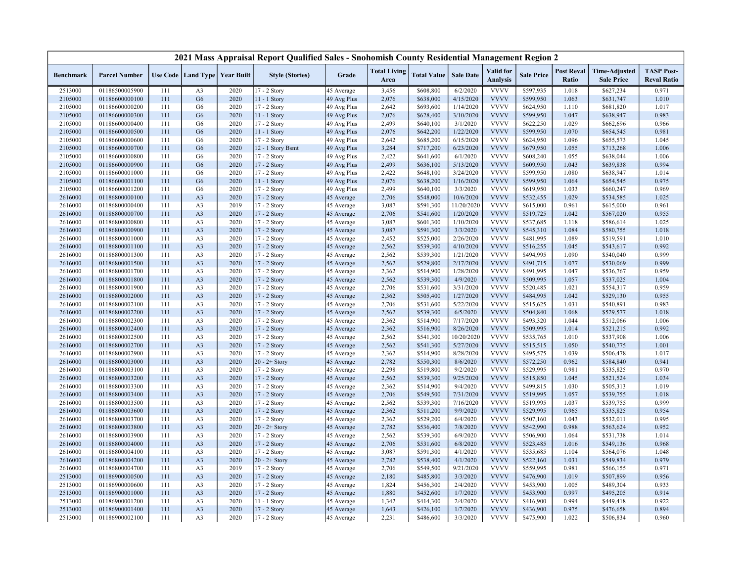|                    |                                  |            |                                   |              | 2021 Mass Appraisal Report Qualified Sales - Snohomish County Residential Management Region 2 |                          |                             |                        |                      |                                     |                        |                            |                                           |                                         |
|--------------------|----------------------------------|------------|-----------------------------------|--------------|-----------------------------------------------------------------------------------------------|--------------------------|-----------------------------|------------------------|----------------------|-------------------------------------|------------------------|----------------------------|-------------------------------------------|-----------------------------------------|
| <b>Benchmark</b>   | <b>Parcel Number</b>             |            | Use Code   Land Type   Year Built |              | <b>Style (Stories)</b>                                                                        | Grade                    | <b>Total Living</b><br>Area | <b>Total Value</b>     | <b>Sale Date</b>     | <b>Valid</b> for<br><b>Analysis</b> | <b>Sale Price</b>      | <b>Post Reval</b><br>Ratio | <b>Time-Adjusted</b><br><b>Sale Price</b> | <b>TASP Post-</b><br><b>Reval Ratio</b> |
| 2513000            | 01186500005900                   | 111        | A <sub>3</sub>                    | 2020         | 17 - 2 Story                                                                                  | 45 Average               | 3,456                       | \$608,800              | 6/2/2020             | <b>VVVV</b>                         | \$597,935              | 1.018                      | \$627,234                                 | 0.971                                   |
| 2105000            | 01186600000100                   | 111        | G <sub>6</sub>                    | 2020         | 11 - 1 Story                                                                                  | 49 Avg Plus              | 2,076                       | \$638,000              | 4/15/2020            | <b>VVVV</b>                         | \$599,950              | 1.063                      | \$631,747                                 | 1.010                                   |
| 2105000            | 01186600000200                   | 111        | G <sub>6</sub>                    | 2020         | $17 - 2$ Story                                                                                | 49 Avg Plus              | 2,642                       | \$693,600              | 1/14/2020            | <b>VVVV</b>                         | \$624,950              | 1.110                      | \$681,820                                 | 1.017                                   |
| 2105000            | 01186600000300                   | 111        | G <sub>6</sub>                    | 2020         | 11 - 1 Story                                                                                  | 49 Avg Plus              | 2,076                       | \$628,400              | 3/10/2020            | <b>VVVV</b>                         | \$599,950              | 1.047                      | \$638,947                                 | 0.983                                   |
| 2105000            | 01186600000400                   | 111        | G <sub>6</sub>                    | 2020         | 17 - 2 Story                                                                                  | 49 Avg Plus              | 2,499                       | \$640,100              | 3/1/2020             | <b>VVVV</b>                         | \$622,250              | 1.029                      | \$662,696                                 | 0.966                                   |
| 2105000            | 01186600000500                   | 111        | G <sub>6</sub>                    | 2020         | $11 - 1$ Story                                                                                | 49 Avg Plus              | 2,076                       | \$642,200              | 1/22/2020            | <b>VVVV</b>                         | \$599,950              | 1.070                      | \$654,545                                 | 0.981                                   |
| 2105000            | 01186600000600                   | 111        | G <sub>6</sub>                    | 2020         | 17 - 2 Story                                                                                  | 49 Avg Plus              | 2,642                       | \$685,200              | 6/15/2020            | <b>VVVV</b>                         | \$624,950              | 1.096                      | \$655,573                                 | 1.045                                   |
| 2105000            | 01186600000700                   | 111        | G <sub>6</sub>                    | 2020         | 12 - 1 Story Bsmt                                                                             | 49 Avg Plus              | 3,284                       | \$717,200              | 6/23/2020            | <b>VVVV</b>                         | \$679,950              | 1.055                      | \$713,268                                 | 1.006                                   |
| 2105000            | 01186600000800                   | 111        | G <sub>6</sub>                    | 2020         | 17 - 2 Story                                                                                  | 49 Avg Plus              | 2,422                       | \$641,600              | 6/1/2020             | <b>VVVV</b>                         | \$608,240              | 1.055                      | \$638,044                                 | 1.006                                   |
| 2105000            | 01186600000900                   | 111        | G <sub>6</sub>                    | 2020         | 17 - 2 Story                                                                                  | 49 Avg Plus              | 2,499                       | \$636,100              | 5/13/2020            | <b>VVVV</b>                         | \$609,950              | 1.043                      | \$639,838                                 | 0.994                                   |
| 2105000            | 01186600001000                   | 111        | G <sub>6</sub>                    | 2020         | 17 - 2 Story                                                                                  | 49 Avg Plus              | 2,422                       | \$648,100              | 3/24/2020            | <b>VVVV</b>                         | \$599,950              | 1.080                      | \$638,947                                 | 1.014                                   |
| 2105000            | 01186600001100                   | 111        | G <sub>6</sub>                    | 2020         | 11 - 1 Story                                                                                  | 49 Avg Plus              | 2,076                       | \$638,200              | 1/16/2020            | <b>VVVV</b>                         | \$599,950              | 1.064                      | \$654,545                                 | 0.975                                   |
| 2105000            | 01186600001200                   | 111        | G <sub>6</sub>                    | 2020         | $17 - 2$ Story                                                                                | 49 Avg Plus              | 2,499                       | \$640,100              | 3/3/2020             | <b>VVVV</b>                         | \$619,950              | 1.033                      | \$660,247                                 | 0.969                                   |
| 2616000            | 01186800000100                   | 111        | A <sub>3</sub>                    | 2020         | 17 - 2 Story                                                                                  | 45 Average               | 2,706                       | \$548,000              | 10/6/2020            | <b>VVVV</b>                         | \$532,455              | 1.029                      | \$534,585                                 | 1.025                                   |
| 2616000            | 01186800000400                   | 111        | A <sub>3</sub>                    | 2019         | 17 - 2 Story                                                                                  | 45 Average               | 3,087                       | \$591,300              | 11/20/2020           | <b>VVVV</b>                         | \$615,000              | 0.961                      | \$615,000                                 | 0.961                                   |
| 2616000            | 01186800000700                   | 111        | A <sub>3</sub>                    | 2020         | 17 - 2 Story                                                                                  | 45 Average               | 2,706                       | \$541,600              | 1/20/2020            | <b>VVVV</b>                         | \$519,725              | 1.042                      | \$567,020                                 | 0.955                                   |
| 2616000            | 01186800000800                   | 111        | A <sub>3</sub>                    | 2020         | 17 - 2 Story                                                                                  | 45 Average               | 3,087                       | \$601,300              | 1/10/2020            | <b>VVVV</b>                         | \$537,685              | 1.118                      | \$586,614                                 | 1.025                                   |
| 2616000            | 01186800000900                   | 111        | A <sub>3</sub>                    | 2020         | 17 - 2 Story                                                                                  | 45 Average               | 3,087                       | \$591,300              | 3/3/2020             | <b>VVVV</b>                         | \$545,310              | 1.084                      | \$580,755                                 | 1.018                                   |
| 2616000            | 01186800001000                   | 111        | A <sub>3</sub>                    | 2020         | 17 - 2 Story                                                                                  | 45 Average               | 2,452                       | \$525,000              | 2/26/2020            | <b>VVVV</b>                         | \$481,995              | 1.089                      | \$519,591                                 | 1.010                                   |
| 2616000            | 01186800001100                   | 111        | A <sub>3</sub>                    | 2020         | 17 - 2 Story                                                                                  | 45 Average               | 2,562                       | \$539,300              | 4/10/2020            | <b>VVVV</b>                         | \$516,255              | 1.045                      | \$543,617                                 | 0.992                                   |
| 2616000            | 01186800001300                   | 111        | A <sub>3</sub>                    | 2020         | 17 - 2 Story                                                                                  | 45 Average               | 2,562                       | \$539,300              | 1/21/2020            | <b>VVVV</b>                         | \$494,995              | 1.090                      | \$540,040                                 | 0.999                                   |
| 2616000            | 01186800001500                   | 111        | A <sub>3</sub>                    | 2020         | 17 - 2 Story                                                                                  | 45 Average               | 2,562                       | \$529,800              | 2/17/2020            | <b>VVVV</b>                         | \$491,715              | 1.077                      | \$530,069                                 | 0.999                                   |
| 2616000            | 01186800001700                   | 111        | A <sub>3</sub>                    | 2020         | 17 - 2 Story                                                                                  | 45 Average               | 2,362                       | \$514,900              | 1/28/2020            | <b>VVVV</b>                         | \$491,995              | 1.047                      | \$536,767                                 | 0.959                                   |
| 2616000            | 01186800001800                   | 111        | A <sub>3</sub>                    | 2020         | 17 - 2 Story                                                                                  | 45 Average               | 2,562                       | \$539,300              | 4/9/2020             | <b>VVVV</b>                         | \$509,995              | 1.057                      | \$537,025                                 | 1.004                                   |
| 2616000            | 01186800001900                   | 111        | A <sub>3</sub>                    | 2020         | 17 - 2 Story                                                                                  | 45 Average               | 2,706                       | \$531,600              | 3/31/2020            | <b>VVVV</b>                         | \$520,485              | 1.021                      | \$554,317                                 | 0.959                                   |
| 2616000            | 01186800002000                   | 111        | A <sub>3</sub>                    | 2020         | 17 - 2 Story                                                                                  | 45 Average               | 2,362                       | \$505,400              | 1/27/2020            | <b>VVVV</b>                         | \$484,995              | 1.042                      | \$529,130                                 | 0.955                                   |
| 2616000            | 01186800002100                   | 111        | A <sub>3</sub>                    | 2020         | 17 - 2 Story                                                                                  | 45 Average               | 2,706                       | \$531,600              | 5/22/2020            | <b>VVVV</b>                         | \$515,625              | 1.031                      | \$540,891                                 | 0.983                                   |
| 2616000            | 01186800002200                   | 111        | A <sub>3</sub>                    | 2020         | 17 - 2 Story                                                                                  | 45 Average               | 2,562                       | \$539,300              | 6/5/2020             | <b>VVVV</b>                         | \$504,840              | 1.068                      | \$529,577                                 | 1.018                                   |
| 2616000            | 01186800002300                   | 111        | A <sub>3</sub>                    | 2020         | 17 - 2 Story                                                                                  | 45 Average               | 2,362                       | \$514,900              | 7/17/2020            | <b>VVVV</b>                         | \$493,320              | 1.044                      | \$512,066                                 | 1.006                                   |
| 2616000            | 01186800002400                   | 111        | A <sub>3</sub>                    | 2020         | 17 - 2 Story                                                                                  | 45 Average               | 2,362                       | \$516,900              | 8/26/2020            | <b>VVVV</b>                         | \$509,995              | 1.014                      | \$521,215                                 | 0.992                                   |
| 2616000            | 01186800002500                   | 111        | A <sub>3</sub>                    | 2020         | 17 - 2 Story                                                                                  | 45 Average               | 2,562                       | \$541,300              | 10/20/2020           | <b>VVVV</b>                         | \$535,765              | 1.010                      | \$537,908                                 | 1.006                                   |
| 2616000            | 01186800002700                   | 111        | A <sub>3</sub>                    | 2020         | 17 - 2 Story                                                                                  | 45 Average               | 2,562                       | \$541,300              | 5/27/2020            | <b>VVVV</b>                         | \$515,515              | 1.050                      | \$540,775                                 | 1.001                                   |
| 2616000            | 01186800002900                   | 111        | A <sub>3</sub>                    | 2020         | 17 - 2 Story                                                                                  | 45 Average               | 2,362                       | \$514,900              | 8/28/2020            | <b>VVVV</b>                         | \$495,575              | 1.039                      | \$506,478                                 | 1.017                                   |
| 2616000            | 01186800003000                   | 111        | A <sub>3</sub>                    | 2020         | $20 - 2 +$ Story                                                                              | 45 Average               | 2,782                       | \$550,300              | 8/6/2020             | <b>VVVV</b>                         | \$572,250              | 0.962                      | \$584,840                                 | 0.941                                   |
| 2616000            | 01186800003100                   | 111        | A <sub>3</sub>                    | 2020         | 17 - 2 Story                                                                                  | 45 Average               | 2,298                       | \$519,800              | 9/2/2020             | <b>VVVV</b>                         | \$529,995              | 0.981                      | \$535,825                                 | 0.970                                   |
| 2616000            | 01186800003200                   | 111        | A <sub>3</sub>                    | 2020         | 17 - 2 Story                                                                                  | 45 Average               | 2,562                       | \$539,300              | 9/25/2020            | <b>VVVV</b>                         | \$515,850              | 1.045                      | \$521,524                                 | 1.034                                   |
| 2616000            | 01186800003300                   | 111        | A <sub>3</sub>                    | 2020         | 17 - 2 Story                                                                                  | 45 Average               | 2,362                       | \$514,900              | 9/4/2020             | <b>VVVV</b>                         | \$499,815              | 1.030                      | \$505,313                                 | 1.019                                   |
| 2616000            | 01186800003400                   | 111        | A <sub>3</sub>                    | 2020         | 17 - 2 Story                                                                                  | 45 Average               | 2,706                       | \$549,500              | 7/31/2020            | <b>VVVV</b>                         | \$519,995              | 1.057                      | \$539,755                                 | 1.018                                   |
| 2616000            | 01186800003500                   | 111        | A <sub>3</sub>                    | 2020         | 17 - 2 Story                                                                                  | 45 Average               | 2,562                       | \$539,300              | 7/16/2020            | <b>VVVV</b>                         | \$519,995              | 1.037                      | \$539,755                                 | 0.999                                   |
| 2616000            | 01186800003600                   | 111        | A <sub>3</sub>                    | 2020         | 17 - 2 Story                                                                                  | 45 Average               | 2,362                       | \$511,200              | 9/9/2020             | <b>VVVV</b>                         | \$529,995              | 0.965                      | \$535,825                                 | 0.954                                   |
| 2616000            | 01186800003700                   | 111        | A <sub>3</sub>                    | 2020         | 17 - 2 Story                                                                                  | 45 Average               | 2,362                       | \$529,200              | 6/4/2020             | <b>VVVV</b>                         | \$507,160              | 1.043                      | \$532,011                                 | 0.995                                   |
| 2616000            | 01186800003800                   | 111        | A <sub>3</sub>                    | 2020         | $20 - 2 +$ Story                                                                              | 45 Average               | 2,782                       | \$536,400              | 7/8/2020             | <b>VVVV</b>                         | \$542,990              | 0.988                      | \$563,624                                 | 0.952                                   |
| 2616000            | 01186800003900                   | 111        | A <sub>3</sub>                    | 2020         | 17 - 2 Story                                                                                  | 45 Average               | 2,562                       | \$539,300              | 6/9/2020             | <b>VVVV</b>                         | \$506,900              | 1.064                      | \$531,738                                 | 1.014                                   |
|                    |                                  |            |                                   | 2020         |                                                                                               |                          | 2,706                       |                        |                      | <b>VVVV</b>                         |                        |                            |                                           |                                         |
| 2616000<br>2616000 | 01186800004000<br>01186800004100 | 111<br>111 | A <sub>3</sub><br>A <sub>3</sub>  | 2020         | 17 - 2 Story<br>$17 - 2$ Story                                                                | 45 Average<br>45 Average | 3,087                       | \$531,600<br>\$591,300 | 6/8/2020<br>4/1/2020 | <b>VVVV</b>                         | \$523,485<br>\$535,685 | 1.016<br>1.104             | \$549,136<br>\$564,076                    | 0.968<br>1.048                          |
|                    |                                  |            | A <sub>3</sub>                    | 2020         |                                                                                               |                          | 2,782                       | \$538,400              | 4/1/2020             | <b>VVVV</b>                         | \$522,160              |                            |                                           | 0.979                                   |
| 2616000            | 01186800004200                   | 111        | A <sub>3</sub>                    | 2019         | $20 - 2 +$ Story                                                                              | 45 Average               | 2,706                       |                        | 9/21/2020            | <b>VVVV</b>                         | \$559,995              | 1.031<br>0.981             | \$549,834                                 | 0.971                                   |
| 2616000            | 01186800004700                   | 111<br>111 | A <sub>3</sub>                    |              | $17 - 2$ Story                                                                                | 45 Average               |                             | \$549,500              | 3/3/2020             | <b>VVVV</b>                         |                        |                            | \$566,155                                 | 0.956                                   |
| 2513000            | 01186900000500                   |            |                                   | 2020         | 17 - 2 Story                                                                                  | 45 Average               | 2,180                       | \$485,800              |                      | <b>VVVV</b>                         | \$476,900              | 1.019<br>1.005             | \$507,899                                 |                                         |
| 2513000            | 01186900000600<br>01186900001000 | 111<br>111 | A <sub>3</sub>                    | 2020<br>2020 | 17 - 2 Story                                                                                  | 45 Average               | 1,824<br>1,880              | \$456,300              | 2/4/2020<br>1/7/2020 | <b>VVVV</b>                         | \$453,900              | 0.997                      | \$489,304                                 | 0.933<br>0.914                          |
| 2513000            |                                  | 111        | A <sub>3</sub>                    |              | 17 - 2 Story                                                                                  | 45 Average               |                             | \$452,600              |                      | <b>VVVV</b>                         | \$453,900              | 0.994                      | \$495,205                                 |                                         |
| 2513000            | 01186900001200                   |            | A <sub>3</sub>                    | 2020         | 11 - 1 Story                                                                                  | 45 Average               | 1,342                       | \$414,300              | 2/4/2020             | <b>VVVV</b>                         | \$416,900              |                            | \$449,418                                 | 0.922                                   |
| 2513000            | 01186900001400                   | 111        | A <sub>3</sub>                    | 2020         | 17 - 2 Story                                                                                  | 45 Average               | 1,643                       | \$426,100              | 1/7/2020             |                                     | \$436,900              | 0.975                      | \$476,658                                 | 0.894                                   |
| 2513000            | 01186900002100                   | 111        | A <sub>3</sub>                    | 2020         | 17 - 2 Story                                                                                  | 45 Average               | 2,231                       | \$486,600              | 3/3/2020             | <b>VVVV</b>                         | \$475,900              | 1.022                      | \$506,834                                 | 0.960                                   |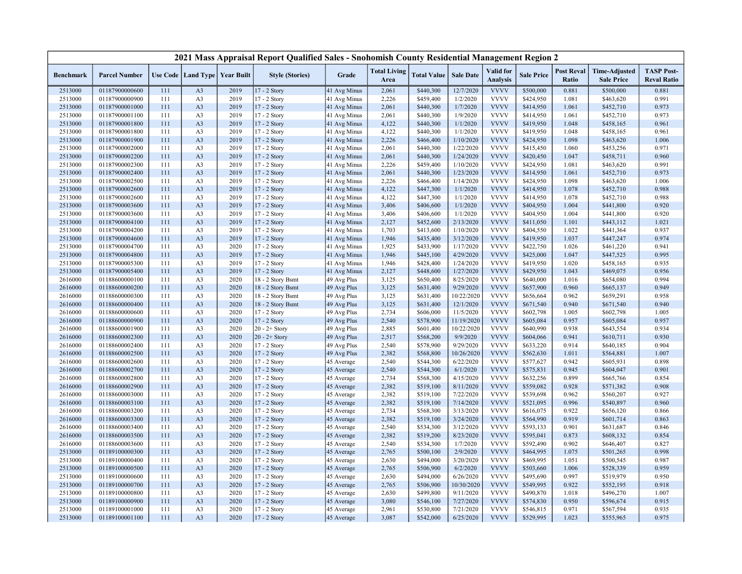|                    |                                  |            |                                   |              | 2021 Mass Appraisal Report Qualified Sales - Snohomish County Residential Management Region 2 |                            |                             |                        |                         |                                     |                        |                            |                                           |                                         |
|--------------------|----------------------------------|------------|-----------------------------------|--------------|-----------------------------------------------------------------------------------------------|----------------------------|-----------------------------|------------------------|-------------------------|-------------------------------------|------------------------|----------------------------|-------------------------------------------|-----------------------------------------|
| <b>Benchmark</b>   | <b>Parcel Number</b>             |            | Use Code   Land Type   Year Built |              | <b>Style (Stories)</b>                                                                        | Grade                      | <b>Total Living</b><br>Area | <b>Total Value</b>     | <b>Sale Date</b>        | <b>Valid</b> for<br><b>Analysis</b> | <b>Sale Price</b>      | <b>Post Reval</b><br>Ratio | <b>Time-Adjusted</b><br><b>Sale Price</b> | <b>TASP Post-</b><br><b>Reval Ratio</b> |
| 2513000            | 01187900000600                   | 111        | A <sub>3</sub>                    | 2019         | 17 - 2 Story                                                                                  | 41 Avg Minus               | 2,061                       | \$440,300              | 12/7/2020               | <b>VVVV</b>                         | \$500,000              | 0.881                      | \$500,000                                 | 0.881                                   |
| 2513000            | 01187900000900                   | 111        | A <sub>3</sub>                    | 2019         | 17 - 2 Story                                                                                  | 41 Avg Minus               | 2,226                       | \$459,400              | 1/2/2020                | <b>VVVV</b>                         | \$424,950              | 1.081                      | \$463,620                                 | 0.991                                   |
| 2513000            | 01187900001000                   | 111        | A <sub>3</sub>                    | 2019         | 17 - 2 Story                                                                                  | 41 Avg Minus               | 2,061                       | \$440,300              | 1/7/2020                | <b>VVVV</b>                         | \$414,950              | 1.061                      | \$452,710                                 | 0.973                                   |
| 2513000            | 01187900001100                   | 111        | A <sub>3</sub>                    | 2019         | 17 - 2 Story                                                                                  | 41 Avg Minus               | 2,061                       | \$440,300              | 1/9/2020                | <b>VVVV</b>                         | \$414,950              | 1.061                      | \$452,710                                 | 0.973                                   |
| 2513000            | 01187900001800                   | 111        | A <sub>3</sub>                    | 2019         | 17 - 2 Story                                                                                  | 41 Avg Minus               | 4,122                       | \$440,300              | 1/1/2020                | <b>VVVV</b>                         | \$419,950              | 1.048                      | \$458,165                                 | 0.961                                   |
| 2513000            | 01187900001800                   | 111        | A <sub>3</sub>                    | 2019         | 17 - 2 Story                                                                                  | 41 Avg Minus               | 4,122                       | \$440,300              | 1/1/2020                | <b>VVVV</b>                         | \$419,950              | 1.048                      | \$458,165                                 | 0.961                                   |
| 2513000            | 01187900001900                   | 111        | A <sub>3</sub>                    | 2019         | 17 - 2 Story                                                                                  | 41 Avg Minus               | 2,226                       | \$466,400              | 1/10/2020               | <b>VVVV</b>                         | \$424,950              | 1.098                      | \$463,620                                 | 1.006                                   |
| 2513000            | 01187900002000                   | 111        | A <sub>3</sub>                    | 2019         | 17 - 2 Story                                                                                  | 41 Avg Minus               | 2,061                       | \$440,300              | 1/22/2020               | <b>VVVV</b>                         | \$415,450              | 1.060                      | \$453,256                                 | 0.971                                   |
| 2513000            | 01187900002200                   | 111        | A <sub>3</sub>                    | 2019         | 17 - 2 Story                                                                                  | 41 Avg Minus               | 2,061                       | \$440,300              | 1/24/2020               | <b>VVVV</b>                         | \$420,450              | 1.047                      | \$458,711                                 | 0.960                                   |
| 2513000            | 01187900002300                   | 111        | A <sub>3</sub>                    | 2019         | 17 - 2 Story                                                                                  | 41 Avg Minus               | 2,226                       | \$459,400              | 1/10/2020               | <b>VVVV</b>                         | \$424,950              | 1.081                      | \$463,620                                 | 0.991                                   |
| 2513000            | 01187900002400                   | 111        | A <sub>3</sub>                    | 2019         | 17 - 2 Story                                                                                  | 41 Avg Minus               | 2,061                       | \$440,300              | 1/23/2020               | <b>VVVV</b>                         | \$414,950              | 1.061                      | \$452,710                                 | 0.973                                   |
| 2513000            | 01187900002500                   | 111        | A <sub>3</sub>                    | 2019         | 17 - 2 Story                                                                                  | 41 Avg Minus               | 2,226                       | \$466,400              | 1/14/2020               | <b>VVVV</b>                         | \$424,950              | 1.098                      | \$463,620                                 | 1.006                                   |
| 2513000            | 01187900002600                   | 111        | A <sub>3</sub>                    | 2019         | 17 - 2 Story                                                                                  | 41 Avg Minus               | 4,122                       | \$447,300              | 1/1/2020                | <b>VVVV</b>                         | \$414,950              | 1.078                      | \$452,710                                 | 0.988                                   |
| 2513000            | 01187900002600                   | 111        | A <sub>3</sub>                    | 2019         | 17 - 2 Story                                                                                  | 41 Avg Minus               | 4,122                       | \$447,300              | 1/1/2020                | <b>VVVV</b>                         | \$414,950              | 1.078                      | \$452,710                                 | 0.988                                   |
| 2513000            | 01187900003600                   | 111        | A <sub>3</sub>                    | 2019         | 17 - 2 Story                                                                                  | 41 Avg Minus               | 3,406                       | \$406,600              | 1/1/2020                | <b>VVVV</b>                         | \$404,950              | 1.004                      | \$441,800                                 | 0.920                                   |
| 2513000            | 01187900003600                   | 111        | A <sub>3</sub>                    | 2019         | 17 - 2 Story                                                                                  | 41 Avg Minus               | 3,406                       | \$406,600              | 1/1/2020                | <b>VVVV</b>                         | \$404,950              | 1.004                      | \$441,800                                 | 0.920                                   |
| 2513000            | 01187900004100                   | 111        | A <sub>3</sub>                    | 2019         | 17 - 2 Story                                                                                  | 41 Avg Minus               | 2,127                       | \$452,600              | 2/13/2020               | <b>VVVV</b>                         | \$411,050              | 1.101                      | \$443,112                                 | 1.021                                   |
| 2513000            | 01187900004200                   | 111        | A <sub>3</sub>                    | 2019         | 17 - 2 Story                                                                                  | 41 Avg Minus               | 1,703                       | \$413,600              | 1/10/2020               | <b>VVVV</b>                         | \$404,550              | 1.022                      | \$441,364                                 | 0.937                                   |
| 2513000            | 01187900004600                   | 111        | A <sub>3</sub>                    | 2019         | $17 - 2$ Story                                                                                | 41 Avg Minus               | 1,946                       | \$435,400              | 3/12/2020               | <b>VVVV</b>                         | \$419,950              | 1.037                      | \$447,247                                 | 0.974                                   |
| 2513000            | 01187900004700                   | 111        | A <sub>3</sub>                    | 2020         | 17 - 2 Story                                                                                  | 41 Avg Minus               | 1,925                       | \$433,900              | 1/17/2020               | <b>VVVV</b>                         | \$422,750              | 1.026                      | \$461,220                                 | 0.941                                   |
| 2513000            | 01187900004800                   | 111        | A <sub>3</sub>                    | 2019         | 17 - 2 Story                                                                                  | 41 Avg Minus               | 1,946                       | \$445,100              | 4/29/2020               | <b>VVVV</b>                         | \$425,000              | 1.047                      | \$447,525                                 | 0.995                                   |
| 2513000            | 01187900005300                   | 111        | A <sub>3</sub>                    | 2019         | 17 - 2 Story                                                                                  | 41 Avg Minus               | 1,946                       | \$428,400              | 1/24/2020               | <b>VVVV</b>                         | \$419,950              | 1.020                      | \$458,165                                 | 0.935                                   |
| 2513000            | 01187900005400                   | 111        | A <sub>3</sub>                    | 2019         | 17 - 2 Story                                                                                  | 41 Avg Minus               | 2,127                       | \$448,600              | 1/27/2020               | <b>VVVV</b>                         | \$429,950              | 1.043                      | \$469,075                                 | 0.956                                   |
| 2616000            | 01188600000100                   | 111        | A <sub>3</sub>                    | 2020         | 18 - 2 Story Bsmt                                                                             | 49 Avg Plus                | 3,125                       | \$650,400              | 8/25/2020               | <b>VVVV</b><br><b>VVVV</b>          | \$640,000              | 1.016                      | \$654,080                                 | 0.994                                   |
| 2616000            | 01188600000200                   | 111        | A <sub>3</sub>                    | 2020<br>2020 | 18 - 2 Story Bsmt                                                                             | 49 Avg Plus                | 3,125                       | \$631,400              | 9/29/2020               | <b>VVVV</b>                         | \$657,900              | 0.960<br>0.962             | \$665,137                                 | 0.949                                   |
| 2616000            | 01188600000300                   | 111        | A <sub>3</sub>                    | 2020         | 18 - 2 Story Bsmt<br>18 - 2 Story Bsmt                                                        | 49 Avg Plus                | 3,125<br>3,125              | \$631,400<br>\$631,400 | 10/22/2020<br>12/1/2020 | <b>VVVV</b>                         | \$656,664<br>\$671,540 | 0.940                      | \$659,291                                 | 0.958<br>0.940                          |
| 2616000            | 01188600000400<br>01188600000600 | 111<br>111 | A <sub>3</sub><br>A <sub>3</sub>  | 2020         | 17 - 2 Story                                                                                  | 49 Avg Plus<br>49 Avg Plus | 2,734                       | \$606,000              | 11/5/2020               | <b>VVVV</b>                         | \$602,798              | 1.005                      | \$671,540<br>\$602,798                    | 1.005                                   |
| 2616000<br>2616000 | 01188600000900                   | 111        | A <sub>3</sub>                    | 2020         | 17 - 2 Story                                                                                  | 49 Avg Plus                | 2,540                       | \$578,900              | 11/19/2020              | <b>VVVV</b>                         | \$605,084              | 0.957                      | \$605,084                                 | 0.957                                   |
| 2616000            | 01188600001900                   | 111        | A <sub>3</sub>                    | 2020         | $20 - 2 +$ Story                                                                              | 49 Avg Plus                | 2,885                       | \$601,400              | 10/22/2020              | <b>VVVV</b>                         | \$640,990              | 0.938                      | \$643,554                                 | 0.934                                   |
| 2616000            | 01188600002300                   | 111        | A <sub>3</sub>                    | 2020         | $20 - 2 +$ Story                                                                              | 49 Avg Plus                | 2,517                       | \$568,200              | 9/9/2020                | <b>VVVV</b>                         | \$604,066              | 0.941                      | \$610,711                                 | 0.930                                   |
| 2616000            | 01188600002400                   | 111        | A <sub>3</sub>                    | 2020         | 17 - 2 Story                                                                                  | 49 Avg Plus                | 2,540                       | \$578,900              | 9/29/2020               | <b>VVVV</b>                         | \$633,220              | 0.914                      | \$640,185                                 | 0.904                                   |
| 2616000            | 01188600002500                   | 111        | A <sub>3</sub>                    | 2020         | 17 - 2 Story                                                                                  | 49 Avg Plus                | 2,382                       | \$568,800              | 10/26/2020              | <b>VVVV</b>                         | \$562,630              | 1.011                      | \$564,881                                 | 1.007                                   |
| 2616000            | 01188600002600                   | 111        | A <sub>3</sub>                    | 2020         | 17 - 2 Story                                                                                  | 45 Average                 | 2,540                       | \$544,300              | 6/22/2020               | <b>VVVV</b>                         | \$577,627              | 0.942                      | \$605,931                                 | 0.898                                   |
| 2616000            | 01188600002700                   | 111        | A <sub>3</sub>                    | 2020         | 17 - 2 Story                                                                                  | 45 Average                 | 2,540                       | \$544,300              | 6/1/2020                | <b>VVVV</b>                         | \$575,831              | 0.945                      | \$604,047                                 | 0.901                                   |
| 2616000            | 01188600002800                   | 111        | A <sub>3</sub>                    | 2020         | 17 - 2 Story                                                                                  | 45 Average                 | 2,734                       | \$568,300              | 4/15/2020               | <b>VVVV</b>                         | \$632,256              | 0.899                      | \$665,766                                 | 0.854                                   |
| 2616000            | 01188600002900                   | 111        | A3                                | 2020         | 17 - 2 Story                                                                                  | 45 Average                 | 2,382                       | \$519,100              | 8/11/2020               | <b>VVVV</b>                         | \$559,082              | 0.928                      | \$571,382                                 | 0.908                                   |
| 2616000            | 01188600003000                   | 111        | A <sub>3</sub>                    | 2020         | 17 - 2 Story                                                                                  | 45 Average                 | 2,382                       | \$519,100              | 7/22/2020               | <b>VVVV</b>                         | \$539,698              | 0.962                      | \$560,207                                 | 0.927                                   |
| 2616000            | 01188600003100                   | 111        | A <sub>3</sub>                    | 2020         | 17 - 2 Story                                                                                  | 45 Average                 | 2,382                       | \$519,100              | 7/14/2020               | <b>VVVV</b>                         | \$521,095              | 0.996                      | \$540,897                                 | 0.960                                   |
| 2616000            | 01188600003200                   | 111        | A <sub>3</sub>                    | 2020         | 17 - 2 Story                                                                                  | 45 Average                 | 2,734                       | \$568,300              | 3/13/2020               | <b>VVVV</b>                         | \$616,075              | 0.922                      | \$656,120                                 | 0.866                                   |
| 2616000            | 01188600003300                   | 111        | A <sub>3</sub>                    | 2020         | 17 - 2 Story                                                                                  | 45 Average                 | 2,382                       | \$519,100              | 3/24/2020               | <b>VVVV</b>                         | \$564,990              | 0.919                      | \$601,714                                 | 0.863                                   |
| 2616000            | 01188600003400                   | 111        | A <sub>3</sub>                    | 2020         | 17 - 2 Story                                                                                  | 45 Average                 | 2,540                       | \$534,300              | 3/12/2020               | <b>VVVV</b>                         | \$593,133              | 0.901                      | \$631,687                                 | 0.846                                   |
| 2616000            | 01188600003500                   | 111        | A <sub>3</sub>                    | 2020         | 17 - 2 Story                                                                                  | 45 Average                 | 2,382                       | \$519,200              | 8/23/2020               | <b>VVVV</b>                         | \$595,041              | 0.873                      | \$608,132                                 | 0.854                                   |
| 2616000            | 01188600003600                   | 111        | A <sub>3</sub>                    | 2020         | 17 - 2 Story                                                                                  | 45 Average                 | 2,540                       | \$534,300              | 1/7/2020                | <b>VVVV</b>                         | \$592,490              | 0.902                      | \$646,407                                 | 0.827                                   |
| 2513000            | 01189100000300                   | 111        | A <sub>3</sub>                    | 2020         | 17 - 2 Story                                                                                  | 45 Average                 | 2,765                       | \$500,100              | 2/9/2020                | <b>VVVV</b>                         | \$464,995              | 1.075                      | \$501,265                                 | 0.998                                   |
| 2513000            | 01189100000400                   | 111        | A <sub>3</sub>                    | 2020         | 17 - 2 Story                                                                                  | 45 Average                 | 2,630                       | \$494,000              | 3/20/2020               | <b>VVVV</b>                         | \$469,995              | 1.051                      | \$500,545                                 | 0.987                                   |
| 2513000            | 01189100000500                   | 111        | A <sub>3</sub>                    | 2020         | 17 - 2 Story                                                                                  | 45 Average                 | 2,765                       | \$506,900              | 6/2/2020                | <b>VVVV</b>                         | \$503,660              | 1.006                      | \$528,339                                 | 0.959                                   |
| 2513000            | 01189100000600                   | 111        | A <sub>3</sub>                    | 2020         | 17 - 2 Story                                                                                  | 45 Average                 | 2,630                       | \$494,000              | 6/26/2020               | <b>VVVV</b>                         | \$495,690              | 0.997                      | \$519,979                                 | 0.950                                   |
| 2513000            | 01189100000700                   | 111        | A <sub>3</sub>                    | 2020         | $17 - 2$ Story                                                                                | 45 Average                 | 2,765                       | \$506,900              | 10/30/2020              | <b>VVVV</b>                         | \$549,995              | 0.922                      | \$552,195                                 | 0.918                                   |
| 2513000            | 01189100000800                   | 111        | A <sub>3</sub>                    | 2020         | 17 - 2 Story                                                                                  | 45 Average                 | 2,630                       | \$499,800              | 9/11/2020               | <b>VVVV</b>                         | \$490,870              | 1.018                      | \$496,270                                 | 1.007                                   |
| 2513000            | 01189100000900                   | 111        | A <sub>3</sub>                    | 2020         | 17 - 2 Story                                                                                  | 45 Average                 | 3,080                       | \$546,100              | 7/27/2020               | <b>VVVV</b>                         | \$574,830              | 0.950                      | \$596,674                                 | 0.915                                   |
| 2513000            | 01189100001000                   | 111        | A <sub>3</sub>                    | 2020         | 17 - 2 Story                                                                                  | 45 Average                 | 2,961                       | \$530,800              | 7/21/2020               | <b>VVVV</b>                         | \$546,815              | 0.971                      | \$567,594                                 | 0.935                                   |
| 2513000            | 01189100001100                   | 111        | A <sub>3</sub>                    | 2020         | 17 - 2 Story                                                                                  | 45 Average                 | 3,087                       | \$542,000              | 6/25/2020               | <b>VVVV</b>                         | \$529,995              | 1.023                      | \$555,965                                 | 0.975                                   |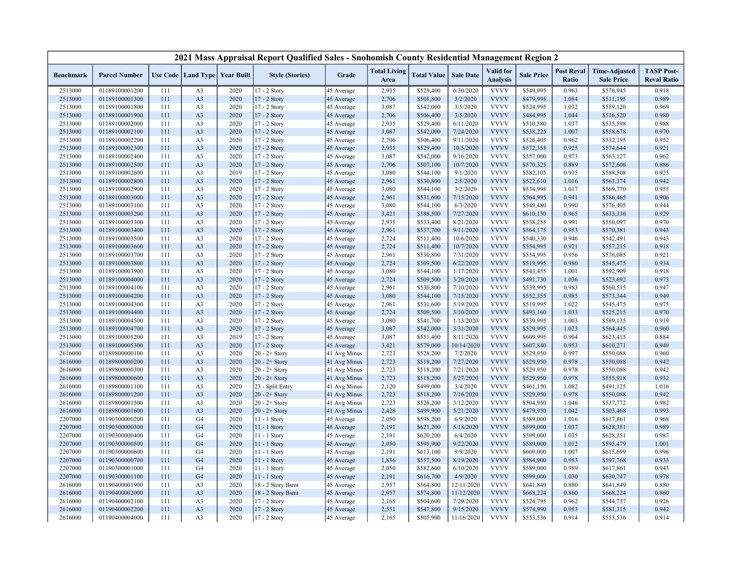|                  |                      |     |                                   |      | 2021 Mass Appraisal Report Qualified Sales - Snohomish County Residential Management Region 2 |              |                             |                    |                  |                                     |                   |                            |                                           |                                         |
|------------------|----------------------|-----|-----------------------------------|------|-----------------------------------------------------------------------------------------------|--------------|-----------------------------|--------------------|------------------|-------------------------------------|-------------------|----------------------------|-------------------------------------------|-----------------------------------------|
| <b>Benchmark</b> | <b>Parcel Number</b> |     | Use Code   Land Type   Year Built |      | <b>Style (Stories)</b>                                                                        | Grade        | <b>Total Living</b><br>Area | <b>Total Value</b> | <b>Sale Date</b> | <b>Valid</b> for<br><b>Analysis</b> | <b>Sale Price</b> | <b>Post Reval</b><br>Ratio | <b>Time-Adjusted</b><br><b>Sale Price</b> | <b>TASP Post-</b><br><b>Reval Ratio</b> |
| 2513000          | 01189100001200       | 111 | A <sub>3</sub>                    | 2020 | 17 - 2 Story                                                                                  | 45 Average   | 2,935                       | \$529,400          | 6/30/2020        | <b>VVVV</b>                         | \$549,995         | 0.963                      | \$576,945                                 | 0.918                                   |
| 2513000          | 01189100001300       | 111 | A <sub>3</sub>                    | 2020 | 17 - 2 Story                                                                                  | 45 Average   | 2,706                       | \$505,800          | 3/2/2020         | <b>VVVV</b>                         | \$479,995         | 1.054                      | \$511,195                                 | 0.989                                   |
| 2513000          | 01189100001800       | 111 | A <sub>3</sub>                    | 2020 | 17 - 2 Story                                                                                  | 45 Average   | 3,087                       | \$542,000          | 3/5/2020         | <b>VVVV</b>                         | \$524,995         | 1.032                      | \$559,120                                 | 0.969                                   |
| 2513000          | 01189100001900       | 111 | A <sub>3</sub>                    | 2020 | 17 - 2 Story                                                                                  | 45 Average   | 2,706                       | \$506,400          | 3/5/2020         | <b>VVVV</b>                         | \$484,995         | 1.044                      | \$516,520                                 | 0.980                                   |
| 2513000          | 01189100002000       | 111 | A <sub>3</sub>                    | 2020 | 17 - 2 Story                                                                                  | 45 Average   | 2,935                       | \$529,400          | 6/11/2020        | <b>VVVV</b>                         | \$510,580         | 1.037                      | \$535,598                                 | 0.988                                   |
| 2513000          | 01189100002100       | 111 | A <sub>3</sub>                    | 2020 | 17 - 2 Story                                                                                  | 45 Average   | 3,087                       | \$542,000          | 7/24/2020        | <b>VVVV</b>                         | \$538,225         | 1.007                      | \$558,678                                 | 0.970                                   |
| 2513000          | 01189100002200       | 111 | A <sub>3</sub>                    | 2020 | 17 - 2 Story                                                                                  | 45 Average   | 2,706                       | \$506,400          | 9/11/2020        | <b>VVVV</b>                         | \$526,405         | 0.962                      | \$532,195                                 | 0.952                                   |
| 2513000          | 01189100002300       | 111 | A <sub>3</sub>                    | 2020 | 17 - 2 Story                                                                                  | 45 Average   | 2,935                       | \$529,400          | 10/5/2020        | <b>VVVV</b>                         | \$572,355         | 0.925                      | \$574,644                                 | 0.921                                   |
| 2513000          | 01189100002400       | 111 | A <sub>3</sub>                    | 2020 | 17 - 2 Story                                                                                  | 45 Average   | 3,087                       | \$542,000          | 9/16/2020        | <b>VVVV</b>                         | \$557,000         | 0.973                      | \$563,127                                 | 0.962                                   |
| 2513000          | 01189100002500       | 111 | A <sub>3</sub>                    | 2020 | 17 - 2 Story                                                                                  | 45 Average   | 2,706                       | \$507,100          | 10/7/2020        | <b>VVVV</b>                         | \$570,325         | 0.889                      | \$572,606                                 | 0.886                                   |
| 2513000          | 01189100002600       | 111 | A <sub>3</sub>                    | 2019 | 17 - 2 Story                                                                                  | 45 Average   | 3,080                       | \$544,100          | 9/1/2020         | <b>VVVV</b>                         | \$582,105         | 0.935                      | \$588,508                                 | 0.925                                   |
| 2513000          | 01189100002800       | 111 | A <sub>3</sub>                    | 2020 | $17 - 2$ Story                                                                                | 45 Average   | 2,961                       | \$530,800          | 2/5/2020         | <b>VVVV</b>                         | \$522,610         | 1.016                      | \$563,374                                 | 0.942                                   |
| 2513000          | 01189100002900       | 111 | A <sub>3</sub>                    | 2020 | 17 - 2 Story                                                                                  | 45 Average   | 3,080                       | \$544,100          | 3/2/2020         | <b>VVVV</b>                         | \$534,995         | 1.017                      | \$569,770                                 | 0.955                                   |
| 2513000          | 01189100003000       | 111 | A <sub>3</sub>                    | 2020 | $17 - 2$ Story                                                                                | 45 Average   | 2,961                       | \$531,600          | 7/15/2020        | <b>VVVV</b>                         | \$564,995         | 0.941                      | \$586,465                                 | 0.906                                   |
| 2513000          | 01189100003100       | 111 | A <sub>3</sub>                    | 2020 | 17 - 2 Story                                                                                  | 45 Average   | 3,080                       | \$544,100          | 6/3/2020         | <b>VVVV</b>                         | \$549,480         | 0.990                      | \$576,405                                 | 0.944                                   |
| 2513000          | 01189100003200       | 111 | A <sub>3</sub>                    | 2020 | 17 - 2 Story                                                                                  | 45 Average   | 3,421                       | \$588,500          | 7/27/2020        | <b>VVVV</b>                         | \$610,150         | 0.965                      | \$633,336                                 | 0.929                                   |
| 2513000          | 01189100003300       | 111 | A <sub>3</sub>                    | 2020 | 17 - 2 Story                                                                                  | 45 Average   | 2,935                       | \$533,400          | 8/21/2020        | <b>VVVV</b>                         | \$538,255         | 0.991                      | \$550,097                                 | 0.970                                   |
| 2513000          | 01189100003400       | 111 | A <sub>3</sub>                    | 2020 | 17 - 2 Story                                                                                  | 45 Average   | 2,961                       | \$537,700          | 9/11/2020        | <b>VVVV</b>                         | \$564,175         | 0.953                      | \$570,381                                 | 0.943                                   |
| 2513000          | 01189100003500       | 111 | A <sub>3</sub>                    | 2020 | 17 - 2 Story                                                                                  | 45 Average   | 2,724                       | \$511,400          | 10/6/2020        | <b>VVVV</b>                         | \$540,330         | 0.946                      | \$542,491                                 | 0.943                                   |
| 2513000          | 01189100003600       | 111 | A <sub>3</sub>                    | 2020 | 17 - 2 Story                                                                                  | 45 Average   | 2,724                       | \$511,400          | 10/7/2020        | <b>VVVV</b>                         | \$554,995         | 0.921                      | \$557,215                                 | 0.918                                   |
| 2513000          | 01189100003700       | 111 | A <sub>3</sub>                    | 2020 | 17 - 2 Story                                                                                  | 45 Average   | 2,961                       | \$530,800          | 7/31/2020        | <b>VVVV</b>                         | \$554,995         | 0.956                      | \$576,085                                 | 0.921                                   |
| 2513000          | 01189100003800       | 111 | A <sub>3</sub>                    | 2020 | 17 - 2 Story                                                                                  | 45 Average   | 2,724                       | \$509,500          | 6/22/2020        | <b>VVVV</b>                         | \$519,995         | 0.980                      | \$545,475                                 | 0.934                                   |
| 2513000          | 01189100003900       | 111 | A <sub>3</sub>                    | 2020 | 17 - 2 Story                                                                                  | 45 Average   | 3,080                       | \$544,100          | 1/17/2020        | <b>VVVV</b>                         | \$543,455         | 1.001                      | \$592,909                                 | 0.918                                   |
| 2513000          | 01189100004000       | 111 | A <sub>3</sub>                    | 2020 | 17 - 2 Story                                                                                  | 45 Average   | 2,724                       | \$509,500          | 3/20/2020        | <b>VVVV</b>                         | \$491,730         | 1.036                      | \$523,692                                 | 0.973                                   |
| 2513000          | 01189100004100       | 111 | A <sub>3</sub>                    | 2020 | 17 - 2 Story                                                                                  | 45 Average   | 2,961                       | \$530,800          | 7/10/2020        | <b>VVVV</b>                         | \$539,995         | 0.983                      | \$560,515                                 | 0.947                                   |
| 2513000          | 01189100004200       | 111 | A <sub>3</sub>                    | 2020 | 17 - 2 Story                                                                                  | 45 Average   | 3,080                       | \$544,100          | 7/15/2020        | <b>VVVV</b>                         | \$552,355         | 0.985                      | \$573,344                                 | 0.949                                   |
| 2513000          | 01189100004300       | 111 | A <sub>3</sub>                    | 2020 | 17 - 2 Story                                                                                  | 45 Average   | 2,961                       | \$531,600          | 5/19/2020        | <b>VVVV</b>                         | \$519,995         | 1.022                      | \$545,475                                 | 0.975                                   |
| 2513000          | 01189100004400       | 111 | A <sub>3</sub>                    | 2020 | 17 - 2 Story                                                                                  | 45 Average   | 2,724                       | \$509,500          | 3/10/2020        | <b>VVVV</b>                         | \$493,160         | 1.033                      | \$525,215                                 | 0.970                                   |
| 2513000          | 01189100004500       | 111 | A <sub>3</sub>                    | 2020 | 17 - 2 Story                                                                                  | 45 Average   | 3,080                       | \$541,700          | 1/13/2020        | <b>VVVV</b>                         | \$539,995         | 1.003                      | \$589,135                                 | 0.919                                   |
| 2513000          | 01189100004700       | 111 | A <sub>3</sub>                    | 2020 | 17 - 2 Story                                                                                  | 45 Average   | 3,087                       | \$542,000          | 3/31/2020        | <b>VVVV</b>                         | \$529,995         | 1.023                      | \$564,445                                 | 0.960                                   |
| 2513000          | 01189100005200       | 111 | A <sub>3</sub>                    | 2019 | 17 - 2 Story                                                                                  | 45 Average   | 3,087                       | \$551,400          | 8/11/2020        | <b>VVVV</b>                         | \$609,995         | 0.904                      | \$623,415                                 | 0.884                                   |
| 2513000          | 01189100005300       | 111 | A <sub>3</sub>                    | 2020 | $17 - 2$ Story                                                                                | 45 Average   | 3,421                       | \$579,000          | 10/14/2020       | <b>VVVV</b>                         | \$607,840         | 0.953                      | \$610,271                                 | 0.949                                   |
| 2616000          | 01189800000100       | 111 | A <sub>3</sub>                    | 2020 | $20 - 2 +$ Story                                                                              | 41 Avg Minus | 2,723                       | \$528,200          | 7/2/2020         | <b>VVVV</b>                         | \$529,950         | 0.997                      | \$550,088                                 | 0.960                                   |
| 2616000          | 01189800000200       | 111 | A <sub>3</sub>                    | 2020 | $20 - 2 +$ Story                                                                              | 41 Avg Minus | 2,723                       | \$518,200          | 7/27/2020        | <b>VVVV</b>                         | \$529,950         | 0.978                      | \$550,088                                 | 0.942                                   |
| 2616000          | 01189800000300       | 111 | A <sub>3</sub>                    | 2020 | $20 - 2 +$ Story                                                                              | 41 Avg Minus | 2,723                       | \$518,200          | 7/21/2020        | <b>VVVV</b>                         | \$529,950         | 0.978                      | \$550,088                                 | 0.942                                   |
| 2616000          | 01189800000600       | 111 | A <sub>3</sub>                    | 2020 | $20 - 2 +$ Story                                                                              | 41 Avg Minus | 2,723                       | \$518,200          | 5/27/2020        | <b>VVVV</b>                         | \$529,950         | 0.978                      | \$555,918                                 | 0.932                                   |
| 2616000          | 01189800001100       | 111 | A <sub>3</sub>                    | 2020 | 23 - Split Entry                                                                              | 41 Avg Minus | 2,120                       | \$499,000          | 3/4/2020         | <b>VVVV</b>                         | \$461,150         | 1.082                      | \$491,125                                 | 1.016                                   |
| 2616000          | 01189800001200       | 111 | A <sub>3</sub>                    | 2020 | $20 - 2 +$ Story                                                                              | 41 Avg Minus | 2,723                       | \$518,200          | 7/16/2020        | <b>VVVV</b>                         | \$529,950         | 0.978                      | \$550,088                                 | 0.942                                   |
| 2616000          | 01189800001500       | 111 | A <sub>3</sub>                    | 2020 | $20 - 2 +$ Story                                                                              | 41 Avg Minus | 2,723                       | \$528,200          | 3/12/2020        | <b>VVVV</b>                         | \$504,950         | 1.046                      | \$537,772                                 | 0.982                                   |
| 2616000          | 01189800001600       | 111 | A <sub>3</sub>                    | 2020 | $20 - 2 +$ Story                                                                              | 41 Avg Minus | 2,428                       | \$499,900          | 5/21/2020        | <b>VVVV</b>                         | \$479,950         | 1.042                      | \$503,468                                 | 0.993                                   |
| 2207000          | 01190300000200       | 111 | G <sub>4</sub>                    | 2020 | 11 - 1 Story                                                                                  | 45 Average   | 2,050                       | \$598,200          | 6/9/2020         | <b>VVVV</b>                         | \$589,000         | 1.016                      | \$617,861                                 | 0.968                                   |
| 2207000          | 01190300000300       | 111 | G <sub>4</sub>                    | 2020 | 11 - 1 Story                                                                                  | 45 Average   | 2,191                       | \$621,200          | 5/18/2020        | <b>VVVV</b>                         | \$599,000         | 1.037                      | \$628,351                                 | 0.989                                   |
| 2207000          | 01190300000400       | 111 | G <sub>4</sub>                    | 2020 | $11 - 1$ Story                                                                                | 45 Average   | 2,191                       | \$620,200          | 6/4/2020         | <b>VVVV</b>                         | \$599,000         | 1.035                      | \$628,351                                 | 0.987                                   |
| 2207000          | 01190300000500       | 111 | G <sub>4</sub>                    | 2020 | 11 - 1 Story                                                                                  | 45 Average   | 2,050                       | \$595,900          | 9/22/2020        | <b>VVVV</b>                         | \$589,000         | 1.012                      | \$595,479                                 | 1.001                                   |
| 2207000          | 01190300000600       | 111 | G <sub>4</sub>                    | 2020 | 11 - 1 Story                                                                                  | 45 Average   | 2,191                       | \$613,100          | 9/9/2020         | <b>VVVV</b>                         | \$609,000         | 1.007                      | \$615,699                                 | 0.996                                   |
| 2207000          | 01190300000700       | 111 | G <sub>4</sub>                    | 2020 | $11 - 1$ Story                                                                                | 45 Average   | 1,836                       | \$557,500          | 8/19/2020        | <b>VVVV</b>                         | \$584,900         | 0.953                      | \$597,768                                 | 0.933                                   |
| 2207000          | 01190300001000       | 111 | G <sub>4</sub>                    | 2020 | $11 - 1$ Story                                                                                | 45 Average   | 2,050                       | \$582,600          | 6/10/2020        | <b>VVVV</b>                         | \$589,000         | 0.989                      | \$617,861                                 | 0.943                                   |
| 2207000          | 01190300001100       | 111 | G <sub>4</sub>                    | 2020 | 11 - 1 Story                                                                                  | 45 Average   | 2,191                       | \$616,700          | 4/9/2020         | <b>VVVV</b>                         | \$599,000         | 1.030                      | \$630,747                                 | 0.978                                   |
| 2616000          | 01190400001900       | 111 | A <sub>3</sub>                    | 2020 | 18 - 2 Story Bsmt                                                                             | 45 Average   | 2,957                       | \$564,800          | 12/11/2020       | <b>VVVV</b>                         | \$641,849         | 0.880                      | \$641,849                                 | 0.880                                   |
| 2616000          | 01190400002000       | 111 | A <sub>3</sub>                    | 2020 | 18 - 2 Story Bsmt                                                                             | 45 Average   | 2,957                       | \$574,800          | 11/12/2020       | <b>VVVV</b>                         | \$668,224         | 0.860                      | \$668,224                                 | 0.860                                   |
| 2616000          | 01190400002100       | 111 | A <sub>3</sub>                    | 2020 | 17 - 2 Story                                                                                  | 45 Average   | 2,165                       | \$504,600          | 7/29/2020        | <b>VVVV</b>                         | \$524,795         | 0.962                      | \$544,737                                 | 0.926                                   |
| 2616000          | 01190400002200       | 111 | A <sub>3</sub>                    | 2020 | $17 - 2$ Story                                                                                | 45 Average   | 2,551                       | \$547,800          | 9/15/2020        | <b>VVVV</b>                         | \$574,990         | 0.953                      | \$581,315                                 | 0.942                                   |
| 2616000          | 01190400004000       | 111 | A <sub>3</sub>                    | 2020 | 17 - 2 Story                                                                                  | 45 Average   | 2,165                       | \$505,900          | 11/16/2020       | <b>VVVV</b>                         | \$553,536         | 0.914                      | \$553,536                                 | 0.914                                   |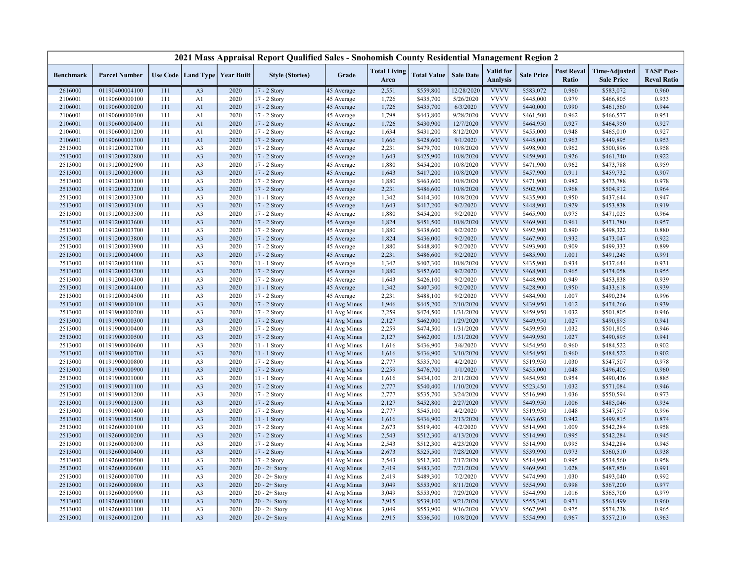|                    |                                  |            |                                   |              | 2021 Mass Appraisal Report Qualified Sales - Snohomish County Residential Management Region 2 |                              |                             |                        |                        |                                     |                        |                            |                                           |                                         |
|--------------------|----------------------------------|------------|-----------------------------------|--------------|-----------------------------------------------------------------------------------------------|------------------------------|-----------------------------|------------------------|------------------------|-------------------------------------|------------------------|----------------------------|-------------------------------------------|-----------------------------------------|
| <b>Benchmark</b>   | <b>Parcel Number</b>             |            | Use Code   Land Type   Year Built |              | <b>Style (Stories)</b>                                                                        | Grade                        | <b>Total Living</b><br>Area | <b>Total Value</b>     | <b>Sale Date</b>       | <b>Valid</b> for<br><b>Analysis</b> | <b>Sale Price</b>      | <b>Post Reval</b><br>Ratio | <b>Time-Adjusted</b><br><b>Sale Price</b> | <b>TASP Post-</b><br><b>Reval Ratio</b> |
| 2616000            | 01190400004100                   | 111        | A <sub>3</sub>                    | 2020         | 17 - 2 Story                                                                                  | 45 Average                   | 2,551                       | \$559,800              | 12/28/2020             | <b>VVVV</b>                         | \$583,072              | 0.960                      | \$583,072                                 | 0.960                                   |
| 2106001            | 01190600000100                   | 111        | A1                                | 2020         | 17 - 2 Story                                                                                  | 45 Average                   | 1,726                       | \$435,700              | 5/26/2020              | <b>VVVV</b>                         | \$445,000              | 0.979                      | \$466,805                                 | 0.933                                   |
| 2106001            | 01190600000200                   | 111        | A1                                | 2020         | 17 - 2 Story                                                                                  | 45 Average                   | 1,726                       | \$435,700              | 6/3/2020               | <b>VVVV</b>                         | \$440,000              | 0.990                      | \$461,560                                 | 0.944                                   |
| 2106001            | 01190600000300                   | 111        | A1                                | 2020         | 17 - 2 Story                                                                                  | 45 Average                   | 1,798                       | \$443,800              | 9/28/2020              | <b>VVVV</b>                         | \$461,500              | 0.962                      | \$466,577                                 | 0.951                                   |
| 2106001            | 01190600000400                   | 111        | A1                                | 2020         | 17 - 2 Story                                                                                  | 45 Average                   | 1,726                       | \$430,900              | 12/7/2020              | <b>VVVV</b>                         | \$464,950              | 0.927                      | \$464,950                                 | 0.927                                   |
| 2106001            | 01190600001200                   | 111        | A1                                | 2020         | 17 - 2 Story                                                                                  | 45 Average                   | 1,634                       | \$431,200              | 8/12/2020              | <b>VVVV</b>                         | \$455,000              | 0.948                      | \$465,010                                 | 0.927                                   |
| 2106001            | 01190600001300                   | 111        | A1                                | 2020         | 17 - 2 Story                                                                                  | 45 Average                   | 1,666                       | \$428,600              | 9/1/2020               | <b>VVVV</b>                         | \$445,000              | 0.963                      | \$449,895                                 | 0.953                                   |
| 2513000            | 01191200002700                   | 111        | A <sub>3</sub>                    | 2020         | 17 - 2 Story                                                                                  | 45 Average                   | 2,231                       | \$479,700              | 10/8/2020              | <b>VVVV</b>                         | \$498,900              | 0.962                      | \$500,896                                 | 0.958                                   |
| 2513000            | 01191200002800                   | 111        | A <sub>3</sub>                    | 2020         | 17 - 2 Story                                                                                  | 45 Average                   | 1,643                       | \$425,900              | 10/8/2020              | <b>VVVV</b>                         | \$459,900              | 0.926                      | \$461,740                                 | 0.922                                   |
| 2513000            | 01191200002900                   | 111        | A <sub>3</sub>                    | 2020         | 17 - 2 Story                                                                                  | 45 Average                   | 1,880                       | \$454,200              | 10/8/2020              | <b>VVVV</b>                         | \$471,900              | 0.962                      | \$473,788                                 | 0.959                                   |
| 2513000            | 01191200003000                   | 111        | A <sub>3</sub>                    | 2020         | 17 - 2 Story                                                                                  | 45 Average                   | 1,643                       | \$417,200              | 10/8/2020              | <b>VVVV</b>                         | \$457,900              | 0.911                      | \$459,732                                 | 0.907                                   |
| 2513000            | 01191200003100                   | 111        | A <sub>3</sub>                    | 2020         | 17 - 2 Story                                                                                  | 45 Average                   | 1,880                       | \$463,600              | 10/8/2020              | <b>VVVV</b>                         | \$471,900              | 0.982                      | \$473,788                                 | 0.978                                   |
| 2513000            | 01191200003200                   | 111        | A <sub>3</sub>                    | 2020         | 17 - 2 Story                                                                                  | 45 Average                   | 2,231                       | \$486,600              | 10/8/2020              | <b>VVVV</b>                         | \$502,900              | 0.968                      | \$504,912                                 | 0.964                                   |
| 2513000            | 01191200003300                   | 111        | A <sub>3</sub>                    | 2020         | 11 - 1 Story                                                                                  | 45 Average                   | 1,342                       | \$414,300              | 10/8/2020              | <b>VVVV</b>                         | \$435,900              | 0.950                      | \$437,644                                 | 0.947                                   |
| 2513000            | 01191200003400                   | 111        | A <sub>3</sub>                    | 2020         | 17 - 2 Story                                                                                  | 45 Average                   | 1,643                       | \$417,200              | 9/2/2020               | <b>VVVV</b>                         | \$448,900              | 0.929                      | \$453,838                                 | 0.919                                   |
| 2513000            | 01191200003500                   | 111        | A <sub>3</sub>                    | 2020         | 17 - 2 Story                                                                                  | 45 Average                   | 1,880                       | \$454,200              | 9/2/2020               | <b>VVVV</b>                         | \$465,900              | 0.975                      | \$471,025                                 | 0.964                                   |
| 2513000            | 01191200003600                   | 111        | A <sub>3</sub>                    | 2020         | 17 - 2 Story                                                                                  | 45 Average                   | 1,824                       | \$451,500              | 10/8/2020              | <b>VVVV</b>                         | \$469,900              | 0.961                      | \$471,780                                 | 0.957                                   |
| 2513000            | 01191200003700                   | 111        | A <sub>3</sub>                    | 2020         | 17 - 2 Story                                                                                  | 45 Average                   | 1,880                       | \$438,600              | 9/2/2020               | <b>VVVV</b>                         | \$492,900              | 0.890                      | \$498,322                                 | 0.880                                   |
| 2513000            | 01191200003800                   | 111        | A <sub>3</sub>                    | 2020         | $17 - 2$ Story                                                                                | 45 Average                   | 1,824                       | \$436,000              | 9/2/2020               | <b>VVVV</b>                         | \$467,900              | 0.932                      | \$473,047                                 | 0.922                                   |
| 2513000            | 01191200003900                   | 111        | A <sub>3</sub>                    | 2020         | 17 - 2 Story                                                                                  | 45 Average                   | 1,880                       | \$448,800              | 9/2/2020               | <b>VVVV</b>                         | \$493,900              | 0.909                      | \$499,333                                 | 0.899                                   |
| 2513000            | 01191200004000                   | 111        | A <sub>3</sub>                    | 2020         | 17 - 2 Story                                                                                  | 45 Average                   | 2,231                       | \$486,600              | 9/2/2020               | <b>VVVV</b>                         | \$485,900              | 1.001                      | \$491,245                                 | 0.991                                   |
| 2513000            | 01191200004100                   | 111        | A <sub>3</sub>                    | 2020         | $11 - 1$ Story                                                                                | 45 Average                   | 1,342                       | \$407,300              | 10/8/2020              | <b>VVVV</b>                         | \$435,900              | 0.934                      | \$437,644                                 | 0.931                                   |
| 2513000            | 01191200004200                   | 111        | A <sub>3</sub>                    | 2020         | 17 - 2 Story                                                                                  | 45 Average                   | 1,880                       | \$452,600              | 9/2/2020               | <b>VVVV</b>                         | \$468,900              | 0.965                      | \$474,058                                 | 0.955                                   |
| 2513000            | 01191200004300                   | 111        | A <sub>3</sub>                    | 2020         | 17 - 2 Story                                                                                  | 45 Average                   | 1,643                       | \$426,100              | 9/2/2020               | <b>VVVV</b><br><b>VVVV</b>          | \$448,900              | 0.949                      | \$453,838                                 | 0.939                                   |
| 2513000            | 01191200004400                   | 111        | A <sub>3</sub>                    | 2020         | 11 - 1 Story                                                                                  | 45 Average                   | 1,342                       | \$407,300              | 9/2/2020               | <b>VVVV</b>                         | \$428,900              | 0.950                      | \$433,618                                 | 0.939                                   |
| 2513000            | 01191200004500                   | 111        | A <sub>3</sub>                    | 2020         | $17 - 2$ Story                                                                                | 45 Average                   | 2,231                       | \$488,100              | 9/2/2020               |                                     | \$484,900              | 1.007                      | \$490,234                                 | 0.996                                   |
| 2513000            | 01191900000100                   | 111        | A <sub>3</sub>                    | 2020         | 17 - 2 Story                                                                                  | 41 Avg Minus                 | 1,946                       | \$445,200              | 2/10/2020              | <b>VVVV</b><br><b>VVVV</b>          | \$439,950              | 1.012                      | \$474,266                                 | 0.939                                   |
| 2513000<br>2513000 | 01191900000200<br>01191900000300 | 111<br>111 | A <sub>3</sub><br>A <sub>3</sub>  | 2020<br>2020 | 17 - 2 Story<br>17 - 2 Story                                                                  | 41 Avg Minus<br>41 Avg Minus | 2,259<br>2,127              | \$474,500<br>\$462,000 | 1/31/2020<br>1/29/2020 | <b>VVVV</b>                         | \$459,950<br>\$449,950 | 1.032<br>1.027             | \$501,805<br>\$490,895                    | 0.946<br>0.941                          |
|                    |                                  | 111        |                                   |              |                                                                                               |                              |                             |                        |                        | <b>VVVV</b>                         | \$459,950              | 1.032                      |                                           |                                         |
| 2513000<br>2513000 | 01191900000400<br>01191900000500 | 111        | A <sub>3</sub><br>A <sub>3</sub>  | 2020<br>2020 | 17 - 2 Story<br>$17 - 2$ Story                                                                | 41 Avg Minus<br>41 Avg Minus | 2,259<br>2,127              | \$474,500              | 1/31/2020<br>1/31/2020 | <b>VVVV</b>                         | \$449,950              | 1.027                      | \$501,805<br>\$490,895                    | 0.946<br>0.941                          |
| 2513000            | 01191900000600                   | 111        | A <sub>3</sub>                    | 2020         | 11 - 1 Story                                                                                  | 41 Avg Minus                 | 1,616                       | \$462,000<br>\$436,900 | 3/6/2020               | <b>VVVV</b>                         | \$454,950              | 0.960                      | \$484,522                                 | 0.902                                   |
| 2513000            | 01191900000700                   | 111        | A <sub>3</sub>                    | 2020         | 11 - 1 Story                                                                                  | 41 Avg Minus                 | 1,616                       | \$436,900              | 3/10/2020              | <b>VVVV</b>                         | \$454,950              | 0.960                      | \$484,522                                 | 0.902                                   |
| 2513000            | 01191900000800                   | 111        | A <sub>3</sub>                    | 2020         | 17 - 2 Story                                                                                  | 41 Avg Minus                 | 2,777                       | \$535,700              | 4/2/2020               | <b>VVVV</b>                         | \$519,950              | 1.030                      | \$547,507                                 | 0.978                                   |
| 2513000            | 01191900000900                   | 111        | A <sub>3</sub>                    | 2020         | 17 - 2 Story                                                                                  | 41 Avg Minus                 | 2,259                       | \$476,700              | 1/1/2020               | <b>VVVV</b>                         | \$455,000              | 1.048                      | \$496,405                                 | 0.960                                   |
| 2513000            | 01191900001000                   | 111        | A <sub>3</sub>                    | 2020         | 11 - 1 Story                                                                                  | 41 Avg Minus                 | 1,616                       | \$434,100              | 2/11/2020              | <b>VVVV</b>                         | \$454,950              | 0.954                      | \$490,436                                 | 0.885                                   |
| 2513000            | 01191900001100                   | 111        | A3                                | 2020         | 17 - 2 Story                                                                                  | 41 Avg Minus                 | 2,777                       | \$540,400              | 1/10/2020              | <b>VVVV</b>                         | \$523,450              | 1.032                      | \$571,084                                 | 0.946                                   |
| 2513000            | 01191900001200                   | 111        | A <sub>3</sub>                    | 2020         | 17 - 2 Story                                                                                  | 41 Avg Minus                 | 2,777                       | \$535,700              | 3/24/2020              | <b>VVVV</b>                         | \$516,990              | 1.036                      | \$550,594                                 | 0.973                                   |
| 2513000            | 01191900001300                   | 111        | A <sub>3</sub>                    | 2020         | 17 - 2 Story                                                                                  | 41 Avg Minus                 | 2,127                       | \$452,800              | 2/27/2020              | <b>VVVV</b>                         | \$449,950              | 1.006                      | \$485,046                                 | 0.934                                   |
| 2513000            | 01191900001400                   | 111        | A <sub>3</sub>                    | 2020         | 17 - 2 Story                                                                                  | 41 Avg Minus                 | 2,777                       | \$545,100              | 4/2/2020               | <b>VVVV</b>                         | \$519,950              | 1.048                      | \$547,507                                 | 0.996                                   |
| 2513000            | 01191900001500                   | 111        | A <sub>3</sub>                    | 2020         | 11 - 1 Story                                                                                  | 41 Avg Minus                 | 1,616                       | \$436,900              | 2/13/2020              | <b>VVVV</b>                         | \$463,650              | 0.942                      | \$499,815                                 | 0.874                                   |
| 2513000            | 01192600000100                   | 111        | A <sub>3</sub>                    | 2020         | 17 - 2 Story                                                                                  | 41 Avg Minus                 | 2,673                       | \$519,400              | 4/2/2020               | <b>VVVV</b>                         | \$514,990              | 1.009                      | \$542,284                                 | 0.958                                   |
| 2513000            | 01192600000200                   | 111        | A <sub>3</sub>                    | 2020         | 17 - 2 Story                                                                                  | 41 Avg Minus                 | 2,543                       | \$512,300              | 4/13/2020              | <b>VVVV</b>                         | \$514,990              | 0.995                      | \$542,284                                 | 0.945                                   |
| 2513000            | 01192600000300                   | 111        | A <sub>3</sub>                    | 2020         | 17 - 2 Story                                                                                  | 41 Avg Minus                 | 2,543                       | \$512,300              | 4/23/2020              | <b>VVVV</b>                         | \$514,990              | 0.995                      | \$542,284                                 | 0.945                                   |
| 2513000            | 01192600000400                   | 111        | A <sub>3</sub>                    | 2020         | 17 - 2 Story                                                                                  | 41 Avg Minus                 | 2,673                       | \$525,500              | 7/28/2020              | <b>VVVV</b>                         | \$539,990              | 0.973                      | \$560,510                                 | 0.938                                   |
| 2513000            | 01192600000500                   | 111        | A <sub>3</sub>                    | 2020         | 17 - 2 Story                                                                                  | 41 Avg Minus                 | 2,543                       | \$512,300              | 7/17/2020              | <b>VVVV</b>                         | \$514,990              | 0.995                      | \$534,560                                 | 0.958                                   |
| 2513000            | 01192600000600                   | 111        | A <sub>3</sub>                    | 2020         | $20 - 2 +$ Story                                                                              | 41 Avg Minus                 | 2,419                       | \$483,300              | 7/21/2020              | <b>VVVV</b>                         | \$469,990              | 1.028                      | \$487,850                                 | 0.991                                   |
| 2513000            | 01192600000700                   | 111        | A <sub>3</sub>                    | 2020         | $20 - 2 +$ Story                                                                              | 41 Avg Minus                 | 2,419                       | \$489,300              | 7/2/2020               | <b>VVVV</b>                         | \$474,990              | 1.030                      | \$493,040                                 | 0.992                                   |
| 2513000            | 01192600000800                   | 111        | A <sub>3</sub>                    | 2020         | $20 - 2 +$ Story                                                                              | 41 Avg Minus                 | 3,049                       | \$553,900              | 8/11/2020              | <b>VVVV</b>                         | \$554,990              | 0.998                      | \$567,200                                 | 0.977                                   |
| 2513000            | 01192600000900                   | 111        | A <sub>3</sub>                    | 2020         | $20 - 2 +$ Story                                                                              | 41 Avg Minus                 | 3,049                       | \$553,900              | 7/29/2020              | <b>VVVV</b>                         | \$544,990              | 1.016                      | \$565,700                                 | 0.979                                   |
| 2513000            | 01192600001000                   | 111        | A3                                | 2020         | $20 - 2 +$ Story                                                                              | 41 Avg Minus                 | 2,915                       | \$539,100              | 9/21/2020              | <b>VVVV</b>                         | \$555,390              | 0.971                      | \$561,499                                 | 0.960                                   |
| 2513000            | 01192600001100                   | 111        | A <sub>3</sub>                    | 2020         | $20 - 2 +$ Story                                                                              | 41 Avg Minus                 | 3,049                       | \$553,900              | 9/16/2020              | <b>VVVV</b>                         | \$567,990              | 0.975                      | \$574,238                                 | 0.965                                   |
| 2513000            | 01192600001200                   | 111        | A <sub>3</sub>                    | 2020         | $20 - 2 +$ Story                                                                              | 41 Avg Minus                 | 2,915                       | \$536,500              | 10/8/2020              | <b>VVVV</b>                         | \$554,990              | 0.967                      | \$557,210                                 | 0.963                                   |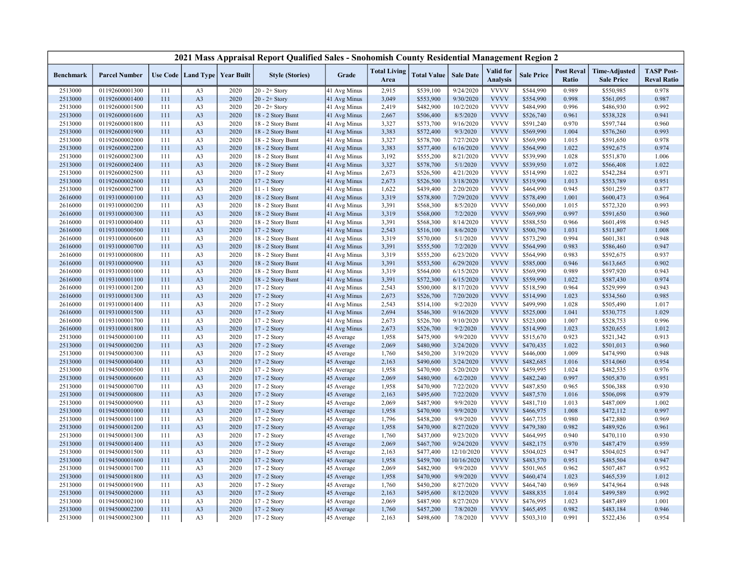|                    |                                  |            |                                  |                                   | 2021 Mass Appraisal Report Qualified Sales - Snohomish County Residential Management Region 2 |                          |                             |                        |                       |                                     |                        |                            |                                           |                                         |
|--------------------|----------------------------------|------------|----------------------------------|-----------------------------------|-----------------------------------------------------------------------------------------------|--------------------------|-----------------------------|------------------------|-----------------------|-------------------------------------|------------------------|----------------------------|-------------------------------------------|-----------------------------------------|
| <b>Benchmark</b>   | <b>Parcel Number</b>             |            |                                  | Use Code   Land Type   Year Built | <b>Style (Stories)</b>                                                                        | Grade                    | <b>Total Living</b><br>Area | <b>Total Value</b>     | <b>Sale Date</b>      | <b>Valid</b> for<br><b>Analysis</b> | <b>Sale Price</b>      | <b>Post Reval</b><br>Ratio | <b>Time-Adjusted</b><br><b>Sale Price</b> | <b>TASP Post-</b><br><b>Reval Ratio</b> |
| 2513000            | 01192600001300                   | 111        | A <sub>3</sub>                   | 2020                              | $20 - 2 +$ Story                                                                              | 41 Avg Minus             | 2,915                       | \$539,100              | 9/24/2020             | <b>VVVV</b>                         | \$544,990              | 0.989                      | \$550,985                                 | 0.978                                   |
| 2513000            | 01192600001400                   | 111        | A <sub>3</sub>                   | 2020                              | $20 - 2 +$ Story                                                                              | 41 Avg Minus             | 3,049                       | \$553,900              | 9/30/2020             | <b>VVVV</b>                         | \$554,990              | 0.998                      | \$561,095                                 | 0.987                                   |
| 2513000            | 01192600001500                   | 111        | A <sub>3</sub>                   | 2020                              | $20 - 2 +$ Story                                                                              | 41 Avg Minus             | 2,419                       | \$482,900              | 10/2/2020             | <b>VVVV</b>                         | \$484,990              | 0.996                      | \$486,930                                 | 0.992                                   |
| 2513000            | 01192600001600                   | 111        | A <sub>3</sub>                   | 2020                              | 18 - 2 Story Bsmt                                                                             | 41 Avg Minus             | 2,667                       | \$506,400              | 8/5/2020              | <b>VVVV</b>                         | \$526,740              | 0.961                      | \$538,328                                 | 0.941                                   |
| 2513000            | 01192600001800                   | 111        | A <sub>3</sub>                   | 2020                              | 18 - 2 Story Bsmt                                                                             | 41 Avg Minus             | 3,327                       | \$573,700              | 9/16/2020             | <b>VVVV</b>                         | \$591,240              | 0.970                      | \$597,744                                 | 0.960                                   |
| 2513000            | 01192600001900                   | 111        | A <sub>3</sub>                   | 2020                              | 18 - 2 Story Bsmt                                                                             | 41 Avg Minus             | 3,383                       | \$572,400              | 9/3/2020              | <b>VVVV</b>                         | \$569,990              | 1.004                      | \$576,260                                 | 0.993                                   |
| 2513000            | 01192600002000                   | 111        | A <sub>3</sub>                   | 2020                              | 18 - 2 Story Bsmt                                                                             | 41 Avg Minus             | 3,327                       | \$578,700              | 7/27/2020             | <b>VVVV</b>                         | \$569,990              | 1.015                      | \$591,650                                 | 0.978                                   |
| 2513000            | 01192600002200                   | 111        | A <sub>3</sub>                   | 2020                              | 18 - 2 Story Bsmt                                                                             | 41 Avg Minus             | 3,383                       | \$577,400              | 6/16/2020             | <b>VVVV</b>                         | \$564,990              | 1.022                      | \$592,675                                 | 0.974                                   |
| 2513000            | 01192600002300                   | 111        | A <sub>3</sub>                   | 2020                              | 18 - 2 Story Bsmt                                                                             | 41 Avg Minus             | 3,192                       | \$555,200              | 8/21/2020             | <b>VVVV</b>                         | \$539,990              | 1.028                      | \$551,870                                 | 1.006                                   |
| 2513000            | 01192600002400                   | 111        | A <sub>3</sub>                   | 2020                              | 18 - 2 Story Bsmt                                                                             | 41 Avg Minus             | 3,327                       | \$578,700              | 5/1/2020              | <b>VVVV</b>                         | \$539,950              | 1.072                      | \$566,408                                 | 1.022                                   |
| 2513000            | 01192600002500                   | 111        | A <sub>3</sub>                   | 2020                              | 17 - 2 Story                                                                                  | 41 Avg Minus             | 2,673                       | \$526,500              | 4/21/2020             | <b>VVVV</b>                         | \$514,990              | 1.022                      | \$542,284                                 | 0.971                                   |
| 2513000            | 01192600002600                   | 111        | A <sub>3</sub>                   | 2020                              | 17 - 2 Story                                                                                  | 41 Avg Minus             | 2,673                       | \$526,500              | 3/18/2020             | <b>VVVV</b>                         | \$519,990              | 1.013                      | \$553,789                                 | 0.951                                   |
| 2513000            | 01192600002700                   | 111        | A <sub>3</sub>                   | 2020                              | 11 - 1 Story                                                                                  | 41 Avg Minus             | 1,622                       | \$439,400              | 2/20/2020             | <b>VVVV</b>                         | \$464,990              | 0.945                      | \$501,259                                 | 0.877                                   |
| 2616000            | 01193100000100                   | 111        | A <sub>3</sub>                   | 2020                              | 18 - 2 Story Bsmt                                                                             | 41 Avg Minus             | 3,319                       | \$578,800              | 7/29/2020             | <b>VVVV</b>                         | \$578,490              | 1.001                      | \$600,473                                 | 0.964                                   |
| 2616000            | 01193100000200                   | 111        | A <sub>3</sub>                   | 2020                              | 18 - 2 Story Bsmt                                                                             | 41 Avg Minus             | 3,391                       | \$568,300              | 8/5/2020              | <b>VVVV</b>                         | \$560,000              | 1.015                      | \$572,320                                 | 0.993                                   |
| 2616000            | 01193100000300                   | 111        | A <sub>3</sub>                   | 2020                              | 18 - 2 Story Bsmt                                                                             | 41 Avg Minus             | 3,319                       | \$568,000              | 7/2/2020              | <b>VVVV</b>                         | \$569,990              | 0.997                      | \$591,650                                 | 0.960                                   |
| 2616000            | 01193100000400                   | 111        | A <sub>3</sub>                   | 2020                              | 18 - 2 Story Bsmt                                                                             | 41 Avg Minus             | 3,391                       | \$568,300              | 8/14/2020             | <b>VVVV</b>                         | \$588,550              | 0.966                      | \$601,498                                 | 0.945                                   |
| 2616000            | 01193100000500                   | 111        | A <sub>3</sub>                   | 2020                              | 17 - 2 Story                                                                                  | 41 Avg Minus             | 2,543                       | \$516,100              | 8/6/2020              | <b>VVVV</b>                         | \$500,790              | 1.031                      | \$511,807                                 | 1.008                                   |
| 2616000            | 01193100000600                   | 111        | A <sub>3</sub>                   | 2020                              | 18 - 2 Story Bsmt                                                                             | 41 Avg Minus             | 3,319                       | \$570,000              | 5/1/2020              | <b>VVVV</b>                         | \$573,290              | 0.994                      | \$601,381                                 | 0.948                                   |
| 2616000            | 01193100000700                   | 111        | A <sub>3</sub>                   | 2020                              | 18 - 2 Story Bsmt                                                                             | 41 Avg Minus             | 3,391                       | \$555,500              | 7/2/2020              | <b>VVVV</b>                         | \$564,990              | 0.983                      | \$586,460                                 | 0.947                                   |
| 2616000            | 01193100000800                   | 111        | A <sub>3</sub>                   | 2020                              | 18 - 2 Story Bsmt                                                                             | 41 Avg Minus             | 3,319                       | \$555,200              | 6/23/2020             | <b>VVVV</b>                         | \$564,990              | 0.983                      | \$592,675                                 | 0.937                                   |
| 2616000            | 01193100000900                   | 111        | A <sub>3</sub>                   | 2020                              | 18 - 2 Story Bsmt                                                                             | 41 Avg Minus             | 3,391                       | \$553,500              | 6/29/2020             | <b>VVVV</b>                         | \$585,000              | 0.946                      | \$613,665                                 | 0.902                                   |
| 2616000            | 01193100001000                   | 111        | A <sub>3</sub>                   | 2020                              | 18 - 2 Story Bsmt                                                                             | 41 Avg Minus             | 3,319                       | \$564,000              | 6/15/2020             | <b>VVVV</b>                         | \$569,990              | 0.989                      | \$597,920                                 | 0.943                                   |
| 2616000            | 01193100001100                   | 111        | A <sub>3</sub>                   | 2020                              | 18 - 2 Story Bsmt                                                                             | 41 Avg Minus             | 3,391                       | \$572,300              | 6/15/2020             | <b>VVVV</b>                         | \$559,990              | 1.022                      | \$587,430                                 | 0.974                                   |
| 2616000            | 01193100001200                   | 111        | A <sub>3</sub>                   | 2020                              | 17 - 2 Story                                                                                  | 41 Avg Minus             | 2,543                       | \$500,000              | 8/17/2020             | <b>VVVV</b>                         | \$518,590              | 0.964                      | \$529,999                                 | 0.943                                   |
| 2616000            | 01193100001300                   | 111        | A <sub>3</sub>                   | 2020                              | 17 - 2 Story                                                                                  | 41 Avg Minus             | 2,673                       | \$526,700              | 7/20/2020             | <b>VVVV</b>                         | \$514,990              | 1.023                      | \$534,560                                 | 0.985                                   |
| 2616000            | 01193100001400                   | 111        | A <sub>3</sub>                   | 2020                              | 17 - 2 Story                                                                                  | 41 Avg Minus             | 2,543                       | \$514,100              | 9/2/2020              | <b>VVVV</b>                         | \$499,990              | 1.028                      | \$505,490                                 | 1.017                                   |
| 2616000            | 01193100001500                   | 111        | A <sub>3</sub>                   | 2020                              | 17 - 2 Story                                                                                  | 41 Avg Minus             | 2,694                       | \$546,300              | 9/16/2020             | <b>VVVV</b>                         | \$525,000              | 1.041                      | \$530,775                                 | 1.029                                   |
| 2616000            | 01193100001700                   | 111        | A <sub>3</sub>                   | 2020                              | 17 - 2 Story                                                                                  | 41 Avg Minus             | 2,673                       | \$526,700              | 9/10/2020             | <b>VVVV</b>                         | \$523,000              | 1.007                      | \$528,753                                 | 0.996                                   |
| 2616000            | 01193100001800                   | 111        | A <sub>3</sub>                   | 2020                              | 17 - 2 Story                                                                                  | 41 Avg Minus             | 2,673                       | \$526,700              | 9/2/2020              | <b>VVVV</b>                         | \$514,990              | 1.023                      | \$520,655                                 | 1.012                                   |
| 2513000            | 01194500000100                   | 111        | A <sub>3</sub>                   | 2020                              | 17 - 2 Story                                                                                  | 45 Average               | 1,958                       | \$475,900              | 9/9/2020              | <b>VVVV</b>                         | \$515,670              | 0.923                      | \$521,342                                 | 0.913                                   |
| 2513000            | 01194500000200                   | 111        | A <sub>3</sub>                   | 2020                              | $17 - 2$ Story                                                                                | 45 Average               | 2,069                       | \$480,900              | 3/24/2020             | <b>VVVV</b>                         | \$470,435              | 1.022                      | \$501,013                                 | 0.960                                   |
| 2513000            | 01194500000300                   | 111        | A <sub>3</sub>                   | 2020                              | 17 - 2 Story                                                                                  | 45 Average               | 1,760                       | \$450,200              | 3/19/2020             | <b>VVVV</b>                         | \$446,000              | 1.009                      | \$474,990                                 | 0.948                                   |
| 2513000            | 01194500000400                   | 111        | A <sub>3</sub>                   | 2020                              | 17 - 2 Story                                                                                  | 45 Average               | 2,163                       | \$490,600              | 3/24/2020             | <b>VVVV</b>                         | \$482,685              | 1.016                      | \$514,060                                 | 0.954                                   |
| 2513000            | 01194500000500                   | 111        | A <sub>3</sub>                   | 2020                              | 17 - 2 Story                                                                                  | 45 Average               | 1,958                       | \$470,900              | 5/20/2020             | <b>VVVV</b>                         | \$459,995              | 1.024                      | \$482,535                                 | 0.976                                   |
| 2513000            | 01194500000600                   | 111        | A <sub>3</sub>                   | 2020                              | 17 - 2 Story                                                                                  | 45 Average               | 2,069                       | \$480,900              | 6/2/2020              | <b>VVVV</b>                         | \$482,240              | 0.997                      | \$505,870                                 | 0.951                                   |
| 2513000            | 01194500000700                   | 111        | A <sub>3</sub>                   | 2020                              | 17 - 2 Story                                                                                  | 45 Average               | 1,958                       | \$470,900              | 7/22/2020             | <b>VVVV</b>                         | \$487,850              | 0.965                      | \$506,388                                 | 0.930                                   |
|                    |                                  |            |                                  |                                   |                                                                                               |                          |                             |                        |                       | <b>VVVV</b>                         |                        | 1.016                      |                                           |                                         |
| 2513000<br>2513000 | 01194500000800<br>01194500000900 | 111<br>111 | A <sub>3</sub><br>A <sub>3</sub> | 2020<br>2020                      | 17 - 2 Story<br>17 - 2 Story                                                                  | 45 Average<br>45 Average | 2,163<br>2,069              | \$495,600<br>\$487,900 | 7/22/2020<br>9/9/2020 | <b>VVVV</b>                         | \$487,570<br>\$481,710 | 1.013                      | \$506,098<br>\$487,009                    | 0.979<br>1.002                          |
| 2513000            | 01194500001000                   | 111        | A <sub>3</sub>                   | 2020                              | 17 - 2 Story                                                                                  | 45 Average               | 1,958                       | \$470,900              | 9/9/2020              | <b>VVVV</b>                         | \$466,975              | 1.008                      | \$472,112                                 | 0.997                                   |
| 2513000            | 01194500001100                   | 111        | A <sub>3</sub>                   | 2020                              | 17 - 2 Story                                                                                  |                          | 1,796                       | \$458,200              | 9/9/2020              | <b>VVVV</b>                         | \$467,735              | 0.980                      | \$472,880                                 | 0.969                                   |
| 2513000            | 01194500001200                   | 111        | A <sub>3</sub>                   | 2020                              | 17 - 2 Story                                                                                  | 45 Average               | 1,958                       | \$470,900              | 8/27/2020             | <b>VVVV</b>                         | \$479,380              | 0.982                      | \$489,926                                 | 0.961                                   |
|                    |                                  |            |                                  | 2020                              |                                                                                               | 45 Average               |                             |                        | 9/23/2020             | <b>VVVV</b>                         | \$464,995              | 0.940                      |                                           |                                         |
| 2513000<br>2513000 | 01194500001300<br>01194500001400 | 111<br>111 | A <sub>3</sub><br>A <sub>3</sub> | 2020                              | 17 - 2 Story<br>17 - 2 Story                                                                  | 45 Average<br>45 Average | 1,760<br>2,069              | \$437,000              | 9/24/2020             | <b>VVVV</b>                         | \$482,175              | 0.970                      | \$470,110<br>\$487,479                    | 0.930<br>0.959                          |
|                    |                                  |            |                                  |                                   |                                                                                               |                          |                             | \$467,700              |                       | <b>VVVV</b>                         |                        | 0.947                      |                                           |                                         |
| 2513000            | 01194500001500                   | 111        | A <sub>3</sub>                   | 2020                              | 17 - 2 Story                                                                                  | 45 Average               | 2,163                       | \$477,400              | 12/10/2020            | <b>VVVV</b>                         | \$504,025              |                            | \$504,025                                 | 0.947                                   |
| 2513000            | 01194500001600                   | 111        | A <sub>3</sub>                   | 2020                              | 17 - 2 Story                                                                                  | 45 Average               | 1,958                       | \$459,700              | 10/16/2020            |                                     | \$483,570              | 0.951                      | \$485,504                                 | 0.947                                   |
| 2513000            | 01194500001700                   | 111        | A <sub>3</sub>                   | 2020                              | 17 - 2 Story                                                                                  | 45 Average               | 2,069                       | \$482,900              | 9/9/2020              | <b>VVVV</b><br><b>VVVV</b>          | \$501,965              | 0.962                      | \$507,487                                 | 0.952                                   |
| 2513000            | 01194500001800                   | 111        | A <sub>3</sub>                   | 2020                              | 17 - 2 Story                                                                                  | 45 Average               | 1,958                       | \$470,900              | 9/9/2020              |                                     | \$460,474              | 1.023                      | \$465,539                                 | 1.012                                   |
| 2513000            | 01194500001900                   | 111        | A <sub>3</sub>                   | 2020                              | 17 - 2 Story                                                                                  | 45 Average               | 1,760                       | \$450,200              | 8/27/2020             | <b>VVVV</b>                         | \$464,740              | 0.969                      | \$474,964                                 | 0.948                                   |
| 2513000            | 01194500002000                   | 111        | A <sub>3</sub>                   | 2020                              | 17 - 2 Story                                                                                  | 45 Average               | 2,163                       | \$495,600              | 8/12/2020             | <b>VVVV</b>                         | \$488,835              | 1.014                      | \$499,589                                 | 0.992                                   |
| 2513000            | 01194500002100                   | 111        | A <sub>3</sub>                   | 2020                              | 17 - 2 Story                                                                                  | 45 Average               | 2,069                       | \$487,900              | 8/27/2020             | <b>VVVV</b>                         | \$476,995              | 1.023                      | \$487,489                                 | 1.001                                   |
| 2513000            | 01194500002200                   | 111        | A <sub>3</sub>                   | 2020                              | $17 - 2$ Story                                                                                | 45 Average               | 1,760                       | \$457,200              | 7/8/2020              | <b>VVVV</b>                         | \$465,495              | 0.982                      | \$483,184                                 | 0.946                                   |
| 2513000            | 01194500002300                   | 111        | A <sub>3</sub>                   | 2020                              | 17 - 2 Story                                                                                  | 45 Average               | 2,163                       | \$498,600              | 7/8/2020              | <b>VVVV</b>                         | \$503,310              | 0.991                      | \$522,436                                 | 0.954                                   |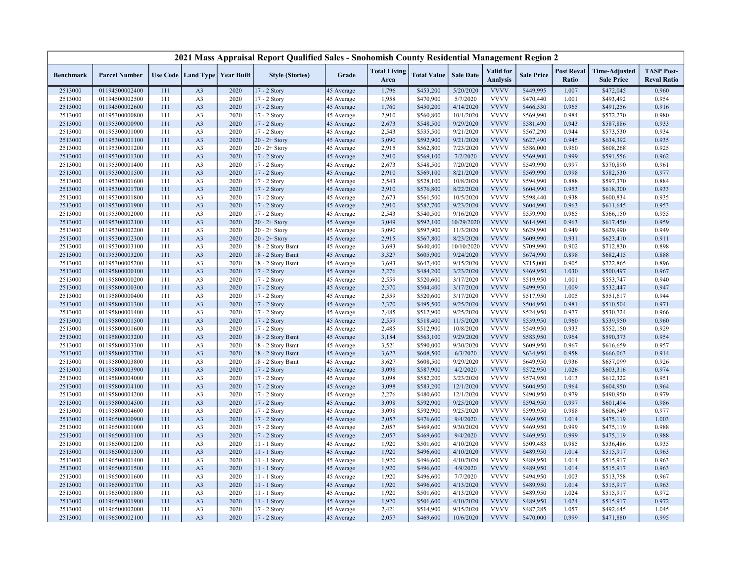|                    |                                  |            |                                  |                                   | 2021 Mass Appraisal Report Qualified Sales - Snohomish County Residential Management Region 2 |                          |                             |                        |                        |                              |                        |                            |                                           |                                         |
|--------------------|----------------------------------|------------|----------------------------------|-----------------------------------|-----------------------------------------------------------------------------------------------|--------------------------|-----------------------------|------------------------|------------------------|------------------------------|------------------------|----------------------------|-------------------------------------------|-----------------------------------------|
| <b>Benchmark</b>   | <b>Parcel Number</b>             |            |                                  | Use Code   Land Type   Year Built | <b>Style (Stories)</b>                                                                        | Grade                    | <b>Total Living</b><br>Area | <b>Total Value</b>     | <b>Sale Date</b>       | Valid for<br><b>Analysis</b> | <b>Sale Price</b>      | <b>Post Reval</b><br>Ratio | <b>Time-Adjusted</b><br><b>Sale Price</b> | <b>TASP Post-</b><br><b>Reval Ratio</b> |
| 2513000            | 01194500002400                   | 111        | A <sub>3</sub>                   | 2020                              | 17 - 2 Story                                                                                  | 45 Average               | 1,796                       | \$453,200              | 5/20/2020              | <b>VVVV</b>                  | \$449,995              | 1.007                      | \$472,045                                 | 0.960                                   |
| 2513000            | 01194500002500                   | 111        | A <sub>3</sub>                   | 2020                              | 17 - 2 Story                                                                                  | 45 Average               | 1,958                       | \$470,900              | 5/7/2020               | <b>VVVV</b>                  | \$470,440              | 1.001                      | \$493,492                                 | 0.954                                   |
| 2513000            | 01194500002600                   | 111        | A <sub>3</sub>                   | 2020                              | 17 - 2 Story                                                                                  | 45 Average               | 1,760                       | \$450,200              | 4/14/2020              | <b>VVVV</b>                  | \$466,530              | 0.965                      | \$491,256                                 | 0.916                                   |
| 2513000            | 01195300000800                   | 111        | A <sub>3</sub>                   | 2020                              | 17 - 2 Story                                                                                  | 45 Average               | 2,910                       | \$560,800              | 10/1/2020              | <b>VVVV</b>                  | \$569,990              | 0.984                      | \$572,270                                 | 0.980                                   |
| 2513000            | 01195300000900                   | 111        | A <sub>3</sub>                   | 2020                              | 17 - 2 Story                                                                                  | 45 Average               | 2,673                       | \$548,500              | 9/29/2020              | <b>VVVV</b>                  | \$581,490              | 0.943                      | \$587,886                                 | 0.933                                   |
| 2513000            | 01195300001000                   | 111        | A <sub>3</sub>                   | 2020                              | 17 - 2 Story                                                                                  | 45 Average               | 2,543                       | \$535,500              | 9/21/2020              | <b>VVVV</b>                  | \$567,290              | 0.944                      | \$573,530                                 | 0.934                                   |
| 2513000            | 01195300001100                   | 111        | A <sub>3</sub>                   | 2020                              | $20 - 2 +$ Story                                                                              | 45 Average               | 3,090                       | \$592,900              | 9/21/2020              | <b>VVVV</b>                  | \$627,490              | 0.945                      | \$634,392                                 | 0.935                                   |
| 2513000            | 01195300001200                   | 111        | A <sub>3</sub>                   | 2020                              | $20 - 2 +$ Story                                                                              | 45 Average               | 2,915                       | \$562,800              | 7/23/2020              | <b>VVVV</b>                  | \$586,000              | 0.960                      | \$608,268                                 | 0.925                                   |
| 2513000            | 01195300001300                   | 111        | A <sub>3</sub>                   | 2020                              | 17 - 2 Story                                                                                  | 45 Average               | 2,910                       | \$569,100              | 7/2/2020               | <b>VVVV</b>                  | \$569,900              | 0.999                      | \$591,556                                 | 0.962                                   |
| 2513000            | 01195300001400                   | 111        | A <sub>3</sub>                   | 2020                              | 17 - 2 Story                                                                                  | 45 Average               | 2,673                       | \$548,500              | 7/20/2020              | <b>VVVV</b>                  | \$549,990              | 0.997                      | \$570,890                                 | 0.961                                   |
| 2513000            | 01195300001500                   | 111        | A <sub>3</sub>                   | 2020                              | 17 - 2 Story                                                                                  | 45 Average               | 2,910                       | \$569,100              | 8/21/2020              | <b>VVVV</b>                  | \$569,990              | 0.998                      | \$582,530                                 | 0.977                                   |
| 2513000            | 01195300001600                   | 111        | A <sub>3</sub>                   | 2020                              | 17 - 2 Story                                                                                  | 45 Average               | 2,543                       | \$528,100              | 10/8/2020              | <b>VVVV</b>                  | \$594,990              | 0.888                      | \$597,370                                 | 0.884                                   |
| 2513000            | 01195300001700                   | 111        | A <sub>3</sub>                   | 2020                              | 17 - 2 Story                                                                                  | 45 Average               | 2,910                       | \$576,800              | 8/22/2020              | <b>VVVV</b>                  | \$604,990              | 0.953                      | \$618,300                                 | 0.933                                   |
| 2513000            | 01195300001800                   | 111        | A <sub>3</sub>                   | 2020                              | 17 - 2 Story                                                                                  | 45 Average               | 2,673                       | \$561,500              | 10/5/2020              | <b>VVVV</b>                  | \$598,440              | 0.938                      | \$600,834                                 | 0.935                                   |
| 2513000            | 01195300001900                   | 111        | A <sub>3</sub>                   | 2020                              | 17 - 2 Story                                                                                  | 45 Average               | 2,910                       | \$582,700              | 9/23/2020              | <b>VVVV</b>                  | \$604,990              | 0.963                      | \$611,645                                 | 0.953                                   |
| 2513000            | 01195300002000                   | 111        | A <sub>3</sub>                   | 2020                              | 17 - 2 Story                                                                                  | 45 Average               | 2,543                       | \$540,500              | 9/16/2020              | <b>VVVV</b>                  | \$559,990              | 0.965                      | \$566,150                                 | 0.955                                   |
| 2513000            | 01195300002100                   | 111        | A <sub>3</sub>                   | 2020                              | $20 - 2 +$ Story                                                                              | 45 Average               | 3,049                       | \$592,100              | 10/29/2020             | <b>VVVV</b>                  | \$614,990              | 0.963                      | \$617,450                                 | 0.959                                   |
| 2513000            | 01195300002200                   | 111        | A <sub>3</sub>                   | 2020                              | $20 - 2 +$ Story                                                                              | 45 Average               | 3,090                       | \$597,900              | 11/3/2020              | <b>VVVV</b>                  | \$629,990              | 0.949                      | \$629,990                                 | 0.949                                   |
| 2513000            | 01195300002300                   | 111        | A <sub>3</sub>                   | 2020                              | $20 - 2 +$ Story                                                                              | 45 Average               | 2,915                       | \$567,800              | 8/23/2020              | <b>VVVV</b>                  | \$609,990              | 0.931                      | \$623,410                                 | 0.911                                   |
| 2513000            | 01195300003100                   | 111        | A <sub>3</sub>                   | 2020                              | 18 - 2 Story Bsmt                                                                             | 45 Average               | 3,693                       | \$640,400              | 10/10/2020             | <b>VVVV</b>                  | \$709,990              | 0.902                      | \$712,830                                 | 0.898                                   |
| 2513000            | 01195300003200                   | 111        | A <sub>3</sub>                   | 2020                              | 18 - 2 Story Bsmt                                                                             | 45 Average               | 3,327                       | \$605,900              | 9/24/2020              | <b>VVVV</b>                  | \$674,990              | 0.898                      | \$682,415                                 | 0.888                                   |
| 2513000            | 01195300005200                   | 111        | A <sub>3</sub>                   | 2020                              | 18 - 2 Story Bsmt                                                                             | 45 Average               | 3,693                       | \$647,400              | 9/15/2020              | <b>VVVV</b>                  | \$715,000              | 0.905                      | \$722,865                                 | 0.896                                   |
| 2513000            | 01195800000100                   | 111        | A <sub>3</sub>                   | 2020                              | 17 - 2 Story                                                                                  | 45 Average               | 2,276                       | \$484,200              | 3/23/2020              | <b>VVVV</b>                  | \$469,950              | 1.030                      | \$500,497                                 | 0.967                                   |
| 2513000            | 01195800000200                   | 111        | A <sub>3</sub>                   | 2020                              | 17 - 2 Story                                                                                  | 45 Average               | 2,559                       | \$520,600              | 3/17/2020              | <b>VVVV</b><br><b>VVVV</b>   | \$519,950              | 1.001                      | \$553,747                                 | 0.940                                   |
| 2513000            | 01195800000300                   | 111<br>111 | A <sub>3</sub>                   | 2020<br>2020                      | 17 - 2 Story                                                                                  | 45 Average               | 2,370                       | \$504,400              | 3/17/2020              | <b>VVVV</b>                  | \$499,950              | 1.009<br>1.005             | \$532,447<br>\$551,617                    | 0.947<br>0.944                          |
| 2513000            | 01195800000400<br>01195800001300 |            | A <sub>3</sub>                   | 2020                              | 17 - 2 Story                                                                                  | 45 Average               | 2,559<br>2,370              | \$520,600<br>\$495,500 | 3/17/2020<br>9/25/2020 | <b>VVVV</b>                  | \$517,950<br>\$504,950 | 0.981                      | \$510,504                                 | 0.971                                   |
| 2513000<br>2513000 | 01195800001400                   | 111<br>111 | A <sub>3</sub><br>A <sub>3</sub> | 2020                              | 17 - 2 Story<br>17 - 2 Story                                                                  | 45 Average               | 2,485                       | \$512,900              | 9/25/2020              | <b>VVVV</b>                  | \$524,950              | 0.977                      | \$530,724                                 | 0.966                                   |
| 2513000            | 01195800001500                   | 111        | A <sub>3</sub>                   | 2020                              | 17 - 2 Story                                                                                  | 45 Average<br>45 Average | 2,559                       | \$518,400              | 11/5/2020              | <b>VVVV</b>                  | \$539,950              | 0.960                      | \$539,950                                 | 0.960                                   |
| 2513000            | 01195800001600                   | 111        | A <sub>3</sub>                   | 2020                              | 17 - 2 Story                                                                                  | 45 Average               | 2,485                       | \$512,900              | 10/8/2020              | <b>VVVV</b>                  | \$549,950              | 0.933                      | \$552,150                                 | 0.929                                   |
| 2513000            | 01195800003200                   | 111        | A <sub>3</sub>                   | 2020                              | 18 - 2 Story Bsmt                                                                             | 45 Average               | 3,184                       | \$563,100              | 9/29/2020              | <b>VVVV</b>                  | \$583,950              | 0.964                      | \$590,373                                 | 0.954                                   |
| 2513000            | 01195800003300                   | 111        | A <sub>3</sub>                   | 2020                              | 18 - 2 Story Bsmt                                                                             | 45 Average               | 3,521                       | \$590,000              | 9/30/2020              | <b>VVVV</b>                  | \$609,950              | 0.967                      | \$616,659                                 | 0.957                                   |
| 2513000            | 01195800003700                   | 111        | A <sub>3</sub>                   | 2020                              | 18 - 2 Story Bsmt                                                                             | 45 Average               | 3,627                       | \$608,500              | 6/3/2020               | <b>VVVV</b>                  | \$634,950              | 0.958                      | \$666,063                                 | 0.914                                   |
| 2513000            | 01195800003800                   | 111        | A <sub>3</sub>                   | 2020                              | 18 - 2 Story Bsmt                                                                             | 45 Average               | 3,627                       | \$608,500              | 9/29/2020              | <b>VVVV</b>                  | \$649,950              | 0.936                      | \$657,099                                 | 0.926                                   |
| 2513000            | 01195800003900                   | 111        | A <sub>3</sub>                   | 2020                              | 17 - 2 Story                                                                                  | 45 Average               | 3,098                       | \$587,900              | 4/2/2020               | <b>VVVV</b>                  | \$572,950              | 1.026                      | \$603,316                                 | 0.974                                   |
| 2513000            | 01195800004000                   | 111        | A <sub>3</sub>                   | 2020                              | 17 - 2 Story                                                                                  | 45 Average               | 3,098                       | \$582,200              | 3/23/2020              | <b>VVVV</b>                  | \$574,950              | 1.013                      | \$612,322                                 | 0.951                                   |
| 2513000            | 01195800004100                   | 111        | A <sub>3</sub>                   | 2020                              | 17 - 2 Story                                                                                  | 45 Average               | 3,098                       | \$583,200              | 12/1/2020              | <b>VVVV</b>                  | \$604,950              | 0.964                      | \$604,950                                 | 0.964                                   |
| 2513000            | 01195800004200                   | 111        | A <sub>3</sub>                   | 2020                              | 17 - 2 Story                                                                                  | 45 Average               | 2,276                       | \$480,600              | 12/1/2020              | <b>VVVV</b>                  | \$490,950              | 0.979                      | \$490,950                                 | 0.979                                   |
| 2513000            | 01195800004500                   | 111        | A <sub>3</sub>                   | 2020                              | 17 - 2 Story                                                                                  | 45 Average               | 3,098                       | \$592,900              | 9/25/2020              | <b>VVVV</b>                  | \$594,950              | 0.997                      | \$601,494                                 | 0.986                                   |
| 2513000            | 01195800004600                   | 111        | A <sub>3</sub>                   | 2020                              | 17 - 2 Story                                                                                  | 45 Average               | 3,098                       | \$592,900              | 9/25/2020              | <b>VVVV</b>                  | \$599,950              | 0.988                      | \$606,549                                 | 0.977                                   |
| 2513000            | 01196500000900                   | 111        | A <sub>3</sub>                   | 2020                              | 17 - 2 Story                                                                                  | 45 Average               | 2,057                       | \$476,600              | 9/4/2020               | <b>VVVV</b>                  | \$469,950              | 1.014                      | \$475,119                                 | 1.003                                   |
| 2513000            | 01196500001000                   | 111        | A <sub>3</sub>                   | 2020                              | 17 - 2 Story                                                                                  | 45 Average               | 2,057                       | \$469,600              | 9/30/2020              | <b>VVVV</b>                  | \$469,950              | 0.999                      | \$475,119                                 | 0.988                                   |
| 2513000            | 01196500001100                   | 111        | A <sub>3</sub>                   | 2020                              | 17 - 2 Story                                                                                  | 45 Average               | 2,057                       | \$469,600              | 9/4/2020               | <b>VVVV</b>                  | \$469,950              | 0.999                      | \$475,119                                 | 0.988                                   |
| 2513000            | 01196500001200                   | 111        | A <sub>3</sub>                   | 2020                              | 11 - 1 Story                                                                                  | 45 Average               | 1,920                       | \$501,600              | 4/10/2020              | <b>VVVV</b>                  | \$509,483              | 0.985                      | \$536,486                                 | 0.935                                   |
| 2513000            | 01196500001300                   | 111        | A <sub>3</sub>                   | 2020                              | 11 - 1 Story                                                                                  | 45 Average               | 1,920                       | \$496,600              | 4/10/2020              | <b>VVVV</b>                  | \$489,950              | 1.014                      | \$515,917                                 | 0.963                                   |
| 2513000            | 01196500001400                   | 111        | A <sub>3</sub>                   | 2020                              | 11 - 1 Story                                                                                  | 45 Average               | 1,920                       | \$496,600              | 4/10/2020              | <b>VVVV</b>                  | \$489,950              | 1.014                      | \$515,917                                 | 0.963                                   |
| 2513000            | 01196500001500                   | 111        | A <sub>3</sub>                   | 2020                              | $11 - 1$ Story                                                                                | 45 Average               | 1,920                       | \$496,600              | 4/9/2020               | <b>VVVV</b>                  | \$489,950              | 1.014                      | \$515,917                                 | 0.963                                   |
| 2513000            | 01196500001600                   | 111        | A <sub>3</sub>                   | 2020                              | 11 - 1 Story                                                                                  | 45 Average               | 1,920                       | \$496,600              | 7/7/2020               | <b>VVVV</b>                  | \$494,950              | 1.003                      | \$513,758                                 | 0.967                                   |
| 2513000            | 01196500001700                   | 111        | A <sub>3</sub>                   | 2020                              | $11 - 1$ Story                                                                                | 45 Average               | 1,920                       | \$496,600              | 4/13/2020              | <b>VVVV</b>                  | \$489,950              | 1.014                      | \$515,917                                 | 0.963                                   |
| 2513000            | 01196500001800                   | 111        | A <sub>3</sub>                   | 2020                              | $11 - 1$ Story                                                                                | 45 Average               | 1,920                       | \$501,600              | 4/13/2020              | <b>VVVV</b>                  | \$489,950              | 1.024                      | \$515,917                                 | 0.972                                   |
| 2513000            | 01196500001900                   | 111        | A <sub>3</sub>                   | 2020                              | $11 - 1$ Story                                                                                | 45 Average               | 1,920                       | \$501,600              | 4/10/2020              | <b>VVVV</b>                  | \$489,950              | 1.024                      | \$515,917                                 | 0.972                                   |
| 2513000            | 01196500002000                   | 111        | A <sub>3</sub>                   | 2020                              | 17 - 2 Story                                                                                  | 45 Average               | 2,421                       | \$514,900              | 9/15/2020              | <b>VVVV</b>                  | \$487,285              | 1.057                      | \$492,645                                 | 1.045                                   |
| 2513000            | 01196500002100                   | 111        | A <sub>3</sub>                   | 2020                              | 17 - 2 Story                                                                                  | 45 Average               | 2,057                       | \$469,600              | 10/6/2020              | <b>VVVV</b>                  | \$470,000              | 0.999                      | \$471,880                                 | 0.995                                   |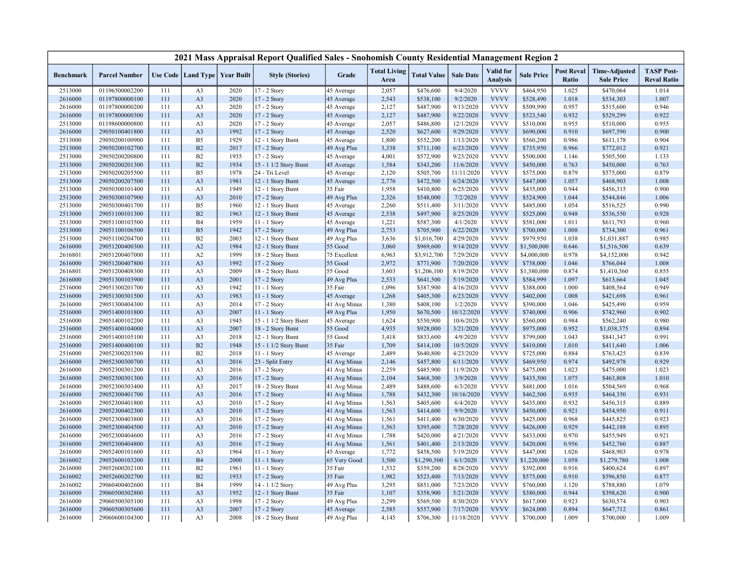|                    |                      |     |                |                                   | 2021 Mass Appraisal Report Qualified Sales - Snohomish County Residential Management Region 2 |                              |                             |                        |                       |                                     |                   |                            |                                           |                                         |
|--------------------|----------------------|-----|----------------|-----------------------------------|-----------------------------------------------------------------------------------------------|------------------------------|-----------------------------|------------------------|-----------------------|-------------------------------------|-------------------|----------------------------|-------------------------------------------|-----------------------------------------|
| <b>Benchmark</b>   | <b>Parcel Number</b> |     |                | Use Code   Land Type   Year Built | <b>Style (Stories)</b>                                                                        | Grade                        | <b>Total Living</b><br>Area | <b>Total Value</b>     | <b>Sale Date</b>      | <b>Valid</b> for<br><b>Analysis</b> | <b>Sale Price</b> | <b>Post Reval</b><br>Ratio | <b>Time-Adjusted</b><br><b>Sale Price</b> | <b>TASP Post-</b><br><b>Reval Ratio</b> |
| 2513000            | 01196500002200       | 111 | A <sub>3</sub> | 2020                              | 17 - 2 Story                                                                                  | 45 Average                   | 2,057                       | \$476,600              | 9/4/2020              | <b>VVVV</b>                         | \$464,950         | 1.025                      | \$470,064                                 | 1.014                                   |
| 2616000            | 01197800000100       | 111 | A <sub>3</sub> | 2020                              | 17 - 2 Story                                                                                  | 45 Average                   | 2,543                       | \$538,100              | 9/2/2020              | <b>VVVV</b>                         | \$528,490         | 1.018                      | \$534,303                                 | 1.007                                   |
| 2616000            | 01197800000200       | 111 | A <sub>3</sub> | 2020                              | 17 - 2 Story                                                                                  | 45 Average                   | 2,127                       | \$487,900              | 9/13/2020             | <b>VVVV</b>                         | \$509,990         | 0.957                      | \$515,600                                 | 0.946                                   |
| 2616000            | 01197800000300       | 111 | A <sub>3</sub> | 2020                              | 17 - 2 Story                                                                                  | 45 Average                   | 2,127                       | \$487,900              | 9/22/2020             | <b>VVVV</b>                         | \$523,540         | 0.932                      | \$529,299                                 | 0.922                                   |
| 2513000            | 01198600000800       | 111 | A <sub>3</sub> | 2020                              | 17 - 2 Story                                                                                  | 45 Average                   | 2,057                       | \$486,800              | 12/1/2020             | <b>VVVV</b>                         | \$510,000         | 0.955                      | \$510,000                                 | 0.955                                   |
| 2616000            | 29050100401800       | 111 | A <sub>3</sub> | 1992                              | 17 - 2 Story                                                                                  | 45 Average                   | 2,520                       | \$627,600              | 9/29/2020             | <b>VVVV</b>                         | \$690,000         | 0.910                      | \$697,590                                 | 0.900                                   |
| 2513000            | 29050200100900       | 111 | B <sub>5</sub> | 1929                              | 12 - 1 Story Bsmt                                                                             | 45 Average                   | 1,800                       | \$552,200              | 1/13/2020             | <b>VVVV</b>                         | \$560,200         | 0.986                      | \$611,178                                 | 0.904                                   |
| 2513000            | 29050200102700       | 111 | B2             | 2017                              | 17 - 2 Story                                                                                  | 49 Avg Plus                  | 3,338                       | \$711,100              | 6/23/2020             | <b>VVVV</b>                         | \$735,950         | 0.966                      | \$772,012                                 | 0.921                                   |
| 2513000            | 29050200200800       | 111 | <b>B2</b>      | 1935                              | 17 - 2 Story                                                                                  | 45 Average                   | 4,001                       | \$572,900              | 9/23/2020             | <b>VVVV</b>                         | \$500,000         | 1.146                      | \$505,500                                 | 1.133                                   |
| 2513000            | 29050200201300       | 111 | B2             | 1934                              | 15 - 1 1/2 Story Bsmt                                                                         | 45 Average                   | 1,584                       | \$343,200              | 11/6/2020             | <b>VVVV</b>                         | \$450,000         | 0.763                      | \$450,000                                 | 0.763                                   |
| 2513000            | 29050200205500       | 111 | B <sub>5</sub> | 1978                              | 24 - Tri Level                                                                                | 45 Average                   | 2,120                       | \$505,700              | 11/11/2020            | <b>VVVV</b>                         | \$575,000         | 0.879                      | \$575,000                                 | 0.879                                   |
| 2513000            | 29050200207500       | 111 | A <sub>3</sub> | 1981                              | 12 - 1 Story Bsmt                                                                             | 45 Average                   | 2,776                       | \$472,500              | 6/24/2020             | <b>VVVV</b>                         | \$447,000         | 1.057                      | \$468,903                                 | 1.008                                   |
| 2513000            | 29050300101400       | 111 | A <sub>3</sub> | 1949                              | 12 - 1 Story Bsmt                                                                             | 35 Fair                      | 1,958                       | \$410,800              | 6/25/2020             | <b>VVVV</b>                         | \$435,000         | 0.944                      | \$456,315                                 | 0.900                                   |
| 2513000            | 29050300107900       | 111 | A <sub>3</sub> | 2010                              | 17 - 2 Story                                                                                  | 49 Avg Plus                  | 2,326                       | \$548,000              | 7/2/2020              | <b>VVVV</b>                         | \$524,900         | 1.044                      | \$544,846                                 | 1.006                                   |
| 2513000            | 29050300401700       | 111 | B <sub>5</sub> | 1960                              | 12 - 1 Story Bsmt                                                                             | 45 Average                   | 2,260                       | \$511,400              | 3/11/2020             | <b>VVVV</b>                         | \$485,000         | 1.054                      | \$516,525                                 | 0.990                                   |
| 2513000            | 29051100101300       | 111 | B <sub>2</sub> | 1963                              | 12 - 1 Story Bsmt                                                                             | 45 Average                   | 2,538                       | \$497,900              | 8/25/2020             | <b>VVVV</b>                         | \$525,000         | 0.948                      | \$536,550                                 | 0.928                                   |
| 2513000            | 29051100103500       | 111 | <b>B4</b>      | 1959                              | 11 - 1 Story                                                                                  | 45 Average                   | 1,221                       | \$587,300              | 4/1/2020              | <b>VVVV</b>                         | \$581,000         | 1.011                      | \$611,793                                 | 0.960                                   |
| 2513000            | 29051100106500       | 111 | B <sub>5</sub> | 1942                              | 17 - 2 Story                                                                                  | 49 Avg Plus                  | 2,753                       | \$705,900              | 6/22/2020             | <b>VVVV</b>                         | \$700,000         | 1.008                      | \$734,300                                 | 0.961                                   |
| 2513000            | 29051100204700       | 111 | B2             | 2003                              | 12 - 1 Story Bsmt                                                                             | 49 Avg Plus                  | 3,636                       | \$1,016,700            | 4/29/2020             | <b>VVVV</b>                         | \$979,950         | 1.038                      | \$1,031,887                               | 0.985                                   |
| 2616000            | 29051200400300       | 111 | A2             | 1984                              | 12 - 1 Story Bsmt                                                                             | 55 Good                      | 3,060                       | \$969,600              | 9/14/2020             | <b>VVVV</b>                         | \$1,500,000       | 0.646                      | \$1,516,500                               | 0.639                                   |
| 2616801            | 29051200407000       | 111 | A2             | 1999                              | 18 - 2 Story Bsmt                                                                             | 75 Excellent                 | 6,963                       | \$3,912,700            | 7/29/2020             | <b>VVVV</b>                         | \$4,000,000       | 0.978                      | \$4,152,000                               | 0.942                                   |
| 2616000            | 29051200407800       | 111 | A <sub>3</sub> | 1992                              | 17 - 2 Story                                                                                  | 55 Good                      | 2,972                       | \$771,900              | 7/20/2020             | <b>VVVV</b>                         | \$738,000         | 1.046                      | \$766,044                                 | 1.008                                   |
| 2616801            | 29051200408300       | 111 | A <sub>3</sub> | 2009                              | 18 - 2 Story Bsmt                                                                             | 55 Good                      | 3,603                       | \$1,206,100            | 8/19/2020             | <b>VVVV</b>                         | \$1,380,000       | 0.874                      | \$1,410,360                               | 0.855                                   |
| 2616000            | 29051300103900       | 111 | A <sub>3</sub> | 2001                              | 17 - 2 Story                                                                                  | 49 Avg Plus                  | 2,533                       | \$641,500              | 5/19/2020             | <b>VVVV</b>                         | \$584,999         | 1.097                      | \$613,664                                 | 1.045                                   |
| 2516000            | 29051300201700       | 111 | A <sub>3</sub> | 1942                              | 11 - 1 Story                                                                                  | 35 Fair                      | 1,096                       | \$387,900              | 4/16/2020             | <b>VVVV</b>                         | \$388,000         | 1.000                      | \$408,564                                 | 0.949                                   |
| 2516000            | 29051300301500       | 111 | A <sub>3</sub> | 1983                              | 11 - 1 Story                                                                                  | 45 Average                   | 1,268                       | \$405,300              | 6/23/2020             | <b>VVVV</b>                         | \$402,000         | 1.008                      | \$421,698                                 | 0.961                                   |
| 2616000            | 29051300404300       | 111 | A <sub>3</sub> | 2014                              | 17 - 2 Story                                                                                  | 41 Avg Minus                 | 1,380                       | \$408,100              | 1/2/2020              | <b>VVVV</b>                         | \$390,000         | 1.046                      | \$425,490                                 | 0.959                                   |
| 2516000            | 29051400101800       | 111 | A <sub>3</sub> | 2007                              | 11 - 1 Story                                                                                  | 49 Avg Plus                  | 1,950                       | \$670,500              | 10/12/2020            | <b>VVVV</b>                         | \$740,000         | 0.906                      | \$742,960                                 | 0.902                                   |
| 2516000            | 29051400102200       | 111 | A <sub>3</sub> | 1945                              | 15 - 1 1/2 Story Bsmt                                                                         | 45 Average                   | 1,624                       | \$550,900              | 10/6/2020             | <b>VVVV</b>                         | \$560,000         | 0.984                      | \$562,240                                 | 0.980                                   |
| 2516000            | 29051400104000       | 111 | A <sub>3</sub> | 2007                              | 18 - 2 Story Bsmt                                                                             | 55 Good                      | 4,935                       | \$928,000              | 3/21/2020             | <b>VVVV</b>                         | \$975,000         | 0.952                      | \$1,038,375                               | 0.894                                   |
| 2516000            | 29051400105100       | 111 | A <sub>3</sub> | 2018                              | 12 - 1 Story Bsmt                                                                             | 55 Good                      | 3,418                       | \$833,600              | 4/9/2020              | <b>VVVV</b>                         | \$799,000         | 1.043                      | \$841,347                                 | 0.991                                   |
| 2516000            | 29051400400100       | 111 | B2             | 1948                              | 15 - 1 1/2 Story Bsmt                                                                         | 35 Fair                      | 1,709                       | \$414,100              | 10/5/2020             | <b>VVVV</b>                         | \$410,000         | 1.010                      | \$411,640                                 | 1.006                                   |
| 2516000            | 29052300203500       | 111 | B2             | 2018                              | 11 - 1 Story                                                                                  | 45 Average                   | 2,489                       | \$640,800              | 4/23/2020             | <b>VVVV</b>                         | \$725,000         | 0.884                      | \$763,425                                 | 0.839                                   |
| 2616000            | 29052300300700       | 111 | A <sub>3</sub> | 2016                              | 23 - Split Entry                                                                              | 41 Avg Minus                 | 2,146                       | \$457,800              | 6/11/2020             | <b>VVVV</b>                         | \$469,950         | 0.974                      | \$492,978                                 | 0.929                                   |
| 2616000            | 29052300301200       | 111 | A <sub>3</sub> | 2016                              | 17 - 2 Story                                                                                  | 41 Avg Minus                 | 2,259                       | \$485,900              | 11/9/2020             | <b>VVVV</b>                         | \$475,000         | 1.023                      | \$475,000                                 | 1.023                                   |
| 2616000            | 29052300301300       | 111 | A <sub>3</sub> | 2016                              | 17 - 2 Story                                                                                  | 41 Avg Minus                 | 2,104                       | \$468,300              | 3/9/2020              | <b>VVVV</b>                         | \$435,500         | 1.075                      | \$463,808                                 | 1.010                                   |
| 2616000            | 29052300303400       | 111 | A <sub>3</sub> | 2017                              | 18 - 2 Story Bsmt                                                                             | 41 Avg Minus                 | 2,489                       | \$488,600              | 6/3/2020              | <b>VVVV</b>                         | \$481,000         | 1.016                      | \$504,569                                 | 0.968                                   |
|                    | 29052300401700       | 111 | A <sub>3</sub> | 2016                              | 17 - 2 Story                                                                                  |                              | 1,788                       | \$432,300              | 10/16/2020            | <b>VVVV</b>                         | \$462,500         | 0.935                      | \$464,350                                 | 0.931                                   |
| 2616000<br>2616000 | 29052300401800       | 111 | A <sub>3</sub> | 2010                              | 17 - 2 Story                                                                                  | 41 Avg Minus<br>41 Avg Minus | 1,563                       | \$405,600              | 6/4/2020              | <b>VVVV</b>                         | \$435,000         | 0.932                      | \$456,315                                 | 0.889                                   |
|                    | 29052300402300       | 111 | A <sub>3</sub> | 2010                              |                                                                                               |                              |                             |                        |                       | <b>VVVV</b>                         | \$450,000         | 0.921                      | \$454,950                                 | 0.911                                   |
| 2616000            | 29052300403800       | 111 | A <sub>3</sub> | 2016                              | 17 - 2 Story<br>17 - 2 Story                                                                  | 41 Avg Minus                 | 1,563                       | \$414,600              | 9/9/2020<br>6/30/2020 | <b>VVVV</b>                         | \$425,000         | 0.968                      | \$445,825                                 | 0.923                                   |
| 2616000<br>2616000 | 29052300404500       | 111 | A <sub>3</sub> | 2010                              | 17 - 2 Story                                                                                  | 41 Avg Minus<br>41 Avg Minus | 1,561<br>1,563              | \$411,400<br>\$395,600 | 7/28/2020             | <b>VVVV</b>                         | \$426,000         | 0.929                      | \$442,188                                 | 0.895                                   |
|                    | 29052300404600       | 111 | A <sub>3</sub> | 2016                              |                                                                                               |                              | 1,788                       | \$420,000              | 4/21/2020             | <b>VVVV</b>                         | \$433,000         | 0.970                      | \$455,949                                 | 0.921                                   |
| 2616000            | 29052300404800       | 111 |                | 2016                              | 17 - 2 Story                                                                                  | 41 Avg Minus                 |                             |                        | 2/13/2020             | <b>VVVV</b>                         |                   | 0.956                      |                                           |                                         |
| 2616000            |                      | 111 | A <sub>3</sub> |                                   | 17 - 2 Story                                                                                  | 41 Avg Minus                 | 1,561                       | \$401,400              |                       | <b>VVVV</b>                         | \$420,000         |                            | \$452,760                                 | 0.887                                   |
| 2616000            | 29052400101600       |     | A <sub>3</sub> | 1964                              | 11 - 1 Story                                                                                  | 45 Average                   | 1,772                       | \$458,500              | 5/19/2020             | <b>VVVV</b>                         | \$447,000         | 1.026                      | \$468,903                                 | 0.978                                   |
| 2616002            | 29052600103200       | 111 | <b>B4</b>      | 2000                              | 11 - 1 Story                                                                                  | 65 Very Good                 | 3,500                       | \$1,290,500            | 6/1/2020              |                                     | \$1,220,000       | 1.058                      | \$1,279,780                               | 1.008                                   |
| 2616000            | 29052600202100       | 111 | B2             | 1961                              | $11 - 1$ Story                                                                                | 35 Fair                      | 1,532                       | \$359,200              | 8/28/2020             | <b>VVVV</b><br><b>VVVV</b>          | \$392,000         | 0.916                      | \$400,624                                 | 0.897                                   |
| 2616002            | 29052600202700       | 111 | B2             | 1933                              | 17 - 2 Story                                                                                  | 35 Fair                      | 1,982                       | \$523,400              | 7/13/2020             |                                     | \$575,000         | 0.910                      | \$596,850                                 | 0.877                                   |
| 2616002            | 29060400402600       | 111 | <b>B4</b>      | 1999                              | 14 - 1 1/2 Story                                                                              | 49 Avg Plus                  | 3,295                       | \$851,000              | 7/23/2020             | <b>VVVV</b><br><b>VVVV</b>          | \$760,000         | 1.120                      | \$788,880                                 | 1.079                                   |
| 2616000            | 29060500302800       | 111 | A <sub>3</sub> | 1952                              | 12 - 1 Story Bsmt                                                                             | 35 Fair                      | 1,107                       | \$358,900              | 5/21/2020             |                                     | \$380,000         | 0.944                      | \$398,620                                 | 0.900                                   |
| 2616000            | 29060500305100       | 111 | A <sub>3</sub> | 1998                              | 17 - 2 Story                                                                                  | 49 Avg Plus                  | 2,299                       | \$569,500              | 8/30/2020             | <b>VVVV</b>                         | \$617,000         | 0.923                      | \$630,574                                 | 0.903                                   |
| 2616000            | 29060500305600       | 111 | A <sub>3</sub> | 2007                              | $17 - 2$ Story                                                                                | 45 Average                   | 2,585                       | \$557,900              | 7/17/2020             | <b>VVVV</b>                         | \$624,000         | 0.894                      | \$647,712                                 | 0.861                                   |
| 2616000            | 29060600104300       | 111 | A <sub>3</sub> | 2008                              | 18 - 2 Story Bsmt                                                                             | 49 Avg Plus                  | 4,145                       | \$706,300              | 11/18/2020            | <b>VVVV</b>                         | \$700,000         | 1.009                      | \$700,000                                 | 1.009                                   |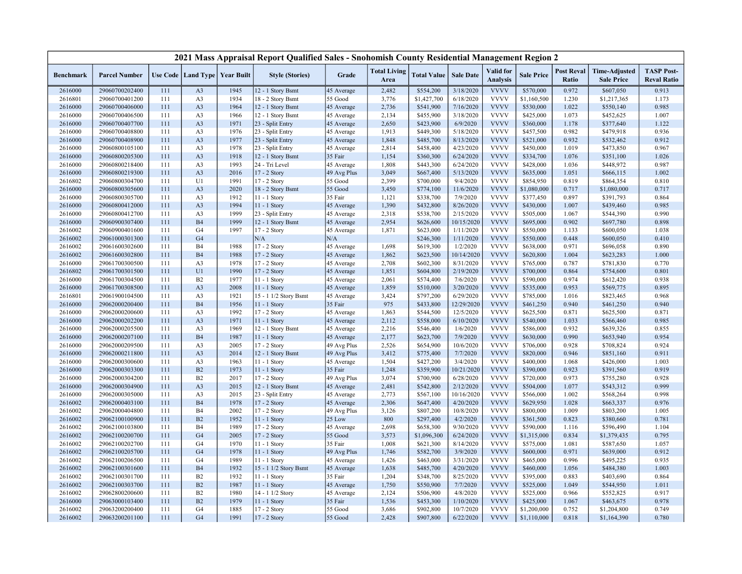|                    |                                  |            |                             |                                   | 2021 Mass Appraisal Report Qualified Sales - Snohomish County Residential Management Region 2 |                       |                             |                        |                        |                                     |                        |                            |                                           |                                         |
|--------------------|----------------------------------|------------|-----------------------------|-----------------------------------|-----------------------------------------------------------------------------------------------|-----------------------|-----------------------------|------------------------|------------------------|-------------------------------------|------------------------|----------------------------|-------------------------------------------|-----------------------------------------|
| <b>Benchmark</b>   | <b>Parcel Number</b>             |            |                             | Use Code   Land Type   Year Built | <b>Style (Stories)</b>                                                                        | Grade                 | <b>Total Living</b><br>Area | <b>Total Value</b>     | <b>Sale Date</b>       | <b>Valid</b> for<br><b>Analysis</b> | <b>Sale Price</b>      | <b>Post Reval</b><br>Ratio | <b>Time-Adjusted</b><br><b>Sale Price</b> | <b>TASP Post-</b><br><b>Reval Ratio</b> |
| 2616000            | 29060700202400                   | 111        | A <sub>3</sub>              | 1945                              | 12 - 1 Story Bsmt                                                                             | 45 Average            | 2,482                       | \$554,200              | 3/18/2020              | <b>VVVV</b>                         | \$570,000              | 0.972                      | \$607,050                                 | 0.913                                   |
| 2616801            | 29060700401200                   | 111        | A <sub>3</sub>              | 1934                              | 18 - 2 Story Bsmt                                                                             | 55 Good               | 3,776                       | \$1,427,700            | 6/18/2020              | <b>VVVV</b>                         | \$1,160,500            | 1.230                      | \$1,217,365                               | 1.173                                   |
| 2616000            | 29060700406000                   | 111        | A <sub>3</sub>              | 1964                              | 12 - 1 Story Bsmt                                                                             | 45 Average            | 2,736                       | \$541,900              | 7/16/2020              | <b>VVVV</b>                         | \$530,000              | 1.022                      | \$550,140                                 | 0.985                                   |
| 2616000            | 29060700406500                   | 111        | A <sub>3</sub>              | 1966                              | 12 - 1 Story Bsmt                                                                             | 45 Average            | 2,134                       | \$455,900              | 3/18/2020              | <b>VVVV</b>                         | \$425,000              | 1.073                      | \$452,625                                 | 1.007                                   |
| 2616000            | 29060700407700                   | 111        | A <sub>3</sub>              | 1971                              | 23 - Split Entry                                                                              | 45 Average            | 2,650                       | \$423,900              | 6/9/2020               | <b>VVVV</b>                         | \$360,000              | 1.178                      | \$377,640                                 | 1.122                                   |
| 2616000            | 29060700408800                   | 111        | A <sub>3</sub>              | 1976                              | 23 - Split Entry                                                                              | 45 Average            | 1,913                       | \$449,300              | 5/18/2020              | <b>VVVV</b>                         | \$457,500              | 0.982                      | \$479,918                                 | 0.936                                   |
| 2616000            | 29060700408900                   | 111        | A <sub>3</sub>              | 1977                              | 23 - Split Entry                                                                              | 45 Average            | 1,848                       | \$485,700              | 8/13/2020              | <b>VVVV</b>                         | \$521,000              | 0.932                      | \$532,462                                 | 0.912                                   |
| 2616000            | 29060800105100                   | 111        | A <sub>3</sub>              | 1978                              | 23 - Split Entry                                                                              | 45 Average            | 2,814                       | \$458,400              | 4/23/2020              | <b>VVVV</b>                         | \$450,000              | 1.019                      | \$473,850                                 | 0.967                                   |
| 2616000            | 29060800205300                   | 111        | A <sub>3</sub>              | 1918                              | 12 - 1 Story Bsmt                                                                             | 35 Fair               | 1,154                       | \$360,300              | 6/24/2020              | <b>VVVV</b>                         | \$334,700              | 1.076                      | \$351,100                                 | 1.026                                   |
| 2616000            | 29060800218400                   | 111        | A <sub>3</sub>              | 1993                              | 24 - Tri Level                                                                                | 45 Average            | 1,808                       | \$443,300              | 6/24/2020              | <b>VVVV</b>                         | \$428,000              | 1.036                      | \$448,972                                 | 0.987                                   |
| 2616000            | 29060800219300                   | 111        | A <sub>3</sub>              | 2016                              | 17 - 2 Story                                                                                  | 49 Avg Plus           | 3,049                       | \$667,400              | 5/13/2020              | <b>VVVV</b>                         | \$635,000              | 1.051                      | \$666,115                                 | 1.002                                   |
| 2616802            | 29060800304700                   | 111        | U1                          | 1991                              | 17 - 2 Story                                                                                  | 55 Good               | 2,399                       | \$700,000              | 9/4/2020               | <b>VVVV</b>                         | \$854,950              | 0.819                      | \$864,354                                 | 0.810                                   |
| 2616000            | 29060800305600                   | 111        | A <sub>3</sub>              | 2020                              | 18 - 2 Story Bsmt                                                                             | 55 Good               | 3,450                       | \$774,100              | 11/6/2020              | <b>VVVV</b>                         | \$1,080,000            | 0.717                      | \$1,080,000                               | 0.717                                   |
| 2616000            | 29060800305700                   | 111        | A <sub>3</sub>              | 1912                              | 11 - 1 Story                                                                                  | 35 Fair               | 1,121                       | \$338,700              | 7/9/2020               | <b>VVVV</b>                         | \$377,450              | 0.897                      | \$391,793                                 | 0.864                                   |
| 2616000            | 29060800412000                   | 111        | A <sub>3</sub>              | 1994                              | 11 - 1 Story                                                                                  | 45 Average            | 1,390                       | \$432,800              | 8/26/2020              | <b>VVVV</b>                         | \$430,000              | 1.007                      | \$439,460                                 | 0.985                                   |
| 2616000            | 29060800412700                   | 111        | A <sub>3</sub>              | 1999                              | 23 - Split Entry                                                                              | 45 Average            | 2,318                       | \$538,700              | 2/15/2020              | <b>VVVV</b>                         | \$505,000              | 1.067                      | \$544,390                                 | 0.990                                   |
| 2616000            | 29060900307400                   | 111        | <b>B4</b>                   | 1999                              | 12 - 1 Story Bsmt                                                                             | 45 Average            | 2,954                       | \$626,600              | 10/15/2020             | <b>VVVV</b>                         | \$695,000              | 0.902                      | \$697,780                                 | 0.898                                   |
| 2616002            | 29060900401600                   | 111        | G <sub>4</sub>              | 1997                              | 17 - 2 Story                                                                                  | 45 Average            | 1,871                       | \$623,000              | 1/11/2020              | <b>VVVV</b>                         | \$550,000              | 1.133                      | \$600,050                                 | 1.038                                   |
| 2616002            | 29061000301300                   | 111        | G <sub>4</sub>              |                                   | N/A                                                                                           | N/A                   |                             | \$246,300              | 1/11/2020              | <b>VVVV</b>                         | \$550,000              | 0.448                      | \$600,050                                 | 0.410                                   |
| 2616002            | 29061600302600                   | 111        | <b>B4</b>                   | 1988                              | 17 - 2 Story                                                                                  | 45 Average            | 1,698                       | \$619,300              | 1/2/2020               | <b>VVVV</b>                         | \$638,000              | 0.971                      | \$696,058                                 | 0.890                                   |
| 2616002            | 29061600302800                   | 111        | <b>B4</b>                   | 1988                              | 17 - 2 Story                                                                                  | 45 Average            | 1,862                       | \$623,500              | 10/14/2020             | <b>VVVV</b>                         | \$620,800              | 1.004                      | \$623,283                                 | 1.000                                   |
| 2616000            | 29061700300500                   | 111        | A <sub>3</sub>              | 1978                              | 17 - 2 Story                                                                                  | 45 Average            | 2,708                       | \$602,300              | 8/31/2020              | <b>VVVV</b>                         | \$765,000              | 0.787                      | \$781,830                                 | 0.770                                   |
| 2616802            | 29061700301500                   | 111        | U1                          | 1990                              | 17 - 2 Story                                                                                  | 45 Average            | 1,851                       | \$604,800              | 2/19/2020              | <b>VVVV</b>                         | \$700,000              | 0.864                      | \$754,600                                 | 0.801                                   |
| 2616000            | 29061700304500                   | 111        | B2                          | 1977                              | $11 - 1$ Story                                                                                | 45 Average            | 2,061                       | \$574,400              | 7/6/2020               | <b>VVVV</b><br><b>VVVV</b>          | \$590,000              | 0.974                      | \$612,420                                 | 0.938                                   |
| 2616000            | 29061700308500                   | 111<br>111 | A <sub>3</sub>              | 2008<br>1921                      | 11 - 1 Story                                                                                  | 45 Average            | 1,859                       | \$510,000              | 3/20/2020<br>6/29/2020 | <b>VVVV</b>                         | \$535,000              | 0.953<br>1.016             | \$569,775                                 | 0.895<br>0.968                          |
| 2616801            | 29061900104500                   |            | A <sub>3</sub><br><b>B4</b> | 1956                              | 15 - 1 1/2 Story Bsmt                                                                         | 45 Average            | 3,424<br>975                | \$797,200<br>\$433,800 | 12/29/2020             | <b>VVVV</b>                         | \$785,000<br>\$461,250 | 0.940                      | \$823,465                                 | 0.940                                   |
| 2616000<br>2616000 | 29062000200400<br>29062000200600 | 111<br>111 | A <sub>3</sub>              | 1992                              | 11 - 1 Story<br>17 - 2 Story                                                                  | 35 Fair<br>45 Average | 1,863                       | \$544,500              | 12/5/2020              | <b>VVVV</b>                         | \$625,500              | 0.871                      | \$461,250<br>\$625,500                    | 0.871                                   |
| 2616000            | 29062000202200                   | 111        | A <sub>3</sub>              | 1971                              | 11 - 1 Story                                                                                  | 45 Average            | 2,112                       | \$558,000              | 6/10/2020              | <b>VVVV</b>                         | \$540,000              | 1.033                      | \$566,460                                 | 0.985                                   |
| 2616000            | 29062000205500                   | 111        | A <sub>3</sub>              | 1969                              | 12 - 1 Story Bsmt                                                                             | 45 Average            | 2,216                       | \$546,400              | 1/6/2020               | <b>VVVV</b>                         | \$586,000              | 0.932                      | \$639,326                                 | 0.855                                   |
| 2616000            | 29062000207100                   | 111        | <b>B4</b>                   | 1987                              | 11 - 1 Story                                                                                  | 45 Average            | 2,177                       | \$623,700              | 7/9/2020               | <b>VVVV</b>                         | \$630,000              | 0.990                      | \$653,940                                 | 0.954                                   |
| 2616000            | 29062000209500                   | 111        | A <sub>3</sub>              | 2005                              | 17 - 2 Story                                                                                  | 49 Avg Plus           | 2,526                       | \$654,900              | 10/6/2020              | <b>VVVV</b>                         | \$706,000              | 0.928                      | \$708,824                                 | 0.924                                   |
| 2616000            | 29062000211800                   | 111        | A <sub>3</sub>              | 2014                              | 12 - 1 Story Bsmt                                                                             | 49 Avg Plus           | 3,412                       | \$775,400              | 7/7/2020               | <b>VVVV</b>                         | \$820,000              | 0.946                      | \$851,160                                 | 0.911                                   |
| 2616000            | 29062000300600                   | 111        | A <sub>3</sub>              | 1963                              | 11 - 1 Story                                                                                  | 45 Average            | 1,504                       | \$427,200              | 3/4/2020               | <b>VVVV</b>                         | \$400,000              | 1.068                      | \$426,000                                 | 1.003                                   |
| 2616000            | 29062000303300                   | 111        | B <sub>2</sub>              | 1973                              | 11 - 1 Story                                                                                  | 35 Fair               | 1,248                       | \$359,900              | 10/21/2020             | <b>VVVV</b>                         | \$390,000              | 0.923                      | \$391,560                                 | 0.919                                   |
| 2616000            | 29062000304200                   | 111        | B2                          | 2017                              | 17 - 2 Story                                                                                  | 49 Avg Plus           | 3,074                       | \$700,900              | 6/28/2020              | <b>VVVV</b>                         | \$720,000              | 0.973                      | \$755,280                                 | 0.928                                   |
| 2616000            | 29062000304900                   | 111        | A <sub>3</sub>              | 2015                              | 12 - 1 Story Bsmt                                                                             | 45 Average            | 2,481                       | \$542,800              | 2/12/2020              | <b>VVVV</b>                         | \$504,000              | 1.077                      | \$543,312                                 | 0.999                                   |
| 2616000            | 29062000305000                   | 111        | A <sub>3</sub>              | 2015                              | 23 - Split Entry                                                                              | 45 Average            | 2,773                       | \$567,100              | 10/16/2020             | <b>VVVV</b>                         | \$566,000              | 1.002                      | \$568,264                                 | 0.998                                   |
| 2616002            | 29062000403100                   | 111        | <b>B4</b>                   | 1978                              | 17 - 2 Story                                                                                  | 45 Average            | 2,306                       | \$647,400              | 4/20/2020              | <b>VVVV</b>                         | \$629,950              | 1.028                      | \$663,337                                 | 0.976                                   |
| 2616002            | 29062000404800                   | 111        | <b>B4</b>                   | 2002                              | 17 - 2 Story                                                                                  | 49 Avg Plus           | 3,126                       | \$807,200              | 10/8/2020              | <b>VVVV</b>                         | \$800,000              | 1.009                      | \$803,200                                 | 1.005                                   |
| 2616002            | 29062100100900                   | 111        | B2                          | 1952                              | 11 - 1 Story                                                                                  | 25 Low                | 800                         | \$297,400              | 4/2/2020               | <b>VVVV</b>                         | \$361,500              | 0.823                      | \$380,660                                 | 0.781                                   |
| 2616002            | 29062100103800                   | 111        | <b>B4</b>                   | 1989                              | 17 - 2 Story                                                                                  | 45 Average            | 2,698                       | \$658,300              | 9/30/2020              | <b>VVVV</b>                         | \$590,000              | 1.116                      | \$596,490                                 | 1.104                                   |
| 2616002            | 29062100200700                   | 111        | G <sub>4</sub>              | 2005                              | 17 - 2 Story                                                                                  | 55 Good               | 3,573                       | \$1,096,300            | 6/24/2020              | <b>VVVV</b>                         | \$1,315,000            | 0.834                      | \$1,379,435                               | 0.795                                   |
| 2616002            | 29062100202700                   | 111        | G <sub>4</sub>              | 1970                              | 11 - 1 Story                                                                                  | 35 Fair               | 1,008                       | \$621,300              | 8/14/2020              | <b>VVVV</b>                         | \$575,000              | 1.081                      | \$587,650                                 | 1.057                                   |
| 2616002            | 29062100205700                   | 111        | G <sub>4</sub>              | 1978                              | 11 - 1 Story                                                                                  | 49 Avg Plus           | 1,746                       | \$582,700              | 3/9/2020               | <b>VVVV</b>                         | \$600,000              | 0.971                      | \$639,000                                 | 0.912                                   |
| 2616002            | 29062100206500                   | 111        | G <sub>4</sub>              | 1989                              | 11 - 1 Story                                                                                  | 45 Average            | 1,426                       | \$463,000              | 3/31/2020              | <b>VVVV</b>                         | \$465,000              | 0.996                      | \$495,225                                 | 0.935                                   |
| 2616002            | 29062100301600                   | 111        | <b>B4</b>                   | 1932                              | 15 - 1 1/2 Story Bsmt                                                                         | 45 Average            | 1,638                       | \$485,700              | 4/20/2020              | <b>VVVV</b>                         | \$460,000              | 1.056                      | \$484,380                                 | 1.003                                   |
| 2616002            | 29062100301700                   | 111        | B2                          | 1932                              | 11 - 1 Story                                                                                  | 35 Fair               | 1,204                       | \$348,700              | 8/25/2020              | <b>VVVV</b>                         | \$395,000              | 0.883                      | \$403,690                                 | 0.864                                   |
| 2616002            | 29062100303700                   | 111        | B2                          | 1987                              | $11 - 1$ Story                                                                                | 45 Average            | 1,750                       | \$550,900              | 7/7/2020               | <b>VVVV</b>                         | \$525,000              | 1.049                      | \$544,950                                 | 1.011                                   |
| 2616002            | 29062800200600                   | 111        | B2                          | 1980                              | 14 - 1 1/2 Story                                                                              | 45 Average            | 2,124                       | \$506,900              | 4/8/2020               | <b>VVVV</b>                         | \$525,000              | 0.966                      | \$552,825                                 | 0.917                                   |
| 2616000            | 29063000103400                   | 111        | B2                          | 1979                              | 11 - 1 Story                                                                                  | 35 Fair               | 1,536                       | \$453,300              | 1/10/2020              | <b>VVVV</b>                         | \$425,000              | 1.067                      | \$463,675                                 | 0.978                                   |
| 2616002            | 29063200200400                   | 111        | G <sub>4</sub>              | 1885                              | 17 - 2 Story                                                                                  | 55 Good               | 3,686                       | \$902,800              | 10/7/2020              | <b>VVVV</b>                         | \$1,200,000            | 0.752                      | \$1,204,800                               | 0.749                                   |
| 2616002            | 29063200201100                   | 111        | G <sub>4</sub>              | 1991                              | 17 - 2 Story                                                                                  | 55 Good               | 2,428                       | \$907,800              | 6/22/2020              | <b>VVVV</b>                         | \$1,110,000            | 0.818                      | \$1,164,390                               | 0.780                                   |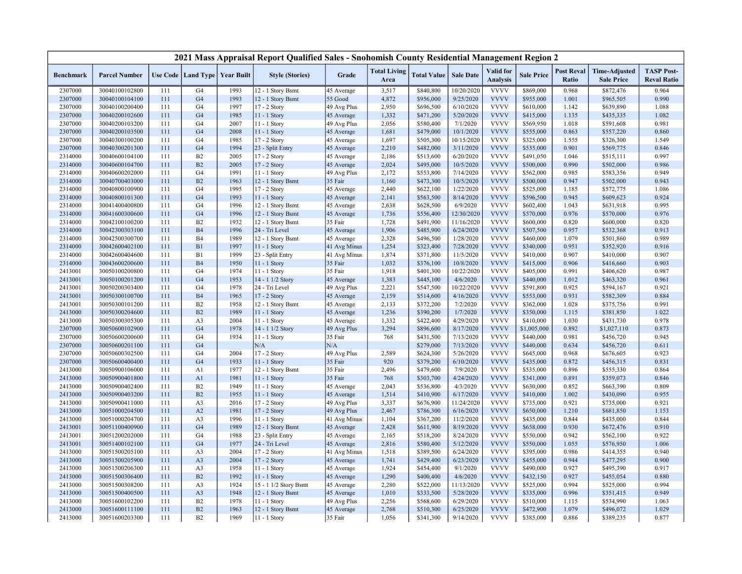|                    |                      |            |                                   |              | 2021 Mass Appraisal Report Qualified Sales - Snohomish County Residential Management Region 2 |                            |                             |                        |                      |                                     |                        |                            |                                           |                                         |
|--------------------|----------------------|------------|-----------------------------------|--------------|-----------------------------------------------------------------------------------------------|----------------------------|-----------------------------|------------------------|----------------------|-------------------------------------|------------------------|----------------------------|-------------------------------------------|-----------------------------------------|
| <b>Benchmark</b>   | <b>Parcel Number</b> |            | Use Code   Land Type   Year Built |              | <b>Style (Stories)</b>                                                                        | Grade                      | <b>Total Living</b><br>Area | <b>Total Value</b>     | <b>Sale Date</b>     | <b>Valid</b> for<br><b>Analysis</b> | <b>Sale Price</b>      | <b>Post Reval</b><br>Ratio | <b>Time-Adjusted</b><br><b>Sale Price</b> | <b>TASP Post-</b><br><b>Reval Ratio</b> |
| 2307000            | 30040100102800       | 111        | G4                                | 1993         | 12 - 1 Story Bsmt                                                                             | 45 Average                 | 3,517                       | \$840,800              | 10/20/2020           | <b>VVVV</b>                         | \$869,000              | 0.968                      | \$872,476                                 | 0.964                                   |
| 2307000            | 30040100104100       | 111        | G <sub>4</sub>                    | 1993         | 12 - 1 Story Bsmt                                                                             | 55 Good                    | 4,872                       | \$956,000              | 9/25/2020            | <b>VVVV</b>                         | \$955,000              | 1.001                      | \$965,505                                 | 0.990                                   |
| 2307000            | 30040100200400       | 111        | G <sub>4</sub>                    | 1997         | 17 - 2 Story                                                                                  | 49 Avg Plus                | 2,950                       | \$696,500              | 6/10/2020            | <b>VVVV</b>                         | \$610,000              | 1.142                      | \$639,890                                 | 1.088                                   |
| 2307000            | 30040200102600       | 111        | G <sub>4</sub>                    | 1985         | 11 - 1 Story                                                                                  | 45 Average                 | 1,332                       | \$471,200              | 5/20/2020            | <b>VVVV</b>                         | \$415,000              | 1.135                      | \$435,335                                 | 1.082                                   |
| 2307000            | 30040200103200       | 111        | G <sub>4</sub>                    | 2007         | 11 - 1 Story                                                                                  | 49 Avg Plus                | 2,056                       | \$580,400              | 7/1/2020             | <b>VVVV</b>                         | \$569,950              | 1.018                      | \$591,608                                 | 0.981                                   |
| 2307000            | 30040200103500       | 111        | G <sub>4</sub>                    | 2008         | 11 - 1 Story                                                                                  | 45 Average                 | 1,681                       | \$479,000              | 10/1/2020            | <b>VVVV</b>                         | \$555,000              | 0.863                      | \$557,220                                 | 0.860                                   |
| 2307000            | 30040300100200       | 111        | G <sub>4</sub>                    | 1985         | 17 - 2 Story                                                                                  | 45 Average                 | 1,697                       | \$505,300              | 10/15/2020           | <b>VVVV</b>                         | \$325,000              | 1.555                      | \$326,300                                 | 1.549                                   |
| 2307000            | 30040300201300       | 111        | G <sub>4</sub>                    | 1994         | 23 - Split Entry                                                                              | 45 Average                 | 2,210                       | \$482,000              | 3/11/2020            | <b>VVVV</b>                         | \$535,000              | 0.901                      | \$569,775                                 | 0.846                                   |
| 2314000            | 30040600104100       | 111        | <b>B2</b>                         | 2005         | 17 - 2 Story                                                                                  | 45 Average                 | 2,186                       | \$513,600              | 6/20/2020            | <b>VVVV</b>                         | \$491,050              | 1.046                      | \$515,111                                 | 0.997                                   |
| 2314000            | 30040600104700       | 111        | B2                                | 2005         | 17 - 2 Story                                                                                  | 45 Average                 | 2,024                       | \$495,000              | 10/5/2020            | <b>VVVV</b>                         | \$500,000              | 0.990                      | \$502,000                                 | 0.986                                   |
| 2314000            | 30040600202000       | 111        | G <sub>4</sub>                    | 1991         | 11 - 1 Story                                                                                  | 49 Avg Plus                | 2,172                       | \$553,800              | 7/14/2020            | <b>VVVV</b>                         | \$562,000              | 0.985                      | \$583,356                                 | 0.949                                   |
| 2314000            | 30040700403000       | 111        | B2                                | 1963         | 12 - 1 Story Bsmt                                                                             | 35 Fair                    | 1,160                       | \$473,300              | 10/5/2020            | <b>VVVV</b>                         | \$500,000              | 0.947                      | \$502,000                                 | 0.943                                   |
| 2314000            | 30040800100900       | 111        | G <sub>4</sub>                    | 1995         | 17 - 2 Story                                                                                  | 45 Average                 | 2,440                       | \$622,100              | 1/22/2020            | <b>VVVV</b>                         | \$525,000              | 1.185                      | \$572,775                                 | 1.086                                   |
| 2314000            | 30040800101300       | 111        | G <sub>4</sub>                    | 1993         | $11 - 1$ Story                                                                                | 45 Average                 | 2,141                       | \$563,500              | 8/14/2020            | <b>VVVV</b>                         | \$596,500              | 0.945                      | \$609,623                                 | 0.924                                   |
| 2314000            | 30041400400800       | 111        | G <sub>4</sub>                    | 1996         | 12 - 1 Story Bsmt                                                                             | 45 Average                 | 2,638                       | \$628,500              | 6/9/2020             | <b>VVVV</b>                         | \$602,400              | 1.043                      | \$631,918                                 | 0.995                                   |
| 2314000            | 30041600300600       | 111        | G <sub>4</sub>                    | 1996         | 12 - 1 Story Bsmt                                                                             | 45 Average                 | 1,736                       | \$556,400              | 12/30/2020           | <b>VVVV</b>                         | \$570,000              | 0.976                      | \$570,000                                 | 0.976                                   |
| 2314000            | 30042100100200       | 111        | B2                                | 1932         | 12 - 1 Story Bsmt                                                                             | 35 Fair                    | 1,728                       | \$491,900              | 11/16/2020           | <b>VVVV</b>                         | \$600,000              | 0.820                      | \$600,000                                 | 0.820                                   |
| 2314000            | 30042300303100       | 111        | <b>B4</b>                         | 1996         | 24 - Tri Level                                                                                | 45 Average                 | 1,906                       | \$485,900              | 6/24/2020            | <b>VVVV</b>                         | \$507,500              | 0.957                      | \$532,368                                 | 0.913                                   |
| 2314000            | 30042500300700       | 111        | <b>B4</b>                         | 1989         | 12 - 1 Story Bsmt                                                                             | 45 Average                 | 2,328                       | \$496,500              | 1/28/2020            | <b>VVVV</b>                         | \$460,000              | 1.079                      | \$501,860                                 | 0.989                                   |
| 2314000            | 30042600402100       | 111        | B1                                | 1997         | 11 - 1 Story                                                                                  | 41 Avg Minus               | 1,254                       | \$323,400              | 7/28/2020            | <b>VVVV</b>                         | \$340,000              | 0.951                      | \$352,920                                 | 0.916                                   |
| 2314000            | 30042600404600       | 111        | B1                                | 1999         | 23 - Split Entry                                                                              | 41 Avg Minus               | 1,874                       | \$371,800              | 11/5/2020            | <b>VVVV</b>                         | \$410,000              | 0.907                      | \$410,000                                 | 0.907                                   |
| 2314000            | 30043600200600       | 111        | <b>B4</b>                         | 1950         | 11 - 1 Story                                                                                  | 35 Fair                    | 1,032                       | \$376,100              | 10/8/2020            | <b>VVVV</b>                         | \$415,000              | 0.906                      | \$416,660                                 | 0.903                                   |
| 2413001            | 30050100200800       | 111        | G <sub>4</sub>                    | 1974         | 11 - 1 Story                                                                                  | 35 Fair                    | 1,918                       | \$401,300              | 10/22/2020           | <b>VVVV</b>                         | \$405,000              | 0.991                      | \$406,620                                 | 0.987                                   |
| 2413001            | 30050100201200       | 111        | G <sub>4</sub>                    | 1953         | 14 - 1 1/2 Story                                                                              | 45 Average                 | 1,383                       | \$445,100              | 4/6/2020             | <b>VVVV</b>                         | \$440,000              | 1.012                      | \$463,320                                 | 0.961                                   |
| 2413001            | 30050200303400       | 111        | G <sub>4</sub>                    | 1978         | 24 - Tri Level                                                                                | 49 Avg Plus                | 2,221                       | \$547,500              | 10/22/2020           | <b>VVVV</b>                         | \$591,800              | 0.925                      | \$594,167                                 | 0.921                                   |
| 2413001            | 30050300100700       | 111        | <b>B4</b>                         | 1965         | 17 - 2 Story                                                                                  | 45 Average                 | 2,159                       | \$514,600              | 4/16/2020            | <b>VVVV</b>                         | \$553,000              | 0.931                      | \$582,309                                 | 0.884                                   |
| 2413001            | 30050300101200       | 111        | B2                                | 1958         | 12 - 1 Story Bsmt                                                                             | 45 Average                 | 2,133                       | \$372,200              | 7/2/2020             | <b>VVVV</b>                         | \$362,000              | 1.028                      | \$375,756                                 | 0.991                                   |
| 2413000            | 30050300204600       | 111        | B2                                | 1989         | 11 - 1 Story                                                                                  | 45 Average                 | 1,236                       | \$390,200              | 1/7/2020             | <b>VVVV</b>                         | \$350,000              | 1.115                      | \$381,850                                 | 1.022                                   |
| 2413000            | 30050300305300       | 111        | A <sub>3</sub>                    | 2004         | 11 - 1 Story                                                                                  | 45 Average                 | 1,332                       | \$422,400              | 4/29/2020            | <b>VVVV</b>                         | \$410,000              | 1.030                      | \$431,730                                 | 0.978                                   |
| 2307000            | 30050600102900       | 111        | G <sub>4</sub>                    | 1978         | 14 - 1 1/2 Story                                                                              | 49 Avg Plus                | 3,294                       | \$896,600              | 8/17/2020            | <b>VVVV</b>                         | \$1,005,000            | 0.892                      | \$1,027,110                               | 0.873                                   |
| 2307000            | 30050600200600       | 111        | G <sub>4</sub>                    | 1934         | 11 - 1 Story                                                                                  | 35 Fair                    | 768                         | \$431,500              | 7/13/2020            | <b>VVVV</b>                         | \$440,000              | 0.981                      | \$456,720                                 | 0.945                                   |
| 2307000            | 30050600201100       | 111        | G <sub>4</sub>                    |              | N/A                                                                                           | N/A                        |                             | \$279,000              | 7/13/2020            | <b>VVVV</b>                         | \$440,000              | 0.634                      | \$456,720                                 | 0.611                                   |
| 2307000            | 30050600302500       | 111        | G <sub>4</sub>                    | 2004         | 17 - 2 Story                                                                                  | 49 Avg Plus                | 2,589                       | \$624,300              | 5/26/2020            | <b>VVVV</b>                         | \$645,000              | 0.968                      | \$676,605                                 | 0.923                                   |
| 2307000            | 30050600400400       | 111        | G <sub>4</sub>                    | 1933         | 11 - 1 Story                                                                                  | 35 Fair                    | 920                         | \$379,200              | 6/10/2020            | <b>VVVV</b>                         | \$435,000              | 0.872                      | \$456,315                                 | 0.831                                   |
| 2413000            | 30050900106000       | 111        | A1                                | 1977         | 12 - 1 Story Bsmt                                                                             | 35 Fair                    | 2,496                       | \$479,600              | 7/9/2020             | <b>VVVV</b>                         | \$535,000              | 0.896                      | \$555,330                                 | 0.864                                   |
| 2413000            | 30050900401800       | 111        | A1                                | 1981         | 11 - 1 Story                                                                                  | 35 Fair                    | 768                         | \$303,700              | 4/24/2020            | <b>VVVV</b>                         | \$341,000              | 0.891                      | \$359,073                                 | 0.846                                   |
| 2413000            | 30050900402400       | 111        | B2                                | 1949         | 11 - 1 Story                                                                                  | 45 Average                 | 2,043                       | \$536,800              | 4/3/2020             | <b>VVVV</b>                         | \$630,000              | 0.852                      | \$663,390                                 | 0.809                                   |
| 2413000            | 30050900403200       | 111        | B2                                | 1955         | 11 - 1 Story                                                                                  | 45 Average                 | 1,514                       | \$410,900              | 6/17/2020            | <b>VVVV</b>                         | \$410,000              | 1.002                      | \$430,090                                 | 0.955                                   |
| 2413000            | 30050900411000       | 111        | A <sub>3</sub>                    | 2016         | $17 - 2$ Story                                                                                | 49 Avg Plus                | 3,337                       | \$676,900              | 11/24/2020           | <b>VVVV</b>                         | \$735,000              | 0.921                      | \$735,000                                 | 0.921                                   |
| 2413000            | 30051000204500       | 111        | A2                                | 1981         | 17 - 2 Story                                                                                  | 49 Avg Plus                | 2,467                       | \$786,300              | 6/16/2020            | <b>VVVV</b>                         | \$650,000              | 1.210                      | \$681,850                                 | 1.153                                   |
| 2413000            | 30051000204700       | 111        | A <sub>3</sub>                    | 1996         | 11 - 1 Story                                                                                  | 41 Avg Minus               | 1,104                       | \$367,200              | 11/2/2020            | <b>VVVV</b>                         | \$435,000              | 0.844                      | \$435,000                                 | 0.844                                   |
| 2413001            | 30051100400900       | 111        | G <sub>4</sub>                    | 1989         | 12 - 1 Story Bsmt                                                                             | 45 Average                 | 2,428                       | \$611,900              | 8/19/2020            | <b>VVVV</b>                         | \$658,000              | 0.930                      | \$672,476                                 | 0.910                                   |
| 2413001            | 30051200202000       | 111        | G <sub>4</sub>                    | 1988         | 23 - Split Entry                                                                              | 45 Average                 | 2,165                       | \$518,200              | 8/24/2020            | <b>VVVV</b>                         | \$550,000              | 0.942                      | \$562,100                                 | 0.922                                   |
| 2413001            | 30051400102100       | 111        | G <sub>4</sub>                    | 1977         | 24 - Tri Level                                                                                | 45 Average                 | 2,816                       | \$580,400              | 5/12/2020            | <b>VVVV</b>                         | \$550,000              | 1.055                      | \$576,950                                 | 1.006                                   |
|                    | 30051500205100       | 111        | A <sub>3</sub>                    | 2004         |                                                                                               |                            |                             |                        | 6/24/2020            | <b>VVVV</b>                         |                        | 0.986                      |                                           | 0.940                                   |
| 2413000<br>2413000 | 30051500205900       | 111        | A <sub>3</sub>                    | 2004         | 17 - 2 Story<br>17 - 2 Story                                                                  | 41 Avg Minus<br>45 Average | 1,518<br>1,741              | \$389,500<br>\$429,400 | 6/23/2020            | <b>VVVV</b>                         | \$395,000<br>\$455,000 | 0.944                      | \$414,355<br>\$477,295                    | 0.900                                   |
|                    |                      |            |                                   |              |                                                                                               |                            |                             |                        |                      | <b>VVVV</b>                         |                        | 0.927                      |                                           |                                         |
| 2413000            | 30051500206300       | 111<br>111 | A <sub>3</sub><br>B2              | 1958<br>1992 | 11 - 1 Story                                                                                  | 45 Average                 | 1,924<br>1,290              | \$454,400              | 9/1/2020<br>4/6/2020 | <b>VVVV</b>                         | \$490,000              | 0.927                      | \$495,390                                 | 0.917<br>0.880                          |
| 2413000            | 30051500306400       |            |                                   |              | 11 - 1 Story                                                                                  | 45 Average                 |                             | \$400,400              |                      |                                     | \$432,150              |                            | \$455,054                                 |                                         |
| 2413000            | 30051500308200       | 111        | A <sub>3</sub>                    | 1924         | 15 - 1 1/2 Story Bsmt                                                                         | 45 Average                 | 2,280                       | \$522,000              | 11/13/2020           | <b>VVVV</b><br><b>VVVV</b>          | \$525,000              | 0.994                      | \$525,000                                 | 0.994                                   |
| 2413000            | 30051500400500       | 111        | A <sub>3</sub>                    | 1948         | 12 - 1 Story Bsmt                                                                             | 45 Average                 | 1,010                       | \$333,500              | 5/28/2020            | <b>VVVV</b>                         | \$335,000              | 0.996                      | \$351,415                                 | 0.949                                   |
| 2413000            | 30051600102200       | 111        | B2                                | 1978         | 11 - 1 Story                                                                                  | 49 Avg Plus                | 2,256                       | \$568,600              | 6/29/2020            | <b>VVVV</b>                         | \$510,000              | 1.115                      | \$534,990                                 | 1.063                                   |
| 2413000            | 30051600111100       | 111        | B2                                | 1963         | 12 - 1 Story Bsmt                                                                             | 45 Average                 | 2,768                       | \$510,300              | 6/25/2020            | <b>VVVV</b>                         | \$472,900              | 1.079                      | \$496,072                                 | 1.029                                   |
| 2413000            | 30051600203300       | 111        | B <sub>2</sub>                    | 1969         | 11 - 1 Story                                                                                  | 35 Fair                    | 1,056                       | \$341,300              | 9/14/2020            |                                     | \$385,000              | 0.886                      | \$389,235                                 | 0.877                                   |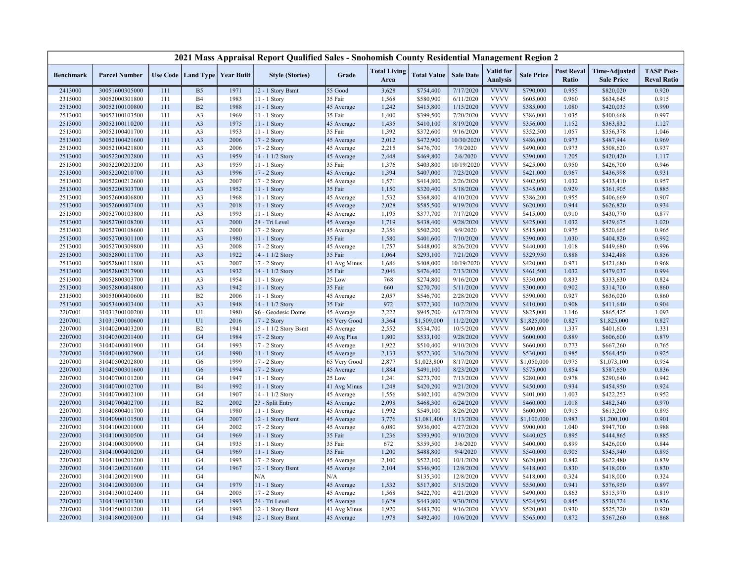|                    |                                  |            |                                   |              | 2021 Mass Appraisal Report Qualified Sales - Snohomish County Residential Management Region 2 |                           |                             |                          |                        |                                     |                          |                            |                                           |                                         |
|--------------------|----------------------------------|------------|-----------------------------------|--------------|-----------------------------------------------------------------------------------------------|---------------------------|-----------------------------|--------------------------|------------------------|-------------------------------------|--------------------------|----------------------------|-------------------------------------------|-----------------------------------------|
| <b>Benchmark</b>   | <b>Parcel Number</b>             |            | Use Code   Land Type   Year Built |              | <b>Style (Stories)</b>                                                                        | Grade                     | <b>Total Living</b><br>Area | <b>Total Value</b>       | <b>Sale Date</b>       | <b>Valid</b> for<br><b>Analysis</b> | <b>Sale Price</b>        | <b>Post Reval</b><br>Ratio | <b>Time-Adjusted</b><br><b>Sale Price</b> | <b>TASP Post-</b><br><b>Reval Ratio</b> |
| 2413000            | 30051600305000                   | 111        | B <sub>5</sub>                    | 1971         | 12 - 1 Story Bsmt                                                                             | 55 Good                   | 3,628                       | \$754,400                | 7/17/2020              | <b>VVVV</b>                         | \$790,000                | 0.955                      | \$820,020                                 | 0.920                                   |
| 2315000            | 30052000301800                   | 111        | <b>B4</b>                         | 1983         | 11 - 1 Story                                                                                  | 35 Fair                   | 1,568                       | \$580,900                | 6/11/2020              | <b>VVVV</b>                         | \$605,000                | 0.960                      | \$634,645                                 | 0.915                                   |
| 2513000            | 30052100100800                   | 111        | B <sub>2</sub>                    | 1988         | 11 - 1 Story                                                                                  | 45 Average                | 1,242                       | \$415,800                | 1/15/2020              | <b>VVVV</b>                         | \$385,000                | 1.080                      | \$420,035                                 | 0.990                                   |
| 2513000            | 30052100103500                   | 111        | A <sub>3</sub>                    | 1969         | 11 - 1 Story                                                                                  | 35 Fair                   | 1,400                       | \$399,500                | 7/20/2020              | <b>VVVV</b>                         | \$386,000                | 1.035                      | \$400,668                                 | 0.997                                   |
| 2513000            | 30052100110200                   | 111        | A <sub>3</sub>                    | 1975         | 11 - 1 Story                                                                                  | 45 Average                | 1,435                       | \$410,100                | 8/19/2020              | <b>VVVV</b>                         | \$356,000                | 1.152                      | \$363,832                                 | 1.127                                   |
| 2513000            | 30052100401700                   | 111        | A <sub>3</sub>                    | 1953         | $11 - 1$ Story                                                                                | 35 Fair                   | 1,392                       | \$372,600                | 9/16/2020              | <b>VVVV</b>                         | \$352,500                | 1.057                      | \$356,378                                 | 1.046                                   |
| 2513000            | 30052100421600                   | 111        | A <sub>3</sub>                    | 2006         | 17 - 2 Story                                                                                  | 45 Average                | 2,012                       | \$472,900                | 10/30/2020             | <b>VVVV</b>                         | \$486,000                | 0.973                      | \$487,944                                 | 0.969                                   |
| 2513000            | 30052100421800                   | 111        | A <sub>3</sub>                    | 2006         | 17 - 2 Story                                                                                  | 45 Average                | 2,215                       | \$476,700                | 7/9/2020               | <b>VVVV</b>                         | \$490,000                | 0.973                      | \$508,620                                 | 0.937                                   |
| 2513000            | 30052200202800                   | 111        | A <sub>3</sub>                    | 1959         | 14 - 1 1/2 Story                                                                              | 45 Average                | 2,448                       | \$469,800                | 2/6/2020               | <b>VVVV</b>                         | \$390,000                | 1.205                      | \$420,420                                 | 1.117                                   |
| 2513000            | 30052200203200                   | 111        | A <sub>3</sub>                    | 1959         | 11 - 1 Story                                                                                  | 35 Fair                   | 1,376                       | \$403,800                | 10/19/2020             | <b>VVVV</b>                         | \$425,000                | 0.950                      | \$426,700                                 | 0.946                                   |
| 2513000            | 30052200210700                   | 111        | A <sub>3</sub>                    | 1996         | 17 - 2 Story                                                                                  | 45 Average                | 1,394                       | \$407,000                | 7/23/2020              | <b>VVVV</b>                         | \$421,000                | 0.967                      | \$436,998                                 | 0.931                                   |
| 2513000            | 30052200212600                   | 111        | A <sub>3</sub>                    | 2007         | 17 - 2 Story                                                                                  | 45 Average                | 1,571                       | \$414,800                | 2/26/2020              | <b>VVVV</b>                         | \$402,050                | 1.032                      | \$433,410                                 | 0.957                                   |
| 2513000            | 30052200303700                   | 111        | A <sub>3</sub>                    | 1952         | $11 - 1$ Story                                                                                | 35 Fair                   | 1,150                       | \$320,400                | 5/18/2020              | <b>VVVV</b>                         | \$345,000                | 0.929                      | \$361,905                                 | 0.885                                   |
| 2513000            | 30052600406800                   | 111        | A <sub>3</sub>                    | 1968         | 11 - 1 Story                                                                                  | 45 Average                | 1,532                       | \$368,800                | 4/10/2020              | <b>VVVV</b>                         | \$386,200                | 0.955                      | \$406,669                                 | 0.907                                   |
| 2513000            | 30052600407400                   | 111        | A <sub>3</sub>                    | 2018         | 11 - 1 Story                                                                                  | 45 Average                | 2,028                       | \$585,500                | 9/19/2020              | <b>VVVV</b>                         | \$620,000                | 0.944                      | \$626,820                                 | 0.934                                   |
| 2513000            | 30052700103800                   | 111        | A <sub>3</sub>                    | 1993         | $11 - 1$ Story                                                                                | 45 Average                | 1,195                       | \$377,700                | 7/17/2020              | <b>VVVV</b>                         | \$415,000                | 0.910                      | \$430,770                                 | 0.877                                   |
| 2513000            | 30052700108200                   | 111        | A <sub>3</sub>                    | 2000         | 24 - Tri Level                                                                                | 45 Average                | 1,719                       | \$438,400                | 9/28/2020              | <b>VVVV</b>                         | \$425,000                | 1.032                      | \$429,675                                 | 1.020                                   |
| 2513000            | 30052700108600                   | 111        | A <sub>3</sub>                    | 2000         | 17 - 2 Story                                                                                  | 45 Average                | 2,356                       | \$502,200                | 9/9/2020               | <b>VVVV</b>                         | \$515,000                | 0.975                      | \$520,665                                 | 0.965                                   |
| 2513000            | 30052700301100                   | 111        | A <sub>3</sub>                    | 1980         | $11 - 1$ Story                                                                                | 35 Fair                   | 1,580                       | \$401,600                | 7/10/2020              | <b>VVVV</b>                         | \$390,000                | 1.030                      | \$404,820                                 | 0.992                                   |
| 2513000            | 30052700309800                   | 111        | A <sub>3</sub>                    | 2008         | $17 - 2$ Story                                                                                | 45 Average                | 1,757                       | \$448,000                | 8/26/2020              | <b>VVVV</b>                         | \$440,000                | 1.018                      | \$449,680                                 | 0.996                                   |
| 2513000            | 30052800111700                   | 111        | A <sub>3</sub>                    | 1922         | 14 - 1 1/2 Story                                                                              | 35 Fair                   | 1,064                       | \$293,100                | 7/21/2020              | <b>VVVV</b>                         | \$329,950                | 0.888                      | \$342,488                                 | 0.856                                   |
| 2513000            | 30052800111800                   | 111        | A <sub>3</sub>                    | 2007         | 17 - 2 Story                                                                                  | 41 Avg Minus              | 1,686                       | \$408,000                | 10/19/2020             | <b>VVVV</b>                         | \$420,000                | 0.971                      | \$421,680                                 | 0.968                                   |
| 2513000            | 30052800217900                   | 111        | A <sub>3</sub>                    | 1932         | 14 - 1 1/2 Story                                                                              | 35 Fair                   | 2,046                       | \$476,400                | 7/13/2020              | <b>VVVV</b>                         | \$461,500                | 1.032                      | \$479,037                                 | 0.994                                   |
| 2513000            | 30052800303700                   | 111        | A <sub>3</sub>                    | 1954         | 11 - 1 Story                                                                                  | 25 Low                    | 768                         | \$274,800                | 9/16/2020              | <b>VVVV</b><br><b>VVVV</b>          | \$330,000                | 0.833                      | \$333,630                                 | 0.824                                   |
| 2513000            | 30052800404800                   | 111        | A <sub>3</sub>                    | 1942         | 11 - 1 Story                                                                                  | 35 Fair                   | 660                         | \$270,700                | 5/11/2020              | <b>VVVV</b>                         | \$300,000                | 0.902                      | \$314,700                                 | 0.860                                   |
| 2315000            | 30053000400600                   | 111        | B2                                | 2006         | 11 - 1 Story                                                                                  | 45 Average                | 2,057                       | \$546,700                | 2/28/2020              |                                     | \$590,000                | 0.927                      | \$636,020                                 | 0.860                                   |
| 2513000            | 30053400403400                   | 111        | A <sub>3</sub><br>U1              | 1948<br>1980 | 14 - 1 1/2 Story                                                                              | 35 Fair                   | 972<br>2,222                | \$372,300                | 10/2/2020              | <b>VVVV</b><br><b>VVVV</b>          | \$410,000                | 0.908<br>1.146             | \$411,640                                 | 0.904                                   |
| 2207001            | 31031300100200                   | 111        | U1                                |              | 96 - Geodesic Dome                                                                            | 45 Average                | 3,364                       | \$945,700<br>\$1,509,000 | 6/17/2020<br>11/2/2020 | <b>VVVV</b>                         | \$825,000<br>\$1,825,000 | 0.827                      | \$865,425                                 | 1.093<br>0.827                          |
| 2207001            | 31031300100600                   | 111        | B2                                | 2016<br>1941 | 17 - 2 Story                                                                                  | 65 Very Good              |                             |                          |                        | <b>VVVV</b>                         | \$400,000                | 1.337                      | \$1,825,000<br>\$401,600                  |                                         |
| 2207000<br>2207000 | 31040200403200<br>31040300201400 | 111<br>111 | G <sub>4</sub>                    | 1984         | 15 - 1 1/2 Story Bsmt<br>17 - 2 Story                                                         | 45 Average                | 2,552<br>1,800              | \$534,700                | 10/5/2020<br>9/28/2020 | <b>VVVV</b>                         | \$600,000                | 0.889                      | \$606,600                                 | 1.331<br>0.879                          |
| 2207000            | 31040400401900                   | 111        | G <sub>4</sub>                    | 1993         | 17 - 2 Story                                                                                  | 49 Avg Plus<br>45 Average | 1,922                       | \$533,100<br>\$510,400   | 9/10/2020              | <b>VVVV</b>                         | \$660,000                | 0.773                      | \$667,260                                 | 0.765                                   |
| 2207000            | 31040400402900                   | 111        | G <sub>4</sub>                    | 1990         | 11 - 1 Story                                                                                  | 45 Average                | 2,133                       | \$522,300                | 3/16/2020              | <b>VVVV</b>                         | \$530,000                | 0.985                      | \$564,450                                 | 0.925                                   |
| 2207000            | 31040500202800                   | 111        | G <sub>6</sub>                    | 1999         | $17 - 2$ Story                                                                                | 65 Very Good              | 2,877                       | \$1,023,800              | 8/17/2020              | <b>VVVV</b>                         | \$1,050,000              | 0.975                      | \$1,073,100                               | 0.954                                   |
| 2207000            | 31040500301600                   | 111        | G <sub>6</sub>                    | 1994         | 17 - 2 Story                                                                                  | 45 Average                | 1,884                       | \$491,100                | 8/23/2020              | <b>VVVV</b>                         | \$575,000                | 0.854                      | \$587,650                                 | 0.836                                   |
| 2207000            | 31040700101200                   | 111        | G <sub>4</sub>                    | 1947         | 11 - 1 Story                                                                                  | 25 Low                    | 1,241                       | \$273,700                | 7/13/2020              | <b>VVVV</b>                         | \$280,000                | 0.978                      | \$290,640                                 | 0.942                                   |
| 2207000            | 31040700102700                   | 111        | <b>B4</b>                         | 1992         | $11 - 1$ Story                                                                                | 41 Avg Minus              | 1,248                       | \$420,200                | 9/21/2020              | <b>VVVV</b>                         | \$450,000                | 0.934                      | \$454,950                                 | 0.924                                   |
| 2207000            | 31040700402100                   | 111        | G <sub>4</sub>                    | 1907         | 14 - 1 1/2 Story                                                                              | 45 Average                | 1,556                       | \$402,100                | 4/29/2020              | <b>VVVV</b>                         | \$401,000                | 1.003                      | \$422,253                                 | 0.952                                   |
| 2207000            | 31040700402700                   | 111        | B2                                | 2002         | 23 - Split Entry                                                                              | 45 Average                | 2,098                       | \$468,300                | 6/24/2020              | <b>VVVV</b>                         | \$460,000                | 1.018                      | \$482,540                                 | 0.970                                   |
| 2207000            | 31040800401700                   | 111        | G <sub>4</sub>                    | 1980         | 11 - 1 Story                                                                                  | 45 Average                | 1,992                       | \$549,100                | 8/26/2020              | <b>VVVV</b>                         | \$600,000                | 0.915                      | \$613,200                                 | 0.895                                   |
| 2207000            | 31040900101500                   | 111        | G <sub>4</sub>                    | 2007         | 12 - 1 Story Bsmt                                                                             | 45 Average                | 3,776                       | \$1,081,400              | 1/13/2020              | <b>VVVV</b>                         | \$1,100,000              | 0.983                      | \$1,200,100                               | 0.901                                   |
| 2207000            | 31041000201000                   | 111        | G <sub>4</sub>                    | 2002         | 17 - 2 Story                                                                                  | 45 Average                | 6,080                       | \$936,000                | 4/27/2020              | <b>VVVV</b>                         | \$900,000                | 1.040                      | \$947,700                                 | 0.988                                   |
| 2207000            | 31041000300500                   | 111        | G <sub>4</sub>                    | 1969         | 11 - 1 Story                                                                                  | 35 Fair                   | 1,236                       | \$393,900                | 9/10/2020              | <b>VVVV</b>                         | \$440,025                | 0.895                      | \$444,865                                 | 0.885                                   |
| 2207000            | 31041000300900                   | 111        | G <sub>4</sub>                    | 1935         | $11 - 1$ Story                                                                                | 35 Fair                   | 672                         | \$359,500                | 3/6/2020               | <b>VVVV</b>                         | \$400,000                | 0.899                      | \$426,000                                 | 0.844                                   |
| 2207000            | 31041000400200                   | 111        | G <sub>4</sub>                    | 1969         | 11 - 1 Story                                                                                  | 35 Fair                   | 1,200                       | \$488,800                | 9/4/2020               | <b>VVVV</b>                         | \$540,000                | 0.905                      | \$545,940                                 | 0.895                                   |
| 2207000            | 31041100201200                   | 111        | G <sub>4</sub>                    | 1993         | 17 - 2 Story                                                                                  | 45 Average                | 2,100                       | \$522,100                | 10/1/2020              | <b>VVVV</b>                         | \$620,000                | 0.842                      | \$622,480                                 | 0.839                                   |
| 2207000            | 31041200201600                   | 111        | G <sub>4</sub>                    | 1967         | 12 - 1 Story Bsmt                                                                             | 45 Average                | 2,104                       | \$346,900                | 12/8/2020              | <b>VVVV</b>                         | \$418,000                | 0.830                      | \$418,000                                 | 0.830                                   |
| 2207000            | 31041200201900                   | 111        | G <sub>4</sub>                    |              | N/A                                                                                           | N/A                       |                             | \$135,300                | 12/8/2020              | <b>VVVV</b>                         | \$418,000                | 0.324                      | \$418,000                                 | 0.324                                   |
| 2207000            | 31041200300300                   | 111        | G <sub>4</sub>                    | 1979         | $11 - 1$ Story                                                                                | 45 Average                | 1,532                       | \$517,800                | 5/15/2020              | <b>VVVV</b>                         | \$550,000                | 0.941                      | \$576,950                                 | 0.897                                   |
| 2207000            | 31041300102400                   | 111        | G <sub>4</sub>                    | 2005         | 17 - 2 Story                                                                                  | 45 Average                | 1,568                       | \$422,700                | 4/21/2020              | <b>VVVV</b>                         | \$490,000                | 0.863                      | \$515,970                                 | 0.819                                   |
| 2207000            | 31041400301300                   | 111        | G <sub>4</sub>                    | 1993         | 24 - Tri Level                                                                                | 45 Average                | 1,628                       | \$443,800                | 9/30/2020              | <b>VVVV</b>                         | \$524,950                | 0.845                      | \$530,724                                 | 0.836                                   |
| 2207000            | 31041500101200                   | 111        | G <sub>4</sub>                    | 1993         | 12 - 1 Story Bsmt                                                                             | 41 Avg Minus              | 1,920                       | \$483,700                | 9/16/2020              | <b>VVVV</b>                         | \$520,000                | 0.930                      | \$525,720                                 | 0.920                                   |
| 2207000            | 31041800200300                   | 111        | G <sub>4</sub>                    | 1948         | 12 - 1 Story Bsmt                                                                             | 45 Average                | 1,978                       | \$492,400                | 10/6/2020              | <b>VVVV</b>                         | \$565,000                | 0.872                      | \$567,260                                 | 0.868                                   |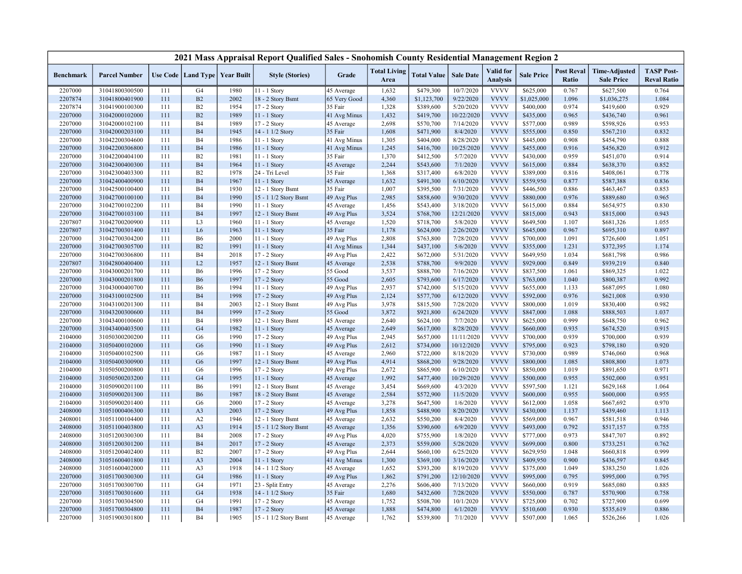|                  |                      |     |                      |                   | 2021 Mass Appraisal Report Qualified Sales - Snohomish County Residential Management Region 2 |              |                             |                    |                  |                                     |                   |                            |                                           |                                         |
|------------------|----------------------|-----|----------------------|-------------------|-----------------------------------------------------------------------------------------------|--------------|-----------------------------|--------------------|------------------|-------------------------------------|-------------------|----------------------------|-------------------------------------------|-----------------------------------------|
| <b>Benchmark</b> | <b>Parcel Number</b> |     | Use Code   Land Type | <b>Year Built</b> | <b>Style (Stories)</b>                                                                        | Grade        | <b>Total Living</b><br>Area | <b>Total Value</b> | <b>Sale Date</b> | <b>Valid</b> for<br><b>Analysis</b> | <b>Sale Price</b> | <b>Post Reval</b><br>Ratio | <b>Time-Adjusted</b><br><b>Sale Price</b> | <b>TASP Post-</b><br><b>Reval Ratio</b> |
| 2207000          | 31041800300500       | 111 | G4                   | 1980              | 11 - 1 Story                                                                                  | 45 Average   | 1,632                       | \$479,300          | 10/7/2020        | <b>VVVV</b>                         | \$625,000         | 0.767                      | \$627,500                                 | 0.764                                   |
| 2207874          | 31041800401900       | 111 | B2                   | 2002              | 18 - 2 Story Bsmt                                                                             | 65 Very Good | 4,360                       | \$1,123,700        | 9/22/2020        | <b>VVVV</b>                         | \$1,025,000       | 1.096                      | \$1,036,275                               | 1.084                                   |
| 2207874          | 31041900100300       | 111 | B <sub>2</sub>       | 1954              | 17 - 2 Story                                                                                  | 35 Fair      | 1,328                       | \$389,600          | 5/20/2020        | <b>VVVV</b>                         | \$400,000         | 0.974                      | \$419,600                                 | 0.929                                   |
| 2207000          | 31042000102000       | 111 | B2                   | 1989              | 11 - 1 Story                                                                                  | 41 Avg Minus | 1,432                       | \$419,700          | 10/22/2020       | <b>VVVV</b>                         | \$435,000         | 0.965                      | \$436,740                                 | 0.961                                   |
| 2207000          | 31042000102100       | 111 | <b>B4</b>            | 1989              | 17 - 2 Story                                                                                  | 45 Average   | 2,698                       | \$570,700          | 7/14/2020        | <b>VVVV</b>                         | \$577,000         | 0.989                      | \$598,926                                 | 0.953                                   |
| 2207000          | 31042000203100       | 111 | <b>B4</b>            | 1945              | 14 - 1 1/2 Story                                                                              | 35 Fair      | 1,608                       | \$471,900          | 8/4/2020         | <b>VVVV</b>                         | \$555,000         | 0.850                      | \$567,210                                 | 0.832                                   |
| 2207000          | 31042200304600       | 111 | <b>B4</b>            | 1986              | 11 - 1 Story                                                                                  | 41 Avg Minus | 1,305                       | \$404,000          | 8/28/2020        | <b>VVVV</b>                         | \$445,000         | 0.908                      | \$454,790                                 | 0.888                                   |
| 2207000          | 31042200306800       | 111 | <b>B4</b>            | 1986              | $11 - 1$ Story                                                                                | 41 Avg Minus | 1,245                       | \$416,700          | 10/25/2020       | <b>VVVV</b>                         | \$455,000         | 0.916                      | \$456,820                                 | 0.912                                   |
| 2207000          | 31042200404100       | 111 | B <sub>2</sub>       | 1981              | 11 - 1 Story                                                                                  | 35 Fair      | 1,370                       | \$412,500          | 5/7/2020         | <b>VVVV</b>                         | \$430,000         | 0.959                      | \$451,070                                 | 0.914                                   |
| 2207000          | 31042300400300       | 111 | <b>B4</b>            | 1964              | $11 - 1$ Story                                                                                | 45 Average   | 2,244                       | \$543,600          | 7/1/2020         | <b>VVVV</b>                         | \$615,000         | 0.884                      | \$638,370                                 | 0.852                                   |
| 2207000          | 31042300403300       | 111 | B2                   | 1978              | 24 - Tri Level                                                                                | 35 Fair      | 1,368                       | \$317,400          | 6/8/2020         | <b>VVVV</b>                         | \$389,000         | 0.816                      | \$408,061                                 | 0.778                                   |
| 2207000          | 31042400400900       | 111 | <b>B4</b>            | 1967              | $11 - 1$ Story                                                                                | 45 Average   | 1,632                       | \$491,300          | 6/10/2020        | <b>VVVV</b>                         | \$559,950         | 0.877                      | \$587,388                                 | 0.836                                   |
| 2207000          | 31042500100400       | 111 | <b>B4</b>            | 1930              | 12 - 1 Story Bsmt                                                                             | 35 Fair      | 1,007                       | \$395,500          | 7/31/2020        | <b>VVVV</b>                         | \$446,500         | 0.886                      | \$463,467                                 | 0.853                                   |
| 2207000          | 31042700100100       | 111 | <b>B4</b>            | 1990              | 15 - 1 1/2 Story Bsmt                                                                         | 49 Avg Plus  | 2,985                       | \$858,600          | 9/30/2020        | <b>VVVV</b>                         | \$880,000         | 0.976                      | \$889,680                                 | 0.965                                   |
| 2207000          | 31042700102200       | 111 | <b>B4</b>            | 1990              | 11 - 1 Story                                                                                  | 45 Average   | 1,456                       | \$543,400          | 3/18/2020        | <b>VVVV</b>                         | \$615,000         | 0.884                      | \$654,975                                 | 0.830                                   |
| 2207000          | 31042700103100       | 111 | <b>B4</b>            | 1997              | 12 - 1 Story Bsmt                                                                             | 49 Avg Plus  | 3,524                       | \$768,700          | 12/21/2020       | <b>VVVV</b>                         | \$815,000         | 0.943                      | \$815,000                                 | 0.943                                   |
| 2207807          | 31042700200900       | 111 | L <sub>3</sub>       | 1960              | 11 - 1 Story                                                                                  | 45 Average   | 1,520                       | \$718,700          | 5/8/2020         | <b>VVVV</b>                         | \$649,500         | 1.107                      | \$681,326                                 | 1.055                                   |
| 2207807          | 31042700301400       | 111 | L <sub>6</sub>       | 1963              | 11 - 1 Story                                                                                  | 35 Fair      | 1,178                       | \$624,000          | 2/26/2020        | <b>VVVV</b>                         | \$645,000         | 0.967                      | \$695,310                                 | 0.897                                   |
| 2207000          | 31042700304200       | 111 | <b>B6</b>            | 2000              | 11 - 1 Story                                                                                  | 49 Avg Plus  | 2,808                       | \$763,800          | 7/28/2020        | <b>VVVV</b>                         | \$700,000         | 1.091                      | \$726,600                                 | 1.051                                   |
| 2207000          | 31042700305700       | 111 | B2                   | 1991              | $11 - 1$ Story                                                                                | 41 Avg Minus | 1,344                       | \$437,100          | 5/6/2020         | <b>VVVV</b>                         | \$355,000         | 1.231                      | \$372,395                                 | 1.174                                   |
| 2207000          | 31042700306800       | 111 | <b>B4</b>            | 2018              | 17 - 2 Story                                                                                  | 49 Avg Plus  | 2,422                       | \$672,000          | 5/31/2020        | <b>VVVV</b>                         | \$649,950         | 1.034                      | \$681,798                                 | 0.986                                   |
| 2207807          | 31042800400400       | 111 | L2                   | 1957              | 12 - 1 Story Bsmt                                                                             | 45 Average   | 2,538                       | \$788,700          | 9/9/2020         | <b>VVVV</b>                         | \$929,000         | 0.849                      | \$939,219                                 | 0.840                                   |
| 2207000          | 31043000201700       | 111 | <b>B6</b>            | 1996              | 17 - 2 Story                                                                                  | 55 Good      | 3,537                       | \$888,700          | 7/16/2020        | <b>VVVV</b>                         | \$837,500         | 1.061                      | \$869,325                                 | 1.022                                   |
| 2207000          | 31043000201800       | 111 | <b>B6</b>            | 1997              | 17 - 2 Story                                                                                  | 55 Good      | 2,605                       | \$793,600          | 6/17/2020        | <b>VVVV</b>                         | \$763,000         | 1.040                      | \$800,387                                 | 0.992                                   |
| 2207000          | 31043000400700       | 111 | <b>B6</b>            | 1994              | 11 - 1 Story                                                                                  | 49 Avg Plus  | 2,937                       | \$742,000          | 5/15/2020        | <b>VVVV</b>                         | \$655,000         | 1.133                      | \$687,095                                 | 1.080                                   |
| 2207000          | 31043100102500       | 111 | <b>B4</b>            | 1998              | 17 - 2 Story                                                                                  | 49 Avg Plus  | 2,124                       | \$577,700          | 6/12/2020        | <b>VVVV</b>                         | \$592,000         | 0.976                      | \$621,008                                 | 0.930                                   |
| 2207000          | 31043100201300       | 111 | <b>B4</b>            | 2003              | 12 - 1 Story Bsmt                                                                             | 49 Avg Plus  | 3,978                       | \$815,500          | 7/28/2020        | <b>VVVV</b>                         | \$800,000         | 1.019                      | \$830,400                                 | 0.982                                   |
| 2207000          | 31043200300600       | 111 | <b>B4</b>            | 1999              | 17 - 2 Story                                                                                  | 55 Good      | 3,872                       | \$921,800          | 6/24/2020        | <b>VVVV</b>                         | \$847,000         | 1.088                      | \$888,503                                 | 1.037                                   |
| 2207000          | 31043400100600       | 111 | <b>B4</b>            | 1989              | 12 - 1 Story Bsmt                                                                             | 45 Average   | 2,640                       | \$624,100          | 7/7/2020         | <b>VVVV</b>                         | \$625,000         | 0.999                      | \$648,750                                 | 0.962                                   |
| 2207000          | 31043400403500       | 111 | G4                   | 1982              | $11 - 1$ Story                                                                                | 45 Average   | 2,649                       | \$617,000          | 8/28/2020        | <b>VVVV</b>                         | \$660,000         | 0.935                      | \$674,520                                 | 0.915                                   |
| 2104000          | 31050300200200       | 111 | G <sub>6</sub>       | 1990              | 17 - 2 Story                                                                                  | 49 Avg Plus  | 2,945                       | \$657,000          | 11/11/2020       | <b>VVVV</b>                         | \$700,000         | 0.939                      | \$700,000                                 | 0.939                                   |
| 2104000          | 31050400102000       | 111 | G <sub>6</sub>       | 1990              | $11 - 1$ Story                                                                                | 49 Avg Plus  | 2,612                       | \$734,000          | 10/12/2020       | <b>VVVV</b>                         | \$795,000         | 0.923                      | \$798,180                                 | 0.920                                   |
| 2104000          | 31050400102500       | 111 | G <sub>6</sub>       | 1987              | $11 - 1$ Story                                                                                | 45 Average   | 2,960                       | \$722,000          | 8/18/2020        | <b>VVVV</b>                         | \$730,000         | 0.989                      | \$746,060                                 | 0.968                                   |
| 2104000          | 31050400300900       | 111 | G <sub>6</sub>       | 1997              | 12 - 1 Story Bsmt                                                                             | 49 Avg Plus  | 4,914                       | \$868,200          | 9/28/2020        | <b>VVVV</b>                         | \$800,000         | 1.085                      | \$808,800                                 | 1.073                                   |
| 2104000          | 31050500200800       | 111 | G <sub>6</sub>       | 1996              | 17 - 2 Story                                                                                  | 49 Avg Plus  | 2,672                       | \$865,900          | 6/10/2020        | <b>VVVV</b>                         | \$850,000         | 1.019                      | \$891,650                                 | 0.971                                   |
| 2104000          | 31050500203200       | 111 | G <sub>4</sub>       | 1995              | 11 - 1 Story                                                                                  | 45 Average   | 1,992                       | \$477,400          | 10/29/2020       | <b>VVVV</b>                         | \$500,000         | 0.955                      | \$502,000                                 | 0.951                                   |
| 2104000          | 31050900201100       | 111 | <b>B6</b>            | 1991              | 12 - 1 Story Bsmt                                                                             | 45 Average   | 3,454                       | \$669,600          | 4/3/2020         | <b>VVVV</b>                         | \$597,500         | 1.121                      | \$629,168                                 | 1.064                                   |
| 2104000          | 31050900201300       | 111 | <b>B6</b>            | 1987              | 18 - 2 Story Bsmt                                                                             | 45 Average   | 2,584                       | \$572,900          | 11/5/2020        | <b>VVVV</b>                         | \$600,000         | 0.955                      | \$600,000                                 | 0.955                                   |
| 2104000          | 31050900201400       | 111 | G <sub>6</sub>       | 2000              | 17 - 2 Story                                                                                  | 45 Average   | 3,278                       | \$647,500          | 1/6/2020         | <b>VVVV</b>                         | \$612,000         | 1.058                      | \$667,692                                 | 0.970                                   |
| 2408000          | 31051000406300       | 111 | A <sub>3</sub>       | 2003              | 17 - 2 Story                                                                                  | 49 Avg Plus  | 1,858                       | \$488,900          | 8/20/2020        | <b>VVVV</b>                         | \$430,000         | 1.137                      | \$439,460                                 | 1.113                                   |
| 2408001          | 31051100104400       | 111 | A2                   | 1946              | 12 - 1 Story Bsmt                                                                             | 45 Average   | 2,632                       | \$550,200          | 8/4/2020         | <b>VVVV</b>                         | \$569,000         | 0.967                      | \$581,518                                 | 0.946                                   |
| 2408000          | 31051100403800       | 111 | A3                   | 1914              | 15 - 1 1/2 Story Bsmt                                                                         | 45 Average   | 1,356                       | \$390,600          | 6/9/2020         | <b>VVVV</b>                         | \$493,000         | 0.792                      | \$517,157                                 | 0.755                                   |
| 2408000          | 31051200300300       | 111 | <b>B4</b>            | 2008              | 17 - 2 Story                                                                                  | 49 Avg Plus  | 4,020                       | \$755,900          | 1/8/2020         | <b>VVVV</b>                         | \$777,000         | 0.973                      | \$847,707                                 | 0.892                                   |
| 2408000          | 31051200301200       | 111 | <b>B4</b>            | 2017              | 17 - 2 Story                                                                                  | 45 Average   | 2,373                       | \$559,000          | 5/28/2020        | <b>VVVV</b>                         | \$699,000         | 0.800                      | \$733,251                                 | 0.762                                   |
| 2408000          | 31051200402400       | 111 | B2                   | 2007              | 17 - 2 Story                                                                                  | 49 Avg Plus  | 2,644                       | \$660,100          | 6/25/2020        | <b>VVVV</b>                         | \$629,950         | 1.048                      | \$660,818                                 | 0.999                                   |
| 2408000          | 31051600401800       | 111 | A <sub>3</sub>       | 2004              | 11 - 1 Story                                                                                  | 41 Avg Minus | 1,300                       | \$369,100          | 3/16/2020        | <b>VVVV</b>                         | \$409,950         | 0.900                      | \$436,597                                 | 0.845                                   |
| 2408000          | 31051600402000       | 111 | A3                   | 1918              | 14 - 1 1/2 Story                                                                              | 45 Average   | 1,652                       | \$393,200          | 8/19/2020        | <b>VVVV</b>                         | \$375,000         | 1.049                      | \$383,250                                 | 1.026                                   |
| 2207000          | 31051700300300       | 111 | G4                   | 1986              | 11 - 1 Story                                                                                  | 49 Avg Plus  | 1,862                       | \$791,200          | 12/10/2020       | <b>VVVV</b>                         | \$995,000         | 0.795                      | \$995,000                                 | 0.795                                   |
| 2207000          | 31051700300700       | 111 | G4                   | 1971              | 23 - Split Entry                                                                              | 45 Average   | 2,276                       | \$606,400          | 7/13/2020        | <b>VVVV</b>                         | \$660,000         | 0.919                      | \$685,080                                 | 0.885                                   |
| 2207000          | 31051700301600       | 111 | G4                   | 1938              | 14 - 1 1/2 Story                                                                              | 35 Fair      | 1,680                       | \$432,600          | 7/28/2020        | <b>VVVV</b>                         | \$550,000         | 0.787                      | \$570,900                                 | 0.758                                   |
| 2207000          | 31051700304500       | 111 | G <sub>4</sub>       | 1991              | 17 - 2 Story                                                                                  | 45 Average   | 1,752                       | \$508,700          | 10/1/2020        | <b>VVVV</b>                         | \$725,000         | 0.702                      | \$727,900                                 | 0.699                                   |
| 2207000          | 31051700304800       | 111 | <b>B4</b>            | 1987              | $17 - 2$ Story                                                                                | 45 Average   | 1,888                       | \$474,800          | 6/1/2020         | <b>VVVV</b>                         | \$510,600         | 0.930                      | \$535,619                                 | 0.886                                   |
| 2207000          | 31051900301800       | 111 | <b>B4</b>            | 1905              | 15 - 1 1/2 Story Bsmt                                                                         | 45 Average   | 1,762                       | \$539,800          | 7/1/2020         | <b>VVVV</b>                         | \$507,000         | 1.065                      | \$526,266                                 | 1.026                                   |
|                  |                      |     |                      |                   |                                                                                               |              |                             |                    |                  |                                     |                   |                            |                                           |                                         |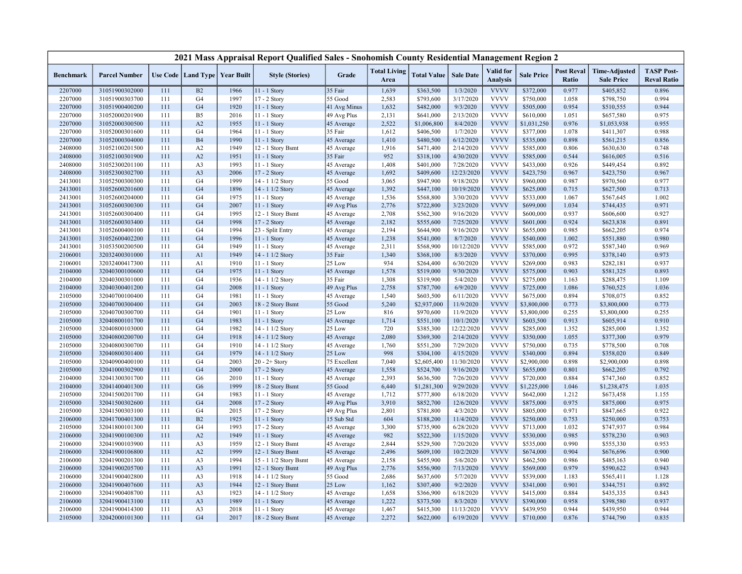|                  |                      |     |                                   |      | 2021 Mass Appraisal Report Qualified Sales - Snohomish County Residential Management Region 2 |              |                             |                    |                  |                                     |                   |                            |                                           |                                         |
|------------------|----------------------|-----|-----------------------------------|------|-----------------------------------------------------------------------------------------------|--------------|-----------------------------|--------------------|------------------|-------------------------------------|-------------------|----------------------------|-------------------------------------------|-----------------------------------------|
| <b>Benchmark</b> | <b>Parcel Number</b> |     | Use Code   Land Type   Year Built |      | <b>Style (Stories)</b>                                                                        | Grade        | <b>Total Living</b><br>Area | <b>Total Value</b> | <b>Sale Date</b> | <b>Valid</b> for<br><b>Analysis</b> | <b>Sale Price</b> | <b>Post Reval</b><br>Ratio | <b>Time-Adjusted</b><br><b>Sale Price</b> | <b>TASP Post-</b><br><b>Reval Ratio</b> |
| 2207000          | 31051900302000       | 111 | B2                                | 1966 | 11 - 1 Story                                                                                  | 35 Fair      | 1,639                       | \$363,500          | 1/3/2020         | <b>VVVV</b>                         | \$372,000         | 0.977                      | \$405,852                                 | 0.896                                   |
| 2207000          | 31051900303700       | 111 | G <sub>4</sub>                    | 1997 | 17 - 2 Story                                                                                  | 55 Good      | 2,583                       | \$793,600          | 3/17/2020        | <b>VVVV</b>                         | \$750,000         | 1.058                      | \$798,750                                 | 0.994                                   |
| 2207000          | 31051900400200       | 111 | G <sub>4</sub>                    | 1920 | $11 - 1$ Story                                                                                | 41 Avg Minus | 1,632                       | \$482,000          | 9/3/2020         | <b>VVVV</b>                         | \$505,000         | 0.954                      | \$510,555                                 | 0.944                                   |
| 2207000          | 31052000201900       | 111 | B <sub>5</sub>                    | 2016 | 11 - 1 Story                                                                                  | 49 Avg Plus  | 2,131                       | \$641,000          | 2/13/2020        | <b>VVVV</b>                         | \$610,000         | 1.051                      | \$657,580                                 | 0.975                                   |
| 2207000          | 31052000300500       | 111 | A2                                | 1955 | 11 - 1 Story                                                                                  | 45 Average   | 2,522                       | \$1,006,800        | 8/4/2020         | <b>VVVV</b>                         | \$1,031,250       | 0.976                      | \$1,053,938                               | 0.955                                   |
| 2207000          | 31052000301600       | 111 | G4                                | 1964 | $11 - 1$ Story                                                                                | 35 Fair      | 1,612                       | \$406,500          | 1/7/2020         | <b>VVVV</b>                         | \$377,000         | 1.078                      | \$411,307                                 | 0.988                                   |
| 2207000          | 31052000304000       | 111 | <b>B4</b>                         | 1990 | 11 - 1 Story                                                                                  | 45 Average   | 1,410                       | \$480,500          | 6/12/2020        | <b>VVVV</b>                         | \$535,000         | 0.898                      | \$561,215                                 | 0.856                                   |
| 2408000          | 31052100201500       | 111 | A2                                | 1949 | 12 - 1 Story Bsmt                                                                             | 45 Average   | 1,916                       | \$471,400          | 2/14/2020        | <b>VVVV</b>                         | \$585,000         | 0.806                      | \$630,630                                 | 0.748                                   |
| 2408000          | 31052100301900       | 111 | A2                                | 1951 | 11 - 1 Story                                                                                  | 35 Fair      | 952                         | \$318,100          | 4/30/2020        | <b>VVVV</b>                         | \$585,000         | 0.544                      | \$616,005                                 | 0.516                                   |
| 2408000          | 31052300201100       | 111 | A <sub>3</sub>                    | 1993 | 11 - 1 Story                                                                                  | 45 Average   | 1,408                       | \$401,000          | 7/28/2020        | <b>VVVV</b>                         | \$433,000         | 0.926                      | \$449,454                                 | 0.892                                   |
| 2408000          | 31052300302700       | 111 | A <sub>3</sub>                    | 2006 | 17 - 2 Story                                                                                  | 45 Average   | 1,692                       | \$409,600          | 12/23/2020       | <b>VVVV</b>                         | \$423,750         | 0.967                      | \$423,750                                 | 0.967                                   |
| 2413001          | 31052500300300       | 111 | G <sub>4</sub>                    | 1999 | 14 - 1 1/2 Story                                                                              | 55 Good      | 3,065                       | \$947,900          | 9/18/2020        | <b>VVVV</b>                         | \$960,000         | 0.987                      | \$970,560                                 | 0.977                                   |
| 2413001          | 31052600201600       | 111 | G <sub>4</sub>                    | 1896 | 14 - 1 1/2 Story                                                                              | 45 Average   | 1,392                       | \$447,100          | 10/19/2020       | <b>VVVV</b>                         | \$625,000         | 0.715                      | \$627,500                                 | 0.713                                   |
| 2413001          | 31052600204000       | 111 | G <sub>4</sub>                    | 1975 | 11 - 1 Story                                                                                  | 45 Average   | 1,536                       | \$568,800          | 3/30/2020        | <b>VVVV</b>                         | \$533,000         | 1.067                      | \$567,645                                 | 1.002                                   |
| 2413001          | 31052600300300       | 111 | G <sub>4</sub>                    | 2007 | $11 - 1$ Story                                                                                | 49 Avg Plus  | 2,776                       | \$722,800          | 3/23/2020        | <b>VVVV</b>                         | \$699,000         | 1.034                      | \$744,435                                 | 0.971                                   |
| 2413001          | 31052600300400       | 111 | G <sub>4</sub>                    | 1995 | 12 - 1 Story Bsmt                                                                             | 45 Average   | 2,708                       | \$562,300          | 9/16/2020        | <b>VVVV</b>                         | \$600,000         | 0.937                      | \$606,600                                 | 0.927                                   |
| 2413001          | 31052600303400       | 111 | G <sub>4</sub>                    | 1998 | 17 - 2 Story                                                                                  | 45 Average   | 2,182                       | \$555,600          | 7/25/2020        | <b>VVVV</b>                         | \$601,000         | 0.924                      | \$623,838                                 | 0.891                                   |
| 2413001          | 31052600400100       | 111 | G <sub>4</sub>                    | 1994 | 23 - Split Entry                                                                              | 45 Average   | 2,194                       | \$644,900          | 9/16/2020        | <b>VVVV</b>                         | \$655,000         | 0.985                      | \$662,205                                 | 0.974                                   |
| 2413001          | 31052600402200       | 111 | G <sub>4</sub>                    | 1996 | 11 - 1 Story                                                                                  | 45 Average   | 1,238                       | \$541,000          | 8/7/2020         | <b>VVVV</b>                         | \$540,000         | 1.002                      | \$551,880                                 | 0.980                                   |
| 2413001          | 31053500200500       | 111 | G <sub>4</sub>                    | 1949 | 11 - 1 Story                                                                                  | 45 Average   | 2,311                       | \$568,900          | 10/12/2020       | <b>VVVV</b>                         | \$585,000         | 0.972                      | \$587,340                                 | 0.969                                   |
| 2106001          | 32032400301000       | 111 | A1                                | 1949 | 14 - 1 1/2 Story                                                                              | 35 Fair      | 1,340                       | \$368,100          | 8/3/2020         | <b>VVVV</b>                         | \$370,000         | 0.995                      | \$378,140                                 | 0.973                                   |
| 2106001          | 32032400417300       | 111 | A1                                | 1910 | $11 - 1$ Story                                                                                | 25 Low       | 934                         | \$264,400          | 6/30/2020        | <b>VVVV</b>                         | \$269,000         | 0.983                      | \$282,181                                 | 0.937                                   |
| 2104000          | 32040300100600       | 111 | G <sub>4</sub>                    | 1975 | $11 - 1$ Story                                                                                | 45 Average   | 1,578                       | \$519,000          | 9/30/2020        | <b>VVVV</b>                         | \$575,000         | 0.903                      | \$581,325                                 | 0.893                                   |
| 2104000          | 32040300301000       | 111 | G <sub>4</sub>                    | 1936 | 14 - 1 1/2 Story                                                                              | 35 Fair      | 1,308                       | \$319,900          | 5/4/2020         | <b>VVVV</b>                         | \$275,000         | 1.163                      | \$288,475                                 | 1.109                                   |
| 2104000          | 32040300401200       | 111 | G <sub>4</sub>                    | 2008 | 11 - 1 Story                                                                                  | 49 Avg Plus  | 2,758                       | \$787,700          | 6/9/2020         | <b>VVVV</b>                         | \$725,000         | 1.086                      | \$760,525                                 | 1.036                                   |
| 2105000          | 32040700100400       | 111 | G4                                | 1981 | 11 - 1 Story                                                                                  | 45 Average   | 1,540                       | \$603,500          | 6/11/2020        | <b>VVVV</b>                         | \$675,000         | 0.894                      | \$708,075                                 | 0.852                                   |
| 2105000          | 32040700300400       | 111 | G <sub>4</sub>                    | 2003 | 18 - 2 Story Bsmt                                                                             | 55 Good      | 5,240                       | \$2,937,000        | 11/9/2020        | <b>VVVV</b>                         | \$3,800,000       | 0.773                      | \$3,800,000                               | 0.773                                   |
| 2105000          | 32040700300700       | 111 | G <sub>4</sub>                    | 1901 | 11 - 1 Story                                                                                  | 25 Low       | 816                         | \$970,600          | 11/9/2020        | <b>VVVV</b>                         | \$3,800,000       | 0.255                      | \$3,800,000                               | 0.255                                   |
| 2105000          | 32040800101700       | 111 | G <sub>4</sub>                    | 1983 | 11 - 1 Story                                                                                  | 45 Average   | 1,714                       | \$551,100          | 10/1/2020        | <b>VVVV</b>                         | \$603,500         | 0.913                      | \$605,914                                 | 0.910                                   |
| 2105000          | 32040800103000       | 111 | G <sub>4</sub>                    | 1982 | 14 - 1 1/2 Story                                                                              | 25 Low       | 720                         | \$385,300          | 12/22/2020       | <b>VVVV</b>                         | \$285,000         | 1.352                      | \$285,000                                 | 1.352                                   |
| 2105000          | 32040800200700       | 111 | G <sub>4</sub>                    | 1918 | 14 - 1 1/2 Story                                                                              | 45 Average   | 2,080                       | \$369,300          | 2/14/2020        | <b>VVVV</b>                         | \$350,000         | 1.055                      | \$377,300                                 | 0.979                                   |
| 2105000          | 32040800300700       | 111 | G <sub>4</sub>                    | 1910 | 14 - 1 1/2 Story                                                                              | 45 Average   | 1,760                       | \$551,200          | 7/29/2020        | <b>VVVV</b>                         | \$750,000         | 0.735                      | \$778,500                                 | 0.708                                   |
| 2105000          | 32040800301400       | 111 | G <sub>4</sub>                    | 1979 | 14 - 1 1/2 Story                                                                              | 25 Low       | 998                         | \$304,100          | 4/15/2020        | <b>VVVV</b>                         | \$340,000         | 0.894                      | \$358,020                                 | 0.849                                   |
| 2105000          | 32040900400100       | 111 | G <sub>4</sub>                    | 2003 | $20 - 2 +$ Story                                                                              | 75 Excellent | 7,040                       | \$2,605,400        | 11/30/2020       | <b>VVVV</b>                         | \$2,900,000       | 0.898                      | \$2,900,000                               | 0.898                                   |
| 2105000          | 32041000302900       | 111 | G <sub>4</sub>                    | 2000 | 17 - 2 Story                                                                                  | 45 Average   | 1,558                       | \$524,700          | 9/16/2020        | <b>VVVV</b>                         | \$655,000         | 0.801                      | \$662,205                                 | 0.792                                   |
| 2104000          | 32041300301700       | 111 | G <sub>6</sub>                    | 2010 | 11 - 1 Story                                                                                  | 45 Average   | 2,393                       | \$636,500          | 7/26/2020        | <b>VVVV</b>                         | \$720,000         | 0.884                      | \$747,360                                 | 0.852                                   |
| 2104000          | 32041400401300       | 111 | G <sub>6</sub>                    | 1999 | 18 - 2 Story Bsmt                                                                             | 55 Good      | 6,440                       | \$1,281,300        | 9/29/2020        | <b>VVVV</b>                         | \$1,225,000       | 1.046                      | \$1,238,475                               | 1.035                                   |
| 2105000          | 32041500201700       | 111 | G <sub>4</sub>                    | 1983 | $11 - 1$ Story                                                                                | 45 Average   | 1,712                       | \$777,800          | 6/18/2020        | <b>VVVV</b>                         | \$642,000         | 1.212                      | \$673,458                                 | 1.155                                   |
| 2105000          | 32041500302600       | 111 | G <sub>4</sub>                    | 2008 | 17 - 2 Story                                                                                  | 49 Avg Plus  | 3,910                       | \$852,700          | 12/6/2020        | <b>VVVV</b>                         | \$875,000         | 0.975                      | \$875,000                                 | 0.975                                   |
| 2105000          | 32041500303100       | 111 | G <sub>4</sub>                    | 2015 | 17 - 2 Story                                                                                  | 49 Avg Plus  | 2,801                       | \$781,800          | 4/3/2020         | <b>VVVV</b>                         | \$805,000         | 0.971                      | \$847,665                                 | 0.922                                   |
| 2106000          | 32041700401300       | 111 | B2                                | 1925 | 11 - 1 Story                                                                                  | 15 Sub Std   | 604                         | \$188,200          | 11/4/2020        | <b>VVVV</b>                         | \$250,000         | 0.753                      | \$250,000                                 | 0.753                                   |
| 2105000          | 32041800101300       | 111 | G <sub>4</sub>                    | 1993 | 17 - 2 Story                                                                                  | 45 Average   | 3,300                       | \$735,900          | 6/28/2020        | <b>VVVV</b>                         | \$713,000         | 1.032                      | \$747,937                                 | 0.984                                   |
| 2106000          | 32041900100300       | 111 | A2                                | 1949 | 11 - 1 Story                                                                                  | 45 Average   | 982                         | \$522,300          | 1/15/2020        | <b>VVVV</b>                         | \$530,000         | 0.985                      | \$578,230                                 | 0.903                                   |
| 2106000          | 32041900103900       | 111 | A <sub>3</sub>                    | 1959 | 12 - 1 Story Bsmt                                                                             | 45 Average   | 2,844                       | \$529,500          | 7/20/2020        | <b>VVVV</b>                         | \$535,000         | 0.990                      | \$555,330                                 | 0.953                                   |
| 2106000          | 32041900106800       | 111 | A2                                | 1999 | 12 - 1 Story Bsmt                                                                             | 45 Average   | 2,496                       | \$609,100          | 10/2/2020        | <b>VVVV</b>                         | \$674,000         | 0.904                      | \$676,696                                 | 0.900                                   |
| 2106000          | 32041900201300       | 111 | A <sub>3</sub>                    | 1994 | 15 - 1 1/2 Story Bsmt                                                                         | 45 Average   | 2,158                       | \$455,900          | 5/6/2020         | <b>VVVV</b>                         | \$462,500         | 0.986                      | \$485,163                                 | 0.940                                   |
| 2106000          | 32041900205700       | 111 | A <sub>3</sub>                    | 1991 | 12 - 1 Story Bsmt                                                                             | 49 Avg Plus  | 2,776                       | \$556,900          | 7/13/2020        | <b>VVVV</b>                         | \$569,000         | 0.979                      | \$590,622                                 | 0.943                                   |
| 2106000          | 32041900402800       | 111 | A <sub>3</sub>                    | 1918 | 14 - 1 1/2 Story                                                                              | 55 Good      | 2,686                       | \$637,600          | 5/7/2020         | <b>VVVV</b>                         | \$539,000         | 1.183                      | \$565,411                                 | 1.128                                   |
| 2106000          | 32041900407600       | 111 | A <sub>3</sub>                    | 1944 | 12 - 1 Story Bsmt                                                                             | 25 Low       | 1,162                       | \$307,400          | 9/2/2020         | <b>VVVV</b>                         | \$341,000         | 0.901                      | \$344,751                                 | 0.892                                   |
| 2106000          | 32041900408700       | 111 | A <sub>3</sub>                    | 1923 | 14 - 1 1/2 Story                                                                              | 45 Average   | 1,658                       | \$366,900          | 6/18/2020        | <b>VVVV</b>                         | \$415,000         | 0.884                      | \$435,335                                 | 0.843                                   |
| 2106000          | 32041900413100       | 111 | A <sub>3</sub>                    | 1989 | 11 - 1 Story                                                                                  | 45 Average   | 1,222                       | \$373,500          | 8/3/2020         | <b>VVVV</b>                         | \$390,000         | 0.958                      | \$398,580                                 | 0.937                                   |
| 2106000          | 32041900414300       | 111 | A <sub>3</sub>                    | 2018 | 11 - 1 Story                                                                                  | 45 Average   | 1,467                       | \$415,300          | 11/13/2020       | <b>VVVV</b>                         | \$439,950         | 0.944                      | \$439,950                                 | 0.944                                   |
| 2105000          | 32042000101300       | 111 | G <sub>4</sub>                    | 2017 | 18 - 2 Story Bsmt                                                                             | 45 Average   | 2,272                       | \$622,000          | 6/19/2020        | <b>VVVV</b>                         | \$710,000         | 0.876                      | \$744,790                                 | 0.835                                   |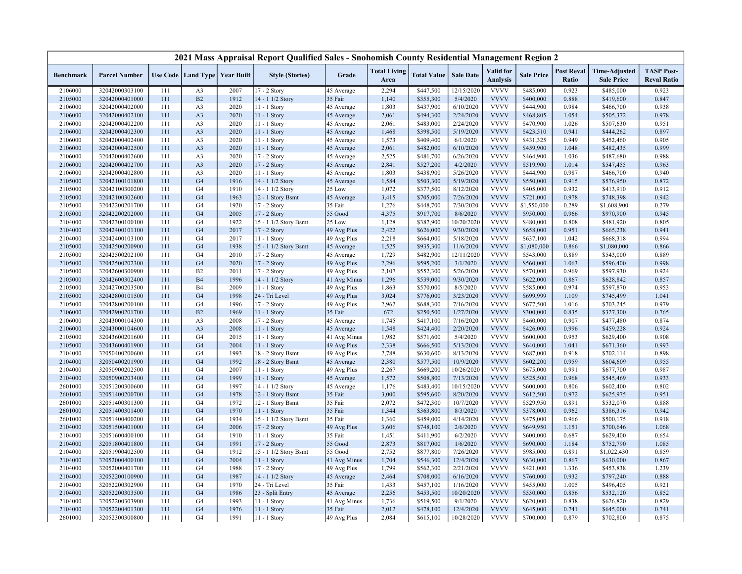|                    |                      |     |                                   |      | 2021 Mass Appraisal Report Qualified Sales - Snohomish County Residential Management Region 2 |              |                             |                    |                  |                                     |                   |                            |                                           |                                         |
|--------------------|----------------------|-----|-----------------------------------|------|-----------------------------------------------------------------------------------------------|--------------|-----------------------------|--------------------|------------------|-------------------------------------|-------------------|----------------------------|-------------------------------------------|-----------------------------------------|
| <b>Benchmark</b>   | <b>Parcel Number</b> |     | Use Code   Land Type   Year Built |      | <b>Style (Stories)</b>                                                                        | Grade        | <b>Total Living</b><br>Area | <b>Total Value</b> | <b>Sale Date</b> | <b>Valid</b> for<br><b>Analysis</b> | <b>Sale Price</b> | <b>Post Reval</b><br>Ratio | <b>Time-Adjusted</b><br><b>Sale Price</b> | <b>TASP Post-</b><br><b>Reval Ratio</b> |
| 2106000            | 32042000303100       | 111 | A <sub>3</sub>                    | 2007 | 17 - 2 Story                                                                                  | 45 Average   | 2,294                       | \$447,500          | 12/15/2020       | <b>VVVV</b>                         | \$485,000         | 0.923                      | \$485,000                                 | 0.923                                   |
| 2105000            | 32042000401000       | 111 | B2                                | 1912 | 14 - 1 1/2 Story                                                                              | 35 Fair      | 1,140                       | \$355,300          | 5/4/2020         | <b>VVVV</b>                         | \$400,000         | 0.888                      | \$419,600                                 | 0.847                                   |
| 2106000            | 32042000402000       | 111 | A <sub>3</sub>                    | 2020 | $11 - 1$ Story                                                                                | 45 Average   | 1,803                       | \$437,900          | 6/10/2020        | <b>VVVV</b>                         | \$444,900         | 0.984                      | \$466,700                                 | 0.938                                   |
| 2106000            | 32042000402100       | 111 | A <sub>3</sub>                    | 2020 | 11 - 1 Story                                                                                  | 45 Average   | 2,061                       | \$494,300          | 2/24/2020        | <b>VVVV</b>                         | \$468,805         | 1.054                      | \$505,372                                 | 0.978                                   |
| 2106000            | 32042000402200       | 111 | A <sub>3</sub>                    | 2020 | 11 - 1 Story                                                                                  | 45 Average   | 2,061                       | \$483,000          | 2/24/2020        | <b>VVVV</b>                         | \$470,900         | 1.026                      | \$507,630                                 | 0.951                                   |
| 2106000            | 32042000402300       | 111 | A <sub>3</sub>                    | 2020 | 11 - 1 Story                                                                                  | 45 Average   | 1,468                       | \$398,500          | 5/19/2020        | <b>VVVV</b>                         | \$423,510         | 0.941                      | \$444,262                                 | 0.897                                   |
| 2106000            | 32042000402400       | 111 | A <sub>3</sub>                    | 2020 | 11 - 1 Story                                                                                  | 45 Average   | 1,573                       | \$409,400          | 6/1/2020         | <b>VVVV</b>                         | \$431,325         | 0.949                      | \$452,460                                 | 0.905                                   |
| 2106000            | 32042000402500       | 111 | A <sub>3</sub>                    | 2020 | 11 - 1 Story                                                                                  | 45 Average   | 2,061                       | \$482,000          | 6/10/2020        | <b>VVVV</b>                         | \$459,900         | 1.048                      | \$482,435                                 | 0.999                                   |
| 2106000            | 32042000402600       | 111 | A <sub>3</sub>                    | 2020 | 17 - 2 Story                                                                                  | 45 Average   | 2,525                       | \$481,700          | 6/26/2020        | <b>VVVV</b>                         | \$464,900         | 1.036                      | \$487,680                                 | 0.988                                   |
| 2106000            | 32042000402700       | 111 | A <sub>3</sub>                    | 2020 | 17 - 2 Story                                                                                  | 45 Average   | 2,841                       | \$527,200          | 4/2/2020         | <b>VVVV</b>                         | \$519,900         | 1.014                      | \$547,455                                 | 0.963                                   |
| 2106000            | 32042000402800       | 111 | A <sub>3</sub>                    | 2020 | 11 - 1 Story                                                                                  | 45 Average   | 1,803                       | \$438,900          | 5/26/2020        | <b>VVVV</b>                         | \$444,900         | 0.987                      | \$466,700                                 | 0.940                                   |
| 2105000            | 32042100101800       | 111 | G <sub>4</sub>                    | 1916 | 14 - 1 1/2 Story                                                                              | 45 Average   | 1,584                       | \$503,300          | 5/19/2020        | <b>VVVV</b>                         | \$550,000         | 0.915                      | \$576,950                                 | 0.872                                   |
| 2105000            | 32042100300200       | 111 | G <sub>4</sub>                    | 1910 | 14 - 1 1/2 Story                                                                              | 25 Low       | 1,072                       | \$377,500          | 8/12/2020        | <b>VVVV</b>                         | \$405,000         | 0.932                      | \$413,910                                 | 0.912                                   |
| 2105000            | 32042100302600       | 111 | G <sub>4</sub>                    | 1963 | 12 - 1 Story Bsmt                                                                             | 45 Average   | 3,415                       | \$705,000          | 7/26/2020        | <b>VVVV</b>                         | \$721,000         | 0.978                      | \$748,398                                 | 0.942                                   |
| 2105000            | 32042200201700       | 111 | G <sub>4</sub>                    | 1920 | 17 - 2 Story                                                                                  | 35 Fair      | 1,276                       | \$448,700          | 7/30/2020        | <b>VVVV</b>                         | \$1,550,000       | 0.289                      | \$1,608,900                               | 0.279                                   |
| 2105000            | 32042200202000       | 111 | G <sub>4</sub>                    | 2005 | 17 - 2 Story                                                                                  | 55 Good      | 4,375                       | \$917,700          | 8/6/2020         | <b>VVVV</b>                         | \$950,000         | 0.966                      | \$970,900                                 | 0.945                                   |
| 2104000            | 32042300100100       | 111 | G <sub>4</sub>                    | 1922 | 15 - 1 1/2 Story Bsmt                                                                         | 25 Low       | 1,128                       | \$387,900          | 10/20/2020       | <b>VVVV</b>                         | \$480,000         | 0.808                      | \$481,920                                 | 0.805                                   |
| 2104000            | 32042400101100       | 111 | G <sub>4</sub>                    | 2017 | 17 - 2 Story                                                                                  | 49 Avg Plus  | 2,422                       | \$626,000          | 9/30/2020        | <b>VVVV</b>                         | \$658,000         | 0.951                      | \$665,238                                 | 0.941                                   |
| 2104000            | 32042400103100       | 111 | G <sub>4</sub>                    | 2017 | 11 - 1 Story                                                                                  | 49 Avg Plus  | 2,218                       | \$664,000          | 5/18/2020        | <b>VVVV</b>                         | \$637,100         | 1.042                      | \$668,318                                 | 0.994                                   |
| 2105000            | 32042500200900       | 111 | G <sub>4</sub>                    | 1938 | 15 - 1 1/2 Story Bsmt                                                                         | 45 Average   | 1,525                       | \$935,300          | 11/6/2020        | <b>VVVV</b>                         | \$1,080,000       | 0.866                      | \$1,080,000                               | 0.866                                   |
| 2105000            | 32042500202100       | 111 | G <sub>4</sub>                    | 2010 | 17 - 2 Story                                                                                  | 45 Average   | 1,729                       | \$482,900          | 12/11/2020       | <b>VVVV</b>                         | \$543,000         | 0.889                      | \$543,000                                 | 0.889                                   |
| 2105000            | 32042500202300       | 111 | G <sub>4</sub>                    | 2020 | 17 - 2 Story                                                                                  | 49 Avg Plus  | 2,296                       | \$595,200          | 3/1/2020         | <b>VVVV</b>                         | \$560,000         | 1.063                      | \$596,400                                 | 0.998                                   |
| 2105000            | 32042600300900       | 111 | B2                                | 2011 | 17 - 2 Story                                                                                  | 49 Avg Plus  | 2,107                       | \$552,300          | 5/26/2020        | <b>VVVV</b>                         | \$570,000         | 0.969                      | \$597,930                                 | 0.924                                   |
| 2105000            | 32042600302400       | 111 | <b>B4</b>                         | 1996 | 14 - 1 1/2 Story                                                                              | 41 Avg Minus | 1,296                       | \$539,000          | 9/30/2020        | <b>VVVV</b>                         | \$622,000         | 0.867                      | \$628,842                                 | 0.857                                   |
| 2105000            | 32042700203500       | 111 | <b>B4</b>                         | 2009 | 11 - 1 Story                                                                                  | 49 Avg Plus  | 1,863                       | \$570,000          | 8/5/2020         | <b>VVVV</b>                         | \$585,000         | 0.974                      | \$597,870                                 | 0.953                                   |
| 2105000            | 32042800101500       | 111 | G <sub>4</sub>                    | 1998 | 24 - Tri Level                                                                                | 49 Avg Plus  | 3,024                       | \$776,000          | 3/23/2020        | <b>VVVV</b>                         | \$699,999         | 1.109                      | \$745,499                                 | 1.041                                   |
| 2105000            | 32042800200100       | 111 | G <sub>4</sub>                    | 1996 | 17 - 2 Story                                                                                  | 49 Avg Plus  | 2,962                       | \$688,300          | 7/16/2020        | <b>VVVV</b>                         | \$677,500         | 1.016                      | \$703,245                                 | 0.979                                   |
| 2106000            | 32042900201700       | 111 | B2                                | 1969 | 11 - 1 Story                                                                                  | 35 Fair      | 672                         | \$250,500          | 1/27/2020        | <b>VVVV</b>                         | \$300,000         | 0.835                      | \$327,300                                 | 0.765                                   |
| 2106000            | 32043000104300       | 111 | A <sub>3</sub>                    | 2008 | $17 - 2$ Story                                                                                | 45 Average   | 1,745                       | \$417,100          | 7/16/2020        | <b>VVVV</b>                         | \$460,000         | 0.907                      | \$477,480                                 | 0.874                                   |
| 2106000            | 32043000104600       | 111 | A <sub>3</sub>                    | 2008 | $11 - 1$ Story                                                                                | 45 Average   | 1,548                       | \$424,400          | 2/20/2020        | <b>VVVV</b>                         | \$426,000         | 0.996                      | \$459,228                                 | 0.924                                   |
| 2105000            | 32043600201600       | 111 | G <sub>4</sub>                    | 2015 | 11 - 1 Story                                                                                  | 41 Avg Minus | 1,982                       | \$571,600          | 5/4/2020         | <b>VVVV</b>                         | \$600,000         | 0.953                      | \$629,400                                 | 0.908                                   |
| 2105000            | 32043600401900       | 111 | G <sub>4</sub>                    | 2004 | $11 - 1$ Story                                                                                | 49 Avg Plus  | 2,338                       | \$666,500          | 5/13/2020        | <b>VVVV</b>                         | \$640,000         | 1.041                      | \$671,360                                 | 0.993                                   |
| 2104000            | 32050400200600       | 111 | G <sub>4</sub>                    | 1993 | 18 - 2 Story Bsmt                                                                             | 49 Avg Plus  | 2,788                       | \$630,600          | 8/13/2020        | <b>VVVV</b>                         | \$687,000         | 0.918                      | \$702,114                                 | 0.898                                   |
| 2104000            | 32050400201900       | 111 | G <sub>4</sub>                    | 1992 | 18 - 2 Story Bsmt                                                                             | 45 Average   | 2,380                       | \$577,500          | 10/9/2020        | <b>VVVV</b>                         | \$602,200         | 0.959                      | \$604,609                                 | 0.955                                   |
| 2104000            | 32050900202500       | 111 | G <sub>4</sub>                    | 2007 | 11 - 1 Story                                                                                  | 49 Avg Plus  | 2,267                       | \$669,200          | 10/26/2020       | <b>VVVV</b>                         | \$675,000         | 0.991                      | \$677,700                                 | 0.987                                   |
| 2104000            | 32050900203400       | 111 | G <sub>4</sub>                    | 1999 | 11 - 1 Story                                                                                  | 45 Average   | 1,572                       | \$508,800          | 7/13/2020        | <b>VVVV</b>                         | \$525,500         | 0.968                      | \$545,469                                 | 0.933                                   |
| 2601000            | 32051200300600       | 111 | G <sub>4</sub>                    | 1997 | 14 - 1 1/2 Story                                                                              | 45 Average   | 1,176                       | \$483,400          | 10/15/2020       | <b>VVVV</b>                         | \$600,000         | 0.806                      | \$602,400                                 | 0.802                                   |
|                    | 32051400200700       | 111 | G <sub>4</sub>                    | 1978 | 12 - 1 Story Bsmt                                                                             | 35 Fair      | 3,000                       | \$595,600          | 8/20/2020        | <b>VVVV</b>                         | \$612,500         | 0.972                      | \$625,975                                 | 0.951                                   |
| 2601000<br>2601000 | 32051400301300       | 111 | G4                                | 1972 | 12 - 1 Story Bsmt                                                                             | 35 Fair      | 2,072                       | \$472,300          | 10/7/2020        | <b>VVVV</b>                         | \$529,950         | 0.891                      | \$532,070                                 | 0.888                                   |
| 2601000            | 32051400301400       | 111 | G <sub>4</sub>                    | 1970 | 11 - 1 Story                                                                                  | 35 Fair      | 1,344                       | \$363,800          | 8/3/2020         | <b>VVVV</b>                         | \$378,000         | 0.962                      | \$386,316                                 | 0.942                                   |
| 2601000            | 32051400400200       | 111 | G <sub>4</sub>                    | 1934 | 15 - 1 1/2 Story Bsmt                                                                         | 35 Fair      | 1,360                       | \$459,000          | 4/14/2020        | <b>VVVV</b>                         | \$475,000         | 0.966                      | \$500,175                                 | 0.918                                   |
| 2104000            | 32051500401000       | 111 | G <sub>4</sub>                    | 2006 | 17 - 2 Story                                                                                  | 49 Avg Plus  | 3,606                       | \$748,100          | 2/6/2020         | <b>VVVV</b>                         | \$649,950         | 1.151                      | \$700,646                                 | 1.068                                   |
| 2104000            | 32051600400100       | 111 | G <sub>4</sub>                    | 1910 | $11 - 1$ Story                                                                                | 35 Fair      | 1,451                       | \$411,900          | 6/2/2020         | <b>VVVV</b>                         | \$600,000         | 0.687                      | \$629,400                                 | 0.654                                   |
|                    |                      | 111 | G <sub>4</sub>                    | 1991 | 17 - 2 Story                                                                                  | 55 Good      | 2,873                       |                    |                  | <b>VVVV</b>                         |                   | 1.184                      |                                           |                                         |
| 2104000            | 32051800401800       | 111 | G <sub>4</sub>                    |      |                                                                                               |              |                             | \$817,000          | 1/6/2020         | <b>VVVV</b>                         | \$690,000         |                            | \$752,790                                 | 1.085                                   |
| 2104000            | 32051900402500       |     |                                   | 1912 | 15 - 1 1/2 Story Bsmt                                                                         | 55 Good      | 2,752                       | \$877,800          | 7/26/2020        | <b>VVVV</b>                         | \$985,000         | 0.891                      | \$1,022,430                               | 0.859                                   |
| 2104000            | 32052000400100       | 111 | G <sub>4</sub>                    | 2004 | 11 - 1 Story                                                                                  | 41 Avg Minus | 1,704                       | \$546,300          | 12/4/2020        |                                     | \$630,000         | 0.867                      | \$630,000                                 | 0.867                                   |
| 2104000            | 32052000401700       | 111 | G <sub>4</sub>                    | 1988 | 17 - 2 Story                                                                                  | 49 Avg Plus  | 1,799                       | \$562,300          | 2/21/2020        | <b>VVVV</b><br><b>VVVV</b>          | \$421,000         | 1.336                      | \$453,838                                 | 1.239                                   |
| 2104000            | 32052200100900       | 111 | G <sub>4</sub>                    | 1987 | 14 - 1 1/2 Story                                                                              | 45 Average   | 2,464                       | \$708,000          | 6/16/2020        |                                     | \$760,000         | 0.932                      | \$797,240                                 | 0.888                                   |
| 2104000            | 32052200302900       | 111 | G <sub>4</sub>                    | 1970 | 24 - Tri Level                                                                                | 35 Fair      | 1,433                       | \$457,100          | 1/16/2020        | <b>VVVV</b><br><b>VVVV</b>          | \$455,000         | 1.005                      | \$496,405                                 | 0.921                                   |
| 2104000            | 32052200303500       | 111 | G <sub>4</sub>                    | 1986 | 23 - Split Entry                                                                              | 45 Average   | 2,256                       | \$453,500          | 10/20/2020       |                                     | \$530,000         | 0.856                      | \$532,120                                 | 0.852                                   |
| 2104000            | 32052200303900       | 111 | G <sub>4</sub>                    | 1993 | 11 - 1 Story                                                                                  | 41 Avg Minus | 1,736                       | \$519,500          | 9/1/2020         | <b>VVVV</b>                         | \$620,000         | 0.838                      | \$626,820                                 | 0.829                                   |
| 2104000            | 32052200401300       | 111 | G <sub>4</sub>                    | 1976 | $11 - 1$ Story                                                                                | 35 Fair      | 2,012                       | \$478,100          | 12/4/2020        | <b>VVVV</b>                         | \$645,000         | 0.741                      | \$645,000                                 | 0.741                                   |
| 2601000            | 32052300300800       | 111 | G <sub>4</sub>                    | 1991 | 11 - 1 Story                                                                                  | 49 Avg Plus  | 2,084                       | \$615,100          | 10/28/2020       | <b>VVVV</b>                         | \$700,000         | 0.879                      | \$702,800                                 | 0.875                                   |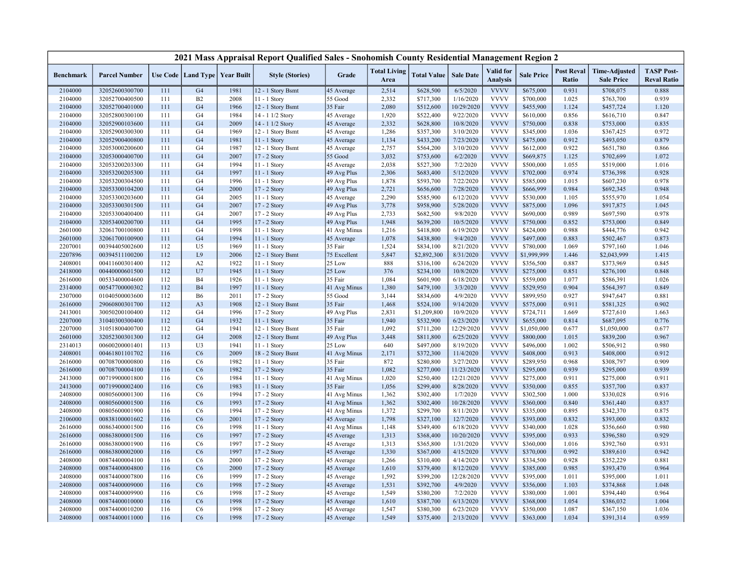|                    |                                  |            |                                   |              | 2021 Mass Appraisal Report Qualified Sales - Snohomish County Residential Management Region 2 |                        |                             |                          |                        |                                     |                        |                            |                                           |                                         |
|--------------------|----------------------------------|------------|-----------------------------------|--------------|-----------------------------------------------------------------------------------------------|------------------------|-----------------------------|--------------------------|------------------------|-------------------------------------|------------------------|----------------------------|-------------------------------------------|-----------------------------------------|
| <b>Benchmark</b>   | <b>Parcel Number</b>             |            | Use Code   Land Type   Year Built |              | <b>Style (Stories)</b>                                                                        | Grade                  | <b>Total Living</b><br>Area | <b>Total Value</b>       | <b>Sale Date</b>       | <b>Valid</b> for<br><b>Analysis</b> | <b>Sale Price</b>      | <b>Post Reval</b><br>Ratio | <b>Time-Adjusted</b><br><b>Sale Price</b> | <b>TASP Post-</b><br><b>Reval Ratio</b> |
| 2104000            | 32052600300700                   | 111        | G <sub>4</sub>                    | 1981         | 12 - 1 Story Bsmt                                                                             | 45 Average             | 2,514                       | \$628,500                | 6/5/2020               | <b>VVVV</b>                         | \$675,000              | 0.931                      | \$708,075                                 | 0.888                                   |
| 2104000            | 32052700400500                   | 111        | B2                                | 2008         | 11 - 1 Story                                                                                  | 55 Good                | 2,332                       | \$717,300                | 1/16/2020              | <b>VVVV</b>                         | \$700,000              | 1.025                      | \$763,700                                 | 0.939                                   |
| 2104000            | 32052700401000                   | 111        | G <sub>4</sub>                    | 1966         | 12 - 1 Story Bsmt                                                                             | 35 Fair                | 2,080                       | \$512,600                | 10/29/2020             | <b>VVVV</b>                         | \$455,900              | 1.124                      | \$457,724                                 | 1.120                                   |
| 2104000            | 32052800300100                   | 111        | G <sub>4</sub>                    | 1984         | 14 - 1 1/2 Story                                                                              | 45 Average             | 1,920                       | \$522,400                | 9/22/2020              | <b>VVVV</b>                         | \$610,000              | 0.856                      | \$616,710                                 | 0.847                                   |
| 2104000            | 32052900103600                   | 111        | G <sub>4</sub>                    | 2009         | 14 - 1 1/2 Story                                                                              | 45 Average             | 2,332                       | \$628,800                | 10/8/2020              | <b>VVVV</b>                         | \$750,000              | 0.838                      | \$753,000                                 | 0.835                                   |
| 2104000            | 32052900300300                   | 111        | G4                                | 1969         | 12 - 1 Story Bsmt                                                                             | 45 Average             | 1,286                       | \$357,300                | 3/10/2020              | <b>VVVV</b>                         | \$345,000              | 1.036                      | \$367,425                                 | 0.972                                   |
| 2104000            | 32052900400800                   | 111        | G <sub>4</sub>                    | 1981         | 11 - 1 Story                                                                                  | 45 Average             | 1,134                       | \$433,200                | 7/23/2020              | <b>VVVV</b>                         | \$475,000              | 0.912                      | \$493,050                                 | 0.879                                   |
| 2104000            | 32053000200600                   | 111        | G <sub>4</sub>                    | 1987         | 12 - 1 Story Bsmt                                                                             | 45 Average             | 2,757                       | \$564,200                | 3/10/2020              | <b>VVVV</b>                         | \$612,000              | 0.922                      | \$651,780                                 | 0.866                                   |
| 2104000            | 32053000400700                   | 111        | G <sub>4</sub>                    | 2007         | 17 - 2 Story                                                                                  | 55 Good                | 3,032                       | \$753,600                | 6/2/2020               | <b>VVVV</b>                         | \$669,875              | 1.125                      | \$702,699                                 | 1.072                                   |
| 2104000            | 32053200203300                   | 111        | G <sub>4</sub>                    | 1994         | 11 - 1 Story                                                                                  | 45 Average             | 2,038                       | \$527,300                | 7/2/2020               | <b>VVVV</b>                         | \$500,000              | 1.055                      | \$519,000                                 | 1.016                                   |
| 2104000            | 32053200205300                   | 111        | G <sub>4</sub>                    | 1997         | 11 - 1 Story                                                                                  | 49 Avg Plus            | 2,306                       | \$683,400                | 5/12/2020              | <b>VVVV</b>                         | \$702,000              | 0.974                      | \$736,398                                 | 0.928                                   |
| 2104000            | 32053200304500                   | 111        | G <sub>4</sub>                    | 1996         | 11 - 1 Story                                                                                  | 49 Avg Plus            | 1,878                       | \$593,700                | 7/22/2020              | <b>VVVV</b>                         | \$585,000              | 1.015                      | \$607,230                                 | 0.978                                   |
| 2104000            | 32053300104200                   | 111        | G <sub>4</sub>                    | 2000         | 17 - 2 Story                                                                                  | 49 Avg Plus            | 2,721                       | \$656,600                | 7/28/2020              | <b>VVVV</b>                         | \$666,999              | 0.984                      | \$692,345                                 | 0.948                                   |
| 2104000            | 32053300203600                   | 111        | G <sub>4</sub>                    | 2005         | 11 - 1 Story                                                                                  | 45 Average             | 2,290                       | \$585,900                | 6/12/2020              | <b>VVVV</b>                         | \$530,000              | 1.105                      | \$555,970                                 | 1.054                                   |
| 2104000            | 32053300301500                   | 111        | G <sub>4</sub>                    | 2007         | $17 - 2$ Story                                                                                | 49 Avg Plus            | 3,778                       | \$958,900                | 5/28/2020              | <b>VVVV</b>                         | \$875,000              | 1.096                      | \$917,875                                 | 1.045                                   |
| 2104000            | 32053300400400                   | 111        | G <sub>4</sub>                    | 2007         | 17 - 2 Story                                                                                  | 49 Avg Plus            | 2,733                       | \$682,500                | 9/8/2020               | <b>VVVV</b>                         | \$690,000              | 0.989                      | \$697,590                                 | 0.978                                   |
| 2104000            | 32053400200700                   | 111        | G <sub>4</sub>                    | 1995         | 17 - 2 Story                                                                                  | 49 Avg Plus            | 1,948                       | \$639,200                | 10/5/2020              | <b>VVVV</b>                         | \$750,000              | 0.852                      | \$753,000                                 | 0.849                                   |
| 2601000            | 32061700100800                   | 111        | G <sub>4</sub>                    | 1998         | 11 - 1 Story                                                                                  | 41 Avg Minus           | 1,216                       | \$418,800                | 6/19/2020              | <b>VVVV</b>                         | \$424,000              | 0.988                      | \$444,776                                 | 0.942                                   |
| 2601000            | 32061700100900                   | 111        | G <sub>4</sub>                    | 1994         | 11 - 1 Story                                                                                  | 45 Average             | 1,078                       | \$438,800                | 9/4/2020               | <b>VVVV</b>                         | \$497,000              | 0.883                      | \$502,467                                 | 0.873                                   |
| 2207001            | 00394405002600                   | 112        | U <sub>5</sub>                    | 1969         | 11 - 1 Story                                                                                  | 35 Fair                | 1,524                       | \$834,100                | 8/21/2020              | <b>VVVV</b>                         | \$780,000              | 1.069                      | \$797,160                                 | 1.046                                   |
| 2207896            | 00394511100200                   | 112        | L9                                | 2006         | 12 - 1 Story Bsmt                                                                             | 75 Excellent           | 5,847                       | \$2,892,300              | 8/31/2020              | <b>VVVV</b>                         | \$1,999,999            | 1.446                      | \$2,043,999                               | 1.415                                   |
| 2408001            | 00411600301400                   | 112        | A2                                | 1922         | $11 - 1$ Story                                                                                | 25 Low                 | 888                         | \$316,100                | 6/24/2020              | <b>VVVV</b>                         | \$356,500              | 0.887                      | \$373,969                                 | 0.845                                   |
| 2418000            | 00440000601500                   | 112        | U7                                | 1945         | $11 - 1$ Story                                                                                | 25 Low                 | 376                         | \$234,100                | 10/8/2020              | <b>VVVV</b>                         | \$275,000              | 0.851                      | \$276,100                                 | 0.848                                   |
| 2616000            | 00533400004600                   | 112        | <b>B4</b>                         | 1926         | $11 - 1$ Story                                                                                | 35 Fair                | 1,084                       | \$601,900                | 6/18/2020              | <b>VVVV</b>                         | \$559,000              | 1.077                      | \$586,391                                 | 1.026                                   |
| 2314000            | 00547700000302                   | 112        | <b>B4</b>                         | 1997         | 11 - 1 Story                                                                                  | 41 Avg Minus           | 1,380                       | \$479,100                | 3/3/2020               | <b>VVVV</b><br><b>VVVV</b>          | \$529,950              | 0.904                      | \$564,397                                 | 0.849                                   |
| 2307000            | 01040500003600                   | 112        | B <sub>6</sub>                    | 2011         | 17 - 2 Story                                                                                  | 55 Good                | 3,144                       | \$834,600                | 4/9/2020               | <b>VVVV</b>                         | \$899,950              | 0.927                      | \$947,647                                 | 0.881                                   |
| 2616000            | 29060800301700                   | 112        | A <sub>3</sub><br>G <sub>4</sub>  | 1908         | 12 - 1 Story Bsmt                                                                             | 35 Fair                | 1,468                       | \$524,100                | 9/14/2020              | <b>VVVV</b>                         | \$575,000              | 0.911                      | \$581,325                                 | 0.902                                   |
| 2413001<br>2207000 | 30050200100400<br>31040300300400 | 112<br>112 | G <sub>4</sub>                    | 1996<br>1932 | 17 - 2 Story<br>11 - 1 Story                                                                  | 49 Avg Plus<br>35 Fair | 2,831<br>1,940              | \$1,209,800<br>\$532,900 | 10/9/2020<br>6/23/2020 | <b>VVVV</b>                         | \$724,711<br>\$655,000 | 1.669<br>0.814             | \$727,610<br>\$687,095                    | 1.663<br>0.776                          |
| 2207000            | 31051800400700                   | 112        | G <sub>4</sub>                    | 1941         | 12 - 1 Story Bsmt                                                                             | 35 Fair                | 1,092                       | \$711,200                | 12/29/2020             | <b>VVVV</b>                         | \$1,050,000            | 0.677                      | \$1,050,000                               | 0.677                                   |
| 2601000            | 32052300301300                   | 112        | G <sub>4</sub>                    | 2008         | 12 - 1 Story Bsmt                                                                             | 49 Avg Plus            | 3,448                       | \$811,800                | 6/25/2020              | <b>VVVV</b>                         | \$800,000              | 1.015                      | \$839,200                                 | 0.967                                   |
| 2314013            | 00600200001401                   | 113        | U3                                | 1941         | 11 - 1 Story                                                                                  | 25 Low                 | 640                         | \$497,000                | 8/19/2020              | <b>VVVV</b>                         | \$496,000              | 1.002                      | \$506,912                                 | 0.980                                   |
| 2408001            | 00461801101702                   | 116        | C6                                | 2009         | 18 - 2 Story Bsmt                                                                             | 41 Avg Minus           | 2,171                       | \$372,300                | 11/4/2020              | <b>VVVV</b>                         | \$408,000              | 0.913                      | \$408,000                                 | 0.912                                   |
| 2616000            | 00708700000800                   | 116        | C6                                | 1982         | 11 - 1 Story                                                                                  | 35 Fair                | 872                         | \$280,800                | 3/27/2020              | <b>VVVV</b>                         | \$289,950              | 0.968                      | \$308,797                                 | 0.909                                   |
| 2616000            | 00708700004100                   | 116        | C6                                | 1982         | 17 - 2 Story                                                                                  | 35 Fair                | 1,082                       | \$277,000                | 11/23/2020             | <b>VVVV</b>                         | \$295,000              | 0.939                      | \$295,000                                 | 0.939                                   |
| 2413000            | 00719900001800                   | 116        | C6                                | 1984         | 11 - 1 Story                                                                                  | 41 Avg Minus           | 1,020                       | \$250,400                | 12/21/2020             | <b>VVVV</b>                         | \$275,000              | 0.911                      | \$275,000                                 | 0.911                                   |
| 2413000            | 00719900002400                   | 116        | C6                                | 1983         | 11 - 1 Story                                                                                  | 35 Fair                | 1,056                       | \$299,400                | 8/28/2020              | <b>VVVV</b>                         | \$350,000              | 0.855                      | \$357,700                                 | 0.837                                   |
| 2408000            | 00805600001300                   | 116        | C <sub>6</sub>                    | 1994         | 17 - 2 Story                                                                                  | 41 Avg Minus           | 1,362                       | \$302,400                | 1/7/2020               | <b>VVVV</b>                         | \$302,500              | 1.000                      | \$330,028                                 | 0.916                                   |
| 2408000            | 00805600001500                   | 116        | C6                                | 1993         | 17 - 2 Story                                                                                  | 41 Avg Minus           | 1,362                       | \$302,400                | 10/28/2020             | <b>VVVV</b>                         | \$360,000              | 0.840                      | \$361,440                                 | 0.837                                   |
| 2408000            | 00805600001900                   | 116        | C <sub>6</sub>                    | 1994         | $17 - 2$ Story                                                                                | 41 Avg Minus           | 1,372                       | \$299,700                | 8/11/2020              | <b>VVVV</b>                         | \$335,000              | 0.895                      | \$342,370                                 | 0.875                                   |
| 2106000            | 00838100001602                   | 116        | C6                                | 2001         | 17 - 2 Story                                                                                  | 45 Average             | 1,798                       | \$327,100                | 12/7/2020              | <b>VVVV</b>                         | \$393,000              | 0.832                      | \$393,000                                 | 0.832                                   |
| 2616000            | 00863400001500                   | 116        | C6                                | 1998         | 11 - 1 Story                                                                                  | 41 Avg Minus           | 1,148                       | \$349,400                | 6/18/2020              | <b>VVVV</b>                         | \$340,000              | 1.028                      | \$356,660                                 | 0.980                                   |
| 2616000            | 00863800001500                   | 116        | C6                                | 1997         | 17 - 2 Story                                                                                  | 45 Average             | 1,313                       | \$368,400                | 10/20/2020             | <b>VVVV</b>                         | \$395,000              | 0.933                      | \$396,580                                 | 0.929                                   |
| 2616000            | 00863800001900                   | 116        | C <sub>6</sub>                    | 1997         | 17 - 2 Story                                                                                  | 45 Average             | 1,313                       | \$365,800                | 1/31/2020              | <b>VVVV</b>                         | \$360,000              | 1.016                      | \$392,760                                 | 0.931                                   |
| 2616000            | 00863800002000                   | 116        | C6                                | 1997         | $17 - 2$ Story                                                                                | 45 Average             | 1,330                       | \$367,000                | 4/15/2020              | <b>VVVV</b>                         | \$370,000              | 0.992                      | \$389,610                                 | 0.942                                   |
| 2408000            | 00874400004100                   | 116        | C6                                | 2000         | 17 - 2 Story                                                                                  | 45 Average             | 1,266                       | \$310,400                | 4/14/2020              | <b>VVVV</b>                         | \$334,500              | 0.928                      | \$352,229                                 | 0.881                                   |
| 2408000            | 00874400004800                   | 116        | C6                                | 2000         | 17 - 2 Story                                                                                  | 45 Average             | 1,610                       | \$379,400                | 8/12/2020              | <b>VVVV</b>                         | \$385,000              | 0.985                      | \$393,470                                 | 0.964                                   |
| 2408000            | 00874400007800                   | 116        | C <sub>6</sub>                    | 1999         | 17 - 2 Story                                                                                  | 45 Average             | 1,592                       | \$399,200                | 12/28/2020             | <b>VVVV</b>                         | \$395,000              | 1.011                      | \$395,000                                 | 1.011                                   |
| 2408000            | 00874400009000                   | 116        | C6                                | 1998         | 17 - 2 Story                                                                                  | 45 Average             | 1,531                       | \$392,700                | 4/9/2020               | <b>VVVV</b>                         | \$356,000              | 1.103                      | \$374,868                                 | 1.048                                   |
| 2408000            | 00874400009900                   | 116        | C <sub>6</sub>                    | 1998         | 17 - 2 Story                                                                                  | 45 Average             | 1,549                       | \$380,200                | 7/2/2020               | <b>VVVV</b>                         | \$380,000              | 1.001                      | \$394,440                                 | 0.964                                   |
| 2408000            | 00874400010000                   | 116        | C6                                | 1998         | 17 - 2 Story                                                                                  | 45 Average             | 1,610                       | \$387,700                | 6/13/2020              | <b>VVVV</b>                         | \$368,000              | 1.054                      | \$386,032                                 | 1.004                                   |
| 2408000            | 00874400010200                   | 116        | C6                                | 1998         | 17 - 2 Story                                                                                  | 45 Average             | 1,547                       | \$380,300                | 6/23/2020              | <b>VVVV</b>                         | \$350,000              | 1.087                      | \$367,150                                 | 1.036                                   |
| 2408000            | 00874400011000                   | 116        | C6                                | 1998         | 17 - 2 Story                                                                                  | 45 Average             | 1,549                       | \$375,400                | 2/13/2020              | <b>VVVV</b>                         | \$363,000              | 1.034                      | \$391,314                                 | 0.959                                   |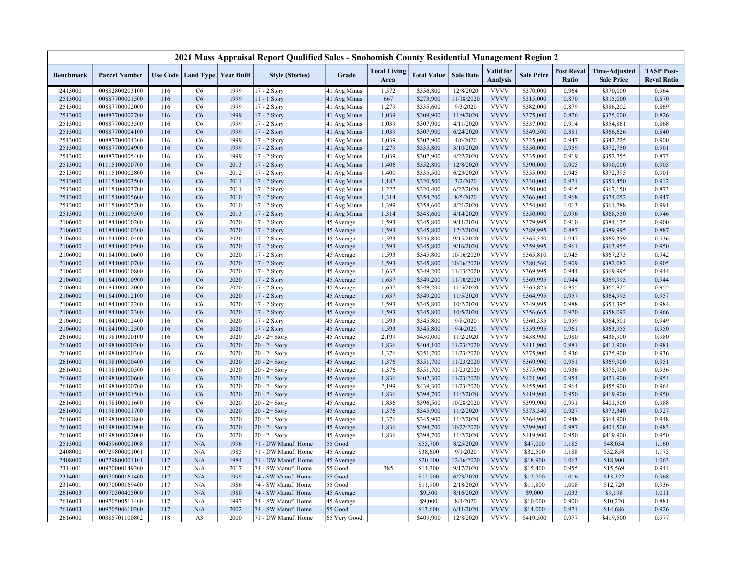|                  |                      |     |                                   |      | 2021 Mass Appraisal Report Qualified Sales - Snohomish County Residential Management Region 2 |              |                             |                    |                  |                                     |                   |                            |                                           |                                         |
|------------------|----------------------|-----|-----------------------------------|------|-----------------------------------------------------------------------------------------------|--------------|-----------------------------|--------------------|------------------|-------------------------------------|-------------------|----------------------------|-------------------------------------------|-----------------------------------------|
| <b>Benchmark</b> | <b>Parcel Number</b> |     | Use Code   Land Type   Year Built |      | <b>Style (Stories)</b>                                                                        | Grade        | <b>Total Living</b><br>Area | <b>Total Value</b> | <b>Sale Date</b> | <b>Valid</b> for<br><b>Analysis</b> | <b>Sale Price</b> | <b>Post Reval</b><br>Ratio | <b>Time-Adjusted</b><br><b>Sale Price</b> | <b>TASP Post-</b><br><b>Reval Ratio</b> |
| 2413000          | 00882800203100       | 116 | C <sub>6</sub>                    | 1999 | 17 - 2 Story                                                                                  | 41 Avg Minus | 1,572                       | \$356,800          | 12/8/2020        | <b>VVVV</b>                         | \$370,000         | 0.964                      | \$370,000                                 | 0.964                                   |
| 2513000          | 00887700001500       | 116 | C6                                | 1999 | 11 - 1 Story                                                                                  | 41 Avg Minus | 667                         | \$273,900          | 11/18/2020       | <b>VVVV</b>                         | \$315,000         | 0.870                      | \$315,000                                 | 0.870                                   |
| 2513000          | 00887700002000       | 116 | C <sub>6</sub>                    | 1999 | $17 - 2$ Story                                                                                | 41 Avg Minus | 1,279                       | \$335,600          | 9/3/2020         | <b>VVVV</b>                         | \$382,000         | 0.879                      | \$386,202                                 | 0.869                                   |
| 2513000          | 00887700002700       | 116 | C6                                | 1999 | 17 - 2 Story                                                                                  | 41 Avg Minus | 1,039                       | \$309,900          | 11/9/2020        | <b>VVVV</b>                         | \$375,000         | 0.826                      | \$375,000                                 | 0.826                                   |
| 2513000          | 00887700003500       | 116 | C <sub>6</sub>                    | 1999 | 17 - 2 Story                                                                                  | 41 Avg Minus | 1,039                       | \$307,900          | 4/11/2020        | <b>VVVV</b>                         | \$337,000         | 0.914                      | \$354,861                                 | 0.868                                   |
| 2513000          | 00887700004100       | 116 | C6                                | 1999 | 17 - 2 Story                                                                                  | 41 Avg Minus | 1,039                       | \$307,900          | 6/24/2020        | <b>VVVV</b>                         | \$349,500         | 0.881                      | \$366,626                                 | 0.840                                   |
| 2513000          | 00887700004300       | 116 | C6                                | 1999 | 17 - 2 Story                                                                                  | 41 Avg Minus | 1,039                       | \$307,900          | 4/6/2020         | <b>VVVV</b>                         | \$325,000         | 0.947                      | \$342,225                                 | 0.900                                   |
| 2513000          | 00887700004900       | 116 | C6                                | 1999 | 17 - 2 Story                                                                                  | 41 Avg Minus | 1,279                       | \$335,800          | 3/10/2020        | <b>VVVV</b>                         | \$350,000         | 0.959                      | \$372,750                                 | 0.901                                   |
| 2513000          | 00887700005400       | 116 | C <sub>6</sub>                    | 1999 | 17 - 2 Story                                                                                  | 41 Avg Minus | 1,039                       | \$307,900          | 4/27/2020        | <b>VVVV</b>                         | \$335,000         | 0.919                      | \$352,755                                 | 0.873                                   |
| 2513000          | 01115100000700       | 116 | C6                                | 2013 | 17 - 2 Story                                                                                  | 41 Avg Minus | 1,406                       | \$352,800          | 12/8/2020        | <b>VVVV</b>                         | \$390,000         | 0.905                      | \$390,000                                 | 0.905                                   |
| 2513000          | 01115100002800       | 116 | C <sub>6</sub>                    | 2012 | 17 - 2 Story                                                                                  | 41 Avg Minus | 1,400                       | \$335,500          | 6/23/2020        | <b>VVVV</b>                         | \$355,000         | 0.945                      | \$372,395                                 | 0.901                                   |
| 2513000          | 01115100003500       | 116 | C6                                | 2011 | 17 - 2 Story                                                                                  | 41 Avg Minus | 1,187                       | \$320,500          | 3/2/2020         | <b>VVVV</b>                         | \$330,000         | 0.971                      | \$351,450                                 | 0.912                                   |
| 2513000          | 01115100003700       | 116 | C <sub>6</sub>                    | 2011 | 17 - 2 Story                                                                                  | 41 Avg Minus | 1,222                       | \$320,400          | 6/27/2020        | <b>VVVV</b>                         | \$350,000         | 0.915                      | \$367,150                                 | 0.873                                   |
| 2513000          | 01115100005600       | 116 | C6                                | 2010 | $17 - 2$ Story                                                                                | 41 Avg Minus | 1,314                       | \$354,200          | 8/5/2020         | <b>VVVV</b>                         | \$366,000         | 0.968                      | \$374,052                                 | 0.947                                   |
| 2513000          | 01115100005700       | 116 | C <sub>6</sub>                    | 2010 | 17 - 2 Story                                                                                  | 41 Avg Minus | 1,399                       | \$358,600          | 8/21/2020        | <b>VVVV</b>                         | \$354,000         | 1.013                      | \$361,788                                 | 0.991                                   |
| 2513000          | 01115100009500       | 116 | C6                                | 2013 | 17 - 2 Story                                                                                  | 41 Avg Minus | 1,314                       | \$348,600          | 4/14/2020        | <b>VVVV</b>                         | \$350,000         | 0.996                      | \$368,550                                 | 0.946                                   |
| 2106000          | 01184100010200       | 116 | C6                                | 2020 | 17 - 2 Story                                                                                  | 45 Average   | 1,593                       | \$345,800          | 9/11/2020        | <b>VVVV</b>                         | \$379,995         | 0.910                      | \$384,175                                 | 0.900                                   |
| 2106000          | 01184100010300       | 116 | C6                                | 2020 | 17 - 2 Story                                                                                  | 45 Average   | 1,593                       | \$345,800          | 12/2/2020        | <b>VVVV</b>                         | \$389,995         | 0.887                      | \$389,995                                 | 0.887                                   |
| 2106000          | 01184100010400       | 116 | C <sub>6</sub>                    | 2020 | 17 - 2 Story                                                                                  | 45 Average   | 1,593                       | \$345,800          | 9/15/2020        | <b>VVVV</b>                         | \$365,340         | 0.947                      | \$369,359                                 | 0.936                                   |
| 2106000          | 01184100010500       | 116 | C6                                | 2020 | 17 - 2 Story                                                                                  | 45 Average   | 1,593                       | \$345,800          | 9/16/2020        | <b>VVVV</b>                         | \$359,995         | 0.961                      | \$363,955                                 | 0.950                                   |
| 2106000          | 01184100010600       | 116 | C <sub>6</sub>                    | 2020 | 17 - 2 Story                                                                                  | 45 Average   | 1,593                       | \$345,800          | 10/16/2020       | <b>VVVV</b>                         | \$365,810         | 0.945                      | \$367,273                                 | 0.942                                   |
| 2106000          | 01184100010700       | 116 | C6                                | 2020 | $17 - 2$ Story                                                                                | 45 Average   | 1,593                       | \$345,800          | 10/16/2020       | <b>VVVV</b>                         | \$380,560         | 0.909                      | \$382,082                                 | 0.905                                   |
| 2106000          | 01184100010800       | 116 | C6                                | 2020 | 17 - 2 Story                                                                                  | 45 Average   | 1,637                       | \$349,200          | 11/13/2020       | <b>VVVV</b>                         | \$369,995         | 0.944                      | \$369,995                                 | 0.944                                   |
| 2106000          | 01184100010900       | 116 | C6                                | 2020 | 17 - 2 Story                                                                                  | 45 Average   | 1,637                       | \$349,200          | 11/10/2020       | <b>VVVV</b>                         | \$369,995         | 0.944                      | \$369,995                                 | 0.944                                   |
| 2106000          | 01184100012000       | 116 | C <sub>6</sub>                    | 2020 | 17 - 2 Story                                                                                  | 45 Average   | 1,637                       | \$349,200          | 11/5/2020        | <b>VVVV</b>                         | \$365,825         | 0.955                      | \$365,825                                 | 0.955                                   |
| 2106000          | 01184100012100       | 116 | C6                                | 2020 | 17 - 2 Story                                                                                  | 45 Average   | 1,637                       | \$349,200          | 11/5/2020        | <b>VVVV</b>                         | \$364,995         | 0.957                      | \$364,995                                 | 0.957                                   |
| 2106000          | 01184100012200       | 116 | C6                                | 2020 | 17 - 2 Story                                                                                  | 45 Average   | 1,593                       | \$345,800          | 10/2/2020        | <b>VVVV</b>                         | \$349,995         | 0.988                      | \$351,395                                 | 0.984                                   |
| 2106000          | 01184100012300       | 116 | C6                                | 2020 | 17 - 2 Story                                                                                  | 45 Average   | 1,593                       | \$345,800          | 10/5/2020        | <b>VVVV</b>                         | \$356,665         | 0.970                      | \$358,092                                 | 0.966                                   |
| 2106000          | 01184100012400       | 116 | C <sub>6</sub>                    | 2020 | 17 - 2 Story                                                                                  | 45 Average   | 1,593                       | \$345,800          | 9/8/2020         | <b>VVVV</b>                         | \$360,535         | 0.959                      | \$364,501                                 | 0.949                                   |
| 2106000          | 01184100012500       | 116 | C6                                | 2020 | 17 - 2 Story                                                                                  | 45 Average   | 1,593                       | \$345,800          | 9/4/2020         | <b>VVVV</b>                         | \$359,995         | 0.961                      | \$363,955                                 | 0.950                                   |
| 2616000          | 01198100000100       | 116 | C6                                | 2020 | $20 - 2 +$ Story                                                                              | 45 Average   | 2,199                       | \$430,000          | 11/2/2020        | <b>VVVV</b>                         | \$438,900         | 0.980                      | \$438,900                                 | 0.980                                   |
| 2616000          | 01198100000200       | 116 | C6                                | 2020 | $20 - 2 +$ Story                                                                              | 45 Average   | 1,836                       | \$404,100          | 11/23/2020       | <b>VVVV</b>                         | \$411,900         | 0.981                      | \$411,900                                 | 0.981                                   |
| 2616000          | 01198100000300       | 116 | C <sub>6</sub>                    | 2020 | $20 - 2 +$ Story                                                                              | 45 Average   | 1,376                       | \$351,700          | 11/23/2020       | <b>VVVV</b>                         | \$375,900         | 0.936                      | \$375,900                                 | 0.936                                   |
| 2616000          | 01198100000400       | 116 | C6                                | 2020 | $20 - 2 +$ Story                                                                              | 45 Average   | 1,376                       | \$351,700          | 11/23/2020       | <b>VVVV</b>                         | \$369,900         | 0.951                      | \$369,900                                 | 0.951                                   |
| 2616000          | 01198100000500       | 116 | C6                                | 2020 | $20 - 2 +$ Story                                                                              | 45 Average   | 1,376                       | \$351,700          | 11/23/2020       | <b>VVVV</b>                         | \$375,900         | 0.936                      | \$375,900                                 | 0.936                                   |
| 2616000          | 01198100000600       | 116 | C6                                | 2020 | $20 - 2 +$ Story                                                                              | 45 Average   | 1,836                       | \$402,300          | 11/23/2020       | <b>VVVV</b>                         | \$421,900         | 0.954                      | \$421,900                                 | 0.954                                   |
| 2616000          | 01198100000700       | 116 | C6                                | 2020 | $20 - 2 +$ Story                                                                              | 45 Average   | 2,199                       | \$439,300          | 11/23/2020       | <b>VVVV</b>                         | \$455,900         | 0.964                      | \$455,900                                 | 0.964                                   |
| 2616000          | 01198100001500       | 116 | C6                                | 2020 | $20 - 2 +$ Story                                                                              | 45 Average   | 1,836                       | \$398,700          | 11/2/2020        | <b>VVVV</b>                         | \$419,900         | 0.950                      | \$419,900                                 | 0.950                                   |
| 2616000          | 01198100001600       | 116 | C <sub>6</sub>                    | 2020 | $20 - 2 +$ Story                                                                              | 45 Average   | 1,836                       | \$396,500          | 10/28/2020       | <b>VVVV</b>                         | \$399,900         | 0.991                      | \$401,500                                 | 0.988                                   |
| 2616000          | 01198100001700       | 116 | C6                                | 2020 | $20 - 2 +$ Story                                                                              | 45 Average   | 1,376                       | \$345,900          | 11/2/2020        | <b>VVVV</b>                         | \$373,340         | 0.927                      | \$373,340                                 | 0.927                                   |
| 2616000          | 01198100001800       | 116 | C <sub>6</sub>                    | 2020 | $20 - 2 +$ Story                                                                              | 45 Average   | 1,376                       | \$345,900          | 11/2/2020        | <b>VVVV</b>                         | \$364,900         | 0.948                      | \$364,900                                 | 0.948                                   |
| 2616000          | 01198100001900       | 116 | C6                                | 2020 | $20 - 2 +$ Story                                                                              | 45 Average   | 1,836                       | \$394,700          | 10/22/2020       | <b>VVVV</b>                         | \$399,900         | 0.987                      | \$401,500                                 | 0.983                                   |
| 2616000          | 01198100002000       | 116 | C <sub>6</sub>                    | 2020 | $20 - 2 +$ Story                                                                              | 45 Average   | 1,836                       | \$398,700          | 11/2/2020        | <b>VVVV</b>                         | \$419,900         | 0.950                      | \$419,900                                 | 0.950                                   |
| 2513000          | 00459600001008       | 117 | N/A                               | 1996 | 71 - DW Manuf. Home                                                                           | 55 Good      |                             | \$55,700           | 8/25/2020        | <b>VVVV</b>                         | \$47,000          | 1.185                      | \$48,034                                  | 1.160                                   |
| 2408000          | 00729800001001       | 117 | N/A                               | 1985 | 71 - DW Manuf. Home                                                                           | 45 Average   |                             | \$38,600           | 9/1/2020         | <b>VVVV</b>                         | \$32,500          | 1.188                      | \$32,858                                  | 1.175                                   |
| 2408000          | 00729800001101       | 117 | N/A                               | 1984 | 71 - DW Manuf. Home                                                                           | 45 Average   |                             | \$20,100           | 12/16/2020       | <b>VVVV</b>                         | \$18,900          | 1.063                      | \$18,900                                  | 1.063                                   |
| 2314001          | 00970000149200       | 117 | N/A                               | 2017 | 74 - SW Manuf. Home                                                                           | 55 Good      | 385                         | \$14,700           | 9/17/2020        | <b>VVVV</b>                         | \$15,400          | 0.955                      | \$15,569                                  | 0.944                                   |
| 2314001          | 00970000161400       | 117 | N/A                               | 1999 | 74 - SW Manuf. Home                                                                           | 55 Good      |                             | \$12,900           | 6/23/2020        | <b>VVVV</b>                         | \$12,700          | 1.016                      | \$13,322                                  | 0.968                                   |
| 2314001          | 00970000169400       | 117 | N/A                               | 1986 | 74 - SW Manuf. Home                                                                           | 55 Good      |                             | \$11,900           | 2/18/2020        | <b>VVVV</b>                         | \$11,800          | 1.008                      | \$12,720                                  | 0.936                                   |
| 2616003          | 00970500405000       | 117 | N/A                               | 1980 | 74 - SW Manuf. Home                                                                           | 45 Average   |                             | \$9,300            | 8/16/2020        | <b>VVVV</b>                         | \$9,000           | 1.033                      | \$9,198                                   | 1.011                                   |
| 2616003          | 00970500511400       | 117 | N/A                               | 1997 | 74 - SW Manuf. Home                                                                           | 45 Average   |                             | \$9,000            | 8/4/2020         | <b>VVVV</b>                         | \$10,000          | 0.900                      | \$10,220                                  | 0.881                                   |
| 2616003          | 00970500610200       | 117 | N/A                               | 2002 | 74 - SW Manuf. Home                                                                           | 55 Good      |                             | \$13,600           | 6/11/2020        | <b>VVVV</b>                         | \$14,000          | 0.971                      | \$14,686                                  | 0.926                                   |
| 2616000          | 00385701100802       | 118 | A <sub>3</sub>                    | 2000 | 71 - DW Manuf. Home                                                                           | 65 Very Good |                             | \$409,900          | 12/8/2020        | <b>VVVV</b>                         | \$419,500         | 0.977                      | \$419,500                                 | 0.977                                   |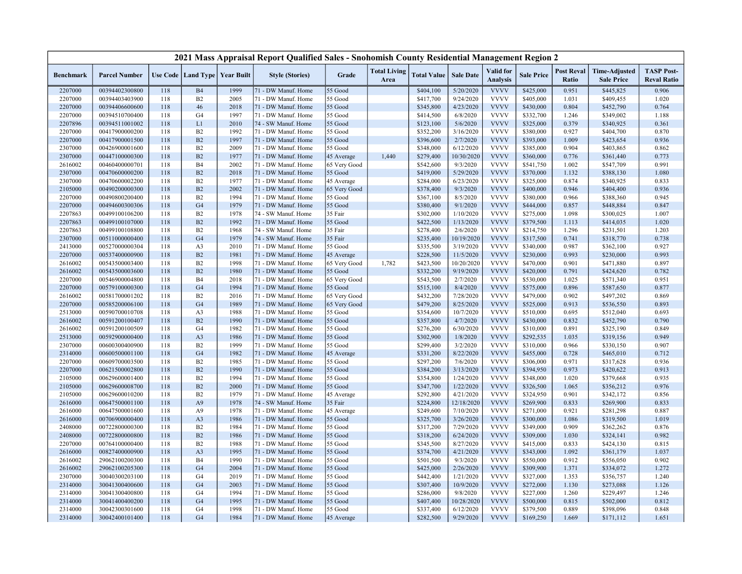|                    |                                  |     |                                   |              | 2021 Mass Appraisal Report Qualified Sales - Snohomish County Residential Management Region 2 |                       |                             |                    |                        |                                     |                        |                            |                                           |                                         |
|--------------------|----------------------------------|-----|-----------------------------------|--------------|-----------------------------------------------------------------------------------------------|-----------------------|-----------------------------|--------------------|------------------------|-------------------------------------|------------------------|----------------------------|-------------------------------------------|-----------------------------------------|
| <b>Benchmark</b>   | <b>Parcel Number</b>             |     | Use Code   Land Type   Year Built |              | <b>Style (Stories)</b>                                                                        | Grade                 | <b>Total Living</b><br>Area | <b>Total Value</b> | <b>Sale Date</b>       | <b>Valid</b> for<br><b>Analysis</b> | <b>Sale Price</b>      | <b>Post Reval</b><br>Ratio | <b>Time-Adjusted</b><br><b>Sale Price</b> | <b>TASP Post-</b><br><b>Reval Ratio</b> |
| 2207000            | 00394402300800                   | 118 | B <sub>4</sub>                    | 1999         | 71 - DW Manuf. Home                                                                           | 55 Good               |                             | \$404,100          | 5/20/2020              | <b>VVVV</b>                         | \$425,000              | 0.951                      | \$445,825                                 | 0.906                                   |
| 2207000            | 00394403403900                   | 118 | B2                                | 2005         | 71 - DW Manuf. Home                                                                           | 55 Good               |                             | \$417,700          | 9/24/2020              | <b>VVVV</b>                         | \$405,000              | 1.031                      | \$409,455                                 | 1.020                                   |
| 2207000            | 00394406600600                   | 118 | 46                                | 2018         | 71 - DW Manuf. Home                                                                           | 55 Good               |                             | \$345,800          | 4/23/2020              | <b>VVVV</b>                         | \$430,000              | 0.804                      | \$452,790                                 | 0.764                                   |
| 2207000            | 00394510700400                   | 118 | G <sub>4</sub>                    | 1997         | 71 - DW Manuf. Home                                                                           | 55 Good               |                             | \$414,500          | 6/8/2020               | <b>VVVV</b>                         | \$332,700              | 1.246                      | \$349,002                                 | 1.188                                   |
| 2207896            | 00394511001002                   | 118 | L1                                | 2010         | 74 - SW Manuf. Home                                                                           | 55 Good               |                             | \$123,100          | 5/6/2020               | <b>VVVV</b>                         | \$325,000              | 0.379                      | \$340,925                                 | 0.361                                   |
| 2207000            | 00417900000200                   | 118 | B2                                | 1992         | 71 - DW Manuf. Home                                                                           | 55 Good               |                             | \$352,200          | 3/16/2020              | <b>VVVV</b>                         | \$380,000              | 0.927                      | \$404,700                                 | 0.870                                   |
| 2207000            | 00417900001500                   | 118 | B2                                | 1997         | 71 - DW Manuf. Home                                                                           | 55 Good               |                             | \$396,600          | 2/7/2020               | <b>VVVV</b>                         | \$393,000              | 1.009                      | \$423,654                                 | 0.936                                   |
| 2307000            | 00426900001600                   | 118 | B2                                | 2009         | 71 - DW Manuf. Home                                                                           | 55 Good               |                             | \$348,000          | 6/12/2020              | <b>VVVV</b>                         | \$385,000              | 0.904                      | \$403,865                                 | 0.862                                   |
| 2307000            | 00447100000300                   | 118 | B2                                | 1977         | 71 - DW Manuf. Home                                                                           | 45 Average            | 1,440                       | \$279,400          | 10/30/2020             | <b>VVVV</b>                         | \$360,000              | 0.776                      | \$361,440                                 | 0.773                                   |
| 2616002            | 00460400000701                   | 118 | <b>B4</b>                         | 2002         | 71 - DW Manuf. Home                                                                           | 65 Very Good          |                             | \$542,600          | 9/3/2020               | <b>VVVV</b>                         | \$541,750              | 1.002                      | \$547,709                                 | 0.991                                   |
| 2307000            | 00470600000200                   | 118 | B2                                | 2018         | 71 - DW Manuf. Home                                                                           | 55 Good               |                             | \$419,000          | 5/29/2020              | <b>VVVV</b>                         | \$370,000              | 1.132                      | \$388,130                                 | 1.080                                   |
| 2307000            | 00470600002200                   | 118 | B2                                | 1977         | 71 - DW Manuf. Home                                                                           | 45 Average            |                             | \$284,000          | 6/23/2020              | <b>VVVV</b>                         | \$325,000              | 0.874                      | \$340,925                                 | 0.833                                   |
| 2105000            | 00490200000300                   | 118 | B <sub>2</sub>                    | 2002         | 71 - DW Manuf. Home                                                                           | 65 Very Good          |                             | \$378,400          | 9/3/2020               | <b>VVVV</b>                         | \$400,000              | 0.946                      | \$404,400                                 | 0.936                                   |
| 2207000            | 00490800200400                   | 118 | B2                                | 1994         | 71 - DW Manuf. Home                                                                           | 55 Good               |                             | \$367,100          | 8/5/2020               | <b>VVVV</b>                         | \$380,000              | 0.966                      | \$388,360                                 | 0.945                                   |
| 2207000            | 00494600300306                   | 118 | G <sub>4</sub>                    | 1979         | 71 - DW Manuf. Home                                                                           | 55 Good               |                             | \$380,400          | 9/1/2020               | <b>VVVV</b>                         | \$444,000              | 0.857                      | \$448,884                                 | 0.847                                   |
| 2207863            | 00499100106200                   | 118 | B2                                | 1978         | 74 - SW Manuf. Home                                                                           | 35 Fair               |                             | \$302,000          | 1/10/2020              | <b>VVVV</b>                         | \$275,000              | 1.098                      | \$300,025                                 | 1.007                                   |
| 2207863            | 00499100107000                   | 118 | B2                                | 1992         | 71 - DW Manuf. Home                                                                           | 55 Good               |                             | \$422,500          | 1/13/2020              | <b>VVVV</b>                         | \$379,500              | 1.113                      | \$414,035                                 | 1.020                                   |
| 2207863            | 00499100108800                   | 118 | B2                                | 1968         | 74 - SW Manuf. Home                                                                           | 35 Fair               |                             | \$278,400          | 2/6/2020               | <b>VVVV</b>                         | \$214,750              | 1.296                      | \$231,501                                 | 1.203                                   |
| 2307000            | 00511000000400                   | 118 | G <sub>4</sub>                    | 1979         | 74 - SW Manuf. Home                                                                           | 35 Fair               |                             | \$235,400          | 10/19/2020             | <b>VVVV</b>                         | \$317,500              | 0.741                      | \$318,770                                 | 0.738                                   |
| 2413000            | 00527000000304                   | 118 | A <sub>3</sub>                    | 2010         | 71 - DW Manuf. Home                                                                           | 55 Good               |                             | \$335,500          | 3/19/2020              | <b>VVVV</b>                         | \$340,000              | 0.987                      | \$362,100                                 | 0.927                                   |
| 2207000            | 00537400000900                   | 118 | B <sub>2</sub>                    | 1981         | 71 - DW Manuf. Home                                                                           | 45 Average            |                             | \$228,500          | 11/5/2020              | <b>VVVV</b>                         | \$230,000              | 0.993                      | \$230,000                                 | 0.993                                   |
| 2616002            | 00543500003400                   | 118 | B2                                | 1998         | 71 - DW Manuf. Home                                                                           | 65 Very Good          | 1,782                       | \$423,500          | 10/20/2020             | <b>VVVV</b>                         | \$470,000              | 0.901                      | \$471,880                                 | 0.897                                   |
| 2616002            | 00543500003600                   | 118 | B <sub>2</sub>                    | 1980         | 71 - DW Manuf. Home                                                                           | 55 Good               |                             | \$332,200          | 9/19/2020              | <b>VVVV</b>                         | \$420,000              | 0.791                      | \$424,620                                 | 0.782                                   |
| 2207000            | 00546900004800                   | 118 | <b>B4</b>                         | 2018         | 71 - DW Manuf. Home                                                                           | 65 Very Good          |                             | \$543,500          | 2/7/2020               | <b>VVVV</b>                         | \$530,000              | 1.025                      | \$571,340                                 | 0.951                                   |
| 2207000            | 00579100000300                   | 118 | G <sub>4</sub>                    | 1994         | 71 - DW Manuf. Home                                                                           | 55 Good               |                             | \$515,100          | 8/4/2020               | <b>VVVV</b>                         | \$575,000              | 0.896                      | \$587,650                                 | 0.877                                   |
| 2616002            | 00581700001202                   | 118 | B2                                | 2016         | 71 - DW Manuf. Home                                                                           | 65 Very Good          |                             | \$432,200          | 7/28/2020              | <b>VVVV</b>                         | \$479,000              | 0.902                      | \$497,202                                 | 0.869                                   |
| 2207000            | 00585200006100                   | 118 | G <sub>4</sub>                    | 1989         | 71 - DW Manuf. Home                                                                           | 65 Very Good          |                             | \$479,200          | 8/25/2020              | <b>VVVV</b>                         | \$525,000              | 0.913                      | \$536,550                                 | 0.893                                   |
| 2513000            | 00590700010708                   | 118 | A <sub>3</sub>                    | 1988         | 71 - DW Manuf. Home                                                                           | 55 Good               |                             | \$354,600          | 10/7/2020              | <b>VVVV</b>                         | \$510,000              | 0.695                      | \$512,040                                 | 0.693                                   |
| 2616002            | 00591200100407                   | 118 | B <sub>2</sub>                    | 1990         | 71 - DW Manuf. Home                                                                           | 55 Good               |                             | \$357,800          | 4/7/2020               | <b>VVVV</b>                         | \$430,000              | 0.832                      | \$452,790                                 | 0.790                                   |
| 2616002            | 00591200100509                   | 118 | G <sub>4</sub>                    | 1982         | 71 - DW Manuf. Home                                                                           | 55 Good               |                             | \$276,200          | 6/30/2020              | <b>VVVV</b>                         | \$310,000              | 0.891                      | \$325,190                                 | 0.849                                   |
| 2513000            | 00592900000400                   | 118 | A <sub>3</sub>                    | 1986         | 71 - DW Manuf. Home                                                                           | 55 Good               |                             | \$302,900          | 1/8/2020               | <b>VVVV</b>                         | \$292,535              | 1.035                      | \$319,156                                 | 0.949                                   |
| 2307000            | 00600300400900                   | 118 | B <sub>2</sub>                    | 1999         | 71 - DW Manuf. Home                                                                           | 55 Good               |                             | \$299,400          | 3/2/2020               | <b>VVVV</b>                         | \$310,000              | 0.966                      | \$330,150                                 | 0.907                                   |
| 2314000            | 00600500001100                   | 118 | G <sub>4</sub>                    | 1982         | 71 - DW Manuf. Home                                                                           | 45 Average            |                             | \$331,200          | 8/22/2020              | <b>VVVV</b>                         | \$455,000              | 0.728                      | \$465,010                                 | 0.712                                   |
| 2207000            | 00609700003500                   | 118 | B <sub>2</sub>                    | 1985         | 71 - DW Manuf. Home                                                                           | 55 Good               |                             | \$297,200          | 7/6/2020               | <b>VVVV</b>                         | \$306,000              | 0.971                      | \$317,628                                 | 0.936                                   |
| 2207000            | 00621500002800                   | 118 | B2                                | 1990         | 71 - DW Manuf. Home                                                                           | 55 Good               |                             | \$384,200          | 3/13/2020              | <b>VVVV</b>                         | \$394,950              | 0.973                      | \$420,622                                 | 0.913                                   |
| 2105000            | 00629600001400                   | 118 | B2                                | 1994         | 71 - DW Manuf. Home                                                                           | 55 Good               |                             | \$354,800          | 1/24/2020              | <b>VVVV</b>                         | \$348,000              | 1.020                      | \$379,668                                 | 0.935                                   |
| 2105000            | 00629600008700                   | 118 | B2                                | 2000         | 71 - DW Manuf. Home                                                                           | 55 Good               |                             | \$347,700          | 1/22/2020              | <b>VVVV</b>                         | \$326,500              | 1.065                      | \$356,212                                 | 0.976                                   |
| 2105000            | 00629600010200                   | 118 | B2                                | 1979         | 71 - DW Manuf. Home                                                                           |                       |                             | \$292,800          | 4/21/2020              | <b>VVVV</b>                         | \$324,950              | 0.901                      | \$342,172                                 | 0.856                                   |
| 2616000            | 00647500001100                   | 118 | A <sub>9</sub>                    | 1978         | 74 - SW Manuf. Home                                                                           | 45 Average<br>35 Fair |                             | \$224,800          | 12/18/2020             | <b>VVVV</b>                         | \$269,900              | 0.833                      | \$269,900                                 | 0.833                                   |
|                    |                                  | 118 | A9                                | 1978         | 71 - DW Manuf. Home                                                                           |                       |                             | \$249,600          | 7/10/2020              | <b>VVVV</b>                         | \$271,000              | 0.921                      |                                           | 0.887                                   |
| 2616000            | 00647500001600<br>00706900000400 | 118 | A <sub>3</sub>                    | 1986         | 71 - DW Manuf. Home                                                                           | 45 Average<br>55 Good |                             |                    | 3/26/2020              | <b>VVVV</b>                         | \$300,000              | 1.086                      | \$281,298                                 | 1.019                                   |
| 2616000            |                                  | 118 | B <sub>2</sub>                    | 1984         |                                                                                               |                       |                             | \$325,700          | 7/29/2020              | <b>VVVV</b>                         | \$349,000              | 0.909                      | \$319,500                                 | 0.876                                   |
| 2408000            | 00722800000300<br>00722800000800 | 118 | B2                                |              | 71 - DW Manuf. Home                                                                           | 55 Good               |                             | \$317,200          |                        | <b>VVVV</b>                         |                        | 1.030                      | \$362,262                                 | 0.982                                   |
| 2408000<br>2207000 | 00764100000400                   | 118 | B2                                | 1986<br>1988 | 71 - DW Manuf. Home                                                                           | 55 Good<br>55 Good    |                             | \$318,200          | 6/24/2020<br>8/27/2020 | <b>VVVV</b>                         | \$309,000<br>\$415,000 | 0.833                      | \$324,141<br>\$424,130                    | 0.815                                   |
|                    |                                  |     |                                   |              | 71 - DW Manuf. Home                                                                           |                       |                             | \$345,500          |                        |                                     |                        |                            |                                           |                                         |
| 2616000            | 00827400000900                   | 118 | A <sub>3</sub>                    | 1995         | 71 - DW Manuf. Home                                                                           | 55 Good               |                             | \$374,700          | 4/21/2020              | <b>VVVV</b>                         | \$343,000              | 1.092                      | \$361,179                                 | 1.037                                   |
| 2616002            | 29062100200300                   | 118 | <b>B4</b>                         | 1990         | 71 - DW Manuf. Home                                                                           | 55 Good               |                             | \$501,500          | 9/3/2020               | <b>VVVV</b>                         | \$550,000              | 0.912                      | \$556,050                                 | 0.902                                   |
| 2616002            | 29062100205300                   | 118 | G <sub>4</sub>                    | 2004         | 71 - DW Manuf. Home                                                                           | 55 Good               |                             | \$425,000          | 2/26/2020              | <b>VVVV</b>                         | \$309,900              | 1.371                      | \$334,072                                 | 1.272                                   |
| 2307000            | 30040300203100                   | 118 | G <sub>4</sub>                    | 2019         | 71 - DW Manuf. Home                                                                           | 55 Good               |                             | \$442,400          | 1/21/2020              | <b>VVVV</b>                         | \$327,000              | 1.353                      | \$356,757                                 | 1.240                                   |
| 2314000            | 30041300400600                   | 118 | G <sub>4</sub>                    | 2003         | 71 - DW Manuf. Home                                                                           | 55 Good               |                             | \$307,400          | 10/9/2020              | <b>VVVV</b>                         | \$272,000              | 1.130                      | \$273,088                                 | 1.126                                   |
| 2314000            | 30041300400800                   | 118 | G <sub>4</sub>                    | 1994         | 71 - DW Manuf. Home                                                                           | 55 Good               |                             | \$286,000          | 9/8/2020               | <b>VVVV</b>                         | \$227,000              | 1.260                      | \$229,497                                 | 1.246                                   |
| 2314000            | 30041400400200                   | 118 | G <sub>4</sub>                    | 1995         | 71 - DW Manuf. Home                                                                           | 55 Good               |                             | \$407,400          | 10/28/2020             | <b>VVVV</b>                         | \$500,000              | 0.815                      | \$502,000                                 | 0.812                                   |
| 2314000            | 30042300301600                   | 118 | G <sub>4</sub>                    | 1998         | 71 - DW Manuf. Home                                                                           | 55 Good               |                             | \$337,400          | 6/12/2020              | <b>VVVV</b>                         | \$379,500              | 0.889                      | \$398,096                                 | 0.848                                   |
| 2314000            | 30042400101400                   | 118 | G <sub>4</sub>                    | 1984         | 71 - DW Manuf. Home                                                                           | 45 Average            |                             | \$282,500          | 9/29/2020              | <b>VVVV</b>                         | \$169,250              | 1.669                      | \$171,112                                 | 1.651                                   |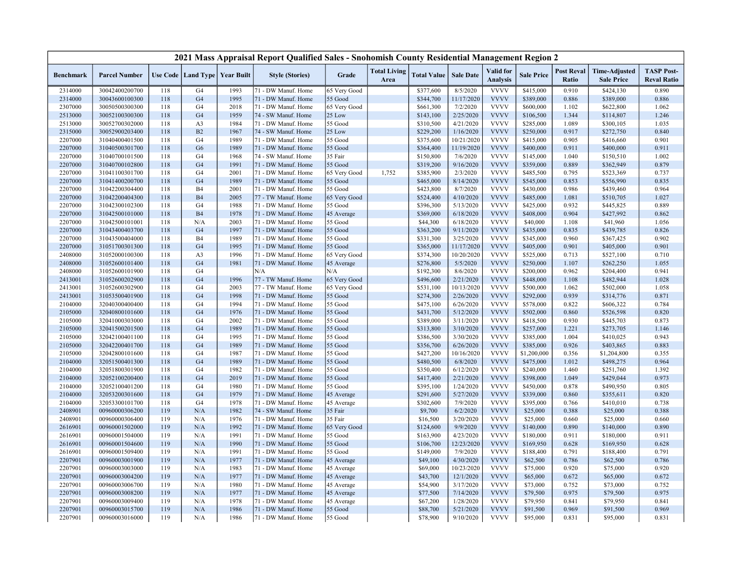|                  |                      |     |                |                                   | 2021 Mass Appraisal Report Qualified Sales - Snohomish County Residential Management Region 2 |              |                             |                    |                  |                                     |                   |                            |                                           |                                         |
|------------------|----------------------|-----|----------------|-----------------------------------|-----------------------------------------------------------------------------------------------|--------------|-----------------------------|--------------------|------------------|-------------------------------------|-------------------|----------------------------|-------------------------------------------|-----------------------------------------|
| <b>Benchmark</b> | <b>Parcel Number</b> |     |                | Use Code   Land Type   Year Built | <b>Style (Stories)</b>                                                                        | Grade        | <b>Total Living</b><br>Area | <b>Total Value</b> | <b>Sale Date</b> | <b>Valid</b> for<br><b>Analysis</b> | <b>Sale Price</b> | <b>Post Reval</b><br>Ratio | <b>Time-Adjusted</b><br><b>Sale Price</b> | <b>TASP Post-</b><br><b>Reval Ratio</b> |
| 2314000          | 30042400200700       | 118 | G4             | 1993                              | 71 - DW Manuf. Home                                                                           | 65 Very Good |                             | \$377,600          | 8/5/2020         | <b>VVVV</b>                         | \$415,000         | 0.910                      | \$424,130                                 | 0.890                                   |
| 2314000          | 30043600100300       | 118 | G <sub>4</sub> | 1995                              | 71 - DW Manuf. Home                                                                           | 55 Good      |                             | \$344,700          | 11/17/2020       | <b>VVVV</b>                         | \$389,000         | 0.886                      | \$389,000                                 | 0.886                                   |
| 2307000          | 30050500300300       | 118 | G <sub>4</sub> | 2018                              | 71 - DW Manuf. Home                                                                           | 65 Very Good |                             | \$661,300          | 7/2/2020         | <b>VVVV</b>                         | \$600,000         | 1.102                      | \$622,800                                 | 1.062                                   |
| 2513000          | 30052100300300       | 118 | G <sub>4</sub> | 1959                              | 74 - SW Manuf. Home                                                                           | 25 Low       |                             | \$143,100          | 2/25/2020        | <b>VVVV</b>                         | \$106,500         | 1.344                      | \$114,807                                 | 1.246                                   |
| 2513000          | 30052700302000       | 118 | A <sub>3</sub> | 1984                              | 71 - DW Manuf. Home                                                                           | 55 Good      |                             | \$310,500          | 4/21/2020        | <b>VVVV</b>                         | \$285,000         | 1.089                      | \$300,105                                 | 1.035                                   |
| 2315000          | 30052900203400       | 118 | B2             | 1967                              | 74 - SW Manuf. Home                                                                           | 25 Low       |                             | \$229,200          | 1/16/2020        | <b>VVVV</b>                         | \$250,000         | 0.917                      | \$272,750                                 | 0.840                                   |
| 2207000          | 31040400401500       | 118 | G4             | 1989                              | 71 - DW Manuf. Home                                                                           | 55 Good      |                             | \$375,600          | 10/21/2020       | <b>VVVV</b>                         | \$415,000         | 0.905                      | \$416,660                                 | 0.901                                   |
| 2207000          | 31040500301700       | 118 | G <sub>6</sub> | 1989                              | 71 - DW Manuf. Home                                                                           | 55 Good      |                             | \$364,400          | 11/19/2020       | <b>VVVV</b>                         | \$400,000         | 0.911                      | \$400,000                                 | 0.911                                   |
| 2207000          | 31040700101500       | 118 | G4             | 1968                              | 74 - SW Manuf. Home                                                                           | 35 Fair      |                             | \$150,800          | 7/6/2020         | <b>VVVV</b>                         | \$145,000         | 1.040                      | \$150,510                                 | 1.002                                   |
| 2207000          | 31040700102800       | 118 | G <sub>4</sub> | 1991                              | 71 - DW Manuf. Home                                                                           | 55 Good      |                             | \$319,200          | 9/16/2020        | <b>VVVV</b>                         | \$359,000         | 0.889                      | \$362,949                                 | 0.879                                   |
| 2207000          | 31041100301700       | 118 | G4             | 2001                              | 71 - DW Manuf. Home                                                                           | 65 Very Good | 1,752                       | \$385,900          | 2/3/2020         | <b>VVVV</b>                         | \$485,500         | 0.795                      | \$523,369                                 | 0.737                                   |
| 2207000          | 31041400200700       | 118 | G <sub>4</sub> | 1989                              | 71 - DW Manuf. Home                                                                           | 55 Good      |                             | \$465,000          | 8/14/2020        | <b>VVVV</b>                         | \$545,000         | 0.853                      | \$556,990                                 | 0.835                                   |
| 2207000          | 31042200304400       | 118 | <b>B4</b>      | 2001                              | 71 - DW Manuf. Home                                                                           | 55 Good      |                             | \$423,800          | 8/7/2020         | <b>VVVV</b>                         | \$430,000         | 0.986                      | \$439,460                                 | 0.964                                   |
| 2207000          | 31042200404300       | 118 | <b>B4</b>      | 2005                              | 77 - TW Manuf. Home                                                                           | 65 Very Good |                             | \$524,400          | 4/10/2020        | <b>VVVV</b>                         | \$485,000         | 1.081                      | \$510,705                                 | 1.027                                   |
| 2207000          | 31042300102300       | 118 | G <sub>4</sub> | 1988                              | 71 - DW Manuf. Home                                                                           | 55 Good      |                             | \$396,300          | 5/13/2020        | <b>VVVV</b>                         | \$425,000         | 0.932                      | \$445,825                                 | 0.889                                   |
| 2207000          | 31042500101000       | 118 | <b>B4</b>      | 1978                              | 71 - DW Manuf. Home                                                                           | 45 Average   |                             | \$369,000          | 6/18/2020        | <b>VVVV</b>                         | \$408,000         | 0.904                      | \$427,992                                 | 0.862                                   |
| 2207000          | 31042500101001       | 118 | N/A            | 2003                              | 71 - DW Manuf. Home                                                                           | 55 Good      |                             | \$44,300           | 6/18/2020        | <b>VVVV</b>                         | \$40,000          | 1.108                      | \$41,960                                  | 1.056                                   |
| 2207000          | 31043400403700       | 118 | G <sub>4</sub> | 1997                              | 71 - DW Manuf. Home                                                                           | 55 Good      |                             | \$363,200          | 9/11/2020        | <b>VVVV</b>                         | \$435,000         | 0.835                      | \$439,785                                 | 0.826                                   |
| 2207000          | 31043500404000       | 118 | <b>B4</b>      | 1989                              | 71 - DW Manuf. Home                                                                           | 55 Good      |                             | \$331,300          | 3/25/2020        | <b>VVVV</b>                         | \$345,000         | 0.960                      | \$367,425                                 | 0.902                                   |
| 2207000          | 31051700301300       | 118 | G <sub>4</sub> | 1995                              | 71 - DW Manuf. Home                                                                           | 55 Good      |                             | \$365,000          | 11/17/2020       | <b>VVVV</b>                         | \$405,000         | 0.901                      | \$405,000                                 | 0.901                                   |
| 2408000          | 31052000100300       | 118 | A <sub>3</sub> | 1996                              | 71 - DW Manuf. Home                                                                           | 65 Very Good |                             | \$374,300          | 10/20/2020       | <b>VVVV</b>                         | \$525,000         | 0.713                      | \$527,100                                 | 0.710                                   |
| 2408000          | 31052600101400       | 118 | G <sub>4</sub> | 1981                              | 71 - DW Manuf. Home                                                                           | 45 Average   |                             | \$276,800          | 5/5/2020         | <b>VVVV</b>                         | \$250,000         | 1.107                      | \$262,250                                 | 1.055                                   |
| 2408000          | 31052600101900       | 118 | G4             |                                   | N/A                                                                                           | N/A          |                             | \$192,300          | 8/6/2020         | <b>VVVV</b>                         | \$200,000         | 0.962                      | \$204,400                                 | 0.941                                   |
| 2413001          | 31052600202900       | 118 | G <sub>4</sub> | 1996                              | 77 - TW Manuf. Home                                                                           | 65 Very Good |                             | \$496,600          | 2/21/2020        | <b>VVVV</b>                         | \$448,000         | 1.108                      | \$482,944                                 | 1.028                                   |
| 2413001          | 31052600302900       | 118 | G4             | 2003                              | 77 - TW Manuf. Home                                                                           | 65 Very Good |                             | \$531,100          | 10/13/2020       | <b>VVVV</b>                         | \$500,000         | 1.062                      | \$502,000                                 | 1.058                                   |
| 2413001          | 31053500401900       | 118 | G <sub>4</sub> | 1998                              | 71 - DW Manuf. Home                                                                           | 55 Good      |                             | \$274,300          | 2/26/2020        | <b>VVVV</b>                         | \$292,000         | 0.939                      | \$314,776                                 | 0.871                                   |
| 2104000          | 32040300400400       | 118 | G4             | 1994                              | 71 - DW Manuf. Home                                                                           | 55 Good      |                             | \$475,100          | 6/26/2020        | <b>VVVV</b>                         | \$578,000         | 0.822                      | \$606,322                                 | 0.784                                   |
| 2105000          | 32040800101600       | 118 | G <sub>4</sub> | 1976                              | 71 - DW Manuf. Home                                                                           | 55 Good      |                             | \$431,700          | 5/12/2020        | <b>VVVV</b>                         | \$502,000         | 0.860                      | \$526,598                                 | 0.820                                   |
| 2105000          | 32041000303000       | 118 | G <sub>4</sub> | 2002                              | 71 - DW Manuf. Home                                                                           | 55 Good      |                             | \$389,000          | 3/11/2020        | <b>VVVV</b>                         | \$418,500         | 0.930                      | \$445,703                                 | 0.873                                   |
| 2105000          | 32041500201500       | 118 | G <sub>4</sub> | 1989                              | 71 - DW Manuf. Home                                                                           | 55 Good      |                             | \$313,800          | 3/10/2020        | <b>VVVV</b>                         | \$257,000         | 1.221                      | \$273,705                                 | 1.146                                   |
| 2105000          | 32042100401100       | 118 | G4             | 1995                              | 71 - DW Manuf. Home                                                                           | 55 Good      |                             | \$386,500          | 3/30/2020        | <b>VVVV</b>                         | \$385,000         | 1.004                      | \$410,025                                 | 0.943                                   |
| 2105000          | 32042200401700       | 118 | G <sub>4</sub> | 1989                              | 71 - DW Manuf. Home                                                                           | 55 Good      |                             | \$356,700          | 6/26/2020        | <b>VVVV</b>                         | \$385,000         | 0.926                      | \$403,865                                 | 0.883                                   |
| 2105000          | 32042800101600       | 118 | G4             | 1987                              | 71 - DW Manuf. Home                                                                           | 55 Good      |                             | \$427,200          | 10/16/2020       | <b>VVVV</b>                         | \$1,200,000       | 0.356                      | \$1,204,800                               | 0.355                                   |
| 2104000          | 32051500401300       | 118 | G <sub>4</sub> | 1989                              | 71 - DW Manuf. Home                                                                           | 55 Good      |                             | \$480,500          | 6/8/2020         | <b>VVVV</b>                         | \$475,000         | 1.012                      | \$498,275                                 | 0.964                                   |
| 2104000          | 32051800301900       | 118 | G4             | 1982                              | 71 - DW Manuf. Home                                                                           | 55 Good      |                             | \$350,400          | 6/12/2020        | <b>VVVV</b>                         | \$240,000         | 1.460                      | \$251,760                                 | 1.392                                   |
| 2104000          | 32052100200400       | 118 | G <sub>4</sub> | 2019                              | 71 - DW Manuf. Home                                                                           | 55 Good      |                             | \$417,400          | 2/21/2020        | <b>VVVV</b>                         | \$398,000         | 1.049                      | \$429,044                                 | 0.973                                   |
| 2104000          | 32052100401200       | 118 | G4             | 1980                              | 71 - DW Manuf. Home                                                                           | 55 Good      |                             | \$395,100          | 1/24/2020        | <b>VVVV</b>                         | \$450,000         | 0.878                      | \$490,950                                 | 0.805                                   |
| 2104000          | 32053200301600       | 118 | G <sub>4</sub> | 1979                              | 71 - DW Manuf. Home                                                                           | 45 Average   |                             | \$291,600          | 5/27/2020        | <b>VVVV</b>                         | \$339,000         | 0.860                      | \$355,611                                 | 0.820                                   |
| 2104000          | 32053300101700       | 118 | G4             | 1978                              | 71 - DW Manuf. Home                                                                           | 45 Average   |                             | \$302,600          | 7/9/2020         | <b>VVVV</b>                         | \$395,000         | 0.766                      | \$410,010                                 | 0.738                                   |
| 2408901          | 00960000306200       | 119 | N/A            | 1982                              | 74 - SW Manuf. Home                                                                           | 35 Fair      |                             | \$9,700            | 6/2/2020         | <b>VVVV</b>                         | \$25,000          | 0.388                      | \$25,000                                  | 0.388                                   |
| 2408901          | 00960000306400       | 119 | N/A            | 1976                              | 71 - DW Manuf. Home                                                                           | 35 Fair      |                             | \$16,500           | 3/20/2020        | <b>VVVV</b>                         | \$25,000          | 0.660                      | \$25,000                                  | 0.660                                   |
| 2616901          | 00960001502000       | 119 | N/A            | 1992                              | 71 - DW Manuf. Home                                                                           | 65 Very Good |                             | \$124,600          | 9/9/2020         | <b>VVVV</b>                         | \$140,000         | 0.890                      | \$140,000                                 | 0.890                                   |
| 2616901          | 00960001504000       | 119 | N/A            | 1991                              | 71 - DW Manuf. Home                                                                           | 55 Good      |                             | \$163,900          | 4/23/2020        | <b>VVVV</b>                         | \$180,000         | 0.911                      | \$180,000                                 | 0.911                                   |
| 2616901          | 00960001504600       | 119 | N/A            | 1990                              | 71 - DW Manuf. Home                                                                           | 55 Good      |                             | \$106,700          | 12/23/2020       | <b>VVVV</b>                         | \$169,950         | 0.628                      | \$169,950                                 | 0.628                                   |
| 2616901          | 00960001509400       | 119 | N/A            | 1991                              | 71 - DW Manuf. Home                                                                           | 55 Good      |                             | \$149,000          | 7/9/2020         | <b>VVVV</b>                         | \$188,400         | 0.791                      | \$188,400                                 | 0.791                                   |
| 2207901          | 00960003001900       | 119 | N/A            | 1977                              | 71 - DW Manuf. Home                                                                           | 45 Average   |                             | \$49,100           | 4/30/2020        | <b>VVVV</b>                         | \$62,500          | 0.786                      | \$62,500                                  | 0.786                                   |
| 2207901          | 00960003003000       | 119 | N/A            | 1983                              | 71 - DW Manuf. Home                                                                           | 45 Average   |                             | \$69,000           | 10/23/2020       | <b>VVVV</b>                         | \$75,000          | 0.920                      | \$75,000                                  | 0.920                                   |
| 2207901          | 00960003004200       | 119 | N/A            | 1977                              | 71 - DW Manuf. Home                                                                           | 45 Average   |                             | \$43,700           | 12/1/2020        | <b>VVVV</b>                         | \$65,000          | 0.672                      | \$65,000                                  | 0.672                                   |
| 2207901          | 00960003006700       | 119 | N/A            | 1980                              | 71 - DW Manuf. Home                                                                           | 45 Average   |                             | \$54,900           | 3/17/2020        | <b>VVVV</b>                         | \$73,000          | 0.752                      | \$73,000                                  | 0.752                                   |
| 2207901          | 00960003008200       | 119 | N/A            | 1977                              | 71 - DW Manuf. Home                                                                           | 45 Average   |                             | \$77,500           | 7/14/2020        | <b>VVVV</b>                         | \$79,500          | 0.975                      | \$79,500                                  | 0.975                                   |
| 2207901          | 00960003009400       | 119 | N/A            | 1978                              | 71 - DW Manuf. Home                                                                           | 45 Average   |                             | \$67,200           | 1/28/2020        | <b>VVVV</b>                         | \$79,950          | 0.841                      | \$79,950                                  | 0.841                                   |
| 2207901          | 00960003015700       | 119 | N/A            | 1986                              | 71 - DW Manuf. Home                                                                           | 55 Good      |                             | \$88,700           | 5/21/2020        | <b>VVVV</b>                         | \$91,500          | 0.969                      | \$91,500                                  | 0.969                                   |
| 2207901          | 00960003016000       | 119 | N/A            | 1986                              | 71 - DW Manuf. Home                                                                           | 55 Good      |                             | \$78,900           | 9/10/2020        | <b>VVVV</b>                         | \$95,000          | 0.831                      | \$95,000                                  | 0.831                                   |
|                  |                      |     |                |                                   |                                                                                               |              |                             |                    |                  |                                     |                   |                            |                                           |                                         |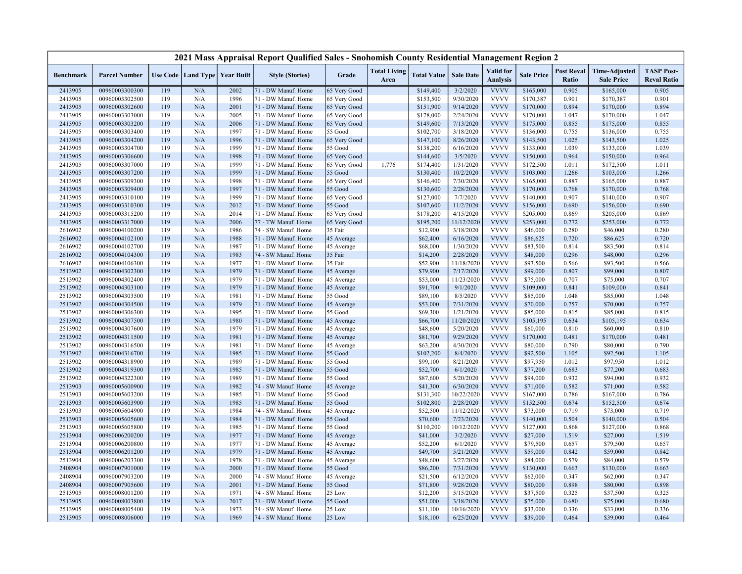|                  |                      |     |     |                                   | 2021 Mass Appraisal Report Qualified Sales - Snohomish County Residential Management Region 2 |              |                             |                    |                  |                                     |                   |                            |                                           |                                         |
|------------------|----------------------|-----|-----|-----------------------------------|-----------------------------------------------------------------------------------------------|--------------|-----------------------------|--------------------|------------------|-------------------------------------|-------------------|----------------------------|-------------------------------------------|-----------------------------------------|
| <b>Benchmark</b> | <b>Parcel Number</b> |     |     | Use Code   Land Type   Year Built | <b>Style (Stories)</b>                                                                        | Grade        | <b>Total Living</b><br>Area | <b>Total Value</b> | <b>Sale Date</b> | <b>Valid</b> for<br><b>Analysis</b> | <b>Sale Price</b> | <b>Post Reval</b><br>Ratio | <b>Time-Adjusted</b><br><b>Sale Price</b> | <b>TASP Post-</b><br><b>Reval Ratio</b> |
| 2413905          | 00960003300300       | 119 | N/A | 2002                              | 71 - DW Manuf. Home                                                                           | 65 Very Good |                             | \$149,400          | 3/2/2020         | <b>VVVV</b>                         | \$165,000         | 0.905                      | \$165,000                                 | 0.905                                   |
| 2413905          | 00960003302500       | 119 | N/A | 1996                              | 71 - DW Manuf. Home                                                                           | 65 Very Good |                             | \$153,500          | 9/30/2020        | <b>VVVV</b>                         | \$170,387         | 0.901                      | \$170,387                                 | 0.901                                   |
| 2413905          | 00960003302600       | 119 | N/A | 2001                              | 71 - DW Manuf. Home                                                                           | 65 Very Good |                             | \$151,900          | 9/14/2020        | <b>VVVV</b>                         | \$170,000         | 0.894                      | \$170,000                                 | 0.894                                   |
| 2413905          | 00960003303000       | 119 | N/A | 2005                              | 71 - DW Manuf. Home                                                                           | 65 Very Good |                             | \$178,000          | 2/24/2020        | <b>VVVV</b>                         | \$170,000         | 1.047                      | \$170,000                                 | 1.047                                   |
| 2413905          | 00960003303200       | 119 | N/A | 2006                              | 71 - DW Manuf. Home                                                                           | 65 Very Good |                             | \$149,600          | 7/13/2020        | <b>VVVV</b>                         | \$175,000         | 0.855                      | \$175,000                                 | 0.855                                   |
| 2413905          | 00960003303400       | 119 | N/A | 1997                              | 71 - DW Manuf. Home                                                                           | 55 Good      |                             | \$102,700          | 3/18/2020        | <b>VVVV</b>                         | \$136,000         | 0.755                      | \$136,000                                 | 0.755                                   |
| 2413905          | 00960003304200       | 119 | N/A | 1996                              | 71 - DW Manuf. Home                                                                           | 65 Very Good |                             | \$147,100          | 8/26/2020        | <b>VVVV</b>                         | \$143,500         | 1.025                      | \$143,500                                 | 1.025                                   |
| 2413905          | 00960003304700       | 119 | N/A | 1999                              | 71 - DW Manuf. Home                                                                           | 55 Good      |                             | \$138,200          | 6/16/2020        | <b>VVVV</b>                         | \$133,000         | 1.039                      | \$133,000                                 | 1.039                                   |
| 2413905          | 00960003306600       | 119 | N/A | 1998                              | 71 - DW Manuf. Home                                                                           | 65 Very Good |                             | \$144,600          | 3/5/2020         | <b>VVVV</b>                         | \$150,000         | 0.964                      | \$150,000                                 | 0.964                                   |
| 2413905          | 00960003307000       | 119 | N/A | 1999                              | 71 - DW Manuf. Home                                                                           | 65 Very Good | 1,776                       | \$174,400          | 1/31/2020        | <b>VVVV</b>                         | \$172,500         | 1.011                      | \$172,500                                 | 1.011                                   |
| 2413905          | 00960003307200       | 119 | N/A | 1999                              | 71 - DW Manuf. Home                                                                           | 55 Good      |                             | \$130,400          | 10/2/2020        | <b>VVVV</b>                         | \$103,000         | 1.266                      | \$103,000                                 | 1.266                                   |
| 2413905          | 00960003309300       | 119 | N/A | 1998                              | 71 - DW Manuf. Home                                                                           | 65 Very Good |                             | \$146,400          | 7/30/2020        | <b>VVVV</b>                         | \$165,000         | 0.887                      | \$165,000                                 | 0.887                                   |
| 2413905          | 00960003309400       | 119 | N/A | 1997                              | 71 - DW Manuf. Home                                                                           | 55 Good      |                             | \$130,600          | 2/28/2020        | <b>VVVV</b>                         | \$170,000         | 0.768                      | \$170,000                                 | 0.768                                   |
| 2413905          | 00960003310100       | 119 | N/A | 1999                              | 71 - DW Manuf. Home                                                                           | 65 Very Good |                             | \$127,000          | 7/7/2020         | <b>VVVV</b>                         | \$140,000         | 0.907                      | \$140,000                                 | 0.907                                   |
| 2413905          | 00960003310300       | 119 | N/A | 2012                              | 71 - DW Manuf. Home                                                                           | 55 Good      |                             | \$107,600          | 11/2/2020        | <b>VVVV</b>                         | \$156,000         | 0.690                      | \$156,000                                 | 0.690                                   |
| 2413905          | 00960003315200       | 119 | N/A | 2014                              | 71 - DW Manuf. Home                                                                           | 65 Very Good |                             | \$178,200          | 4/15/2020        | <b>VVVV</b>                         | \$205,000         | 0.869                      | \$205,000                                 | 0.869                                   |
| 2413905          | 00960003317000       | 119 | N/A | 2006                              | 77 - TW Manuf. Home                                                                           | 65 Very Good |                             | \$195,200          | 11/12/2020       | <b>VVVV</b>                         | \$253,000         | 0.772                      | \$253,000                                 | 0.772                                   |
| 2616902          | 00960004100200       | 119 | N/A | 1986                              | 74 - SW Manuf. Home                                                                           | 35 Fair      |                             | \$12,900           | 3/18/2020        | <b>VVVV</b>                         | \$46,000          | 0.280                      | \$46,000                                  | 0.280                                   |
| 2616902          | 00960004102100       | 119 | N/A | 1988                              | 71 - DW Manuf. Home                                                                           | 45 Average   |                             | \$62,400           | 6/16/2020        | <b>VVVV</b>                         | \$86,625          | 0.720                      | \$86,625                                  | 0.720                                   |
| 2616902          | 00960004102700       | 119 | N/A | 1987                              | 71 - DW Manuf. Home                                                                           | 45 Average   |                             | \$68,000           | 1/30/2020        | <b>VVVV</b>                         | \$83,500          | 0.814                      | \$83,500                                  | 0.814                                   |
| 2616902          | 00960004104300       | 119 | N/A | 1983                              | 74 - SW Manuf. Home                                                                           | 35 Fair      |                             | \$14,200           | 2/28/2020        | <b>VVVV</b>                         | \$48,000          | 0.296                      | \$48,000                                  | 0.296                                   |
| 2616902          | 00960004106300       | 119 | N/A | 1977                              | 71 - DW Manuf. Home                                                                           | 35 Fair      |                             | \$52,900           | 11/18/2020       | <b>VVVV</b>                         | \$93,500          | 0.566                      | \$93,500                                  | 0.566                                   |
| 2513902          | 00960004302300       | 119 | N/A | 1979                              | 71 - DW Manuf. Home                                                                           | 45 Average   |                             | \$79,900           | 7/17/2020        | <b>VVVV</b>                         | \$99,000          | 0.807                      | \$99,000                                  | 0.807                                   |
| 2513902          | 00960004302400       | 119 | N/A | 1979                              | 71 - DW Manuf. Home                                                                           | 45 Average   |                             | \$53,000           | 11/23/2020       | <b>VVVV</b>                         | \$75,000          | 0.707                      | \$75,000                                  | 0.707                                   |
| 2513902          | 00960004303100       | 119 | N/A | 1979                              | 71 - DW Manuf. Home                                                                           | 45 Average   |                             | \$91,700           | 9/1/2020         | <b>VVVV</b>                         | \$109,000         | 0.841                      | \$109,000                                 | 0.841                                   |
| 2513902          | 00960004303500       | 119 | N/A | 1981                              | 71 - DW Manuf. Home                                                                           | 55 Good      |                             | \$89,100           | 8/5/2020         | <b>VVVV</b>                         | \$85,000          | 1.048                      | \$85,000                                  | 1.048                                   |
| 2513902          | 00960004304500       | 119 | N/A | 1979                              | 71 - DW Manuf. Home                                                                           | 45 Average   |                             | \$53,000           | 7/31/2020        | <b>VVVV</b>                         | \$70,000          | 0.757                      | \$70,000                                  | 0.757                                   |
| 2513902          | 00960004306300       | 119 | N/A | 1995                              | 71 - DW Manuf. Home                                                                           | 55 Good      |                             | \$69,300           | 1/21/2020        | <b>VVVV</b>                         | \$85,000          | 0.815                      | \$85,000                                  | 0.815                                   |
| 2513902          | 00960004307500       | 119 | N/A | 1980                              | 71 - DW Manuf. Home                                                                           | 45 Average   |                             | \$66,700           | 11/20/2020       | <b>VVVV</b>                         | \$105,195         | 0.634                      | \$105,195                                 | 0.634                                   |
| 2513902          | 00960004307600       | 119 | N/A | 1979                              | 71 - DW Manuf. Home                                                                           | 45 Average   |                             | \$48,600           | 5/20/2020        | <b>VVVV</b>                         | \$60,000          | 0.810                      | \$60,000                                  | 0.810                                   |
| 2513902          | 00960004311500       | 119 | N/A | 1981                              | 71 - DW Manuf. Home                                                                           | 45 Average   |                             | \$81,700           | 9/29/2020        | <b>VVVV</b>                         | \$170,000         | 0.481                      | \$170,000                                 | 0.481                                   |
| 2513902          | 00960004316500       | 119 | N/A | 1981                              | 71 - DW Manuf. Home                                                                           | 45 Average   |                             | \$63,200           | 4/30/2020        | <b>VVVV</b>                         | \$80,000          | 0.790                      | \$80,000                                  | 0.790                                   |
| 2513902          | 00960004316700       | 119 | N/A | 1985                              | 71 - DW Manuf. Home                                                                           | 55 Good      |                             | \$102,200          | 8/4/2020         | <b>VVVV</b>                         | \$92,500          | 1.105                      | \$92,500                                  | 1.105                                   |
| 2513902          | 00960004318900       | 119 | N/A | 1989                              | 71 - DW Manuf. Home                                                                           | 55 Good      |                             | \$99,100           | 8/21/2020        | <b>VVVV</b>                         | \$97,950          | 1.012                      | \$97,950                                  | 1.012                                   |
| 2513902          | 00960004319300       | 119 | N/A | 1985                              | 71 - DW Manuf. Home                                                                           | 55 Good      |                             | \$52,700           | 6/1/2020         | <b>VVVV</b>                         | \$77,200          | 0.683                      | \$77,200                                  | 0.683                                   |
| 2513902          | 00960004322300       | 119 | N/A | 1989                              | 71 - DW Manuf. Home                                                                           | 55 Good      |                             | \$87,600           | 5/20/2020        | <b>VVVV</b>                         | \$94,000          | 0.932                      | \$94,000                                  | 0.932                                   |
| 2513903          | 00960005600900       | 119 | N/A | 1982                              | 74 - SW Manuf. Home                                                                           | 45 Average   |                             | \$41,300           | 6/30/2020        | <b>VVVV</b>                         | \$71,000          | 0.582                      | \$71,000                                  | 0.582                                   |
| 2513903          | 00960005603200       | 119 | N/A | 1985                              | 71 - DW Manuf. Home                                                                           | 55 Good      |                             | \$131,300          | 10/22/2020       | <b>VVVV</b>                         | \$167,000         | 0.786                      | \$167,000                                 | 0.786                                   |
| 2513903          | 00960005603900       | 119 | N/A | 1985                              | 71 - DW Manuf. Home                                                                           | 55 Good      |                             | \$102,800          | 2/28/2020        | <b>VVVV</b>                         | \$152,500         | 0.674                      | \$152,500                                 | 0.674                                   |
| 2513903          | 00960005604900       | 119 | N/A | 1984                              | 74 - SW Manuf. Home                                                                           | 45 Average   |                             | \$52,500           | 11/12/2020       | <b>VVVV</b>                         | \$73,000          | 0.719                      | \$73,000                                  | 0.719                                   |
| 2513903          | 00960005605600       | 119 | N/A | 1984                              | 71 - DW Manuf. Home                                                                           | 55 Good      |                             | \$70,600           | 7/23/2020        | <b>VVVV</b>                         | \$140,000         | 0.504                      | \$140,000                                 | 0.504                                   |
| 2513903          | 00960005605800       | 119 | N/A | 1985                              | 71 - DW Manuf. Home                                                                           | 55 Good      |                             | \$110,200          | 10/12/2020       | <b>VVVV</b>                         | \$127,000         | 0.868                      | \$127,000                                 | 0.868                                   |
| 2513904          | 00960006200200       | 119 | N/A | 1977                              | 71 - DW Manuf. Home                                                                           | 45 Average   |                             | \$41,000           | 3/2/2020         | <b>VVVV</b>                         | \$27,000          | 1.519                      | \$27,000                                  | 1.519                                   |
| 2513904          | 00960006200800       | 119 | N/A | 1977                              | 71 - DW Manuf. Home                                                                           | 45 Average   |                             | \$52,200           | 6/1/2020         | <b>VVVV</b>                         | \$79,500          | 0.657                      | \$79,500                                  | 0.657                                   |
| 2513904          | 00960006201200       | 119 | N/A | 1979                              | 71 - DW Manuf. Home                                                                           | 45 Average   |                             | \$49,700           | 5/21/2020        | <b>VVVV</b>                         | \$59,000          | 0.842                      | \$59,000                                  | 0.842                                   |
| 2513904          | 00960006203300       | 119 | N/A | 1978                              | 71 - DW Manuf. Home                                                                           | 45 Average   |                             | \$48,600           | 3/27/2020        | <b>VVVV</b>                         | \$84,000          | 0.579                      | \$84,000                                  | 0.579                                   |
| 2408904          | 00960007901000       | 119 | N/A | 2000                              | 71 - DW Manuf. Home                                                                           | 55 Good      |                             | \$86,200           | 7/31/2020        | <b>VVVV</b>                         | \$130,000         | 0.663                      | \$130,000                                 | 0.663                                   |
| 2408904          | 00960007903200       | 119 | N/A | 2000                              | 74 - SW Manuf. Home                                                                           | 45 Average   |                             | \$21,500           | 6/12/2020        | <b>VVVV</b>                         | \$62,000          | 0.347                      | \$62,000                                  | 0.347                                   |
| 2408904          | 00960007905600       | 119 | N/A | 2001                              | 71 - DW Manuf. Home                                                                           | 55 Good      |                             | \$71,800           | 9/28/2020        | <b>VVVV</b>                         | \$80,000          | 0.898                      | \$80,000                                  | 0.898                                   |
| 2513905          | 00960008001200       | 119 | N/A | 1971                              | 74 - SW Manuf. Home                                                                           | 25 Low       |                             | \$12,200           | 5/15/2020        | <b>VVVV</b>                         | \$37,500          | 0.325                      | \$37,500                                  | 0.325                                   |
| 2513905          | 00960008003800       | 119 | N/A | 2017                              | 71 - DW Manuf. Home                                                                           | 55 Good      |                             | \$51,000           | 3/18/2020        | <b>VVVV</b>                         | \$75,000          | 0.680                      | \$75,000                                  | 0.680                                   |
| 2513905          | 00960008005400       | 119 | N/A | 1973                              | 74 - SW Manuf. Home                                                                           | 25 Low       |                             | \$11,100           | 10/16/2020       | <b>VVVV</b>                         | \$33,000          | 0.336                      | \$33,000                                  | 0.336                                   |
| 2513905          | 00960008006000       | 119 | N/A | 1969                              | 74 - SW Manuf. Home                                                                           | $25$ Low     |                             | \$18,100           | 6/25/2020        | <b>VVVV</b>                         | \$39,000          | 0.464                      | \$39,000                                  | 0.464                                   |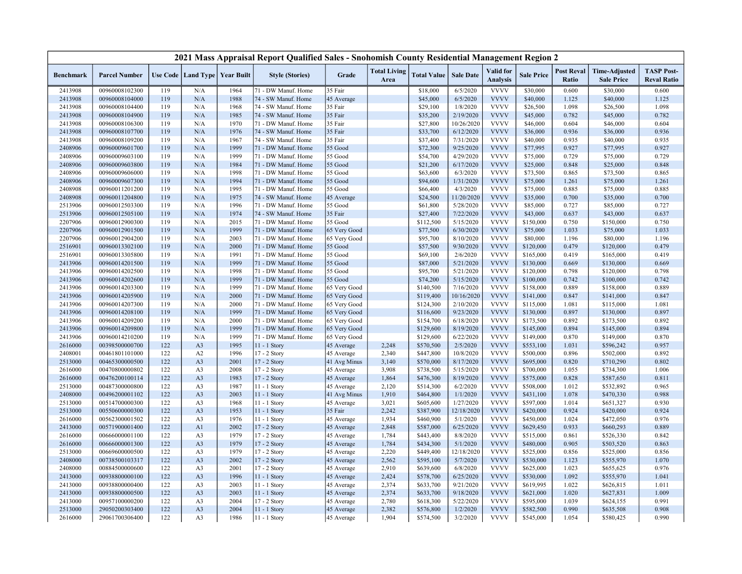|                    |                                  |            |                                   |              | 2021 Mass Appraisal Report Qualified Sales - Snohomish County Residential Management Region 2 |                          |                             |                        |                        |                                     |                        |                            |                                           |                                         |
|--------------------|----------------------------------|------------|-----------------------------------|--------------|-----------------------------------------------------------------------------------------------|--------------------------|-----------------------------|------------------------|------------------------|-------------------------------------|------------------------|----------------------------|-------------------------------------------|-----------------------------------------|
| <b>Benchmark</b>   | <b>Parcel Number</b>             |            | Use Code   Land Type   Year Built |              | <b>Style (Stories)</b>                                                                        | Grade                    | <b>Total Living</b><br>Area | <b>Total Value</b>     | <b>Sale Date</b>       | <b>Valid</b> for<br><b>Analysis</b> | <b>Sale Price</b>      | <b>Post Reval</b><br>Ratio | <b>Time-Adjusted</b><br><b>Sale Price</b> | <b>TASP Post-</b><br><b>Reval Ratio</b> |
| 2413908            | 00960008102300                   | 119        | N/A                               | 1964         | 71 - DW Manuf. Home                                                                           | 35 Fair                  |                             | \$18,000               | 6/5/2020               | <b>VVVV</b>                         | \$30,000               | 0.600                      | \$30,000                                  | 0.600                                   |
| 2413908            | 00960008104000                   | 119        | N/A                               | 1988         | 74 - SW Manuf. Home                                                                           | 45 Average               |                             | \$45,000               | 6/5/2020               | <b>VVVV</b>                         | \$40,000               | 1.125                      | \$40,000                                  | 1.125                                   |
| 2413908            | 00960008104400                   | 119        | N/A                               | 1968         | 74 - SW Manuf. Home                                                                           | 35 Fair                  |                             | \$29,100               | 1/8/2020               | <b>VVVV</b>                         | \$26,500               | 1.098                      | \$26,500                                  | 1.098                                   |
| 2413908            | 00960008104900                   | 119        | N/A                               | 1985         | 74 - SW Manuf. Home                                                                           | 35 Fair                  |                             | \$35,200               | 2/19/2020              | <b>VVVV</b>                         | \$45,000               | 0.782                      | \$45,000                                  | 0.782                                   |
| 2413908            | 00960008106300                   | 119        | N/A                               | 1970         | 71 - DW Manuf. Home                                                                           | 35 Fair                  |                             | \$27,800               | 10/26/2020             | <b>VVVV</b>                         | \$46,000               | 0.604                      | \$46,000                                  | 0.604                                   |
| 2413908            | 00960008107700                   | 119        | N/A                               | 1976         | 74 - SW Manuf. Home                                                                           | 35 Fair                  |                             | \$33,700               | 6/12/2020              | <b>VVVV</b>                         | \$36,000               | 0.936                      | \$36,000                                  | 0.936                                   |
| 2413908            | 00960008109200                   | 119        | N/A                               | 1967         | 74 - SW Manuf. Home                                                                           | 35 Fair                  |                             | \$37,400               | 7/31/2020              | <b>VVVV</b>                         | \$40,000               | 0.935                      | \$40,000                                  | 0.935                                   |
| 2408906            | 00960009601700                   | 119        | N/A                               | 1999         | 71 - DW Manuf. Home                                                                           | 55 Good                  |                             | \$72,300               | 9/25/2020              | <b>VVVV</b>                         | \$77,995               | 0.927                      | \$77,995                                  | 0.927                                   |
| 2408906            | 00960009603100                   | 119        | N/A                               | 1999         | 71 - DW Manuf. Home                                                                           | 55 Good                  |                             | \$54,700               | 4/29/2020              | <b>VVVV</b>                         | \$75,000               | 0.729                      | \$75,000                                  | 0.729                                   |
| 2408906            | 00960009603800                   | 119        | N/A                               | 1984         | 71 - DW Manuf. Home                                                                           | 55 Good                  |                             | \$21,200               | 6/17/2020              | <b>VVVV</b>                         | \$25,000               | 0.848                      | \$25,000                                  | 0.848                                   |
| 2408906            | 00960009606000                   | 119        | N/A                               | 1998         | 71 - DW Manuf. Home                                                                           | 55 Good                  |                             | \$63,600               | 6/3/2020               | <b>VVVV</b>                         | \$73,500               | 0.865                      | \$73,500                                  | 0.865                                   |
| 2408906            | 00960009607300                   | 119        | N/A                               | 1994         | 71 - DW Manuf. Home                                                                           | 55 Good                  |                             | \$94,600               | 1/31/2020              | <b>VVVV</b>                         | \$75,000               | 1.261                      | \$75,000                                  | 1.261                                   |
| 2408908            | 00960011201200                   | 119        | N/A                               | 1995         | 71 - DW Manuf. Home                                                                           | 55 Good                  |                             | \$66,400               | 4/3/2020               | <b>VVVV</b>                         | \$75,000               | 0.885                      | \$75,000                                  | 0.885                                   |
| 2408908            | 00960011204800                   | 119        | N/A                               | 1975         | 74 - SW Manuf. Home                                                                           | 45 Average               |                             | \$24,500               | 11/20/2020             | <b>VVVV</b>                         | \$35,000               | 0.700                      | \$35,000                                  | 0.700                                   |
| 2513906            | 00960012503300                   | 119        | N/A                               | 1996         | 71 - DW Manuf. Home                                                                           | 55 Good                  |                             | \$61,800               | 5/28/2020              | <b>VVVV</b>                         | \$85,000               | 0.727                      | \$85,000                                  | 0.727                                   |
| 2513906            | 00960012505100                   | 119        | N/A                               | 1974         | 74 - SW Manuf. Home                                                                           | 35 Fair                  |                             | \$27,400               | 7/22/2020              | <b>VVVV</b>                         | \$43,000               | 0.637                      | \$43,000                                  | 0.637                                   |
| 2207906            | 00960012900300                   | 119        | N/A                               | 2015         | 71 - DW Manuf. Home                                                                           | 55 Good                  |                             | \$112,500              | 5/15/2020              | <b>VVVV</b>                         | \$150,000              | 0.750                      | \$150,000                                 | 0.750                                   |
| 2207906            | 00960012901500                   | 119        | N/A                               | 1999         | 71 - DW Manuf. Home                                                                           | 65 Very Good             |                             | \$77,500               | 6/30/2020              | <b>VVVV</b>                         | \$75,000               | 1.033                      | \$75,000                                  | 1.033                                   |
| 2207906            | 00960012904200                   | 119        | N/A                               | 2003         | 71 - DW Manuf. Home                                                                           | 65 Very Good             |                             | \$95,700               | 8/10/2020              | <b>VVVV</b>                         | \$80,000               | 1.196                      | \$80,000                                  | 1.196                                   |
| 2516901            | 00960013302100                   | 119        | N/A                               | 2000         | 71 - DW Manuf. Home                                                                           | 55 Good                  |                             | \$57,500               | 9/30/2020              | <b>VVVV</b>                         | \$120,000              | 0.479                      | \$120,000                                 | 0.479                                   |
| 2516901            | 00960013305800                   | 119        | N/A                               | 1991         | 71 - DW Manuf. Home                                                                           | 55 Good                  |                             | \$69,100               | 2/6/2020               | <b>VVVV</b>                         | \$165,000              | 0.419                      | \$165,000                                 | 0.419                                   |
| 2413906            | 00960014201500                   | 119        | N/A                               | 1999         | 71 - DW Manuf. Home                                                                           | 55 Good                  |                             | \$87,000               | 5/21/2020              | <b>VVVV</b>                         | \$130,000              | 0.669                      | \$130,000                                 | 0.669                                   |
| 2413906            | 00960014202500                   | 119        | N/A                               | 1998         | 71 - DW Manuf. Home                                                                           | 55 Good                  |                             | \$95,700               | 5/21/2020              | <b>VVVV</b>                         | \$120,000              | 0.798                      | \$120,000                                 | 0.798                                   |
| 2413906            | 00960014202600                   | 119        | N/A                               | 1999         | 71 - DW Manuf. Home                                                                           | 55 Good                  |                             | \$74,200               | 5/15/2020              | <b>VVVV</b>                         | \$100,000              | 0.742                      | \$100,000                                 | 0.742                                   |
| 2413906            | 00960014203300                   | 119        | N/A                               | 1999         | 71 - DW Manuf. Home                                                                           | 65 Very Good             |                             | \$140,500              | 7/16/2020              | <b>VVVV</b>                         | \$158,000              | 0.889                      | \$158,000                                 | 0.889                                   |
| 2413906            | 00960014205900                   | 119        | N/A                               | 2000         | 71 - DW Manuf. Home                                                                           | 65 Very Good             |                             | \$119,400              | 10/16/2020             | <b>VVVV</b>                         | \$141,000              | 0.847                      | \$141,000                                 | 0.847                                   |
| 2413906            | 00960014207300                   | 119        | N/A                               | 2000         | 71 - DW Manuf. Home                                                                           | 65 Very Good             |                             | \$124,300              | 2/10/2020              | <b>VVVV</b>                         | \$115,000              | 1.081                      | \$115,000                                 | 1.081                                   |
| 2413906            | 00960014208100                   | 119        | N/A                               | 1999         | 71 - DW Manuf. Home                                                                           | 65 Very Good             |                             | \$116,600              | 9/23/2020              | <b>VVVV</b>                         | \$130,000              | 0.897                      | \$130,000                                 | 0.897                                   |
| 2413906            | 00960014209200                   | 119        | N/A                               | 2000         | 71 - DW Manuf. Home                                                                           | 65 Very Good             |                             | \$154,700              | 6/18/2020              | <b>VVVV</b>                         | \$173,500              | 0.892                      | \$173,500                                 | 0.892                                   |
| 2413906            | 00960014209800                   | 119        | N/A                               | 1999         | 71 - DW Manuf. Home                                                                           | 65 Very Good             |                             | \$129,600              | 8/19/2020              | <b>VVVV</b>                         | \$145,000              | 0.894                      | \$145,000                                 | 0.894                                   |
| 2413906            | 00960014210200                   | 119<br>122 | N/A                               | 1999<br>1995 | 71 - DW Manuf. Home                                                                           | 65 Very Good             |                             | \$129,600              | 6/22/2020              | <b>VVVV</b><br><b>VVVV</b>          | \$149,000              | 0.870                      | \$149,000                                 | 0.870                                   |
| 2616000            | 00398500000700                   |            | A <sub>3</sub>                    |              | 11 - 1 Story                                                                                  | 45 Average               | 2,248                       | \$570,500              | 2/5/2020               | <b>VVVV</b>                         | \$553,100              | 1.031                      | \$596,242                                 | 0.957                                   |
| 2408001            | 00461801101000                   | 122<br>122 | A <sub>2</sub>                    | 1996         | 17 - 2 Story                                                                                  | 45 Average               | 2,340                       | \$447,800              | 10/8/2020              | <b>VVVV</b>                         | \$500,000              | 0.896<br>0.820             | \$502,000                                 | 0.892                                   |
| 2513000            | 00465300000500                   |            | A <sub>3</sub>                    | 2001         | 17 - 2 Story                                                                                  | 41 Avg Minus             | 3,140                       | \$570,000              | 8/17/2020              | <b>VVVV</b>                         | \$695,000              |                            | \$710,290                                 | 0.802                                   |
| 2616000            | 00470800000802<br>00476200100114 | 122<br>122 | A <sub>3</sub><br>A <sub>3</sub>  | 2008<br>1983 | 17 - 2 Story                                                                                  | 45 Average               | 3,908<br>1,864              | \$738,500<br>\$476,300 | 5/15/2020<br>8/19/2020 | <b>VVVV</b>                         | \$700,000              | 1.055<br>0.828             | \$734,300                                 | 1.006<br>0.811                          |
| 2616000<br>2513000 | 00487300000800                   | 122        | A <sub>3</sub>                    | 1987         | 17 - 2 Story<br>$11 - 1$ Story                                                                | 45 Average<br>45 Average | 2,120                       | \$514,300              | 6/2/2020               | <b>VVVV</b>                         | \$575,000<br>\$508,000 | 1.012                      | \$587,650<br>\$532,892                    | 0.965                                   |
| 2408000            | 00496200001102                   | 122        | A <sub>3</sub>                    | 2003         | $11 - 1$ Story                                                                                | 41 Avg Minus             | 1,910                       | \$464,800              | 1/1/2020               | <b>VVVV</b>                         | \$431,100              | 1.078                      | \$470,330                                 | 0.988                                   |
| 2513000            | 00514700000300                   | 122        | A <sub>3</sub>                    | 1968         | 11 - 1 Story                                                                                  | 45 Average               | 3,021                       | \$605,600              | 1/27/2020              | <b>VVVV</b>                         | \$597,000              | 1.014                      | \$651,327                                 | 0.930                                   |
| 2513000            | 00550600000300                   | 122        | A <sub>3</sub>                    | 1953         | $11 - 1$ Story                                                                                | 35 Fair                  | 2,242                       | \$387,900              | 12/18/2020             | <b>VVVV</b>                         | \$420,000              | 0.924                      | \$420,000                                 | 0.924                                   |
| 2616000            | 00562300001502                   | 122        | A <sub>3</sub>                    | 1976         | 11 - 1 Story                                                                                  | 45 Average               | 1,934                       | \$460,900              | 5/1/2020               | <b>VVVV</b>                         | \$450,000              | 1.024                      | \$472,050                                 | 0.976                                   |
| 2413000            | 00571900001400                   | 122        | A1                                | 2002         | 17 - 2 Story                                                                                  | 45 Average               | 2,848                       | \$587,000              | 6/25/2020              | <b>VVVV</b>                         | \$629,450              | 0.933                      | \$660,293                                 | 0.889                                   |
| 2616000            | 00666000001100                   | 122        | A <sub>3</sub>                    | 1979         | 17 - 2 Story                                                                                  | 45 Average               | 1,784                       | \$443,400              | 8/8/2020               | <b>VVVV</b>                         | \$515,000              | 0.861                      | \$526,330                                 | 0.842                                   |
| 2616000            | 00666000001300                   | 122        | A <sub>3</sub>                    | 1979         | 17 - 2 Story                                                                                  | 45 Average               | 1,784                       | \$434,300              | 5/1/2020               | <b>VVVV</b>                         | \$480,000              | 0.905                      | \$503,520                                 | 0.863                                   |
| 2513000            | 00669600000500                   | 122        | A <sub>3</sub>                    | 1979         | $17 - 2$ Story                                                                                | 45 Average               | 2,220                       | \$449,400              | 12/18/2020             | <b>VVVV</b>                         | \$525,000              | 0.856                      | \$525,000                                 | 0.856                                   |
| 2408000            | 00738500103317                   | 122        | A <sub>3</sub>                    | 2002         | 17 - 2 Story                                                                                  | 45 Average               | 2,562                       | \$595,100              | 5/7/2020               | <b>VVVV</b>                         | \$530,000              | 1.123                      | \$555,970                                 | 1.070                                   |
| 2408000            | 00884500000600                   | 122        | A <sub>3</sub>                    | 2001         | 17 - 2 Story                                                                                  | 45 Average               | 2,910                       | \$639,600              | 6/8/2020               | <b>VVVV</b>                         | \$625,000              | 1.023                      | \$655,625                                 | 0.976                                   |
| 2413000            | 00938800000100                   | 122        | A <sub>3</sub>                    | 1996         | $11 - 1$ Story                                                                                | 45 Average               | 2,424                       | \$578,700              | 6/25/2020              | <b>VVVV</b>                         | \$530,000              | 1.092                      | \$555,970                                 | 1.041                                   |
| 2413000            | 00938800000400                   | 122        | A <sub>3</sub>                    | 2003         | 11 - 1 Story                                                                                  | 45 Average               | 2,374                       | \$633,700              | 9/21/2020              | <b>VVVV</b>                         | \$619,995              | 1.022                      | \$626,815                                 | 1.011                                   |
| 2413000            | 00938800000500                   | 122        | A <sub>3</sub>                    | 2003         | 11 - 1 Story                                                                                  | 45 Average               | 2,374                       | \$633,700              | 9/18/2020              | <b>VVVV</b>                         | \$621,000              | 1.020                      | \$627,831                                 | 1.009                                   |
| 2413000            | 00957100000200                   | 122        | A <sub>3</sub>                    | 2004         | 17 - 2 Story                                                                                  | 45 Average               | 2,780                       | \$618,300              | 5/22/2020              | <b>VVVV</b>                         | \$595,000              | 1.039                      | \$624,155                                 | 0.991                                   |
| 2513000            | 29050200303400                   | 122        | A <sub>3</sub>                    | 2004         | $11 - 1$ Story                                                                                | 45 Average               | 2,382                       | \$576,800              | 1/2/2020               | <b>VVVV</b>                         | \$582,500              | 0.990                      | \$635,508                                 | 0.908                                   |
| 2616000            | 29061700306400                   | 122        | A <sub>3</sub>                    | 1986         | 11 - 1 Story                                                                                  | 45 Average               | 1,904                       | \$574,500              | 3/2/2020               | <b>VVVV</b>                         | \$545,000              | 1.054                      | \$580,425                                 | 0.990                                   |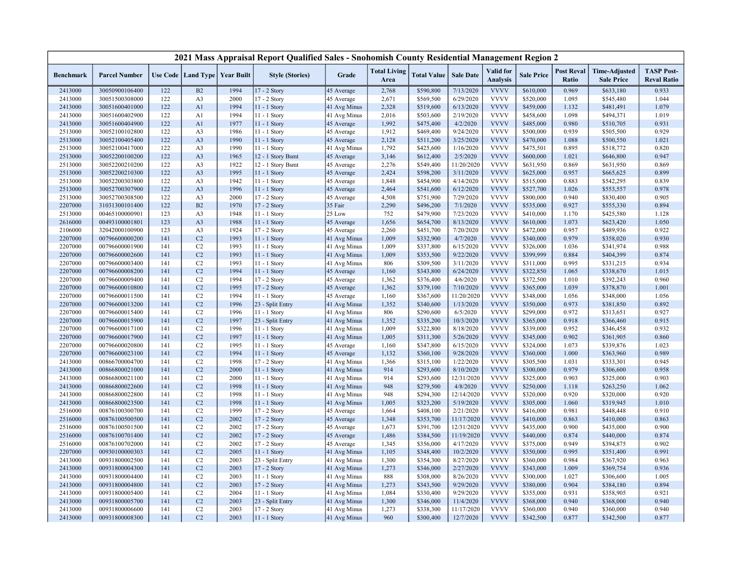|                    |                                  |            |                                   |              | 2021 Mass Appraisal Report Qualified Sales - Snohomish County Residential Management Region 2 |                              |                             |                        |                        |                                     |                        |                            |                                           |                                         |
|--------------------|----------------------------------|------------|-----------------------------------|--------------|-----------------------------------------------------------------------------------------------|------------------------------|-----------------------------|------------------------|------------------------|-------------------------------------|------------------------|----------------------------|-------------------------------------------|-----------------------------------------|
| <b>Benchmark</b>   | <b>Parcel Number</b>             |            | Use Code   Land Type   Year Built |              | <b>Style (Stories)</b>                                                                        | Grade                        | <b>Total Living</b><br>Area | <b>Total Value</b>     | <b>Sale Date</b>       | <b>Valid</b> for<br><b>Analysis</b> | <b>Sale Price</b>      | <b>Post Reval</b><br>Ratio | <b>Time-Adjusted</b><br><b>Sale Price</b> | <b>TASP Post-</b><br><b>Reval Ratio</b> |
| 2413000            | 30050900106400                   | 122        | B2                                | 1994         | 17 - 2 Story                                                                                  | 45 Average                   | 2,768                       | \$590,800              | 7/13/2020              | <b>VVVV</b>                         | \$610,000              | 0.969                      | \$633,180                                 | 0.933                                   |
| 2413000            | 30051500308000                   | 122        | A <sub>3</sub>                    | 2000         | 17 - 2 Story                                                                                  | 45 Average                   | 2,671                       | \$569,500              | 6/29/2020              | <b>VVVV</b>                         | \$520,000              | 1.095                      | \$545,480                                 | 1.044                                   |
| 2413000            | 30051600401000                   | 122        | A1                                | 1994         | $11 - 1$ Story                                                                                | 41 Avg Minus                 | 2,328                       | \$519,600              | 6/13/2020              | <b>VVVV</b>                         | \$459,000              | 1.132                      | \$481,491                                 | 1.079                                   |
| 2413000            | 30051600402900                   | 122        | A1                                | 1994         | 11 - 1 Story                                                                                  | 41 Avg Minus                 | 2,016                       | \$503,600              | 2/19/2020              | <b>VVVV</b>                         | \$458,600              | 1.098                      | \$494,371                                 | 1.019                                   |
| 2413000            | 30051600404900                   | 122        | A1                                | 1977         | 11 - 1 Story                                                                                  | 45 Average                   | 1,992                       | \$475,400              | 4/2/2020               | <b>VVVV</b>                         | \$485,000              | 0.980                      | \$510,705                                 | 0.931                                   |
| 2513000            | 30052100102800                   | 122        | A <sub>3</sub>                    | 1986         | $11 - 1$ Story                                                                                | 45 Average                   | 1,912                       | \$469,400              | 9/24/2020              | <b>VVVV</b>                         | \$500,000              | 0.939                      | \$505,500                                 | 0.929                                   |
| 2513000            | 30052100405400                   | 122        | A <sub>3</sub>                    | 1990         | 11 - 1 Story                                                                                  | 45 Average                   | 2,128                       | \$511,200              | 3/25/2020              | <b>VVVV</b>                         | \$470,000              | 1.088                      | \$500,550                                 | 1.021                                   |
| 2513000            | 30052100417000                   | 122        | A <sub>3</sub>                    | 1990         | $11 - 1$ Story                                                                                | 41 Avg Minus                 | 1,792                       | \$425,600              | 1/16/2020              | <b>VVVV</b>                         | \$475,501              | 0.895                      | \$518,772                                 | 0.820                                   |
| 2513000            | 30052200100200                   | 122        | A <sub>3</sub>                    | 1965         | 12 - 1 Story Bsmt                                                                             | 45 Average                   | 3,146                       | \$612,400              | 2/5/2020               | <b>VVVV</b>                         | \$600,000              | 1.021                      | \$646,800                                 | 0.947                                   |
| 2513000            | 30052200210200                   | 122        | A <sub>3</sub>                    | 1922         | 12 - 1 Story Bsmt                                                                             | 45 Average                   | 2,276                       | \$549,400              | 11/20/2020             | <b>VVVV</b>                         | \$631,950              | 0.869                      | \$631,950                                 | 0.869                                   |
| 2513000            | 30052200210300                   | 122        | A <sub>3</sub>                    | 1995         | 11 - 1 Story                                                                                  | 45 Average                   | 2,424                       | \$598,200              | 3/11/2020              | <b>VVVV</b>                         | \$625,000              | 0.957                      | \$665,625                                 | 0.899                                   |
| 2513000            | 30052200303800                   | 122        | A <sub>3</sub>                    | 1942         | 11 - 1 Story                                                                                  | 45 Average                   | 1,848                       | \$454,900              | 4/14/2020              | <b>VVVV</b>                         | \$515,000              | 0.883                      | \$542,295                                 | 0.839                                   |
| 2513000            | 30052700307900                   | 122        | A <sub>3</sub>                    | 1996         | $11 - 1$ Story                                                                                | 45 Average                   | 2,464                       | \$541,600              | 6/12/2020              | <b>VVVV</b>                         | \$527,700              | 1.026                      | \$553,557                                 | 0.978                                   |
| 2513000            | 30052700308500                   | 122        | A <sub>3</sub>                    | 2000         | 17 - 2 Story                                                                                  | 45 Average                   | 4,508                       | \$751,900              | 7/29/2020              | <b>VVVV</b>                         | \$800,000              | 0.940                      | \$830,400                                 | 0.905                                   |
| 2207000            | 31031300101400                   | 122        | B2                                | 1970         | 17 - 2 Story                                                                                  | 35 Fair                      | 2,290                       | \$496,200              | 7/1/2020               | <b>VVVV</b>                         | \$535,000              | 0.927                      | \$555,330                                 | 0.894                                   |
| 2513000            | 00465100000901                   | 123        | A <sub>3</sub>                    | 1948         | 11 - 1 Story                                                                                  | 25 Low                       | 752                         | \$479,900              | 7/23/2020              | <b>VVVV</b>                         | \$410,000              | 1.170                      | \$425,580                                 | 1.128                                   |
| 2616000            | 00493100001801                   | 123        | A <sub>3</sub>                    | 1988         | 11 - 1 Story                                                                                  | 45 Average                   | 1,656                       | \$654,700              | 8/13/2020              | <b>VVVV</b>                         | \$610,000              | 1.073                      | \$623,420                                 | 1.050                                   |
| 2106000            | 32042000100900                   | 123        | A <sub>3</sub>                    | 1924         | 17 - 2 Story                                                                                  | 45 Average                   | 2,260                       | \$451,700              | 7/20/2020              | <b>VVVV</b>                         | \$472,000              | 0.957                      | \$489,936                                 | 0.922                                   |
| 2207000            | 00796600000200                   | 141        | C <sub>2</sub>                    | 1993         | 11 - 1 Story                                                                                  | 41 Avg Minus                 | 1,009                       | \$332,900              | 4/7/2020               | <b>VVVV</b>                         | \$340,000              | 0.979                      | \$358,020                                 | 0.930                                   |
| 2207000            | 00796600001900                   | 141        | C <sub>2</sub>                    | 1993         | 11 - 1 Story                                                                                  | 41 Avg Minus                 | 1,009                       | \$337,800              | 6/15/2020              | <b>VVVV</b>                         | \$326,000              | 1.036                      | \$341,974                                 | 0.988                                   |
| 2207000            | 00796600002600                   | 141        | C <sub>2</sub>                    | 1993         | 11 - 1 Story                                                                                  | 41 Avg Minus                 | 1,009                       | \$353,500              | 9/22/2020              | <b>VVVV</b>                         | \$399,999              | 0.884                      | \$404,399                                 | 0.874                                   |
| 2207000            | 00796600003400                   | 141        | C <sub>2</sub>                    | 1993         | $11 - 1$ Story                                                                                | 41 Avg Minus                 | 806                         | \$309,500              | 3/11/2020              | <b>VVVV</b>                         | \$311,000              | 0.995                      | \$331,215                                 | 0.934                                   |
| 2207000            | 00796600008200                   | 141        | C <sub>2</sub>                    | 1994         | $11 - 1$ Story                                                                                | 45 Average                   | 1,160                       | \$343,800              | 6/24/2020              | <b>VVVV</b>                         | \$322,850              | 1.065                      | \$338,670                                 | 1.015                                   |
| 2207000            | 00796600009400                   | 141        | C2                                | 1994         | 17 - 2 Story                                                                                  | 45 Average                   | 1,362                       | \$376,400              | 4/6/2020               | <b>VVVV</b>                         | \$372,500              | 1.010                      | \$392,243                                 | 0.960                                   |
| 2207000            | 00796600010800                   | 141        | C <sub>2</sub>                    | 1995         | 17 - 2 Story                                                                                  | 45 Average                   | 1,362                       | \$379,100              | 7/10/2020              | <b>VVVV</b>                         | \$365,000              | 1.039                      | \$378,870                                 | 1.001                                   |
| 2207000            | 00796600011500                   | 141        | C2                                | 1994         | 11 - 1 Story                                                                                  | 45 Average                   | 1,160                       | \$367,600              | 11/20/2020             | <b>VVVV</b>                         | \$348,000              | 1.056                      | \$348,000                                 | 1.056                                   |
| 2207000            | 00796600013200                   | 141        | C <sub>2</sub>                    | 1996         | 23 - Split Entry                                                                              | 41 Avg Minus                 | 1,352                       | \$340,600              | 1/13/2020              | <b>VVVV</b>                         | \$350,000              | 0.973                      | \$381,850                                 | 0.892                                   |
| 2207000<br>2207000 | 00796600015400                   | 141<br>141 | C2<br>C <sub>2</sub>              | 1996<br>1997 | 11 - 1 Story                                                                                  | 41 Avg Minus                 | 806<br>1,352                | \$290,600<br>\$335,200 | 6/5/2020<br>10/3/2020  | <b>VVVV</b><br><b>VVVV</b>          | \$299,000<br>\$365,000 | 0.972<br>0.918             | \$313,651                                 | 0.927<br>0.915                          |
|                    | 00796600015900                   | 141        |                                   |              | 23 - Split Entry                                                                              | 41 Avg Minus                 |                             |                        |                        | <b>VVVV</b>                         |                        | 0.952                      | \$366,460                                 |                                         |
| 2207000<br>2207000 | 00796600017100<br>00796600017900 | 141        | C <sub>2</sub><br>C <sub>2</sub>  | 1996<br>1997 | 11 - 1 Story<br>11 - 1 Story                                                                  | 41 Avg Minus<br>41 Avg Minus | 1,009<br>1,005              | \$322,800<br>\$311,300 | 8/18/2020<br>5/26/2020 | <b>VVVV</b>                         | \$339,000<br>\$345,000 | 0.902                      | \$346,458<br>\$361,905                    | 0.932<br>0.860                          |
| 2207000            | 00796600020800                   | 141        | C <sub>2</sub>                    | 1995         | 11 - 1 Story                                                                                  | 45 Average                   | 1,160                       | \$347,800              | 6/15/2020              | <b>VVVV</b>                         | \$324,000              | 1.073                      | \$339,876                                 | 1.023                                   |
| 2207000            | 00796600023100                   | 141        | C <sub>2</sub>                    | 1994         | $11 - 1$ Story                                                                                | 45 Average                   | 1,132                       | \$360,100              | 9/28/2020              | <b>VVVV</b>                         | \$360,000              | 1.000                      | \$363,960                                 | 0.989                                   |
| 2413000            | 00866700004700                   | 141        | C <sub>2</sub>                    | 1998         | 17 - 2 Story                                                                                  | 41 Avg Minus                 | 1,366                       | \$315,100              | 1/22/2020              | <b>VVVV</b>                         | \$305,500              | 1.031                      | \$333,301                                 | 0.945                                   |
| 2413000            | 00866800021000                   | 141        | C <sub>2</sub>                    | 2000         | 11 - 1 Story                                                                                  | 41 Avg Minus                 | 914                         | \$293,600              | 8/10/2020              | <b>VVVV</b>                         | \$300,000              | 0.979                      | \$306,600                                 | 0.958                                   |
| 2413000            | 00866800021100                   | 141        | C <sub>2</sub>                    | 2000         | 11 - 1 Story                                                                                  | 41 Avg Minus                 | 914                         | \$293,600              | 12/31/2020             | <b>VVVV</b>                         | \$325,000              | 0.903                      | \$325,000                                 | 0.903                                   |
| 2413000            | 00866800022600                   | 141        | C <sub>2</sub>                    | 1998         | 11 - 1 Story                                                                                  | 41 Avg Minus                 | 948                         | \$279,500              | 4/8/2020               | <b>VVVV</b>                         | \$250,000              | 1.118                      | \$263,250                                 | 1.062                                   |
| 2413000            | 00866800022800                   | 141        | C <sub>2</sub>                    | 1998         | $11 - 1$ Story                                                                                | 41 Avg Minus                 | 948                         | \$294,300              | 12/14/2020             | <b>VVVV</b>                         | \$320,000              | 0.920                      | \$320,000                                 | 0.920                                   |
| 2413000            | 00866800023500                   | 141        | C <sub>2</sub>                    | 1998         | 11 - 1 Story                                                                                  | 41 Avg Minus                 | 1,005                       | \$323,200              | 5/19/2020              | <b>VVVV</b>                         | \$305,000              | 1.060                      | \$319,945                                 | 1.010                                   |
| 2516000            | 00876100300700                   | 141        | C <sub>2</sub>                    | 1999         | $17 - 2$ Story                                                                                | 45 Average                   | 1,664                       | \$408,100              | 2/21/2020              | <b>VVVV</b>                         | \$416,000              | 0.981                      | \$448,448                                 | 0.910                                   |
| 2516000            | 00876100500500                   | 141        | C <sub>2</sub>                    | 2002         | 17 - 2 Story                                                                                  | 45 Average                   | 1,348                       | \$353,700              | 11/17/2020             | <b>VVVV</b>                         | \$410,000              | 0.863                      | \$410,000                                 | 0.863                                   |
| 2516000            | 00876100501500                   | 141        | C <sub>2</sub>                    | 2002         | 17 - 2 Story                                                                                  | 45 Average                   | 1,673                       | \$391,700              | 12/31/2020             | <b>VVVV</b>                         | \$435,000              | 0.900                      | \$435,000                                 | 0.900                                   |
| 2516000            | 00876100701400                   | 141        | C <sub>2</sub>                    | 2002         | 17 - 2 Story                                                                                  | 45 Average                   | 1,486                       | \$384,500              | 11/19/2020             | <b>VVVV</b>                         | \$440,000              | 0.874                      | \$440,000                                 | 0.874                                   |
| 2516000            | 00876100702000                   | 141        | C2                                | 2002         | 17 - 2 Story                                                                                  | 45 Average                   | 1,345                       | \$356,000              | 4/17/2020              | <b>VVVV</b>                         | \$375,000              | 0.949                      | \$394,875                                 | 0.902                                   |
| 2207000            | 00930100000303                   | 141        | C <sub>2</sub>                    | 2005         | $11 - 1$ Story                                                                                | 41 Avg Minus                 | 1,105                       | \$348,400              | 10/2/2020              | <b>VVVV</b>                         | \$350,000              | 0.995                      | \$351,400                                 | 0.991                                   |
| 2413000            | 00931800002500                   | 141        | C2                                | 2003         | 23 - Split Entry                                                                              | 41 Avg Minus                 | 1,300                       | \$354,300              | 8/27/2020              | <b>VVVV</b>                         | \$360,000              | 0.984                      | \$367,920                                 | 0.963                                   |
| 2413000            | 00931800004300                   | 141        | C <sub>2</sub>                    | 2003         | 17 - 2 Story                                                                                  | 41 Avg Minus                 | 1,273                       | \$346,000              | 2/27/2020              | <b>VVVV</b>                         | \$343,000              | 1.009                      | \$369,754                                 | 0.936                                   |
| 2413000            | 00931800004400                   | 141        | C2                                | 2003         | 11 - 1 Story                                                                                  | 41 Avg Minus                 | 888                         | \$308,000              | 8/26/2020              | <b>VVVV</b>                         | \$300,000              | 1.027                      | \$306,600                                 | 1.005                                   |
| 2413000            | 00931800004800                   | 141        | C2                                | 2003         | 17 - 2 Story                                                                                  | 41 Avg Minus                 | 1,273                       | \$343,500              | 9/29/2020              | <b>VVVV</b>                         | \$380,000              | 0.904                      | \$384,180                                 | 0.894                                   |
| 2413000            | 00931800005400                   | 141        | C2                                | 2004         | 11 - 1 Story                                                                                  | 41 Avg Minus                 | 1,084                       | \$330,400              | 9/29/2020              | <b>VVVV</b>                         | \$355,000              | 0.931                      | \$358,905                                 | 0.921                                   |
| 2413000            | 00931800005700                   | 141        | C <sub>2</sub>                    | 2003         | 23 - Split Entry                                                                              | 41 Avg Minus                 | 1,300                       | \$346,000              | 11/4/2020              | <b>VVVV</b>                         | \$368,000              | 0.940                      | \$368,000                                 | 0.940                                   |
| 2413000            | 00931800006600                   | 141        | C <sub>2</sub>                    | 2003         | 17 - 2 Story                                                                                  | 41 Avg Minus                 | 1,273                       | \$338,300              | 11/17/2020             | <b>VVVV</b>                         | \$360,000              | 0.940                      | \$360,000                                 | 0.940                                   |
| 2413000            | 00931800008300                   | 141        | C <sub>2</sub>                    | 2003         | 11 - 1 Story                                                                                  | 41 Avg Minus                 | 960                         | \$300,400              | 12/7/2020              | <b>VVVV</b>                         | \$342,500              | 0.877                      | \$342,500                                 | 0.877                                   |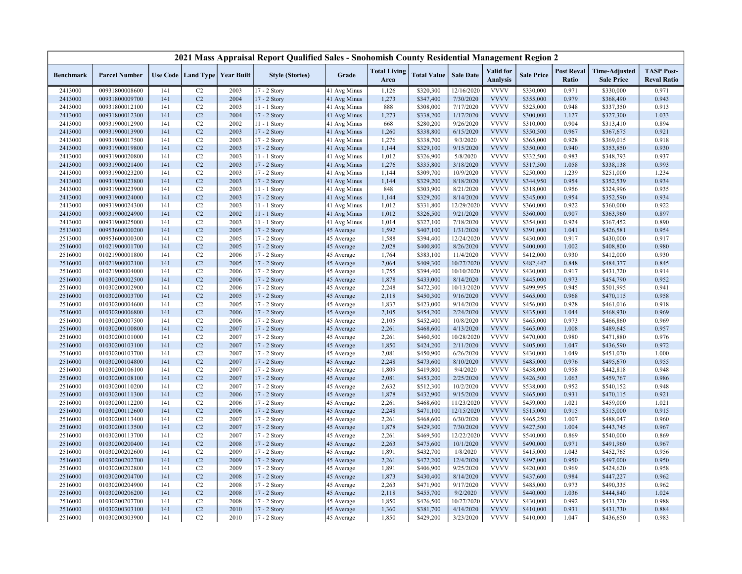|                  |                      |     |                                   |      | 2021 Mass Appraisal Report Qualified Sales - Snohomish County Residential Management Region 2 |              |                             |                    |                  |                                     |                   |                            |                                           |                                         |
|------------------|----------------------|-----|-----------------------------------|------|-----------------------------------------------------------------------------------------------|--------------|-----------------------------|--------------------|------------------|-------------------------------------|-------------------|----------------------------|-------------------------------------------|-----------------------------------------|
| <b>Benchmark</b> | <b>Parcel Number</b> |     | Use Code   Land Type   Year Built |      | <b>Style (Stories)</b>                                                                        | Grade        | <b>Total Living</b><br>Area | <b>Total Value</b> | <b>Sale Date</b> | <b>Valid</b> for<br><b>Analysis</b> | <b>Sale Price</b> | <b>Post Reval</b><br>Ratio | <b>Time-Adjusted</b><br><b>Sale Price</b> | <b>TASP Post-</b><br><b>Reval Ratio</b> |
| 2413000          | 00931800008600       | 141 | C2                                | 2003 | 17 - 2 Story                                                                                  | 41 Avg Minus | 1,126                       | \$320,300          | 12/16/2020       | <b>VVVV</b>                         | \$330,000         | 0.971                      | \$330,000                                 | 0.971                                   |
| 2413000          | 00931800009700       | 141 | C2                                | 2004 | 17 - 2 Story                                                                                  | 41 Avg Minus | 1,273                       | \$347,400          | 7/30/2020        | <b>VVVV</b>                         | \$355,000         | 0.979                      | \$368,490                                 | 0.943                                   |
| 2413000          | 00931800012100       | 141 | C <sub>2</sub>                    | 2003 | $11 - 1$ Story                                                                                | 41 Avg Minus | 888                         | \$308,000          | 7/17/2020        | <b>VVVV</b>                         | \$325,000         | 0.948                      | \$337,350                                 | 0.913                                   |
| 2413000          | 00931800012300       | 141 | C <sub>2</sub>                    | 2004 | 17 - 2 Story                                                                                  | 41 Avg Minus | 1,273                       | \$338,200          | 1/17/2020        | <b>VVVV</b>                         | \$300,000         | 1.127                      | \$327,300                                 | 1.033                                   |
| 2413000          | 00931900012900       | 141 | C2                                | 2002 | 11 - 1 Story                                                                                  | 41 Avg Minus | 668                         | \$280,200          | 9/26/2020        | <b>VVVV</b>                         | \$310,000         | 0.904                      | \$313,410                                 | 0.894                                   |
| 2413000          | 00931900013900       | 141 | C <sub>2</sub>                    | 2003 | $17 - 2$ Story                                                                                | 41 Avg Minus | 1,260                       | \$338,800          | 6/15/2020        | <b>VVVV</b>                         | \$350,500         | 0.967                      | \$367,675                                 | 0.921                                   |
| 2413000          | 00931900017500       | 141 | C <sub>2</sub>                    | 2003 | 17 - 2 Story                                                                                  | 41 Avg Minus | 1,276                       | \$338,700          | 9/3/2020         | <b>VVVV</b>                         | \$365,000         | 0.928                      | \$369,015                                 | 0.918                                   |
| 2413000          | 00931900019800       | 141 | C <sub>2</sub>                    | 2003 | 17 - 2 Story                                                                                  | 41 Avg Minus | 1,144                       | \$329,100          | 9/15/2020        | <b>VVVV</b>                         | \$350,000         | 0.940                      | \$353,850                                 | 0.930                                   |
| 2413000          | 00931900020800       | 141 | C2                                | 2003 | 11 - 1 Story                                                                                  | 41 Avg Minus | 1,012                       | \$326,900          | 5/8/2020         | <b>VVVV</b>                         | \$332,500         | 0.983                      | \$348,793                                 | 0.937                                   |
| 2413000          | 00931900021400       | 141 | C <sub>2</sub>                    | 2003 | 17 - 2 Story                                                                                  | 41 Avg Minus | 1,276                       | \$335,800          | 3/18/2020        | <b>VVVV</b>                         | \$317,500         | 1.058                      | \$338,138                                 | 0.993                                   |
| 2413000          | 00931900023200       | 141 | C <sub>2</sub>                    | 2003 | 17 - 2 Story                                                                                  | 41 Avg Minus | 1,144                       | \$309,700          | 10/9/2020        | <b>VVVV</b>                         | \$250,000         | 1.239                      | \$251,000                                 | 1.234                                   |
| 2413000          | 00931900023800       | 141 | C <sub>2</sub>                    | 2003 | 17 - 2 Story                                                                                  | 41 Avg Minus | 1,144                       | \$329,200          | 8/18/2020        | <b>VVVV</b>                         | \$344,950         | 0.954                      | \$352,539                                 | 0.934                                   |
| 2413000          | 00931900023900       | 141 | C <sub>2</sub>                    | 2003 | $11 - 1$ Story                                                                                | 41 Avg Minus | 848                         | \$303,900          | 8/21/2020        | <b>VVVV</b>                         | \$318,000         | 0.956                      | \$324,996                                 | 0.935                                   |
| 2413000          | 00931900024000       | 141 | C <sub>2</sub>                    | 2003 | 17 - 2 Story                                                                                  | 41 Avg Minus | 1,144                       | \$329,200          | 8/14/2020        | <b>VVVV</b>                         | \$345,000         | 0.954                      | \$352,590                                 | 0.934                                   |
| 2413000          | 00931900024300       | 141 | C <sub>2</sub>                    | 2003 | $11 - 1$ Story                                                                                | 41 Avg Minus | 1,012                       | \$331,800          | 12/29/2020       | <b>VVVV</b>                         | \$360,000         | 0.922                      | \$360,000                                 | 0.922                                   |
| 2413000          | 00931900024900       | 141 | C <sub>2</sub>                    | 2002 | 11 - 1 Story                                                                                  | 41 Avg Minus | 1,012                       | \$326,500          | 9/21/2020        | <b>VVVV</b>                         | \$360,000         | 0.907                      | \$363,960                                 | 0.897                                   |
| 2413000          | 00931900025000       | 141 | C <sub>2</sub>                    | 2003 | $11 - 1$ Story                                                                                | 41 Avg Minus | 1,014                       | \$327,100          | 7/18/2020        | <b>VVVV</b>                         | \$354,000         | 0.924                      | \$367,452                                 | 0.890                                   |
| 2513000          | 00953600000200       | 141 | C <sub>2</sub>                    | 2005 | 17 - 2 Story                                                                                  | 45 Average   | 1,592                       | \$407,100          | 1/31/2020        | <b>VVVV</b>                         | \$391,000         | 1.041                      | \$426,581                                 | 0.954                                   |
| 2513000          | 00953600000300       | 141 | C2                                | 2005 | 17 - 2 Story                                                                                  | 45 Average   | 1,588                       | \$394,400          | 12/24/2020       | <b>VVVV</b>                         | \$430,000         | 0.917                      | \$430,000                                 | 0.917                                   |
| 2516000          | 01021900001700       | 141 | C <sub>2</sub>                    | 2005 | 17 - 2 Story                                                                                  | 45 Average   | 2,028                       | \$400,800          | 8/26/2020        | <b>VVVV</b>                         | \$400,000         | 1.002                      | \$408,800                                 | 0.980                                   |
| 2516000          | 01021900001800       | 141 | C <sub>2</sub>                    | 2006 | 17 - 2 Story                                                                                  | 45 Average   | 1,764                       | \$383,100          | 11/4/2020        | <b>VVVV</b>                         | \$412,000         | 0.930                      | \$412,000                                 | 0.930                                   |
| 2516000          | 01021900002100       | 141 | C2                                | 2005 | 17 - 2 Story                                                                                  | 45 Average   | 2,064                       | \$409,300          | 10/27/2020       | <b>VVVV</b>                         | \$482,447         | 0.848                      | \$484,377                                 | 0.845                                   |
| 2516000          | 01021900004000       | 141 | C <sub>2</sub>                    | 2006 | 17 - 2 Story                                                                                  | 45 Average   | 1,755                       | \$394,400          | 10/10/2020       | <b>VVVV</b>                         | \$430,000         | 0.917                      | \$431,720                                 | 0.914                                   |
| 2516000          | 01030200002500       | 141 | C2                                | 2006 | 17 - 2 Story                                                                                  | 45 Average   | 1,878                       | \$433,000          | 8/14/2020        | <b>VVVV</b>                         | \$445,000         | 0.973                      | \$454,790                                 | 0.952                                   |
| 2516000          | 01030200002900       | 141 | C2                                | 2006 | 17 - 2 Story                                                                                  | 45 Average   | 2,248                       | \$472,300          | 10/13/2020       | <b>VVVV</b>                         | \$499,995         | 0.945                      | \$501,995                                 | 0.941                                   |
| 2516000          | 01030200003700       | 141 | C <sub>2</sub>                    | 2005 | 17 - 2 Story                                                                                  | 45 Average   | 2,118                       | \$450,300          | 9/16/2020        | <b>VVVV</b>                         | \$465,000         | 0.968                      | \$470,115                                 | 0.958                                   |
| 2516000          | 01030200004600       | 141 | C <sub>2</sub>                    | 2005 | 17 - 2 Story                                                                                  | 45 Average   | 1,837                       | \$423,000          | 9/14/2020        | <b>VVVV</b>                         | \$456,000         | 0.928                      | \$461,016                                 | 0.918                                   |
| 2516000          | 01030200006800       | 141 | C <sub>2</sub>                    | 2006 | 17 - 2 Story                                                                                  | 45 Average   | 2,105                       | \$454,200          | 2/24/2020        | <b>VVVV</b>                         | \$435,000         | 1.044                      | \$468,930                                 | 0.969                                   |
| 2516000          | 01030200007500       | 141 | C <sub>2</sub>                    | 2006 | 17 - 2 Story                                                                                  | 45 Average   | 2,105                       | \$452,400          | 10/8/2020        | <b>VVVV</b>                         | \$465,000         | 0.973                      | \$466,860                                 | 0.969                                   |
| 2516000          | 01030200100800       | 141 | C <sub>2</sub>                    | 2007 | 17 - 2 Story                                                                                  | 45 Average   | 2,261                       | \$468,600          | 4/13/2020        | <b>VVVV</b>                         | \$465,000         | 1.008                      | \$489,645                                 | 0.957                                   |
| 2516000          | 01030200101000       | 141 | C <sub>2</sub>                    | 2007 | 17 - 2 Story                                                                                  | 45 Average   | 2,261                       | \$460,500          | 10/28/2020       | <b>VVVV</b>                         | \$470,000         | 0.980                      | \$471,880                                 | 0.976                                   |
| 2516000          | 01030200103100       | 141 | C <sub>2</sub>                    | 2007 | 17 - 2 Story                                                                                  | 45 Average   | 1,850                       | \$424,200          | 2/11/2020        | <b>VVVV</b>                         | \$405,000         | 1.047                      | \$436,590                                 | 0.972                                   |
| 2516000          | 01030200103700       | 141 | C <sub>2</sub>                    | 2007 | 17 - 2 Story                                                                                  | 45 Average   | 2,081                       | \$450,900          | 6/26/2020        | <b>VVVV</b>                         | \$430,000         | 1.049                      | \$451,070                                 | 1.000                                   |
| 2516000          | 01030200104800       | 141 | C <sub>2</sub>                    | 2007 | 17 - 2 Story                                                                                  | 45 Average   | 2,248                       | \$473,600          | 8/10/2020        | <b>VVVV</b>                         | \$485,000         | 0.976                      | \$495,670                                 | 0.955                                   |
| 2516000          | 01030200106100       | 141 | C2                                | 2007 | 17 - 2 Story                                                                                  | 45 Average   | 1,809                       | \$419,800          | 9/4/2020         | <b>VVVV</b>                         | \$438,000         | 0.958                      | \$442,818                                 | 0.948                                   |
| 2516000          | 01030200108100       | 141 | C <sub>2</sub>                    | 2007 | 17 - 2 Story                                                                                  | 45 Average   | 2,081                       | \$453,200          | 2/25/2020        | <b>VVVV</b>                         | \$426,500         | 1.063                      | \$459,767                                 | 0.986                                   |
| 2516000          | 01030200110200       | 141 | C <sub>2</sub>                    | 2007 | 17 - 2 Story                                                                                  | 45 Average   | 2,632                       | \$512,300          | 10/2/2020        | <b>VVVV</b>                         | \$538,000         | 0.952                      | \$540,152                                 | 0.948                                   |
| 2516000          | 01030200111300       | 141 | C <sub>2</sub>                    | 2006 | 17 - 2 Story                                                                                  | 45 Average   | 1,878                       | \$432,900          | 9/15/2020        | <b>VVVV</b>                         | \$465,000         | 0.931                      | \$470,115                                 | 0.921                                   |
| 2516000          | 01030200112200       | 141 | C <sub>2</sub>                    | 2006 | 17 - 2 Story                                                                                  | 45 Average   | 2,261                       | \$468,600          | 11/23/2020       | <b>VVVV</b>                         | \$459,000         | 1.021                      | \$459,000                                 | 1.021                                   |
| 2516000          | 01030200112600       | 141 | C <sub>2</sub>                    | 2006 | 17 - 2 Story                                                                                  | 45 Average   | 2,248                       | \$471,100          | 12/15/2020       | <b>VVVV</b>                         | \$515,000         | 0.915                      | \$515,000                                 | 0.915                                   |
| 2516000          | 01030200113400       | 141 | C2                                | 2007 | 17 - 2 Story                                                                                  | 45 Average   | 2,261                       | \$468,600          | 6/30/2020        | <b>VVVV</b>                         | \$465,250         | 1.007                      | \$488,047                                 | 0.960                                   |
| 2516000          | 01030200113500       | 141 | C2                                | 2007 | 17 - 2 Story                                                                                  | 45 Average   | 1,878                       | \$429,300          | 7/30/2020        | <b>VVVV</b>                         | \$427,500         | 1.004                      | \$443,745                                 | 0.967                                   |
| 2516000          | 01030200113700       | 141 | C <sub>2</sub>                    | 2007 | 17 - 2 Story                                                                                  | 45 Average   | 2,261                       | \$469,500          | 12/22/2020       | <b>VVVV</b>                         | \$540,000         | 0.869                      | \$540,000                                 | 0.869                                   |
| 2516000          | 01030200200400       | 141 | C <sub>2</sub>                    | 2008 | 17 - 2 Story                                                                                  | 45 Average   | 2,263                       | \$475,600          | 10/1/2020        | <b>VVVV</b>                         | \$490,000         | 0.971                      | \$491,960                                 | 0.967                                   |
| 2516000          | 01030200202600       | 141 | C <sub>2</sub>                    | 2009 | $17 - 2$ Story                                                                                | 45 Average   | 1,891                       | \$432,700          | 1/8/2020         | <b>VVVV</b>                         | \$415,000         | 1.043                      | \$452,765                                 | 0.956                                   |
| 2516000          | 01030200202700       | 141 | C <sub>2</sub>                    | 2009 | 17 - 2 Story                                                                                  | 45 Average   | 2,261                       | \$472,200          | 12/4/2020        | <b>VVVV</b>                         | \$497,000         | 0.950                      | \$497,000                                 | 0.950                                   |
| 2516000          | 01030200202800       | 141 | C <sub>2</sub>                    | 2009 | 17 - 2 Story                                                                                  | 45 Average   | 1,891                       | \$406,900          | 9/25/2020        | <b>VVVV</b>                         | \$420,000         | 0.969                      | \$424,620                                 | 0.958                                   |
| 2516000          | 01030200204700       | 141 | C <sub>2</sub>                    | 2008 | 17 - 2 Story                                                                                  | 45 Average   | 1,873                       | \$430,400          | 8/14/2020        | <b>VVVV</b>                         | \$437,600         | 0.984                      | \$447,227                                 | 0.962                                   |
| 2516000          | 01030200204900       | 141 | C2                                | 2008 | 17 - 2 Story                                                                                  | 45 Average   | 2,263                       | \$471,900          | 9/17/2020        | <b>VVVV</b>                         | \$485,000         | 0.973                      | \$490,335                                 | 0.962                                   |
| 2516000          | 01030200206200       | 141 | C <sub>2</sub>                    | 2008 | 17 - 2 Story                                                                                  | 45 Average   | 2,118                       | \$455,700          | 9/2/2020         | <b>VVVV</b>                         | \$440,000         | 1.036                      | \$444,840                                 | 1.024                                   |
| 2516000          | 01030200207700       | 141 | C2                                | 2008 | 17 - 2 Story                                                                                  | 45 Average   | 1,850                       | \$426,500          | 10/27/2020       | <b>VVVV</b>                         | \$430,000         | 0.992                      | \$431,720                                 | 0.988                                   |
| 2516000          | 01030200303100       | 141 | C <sub>2</sub>                    | 2010 | $17 - 2$ Story                                                                                | 45 Average   | 1,360                       | \$381,700          | 4/14/2020        | <b>VVVV</b>                         | \$410,000         | 0.931                      | \$431,730                                 | 0.884                                   |
| 2516000          | 01030200303900       | 141 | C2                                | 2010 | 17 - 2 Story                                                                                  | 45 Average   | 1,850                       | \$429,200          | 3/23/2020        | <b>VVVV</b>                         | \$410,000         | 1.047                      | \$436,650                                 | 0.983                                   |
|                  |                      |     |                                   |      |                                                                                               |              |                             |                    |                  |                                     |                   |                            |                                           |                                         |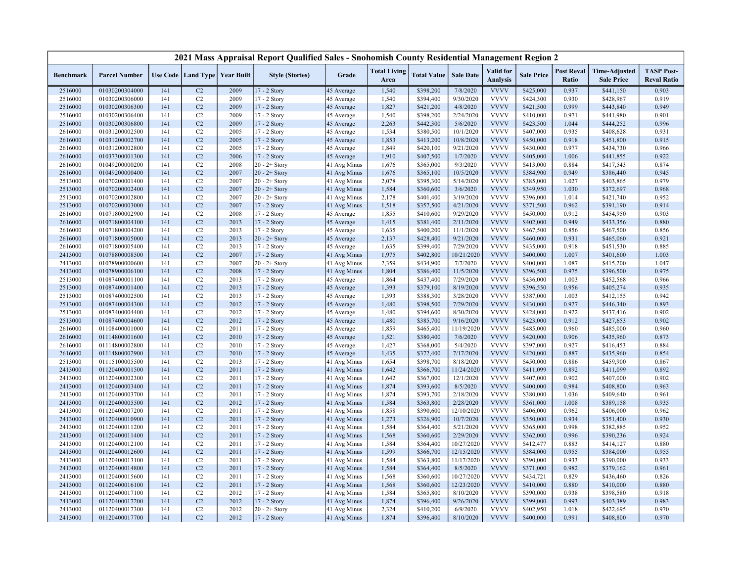|                    |                                  |            |                                   |              | 2021 Mass Appraisal Report Qualified Sales - Snohomish County Residential Management Region 2 |                          |                             |                        |                        |                                     |                        |                            |                                           |                                         |
|--------------------|----------------------------------|------------|-----------------------------------|--------------|-----------------------------------------------------------------------------------------------|--------------------------|-----------------------------|------------------------|------------------------|-------------------------------------|------------------------|----------------------------|-------------------------------------------|-----------------------------------------|
| <b>Benchmark</b>   | <b>Parcel Number</b>             |            | Use Code   Land Type   Year Built |              | <b>Style (Stories)</b>                                                                        | Grade                    | <b>Total Living</b><br>Area | <b>Total Value</b>     | <b>Sale Date</b>       | <b>Valid</b> for<br><b>Analysis</b> | <b>Sale Price</b>      | <b>Post Reval</b><br>Ratio | <b>Time-Adjusted</b><br><b>Sale Price</b> | <b>TASP Post-</b><br><b>Reval Ratio</b> |
| 2516000            | 01030200304000                   | 141        | C2                                | 2009         | 17 - 2 Story                                                                                  | 45 Average               | 1,540                       | \$398,200              | 7/8/2020               | <b>VVVV</b>                         | \$425,000              | 0.937                      | \$441,150                                 | 0.903                                   |
| 2516000            | 01030200306000                   | 141        | C2                                | 2009         | 17 - 2 Story                                                                                  | 45 Average               | 1,540                       | \$394,400              | 9/30/2020              | <b>VVVV</b>                         | \$424,300              | 0.930                      | \$428,967                                 | 0.919                                   |
| 2516000            | 01030200306300                   | 141        | C <sub>2</sub>                    | 2009         | 17 - 2 Story                                                                                  | 45 Average               | 1,827                       | \$421,200              | 4/8/2020               | <b>VVVV</b>                         | \$421,500              | 0.999                      | \$443,840                                 | 0.949                                   |
| 2516000            | 01030200306400                   | 141        | C <sub>2</sub>                    | 2009         | 17 - 2 Story                                                                                  | 45 Average               | 1,540                       | \$398,200              | 2/24/2020              | <b>VVVV</b>                         | \$410,000              | 0.971                      | \$441,980                                 | 0.901                                   |
| 2516000            | 01030200306800                   | 141        | C <sub>2</sub>                    | 2009         | 17 - 2 Story                                                                                  | 45 Average               | 2,263                       | \$442,300              | 5/6/2020               | <b>VVVV</b>                         | \$423,500              | 1.044                      | \$444,252                                 | 0.996                                   |
| 2616000            | 01031200002500                   | 141        | C <sub>2</sub>                    | 2005         | 17 - 2 Story                                                                                  | 45 Average               | 1,534                       | \$380,500              | 10/1/2020              | <b>VVVV</b>                         | \$407,000              | 0.935                      | \$408,628                                 | 0.931                                   |
| 2616000            | 01031200002700                   | 141        | C <sub>2</sub>                    | 2005         | 17 - 2 Story                                                                                  | 45 Average               | 1,853                       | \$413,200              | 10/8/2020              | <b>VVVV</b>                         | \$450,000              | 0.918                      | \$451,800                                 | 0.915                                   |
| 2616000            | 01031200002800                   | 141        | C <sub>2</sub>                    | 2005         | 17 - 2 Story                                                                                  | 45 Average               | 1,849                       | \$420,100              | 9/21/2020              | <b>VVVV</b>                         | \$430,000              | 0.977                      | \$434,730                                 | 0.966                                   |
| 2616000            | 01037300001300                   | 141        | C <sub>2</sub>                    | 2006         | 17 - 2 Story                                                                                  | 45 Average               | 1,910                       | \$407,500              | 1/7/2020               | <b>VVVV</b>                         | \$405,000              | 1.006                      | \$441,855                                 | 0.922                                   |
| 2616000            | 01049200000200                   | 141        | C <sub>2</sub>                    | 2008         | $20 - 2 +$ Story                                                                              | 41 Avg Minus             | 1,676                       | \$365,000              | 9/3/2020               | <b>VVVV</b>                         | \$413,000              | 0.884                      | \$417,543                                 | 0.874                                   |
| 2616000            | 01049200000400                   | 141        | C <sub>2</sub>                    | 2007         | $20 - 2 +$ Story                                                                              | 41 Avg Minus             | 1,676                       | \$365,100              | 10/5/2020              | <b>VVVV</b>                         | \$384,900              | 0.949                      | \$386,440                                 | 0.945                                   |
| 2513000            | 01070200001400                   | 141        | C <sub>2</sub>                    | 2007         | $20 - 2 +$ Story                                                                              | 41 Avg Minus             | 2,078                       | \$395,300              | 5/14/2020              | <b>VVVV</b>                         | \$385,000              | 1.027                      | \$403,865                                 | 0.979                                   |
| 2513000            | 01070200002400                   | 141        | C <sub>2</sub>                    | 2007         | $20 - 2 +$ Story                                                                              | 41 Avg Minus             | 1,584                       | \$360,600              | 3/6/2020               | <b>VVVV</b>                         | \$349,950              | 1.030                      | \$372,697                                 | 0.968                                   |
| 2513000            | 01070200002800                   | 141        | C2                                | 2007         | $20 - 2 +$ Story                                                                              | 41 Avg Minus             | 2,178                       | \$401,400              | 3/19/2020              | <b>VVVV</b>                         | \$396,000              | 1.014                      | \$421,740                                 | 0.952                                   |
| 2513000            | 01070200003000                   | 141        | C <sub>2</sub>                    | 2007         | $17 - 2$ Story                                                                                | 41 Avg Minus             | 1,518                       | \$357,500              | 4/21/2020              | <b>VVVV</b>                         | \$371,500              | 0.962                      | \$391,190                                 | 0.914                                   |
| 2616000            | 01071800002900                   | 141        | C <sub>2</sub>                    | 2008         | 17 - 2 Story                                                                                  | 45 Average               | 1,855                       | \$410,600              | 9/29/2020              | <b>VVVV</b>                         | \$450,000              | 0.912                      | \$454,950                                 | 0.903                                   |
| 2616000            | 01071800004100                   | 141        | C2                                | 2013         | 17 - 2 Story                                                                                  | 45 Average               | 1,415                       | \$381,400              | 2/11/2020              | <b>VVVV</b>                         | \$402,000              | 0.949                      | \$433,356                                 | 0.880                                   |
| 2616000            | 01071800004200                   | 141        | C2                                | 2013         | 17 - 2 Story                                                                                  | 45 Average               | 1,635                       | \$400,200              | 11/1/2020              | <b>VVVV</b>                         | \$467,500              | 0.856                      | \$467,500                                 | 0.856                                   |
| 2616000            | 01071800005000                   | 141        | C2                                | 2013         | $20 - 2 +$ Story                                                                              | 45 Average               | 2,137                       | \$428,400              | 9/21/2020              | <b>VVVV</b>                         | \$460,000              | 0.931                      | \$465,060                                 | 0.921                                   |
| 2616000            | 01071800005400                   | 141        | C2                                | 2013         | 17 - 2 Story                                                                                  | 45 Average               | 1,635                       | \$399,400              | 7/29/2020              | <b>VVVV</b>                         | \$435,000              | 0.918                      | \$451,530                                 | 0.885                                   |
| 2413000            | 01078800008500                   | 141        | C <sub>2</sub>                    | 2007         | 17 - 2 Story                                                                                  | 41 Avg Minus             | 1,975                       | \$402,800              | 10/21/2020             | <b>VVVV</b>                         | \$400,000              | 1.007                      | \$401,600                                 | 1.003                                   |
| 2413000            | 01078900000600                   | 141        | C <sub>2</sub>                    | 2007         | $20 - 2 +$ Story                                                                              | 41 Avg Minus             | 2,359                       | \$434,900              | 7/7/2020               | <b>VVVV</b>                         | \$400,000              | 1.087                      | \$415,200                                 | 1.047                                   |
| 2413000            | 01078900006100                   | 141        | C <sub>2</sub>                    | 2008         | 17 - 2 Story                                                                                  | 41 Avg Minus             | 1,804                       | \$386,400              | 11/5/2020              | <b>VVVV</b>                         | \$396,500              | 0.975                      | \$396,500                                 | 0.975                                   |
| 2513000            | 01087400001100                   | 141        | C2                                | 2013         | 17 - 2 Story                                                                                  | 45 Average               | 1,864                       | \$437,400              | 7/29/2020              | <b>VVVV</b>                         | \$436,000              | 1.003                      | \$452,568                                 | 0.966                                   |
| 2513000            | 01087400001400                   | 141        | C <sub>2</sub>                    | 2013         | 17 - 2 Story                                                                                  | 45 Average               | 1,393                       | \$379,100              | 8/19/2020              | <b>VVVV</b><br><b>VVVV</b>          | \$396,550              | 0.956                      | \$405,274                                 | 0.935                                   |
| 2513000            | 01087400002500                   | 141        | C2                                | 2013         | 17 - 2 Story                                                                                  | 45 Average               | 1,393                       | \$388,300              | 3/28/2020              |                                     | \$387,000              | 1.003                      | \$412,155                                 | 0.942                                   |
| 2513000            | 01087400004300                   | 141<br>141 | C <sub>2</sub>                    | 2012         | 17 - 2 Story                                                                                  | 45 Average               | 1,480                       | \$398,500              | 7/29/2020              | <b>VVVV</b><br><b>VVVV</b>          | \$430,000              | 0.927<br>0.922             | \$446,340                                 | 0.893                                   |
| 2513000<br>2513000 | 01087400004400<br>01087400004600 | 141        | C2<br>C <sub>2</sub>              | 2012<br>2012 | 17 - 2 Story<br>17 - 2 Story                                                                  | 45 Average               | 1,480<br>1,480              | \$394,600<br>\$385,700 | 8/30/2020<br>9/16/2020 | <b>VVVV</b>                         | \$428,000<br>\$423,000 | 0.912                      | \$437,416<br>\$427,653                    | 0.902<br>0.902                          |
| 2616000            | 01108400001000                   | 141        | C <sub>2</sub>                    | 2011         | 17 - 2 Story                                                                                  | 45 Average<br>45 Average | 1,859                       |                        | 11/19/2020             | <b>VVVV</b>                         | \$485,000              | 0.960                      | \$485,000                                 | 0.960                                   |
| 2616000            | 01114800001600                   | 141        | C <sub>2</sub>                    | 2010         | 17 - 2 Story                                                                                  | 45 Average               | 1,521                       | \$465,400<br>\$380,400 | 7/6/2020               | <b>VVVV</b>                         | \$420,000              | 0.906                      | \$435,960                                 | 0.873                                   |
| 2616000            | 01114800002800                   | 141        | C <sub>2</sub>                    | 2010         | 17 - 2 Story                                                                                  | 45 Average               | 1,427                       | \$368,000              | 5/4/2020               | <b>VVVV</b>                         | \$397,000              | 0.927                      | \$416,453                                 | 0.884                                   |
| 2616000            | 01114800002900                   | 141        | C <sub>2</sub>                    | 2010         | 17 - 2 Story                                                                                  | 45 Average               | 1,435                       | \$372,400              | 7/17/2020              | <b>VVVV</b>                         | \$420,000              | 0.887                      | \$435,960                                 | 0.854                                   |
| 2513000            | 01115100005500                   | 141        | C2                                | 2013         | 17 - 2 Story                                                                                  | 41 Avg Minus             | 1,654                       | \$398,700              | 8/18/2020              | <b>VVVV</b>                         | \$450,000              | 0.886                      | \$459,900                                 | 0.867                                   |
| 2413000            | 01120400001500                   | 141        | C <sub>2</sub>                    | 2011         | 17 - 2 Story                                                                                  | 41 Avg Minus             | 1,642                       | \$366,700              | 11/24/2020             | <b>VVVV</b>                         | \$411,099              | 0.892                      | \$411,099                                 | 0.892                                   |
| 2413000            | 01120400002300                   | 141        | C <sub>2</sub>                    | 2011         | 17 - 2 Story                                                                                  | 41 Avg Minus             | 1,642                       | \$367,000              | 12/1/2020              | <b>VVVV</b>                         | \$407,000              | 0.902                      | \$407,000                                 | 0.902                                   |
| 2413000            | 01120400003400                   | 141        | C <sub>2</sub>                    | 2011         | 17 - 2 Story                                                                                  | 41 Avg Minus             | 1,874                       | \$393,600              | 8/5/2020               | <b>VVVV</b>                         | \$400,000              | 0.984                      | \$408,800                                 | 0.963                                   |
| 2413000            | 01120400003700                   | 141        | C <sub>2</sub>                    | 2011         | 17 - 2 Story                                                                                  | 41 Avg Minus             | 1,874                       | \$393,700              | 2/18/2020              | <b>VVVV</b>                         | \$380,000              | 1.036                      | \$409,640                                 | 0.961                                   |
| 2413000            | 01120400005500                   | 141        | C2                                | 2012         | 17 - 2 Story                                                                                  | 41 Avg Minus             | 1,584                       | \$363,800              | 2/28/2020              | <b>VVVV</b>                         | \$361,000              | 1.008                      | \$389,158                                 | 0.935                                   |
| 2413000            | 01120400007200                   | 141        | C <sub>2</sub>                    | 2011         | $17 - 2$ Story                                                                                | 41 Avg Minus             | 1,858                       | \$390,600              | 12/10/2020             | <b>VVVV</b>                         | \$406,000              | 0.962                      | \$406,000                                 | 0.962                                   |
| 2413000            | 01120400010900                   | 141        | C <sub>2</sub>                    | 2011         | 17 - 2 Story                                                                                  | 41 Avg Minus             | 1,273                       | \$326,900              | 10/7/2020              | <b>VVVV</b>                         | \$350,000              | 0.934                      | \$351,400                                 | 0.930                                   |
| 2413000            | 01120400011200                   | 141        | C <sub>2</sub>                    | 2011         | 17 - 2 Story                                                                                  | 41 Avg Minus             | 1,584                       | \$364,400              | 5/21/2020              | <b>VVVV</b>                         | \$365,000              | 0.998                      | \$382,885                                 | 0.952                                   |
| 2413000            | 01120400011400                   | 141        | C <sub>2</sub>                    | 2011         | 17 - 2 Story                                                                                  | 41 Avg Minus             | 1,568                       | \$360,600              | 2/29/2020              | <b>VVVV</b>                         | \$362,000              | 0.996                      | \$390,236                                 | 0.924                                   |
| 2413000            | 01120400012100                   | 141        | C2                                | 2011         | 17 - 2 Story                                                                                  | 41 Avg Minus             | 1,584                       | \$364,400              | 10/27/2020             | <b>VVVV</b>                         | \$412,477              | 0.883                      | \$414,127                                 | 0.880                                   |
| 2413000            | 01120400012600                   | 141        | C2                                | 2011         | 17 - 2 Story                                                                                  | 41 Avg Minus             | 1,599                       | \$366,700              | 12/15/2020             | <b>VVVV</b>                         | \$384,000              | 0.955                      | \$384,000                                 | 0.955                                   |
| 2413000            | 01120400013100                   | 141        | C2                                | 2011         | 17 - 2 Story                                                                                  | 41 Avg Minus             | 1,584                       | \$363,800              | 11/17/2020             | <b>VVVV</b>                         | \$390,000              | 0.933                      | \$390,000                                 | 0.933                                   |
| 2413000            | 01120400014800                   | 141        | C <sub>2</sub>                    | 2011         | 17 - 2 Story                                                                                  | 41 Avg Minus             | 1,584                       | \$364,400              | 8/5/2020               | <b>VVVV</b>                         | \$371,000              | 0.982                      | \$379,162                                 | 0.961                                   |
| 2413000            | 01120400015600                   | 141        | C2                                | 2011         | 17 - 2 Story                                                                                  | 41 Avg Minus             | 1,568                       | \$360,600              | 10/27/2020             | <b>VVVV</b>                         | \$434,721              | 0.829                      | \$436,460                                 | 0.826                                   |
| 2413000            | 01120400016100                   | 141        | C2                                | 2011         | 17 - 2 Story                                                                                  | 41 Avg Minus             | 1,568                       | \$360,600              | 12/23/2020             | <b>VVVV</b>                         | \$410,000              | 0.880                      | \$410,000                                 | 0.880                                   |
| 2413000            | 01120400017100                   | 141        | C2                                | 2012         | 17 - 2 Story                                                                                  | 41 Avg Minus             | 1,584                       | \$365,800              | 8/10/2020              | <b>VVVV</b>                         | \$390,000              | 0.938                      | \$398,580                                 | 0.918                                   |
| 2413000            | 01120400017200                   | 141        | C <sub>2</sub>                    | 2012         | 17 - 2 Story                                                                                  | 41 Avg Minus             | 1,874                       | \$396,400              | 9/26/2020              | <b>VVVV</b>                         | \$399,000              | 0.993                      | \$403,389                                 | 0.983                                   |
| 2413000            | 01120400017300                   | 141        | C <sub>2</sub>                    | 2012         | $20 - 2 +$ Story                                                                              | 41 Avg Minus             | 2,324                       | \$410,200              | 6/9/2020               | <b>VVVV</b>                         | \$402,950              | 1.018                      | \$422,695                                 | 0.970                                   |
| 2413000            | 01120400017700                   | 141        | C <sub>2</sub>                    | 2012         | 17 - 2 Story                                                                                  | 41 Avg Minus             | 1,874                       | \$396,400              | 8/10/2020              | <b>VVVV</b>                         | \$400,000              | 0.991                      | \$408,800                                 | 0.970                                   |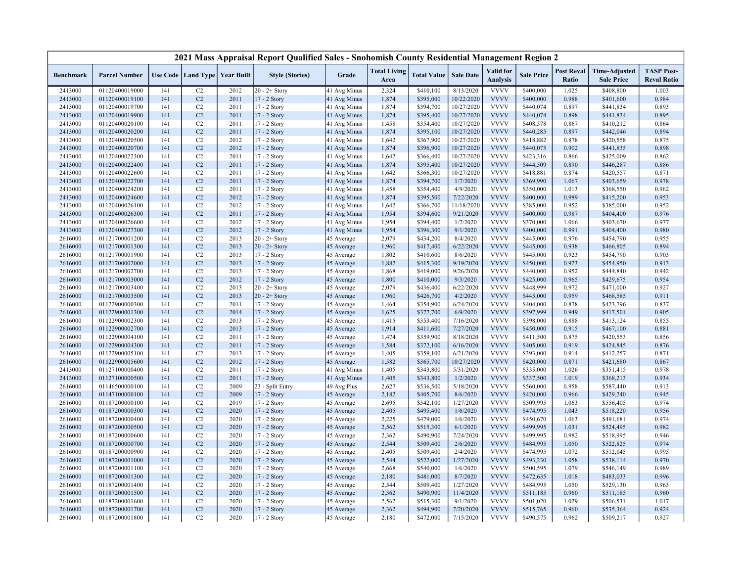|                    |                                  |            |                      |                                   | 2021 Mass Appraisal Report Qualified Sales - Snohomish County Residential Management Region 2 |                          |                             |                        |                        |                                     |                        |                            |                                           |                                         |
|--------------------|----------------------------------|------------|----------------------|-----------------------------------|-----------------------------------------------------------------------------------------------|--------------------------|-----------------------------|------------------------|------------------------|-------------------------------------|------------------------|----------------------------|-------------------------------------------|-----------------------------------------|
| <b>Benchmark</b>   | <b>Parcel Number</b>             |            |                      | Use Code   Land Type   Year Built | <b>Style (Stories)</b>                                                                        | Grade                    | <b>Total Living</b><br>Area | <b>Total Value</b>     | <b>Sale Date</b>       | <b>Valid</b> for<br><b>Analysis</b> | <b>Sale Price</b>      | <b>Post Reval</b><br>Ratio | <b>Time-Adjusted</b><br><b>Sale Price</b> | <b>TASP Post-</b><br><b>Reval Ratio</b> |
| 2413000            | 01120400019000                   | 141        | C2                   | 2012                              | $20 - 2 +$ Story                                                                              | 41 Avg Minus             | 2,324                       | \$410,100              | 8/13/2020              | <b>VVVV</b>                         | \$400,000              | 1.025                      | \$408,800                                 | 1.003                                   |
| 2413000            | 01120400019100                   | 141        | C2                   | 2011                              | 17 - 2 Story                                                                                  | 41 Avg Minus             | 1,874                       | \$395,000              | 10/22/2020             | <b>VVVV</b>                         | \$400,000              | 0.988                      | \$401,600                                 | 0.984                                   |
| 2413000            | 01120400019700                   | 141        | C <sub>2</sub>       | 2011                              | 17 - 2 Story                                                                                  | 41 Avg Minus             | 1,874                       | \$394,700              | 10/27/2020             | <b>VVVV</b>                         | \$440,074              | 0.897                      | \$441,834                                 | 0.893                                   |
| 2413000            | 01120400019900                   | 141        | C <sub>2</sub>       | 2011                              | 17 - 2 Story                                                                                  | 41 Avg Minus             | 1,874                       | \$395,400              | 10/27/2020             | <b>VVVV</b>                         | \$440,074              | 0.898                      | \$441,834                                 | 0.895                                   |
| 2413000            | 01120400020100                   | 141        | C2                   | 2011                              | 17 - 2 Story                                                                                  | 41 Avg Minus             | 1,458                       | \$354,400              | 10/27/2020             | <b>VVVV</b>                         | \$408,578              | 0.867                      | \$410,212                                 | 0.864                                   |
| 2413000            | 01120400020200                   | 141        | C <sub>2</sub>       | 2011                              | 17 - 2 Story                                                                                  | 41 Avg Minus             | 1,874                       | \$395,100              | 10/27/2020             | <b>VVVV</b>                         | \$440,285              | 0.897                      | \$442,046                                 | 0.894                                   |
| 2413000            | 01120400020500                   | 141        | C <sub>2</sub>       | 2012                              | 17 - 2 Story                                                                                  | 41 Avg Minus             | 1,642                       | \$367,900              | 10/27/2020             | <b>VVVV</b>                         | \$418,882              | 0.878                      | \$420,558                                 | 0.875                                   |
| 2413000            | 01120400020700                   | 141        | C <sub>2</sub>       | 2012                              | 17 - 2 Story                                                                                  | 41 Avg Minus             | 1,874                       | \$396,900              | 10/27/2020             | <b>VVVV</b>                         | \$440,075              | 0.902                      | \$441,835                                 | 0.898                                   |
| 2413000            | 01120400022300                   | 141        | C2                   | 2011                              | 17 - 2 Story                                                                                  | 41 Avg Minus             | 1,642                       | \$366,400              | 10/27/2020             | <b>VVVV</b>                         | \$423,316              | 0.866                      | \$425,009                                 | 0.862                                   |
| 2413000            | 01120400022400                   | 141        | C <sub>2</sub>       | 2011                              | 17 - 2 Story                                                                                  | 41 Avg Minus             | 1,874                       | \$395,400              | 10/27/2020             | <b>VVVV</b>                         | \$444,509              | 0.890                      | \$446,287                                 | 0.886                                   |
| 2413000            | 01120400022600                   | 141        | C <sub>2</sub>       | 2011                              | 17 - 2 Story                                                                                  | 41 Avg Minus             | 1,642                       | \$366,300              | 10/27/2020             | <b>VVVV</b>                         | \$418,881              | 0.874                      | \$420,557                                 | 0.871                                   |
| 2413000            | 01120400022700                   | 141        | C <sub>2</sub>       | 2011                              | 17 - 2 Story                                                                                  | 41 Avg Minus             | 1,874                       | \$394,700              | 1/7/2020               | <b>VVVV</b>                         | \$369,990              | 1.067                      | \$403,659                                 | 0.978                                   |
| 2413000            | 01120400024200                   | 141        | C <sub>2</sub>       | 2011                              | 17 - 2 Story                                                                                  | 41 Avg Minus             | 1,458                       | \$354,400              | 4/9/2020               | <b>VVVV</b>                         | \$350,000              | 1.013                      | \$368,550                                 | 0.962                                   |
| 2413000            | 01120400024600                   | 141        | C <sub>2</sub>       | 2012                              | 17 - 2 Story                                                                                  | 41 Avg Minus             | 1,874                       | \$395,500              | 7/22/2020              | <b>VVVV</b>                         | \$400,000              | 0.989                      | \$415,200                                 | 0.953                                   |
| 2413000            | 01120400026100                   | 141        | C <sub>2</sub>       | 2012                              | $17 - 2$ Story                                                                                | 41 Avg Minus             | 1,642                       | \$366,700              | 11/18/2020             | <b>VVVV</b>                         | \$385,000              | 0.952                      | \$385,000                                 | 0.952                                   |
| 2413000            | 01120400026300                   | 141        | C <sub>2</sub>       | 2011                              | 17 - 2 Story                                                                                  | 41 Avg Minus             | 1,954                       | \$394,600              | 9/21/2020              | <b>VVVV</b>                         | \$400,000              | 0.987                      | \$404,400                                 | 0.976                                   |
| 2413000            | 01120400026600                   | 141        | C <sub>2</sub>       | 2012                              | 17 - 2 Story                                                                                  | 41 Avg Minus             | 1,954                       | \$394,400              | 1/7/2020               | <b>VVVV</b>                         | \$370,000              | 1.066                      | \$403,670                                 | 0.977                                   |
| 2413000            | 01120400027300                   | 141        | C <sub>2</sub>       | 2012                              | 17 - 2 Story                                                                                  | 41 Avg Minus             | 1,954                       | \$396,300              | 9/1/2020               | <b>VVVV</b>                         | \$400,000              | 0.991                      | \$404,400                                 | 0.980                                   |
| 2616000            | 01121700001200                   | 141        | C2                   | 2013                              | $20 - 2 +$ Story                                                                              | 45 Average               | 2,079                       | \$434,200              | 8/4/2020               | <b>VVVV</b>                         | \$445,000              | 0.976                      | \$454,790                                 | 0.955                                   |
| 2616000            | 01121700001300                   | 141        | C <sub>2</sub>       | 2013                              | $20 - 2 +$ Story                                                                              | 45 Average               | 1,960                       | \$417,400              | 6/22/2020              | <b>VVVV</b>                         | \$445,000              | 0.938                      | \$466,805                                 | 0.894                                   |
| 2616000            | 01121700001900                   | 141        | C <sub>2</sub>       | 2013                              | 17 - 2 Story                                                                                  | 45 Average               | 1,802                       | \$410,600              | 8/6/2020               | <b>VVVV</b>                         | \$445,000              | 0.923                      | \$454,790                                 | 0.903                                   |
| 2616000            | 01121700002000                   | 141        | C2                   | 2013                              | 17 - 2 Story                                                                                  | 45 Average               | 1,882                       | \$415,300              | 9/19/2020              | <b>VVVV</b>                         | \$450,000              | 0.923                      | \$454,950                                 | 0.913                                   |
| 2616000            | 01121700002700                   | 141        | C <sub>2</sub>       | 2013                              | 17 - 2 Story                                                                                  | 45 Average               | 1,868                       | \$419,000              | 9/26/2020              | <b>VVVV</b>                         | \$440,000              | 0.952                      | \$444,840                                 | 0.942                                   |
| 2616000            | 01121700003000                   | 141        | C2                   | 2012                              | 17 - 2 Story                                                                                  | 45 Average               | 1,800                       | \$410,000              | 9/3/2020               | <b>VVVV</b>                         | \$425,000              | 0.965                      | \$429,675                                 | 0.954                                   |
| 2616000            | 01121700003400                   | 141        | C2                   | 2013                              | $20 - 2 +$ Story                                                                              | 45 Average               | 2,079                       | \$436,400              | 6/22/2020              | <b>VVVV</b>                         | \$448,999              | 0.972                      | \$471,000                                 | 0.927                                   |
| 2616000            | 01121700003500                   | 141        | C <sub>2</sub>       | 2013                              | $20 - 2 +$ Story                                                                              | 45 Average               | 1,960                       | \$426,700              | 4/2/2020               | <b>VVVV</b>                         | \$445,000              | 0.959                      | \$468,585                                 | 0.911                                   |
| 2616000            | 01122900000300                   | 141        | C <sub>2</sub>       | 2011                              | 17 - 2 Story                                                                                  | 45 Average               | 1,464                       | \$354,900              | 6/24/2020              | <b>VVVV</b>                         | \$404,000              | 0.878                      | \$423,796                                 | 0.837                                   |
| 2616000            | 01122900001300                   | 141        | C <sub>2</sub>       | 2014                              | 17 - 2 Story                                                                                  | 45 Average               | 1,625                       | \$377,700              | 6/9/2020               | <b>VVVV</b>                         | \$397,999              | 0.949                      | \$417,501                                 | 0.905                                   |
| 2616000            | 01122900002300                   | 141        | C <sub>2</sub>       | 2013                              | 17 - 2 Story                                                                                  | 45 Average               | 1,415                       | \$353,400              | 7/16/2020              | <b>VVVV</b>                         | \$398,000              | 0.888                      | \$413,124                                 | 0.855                                   |
| 2616000            | 01122900002700                   | 141        | C <sub>2</sub>       | 2013                              | 17 - 2 Story                                                                                  | 45 Average               | 1,914                       | \$411,600              | 7/27/2020              | <b>VVVV</b>                         | \$450,000              | 0.915                      | \$467,100                                 | 0.881                                   |
| 2616000            | 01122900004100                   | 141        | C <sub>2</sub>       | 2011                              | 17 - 2 Story                                                                                  | 45 Average               | 1,474                       | \$359,900              | 8/18/2020              | <b>VVVV</b>                         | \$411,500              | 0.875                      | \$420,553                                 | 0.856                                   |
| 2616000            | 01122900004300                   | 141        | C <sub>2</sub>       | 2011                              | 17 - 2 Story                                                                                  | 45 Average               | 1,584                       | \$372,100              | 6/16/2020              | <b>VVVV</b>                         | \$405,000              | 0.919                      | \$424,845                                 | 0.876                                   |
| 2616000            | 01122900005100                   | 141        | C <sub>2</sub>       | 2013                              | 17 - 2 Story                                                                                  | 45 Average               | 1,405                       | \$359,100              | 6/21/2020              | <b>VVVV</b>                         | \$393,000              | 0.914                      | \$412,257                                 | 0.871                                   |
| 2616000            | 01122900005600                   | 141        | C <sub>2</sub>       | 2012                              | 17 - 2 Story                                                                                  | 45 Average               | 1,582                       | \$365,700              | 10/27/2020             | <b>VVVV</b>                         | \$420,000              | 0.871                      | \$421,680                                 | 0.867                                   |
| 2413000            | 01127100000400                   | 141        | C2                   | 2011                              | 17 - 2 Story                                                                                  | 41 Avg Minus             | 1,405                       | \$343,800              | 5/31/2020              | <b>VVVV</b>                         | \$335,000              | 1.026                      | \$351,415                                 | 0.978                                   |
| 2413000            | 01127100000500                   | 141        | C <sub>2</sub>       | 2011                              | 17 - 2 Story                                                                                  | 41 Avg Minus             | 1,405                       | \$343,800              | 1/2/2020               | <b>VVVV</b>                         | \$337,500              | 1.019                      | \$368,213                                 | 0.934                                   |
| 2616000            | 01146500000100                   | 141        | C <sub>2</sub>       | 2009                              | 23 - Split Entry                                                                              | 49 Avg Plus              | 2,627                       | \$536,500              | 5/18/2020              | <b>VVVV</b>                         | \$560,000              | 0.958                      | \$587,440                                 | 0.913                                   |
| 2616000            | 01147100000100                   | 141        | C <sub>2</sub>       | 2009                              | 17 - 2 Story                                                                                  | 45 Average               | 2,182                       | \$405,700              | 8/6/2020               | <b>VVVV</b>                         | \$420,000              | 0.966                      | \$429,240                                 | 0.945                                   |
| 2616000            | 01187200000100                   | 141        | C <sub>2</sub>       | 2019                              | 17 - 2 Story                                                                                  | 45 Average               | 2,695                       | \$542,100              | 1/27/2020              | <b>VVVV</b>                         | \$509,995              | 1.063                      | \$556,405                                 | 0.974                                   |
| 2616000            | 01187200000300                   | 141        | C <sub>2</sub>       | 2020                              | 17 - 2 Story                                                                                  | 45 Average               | 2,405                       | \$495,400              | 1/6/2020               | <b>VVVV</b>                         | \$474,995              | 1.043                      | \$518,220                                 | 0.956                                   |
| 2616000            | 01187200000400                   | 141        | C2                   | 2020                              | 17 - 2 Story                                                                                  | 45 Average               | 2,225                       | \$479,000              | 1/6/2020               | <b>VVVV</b>                         | \$450,670              | 1.063                      | \$491,681                                 | 0.974                                   |
|                    | 01187200000500                   | 141        | C2                   | 2020                              |                                                                                               |                          | 2,562                       | \$515,300              | 6/1/2020               | <b>VVVV</b>                         | \$499,995              | 1.031                      | \$524,495                                 | 0.982                                   |
| 2616000<br>2616000 | 01187200000600                   | 141        | C2                   | 2020                              | 17 - 2 Story<br>17 - 2 Story                                                                  | 45 Average<br>45 Average | 2,362                       | \$490,900              | 7/24/2020              | <b>VVVV</b>                         | \$499,995              | 0.982                      | \$518,995                                 | 0.946                                   |
|                    |                                  |            | C <sub>2</sub>       |                                   |                                                                                               |                          |                             |                        |                        | <b>VVVV</b>                         |                        |                            |                                           |                                         |
| 2616000<br>2616000 | 01187200000700<br>01187200000900 | 141<br>141 | C <sub>2</sub>       | 2020<br>2020                      | 17 - 2 Story<br>$17 - 2$ Story                                                                | 45 Average<br>45 Average | 2,544<br>2,405              | \$509,400<br>\$509,400 | 2/6/2020<br>2/4/2020   | <b>VVVV</b>                         | \$484,995<br>\$474,995 | 1.050<br>1.072             | \$522,825<br>\$512,045                    | 0.974<br>0.995                          |
|                    |                                  |            | C <sub>2</sub>       | 2020                              |                                                                                               |                          | 2,544                       | \$522,000              | 1/27/2020              | <b>VVVV</b>                         | \$493,230              | 1.058                      |                                           | 0.970                                   |
| 2616000            | 01187200001000<br>01187200001100 | 141<br>141 | C <sub>2</sub>       | 2020                              | 17 - 2 Story                                                                                  | 45 Average               | 2,668                       |                        |                        | <b>VVVV</b>                         |                        | 1.079                      | \$538,114                                 | 0.989                                   |
| 2616000            |                                  | 141        | C <sub>2</sub>       | 2020                              | 17 - 2 Story                                                                                  | 45 Average               |                             | \$540,000              | 1/6/2020<br>8/7/2020   | <b>VVVV</b>                         | \$500,595              |                            | \$546,149                                 | 0.996                                   |
| 2616000            | 01187200001300                   | 141        |                      |                                   | 17 - 2 Story                                                                                  | 45 Average               | 2,180                       | \$481,000              |                        | <b>VVVV</b>                         | \$472,635              | 1.018                      | \$483,033                                 |                                         |
| 2616000            | 01187200001400                   | 141        | C2<br>C <sub>2</sub> | 2020                              | 17 - 2 Story                                                                                  | 45 Average               | 2,544<br>2,362              | \$509,400<br>\$490,900 | 1/27/2020<br>11/4/2020 | <b>VVVV</b>                         | \$484,995              | 1.050<br>0.960             | \$529,130                                 | 0.963<br>0.960                          |
| 2616000            | 01187200001500                   | 141        |                      | 2020                              | 17 - 2 Story                                                                                  | 45 Average               |                             |                        |                        | <b>VVVV</b>                         | \$511,185              |                            | \$511,185                                 |                                         |
| 2616000            | 01187200001600                   |            | C2<br>C <sub>2</sub> | 2020                              | 17 - 2 Story                                                                                  | 45 Average               | 2,562                       | \$515,300              | 9/1/2020               | <b>VVVV</b>                         | \$501,020              | 1.029                      | \$506,531                                 | 1.017<br>0.924                          |
| 2616000            | 01187200001700                   | 141        |                      | 2020                              | 17 - 2 Story                                                                                  | 45 Average               | 2,362                       | \$494,900              | 7/20/2020              |                                     | \$515,765              | 0.960                      | \$535,364                                 |                                         |
| 2616000            | 01187200001800                   | 141        | C2                   | 2020                              | 17 - 2 Story                                                                                  | 45 Average               | 2,180                       | \$472,000              | 7/15/2020              | <b>VVVV</b>                         | \$490,575              | 0.962                      | \$509,217                                 | 0.927                                   |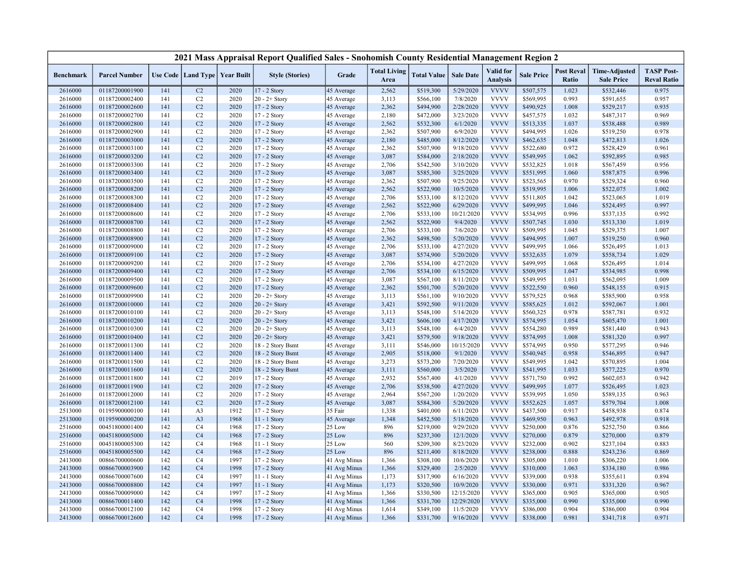|                    |                                  |            |                                   |              | 2021 Mass Appraisal Report Qualified Sales - Snohomish County Residential Management Region 2 |                          |                             |                        |                         |                              |                        |                            |                                           |                                         |
|--------------------|----------------------------------|------------|-----------------------------------|--------------|-----------------------------------------------------------------------------------------------|--------------------------|-----------------------------|------------------------|-------------------------|------------------------------|------------------------|----------------------------|-------------------------------------------|-----------------------------------------|
| <b>Benchmark</b>   | <b>Parcel Number</b>             |            | Use Code   Land Type   Year Built |              | <b>Style (Stories)</b>                                                                        | Grade                    | <b>Total Living</b><br>Area | <b>Total Value</b>     | <b>Sale Date</b>        | Valid for<br><b>Analysis</b> | <b>Sale Price</b>      | <b>Post Reval</b><br>Ratio | <b>Time-Adjusted</b><br><b>Sale Price</b> | <b>TASP Post-</b><br><b>Reval Ratio</b> |
| 2616000            | 01187200001900                   | 141        | C2                                | 2020         | 17 - 2 Story                                                                                  | 45 Average               | 2,562                       | \$519,300              | 5/29/2020               | <b>VVVV</b>                  | \$507,575              | 1.023                      | \$532,446                                 | 0.975                                   |
| 2616000            | 01187200002400                   | 141        | C2                                | 2020         | $20 - 2 +$ Story                                                                              | 45 Average               | 3,113                       | \$566,100              | 7/8/2020                | <b>VVVV</b>                  | \$569,995              | 0.993                      | \$591,655                                 | 0.957                                   |
| 2616000            | 01187200002600                   | 141        | C <sub>2</sub>                    | 2020         | 17 - 2 Story                                                                                  | 45 Average               | 2,362                       | \$494,900              | 2/28/2020               | <b>VVVV</b>                  | \$490,925              | 1.008                      | \$529,217                                 | 0.935                                   |
| 2616000            | 01187200002700                   | 141        | C <sub>2</sub>                    | 2020         | 17 - 2 Story                                                                                  | 45 Average               | 2,180                       | \$472,000              | 3/23/2020               | <b>VVVV</b>                  | \$457,575              | 1.032                      | \$487,317                                 | 0.969                                   |
| 2616000            | 01187200002800                   | 141        | C <sub>2</sub>                    | 2020         | 17 - 2 Story                                                                                  | 45 Average               | 2,562                       | \$532,300              | 6/1/2020                | <b>VVVV</b>                  | \$513,335              | 1.037                      | \$538,488                                 | 0.989                                   |
| 2616000            | 01187200002900                   | 141        | C <sub>2</sub>                    | 2020         | 17 - 2 Story                                                                                  | 45 Average               | 2,362                       | \$507,900              | 6/9/2020                | <b>VVVV</b>                  | \$494,995              | 1.026                      | \$519,250                                 | 0.978                                   |
| 2616000            | 01187200003000                   | 141        | C <sub>2</sub>                    | 2020         | 17 - 2 Story                                                                                  | 45 Average               | 2,180                       | \$485,000              | 8/12/2020               | <b>VVVV</b>                  | \$462,635              | 1.048                      | \$472,813                                 | 1.026                                   |
| 2616000            | 01187200003100                   | 141        | C <sub>2</sub>                    | 2020         | 17 - 2 Story                                                                                  | 45 Average               | 2,362                       | \$507,900              | 9/18/2020               | <b>VVVV</b>                  | \$522,680              | 0.972                      | \$528,429                                 | 0.961                                   |
| 2616000            | 01187200003200                   | 141        | C <sub>2</sub>                    | 2020         | 17 - 2 Story                                                                                  | 45 Average               | 3,087                       | \$584,000              | 2/18/2020               | <b>VVVV</b>                  | \$549,995              | 1.062                      | \$592,895                                 | 0.985                                   |
| 2616000            | 01187200003300                   | 141        | C <sub>2</sub>                    | 2020         | 17 - 2 Story                                                                                  | 45 Average               | 2,706                       | \$542,500              | 3/10/2020               | <b>VVVV</b>                  | \$532,825              | 1.018                      | \$567,459                                 | 0.956                                   |
| 2616000            | 01187200003400                   | 141        | C <sub>2</sub>                    | 2020         | 17 - 2 Story                                                                                  | 45 Average               | 3,087                       | \$585,300              | 3/25/2020               | <b>VVVV</b>                  | \$551,995              | 1.060                      | \$587,875                                 | 0.996                                   |
| 2616000            | 01187200003500                   | 141        | C <sub>2</sub>                    | 2020         | 17 - 2 Story                                                                                  | 45 Average               | 2,362                       | \$507,900              | 9/25/2020               | <b>VVVV</b>                  | \$523,565              | 0.970                      | \$529,324                                 | 0.960                                   |
| 2616000            | 01187200008200                   | 141        | C <sub>2</sub>                    | 2020         | 17 - 2 Story                                                                                  | 45 Average               | 2,562                       | \$522,900              | 10/5/2020               | <b>VVVV</b>                  | \$519,995              | 1.006                      | \$522,075                                 | 1.002                                   |
| 2616000            | 01187200008300                   | 141        | C <sub>2</sub>                    | 2020         | 17 - 2 Story                                                                                  | 45 Average               | 2,706                       | \$533,100              | 8/12/2020               | <b>VVVV</b>                  | \$511,805              | 1.042                      | \$523,065                                 | 1.019                                   |
| 2616000            | 01187200008400                   | 141        | C <sub>2</sub>                    | 2020         | $17 - 2$ Story                                                                                | 45 Average               | 2,562                       | \$522,900              | 6/29/2020               | <b>VVVV</b>                  | \$499,995              | 1.046                      | \$524,495                                 | 0.997                                   |
| 2616000            | 01187200008600                   | 141        | C <sub>2</sub>                    | 2020         | 17 - 2 Story                                                                                  | 45 Average               | 2,706                       | \$533,100              | 10/21/2020              | <b>VVVV</b>                  | \$534,995              | 0.996                      | \$537,135                                 | 0.992                                   |
| 2616000            | 01187200008700                   | 141        | C <sub>2</sub>                    | 2020         | 17 - 2 Story                                                                                  | 45 Average               | 2,562                       | \$522,900              | 9/4/2020                | <b>VVVV</b>                  | \$507,745              | 1.030                      | \$513,330                                 | 1.019                                   |
| 2616000            | 01187200008800                   | 141        | C <sub>2</sub>                    | 2020         | 17 - 2 Story                                                                                  | 45 Average               | 2,706                       | \$533,100              | 7/6/2020                | <b>VVVV</b>                  | \$509,995              | 1.045                      | \$529,375                                 | 1.007                                   |
| 2616000            | 01187200008900                   | 141        | C2                                | 2020         | 17 - 2 Story                                                                                  | 45 Average               | 2,362                       | \$498,500              | 5/20/2020               | <b>VVVV</b>                  | \$494,995              | 1.007                      | \$519,250                                 | 0.960                                   |
| 2616000            | 01187200009000                   | 141        | C2                                | 2020         | 17 - 2 Story                                                                                  | 45 Average               | 2,706                       | \$533,100              | 4/27/2020               | <b>VVVV</b>                  | \$499,995              | 1.066                      | \$526,495                                 | 1.013                                   |
| 2616000            | 01187200009100                   | 141        | C <sub>2</sub>                    | 2020         | 17 - 2 Story                                                                                  | 45 Average               | 3,087                       | \$574,900              | 5/20/2020               | <b>VVVV</b>                  | \$532,635              | 1.079                      | \$558,734                                 | 1.029                                   |
| 2616000            | 01187200009200                   | 141        | C <sub>2</sub>                    | 2020         | 17 - 2 Story                                                                                  | 45 Average               | 2,706                       | \$534,100              | 4/27/2020               | <b>VVVV</b>                  | \$499,995              | 1.068                      | \$526,495                                 | 1.014                                   |
| 2616000            | 01187200009400                   | 141        | C <sub>2</sub>                    | 2020         | 17 - 2 Story                                                                                  | 45 Average               | 2,706                       | \$534,100              | 6/15/2020               | <b>VVVV</b>                  | \$509,995              | 1.047                      | \$534,985                                 | 0.998                                   |
| 2616000            | 01187200009500                   | 141        | C2                                | 2020         | 17 - 2 Story                                                                                  | 45 Average               | 3,087                       | \$567,100              | 8/11/2020               | <b>VVVV</b>                  | \$549,995              | 1.031                      | \$562,095                                 | 1.009                                   |
| 2616000            | 01187200009600                   | 141        | C <sub>2</sub>                    | 2020         | 17 - 2 Story                                                                                  | 45 Average               | 2,362                       | \$501,700              | 5/20/2020               | <b>VVVV</b>                  | \$522,550              | 0.960                      | \$548,155                                 | 0.915                                   |
| 2616000            | 01187200009900                   | 141        | C2                                | 2020         | $20 - 2 +$ Story                                                                              | 45 Average               | 3,113                       | \$561,100              | 9/10/2020               | <b>VVVV</b>                  | \$579,525              | 0.968                      | \$585,900                                 | 0.958                                   |
| 2616000            | 01187200010000                   | 141        | C <sub>2</sub>                    | 2020         | $20 - 2 +$ Story                                                                              | 45 Average               | 3,421                       | \$592,500              | 9/11/2020               | <b>VVVV</b>                  | \$585,625              | 1.012                      | \$592,067                                 | 1.001                                   |
| 2616000            | 01187200010100                   | 141        | C <sub>2</sub><br>C <sub>2</sub>  | 2020<br>2020 | $20 - 2 +$ Story                                                                              | 45 Average               | 3,113                       | \$548,100              | 5/14/2020               | <b>VVVV</b><br><b>VVVV</b>   | \$560,325              | 0.978<br>1.054             | \$587,781                                 | 0.932                                   |
| 2616000            | 01187200010200                   | 141        |                                   |              | $20 - 2 +$ Story                                                                              | 45 Average               | 3,421                       | \$606,100              | 4/17/2020               |                              | \$574,995              |                            | \$605,470                                 | 1.001                                   |
| 2616000            | 01187200010300<br>01187200010400 | 141        | C <sub>2</sub><br>C <sub>2</sub>  | 2020<br>2020 | $20 - 2 +$ Story<br>$20 - 2 +$ Story                                                          | 45 Average               | 3,113                       | \$548,100              | 6/4/2020                | <b>VVVV</b><br><b>VVVV</b>   | \$554,280              | 0.989                      | \$581,440                                 | 0.943<br>0.997                          |
| 2616000<br>2616000 | 01187200011300                   | 141<br>141 | C <sub>2</sub>                    | 2020         |                                                                                               | 45 Average               | 3,421<br>3,111              | \$579,500              | 9/18/2020<br>10/15/2020 | <b>VVVV</b>                  | \$574,995<br>\$574,995 | 1.008<br>0.950             | \$581,320<br>\$577,295                    | 0.946                                   |
| 2616000            | 01187200011400                   | 141        | C <sub>2</sub>                    | 2020         | 18 - 2 Story Bsmt<br>18 - 2 Story Bsmt                                                        | 45 Average<br>45 Average | 2,905                       | \$546,000              | 9/1/2020                | <b>VVVV</b>                  | \$540,945              | 0.958                      | \$546,895                                 | 0.947                                   |
| 2616000            | 01187200011500                   | 141        | C <sub>2</sub>                    | 2020         | 18 - 2 Story Bsmt                                                                             | 45 Average               | 3,273                       | \$518,000<br>\$573,200 | 7/20/2020               | <b>VVVV</b>                  | \$549,995              | 1.042                      | \$570,895                                 | 1.004                                   |
| 2616000            | 01187200011600                   | 141        | C <sub>2</sub>                    | 2020         |                                                                                               |                          |                             |                        | 3/5/2020                | <b>VVVV</b>                  |                        | 1.033                      |                                           | 0.970                                   |
| 2616000            | 01187200011800                   | 141        | C <sub>2</sub>                    | 2019         | 18 - 2 Story Bsmt<br>17 - 2 Story                                                             | 45 Average<br>45 Average | 3,111<br>2,932              | \$560,000<br>\$567,400 | 4/1/2020                | <b>VVVV</b>                  | \$541,995<br>\$571,750 | 0.992                      | \$577,225<br>\$602,053                    | 0.942                                   |
| 2616000            | 01187200011900                   | 141        | C <sub>2</sub>                    | 2020         | 17 - 2 Story                                                                                  | 45 Average               | 2,706                       | \$538,500              | 4/27/2020               | <b>VVVV</b>                  | \$499,995              | 1.077                      | \$526,495                                 | 1.023                                   |
| 2616000            | 01187200012000                   | 141        | C <sub>2</sub>                    | 2020         | 17 - 2 Story                                                                                  | 45 Average               | 2,964                       | \$567,200              | 1/20/2020               | <b>VVVV</b>                  | \$539,995              | 1.050                      | \$589,135                                 | 0.963                                   |
| 2616000            | 01187200012100                   | 141        | C <sub>2</sub>                    | 2020         | 17 - 2 Story                                                                                  | 45 Average               | 3,087                       | \$584,300              | 5/20/2020               | <b>VVVV</b>                  | \$552,625              | 1.057                      | \$579,704                                 | 1.008                                   |
| 2513000            | 01195900000100                   | 141        | A <sub>3</sub>                    | 1912         | $17 - 2$ Story                                                                                | 35 Fair                  | 1,338                       | \$401,000              | 6/11/2020               | <b>VVVV</b>                  | \$437,500              | 0.917                      | \$458,938                                 | 0.874                                   |
| 2513000            | 01195900000200                   | 141        | A <sub>3</sub>                    | 1968         | 11 - 1 Story                                                                                  | 45 Average               | 1,348                       | \$452,500              | 5/18/2020               | <b>VVVV</b>                  | \$469,950              | 0.963                      | \$492,978                                 | 0.918                                   |
| 2516000            | 00451800001400                   | 142        | C <sub>4</sub>                    | 1968         | 17 - 2 Story                                                                                  | 25 Low                   | 896                         | \$219,000              | 9/29/2020               | <b>VVVV</b>                  | \$250,000              | 0.876                      | \$252,750                                 | 0.866                                   |
| 2516000            | 00451800005000                   | 142        | C <sub>4</sub>                    | 1968         | 17 - 2 Story                                                                                  | 25 Low                   | 896                         | \$237,300              | 12/1/2020               | <b>VVVV</b>                  | \$270,000              | 0.879                      | \$270,000                                 | 0.879                                   |
| 2516000            | 00451800005300                   | 142        | C <sub>4</sub>                    | 1968         | 11 - 1 Story                                                                                  | 25 Low                   | 560                         | \$209,300              | 8/23/2020               | <b>VVVV</b>                  | \$232,000              | 0.902                      | \$237,104                                 | 0.883                                   |
| 2516000            | 00451800005500                   | 142        | C <sub>4</sub>                    | 1968         | $17 - 2$ Story                                                                                | 25 Low                   | 896                         | \$211,400              | 8/18/2020               | <b>VVVV</b>                  | \$238,000              | 0.888                      | \$243,236                                 | 0.869                                   |
| 2413000            | 00866700000600                   | 142        | C <sub>4</sub>                    | 1997         | 17 - 2 Story                                                                                  | 41 Avg Minus             | 1,366                       | \$308,100              | 10/6/2020               | <b>VVVV</b>                  | \$305,000              | 1.010                      | \$306,220                                 | 1.006                                   |
| 2413000            | 00866700003900                   | 142        | C <sub>4</sub>                    | 1998         | 17 - 2 Story                                                                                  | 41 Avg Minus             | 1,366                       | \$329,400              | 2/5/2020                | <b>VVVV</b>                  | \$310,000              | 1.063                      | \$334,180                                 | 0.986                                   |
| 2413000            | 00866700007600                   | 142        | C <sub>4</sub>                    | 1997         | 11 - 1 Story                                                                                  | 41 Avg Minus             | 1,173                       | \$317,900              | 6/16/2020               | <b>VVVV</b>                  | \$339,000              | 0.938                      | \$355,611                                 | 0.894                                   |
| 2413000            | 00866700008800                   | 142        | C <sub>4</sub>                    | 1997         | 11 - 1 Story                                                                                  | 41 Avg Minus             | 1,173                       | \$320,500              | 10/9/2020               | <b>VVVV</b>                  | \$330,000              | 0.971                      | \$331,320                                 | 0.967                                   |
| 2413000            | 00866700009000                   | 142        | C <sub>4</sub>                    | 1997         | 17 - 2 Story                                                                                  | 41 Avg Minus             | 1,366                       | \$330,500              | 12/15/2020              | <b>VVVV</b>                  | \$365,000              | 0.905                      | \$365,000                                 | 0.905                                   |
| 2413000            | 00866700011400                   | 142        | C <sub>4</sub>                    | 1998         | 17 - 2 Story                                                                                  | 41 Avg Minus             | 1,366                       | \$331,700              | 12/29/2020              | <b>VVVV</b>                  | \$335,000              | 0.990                      | \$335,000                                 | 0.990                                   |
| 2413000            | 00866700012100                   | 142        | C <sub>4</sub>                    | 1998         | 17 - 2 Story                                                                                  | 41 Avg Minus             | 1,614                       | \$349,100              | 11/5/2020               | <b>VVVV</b>                  | \$386,000              | 0.904                      | \$386,000                                 | 0.904                                   |
| 2413000            | 00866700012600                   | 142        | C <sub>4</sub>                    | 1998         | 17 - 2 Story                                                                                  | 41 Avg Minus             | 1,366                       | \$331,700              | 9/16/2020               | <b>VVVV</b>                  | \$338,000              | 0.981                      | \$341,718                                 | 0.971                                   |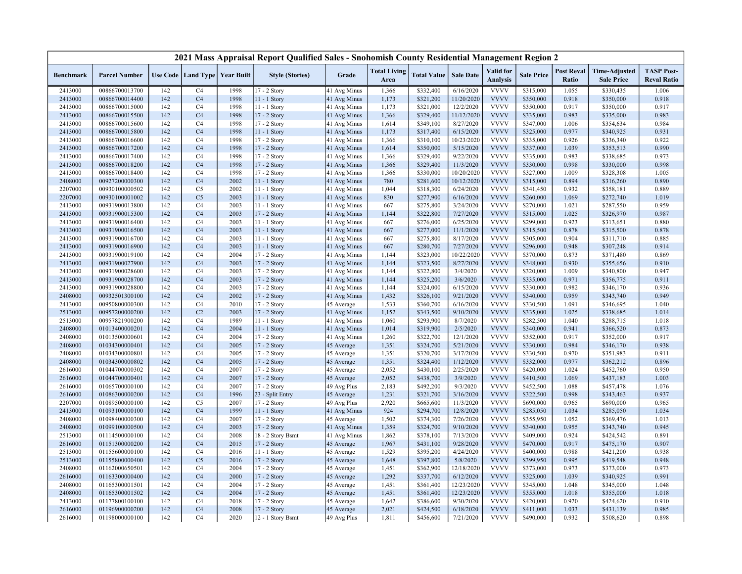| 2021 Mass Appraisal Report Qualified Sales - Snohomish County Residential Management Region 2 |                      |     |                                   |      |                        |              |                             |                    |                  |                              |                   |                            |                                           |                                         |
|-----------------------------------------------------------------------------------------------|----------------------|-----|-----------------------------------|------|------------------------|--------------|-----------------------------|--------------------|------------------|------------------------------|-------------------|----------------------------|-------------------------------------------|-----------------------------------------|
| <b>Benchmark</b>                                                                              | <b>Parcel Number</b> |     | Use Code   Land Type   Year Built |      | <b>Style (Stories)</b> | Grade        | <b>Total Living</b><br>Area | <b>Total Value</b> | <b>Sale Date</b> | Valid for<br><b>Analysis</b> | <b>Sale Price</b> | <b>Post Reval</b><br>Ratio | <b>Time-Adjusted</b><br><b>Sale Price</b> | <b>TASP Post-</b><br><b>Reval Ratio</b> |
| 2413000                                                                                       | 00866700013700       | 142 | C <sub>4</sub>                    | 1998 | 17 - 2 Story           | 41 Avg Minus | 1,366                       | \$332,400          | 6/16/2020        | <b>VVVV</b>                  | \$315,000         | 1.055                      | \$330,435                                 | 1.006                                   |
| 2413000                                                                                       | 00866700014400       | 142 | C4                                | 1998 | 11 - 1 Story           | 41 Avg Minus | 1,173                       | \$321,200          | 11/20/2020       | <b>VVVV</b>                  | \$350,000         | 0.918                      | \$350,000                                 | 0.918                                   |
| 2413000                                                                                       | 00866700015000       | 142 | C <sub>4</sub>                    | 1998 | $11 - 1$ Story         | 41 Avg Minus | 1,173                       | \$321,000          | 12/2/2020        | <b>VVVV</b>                  | \$350,000         | 0.917                      | \$350,000                                 | 0.917                                   |
| 2413000                                                                                       | 00866700015500       | 142 | C <sub>4</sub>                    | 1998 | 17 - 2 Story           | 41 Avg Minus | 1,366                       | \$329,400          | 11/12/2020       | <b>VVVV</b>                  | \$335,000         | 0.983                      | \$335,000                                 | 0.983                                   |
| 2413000                                                                                       | 00866700015600       | 142 | C <sub>4</sub>                    | 1998 | $17 - 2$ Story         | 41 Avg Minus | 1,614                       | \$349,100          | 8/27/2020        | <b>VVVV</b>                  | \$347,000         | 1.006                      | \$354,634                                 | 0.984                                   |
| 2413000                                                                                       | 00866700015800       | 142 | C <sub>4</sub>                    | 1998 | 11 - 1 Story           | 41 Avg Minus | 1,173                       | \$317,400          | 6/15/2020        | <b>VVVV</b>                  | \$325,000         | 0.977                      | \$340,925                                 | 0.931                                   |
| 2413000                                                                                       | 00866700016600       | 142 | C <sub>4</sub>                    | 1998 | $17 - 2$ Story         | 41 Avg Minus | 1,366                       | \$310,100          | 10/23/2020       | <b>VVVV</b>                  | \$335,000         | 0.926                      | \$336,340                                 | 0.922                                   |
| 2413000                                                                                       | 00866700017200       | 142 | C <sub>4</sub>                    | 1998 | 17 - 2 Story           | 41 Avg Minus | 1,614                       | \$350,000          | 5/15/2020        | <b>VVVV</b>                  | \$337,000         | 1.039                      | \$353,513                                 | 0.990                                   |
| 2413000                                                                                       | 00866700017400       | 142 | C <sub>4</sub>                    | 1998 | 17 - 2 Story           | 41 Avg Minus | 1,366                       | \$329,400          | 9/22/2020        | <b>VVVV</b>                  | \$335,000         | 0.983                      | \$338,685                                 | 0.973                                   |
| 2413000                                                                                       | 00866700018200       | 142 | C <sub>4</sub>                    | 1998 | 17 - 2 Story           | 41 Avg Minus | 1,366                       | \$329,400          | 11/3/2020        | <b>VVVV</b>                  | \$330,000         | 0.998                      | \$330,000                                 | 0.998                                   |
| 2413000                                                                                       | 00866700018400       | 142 | C <sub>4</sub>                    | 1998 | 17 - 2 Story           | 41 Avg Minus | 1,366                       | \$330,000          | 10/20/2020       | <b>VVVV</b>                  | \$327,000         | 1.009                      | \$328,308                                 | 1.005                                   |
| 2408000                                                                                       | 00927200000300       | 142 | C <sub>4</sub>                    | 2002 | 11 - 1 Story           | 41 Avg Minus | 780                         | \$281,600          | 10/12/2020       | <b>VVVV</b>                  | \$315,000         | 0.894                      | \$316,260                                 | 0.890                                   |
| 2207000                                                                                       | 00930100000502       | 142 | C <sub>5</sub>                    | 2002 | $11 - 1$ Story         | 41 Avg Minus | 1,044                       | \$318,300          | 6/24/2020        | <b>VVVV</b>                  | \$341,450         | 0.932                      | \$358,181                                 | 0.889                                   |
| 2207000                                                                                       | 00930100001002       | 142 | C <sub>5</sub>                    | 2003 | 11 - 1 Story           | 41 Avg Minus | 830                         | \$277,900          | 6/16/2020        | <b>VVVV</b>                  | \$260,000         | 1.069                      | \$272,740                                 | 1.019                                   |
| 2413000                                                                                       | 00931900013800       | 142 | C <sub>4</sub>                    | 2003 | 11 - 1 Story           | 41 Avg Minus | 667                         | \$275,800          | 3/24/2020        | <b>VVVV</b>                  | \$270,000         | 1.021                      | \$287,550                                 | 0.959                                   |
| 2413000                                                                                       | 00931900015300       | 142 | C <sub>4</sub>                    | 2003 | $17 - 2$ Story         | 41 Avg Minus | 1,144                       | \$322,800          | 7/27/2020        | <b>VVVV</b>                  | \$315,000         | 1.025                      | \$326,970                                 | 0.987                                   |
| 2413000                                                                                       | 00931900016400       | 142 | C <sub>4</sub>                    | 2003 | 11 - 1 Story           | 41 Avg Minus | 667                         | \$276,000          | 6/25/2020        | <b>VVVV</b>                  | \$299,000         | 0.923                      | \$313,651                                 | 0.880                                   |
| 2413000                                                                                       | 00931900016500       | 142 | C <sub>4</sub>                    | 2003 | 11 - 1 Story           | 41 Avg Minus | 667                         | \$277,000          | 11/1/2020        | <b>VVVV</b>                  | \$315,500         | 0.878                      | \$315,500                                 | 0.878                                   |
| 2413000                                                                                       | 00931900016700       | 142 | C <sub>4</sub>                    | 2003 | 11 - 1 Story           | 41 Avg Minus | 667                         | \$275,800          | 8/17/2020        | <b>VVVV</b>                  | \$305,000         | 0.904                      | \$311,710                                 | 0.885                                   |
| 2413000                                                                                       | 00931900016900       | 142 | C <sub>4</sub>                    | 2003 | $11 - 1$ Story         | 41 Avg Minus | 667                         | \$280,700          | 7/27/2020        | <b>VVVV</b>                  | \$296,000         | 0.948                      | \$307,248                                 | 0.914                                   |
| 2413000                                                                                       | 00931900019100       | 142 | C <sub>4</sub>                    | 2004 | 17 - 2 Story           | 41 Avg Minus | 1,144                       | \$323,000          | 10/22/2020       | <b>VVVV</b>                  | \$370,000         | 0.873                      | \$371,480                                 | 0.869                                   |
| 2413000                                                                                       | 00931900027900       | 142 | C <sub>4</sub>                    | 2003 | 17 - 2 Story           | 41 Avg Minus | 1,144                       | \$323,500          | 8/27/2020        | <b>VVVV</b>                  | \$348,000         | 0.930                      | \$355,656                                 | 0.910                                   |
| 2413000                                                                                       | 00931900028600       | 142 | C <sub>4</sub>                    | 2003 | $17 - 2$ Story         | 41 Avg Minus | 1,144                       | \$322,800          | 3/4/2020         | <b>VVVV</b>                  | \$320,000         | 1.009                      | \$340,800                                 | 0.947                                   |
| 2413000                                                                                       | 00931900028700       | 142 | C <sub>4</sub>                    | 2003 | 17 - 2 Story           | 41 Avg Minus | 1,144                       | \$325,200          | 3/6/2020         | <b>VVVV</b>                  | \$335,000         | 0.971                      | \$356,775                                 | 0.911                                   |
| 2413000                                                                                       | 00931900028800       | 142 | C <sub>4</sub>                    | 2003 | 17 - 2 Story           | 41 Avg Minus | 1,144                       | \$324,000          | 6/15/2020        | <b>VVVV</b>                  | \$330,000         | 0.982                      | \$346,170                                 | 0.936                                   |
| 2408000                                                                                       | 00932501300100       | 142 | C <sub>4</sub>                    | 2002 | 17 - 2 Story           | 41 Avg Minus | 1,432                       | \$326,100          | 9/21/2020        | <b>VVVV</b>                  | \$340,000         | 0.959                      | \$343,740                                 | 0.949                                   |
| 2413000                                                                                       | 00950800000300       | 142 | C <sub>4</sub>                    | 2010 | 17 - 2 Story           | 45 Average   | 1,533                       | \$360,700          | 6/16/2020        | <b>VVVV</b>                  | \$330,500         | 1.091                      | \$346,695                                 | 1.040                                   |
| 2513000                                                                                       | 00957200000200       | 142 | C <sub>2</sub>                    | 2003 | 17 - 2 Story           | 41 Avg Minus | 1,152                       | \$343,500          | 9/10/2020        | <b>VVVV</b>                  | \$335,000         | 1.025                      | \$338,685                                 | 1.014                                   |
| 2513000                                                                                       | 00957821900200       | 142 | C <sub>4</sub>                    | 1989 | 11 - 1 Story           | 41 Avg Minus | 1,060                       | \$293,900          | 8/7/2020         | <b>VVVV</b>                  | \$282,500         | 1.040                      | \$288,715                                 | 1.018                                   |
| 2408000                                                                                       | 01013400000201       | 142 | C <sub>4</sub>                    | 2004 | 11 - 1 Story           | 41 Avg Minus | 1,014                       | \$319,900          | 2/5/2020         | <b>VVVV</b>                  | \$340,000         | 0.941                      | \$366,520                                 | 0.873                                   |
| 2408000                                                                                       | 01013500000601       | 142 | C <sub>4</sub>                    | 2004 | 17 - 2 Story           | 41 Avg Minus | 1,260                       | \$322,700          | 12/1/2020        | <b>VVVV</b>                  | \$352,000         | 0.917                      | \$352,000                                 | 0.917                                   |
| 2408000                                                                                       | 01034300000401       | 142 | C <sub>4</sub>                    | 2005 | 17 - 2 Story           | 45 Average   | 1,351                       | \$324,700          | 5/21/2020        | <b>VVVV</b>                  | \$330,000         | 0.984                      | \$346,170                                 | 0.938                                   |
| 2408000                                                                                       | 01034300000801       | 142 | C <sub>4</sub>                    | 2005 | 17 - 2 Story           | 45 Average   | 1,351                       | \$320,700          | 3/17/2020        | <b>VVVV</b>                  | \$330,500         | 0.970                      | \$351,983                                 | 0.911                                   |
| 2408000                                                                                       | 01034300000802       | 142 | C <sub>4</sub>                    | 2005 | 17 - 2 Story           | 45 Average   | 1,351                       | \$324,400          | 1/12/2020        | <b>VVVV</b>                  | \$332,000         | 0.977                      | \$362,212                                 | 0.896                                   |
| 2616000                                                                                       | 01044700000302       | 142 | C <sub>4</sub>                    | 2007 | 17 - 2 Story           | 45 Average   | 2,052                       | \$430,100          | 2/25/2020        | <b>VVVV</b>                  | \$420,000         | 1.024                      | \$452,760                                 | 0.950                                   |
| 2616000                                                                                       | 01044700000401       | 142 | C <sub>4</sub>                    | 2007 | 17 - 2 Story           | 45 Average   | 2,052                       | \$438,700          | 3/9/2020         | <b>VVVV</b>                  | \$410,500         | 1.069                      | \$437,183                                 | 1.003                                   |
| 2616000                                                                                       | 01065700000100       | 142 | C <sub>4</sub>                    | 2007 | 17 - 2 Story           | 49 Avg Plus  | 2,183                       | \$492,200          | 9/3/2020         | <b>VVVV</b>                  | \$452,500         | 1.088                      | \$457,478                                 | 1.076                                   |
| 2616000                                                                                       | 01086300000200       | 142 | C <sub>4</sub>                    | 1996 | 23 - Split Entry       | 45 Average   | 1,231                       | \$321,700          | 3/16/2020        | <b>VVVV</b>                  | \$322,500         | 0.998                      | \$343,463                                 | 0.937                                   |
| 2207000                                                                                       | 01089500000100       | 142 | C <sub>5</sub>                    | 2007 | 17 - 2 Story           | 49 Avg Plus  | 2,920                       | \$665,600          | 11/3/2020        | <b>VVVV</b>                  | \$690,000         | 0.965                      | \$690,000                                 | 0.965                                   |
| 2413000                                                                                       | 01093100000100       | 142 | C <sub>4</sub>                    | 1999 | 11 - 1 Story           | 41 Avg Minus | 924                         | \$294,700          | 12/8/2020        | <b>VVVV</b>                  | \$285,050         | 1.034                      | \$285,050                                 | 1.034                                   |
| 2408000                                                                                       | 01098400000300       | 142 | C <sub>4</sub>                    | 2007 | 17 - 2 Story           | 45 Average   | 1,502                       | \$374,300          | 7/26/2020        | <b>VVVV</b>                  | \$355,950         | 1.052                      | \$369,476                                 | 1.013                                   |
| 2408000                                                                                       | 01099100000500       | 142 | C <sub>4</sub>                    | 2003 | 17 - 2 Story           | 41 Avg Minus | 1,359                       | \$324,700          | 9/10/2020        | <b>VVVV</b>                  | \$340,000         | 0.955                      | \$343,740                                 | 0.945                                   |
| 2513000                                                                                       | 01114500000100       | 142 | C <sub>4</sub>                    | 2008 | 18 - 2 Story Bsmt      | 41 Avg Minus | 1,862                       | \$378,100          | 7/13/2020        | <b>VVVV</b>                  | \$409,000         | 0.924                      | \$424,542                                 | 0.891                                   |
| 2616000                                                                                       | 01151300000200       | 142 | C <sub>4</sub>                    | 2015 | 17 - 2 Story           | 45 Average   | 1,967                       | \$431,100          | 9/28/2020        | <b>VVVV</b>                  | \$470,000         | 0.917                      | \$475,170                                 | 0.907                                   |
| 2513000                                                                                       | 01155600000100       | 142 | C <sub>4</sub>                    | 2016 | 11 - 1 Story           | 45 Average   | 1,529                       | \$395,200          | 4/24/2020        | <b>VVVV</b>                  | \$400,000         | 0.988                      | \$421,200                                 | 0.938                                   |
| 2513000                                                                                       | 01155800000400       | 142 | C <sub>5</sub>                    | 2016 | 17 - 2 Story           | 45 Average   | 1,648                       | \$397,800          | 5/8/2020         | <b>VVVV</b>                  | \$399,950         | 0.995                      | \$419,548                                 | 0.948                                   |
| 2408000                                                                                       | 01162000650501       | 142 | C <sub>4</sub>                    | 2004 | 17 - 2 Story           | 45 Average   | 1,451                       | \$362,900          | 12/18/2020       | <b>VVVV</b>                  | \$373,000         | 0.973                      | \$373,000                                 | 0.973                                   |
| 2616000                                                                                       | 01163300000400       | 142 | C <sub>4</sub>                    | 2000 | $17 - 2$ Story         | 45 Average   | 1,292                       | \$337,700          | 6/12/2020        | <b>VVVV</b>                  | \$325,000         | 1.039                      | \$340,925                                 | 0.991                                   |
| 2408000                                                                                       | 01165300001501       | 142 | C <sub>4</sub>                    | 2004 | 17 - 2 Story           | 45 Average   | 1,451                       | \$361,400          | 12/23/2020       | <b>VVVV</b>                  | \$345,000         | 1.048                      | \$345,000                                 | 1.048                                   |
| 2408000                                                                                       | 01165300001502       | 142 | C <sub>4</sub>                    | 2004 | 17 - 2 Story           | 45 Average   | 1,451                       | \$361,400          | 12/23/2020       | <b>VVVV</b>                  | \$355,000         | 1.018                      | \$355,000                                 | 1.018                                   |
| 2413000                                                                                       | 01177800100100       | 142 | C <sub>4</sub>                    | 2018 | 17 - 2 Story           | 45 Average   | 1,642                       | \$386,600          | 9/30/2020        | <b>VVVV</b>                  | \$420,000         | 0.920                      | \$424,620                                 | 0.910                                   |
| 2616000                                                                                       | 01196900000200       | 142 | C <sub>4</sub>                    | 2008 | $17 - 2$ Story         | 45 Average   | 2,021                       | \$424,500          | 6/18/2020        | <b>VVVV</b>                  | \$411,000         | 1.033                      | \$431,139                                 | 0.985                                   |
| 2616000                                                                                       | 01198000000100       | 142 | C4                                | 2020 | 12 - 1 Story Bsmt      | 49 Avg Plus  | 1,811                       | \$456,600          | 7/21/2020        | <b>VVVV</b>                  | \$490,000         | 0.932                      | \$508,620                                 | 0.898                                   |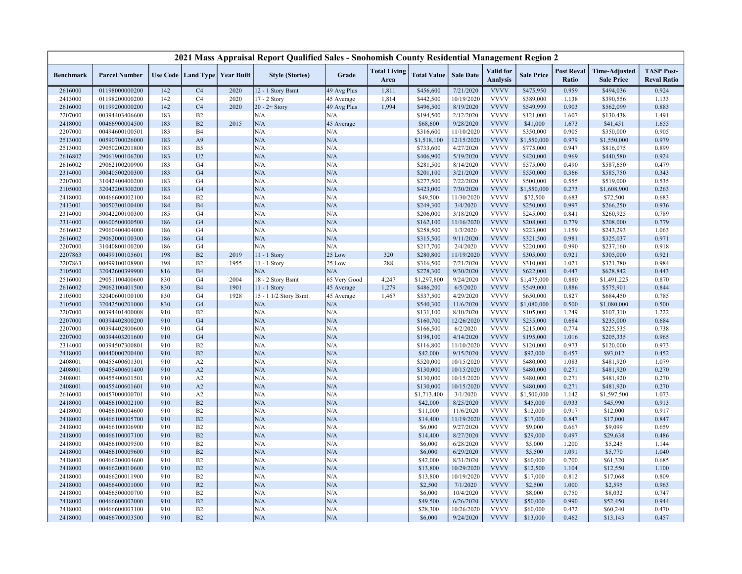| 2021 Mass Appraisal Report Qualified Sales - Snohomish County Residential Management Region 2 |                      |            |                                   |      |                        |              |                             |                     |                          |                                     |                   |                                   |                                           |                                         |
|-----------------------------------------------------------------------------------------------|----------------------|------------|-----------------------------------|------|------------------------|--------------|-----------------------------|---------------------|--------------------------|-------------------------------------|-------------------|-----------------------------------|-------------------------------------------|-----------------------------------------|
| <b>Benchmark</b>                                                                              | <b>Parcel Number</b> |            | Use Code   Land Type   Year Built |      | <b>Style (Stories)</b> | Grade        | <b>Total Living</b><br>Area | <b>Total Value</b>  | <b>Sale Date</b>         | <b>Valid</b> for<br><b>Analysis</b> | <b>Sale Price</b> | <b>Post Reval</b><br><b>Ratio</b> | <b>Time-Adjusted</b><br><b>Sale Price</b> | <b>TASP Post-</b><br><b>Reval Ratio</b> |
| 2616000                                                                                       | 01198000000200       | 142        | C <sub>4</sub>                    | 2020 | 12 - 1 Story Bsmt      | 49 Avg Plus  | 1,811                       | \$456,600           | 7/21/2020                | <b>VVVV</b>                         | \$475,950         | 0.959                             | \$494,036                                 | 0.924                                   |
| 2413000                                                                                       | 01198200000200       | 142        | C4                                | 2020 | 17 - 2 Story           | 45 Average   | 1,814                       | \$442,500           | 10/19/2020               | <b>VVVV</b>                         | \$389,000         | 1.138                             | \$390,556                                 | 1.133                                   |
| 2616000                                                                                       | 01199200000200       | 142        | C <sub>4</sub>                    | 2020 | $20 - 2 +$ Story       | 49 Avg Plus  | 1,994                       | \$496,500           | 8/19/2020                | <b>VVVV</b>                         | \$549,999         | 0.903                             | \$562,099                                 | 0.883                                   |
| 2207000                                                                                       | 00394403406600       | 183        | B <sub>2</sub>                    |      | N/A                    | N/A          |                             | \$194,500           | 2/12/2020                | <b>VVVV</b>                         | \$121,000         | 1.607                             | \$130,438                                 | 1.491                                   |
| 2418000                                                                                       | 00466900004500       | 183        | B2                                | 2015 | N/A                    | 45 Average   |                             | \$68,600            | 9/28/2020                | <b>VVVV</b>                         | \$41,000          | 1.673                             | \$41,451                                  | 1.655                                   |
| 2207000                                                                                       | 00494600100501       | 183        | B <sub>4</sub>                    |      | N/A                    | N/A          |                             | \$316,600           | 11/10/2020               | <b>VVVV</b>                         | \$350,000         | 0.905                             | \$350,000                                 | 0.905                                   |
| 2513000                                                                                       | 00590700026000       | 183        | A <sub>9</sub>                    |      | N/A                    | N/A          |                             | \$1,518,100         | 12/15/2020               | <b>VVVV</b>                         | \$1,550,000       | 0.979                             | \$1,550,000                               | 0.979                                   |
| 2513000                                                                                       | 29050200201800       | 183        | B <sub>5</sub>                    |      | N/A                    | N/A          |                             | \$733,600           | 4/27/2020                | <b>VVVV</b>                         | \$775,000         | 0.947                             | \$816,075                                 | 0.899                                   |
| 2616802                                                                                       | 29061900106200       | 183        | U <sub>2</sub>                    |      | N/A                    | N/A          |                             | \$406,900           | 5/19/2020                | <b>VVVV</b>                         | \$420,000         | 0.969                             | \$440,580                                 | 0.924                                   |
| 2616002                                                                                       | 29062100200900       | 183        | G <sub>4</sub>                    |      | N/A                    | N/A          |                             | \$281,500           | 8/14/2020                | <b>VVVV</b>                         | \$575,000         | 0.490                             | \$587,650                                 | 0.479                                   |
| 2314000                                                                                       | 30040500200300       | 183        | G <sub>4</sub>                    |      | N/A                    | N/A          |                             | \$201,100           | 3/21/2020                | <b>VVVV</b>                         | \$550,000         | 0.366                             | \$585,750                                 | 0.343                                   |
| 2207000                                                                                       | 31042400400200       | 183        | G <sub>4</sub>                    |      | N/A                    | N/A          |                             | \$277,500           | 7/22/2020                | <b>VVVV</b>                         | \$500,000         | 0.555                             | \$519,000                                 | 0.535                                   |
| 2105000                                                                                       | 32042200300200       | 183        | G <sub>4</sub>                    |      | N/A                    | N/A          |                             | \$423,000           | 7/30/2020                | <b>VVVV</b>                         | \$1,550,000       | 0.273                             | \$1,608,900                               | 0.263                                   |
| 2418000                                                                                       | 00466600002100       | 184        | B <sub>2</sub>                    |      | N/A                    | N/A          |                             | \$49,500            | 11/30/2020               | <b>VVVV</b>                         | \$72,500          | 0.683                             | \$72,500                                  | 0.683                                   |
| 2413001                                                                                       | 30050300100400       | 184        | <b>B4</b>                         |      | N/A                    | N/A          |                             | \$249,300           | 3/4/2020                 | <b>VVVV</b>                         | \$250,000         | 0.997                             | \$266,250                                 | 0.936                                   |
| 2314000                                                                                       | 30042200100300       | 185        | G <sub>4</sub>                    |      | N/A                    | N/A          |                             | \$206,000           | 3/18/2020                | <b>VVVV</b>                         | \$245,000         | 0.841                             | \$260,925                                 | 0.789                                   |
| 2314000                                                                                       | 00600500000500       | 186        | G <sub>4</sub>                    |      | N/A                    | N/A          |                             | \$162,100           | 11/16/2020               | <b>VVVV</b>                         | \$208,000         | 0.779                             | \$208,000                                 | 0.779                                   |
| 2616002                                                                                       | 29060400404000       | 186        | G <sub>4</sub>                    |      | N/A                    | N/A          |                             | \$258,500           | 1/3/2020                 | <b>VVVV</b>                         | \$223,000         | 1.159                             | \$243,293                                 | 1.063                                   |
| 2616002                                                                                       | 29062000100300       | 186        | G <sub>4</sub>                    |      | N/A                    | N/A          |                             | \$315,500           | 9/11/2020                | <b>VVVV</b>                         | \$321,500         | 0.981                             | \$325,037                                 | 0.971                                   |
| 2207000                                                                                       | 31040800100200       | 186        | G <sub>4</sub>                    |      | N/A                    | N/A          |                             | \$217,700           | 2/4/2020                 | <b>VVVV</b>                         | \$220,000         | 0.990                             | \$237,160                                 | 0.918                                   |
| 2207863                                                                                       | 00499100105601       | 198        | B2                                | 2019 | 11 - 1 Story           | 25 Low       | 320                         | \$280,800           | 11/19/2020               | <b>VVVV</b>                         | \$305,000         | 0.921                             | \$305,000                                 | 0.921                                   |
| 2207863                                                                                       | 00499100108900       | 198        | B <sub>2</sub>                    | 1955 | 11 - 1 Story           | 25 Low       | 288                         | \$316,500           | 7/21/2020                | <b>VVVV</b>                         | \$310,000         | 1.021                             | \$321,780                                 | 0.984                                   |
| 2105000                                                                                       | 32042600399900       | 816        | B <sub>4</sub>                    |      | N/A                    | N/A          |                             | \$278,300           | 9/30/2020                | <b>VVVV</b>                         | \$622,000         | 0.447                             | \$628,842                                 | 0.443                                   |
| 2516000                                                                                       | 29051100400600       | 830        | G <sub>4</sub>                    | 2004 | 18 - 2 Story Bsmt      | 65 Very Good | 4,247                       | \$1,297,800         | 9/24/2020                | <b>VVVV</b>                         | \$1,475,000       | 0.880                             | \$1,491,225                               | 0.870                                   |
| 2616002                                                                                       | 29062100401500       | 830        | B <sub>4</sub>                    | 1901 | 11 - 1 Story           | 45 Average   | 1,279                       | \$486,200           | 6/5/2020                 | <b>VVVV</b>                         | \$549,000         | 0.886                             | \$575,901                                 | 0.844                                   |
| 2105000                                                                                       | 32040600100100       | 830        | G <sub>4</sub>                    | 1928 | 15 - 1 1/2 Story Bsmt  | 45 Average   | 1,467                       | \$537,500           | 4/29/2020                | <b>VVVV</b>                         | \$650,000         | 0.827                             | \$684,450                                 | 0.785                                   |
| 2105000                                                                                       | 32042500201000       | 830        | G <sub>4</sub>                    |      | N/A                    | N/A          |                             | \$540,300           | 11/6/2020                | <b>VVVV</b>                         | \$1,080,000       | 0.500                             | \$1,080,000                               | 0.500                                   |
| 2207000                                                                                       | 00394401400008       | 910        | B <sub>2</sub>                    |      | N/A                    | N/A          |                             | \$131,100           | 8/10/2020                | <b>VVVV</b>                         | \$105,000         | 1.249                             | \$107,310                                 | 1.222                                   |
| 2207000                                                                                       | 00394402800200       | 910        | G <sub>4</sub>                    |      | N/A                    | N/A          |                             | \$160,700           | 12/26/2020               | <b>VVVV</b>                         | \$235,000         | 0.684                             | \$235,000                                 | 0.684                                   |
| 2207000                                                                                       | 00394402800600       | 910        | G <sub>4</sub>                    |      | N/A                    | N/A          |                             | \$166,500           | 6/2/2020                 | <b>VVVV</b>                         | \$215,000         | 0.774                             | \$225,535                                 | 0.738                                   |
| 2207000                                                                                       | 00394403201600       | 910        | G <sub>4</sub>                    |      | N/A                    | N/A          |                             | \$198,100           | 4/14/2020                | <b>VVVV</b>                         | \$195,000         | 1.016                             | \$205,335                                 | 0.965                                   |
| 2314000                                                                                       | 00394507300801       | 910        | B <sub>2</sub>                    |      | N/A                    | N/A          |                             | \$116,800           | 11/10/2020               | <b>VVVV</b>                         | \$120,000         | 0.973                             | \$120,000                                 | 0.973                                   |
| 2418000                                                                                       | 00440000200400       | 910        | B2                                |      | N/A                    | N/A          |                             | \$42,000            | 9/15/2020                | <b>VVVV</b>                         | \$92,000          | 0.457                             | \$93,012                                  | 0.452                                   |
| 2408001                                                                                       | 00455400601301       | 910        | A2                                |      | N/A                    | N/A          |                             | \$520,000           | 10/15/2020               | <b>VVVV</b>                         | \$480,000         | 1.083                             | \$481,920                                 | 1.079                                   |
| 2408001                                                                                       | 00455400601400       | 910        | A2                                |      | N/A                    | N/A          |                             | \$130,000           | 10/15/2020               | <b>VVVV</b>                         | \$480,000         | 0.271                             | \$481,920                                 | 0.270                                   |
| 2408001                                                                                       | 00455400601501       | 910        | A2                                |      | N/A                    | N/A          |                             | \$130,000           | 10/15/2020               | <b>VVVV</b><br><b>VVVV</b>          | \$480,000         | 0.271                             | \$481,920                                 | 0.270                                   |
| 2408001                                                                                       | 00455400601601       | 910        | A2                                |      | N/A                    | N/A          |                             | \$130,000           | 10/15/2020               |                                     | \$480,000         | 0.271                             | \$481,920                                 | 0.270                                   |
| 2616000                                                                                       | 00457000000701       | 910        | A2                                |      | N/A                    | N/A<br>N/A   |                             | \$1,713,400         | 3/1/2020                 | <b>VVVV</b><br><b>VVVV</b>          | \$1,500,000       | 1.142                             | \$1,597,500                               | 1.073                                   |
| 2418000                                                                                       | 00466100002100       | 910        | B2                                |      | N/A                    |              |                             | \$42,000            | 8/25/2020                | <b>VVVV</b>                         | \$45,000          | 0.933                             | \$45,990                                  | 0.913                                   |
| 2418000                                                                                       | 00466100004600       | 910        | B <sub>2</sub>                    |      | N/A                    | N/A          |                             | \$11,000            | 11/6/2020                |                                     | \$12,000          | 0.917                             | \$12,000                                  | 0.917                                   |
| 2418000                                                                                       | 00466100005700       | 910        | B2                                |      | N/A<br>N/A             | N/A          |                             | \$14,400            | 11/19/2020               | <b>VVVV</b><br><b>VVVV</b>          | \$17,000          | 0.847<br>0.667                    | \$17,000                                  | 0.847                                   |
| 2418000                                                                                       | 00466100006900       | 910        | B <sub>2</sub>                    |      |                        | N/A<br>N/A   |                             | \$6,000             | 9/27/2020                | <b>VVVV</b>                         | \$9,000           |                                   | \$9,099                                   | 0.659<br>0.486                          |
| 2418000                                                                                       | 00466100007100       | 910        | B2                                |      | N/A                    |              |                             | \$14,400            | 8/27/2020                |                                     | \$29,000          | 0.497                             | \$29,638                                  |                                         |
| 2418000                                                                                       | 00466100009500       | 910        | B2                                |      | N/A                    | N/A          |                             | \$6,000             | 6/28/2020                | <b>VVVV</b>                         | \$5,000           | 1.200                             | \$5,245                                   | 1.144                                   |
| 2418000                                                                                       | 00466100009600       | 910        | B2                                |      | N/A                    | N/A          |                             | \$6,000             | 6/29/2020                | <b>VVVV</b><br><b>VVVV</b>          | \$5,500           | 1.091                             | \$5,770                                   | 1.040                                   |
| 2418000                                                                                       | 00466200004600       | 910        | B2                                |      | N/A                    | N/A          |                             | \$42,000            | 8/31/2020                |                                     | \$60,000          | 0.700                             | \$61,320                                  | 0.685                                   |
| 2418000                                                                                       | 00466200010600       | 910<br>910 | B2<br>B2                          |      | N/A<br>N/A             | N/A          |                             | \$13,800            | 10/29/2020<br>10/19/2020 | <b>VVVV</b><br><b>VVVV</b>          | \$12,500          | 1.104<br>0.812                    | \$12,550                                  | 1.100<br>0.809                          |
| 2418000                                                                                       | 00466200011900       |            |                                   |      |                        | N/A          |                             | \$13,800            |                          |                                     | \$17,000          |                                   | \$17,068                                  |                                         |
| 2418000                                                                                       | 00466400001000       | 910        | R2                                |      | N/A                    | N/A          |                             | \$2,500             | 7/1/2020                 | <b>VVVV</b><br><b>VVVV</b>          | \$2,500           | 1.000                             | \$2,595                                   | 0.963                                   |
| 2418000                                                                                       | 00466500000700       | 910<br>910 | B <sub>2</sub><br>B2              |      | N/A<br>N/A             | N/A<br>N/A   |                             | \$6,000<br>\$49,500 | 10/4/2020                | <b>VVVV</b>                         | \$8,000           | 0.750<br>0.990                    | \$8,032                                   | 0.747<br>0.944                          |
| 2418000                                                                                       | 00466600002000       | 910        |                                   |      |                        |              |                             |                     | 6/26/2020                | <b>VVVV</b>                         | \$50,000          |                                   | \$52,450                                  |                                         |
| 2418000                                                                                       | 00466600003100       | 910        | B2<br>B2                          |      | N/A<br>N/A             | N/A<br>N/A   |                             | \$28,300            | 10/26/2020               | <b>VVVV</b>                         | \$60,000          | 0.472<br>0.462                    | \$60,240                                  | 0.470                                   |
| 2418000                                                                                       | 00466700003500       |            |                                   |      |                        |              |                             | \$6,000             | 9/24/2020                |                                     | \$13,000          |                                   | \$13,143                                  | 0.457                                   |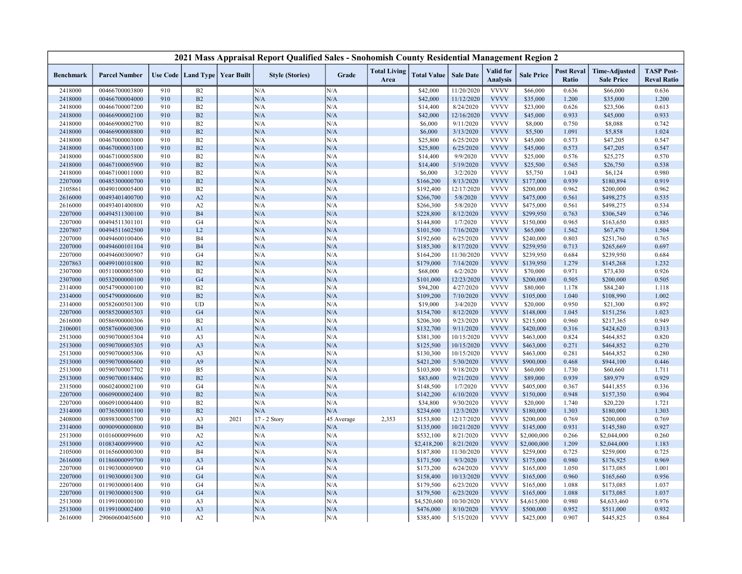| 2021 Mass Appraisal Report Qualified Sales - Snohomish County Residential Management Region 2 |                      |     |                                   |      |                        |            |                             |                    |                  |                                     |                   |                                   |                                           |                                         |
|-----------------------------------------------------------------------------------------------|----------------------|-----|-----------------------------------|------|------------------------|------------|-----------------------------|--------------------|------------------|-------------------------------------|-------------------|-----------------------------------|-------------------------------------------|-----------------------------------------|
| <b>Benchmark</b>                                                                              | <b>Parcel Number</b> |     | Use Code   Land Type   Year Built |      | <b>Style (Stories)</b> | Grade      | <b>Total Living</b><br>Area | <b>Total Value</b> | <b>Sale Date</b> | <b>Valid</b> for<br><b>Analysis</b> | <b>Sale Price</b> | <b>Post Reval</b><br><b>Ratio</b> | <b>Time-Adjusted</b><br><b>Sale Price</b> | <b>TASP Post-</b><br><b>Reval Ratio</b> |
| 2418000                                                                                       | 00466700003800       | 910 | B2                                |      | N/A                    | N/A        |                             | \$42,000           | 11/20/2020       | <b>VVVV</b>                         | \$66,000          | 0.636                             | \$66,000                                  | 0.636                                   |
| 2418000                                                                                       | 00466700004000       | 910 | B2                                |      | N/A                    | N/A        |                             | \$42,000           | 11/12/2020       | <b>VVVV</b>                         | \$35,000          | 1.200                             | \$35,000                                  | 1.200                                   |
| 2418000                                                                                       | 00466700007200       | 910 | B2                                |      | N/A                    | N/A        |                             | \$14,400           | 8/24/2020        | <b>VVVV</b>                         | \$23,000          | 0.626                             | \$23,506                                  | 0.613                                   |
| 2418000                                                                                       | 00466900002100       | 910 | B2                                |      | N/A                    | N/A        |                             | \$42,000           | 12/16/2020       | <b>VVVV</b>                         | \$45,000          | 0.933                             | \$45,000                                  | 0.933                                   |
| 2418000                                                                                       | 00466900002700       | 910 | B2                                |      | N/A                    | N/A        |                             | \$6,000            | 9/11/2020        | <b>VVVV</b>                         | \$8,000           | 0.750                             | \$8,088                                   | 0.742                                   |
| 2418000                                                                                       | 00466900008800       | 910 | B2                                |      | N/A                    | N/A        |                             | \$6,000            | 3/13/2020        | <b>VVVV</b>                         | \$5,500           | 1.091                             | \$5,858                                   | 1.024                                   |
| 2418000                                                                                       | 00467000003000       | 910 | B2                                |      | N/A                    | N/A        |                             | \$25,800           | 6/25/2020        | <b>VVVV</b>                         | \$45,000          | 0.573                             | \$47,205                                  | 0.547                                   |
| 2418000                                                                                       | 00467000003100       | 910 | B2                                |      | N/A                    | N/A        |                             | \$25,800           | 6/25/2020        | <b>VVVV</b>                         | \$45,000          | 0.573                             | \$47,205                                  | 0.547                                   |
| 2418000                                                                                       | 00467100005800       | 910 | B2                                |      | N/A                    | N/A        |                             | \$14,400           | 9/9/2020         | <b>VVVV</b>                         | \$25,000          | 0.576                             | \$25,275                                  | 0.570                                   |
| 2418000                                                                                       | 00467100005900       | 910 | B2                                |      | N/A                    | N/A        |                             | \$14,400           | 5/19/2020        | <b>VVVV</b>                         | \$25,500          | 0.565                             | \$26,750                                  | 0.538                                   |
| 2418000                                                                                       | 00467100011000       | 910 | B2                                |      | N/A                    | N/A        |                             | \$6,000            | 3/2/2020         | <b>VVVV</b>                         | \$5,750           | 1.043                             | \$6,124                                   | 0.980                                   |
| 2207000                                                                                       | 00485300000700       | 910 | B2                                |      | N/A                    | N/A        |                             | \$166,200          | 8/13/2020        | <b>VVVV</b>                         | \$177,000         | 0.939                             | \$180,894                                 | 0.919                                   |
| 2105861                                                                                       | 00490100005400       | 910 | B2                                |      | N/A                    | N/A        |                             | \$192,400          | 12/17/2020       | <b>VVVV</b>                         | \$200,000         | 0.962                             | \$200,000                                 | 0.962                                   |
| 2616000                                                                                       | 00493401400700       | 910 | A2                                |      | N/A                    | N/A        |                             | \$266,700          | 5/8/2020         | <b>VVVV</b>                         | \$475,000         | 0.561                             | \$498,275                                 | 0.535                                   |
| 2616000                                                                                       | 00493401400800       | 910 | A2                                |      | N/A                    | N/A        |                             | \$266,300          | 5/8/2020         | <b>VVVV</b>                         | \$475,000         | 0.561                             | \$498,275                                 | 0.534                                   |
| 2207000                                                                                       | 00494511300100       | 910 | B <sub>4</sub>                    |      | N/A                    | N/A        |                             | \$228,800          | 8/12/2020        | <b>VVVV</b>                         | \$299,950         | 0.763                             | \$306,549                                 | 0.746                                   |
| 2207000                                                                                       | 00494511301101       | 910 | G <sub>4</sub>                    |      | N/A                    | N/A        |                             | \$144,800          | 1/7/2020         | <b>VVVV</b>                         | \$150,000         | 0.965                             | \$163,650                                 | 0.885                                   |
| 2207807                                                                                       | 00494511602500       | 910 | L2                                |      | N/A                    | N/A        |                             | \$101,500          | 7/16/2020        | <b>VVVV</b>                         | \$65,000          | 1.562                             | \$67,470                                  | 1.504                                   |
| 2207000                                                                                       | 00494600100406       | 910 | <b>B4</b>                         |      | N/A                    | N/A        |                             | \$192,600          | 6/25/2020        | <b>VVVV</b>                         | \$240,000         | 0.803                             | \$251,760                                 | 0.765                                   |
| 2207000                                                                                       | 00494600101104       | 910 | <b>B4</b>                         |      | N/A                    | N/A        |                             | \$185,300          | 8/17/2020        | <b>VVVV</b>                         | \$259,950         | 0.713                             | \$265,669                                 | 0.697                                   |
| 2207000                                                                                       | 00494600300907       | 910 | G <sub>4</sub>                    |      | N/A                    | N/A        |                             | \$164,200          | 11/30/2020       | <b>VVVV</b>                         | \$239,950         | 0.684                             | \$239,950                                 | 0.684                                   |
| 2207863                                                                                       | 00499100101800       | 910 | B2                                |      | N/A                    | N/A        |                             | \$179,000          | 7/14/2020        | <b>VVVV</b>                         | \$139,950         | 1.279                             | \$145,268                                 | 1.232                                   |
| 2307000                                                                                       | 00511000005500       | 910 | B2                                |      | N/A                    | N/A        |                             | \$68,000           | 6/2/2020         | <b>VVVV</b>                         | \$70,000          | 0.971                             | \$73,430                                  | 0.926                                   |
| 2307000                                                                                       | 00532000000100       | 910 | G <sub>4</sub>                    |      | N/A                    | N/A        |                             | \$101,000          | 12/23/2020       | <b>VVVV</b>                         | \$200,000         | 0.505                             | \$200,000                                 | 0.505                                   |
| 2314000                                                                                       | 00547900000100       | 910 | B2                                |      | N/A                    | N/A        |                             | \$94,200           | 4/27/2020        | <b>VVVV</b>                         | \$80,000          | 1.178                             | \$84,240                                  | 1.118                                   |
| 2314000                                                                                       | 00547900000600       | 910 | B2                                |      | N/A                    | N/A        |                             | \$109,200          | 7/10/2020        | <b>VVVV</b>                         | \$105,000         | 1.040                             | \$108,990                                 | 1.002                                   |
| 2314000                                                                                       | 00582600501300       | 910 | UD                                |      | N/A                    | N/A        |                             | \$19,000           | 3/4/2020         | <b>VVVV</b>                         | \$20,000          | 0.950                             | \$21,300                                  | 0.892                                   |
| 2207000                                                                                       | 00585200005303       | 910 | G <sub>4</sub>                    |      | N/A                    | N/A        |                             | \$154,700          | 8/12/2020        | <b>VVVV</b>                         | \$148,000         | 1.045                             | \$151,256                                 | 1.023                                   |
| 2616000                                                                                       | 00586900000306       | 910 | B2                                |      | N/A                    | N/A        |                             | \$206,300          | 9/23/2020        | <b>VVVV</b>                         | \$215,000         | 0.960                             | \$217,365                                 | 0.949                                   |
| 2106001                                                                                       | 00587600600300       | 910 | A1                                |      | N/A                    | N/A        |                             | \$132,700          | 9/11/2020        | <b>VVVV</b>                         | \$420,000         | 0.316                             | \$424,620                                 | 0.313                                   |
| 2513000                                                                                       | 00590700005304       | 910 | A <sub>3</sub>                    |      | N/A                    | N/A        |                             | \$381,300          | 10/15/2020       | <b>VVVV</b>                         | \$463,000         | 0.824                             | \$464,852                                 | 0.820                                   |
| 2513000                                                                                       | 00590700005305       | 910 | A <sub>3</sub>                    |      | N/A                    | N/A        |                             | \$125,500          | 10/15/2020       | <b>VVVV</b>                         | \$463,000         | 0.271                             | \$464,852                                 | 0.270                                   |
| 2513000                                                                                       | 00590700005306       | 910 | A <sub>3</sub>                    |      | N/A                    | N/A        |                             | \$130,300          | 10/15/2020       | <b>VVVV</b>                         | \$463,000         | 0.281                             | \$464,852                                 | 0.280                                   |
| 2513000                                                                                       | 00590700006600       | 910 | A <sub>9</sub>                    |      | N/A                    | N/A        |                             | \$421,200          | 5/30/2020        | <b>VVVV</b>                         | \$900,000         | 0.468                             | \$944,100                                 | 0.446                                   |
| 2513000                                                                                       | 00590700007702       | 910 | B <sub>5</sub>                    |      | N/A                    | N/A        |                             | \$103,800          | 9/18/2020        | <b>VVVV</b>                         | \$60,000          | 1.730                             | \$60,660                                  | 1.711                                   |
| 2513000                                                                                       | 00590700018406       | 910 | B2                                |      | N/A                    | N/A        |                             | \$83,600           | 9/21/2020        | <b>VVVV</b>                         | \$89,000          | 0.939                             | \$89,979                                  | 0.929                                   |
| 2315000                                                                                       | 00602400002100       | 910 | G <sub>4</sub>                    |      | N/A                    | N/A        |                             | \$148,500          | 1/7/2020         | <b>VVVV</b>                         | \$405,000         | 0.367                             | \$441,855                                 | 0.336                                   |
| 2207000                                                                                       | 00609000002400       | 910 | B2                                |      | N/A                    | N/A        |                             | \$142,200          | 6/10/2020        | <b>VVVV</b>                         | \$150,000         | 0.948                             | \$157,350                                 | 0.904                                   |
| 2207000                                                                                       | 00609100004400       | 910 | B2                                |      | N/A                    | N/A        |                             | \$34,800           | 9/30/2020        | <b>VVVV</b>                         | \$20,000          | 1.740                             | \$20,220                                  | 1.721                                   |
| 2314000                                                                                       | 00736500001100       | 910 | B2                                |      | $\rm N/A$              | N/A        |                             | \$234,600          | 12/3/2020        | <b>VVVV</b>                         | \$180,000         | 1.303                             | \$180,000                                 | 1.303                                   |
| 2408000                                                                                       | 00898300005700       | 910 | A <sub>3</sub>                    | 2021 | 17 - 2 Story           | 45 Average | 2,353                       | \$153,800          | 12/17/2020       | <b>VVVV</b>                         | \$200,000         | 0.769                             | \$200,000                                 | 0.769                                   |
| 2314000                                                                                       | 00900900000800       | 910 | <b>B4</b>                         |      | N/A                    | N/A        |                             | \$135,000          | 10/21/2020       | <b>VVVV</b>                         | \$145,000         | 0.931                             | \$145,580                                 | 0.927                                   |
| 2513000                                                                                       | 01016000099600       | 910 | A2                                |      | N/A                    | N/A        |                             | \$532,100          | 8/21/2020        | <b>VVVV</b>                         | \$2,000,000       | 0.266                             | \$2,044,000                               | 0.260                                   |
| 2513000                                                                                       | 01083400099900       | 910 | A2                                |      | N/A                    | N/A        |                             | \$2,418,200        | 8/21/2020        | <b>VVVV</b>                         | \$2,000,000       | 1.209                             | \$2,044,000                               | 1.183                                   |
| 2105000                                                                                       | 01165600000300       | 910 | <b>B4</b>                         |      | N/A                    | N/A        |                             | \$187,800          | 11/30/2020       | <b>VVVV</b>                         | \$259,000         | 0.725                             | \$259,000                                 | 0.725                                   |
| 2616000                                                                                       | 01186000099700       | 910 | A <sub>3</sub>                    |      | N/A                    | N/A        |                             | \$171,500          | 9/3/2020         | <b>VVVV</b>                         | \$175,000         | 0.980                             | \$176,925                                 | 0.969                                   |
| 2207000                                                                                       | 01190300000900       | 910 | G <sub>4</sub>                    |      | N/A                    | N/A        |                             | \$173,200          | 6/24/2020        | <b>VVVV</b>                         | \$165,000         | 1.050                             | \$173,085                                 | 1.001                                   |
| 2207000                                                                                       | 01190300001300       | 910 | G <sub>4</sub>                    |      | N/A                    | N/A        |                             | \$158,400          | 10/13/2020       | <b>VVVV</b>                         | \$165,000         | 0.960                             | \$165,660                                 | 0.956                                   |
| 2207000                                                                                       | 01190300001400       | 910 | G4                                |      | N/A                    | N/A        |                             | \$179,500          | 6/23/2020        | <b>VVVV</b>                         | \$165,000         | 1.088                             | \$173,085                                 | 1.037                                   |
| 2207000                                                                                       | 01190300001500       | 910 | G <sub>4</sub>                    |      | N/A                    | N/A        |                             | \$179,500          | 6/23/2020        | <b>VVVV</b>                         | \$165,000         | 1.088                             | \$173,085                                 | 1.037                                   |
| 2513000                                                                                       | 01199100000100       | 910 | A <sub>3</sub>                    |      | N/A                    | N/A        |                             | \$4,520,600        | 10/30/2020       | <b>VVVV</b>                         | \$4,615,000       | 0.980                             | \$4,633,460                               | 0.976                                   |
| 2513000                                                                                       | 01199100002400       | 910 | A <sub>3</sub>                    |      | N/A                    | N/A        |                             | \$476,000          | 8/10/2020        | <b>VVVV</b>                         | \$500,000         | 0.952                             | \$511,000                                 | 0.932                                   |
| 2616000                                                                                       | 29060600405600       | 910 | A2                                |      | N/A                    | N/A        |                             | \$385,400          | 5/15/2020        | <b>VVVV</b>                         | \$425,000         | 0.907                             | \$445,825                                 | 0.864                                   |